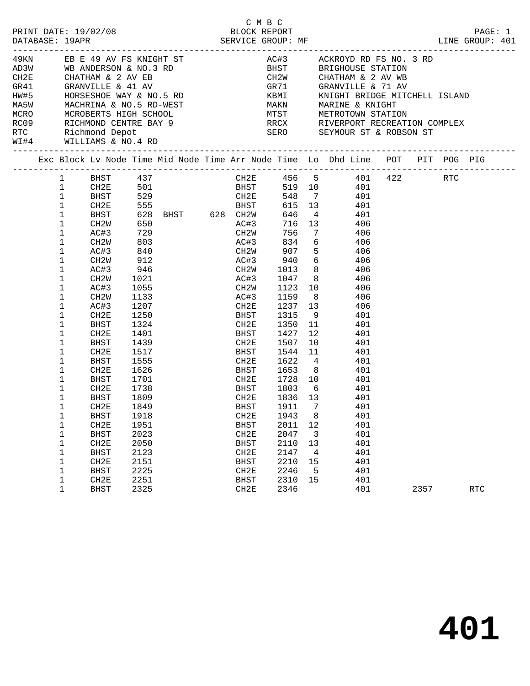| MARINE & KNIGHT<br>MCRO MCROBERTS HIGH SCHOOL MTST METROTOWN STATION<br>RCO9 RICHMOND CENTRE BAY 9<br>RTC Richmond Depot SERO SEYMOUR ST & ROBSON ST<br>WILLIAMS & NO.4 RD<br>RRCX RIVERPORT RECREATION COMPLEX<br>Exc Block Lv Node Time Mid Node Time Arr Node Time Lo Dhd Line POT PIT POG PIG<br>CH2E 456 5 401 422 RTC<br>BHST 437<br>$1 \quad$<br>CH2E 501 BHST<br>519 10 401<br>$\mathbf{1}$<br>529 CH2E<br>555 BHST BHST<br>628 BHST 628 CH2W<br>$\mathbf{1}$<br>548 7<br>BHST<br>401<br>$\mathbf{1}$<br>615 13<br>CH2E<br>401<br>$\mathbf 1$<br>BHST<br>646<br>$4\overline{4}$<br>401<br>650<br>AC#3<br>716 13<br>1<br>CH2W<br>406<br>729 CH2W<br>1<br>756<br>AC#3<br>$7\phantom{0}$<br>406<br>834 6<br>1<br>CH2W<br>AC#3<br>406<br>AC#3         834<br>CH2W         907<br>5 <sub>5</sub><br>1<br>AC#3<br>406<br>$CLZW$<br>$AC#3$ 940<br>$6\overline{6}$<br>1<br>CH2W<br>406<br>$\mathbf 1$<br>1013<br>8<br>AC#3<br>406<br>8<br>1<br>CH <sub>2</sub> W<br>1021<br>AC#3<br>1047<br>406<br>1<br>1055<br>1133<br>10<br>AC#3<br>CH2W<br>1123<br>406<br>8<br>AC#3<br>$\mathbf 1$<br>CH2W<br>1159<br>406<br>$1207$ CH2E<br>1237 13<br>1<br>AC#3<br>406<br>$\mathbf 1$<br>1250<br>1315<br>CH2E<br>BHST<br>9<br>401<br>1324<br>1<br>CH2E<br>1350<br>11<br>401<br>BHST<br>$\mathbf 1$<br>12<br>CH2E<br>1401<br>BHST<br>1427<br>401<br>1<br>1439<br>CH2E<br>1507<br>10<br>401<br>BHST<br>$\mathbf 1$<br>CH2E<br>1544<br>11<br>401<br>1517<br>BHST<br>1622<br>1<br>1555<br>CH2E<br>$\overline{4}$<br>401<br>BHST<br>1555<br>1626<br>$\mathbf 1$<br>CH2E<br>1653<br>401<br>BHST<br>8 <sup>1</sup><br>10<br>1<br>BHST<br>1701<br>CH2E<br>1728<br>401<br>1<br>CH2E<br>1738<br>BHST<br>1803<br>$6\overline{6}$<br>401<br>BHST<br>1809<br>CH2E<br>1836 13<br>401<br>1<br>1<br>$\overline{7}$<br>CH2E<br>1849<br>BHST<br>1911<br>401<br>CH2E 1943 8<br>1<br>BHST<br>1918<br>401<br>1<br>CH2E<br>1951<br>BHST<br>2011<br>12<br>401<br>2023<br>2047<br>401<br>1<br><b>BHST</b><br>CH2E<br>$\overline{\mathbf{3}}$<br>CH2E<br>2050<br>2110<br>401<br>1<br><b>BHST</b><br>13<br>2123<br>2147<br>401<br>1<br><b>BHST</b><br>CH2E<br>$\overline{4}$<br>2151<br>2210<br>1<br>CH2E<br>BHST<br>15<br>401<br>2225<br>2246<br>401<br>1<br><b>BHST</b><br>CH2E<br>$-5$<br>2310<br>401<br>1<br>CH2E<br>2251<br>BHST<br>15<br>1<br>2325<br>2346<br>401<br>2357<br>CH2E<br><b>RTC</b><br><b>BHST</b> |  |  |  |  |  |  | LINE GROUP: 401 | PAGE: 1 |
|--------------------------------------------------------------------------------------------------------------------------------------------------------------------------------------------------------------------------------------------------------------------------------------------------------------------------------------------------------------------------------------------------------------------------------------------------------------------------------------------------------------------------------------------------------------------------------------------------------------------------------------------------------------------------------------------------------------------------------------------------------------------------------------------------------------------------------------------------------------------------------------------------------------------------------------------------------------------------------------------------------------------------------------------------------------------------------------------------------------------------------------------------------------------------------------------------------------------------------------------------------------------------------------------------------------------------------------------------------------------------------------------------------------------------------------------------------------------------------------------------------------------------------------------------------------------------------------------------------------------------------------------------------------------------------------------------------------------------------------------------------------------------------------------------------------------------------------------------------------------------------------------------------------------------------------------------------------------------------------------------------------------------------------------------------------------------------------------------------------------------------------------------------------------------------------------------------------------------------------------------------------------------------------------------------------------------------------------------------------------------------|--|--|--|--|--|--|-----------------|---------|
|                                                                                                                                                                                                                                                                                                                                                                                                                                                                                                                                                                                                                                                                                                                                                                                                                                                                                                                                                                                                                                                                                                                                                                                                                                                                                                                                                                                                                                                                                                                                                                                                                                                                                                                                                                                                                                                                                                                                                                                                                                                                                                                                                                                                                                                                                                                                                                                |  |  |  |  |  |  |                 |         |
|                                                                                                                                                                                                                                                                                                                                                                                                                                                                                                                                                                                                                                                                                                                                                                                                                                                                                                                                                                                                                                                                                                                                                                                                                                                                                                                                                                                                                                                                                                                                                                                                                                                                                                                                                                                                                                                                                                                                                                                                                                                                                                                                                                                                                                                                                                                                                                                |  |  |  |  |  |  |                 |         |
|                                                                                                                                                                                                                                                                                                                                                                                                                                                                                                                                                                                                                                                                                                                                                                                                                                                                                                                                                                                                                                                                                                                                                                                                                                                                                                                                                                                                                                                                                                                                                                                                                                                                                                                                                                                                                                                                                                                                                                                                                                                                                                                                                                                                                                                                                                                                                                                |  |  |  |  |  |  |                 |         |
|                                                                                                                                                                                                                                                                                                                                                                                                                                                                                                                                                                                                                                                                                                                                                                                                                                                                                                                                                                                                                                                                                                                                                                                                                                                                                                                                                                                                                                                                                                                                                                                                                                                                                                                                                                                                                                                                                                                                                                                                                                                                                                                                                                                                                                                                                                                                                                                |  |  |  |  |  |  |                 |         |
|                                                                                                                                                                                                                                                                                                                                                                                                                                                                                                                                                                                                                                                                                                                                                                                                                                                                                                                                                                                                                                                                                                                                                                                                                                                                                                                                                                                                                                                                                                                                                                                                                                                                                                                                                                                                                                                                                                                                                                                                                                                                                                                                                                                                                                                                                                                                                                                |  |  |  |  |  |  |                 |         |
|                                                                                                                                                                                                                                                                                                                                                                                                                                                                                                                                                                                                                                                                                                                                                                                                                                                                                                                                                                                                                                                                                                                                                                                                                                                                                                                                                                                                                                                                                                                                                                                                                                                                                                                                                                                                                                                                                                                                                                                                                                                                                                                                                                                                                                                                                                                                                                                |  |  |  |  |  |  |                 |         |
|                                                                                                                                                                                                                                                                                                                                                                                                                                                                                                                                                                                                                                                                                                                                                                                                                                                                                                                                                                                                                                                                                                                                                                                                                                                                                                                                                                                                                                                                                                                                                                                                                                                                                                                                                                                                                                                                                                                                                                                                                                                                                                                                                                                                                                                                                                                                                                                |  |  |  |  |  |  |                 |         |
|                                                                                                                                                                                                                                                                                                                                                                                                                                                                                                                                                                                                                                                                                                                                                                                                                                                                                                                                                                                                                                                                                                                                                                                                                                                                                                                                                                                                                                                                                                                                                                                                                                                                                                                                                                                                                                                                                                                                                                                                                                                                                                                                                                                                                                                                                                                                                                                |  |  |  |  |  |  |                 |         |
|                                                                                                                                                                                                                                                                                                                                                                                                                                                                                                                                                                                                                                                                                                                                                                                                                                                                                                                                                                                                                                                                                                                                                                                                                                                                                                                                                                                                                                                                                                                                                                                                                                                                                                                                                                                                                                                                                                                                                                                                                                                                                                                                                                                                                                                                                                                                                                                |  |  |  |  |  |  |                 |         |
|                                                                                                                                                                                                                                                                                                                                                                                                                                                                                                                                                                                                                                                                                                                                                                                                                                                                                                                                                                                                                                                                                                                                                                                                                                                                                                                                                                                                                                                                                                                                                                                                                                                                                                                                                                                                                                                                                                                                                                                                                                                                                                                                                                                                                                                                                                                                                                                |  |  |  |  |  |  |                 |         |
|                                                                                                                                                                                                                                                                                                                                                                                                                                                                                                                                                                                                                                                                                                                                                                                                                                                                                                                                                                                                                                                                                                                                                                                                                                                                                                                                                                                                                                                                                                                                                                                                                                                                                                                                                                                                                                                                                                                                                                                                                                                                                                                                                                                                                                                                                                                                                                                |  |  |  |  |  |  |                 |         |
|                                                                                                                                                                                                                                                                                                                                                                                                                                                                                                                                                                                                                                                                                                                                                                                                                                                                                                                                                                                                                                                                                                                                                                                                                                                                                                                                                                                                                                                                                                                                                                                                                                                                                                                                                                                                                                                                                                                                                                                                                                                                                                                                                                                                                                                                                                                                                                                |  |  |  |  |  |  |                 |         |
|                                                                                                                                                                                                                                                                                                                                                                                                                                                                                                                                                                                                                                                                                                                                                                                                                                                                                                                                                                                                                                                                                                                                                                                                                                                                                                                                                                                                                                                                                                                                                                                                                                                                                                                                                                                                                                                                                                                                                                                                                                                                                                                                                                                                                                                                                                                                                                                |  |  |  |  |  |  |                 |         |
|                                                                                                                                                                                                                                                                                                                                                                                                                                                                                                                                                                                                                                                                                                                                                                                                                                                                                                                                                                                                                                                                                                                                                                                                                                                                                                                                                                                                                                                                                                                                                                                                                                                                                                                                                                                                                                                                                                                                                                                                                                                                                                                                                                                                                                                                                                                                                                                |  |  |  |  |  |  |                 |         |
|                                                                                                                                                                                                                                                                                                                                                                                                                                                                                                                                                                                                                                                                                                                                                                                                                                                                                                                                                                                                                                                                                                                                                                                                                                                                                                                                                                                                                                                                                                                                                                                                                                                                                                                                                                                                                                                                                                                                                                                                                                                                                                                                                                                                                                                                                                                                                                                |  |  |  |  |  |  |                 |         |
|                                                                                                                                                                                                                                                                                                                                                                                                                                                                                                                                                                                                                                                                                                                                                                                                                                                                                                                                                                                                                                                                                                                                                                                                                                                                                                                                                                                                                                                                                                                                                                                                                                                                                                                                                                                                                                                                                                                                                                                                                                                                                                                                                                                                                                                                                                                                                                                |  |  |  |  |  |  |                 |         |
|                                                                                                                                                                                                                                                                                                                                                                                                                                                                                                                                                                                                                                                                                                                                                                                                                                                                                                                                                                                                                                                                                                                                                                                                                                                                                                                                                                                                                                                                                                                                                                                                                                                                                                                                                                                                                                                                                                                                                                                                                                                                                                                                                                                                                                                                                                                                                                                |  |  |  |  |  |  |                 |         |
|                                                                                                                                                                                                                                                                                                                                                                                                                                                                                                                                                                                                                                                                                                                                                                                                                                                                                                                                                                                                                                                                                                                                                                                                                                                                                                                                                                                                                                                                                                                                                                                                                                                                                                                                                                                                                                                                                                                                                                                                                                                                                                                                                                                                                                                                                                                                                                                |  |  |  |  |  |  |                 |         |
|                                                                                                                                                                                                                                                                                                                                                                                                                                                                                                                                                                                                                                                                                                                                                                                                                                                                                                                                                                                                                                                                                                                                                                                                                                                                                                                                                                                                                                                                                                                                                                                                                                                                                                                                                                                                                                                                                                                                                                                                                                                                                                                                                                                                                                                                                                                                                                                |  |  |  |  |  |  |                 |         |
|                                                                                                                                                                                                                                                                                                                                                                                                                                                                                                                                                                                                                                                                                                                                                                                                                                                                                                                                                                                                                                                                                                                                                                                                                                                                                                                                                                                                                                                                                                                                                                                                                                                                                                                                                                                                                                                                                                                                                                                                                                                                                                                                                                                                                                                                                                                                                                                |  |  |  |  |  |  |                 |         |
|                                                                                                                                                                                                                                                                                                                                                                                                                                                                                                                                                                                                                                                                                                                                                                                                                                                                                                                                                                                                                                                                                                                                                                                                                                                                                                                                                                                                                                                                                                                                                                                                                                                                                                                                                                                                                                                                                                                                                                                                                                                                                                                                                                                                                                                                                                                                                                                |  |  |  |  |  |  |                 |         |
|                                                                                                                                                                                                                                                                                                                                                                                                                                                                                                                                                                                                                                                                                                                                                                                                                                                                                                                                                                                                                                                                                                                                                                                                                                                                                                                                                                                                                                                                                                                                                                                                                                                                                                                                                                                                                                                                                                                                                                                                                                                                                                                                                                                                                                                                                                                                                                                |  |  |  |  |  |  |                 |         |
|                                                                                                                                                                                                                                                                                                                                                                                                                                                                                                                                                                                                                                                                                                                                                                                                                                                                                                                                                                                                                                                                                                                                                                                                                                                                                                                                                                                                                                                                                                                                                                                                                                                                                                                                                                                                                                                                                                                                                                                                                                                                                                                                                                                                                                                                                                                                                                                |  |  |  |  |  |  |                 |         |
|                                                                                                                                                                                                                                                                                                                                                                                                                                                                                                                                                                                                                                                                                                                                                                                                                                                                                                                                                                                                                                                                                                                                                                                                                                                                                                                                                                                                                                                                                                                                                                                                                                                                                                                                                                                                                                                                                                                                                                                                                                                                                                                                                                                                                                                                                                                                                                                |  |  |  |  |  |  |                 |         |
|                                                                                                                                                                                                                                                                                                                                                                                                                                                                                                                                                                                                                                                                                                                                                                                                                                                                                                                                                                                                                                                                                                                                                                                                                                                                                                                                                                                                                                                                                                                                                                                                                                                                                                                                                                                                                                                                                                                                                                                                                                                                                                                                                                                                                                                                                                                                                                                |  |  |  |  |  |  |                 |         |
|                                                                                                                                                                                                                                                                                                                                                                                                                                                                                                                                                                                                                                                                                                                                                                                                                                                                                                                                                                                                                                                                                                                                                                                                                                                                                                                                                                                                                                                                                                                                                                                                                                                                                                                                                                                                                                                                                                                                                                                                                                                                                                                                                                                                                                                                                                                                                                                |  |  |  |  |  |  |                 |         |
|                                                                                                                                                                                                                                                                                                                                                                                                                                                                                                                                                                                                                                                                                                                                                                                                                                                                                                                                                                                                                                                                                                                                                                                                                                                                                                                                                                                                                                                                                                                                                                                                                                                                                                                                                                                                                                                                                                                                                                                                                                                                                                                                                                                                                                                                                                                                                                                |  |  |  |  |  |  |                 |         |
|                                                                                                                                                                                                                                                                                                                                                                                                                                                                                                                                                                                                                                                                                                                                                                                                                                                                                                                                                                                                                                                                                                                                                                                                                                                                                                                                                                                                                                                                                                                                                                                                                                                                                                                                                                                                                                                                                                                                                                                                                                                                                                                                                                                                                                                                                                                                                                                |  |  |  |  |  |  |                 |         |
|                                                                                                                                                                                                                                                                                                                                                                                                                                                                                                                                                                                                                                                                                                                                                                                                                                                                                                                                                                                                                                                                                                                                                                                                                                                                                                                                                                                                                                                                                                                                                                                                                                                                                                                                                                                                                                                                                                                                                                                                                                                                                                                                                                                                                                                                                                                                                                                |  |  |  |  |  |  |                 |         |
|                                                                                                                                                                                                                                                                                                                                                                                                                                                                                                                                                                                                                                                                                                                                                                                                                                                                                                                                                                                                                                                                                                                                                                                                                                                                                                                                                                                                                                                                                                                                                                                                                                                                                                                                                                                                                                                                                                                                                                                                                                                                                                                                                                                                                                                                                                                                                                                |  |  |  |  |  |  |                 |         |
|                                                                                                                                                                                                                                                                                                                                                                                                                                                                                                                                                                                                                                                                                                                                                                                                                                                                                                                                                                                                                                                                                                                                                                                                                                                                                                                                                                                                                                                                                                                                                                                                                                                                                                                                                                                                                                                                                                                                                                                                                                                                                                                                                                                                                                                                                                                                                                                |  |  |  |  |  |  |                 |         |
|                                                                                                                                                                                                                                                                                                                                                                                                                                                                                                                                                                                                                                                                                                                                                                                                                                                                                                                                                                                                                                                                                                                                                                                                                                                                                                                                                                                                                                                                                                                                                                                                                                                                                                                                                                                                                                                                                                                                                                                                                                                                                                                                                                                                                                                                                                                                                                                |  |  |  |  |  |  |                 |         |
|                                                                                                                                                                                                                                                                                                                                                                                                                                                                                                                                                                                                                                                                                                                                                                                                                                                                                                                                                                                                                                                                                                                                                                                                                                                                                                                                                                                                                                                                                                                                                                                                                                                                                                                                                                                                                                                                                                                                                                                                                                                                                                                                                                                                                                                                                                                                                                                |  |  |  |  |  |  |                 |         |
|                                                                                                                                                                                                                                                                                                                                                                                                                                                                                                                                                                                                                                                                                                                                                                                                                                                                                                                                                                                                                                                                                                                                                                                                                                                                                                                                                                                                                                                                                                                                                                                                                                                                                                                                                                                                                                                                                                                                                                                                                                                                                                                                                                                                                                                                                                                                                                                |  |  |  |  |  |  |                 |         |
|                                                                                                                                                                                                                                                                                                                                                                                                                                                                                                                                                                                                                                                                                                                                                                                                                                                                                                                                                                                                                                                                                                                                                                                                                                                                                                                                                                                                                                                                                                                                                                                                                                                                                                                                                                                                                                                                                                                                                                                                                                                                                                                                                                                                                                                                                                                                                                                |  |  |  |  |  |  |                 |         |
|                                                                                                                                                                                                                                                                                                                                                                                                                                                                                                                                                                                                                                                                                                                                                                                                                                                                                                                                                                                                                                                                                                                                                                                                                                                                                                                                                                                                                                                                                                                                                                                                                                                                                                                                                                                                                                                                                                                                                                                                                                                                                                                                                                                                                                                                                                                                                                                |  |  |  |  |  |  |                 |         |
|                                                                                                                                                                                                                                                                                                                                                                                                                                                                                                                                                                                                                                                                                                                                                                                                                                                                                                                                                                                                                                                                                                                                                                                                                                                                                                                                                                                                                                                                                                                                                                                                                                                                                                                                                                                                                                                                                                                                                                                                                                                                                                                                                                                                                                                                                                                                                                                |  |  |  |  |  |  |                 |         |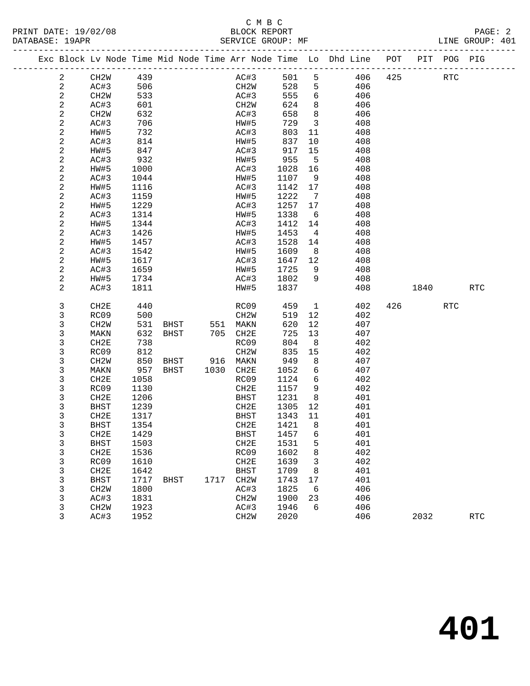|  | DATABASE: 19APR |                                                                                |      |      |                |                   |      | SERVICE GROUP: MF |                         |     |             |     | LINE GROUP: 401 |  |
|--|-----------------|--------------------------------------------------------------------------------|------|------|----------------|-------------------|------|-------------------|-------------------------|-----|-------------|-----|-----------------|--|
|  |                 | Exc Block Lv Node Time Mid Node Time Arr Node Time Lo Dhd Line POT PIT POG PIG |      |      |                |                   |      |                   |                         |     |             |     |                 |  |
|  | 2               | CH2W 439                                                                       |      |      |                |                   |      | AC#3 501 5        |                         |     | 406 425 RTC |     |                 |  |
|  | $\overline{2}$  | AC#3                                                                           | 506  |      |                |                   | CH2W | 528 5             |                         | 406 |             |     |                 |  |
|  | $\overline{a}$  | CH2W                                                                           | 533  |      |                |                   | AC#3 | 555               | 6                       | 406 |             |     |                 |  |
|  | $\overline{c}$  | AC#3                                                                           | 601  |      |                | CH2W              |      | 624               | 8 <sup>8</sup>          | 406 |             |     |                 |  |
|  | 2               | CH2W                                                                           | 632  |      |                | AC#3              |      | 658               | 8 <sup>8</sup>          | 406 |             |     |                 |  |
|  | $\overline{c}$  | AC#3                                                                           | 706  |      |                | HW#5              |      | 729               | $\overline{\mathbf{3}}$ | 408 |             |     |                 |  |
|  | 2               | HW#5                                                                           | 732  |      |                | AC#3              |      | 803               | 11                      | 408 |             |     |                 |  |
|  | 2               | AC#3                                                                           | 814  |      |                | HW#5              |      | 837               | 10                      | 408 |             |     |                 |  |
|  | $\mathbf{2}$    | HW#5                                                                           | 847  |      |                | AC#3              |      | 917               | 15                      | 408 |             |     |                 |  |
|  | 2               | AC#3                                                                           | 932  |      |                | HW#5              |      | 955               | $-5$                    | 408 |             |     |                 |  |
|  | 2               | HW#5                                                                           | 1000 |      |                | AC#3              |      | 1028              | 16                      | 408 |             |     |                 |  |
|  | 2               | AC#3                                                                           | 1044 |      |                | HW#5              |      | 1107              | 9                       | 408 |             |     |                 |  |
|  | 2               | HW#5                                                                           | 1116 |      |                | AC#3              |      | 1142 17           |                         | 408 |             |     |                 |  |
|  | 2               | AC#3                                                                           | 1159 |      |                | HW#5              |      | 1222              | $\overline{7}$          | 408 |             |     |                 |  |
|  | $\mathbf{2}$    | HW#5                                                                           | 1229 |      |                | AC#3              |      | 1257              | 17                      | 408 |             |     |                 |  |
|  | 2               | AC#3                                                                           | 1314 |      |                | HW#5              |      | 1338              | 6                       | 408 |             |     |                 |  |
|  | $\sqrt{2}$      | HW#5                                                                           | 1344 |      |                | AC#3              |      | 1412              | 14                      | 408 |             |     |                 |  |
|  | 2               | AC#3                                                                           | 1426 |      |                | HW#5              |      | 1453              | $\overline{4}$          | 408 |             |     |                 |  |
|  | 2               | HW#5                                                                           | 1457 |      |                | AC#3              |      | 1528              | 14                      | 408 |             |     |                 |  |
|  | 2               | AC#3                                                                           | 1542 |      |                | HW#5              |      | 1609              | 8 <sup>8</sup>          | 408 |             |     |                 |  |
|  | 2               | HW#5                                                                           | 1617 |      |                | AC#3              |      | 1647 12           |                         | 408 |             |     |                 |  |
|  | 2               | AC#3                                                                           | 1659 |      |                | HW#5              |      | 1725              | 9<br>9                  | 408 |             |     |                 |  |
|  | 2               | HW#5                                                                           | 1734 |      |                |                   | AC#3 | 1802              |                         | 408 |             |     |                 |  |
|  | 2               | AC#3                                                                           | 1811 |      |                | HW#5              |      | 1837              |                         | 408 | 1840        |     | <b>RTC</b>      |  |
|  | 3               | CH2E                                                                           | 440  |      |                |                   | RC09 | 459               | $\overline{1}$          | 402 | 426         | RTC |                 |  |
|  | 3               | RC09                                                                           | 500  |      |                | CH2W              |      | 519               | 12                      | 402 |             |     |                 |  |
|  | 3               | CH2W                                                                           | 531  |      | BHST 551 MAKN  |                   |      | 620               | 12                      | 407 |             |     |                 |  |
|  | 3               | MAKN                                                                           | 632  |      | BHST 705 CH2E  |                   |      | 725               | 13                      | 407 |             |     |                 |  |
|  | 3               | CH2E                                                                           | 738  |      |                | RC09              |      | 804               | 8 <sup>8</sup>          | 402 |             |     |                 |  |
|  | 3               | RC09                                                                           | 812  |      |                | CH <sub>2</sub> W |      | 835               | 15                      | 402 |             |     |                 |  |
|  | 3               | CH <sub>2</sub> W                                                              | 850  |      | BHST 916 MAKN  |                   |      | 949               | 8                       | 407 |             |     |                 |  |
|  | 3               | MAKN                                                                           | 957  |      | BHST 1030 CH2E |                   |      | 1052              | 6                       | 407 |             |     |                 |  |
|  | 3               | CH2E                                                                           | 1058 |      |                | RC09              |      | 1124              | $6\overline{6}$         | 402 |             |     |                 |  |
|  | 3               | RC09                                                                           | 1130 |      |                | CH2E              |      | 1157              | - 9                     | 402 |             |     |                 |  |
|  | 3               | CH2E                                                                           | 1206 |      |                | BHST              |      | 1231              | 8 <sup>8</sup>          | 401 |             |     |                 |  |
|  | 3               | BHST                                                                           | 1239 |      |                | CH2E              |      | 1305              | 12                      | 401 |             |     |                 |  |
|  | 3               | CH2E                                                                           | 1317 |      |                | BHST              |      | 1343 11           |                         | 401 |             |     |                 |  |
|  | 3               | BHST                                                                           | 1354 |      |                |                   |      | CH2E 1421 8       |                         | 401 |             |     |                 |  |
|  | 3               | CH2E                                                                           | 1429 |      |                | BHST              |      | 1457              | 6                       | 401 |             |     |                 |  |
|  | 3               | <b>BHST</b>                                                                    | 1503 |      |                | CH2E              |      | 1531              | 5                       | 401 |             |     |                 |  |
|  | 3               | CH2E                                                                           | 1536 |      |                | RC09              |      | 1602              | 8                       | 402 |             |     |                 |  |
|  | 3               | RC09                                                                           | 1610 |      |                | CH2E              |      | 1639              | 3                       | 402 |             |     |                 |  |
|  | 3               | CH <sub>2E</sub>                                                               | 1642 |      |                | <b>BHST</b>       |      | 1709              | 8                       | 401 |             |     |                 |  |
|  | 3               | <b>BHST</b>                                                                    | 1717 | BHST | 1717           | CH2W              |      | 1743              | 17                      | 401 |             |     |                 |  |
|  | 3               | CH <sub>2</sub> W                                                              | 1800 |      |                | AC#3              |      | 1825              | 6                       | 406 |             |     |                 |  |
|  | 3               | AC#3                                                                           | 1831 |      |                | CH <sub>2</sub> M |      | 1900              | 23                      | 406 |             |     |                 |  |
|  | 3               | CH <sub>2</sub> W                                                              | 1923 |      |                | AC#3              |      | 1946              | 6                       | 406 |             |     |                 |  |
|  | 3               | AC#3                                                                           | 1952 |      |                | CH <sub>2</sub> W |      | 2020              |                         | 406 | 2032        |     | <b>RTC</b>      |  |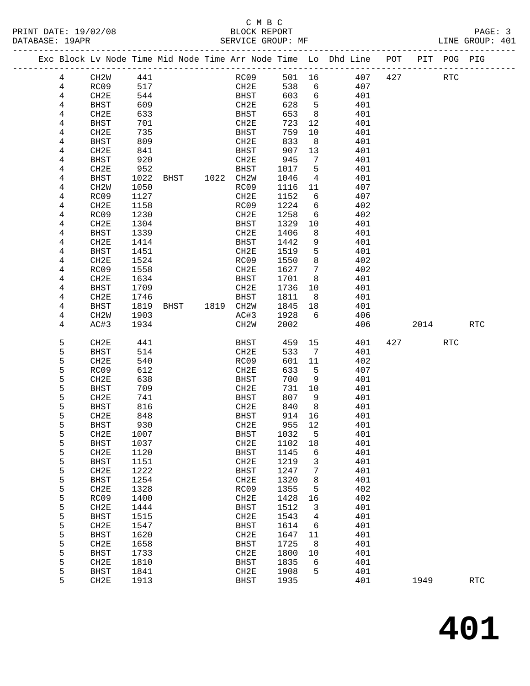#### C M B C<br>BLOCK REPORT SERVICE GROUP: MF

|  |        |                     |              |      |           |                     |              |                              | Exc Block Lv Node Time Mid Node Time Arr Node Time Lo Dhd Line POT |     |      | PIT POG PIG |            |
|--|--------|---------------------|--------------|------|-----------|---------------------|--------------|------------------------------|--------------------------------------------------------------------|-----|------|-------------|------------|
|  | 4      | CH <sub>2</sub> W   | 441          |      |           | RC09                | 501 16       |                              | 407                                                                | 427 |      | <b>RTC</b>  |            |
|  | 4      | RC09                | 517          |      |           | CH2E                | 538          | 6                            | 407                                                                |     |      |             |            |
|  | 4      | CH2E                | 544          |      |           | BHST                | 603          | 6                            | 401                                                                |     |      |             |            |
|  | 4      | <b>BHST</b>         | 609          |      |           | CH2E                | 628          | $5^{\circ}$                  | 401                                                                |     |      |             |            |
|  | 4      | CH2E                | 633          |      |           | BHST                | 653          | 8                            | 401                                                                |     |      |             |            |
|  | 4      | <b>BHST</b>         | 701          |      |           | CH2E                | 723          | 12                           | 401                                                                |     |      |             |            |
|  | 4      | CH2E                | 735          |      |           | BHST                | 759          | 10                           | 401                                                                |     |      |             |            |
|  | 4      | <b>BHST</b>         | 809          |      |           | CH2E                | 833          | 8                            | 401                                                                |     |      |             |            |
|  | 4      | CH2E                | 841          |      |           | BHST                | 907          | 13                           | 401                                                                |     |      |             |            |
|  | 4      | <b>BHST</b>         | 920          |      |           | CH2E                | 945          | 7                            | 401                                                                |     |      |             |            |
|  | 4      | CH2E                | 952          |      |           | <b>BHST</b>         | 1017         | 5                            | 401                                                                |     |      |             |            |
|  | 4      | <b>BHST</b>         | 1022         | BHST | 1022 CH2W |                     | 1046         | 4                            | 401                                                                |     |      |             |            |
|  | 4      | CH <sub>2</sub> W   | 1050         |      |           | RC09                | 1116         | 11                           | 407                                                                |     |      |             |            |
|  | 4      | RC09                | 1127         |      |           | CH2E                | 1152         | 6                            | 407                                                                |     |      |             |            |
|  | 4      | CH2E                | 1158         |      |           | RC09                | 1224         | 6                            | 402                                                                |     |      |             |            |
|  | 4      | RC09                | 1230         |      |           | CH2E                | 1258         | 6                            | 402                                                                |     |      |             |            |
|  | 4      | CH2E                | 1304         |      |           | BHST                | 1329         | 10                           | 401                                                                |     |      |             |            |
|  | 4      | <b>BHST</b>         | 1339         |      |           | CH2E                | 1406         | 8                            | 401                                                                |     |      |             |            |
|  | 4      | CH <sub>2E</sub>    | 1414         |      |           | BHST                | 1442         | 9                            | 401                                                                |     |      |             |            |
|  | 4      | <b>BHST</b>         | 1451         |      |           | CH2E                | 1519         | 5                            | 401                                                                |     |      |             |            |
|  | 4      | CH2E                | 1524         |      |           | RC09                | 1550         | 8<br>7                       | 402                                                                |     |      |             |            |
|  | 4<br>4 | RC09<br>CH2E        | 1558<br>1634 |      |           | CH2E<br>BHST        | 1627<br>1701 | 8                            | 402<br>401                                                         |     |      |             |            |
|  | 4      | <b>BHST</b>         | 1709         |      |           | CH2E                | 1736         | 10                           | 401                                                                |     |      |             |            |
|  | 4      | CH2E                | 1746         |      |           | BHST                | 1811         | 8                            | 401                                                                |     |      |             |            |
|  | 4      | <b>BHST</b>         | 1819         | BHST | 1819 CH2W |                     | 1845         | 18                           | 401                                                                |     |      |             |            |
|  | 4      | CH <sub>2</sub> W   | 1903         |      |           | AC#3                | 1928         | 6                            | 406                                                                |     |      |             |            |
|  | 4      | AC#3                | 1934         |      |           | CH <sub>2</sub> M   | 2002         |                              | 406                                                                |     | 2014 |             | <b>RTC</b> |
|  |        |                     |              |      |           |                     |              |                              |                                                                    |     |      |             |            |
|  | 5      | CH2E                | 441          |      |           | BHST                | 459          | 15                           | 401                                                                | 427 |      | <b>RTC</b>  |            |
|  | 5      | <b>BHST</b>         | 514          |      |           | CH2E                | 533          | $7\phantom{.0}\phantom{.0}7$ | 401                                                                |     |      |             |            |
|  | 5      | CH <sub>2E</sub>    | 540          |      |           | RC09                | 601          | 11                           | 402                                                                |     |      |             |            |
|  | 5      | RC09                | 612          |      |           | CH2E                | 633          | 5                            | 407                                                                |     |      |             |            |
|  | 5<br>5 | CH2E<br><b>BHST</b> | 638<br>709   |      |           | BHST<br>CH2E        | 700<br>731   | 9<br>10                      | 401<br>401                                                         |     |      |             |            |
|  | 5      | CH2E                | 741          |      |           | BHST                | 807          | 9                            | 401                                                                |     |      |             |            |
|  | 5      | <b>BHST</b>         | 816          |      |           | CH2E                | 840          | 8 <sup>8</sup>               | 401                                                                |     |      |             |            |
|  | 5      | CH2E                | 848          |      |           | BHST                | 914          | 16                           | 401                                                                |     |      |             |            |
|  | 5      | <b>BHST</b>         | 930          |      |           | CH2E                | 955          | 12                           | 401                                                                |     |      |             |            |
|  | 5      | CH <sub>2E</sub>    | 1007         |      |           | BHST                | 1032         | 5                            | 401                                                                |     |      |             |            |
|  | 5      | <b>BHST</b>         | 1037         |      |           | CH2E                | 1102         | 18                           | 401                                                                |     |      |             |            |
|  | 5      | CH2E                | 1120         |      |           | <b>BHST</b>         | 1145         | 6                            | 401                                                                |     |      |             |            |
|  | 5      | <b>BHST</b>         | 1151         |      |           | CH2E                | 1219         | 3                            | 401                                                                |     |      |             |            |
|  | 5      | CH2E                | 1222         |      |           | <b>BHST</b>         | 1247         | 7                            | 401                                                                |     |      |             |            |
|  | 5      | <b>BHST</b>         | 1254         |      |           | CH2E                | 1320         | 8                            | 401                                                                |     |      |             |            |
|  | 5      | CH2E                | 1328         |      |           | RC09                | 1355         | 5                            | 402                                                                |     |      |             |            |
|  | 5      | RC09                | 1400         |      |           | CH2E                | 1428         | 16                           | 402                                                                |     |      |             |            |
|  | 5      | CH2E                | 1444         |      |           | <b>BHST</b>         | 1512         | 3                            | 401                                                                |     |      |             |            |
|  | 5      | <b>BHST</b>         | 1515         |      |           | CH2E                | 1543         | 4                            | 401                                                                |     |      |             |            |
|  | 5      | CH2E                | 1547         |      |           | <b>BHST</b>         | 1614         | 6                            | 401                                                                |     |      |             |            |
|  | 5      | <b>BHST</b>         | 1620         |      |           | CH2E                | 1647         | 11                           | 401                                                                |     |      |             |            |
|  | 5      | CH2E                | 1658         |      |           | <b>BHST</b>         | 1725         | 8                            | 401                                                                |     |      |             |            |
|  | 5<br>5 | <b>BHST</b><br>CH2E | 1733<br>1810 |      |           | CH2E<br><b>BHST</b> | 1800<br>1835 | 10<br>6                      | 401<br>401                                                         |     |      |             |            |
|  |        |                     |              |      |           |                     |              |                              |                                                                    |     |      |             |            |

5 BHST 1841 CH2E 1908 5 401

5 CH2E 1913 BHST 1935 401 1949 RTC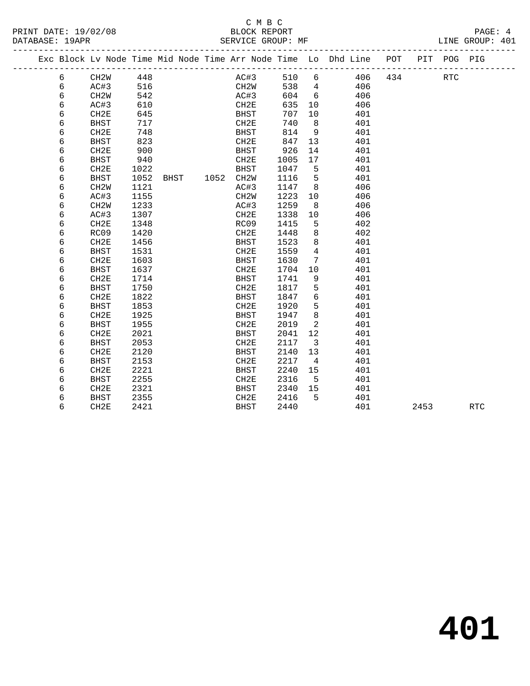## C M B C<br>BLOCK REPORT

LINE GROUP: 401

|  |   |                   |      |      |      |                   |      |                | Exc Block Lv Node Time Mid Node Time Arr Node Time Lo Dhd Line POT |     |      | PIT POG PIG |            |
|--|---|-------------------|------|------|------|-------------------|------|----------------|--------------------------------------------------------------------|-----|------|-------------|------------|
|  | 6 | CH2W              | 448  |      |      | AC#3              | 510  | 6              | 406                                                                | 434 |      | <b>RTC</b>  |            |
|  | 6 | AC#3              | 516  |      |      | CH <sub>2</sub> W | 538  | $\overline{4}$ | 406                                                                |     |      |             |            |
|  | 6 | CH <sub>2</sub> W | 542  |      |      | AC#3              | 604  | 6              | 406                                                                |     |      |             |            |
|  | 6 | AC#3              | 610  |      |      | CH2E              | 635  | 10             | 406                                                                |     |      |             |            |
|  | 6 | CH <sub>2E</sub>  | 645  |      |      | <b>BHST</b>       | 707  | 10             | 401                                                                |     |      |             |            |
|  | 6 | <b>BHST</b>       | 717  |      |      | CH2E              | 740  | 8              | 401                                                                |     |      |             |            |
|  | 6 | CH2E              | 748  |      |      | <b>BHST</b>       | 814  | 9              | 401                                                                |     |      |             |            |
|  | 6 | <b>BHST</b>       | 823  |      |      | CH2E              | 847  | 13             | 401                                                                |     |      |             |            |
|  | 6 | CH2E              | 900  |      |      | <b>BHST</b>       | 926  | 14             | 401                                                                |     |      |             |            |
|  | 6 | <b>BHST</b>       | 940  |      |      | CH <sub>2E</sub>  | 1005 | 17             | 401                                                                |     |      |             |            |
|  | 6 | CH2E              | 1022 |      |      | <b>BHST</b>       | 1047 | 5              | 401                                                                |     |      |             |            |
|  | 6 | <b>BHST</b>       | 1052 | BHST | 1052 | CH <sub>2</sub> W | 1116 | 5              | 401                                                                |     |      |             |            |
|  | 6 | CH <sub>2</sub> W | 1121 |      |      | AC#3              | 1147 | 8              | 406                                                                |     |      |             |            |
|  | 6 | AC#3              | 1155 |      |      | CH <sub>2</sub> W | 1223 | 10             | 406                                                                |     |      |             |            |
|  | 6 | CH <sub>2</sub> W | 1233 |      |      | AC#3              | 1259 | 8              | 406                                                                |     |      |             |            |
|  | 6 | AC#3              | 1307 |      |      | CH2E              | 1338 | 10             | 406                                                                |     |      |             |            |
|  | 6 | CH <sub>2E</sub>  | 1348 |      |      | RC09              | 1415 | 5              | 402                                                                |     |      |             |            |
|  | 6 | RC09              | 1420 |      |      | CH2E              | 1448 | 8              | 402                                                                |     |      |             |            |
|  | 6 | CH <sub>2E</sub>  | 1456 |      |      | <b>BHST</b>       | 1523 | 8              | 401                                                                |     |      |             |            |
|  | 6 | <b>BHST</b>       | 1531 |      |      | CH2E              | 1559 | 4              | 401                                                                |     |      |             |            |
|  | 6 | CH2E              | 1603 |      |      | <b>BHST</b>       | 1630 | 7              | 401                                                                |     |      |             |            |
|  | 6 | <b>BHST</b>       | 1637 |      |      | CH2E              | 1704 | 10             | 401                                                                |     |      |             |            |
|  | 6 | CH2E              | 1714 |      |      | <b>BHST</b>       | 1741 | 9              | 401                                                                |     |      |             |            |
|  | 6 | <b>BHST</b>       | 1750 |      |      | CH2E              | 1817 | 5              | 401                                                                |     |      |             |            |
|  | 6 | CH <sub>2E</sub>  | 1822 |      |      | <b>BHST</b>       | 1847 | 6              | 401                                                                |     |      |             |            |
|  | 6 | <b>BHST</b>       | 1853 |      |      | CH <sub>2E</sub>  | 1920 | 5              | 401                                                                |     |      |             |            |
|  | 6 | CH2E              | 1925 |      |      | <b>BHST</b>       | 1947 | 8              | 401                                                                |     |      |             |            |
|  | 6 | <b>BHST</b>       | 1955 |      |      | CH2E              | 2019 | $\overline{a}$ | 401                                                                |     |      |             |            |
|  | 6 | CH2E              | 2021 |      |      | <b>BHST</b>       | 2041 | 12             | 401                                                                |     |      |             |            |
|  | 6 | <b>BHST</b>       | 2053 |      |      | CH2E              | 2117 | 3              | 401                                                                |     |      |             |            |
|  | 6 | CH <sub>2E</sub>  | 2120 |      |      | <b>BHST</b>       | 2140 | 13             | 401                                                                |     |      |             |            |
|  | 6 | <b>BHST</b>       | 2153 |      |      | CH2E              | 2217 | 4              | 401                                                                |     |      |             |            |
|  | 6 | CH <sub>2E</sub>  | 2221 |      |      | <b>BHST</b>       | 2240 | 15             | 401                                                                |     |      |             |            |
|  | 6 | <b>BHST</b>       | 2255 |      |      | CH <sub>2E</sub>  | 2316 | 5              | 401                                                                |     |      |             |            |
|  | 6 | CH2E              | 2321 |      |      | <b>BHST</b>       | 2340 | 15             | 401                                                                |     |      |             |            |
|  | 6 | <b>BHST</b>       | 2355 |      |      | CH2E              | 2416 | 5              | 401                                                                |     |      |             |            |
|  | 6 | CH2E              | 2421 |      |      | <b>BHST</b>       | 2440 |                | 401                                                                |     | 2453 |             | <b>RTC</b> |
|  |   |                   |      |      |      |                   |      |                |                                                                    |     |      |             |            |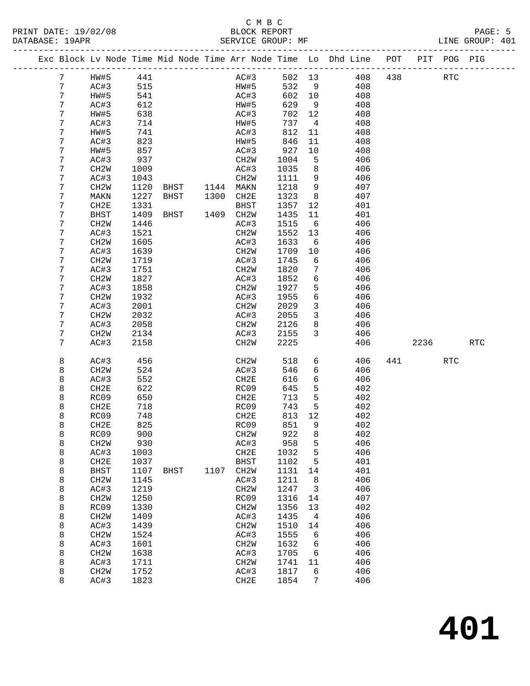#### C M B C<br>BLOCK REPORT SERVICE GROUP: MF

|  |   |                   |      |             |           |                   |      |        |                | Exc Block Lv Node Time Mid Node Time Arr Node Time Lo Dhd Line POT |     |      | PIT POG PIG |            |
|--|---|-------------------|------|-------------|-----------|-------------------|------|--------|----------------|--------------------------------------------------------------------|-----|------|-------------|------------|
|  | 7 | HW#5              | 441  |             |           |                   | AC#3 | 502 13 |                | 408                                                                | 438 |      | <b>RTC</b>  |            |
|  | 7 | AC#3              | 515  |             |           | HW#5              |      | 532    | 9              | 408                                                                |     |      |             |            |
|  | 7 | HW#5              | 541  |             |           | AC#3              |      | 602    | 10             | 408                                                                |     |      |             |            |
|  | 7 | AC#3              | 612  |             |           | HW#5              |      | 629    | 9              | 408                                                                |     |      |             |            |
|  | 7 | HW#5              | 638  |             |           | AC#3              |      | 702    | 12             | 408                                                                |     |      |             |            |
|  | 7 | AC#3              | 714  |             |           | HW#5              |      | 737    | $\overline{4}$ | 408                                                                |     |      |             |            |
|  | 7 | HW#5              | 741  |             |           | AC#3              |      | 812    | 11             | 408                                                                |     |      |             |            |
|  | 7 | AC#3              | 823  |             |           | HW#5              |      | 846    | 11             | 408                                                                |     |      |             |            |
|  | 7 | HW#5              | 857  |             |           | AC#3              |      | 927    | 10             | 408                                                                |     |      |             |            |
|  | 7 | AC#3              | 937  |             |           | CH2W              |      | 1004   | 5              | 406                                                                |     |      |             |            |
|  | 7 | CH <sub>2</sub> M | 1009 |             |           | AC#3              |      | 1035   | 8              | 406                                                                |     |      |             |            |
|  | 7 | AC#3              | 1043 |             |           | CH2W              |      | 1111   | 9              | 406                                                                |     |      |             |            |
|  | 7 | CH <sub>2</sub> M | 1120 | BHST        | 1144 MAKN |                   |      | 1218   | 9              | 407                                                                |     |      |             |            |
|  | 7 | MAKN              | 1227 | BHST        | 1300      | CH2E              |      | 1323   | 8              | 407                                                                |     |      |             |            |
|  | 7 | CH <sub>2E</sub>  | 1331 |             |           | BHST              |      | 1357   | 12             | 401                                                                |     |      |             |            |
|  | 7 | <b>BHST</b>       | 1409 | BHST        | 1409 CH2W |                   |      | 1435   | 11             | 401                                                                |     |      |             |            |
|  | 7 | CH <sub>2</sub> M | 1446 |             |           | AC#3              |      | 1515   | 6              | 406                                                                |     |      |             |            |
|  | 7 | AC#3              | 1521 |             |           | CH2W              |      | 1552   | 13             | 406                                                                |     |      |             |            |
|  | 7 | CH <sub>2</sub> M | 1605 |             |           | AC#3              |      | 1633   | 6              | 406                                                                |     |      |             |            |
|  | 7 | AC#3              | 1639 |             |           | CH2W              |      | 1709   | 10             | 406                                                                |     |      |             |            |
|  | 7 | CH <sub>2</sub> W | 1719 |             |           | AC#3              |      | 1745   | 6              | 406                                                                |     |      |             |            |
|  | 7 | AC#3              | 1751 |             |           | CH2W              |      | 1820   | 7              | 406                                                                |     |      |             |            |
|  | 7 | CH <sub>2</sub> M | 1827 |             |           | AC#3              |      | 1852   | 6              | 406                                                                |     |      |             |            |
|  | 7 | AC#3              | 1858 |             |           | CH2W              |      | 1927   | 5              | 406                                                                |     |      |             |            |
|  | 7 | CH <sub>2</sub> M | 1932 |             |           | AC#3              |      | 1955   | 6              | 406                                                                |     |      |             |            |
|  | 7 | AC#3              | 2001 |             |           | CH2W              |      | 2029   | 3              | 406                                                                |     |      |             |            |
|  | 7 | CH <sub>2</sub> M | 2032 |             |           | AC#3              |      | 2055   | $\mathsf{3}$   | 406                                                                |     |      |             |            |
|  | 7 | AC#3              | 2058 |             |           | CH2W              |      | 2126   | 8              | 406                                                                |     |      |             |            |
|  | 7 | CH <sub>2</sub> W | 2134 |             |           | AC#3              |      | 2155   | $\mathbf{3}$   | 406                                                                |     |      |             |            |
|  | 7 | AC#3              | 2158 |             |           | CH2W              |      | 2225   |                | 406                                                                |     | 2236 |             | <b>RTC</b> |
|  | 8 | AC#3              | 456  |             |           | CH <sub>2</sub> W |      | 518    | 6              | 406                                                                | 441 |      | <b>RTC</b>  |            |
|  | 8 | CH <sub>2</sub> M | 524  |             |           | AC#3              |      | 546    | 6              | 406                                                                |     |      |             |            |
|  | 8 | AC#3              | 552  |             |           | CH2E              |      | 616    | 6              | 406                                                                |     |      |             |            |
|  | 8 | CH2E              | 622  |             |           | RC09              |      | 645    | 5              | 402                                                                |     |      |             |            |
|  | 8 | RC09              | 650  |             |           | CH2E              |      | 713    | 5              | 402                                                                |     |      |             |            |
|  | 8 | CH2E              | 718  |             |           | RC09              |      | 743    | 5              | 402                                                                |     |      |             |            |
|  | 8 | RC09              | 748  |             |           | CH2E              |      | 813    | 12             | 402                                                                |     |      |             |            |
|  | 8 | CH2E              | 825  |             |           | RC09              |      | 851    | 9              | 402                                                                |     |      |             |            |
|  | 8 | RC09              | 900  |             |           | CH <sub>2</sub> M |      | 922    | 8              | 402                                                                |     |      |             |            |
|  | 8 | CH <sub>2</sub> W | 930  |             |           | AC#3              |      | 958    | 5              | 406                                                                |     |      |             |            |
|  | 8 | AC#3              | 1003 |             |           | CH2E              |      | 1032   | 5              | 406                                                                |     |      |             |            |
|  | 8 | CH2E              | 1037 |             |           | <b>BHST</b>       |      | 1102   | 5              | 401                                                                |     |      |             |            |
|  | 8 | <b>BHST</b>       | 1107 | <b>BHST</b> | 1107      | CH2W              |      | 1131   | 14             | 401                                                                |     |      |             |            |
|  | 8 | CH <sub>2</sub> W | 1145 |             |           | AC#3              |      | 1211   | 8              | 406                                                                |     |      |             |            |
|  | 8 | AC#3              | 1219 |             |           | CH2W              |      | 1247   | 3              | 406                                                                |     |      |             |            |
|  | 8 | CH <sub>2</sub> W | 1250 |             |           | RC09              |      | 1316   | 14             | 407                                                                |     |      |             |            |
|  | 8 | RC09              | 1330 |             |           | CH <sub>2</sub> M |      | 1356   | 13             | 402                                                                |     |      |             |            |
|  | 8 | CH2W              | 1409 |             |           | AC#3              |      | 1435   | 4              | 406                                                                |     |      |             |            |
|  | 8 | AC#3              | 1439 |             |           | CH <sub>2</sub> M |      | 1510   | 14             | 406                                                                |     |      |             |            |
|  | 8 | CH <sub>2</sub> W | 1524 |             |           | AC#3              |      | 1555   | 6              | 406                                                                |     |      |             |            |
|  | 8 | AC#3              | 1601 |             |           | CH2W              |      | 1632   | б              | 406                                                                |     |      |             |            |
|  |   |                   |      |             |           |                   |      |        |                |                                                                    |     |      |             |            |

 8 CH2W 1638 AC#3 1705 6 406 8 AC#3 1711 CH2W 1741 11 406 8 CH2W 1752 AC#3 1817 6 406 8 AC#3 1823 CH2E 1854 7 406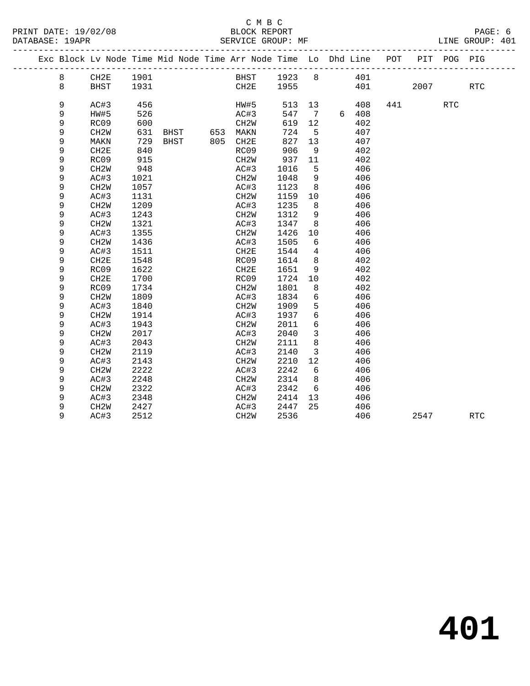#### C M B C<br>BLOCK REPORT DATABASE: 19APR SERVICE GROUP: MF LINE GROUP: 401

|  |   |                   |      |      |     | Exc Block Lv Node Time Mid Node Time Arr Node Time Lo Dhd Line POT |        |                 |       |     |      | PIT POG PIG |                      |  |
|--|---|-------------------|------|------|-----|--------------------------------------------------------------------|--------|-----------------|-------|-----|------|-------------|----------------------|--|
|  | 8 | CH2E              | 1901 |      |     | BHST                                                               | 1923 8 |                 | 401   |     |      |             |                      |  |
|  | 8 | <b>BHST</b>       | 1931 |      |     | CH2E                                                               | 1955   |                 | 401   |     | 2007 |             | $\operatorname{RTC}$ |  |
|  | 9 | AC#3              | 456  |      |     | HW#5                                                               | 513    | 13              | 408   | 441 |      | <b>RTC</b>  |                      |  |
|  | 9 | HW#5              | 526  |      |     | AC#3                                                               | 547    | $\overline{7}$  | 6 408 |     |      |             |                      |  |
|  | 9 | RC09              | 600  |      |     | CH <sub>2</sub> W                                                  | 619    | 12              | 402   |     |      |             |                      |  |
|  | 9 | CH <sub>2</sub> W | 631  | BHST |     | 653 MAKN                                                           | 724    | 5               | 407   |     |      |             |                      |  |
|  | 9 | MAKN              | 729  | BHST | 805 | CH2E                                                               | 827    | 13              | 407   |     |      |             |                      |  |
|  | 9 | CH2E              | 840  |      |     | RC09                                                               | 906    | 9               | 402   |     |      |             |                      |  |
|  | 9 | RC09              | 915  |      |     | CH <sub>2</sub> W                                                  | 937    | 11              | 402   |     |      |             |                      |  |
|  | 9 | CH <sub>2</sub> W | 948  |      |     | AC#3                                                               | 1016   | 5               | 406   |     |      |             |                      |  |
|  | 9 | AC#3              | 1021 |      |     | CH <sub>2</sub> W                                                  | 1048   | 9               | 406   |     |      |             |                      |  |
|  | 9 | CH <sub>2</sub> W | 1057 |      |     | AC#3                                                               | 1123   | 8               | 406   |     |      |             |                      |  |
|  | 9 | AC#3              | 1131 |      |     | CH <sub>2</sub> W                                                  | 1159   | 10              | 406   |     |      |             |                      |  |
|  | 9 | CH <sub>2</sub> W | 1209 |      |     | AC#3                                                               | 1235   | 8               | 406   |     |      |             |                      |  |
|  | 9 | AC#3              | 1243 |      |     | CH <sub>2</sub> W                                                  | 1312   | 9               | 406   |     |      |             |                      |  |
|  | 9 | CH <sub>2</sub> W | 1321 |      |     | AC#3                                                               | 1347   | 8               | 406   |     |      |             |                      |  |
|  | 9 | AC#3              | 1355 |      |     | CH2W                                                               | 1426   | 10              | 406   |     |      |             |                      |  |
|  | 9 | CH <sub>2</sub> W | 1436 |      |     | AC#3                                                               | 1505   | 6               | 406   |     |      |             |                      |  |
|  | 9 | AC#3              | 1511 |      |     | CH2E                                                               | 1544   | 4               | 406   |     |      |             |                      |  |
|  | 9 | CH2E              | 1548 |      |     | RC09                                                               | 1614   | 8               | 402   |     |      |             |                      |  |
|  | 9 | RC09              | 1622 |      |     | CH2E                                                               | 1651   | 9               | 402   |     |      |             |                      |  |
|  | 9 | CH2E              | 1700 |      |     | RC09                                                               | 1724   | 10              | 402   |     |      |             |                      |  |
|  | 9 | RC09              | 1734 |      |     | CH <sub>2</sub> W                                                  | 1801   | 8               | 402   |     |      |             |                      |  |
|  | 9 | CH <sub>2</sub> W | 1809 |      |     | AC#3                                                               | 1834   | 6               | 406   |     |      |             |                      |  |
|  | 9 | AC#3              | 1840 |      |     | CH <sub>2</sub> W                                                  | 1909   | 5               | 406   |     |      |             |                      |  |
|  | 9 | CH <sub>2</sub> W | 1914 |      |     | AC#3                                                               | 1937   | 6               | 406   |     |      |             |                      |  |
|  | 9 | AC#3              | 1943 |      |     | CH <sub>2</sub> W                                                  | 2011   | $6\overline{6}$ | 406   |     |      |             |                      |  |
|  | 9 | CH <sub>2</sub> W | 2017 |      |     | AC#3                                                               | 2040   | $\mathbf{3}$    | 406   |     |      |             |                      |  |
|  | 9 | AC#3              | 2043 |      |     | CH <sub>2</sub> W                                                  | 2111   | 8               | 406   |     |      |             |                      |  |
|  | 9 | CH <sub>2</sub> W | 2119 |      |     | AC#3                                                               | 2140   | 3               | 406   |     |      |             |                      |  |
|  | 9 | AC#3              | 2143 |      |     | CH <sub>2</sub> W                                                  | 2210   | 12              | 406   |     |      |             |                      |  |
|  | 9 | CH <sub>2</sub> W | 2222 |      |     | AC#3                                                               | 2242   | 6               | 406   |     |      |             |                      |  |
|  | 9 | AC#3              | 2248 |      |     | CH <sub>2</sub> W                                                  | 2314   | 8               | 406   |     |      |             |                      |  |
|  | 9 | CH <sub>2</sub> W | 2322 |      |     | AC#3                                                               | 2342   | - 6             | 406   |     |      |             |                      |  |
|  | 9 | AC#3              | 2348 |      |     | CH2W                                                               | 2414   | 13              | 406   |     |      |             |                      |  |
|  | 9 | CH <sub>2</sub> W | 2427 |      |     | AC#3                                                               | 2447   | 25              | 406   |     |      |             |                      |  |
|  | 9 | AC#3              | 2512 |      |     | CH <sub>2</sub> W                                                  | 2536   |                 | 406   |     | 2547 |             | <b>RTC</b>           |  |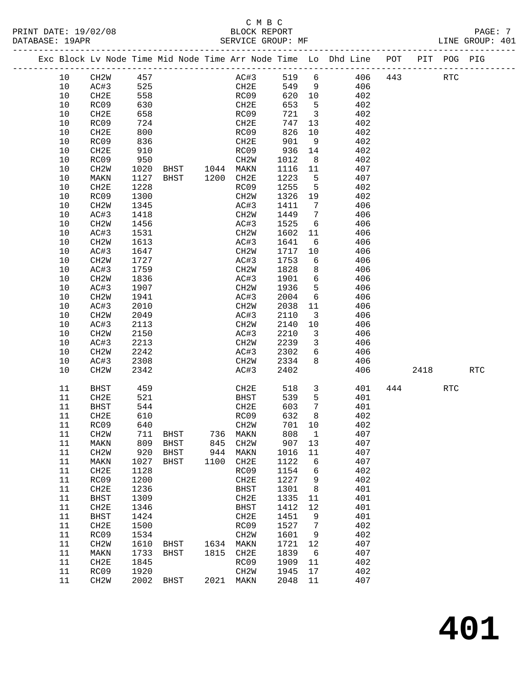#### C M B C<br>BLOCK REPORT PRINT DATE: 19/02/08 BLOCK REPORT PAGE: 7 SERVICE GROUP: MF

|  |          |                   |              |                  |      |                               |              |                         | Exc Block Lv Node Time Mid Node Time Arr Node Time Lo Dhd Line POT |     |      | PIT POG PIG |            |
|--|----------|-------------------|--------------|------------------|------|-------------------------------|--------------|-------------------------|--------------------------------------------------------------------|-----|------|-------------|------------|
|  | 10       | CH2W              | 457          |                  |      | AC#3                          | 519 6        |                         | 406                                                                | 443 |      | <b>RTC</b>  |            |
|  | 10       | AC#3              | 525          |                  |      | CH2E                          | 549 9        |                         | 406                                                                |     |      |             |            |
|  | 10       | CH2E              | 558          |                  |      | RC09                          | 620 10       |                         | 402                                                                |     |      |             |            |
|  | 10       | RC09              | 630          |                  |      | CH2E                          | 653          | $5^{\circ}$             | 402                                                                |     |      |             |            |
|  | 10       | CH2E              | 658          |                  |      | RC09                          | 721          | $\overline{\mathbf{3}}$ | 402                                                                |     |      |             |            |
|  | 10       | RC09              | 724          |                  |      | CH2E                          | 747          | 13                      | 402                                                                |     |      |             |            |
|  | 10       | CH2E              | 800          |                  |      | RC09                          | 826          | 10                      | 402                                                                |     |      |             |            |
|  | 10       | RC09              | 836          |                  |      | CH2E                          | 901          | 9                       | 402                                                                |     |      |             |            |
|  | 10       | CH2E              | 910          |                  |      | RC09                          | 936          | 14                      | 402                                                                |     |      |             |            |
|  | 10       | RC09              | 950          |                  |      | CH2W                          | 1012         | 8 <sup>8</sup>          | 402                                                                |     |      |             |            |
|  | 10       | CH2W              | 1020         | BHST 1044 MAKN   |      |                               | 1116 11      |                         | 407                                                                |     |      |             |            |
|  | 10       | MAKN              | 1127         | BHST 1200 CH2E   |      |                               | 1223         | $5^{\circ}$             | 407                                                                |     |      |             |            |
|  | 10       | CH2E              | 1228         |                  |      | RC09                          | 1255         | $5^{\circ}$             | 402                                                                |     |      |             |            |
|  | 10       | RC09              | 1300         |                  |      | CH2W                          | 1326         | 19                      | 402                                                                |     |      |             |            |
|  | 10       | CH2W              | 1345         |                  |      | AC#3                          | 1411         | $7\phantom{0}$          | 406                                                                |     |      |             |            |
|  | 10       | AC#3              | 1418         |                  |      | CH2W                          | 1449         | $\overline{7}$          | 406                                                                |     |      |             |            |
|  | 10       | CH2W              | 1456         |                  |      | AC#3                          | 1525         | 6                       | 406                                                                |     |      |             |            |
|  | 10<br>10 | AC#3<br>CH2W      | 1531<br>1613 |                  |      | CH2W<br>AC#3                  | 1602<br>1641 | 11<br>6                 | 406<br>406                                                         |     |      |             |            |
|  | 10       | AC#3              | 1647         |                  |      | CH2W                          | 1717         | 10                      | 406                                                                |     |      |             |            |
|  | 10       | CH2W              | 1727         |                  |      | AC#3                          | 1753         | 6                       | 406                                                                |     |      |             |            |
|  | $10$     | AC#3              | 1759         |                  |      | CH <sub>2</sub> W             | 1828         | 8                       | 406                                                                |     |      |             |            |
|  | $10$     | CH <sub>2</sub> M | 1836         |                  |      | AC#3                          | 1901         | 6                       | 406                                                                |     |      |             |            |
|  | 10       | AC#3              | 1907         |                  |      | CH2W                          | 1936         | 5                       | 406                                                                |     |      |             |            |
|  | 10       | CH <sub>2</sub> W | 1941         |                  |      | AC#3                          | 2004         | 6                       | 406                                                                |     |      |             |            |
|  | 10       | AC#3              | 2010         |                  |      | CH2W                          | 2038         | 11                      | 406                                                                |     |      |             |            |
|  | 10       | CH2W              | 2049         |                  |      | AC#3                          | 2110         | $\overline{\mathbf{3}}$ | 406                                                                |     |      |             |            |
|  | 10       | AC#3              | 2113         |                  |      | CH2W                          | 2140         | 10                      | 406                                                                |     |      |             |            |
|  | 10       | CH <sub>2</sub> W | 2150         |                  |      | AC#3                          | 2210         | $\overline{\mathbf{3}}$ | 406                                                                |     |      |             |            |
|  | 10       | AC#3              | 2213         |                  |      | CH2W                          | 2239         | $\overline{\mathbf{3}}$ | 406                                                                |     |      |             |            |
|  | 10       | CH2W              | 2242         |                  |      | AC#3                          | 2302         | 6                       | 406                                                                |     |      |             |            |
|  | 10       | AC#3              | 2308         |                  |      | CH2W                          | 2334         | 8                       | 406                                                                |     |      |             |            |
|  | 10       | CH <sub>2</sub> W | 2342         |                  |      | AC#3                          | 2402         |                         | 406                                                                |     | 2418 |             | <b>RTC</b> |
|  | 11       | BHST              | 459          |                  |      | CH2E                          | 518          | $\mathbf{3}$            | 401                                                                | 444 |      | <b>RTC</b>  |            |
|  | 11       | CH2E              | 521          |                  |      | BHST                          | 539          | $5^{\circ}$             | 401                                                                |     |      |             |            |
|  | 11       | BHST              | 544          |                  |      | CH2E                          | 603          | $\overline{7}$          | 401                                                                |     |      |             |            |
|  | 11       | CH2E              | 610          |                  |      | RC09                          | 632          | 8                       | 402                                                                |     |      |             |            |
|  | 11       | RC09              | 640          |                  |      | CH <sub>2</sub> W             | 701 10       |                         | 402                                                                |     |      |             |            |
|  | 11<br>11 | CH2W<br>MAKN      | 809          | 711 BHST<br>BHST | 845  | 736 MAKN<br>CH <sub>2</sub> M | 808 1<br>907 | 13                      | 407<br>407                                                         |     |      |             |            |
|  | 11       | CH2W              | 920          | BHST             | 944  | MAKN                          | 1016         | 11                      | 407                                                                |     |      |             |            |
|  | 11       | MAKN              | 1027         | BHST             | 1100 | CH2E                          | 1122         | 6                       | 407                                                                |     |      |             |            |
|  | 11       | CH2E              | 1128         |                  |      | RC09                          | 1154         | 6                       | 402                                                                |     |      |             |            |
|  | 11       | RC09              | 1200         |                  |      | CH2E                          | 1227         | 9                       | 402                                                                |     |      |             |            |
|  | 11       | CH2E              | 1236         |                  |      | <b>BHST</b>                   | 1301         | 8                       | 401                                                                |     |      |             |            |
|  | 11       | <b>BHST</b>       | 1309         |                  |      | CH2E                          | 1335         | 11                      | 401                                                                |     |      |             |            |
|  | 11       | CH <sub>2E</sub>  | 1346         |                  |      | BHST                          | 1412         | 12                      | 401                                                                |     |      |             |            |
|  | 11       | <b>BHST</b>       | 1424         |                  |      | CH2E                          | 1451         | 9                       | 401                                                                |     |      |             |            |
|  | 11       | CH <sub>2E</sub>  | 1500         |                  |      | RC09                          | 1527         | 7                       | 402                                                                |     |      |             |            |
|  | 11       | RC09              | 1534         |                  |      | CH2W                          | 1601         | 9                       | 402                                                                |     |      |             |            |
|  | 11       | CH2W              | 1610         | BHST             | 1634 | MAKN                          | 1721         | 12                      | 407                                                                |     |      |             |            |
|  | 11       | MAKN              | 1733         | BHST             | 1815 | CH2E                          | 1839         | 6                       | 407                                                                |     |      |             |            |
|  | 11       | CH <sub>2E</sub>  | 1845         |                  |      | RC09                          | 1909         | 11                      | 402                                                                |     |      |             |            |
|  | 11       | RC09              | 1920         |                  |      | CH2W                          | 1945         | 17                      | 402                                                                |     |      |             |            |
|  | 11       | CH <sub>2</sub> W |              | 2002 BHST        |      | 2021 MAKN                     | 2048         | 11                      | 407                                                                |     |      |             |            |
|  |          |                   |              |                  |      |                               |              |                         |                                                                    |     |      |             |            |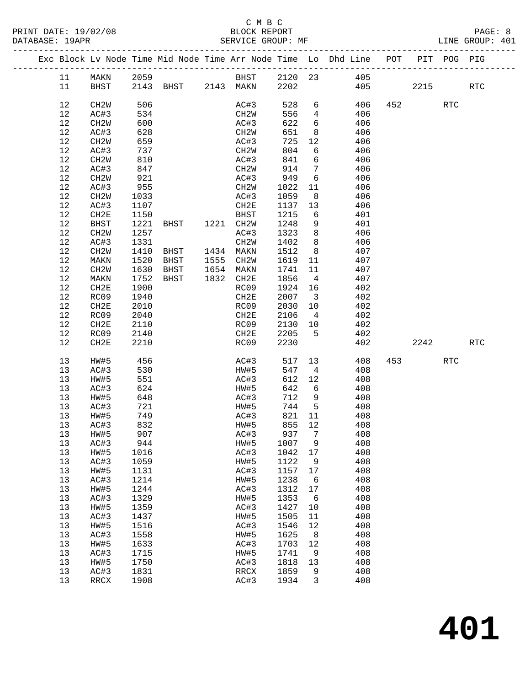### C M B C

-------------------------------------------------------------------------------------------------

| PRINT DATE: 19/02/08 | BLOCK REPORT      | PAGE: 8         |  |
|----------------------|-------------------|-----------------|--|
| DATABASE: 19APR      | SERVICE GROUP: MF | LINE GROUP: 401 |  |

|      |                   |      |             |      |                   |         |                 | Exc Block Lv Node Time Mid Node Time Arr Node Time Lo Dhd Line | POT | PIT  | POG PIG    |                      |  |
|------|-------------------|------|-------------|------|-------------------|---------|-----------------|----------------------------------------------------------------|-----|------|------------|----------------------|--|
| 11   | MAKN              | 2059 |             |      | BHST              | 2120 23 |                 | 405                                                            |     |      |            |                      |  |
| 11   | BHST              |      | 2143 BHST   |      | 2143 MAKN         | 2202    |                 | 405                                                            |     | 2215 |            | RTC                  |  |
| 12   | CH <sub>2</sub> W | 506  |             |      | AC#3              | 528     | 6               | 406                                                            | 452 |      | <b>RTC</b> |                      |  |
| 12   | AC#3              | 534  |             |      | CH2W              | 556     | 4               | 406                                                            |     |      |            |                      |  |
| 12   | CH2W              | 600  |             |      | AC#3              | 622     | 6               | 406                                                            |     |      |            |                      |  |
| 12   | AC#3              | 628  |             |      | CH2W              | 651     | 8               | 406                                                            |     |      |            |                      |  |
| 12   | CH <sub>2</sub> W | 659  |             |      | AC#3              | 725     | $12$            | 406                                                            |     |      |            |                      |  |
| 12   | AC#3              | 737  |             |      | CH2W              | 804     | 6               | 406                                                            |     |      |            |                      |  |
| 12   | CH2W              | 810  |             |      | AC#3              | 841     | 6               | 406                                                            |     |      |            |                      |  |
| 12   | AC#3              | 847  |             |      | CH2W              | 914     | $7\phantom{.0}$ | 406                                                            |     |      |            |                      |  |
| 12   | CH <sub>2</sub> W | 921  |             |      | AC#3              | 949     | 6               | 406                                                            |     |      |            |                      |  |
| 12   | AC#3              | 955  |             |      | CH2W              | 1022    | 11              | 406                                                            |     |      |            |                      |  |
| 12   | CH2W              | 1033 |             |      | AC#3              | 1059    | 8               | 406                                                            |     |      |            |                      |  |
| 12   | AC#3              | 1107 |             |      | CH2E              | 1137    | 13              | 406                                                            |     |      |            |                      |  |
| 12   | CH2E              | 1150 |             |      | BHST              | 1215    | 6               | 401                                                            |     |      |            |                      |  |
| 12   | <b>BHST</b>       | 1221 | BHST        | 1221 | CH2W              | 1248    | 9               | 401                                                            |     |      |            |                      |  |
| $12$ | CH2W              | 1257 |             |      | AC#3              | 1323    | 8               | 406                                                            |     |      |            |                      |  |
| 12   | AC#3              | 1331 |             |      | CH <sub>2</sub> M | 1402    | 8               | 406                                                            |     |      |            |                      |  |
| 12   | CH <sub>2</sub> W | 1410 | BHST        |      | 1434 MAKN         | 1512    | 8               | 407                                                            |     |      |            |                      |  |
| 12   | MAKN              | 1520 | <b>BHST</b> | 1555 | CH <sub>2</sub> W | 1619    | 11              | 407                                                            |     |      |            |                      |  |
| $12$ | CH2W              | 1630 | BHST        | 1654 | MAKN              | 1741    | 11              | 407                                                            |     |      |            |                      |  |
| 12   | MAKN              | 1752 | BHST        | 1832 | CH2E              | 1856    | 4               | 407                                                            |     |      |            |                      |  |
| 12   | CH2E              | 1900 |             |      | RC09              | 1924    | 16              | 402                                                            |     |      |            |                      |  |
| 12   | RC09              | 1940 |             |      | CH2E              | 2007    | 3               | 402                                                            |     |      |            |                      |  |
| 12   | CH2E              | 2010 |             |      | RC09              | 2030    | 10              | 402                                                            |     |      |            |                      |  |
| 12   | RC09              | 2040 |             |      | CH2E              | 2106    | 4               | 402                                                            |     |      |            |                      |  |
| 12   | CH2E              | 2110 |             |      | RC09              | 2130    | 10              | 402                                                            |     |      |            |                      |  |
| 12   | RC09              | 2140 |             |      | CH2E              | 2205    | 5               | 402                                                            |     |      |            |                      |  |
| 12   | CH2E              | 2210 |             |      | RC09              | 2230    |                 | 402                                                            |     | 2242 |            | $\operatorname{RTC}$ |  |
| 13   | HW#5              | 456  |             |      | AC#3              | 517     | 13              | 408                                                            | 453 |      | <b>RTC</b> |                      |  |
| 13   | AC#3              | 530  |             |      | HW#5              | 547     | 4               | 408                                                            |     |      |            |                      |  |
| 13   | HW#5              | 551  |             |      | AC#3              | 612     | 12              | 408                                                            |     |      |            |                      |  |
| 13   | AC#3              | 624  |             |      | HW#5              | 642     | 6               | 408                                                            |     |      |            |                      |  |
| 13   | HW#5              | 648  |             |      | AC#3              | 712     | 9               | 408                                                            |     |      |            |                      |  |
| 13   | AC#3              | 721  |             |      | HW#5              | 744     | 5               | 408                                                            |     |      |            |                      |  |
| 13   | HW#5              | 749  |             |      | AC#3              | 821     | 11              | 408                                                            |     |      |            |                      |  |
| 13   | AC#3              | 832  |             |      | HW#5              | 855     | 12              | 408                                                            |     |      |            |                      |  |
| 13   | HW#5              | 907  |             |      | AC#3              | 937     | $7\phantom{.0}$ | 408                                                            |     |      |            |                      |  |
| 13   | AC#3              | 944  |             |      | HW#5              | 1007    | 9               | 408                                                            |     |      |            |                      |  |
| 13   | HW#5              | 1016 |             |      | AC#3              | 1042    | 17              | 408                                                            |     |      |            |                      |  |
| 13   | AC#3              | 1059 |             |      | HW#5              | 1122    | 9               | 408                                                            |     |      |            |                      |  |
| 13   | HW#5              | 1131 |             |      | AC#3              | 1157    | 17              | 408                                                            |     |      |            |                      |  |
| 13   | AC#3              | 1214 |             |      | HW#5              | 1238    | 6               | 408                                                            |     |      |            |                      |  |
| 13   | HW#5              | 1244 |             |      | AC#3              | 1312    | 17              | 408                                                            |     |      |            |                      |  |
| 13   | AC#3              | 1329 |             |      | HW#5              | 1353    | 6               | 408                                                            |     |      |            |                      |  |
| 13   | HW#5              | 1359 |             |      | AC#3              | 1427    | 10              | 408                                                            |     |      |            |                      |  |
| 13   | AC#3              | 1437 |             |      | HW#5              | 1505    | 11              | 408                                                            |     |      |            |                      |  |
| 13   | HW#5              | 1516 |             |      | AC#3              | 1546    | 12              | 408                                                            |     |      |            |                      |  |

 13 AC#3 1558 HW#5 1625 8 408 13 HW#5 1633 AC#3 1703 12 408 13 AC#3 1715 HW#5 1741 9 408 13 HW#5 1750 AC#3 1818 13 408 13 AC#3 1831 RRCX 1859 9 408 13 RRCX 1908 AC#3 1934 3 408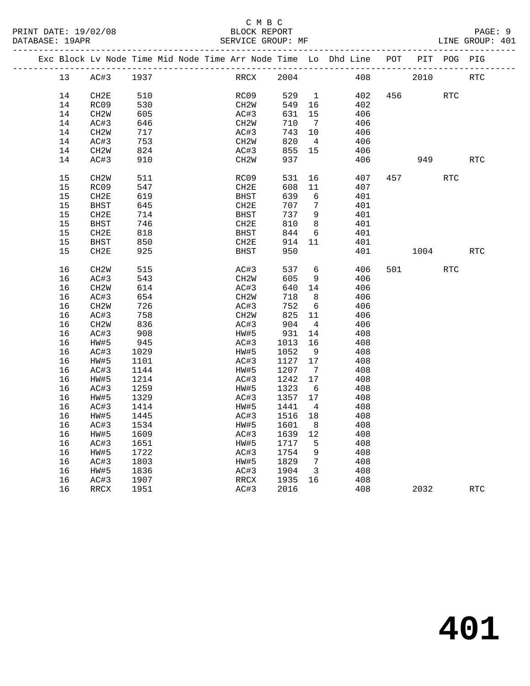|  |    | Exc Block Lv Node Time Mid Node Time Arr Node Time Lo Dhd Line POT |      |  |                   |         |                         |     |     |      | PIT POG PIG |                      |
|--|----|--------------------------------------------------------------------|------|--|-------------------|---------|-------------------------|-----|-----|------|-------------|----------------------|
|  | 13 | AC#3                                                               | 1937 |  | RRCX              | 2004    |                         | 408 |     | 2010 |             | <b>RTC</b>           |
|  | 14 | CH <sub>2E</sub>                                                   | 510  |  | RC09              | 529     | $\overline{1}$          | 402 | 456 |      | <b>RTC</b>  |                      |
|  | 14 | RC09                                                               | 530  |  | CH2W              | 549     | 16                      | 402 |     |      |             |                      |
|  | 14 | CH <sub>2</sub> W                                                  | 605  |  | AC#3              | 631     | 15                      | 406 |     |      |             |                      |
|  | 14 | AC#3                                                               | 646  |  | CH <sub>2</sub> W | 710     | $\overline{7}$          | 406 |     |      |             |                      |
|  | 14 | CH <sub>2</sub> W                                                  | 717  |  | AC#3              | 743     | 10                      | 406 |     |      |             |                      |
|  | 14 | AC#3                                                               | 753  |  | CH <sub>2</sub> M | 820     | $\overline{4}$          | 406 |     |      |             |                      |
|  | 14 | CH <sub>2</sub> W                                                  | 824  |  | AC#3              | 855     | 15                      | 406 |     |      |             |                      |
|  | 14 | AC#3                                                               | 910  |  | CH <sub>2</sub> M | 937     |                         | 406 |     | 949  |             | $\operatorname{RTC}$ |
|  |    |                                                                    |      |  |                   |         |                         |     |     |      |             |                      |
|  | 15 | CH <sub>2</sub> M                                                  | 511  |  | RC09              | 531     | 16                      | 407 | 457 |      | <b>RTC</b>  |                      |
|  | 15 | RC09                                                               | 547  |  | CH2E              | 608     | 11                      | 407 |     |      |             |                      |
|  | 15 | CH2E                                                               | 619  |  | <b>BHST</b>       | 639     | $6\overline{6}$         | 401 |     |      |             |                      |
|  | 15 | <b>BHST</b>                                                        | 645  |  | CH <sub>2E</sub>  | 707     | 7                       | 401 |     |      |             |                      |
|  | 15 | CH <sub>2E</sub>                                                   | 714  |  | <b>BHST</b>       | 737     | 9                       | 401 |     |      |             |                      |
|  | 15 | <b>BHST</b>                                                        | 746  |  | CH2E              | 810     | 8                       | 401 |     |      |             |                      |
|  | 15 | CH2E                                                               | 818  |  | <b>BHST</b>       | 844     | 6                       | 401 |     |      |             |                      |
|  | 15 | <b>BHST</b>                                                        | 850  |  | CH2E              | 914     | 11                      | 401 |     |      |             |                      |
|  | 15 | CH <sub>2E</sub>                                                   | 925  |  | <b>BHST</b>       | 950     |                         | 401 |     | 1004 |             | RTC                  |
|  |    |                                                                    |      |  |                   |         |                         |     |     |      |             |                      |
|  | 16 | CH <sub>2</sub> W                                                  | 515  |  | AC#3              | 537     | 6                       | 406 | 501 |      | <b>RTC</b>  |                      |
|  | 16 | AC#3                                                               | 543  |  | CH <sub>2</sub> W | 605     | 9                       | 406 |     |      |             |                      |
|  | 16 | CH <sub>2</sub> W                                                  | 614  |  | AC#3              | 640     | 14                      | 406 |     |      |             |                      |
|  | 16 | AC#3                                                               | 654  |  | CH <sub>2</sub> M | 718     | 8 <sup>8</sup>          | 406 |     |      |             |                      |
|  | 16 | CH <sub>2</sub> W                                                  | 726  |  | AC#3              | 752     | $6\overline{6}$         | 406 |     |      |             |                      |
|  | 16 | AC#3                                                               | 758  |  | CH <sub>2</sub> M | 825     | 11                      | 406 |     |      |             |                      |
|  | 16 | CH <sub>2</sub> W                                                  | 836  |  | AC#3              | 904     | $\overline{4}$          | 406 |     |      |             |                      |
|  | 16 | AC#3                                                               | 908  |  | HW#5              | 931     | 14                      | 408 |     |      |             |                      |
|  | 16 | HW#5                                                               | 945  |  | AC#3              | 1013    | 16                      | 408 |     |      |             |                      |
|  | 16 | AC#3                                                               | 1029 |  | HW#5              | 1052    | 9                       | 408 |     |      |             |                      |
|  | 16 | HW#5                                                               | 1101 |  | AC#3              | 1127 17 |                         | 408 |     |      |             |                      |
|  | 16 | AC#3                                                               | 1144 |  | HW#5              | 1207    | $7\overline{ }$         | 408 |     |      |             |                      |
|  | 16 | HW#5                                                               | 1214 |  | AC#3              | 1242    | 17                      | 408 |     |      |             |                      |
|  | 16 | AC#3                                                               | 1259 |  | HW#5              | 1323    | 6                       | 408 |     |      |             |                      |
|  | 16 | HW#5                                                               | 1329 |  | AC#3              | 1357    | 17                      | 408 |     |      |             |                      |
|  | 16 | AC#3                                                               | 1414 |  | HW#5              | 1441    | $\overline{4}$          | 408 |     |      |             |                      |
|  | 16 | HW#5                                                               | 1445 |  | AC#3              | 1516    | 18                      | 408 |     |      |             |                      |
|  | 16 | AC#3                                                               | 1534 |  | HW#5              | 1601    | 8                       | 408 |     |      |             |                      |
|  | 16 | HW#5                                                               | 1609 |  | AC#3              | 1639    | 12                      | 408 |     |      |             |                      |
|  | 16 | AC#3                                                               | 1651 |  | HW#5              | 1717    | 5                       | 408 |     |      |             |                      |
|  | 16 | HW#5                                                               | 1722 |  | AC#3              | 1754    | 9                       | 408 |     |      |             |                      |
|  | 16 | AC#3                                                               | 1803 |  | HW#5              | 1829    | $\overline{7}$          | 408 |     |      |             |                      |
|  | 16 | HW#5                                                               | 1836 |  | AC#3              | 1904    | $\overline{\mathbf{3}}$ | 408 |     |      |             |                      |
|  | 16 | AC#3                                                               | 1907 |  | RRCX              | 1935    | 16                      | 408 |     |      |             |                      |
|  | 16 | RRCX                                                               | 1951 |  | AC#3              | 2016    |                         | 408 |     | 2032 |             | <b>RTC</b>           |
|  |    |                                                                    |      |  |                   |         |                         |     |     |      |             |                      |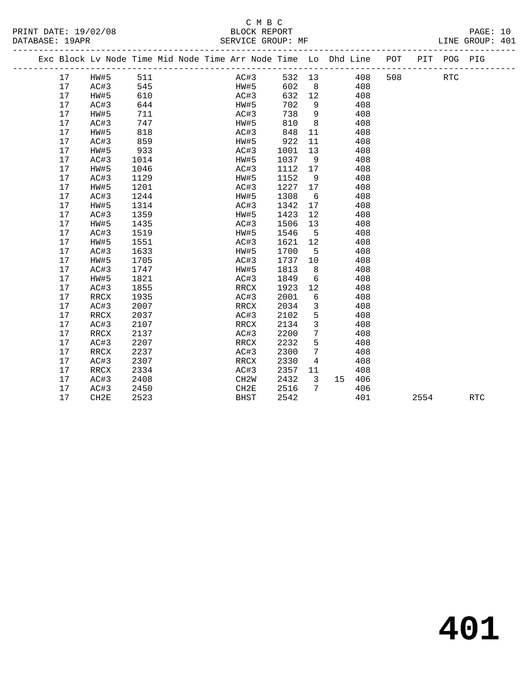| PRINT DATE: 19/02/08 | BLOCK REPORT      | PAGE: 10        |  |
|----------------------|-------------------|-----------------|--|
| DATABASE: 19APR      | SERVICE GROUP: MF | LINE GROUP: 401 |  |

|    |      |      |  | Exc Block Lv Node Time Mid Node Time Arr Node Time Lo Dhd Line POT |      |                 |                 |     |     |      | PIT POG PIG |            |
|----|------|------|--|--------------------------------------------------------------------|------|-----------------|-----------------|-----|-----|------|-------------|------------|
| 17 | HW#5 | 511  |  | AC#3                                                               |      |                 | 532 13          | 408 | 508 |      | <b>RTC</b>  |            |
| 17 | AC#3 | 545  |  | <b>HW#5</b>                                                        | 602  |                 | $8\overline{)}$ | 408 |     |      |             |            |
| 17 | HW#5 | 610  |  | AC#3                                                               | 632  | 12              |                 | 408 |     |      |             |            |
| 17 | AC#3 | 644  |  | HW#5                                                               | 702  | 9               |                 | 408 |     |      |             |            |
| 17 | HW#5 | 711  |  | AC#3                                                               | 738  | 9               |                 | 408 |     |      |             |            |
| 17 | AC#3 | 747  |  | HW#5                                                               | 810  | 8               |                 | 408 |     |      |             |            |
| 17 | HW#5 | 818  |  | AC#3                                                               | 848  | 11              |                 | 408 |     |      |             |            |
| 17 | AC#3 | 859  |  | HW#5                                                               | 922  | 11              |                 | 408 |     |      |             |            |
| 17 | HW#5 | 933  |  | AC#3                                                               | 1001 | 13              |                 | 408 |     |      |             |            |
| 17 | AC#3 | 1014 |  | HW#5                                                               | 1037 | 9               |                 | 408 |     |      |             |            |
| 17 | HW#5 | 1046 |  | AC#3                                                               | 1112 | 17              |                 | 408 |     |      |             |            |
| 17 | AC#3 | 1129 |  | HW#5                                                               | 1152 | 9               |                 | 408 |     |      |             |            |
| 17 | HW#5 | 1201 |  | AC#3                                                               | 1227 | 17              |                 | 408 |     |      |             |            |
| 17 | AC#3 | 1244 |  | HW#5                                                               | 1308 | 6               |                 | 408 |     |      |             |            |
| 17 | HW#5 | 1314 |  | AC#3                                                               | 1342 | 17              |                 | 408 |     |      |             |            |
| 17 | AC#3 | 1359 |  | HW#5                                                               | 1423 | 12              |                 | 408 |     |      |             |            |
| 17 | HW#5 | 1435 |  | AC#3                                                               | 1506 | 13              |                 | 408 |     |      |             |            |
| 17 | AC#3 | 1519 |  | HW#5                                                               | 1546 | 5               |                 | 408 |     |      |             |            |
| 17 | HW#5 | 1551 |  | AC#3                                                               | 1621 | 12              |                 | 408 |     |      |             |            |
| 17 | AC#3 | 1633 |  | HW#5                                                               | 1700 | 5               |                 | 408 |     |      |             |            |
| 17 | HW#5 | 1705 |  | AC#3                                                               | 1737 | 10 <sup>°</sup> |                 | 408 |     |      |             |            |
| 17 | AC#3 | 1747 |  | HW#5                                                               | 1813 | 8               |                 | 408 |     |      |             |            |
| 17 | HW#5 | 1821 |  | AC#3                                                               | 1849 | 6               |                 | 408 |     |      |             |            |
| 17 | AC#3 | 1855 |  | RRCX                                                               | 1923 | 12              |                 | 408 |     |      |             |            |
| 17 | RRCX | 1935 |  | AC#3                                                               | 2001 | 6               |                 | 408 |     |      |             |            |
| 17 | AC#3 | 2007 |  | RRCX                                                               | 2034 | $\overline{3}$  |                 | 408 |     |      |             |            |
| 17 | RRCX | 2037 |  | AC#3                                                               | 2102 | 5               |                 | 408 |     |      |             |            |
| 17 | AC#3 | 2107 |  | RRCX                                                               | 2134 | $\mathbf{3}$    |                 | 408 |     |      |             |            |
| 17 | RRCX | 2137 |  | AC#3                                                               | 2200 | $7\phantom{.0}$ |                 | 408 |     |      |             |            |
| 17 | AC#3 | 2207 |  | RRCX                                                               | 2232 | 5               |                 | 408 |     |      |             |            |
| 17 | RRCX | 2237 |  | AC#3                                                               | 2300 | $7\overline{ }$ |                 | 408 |     |      |             |            |
| 17 | AC#3 | 2307 |  | RRCX                                                               | 2330 | $4\overline{ }$ |                 | 408 |     |      |             |            |
| 17 | RRCX | 2334 |  | AC#3                                                               | 2357 | 11              |                 | 408 |     |      |             |            |
| 17 | AC#3 | 2408 |  | CH <sub>2</sub> W                                                  | 2432 | $\mathbf{3}$    | 15              | 406 |     |      |             |            |
| 17 | AC#3 | 2450 |  | CH2E                                                               | 2516 | $7\overline{ }$ |                 | 406 |     |      |             |            |
| 17 | CH2E | 2523 |  | <b>BHST</b>                                                        | 2542 |                 |                 | 401 |     | 2554 |             | <b>RTC</b> |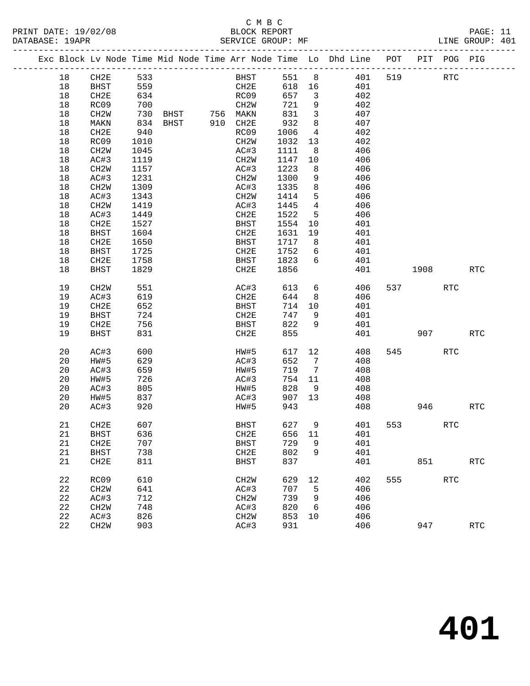PRINT DATE: 19/02/08 BLOCK REPORT BATABASE: 19APR BEST SERVICE GROUP: MF

## C M B C<br>BLOCK REPORT

PAGE: 11<br>LINE GROUP: 401

|  |          | Exc Block Lv Node Time Mid Node Time Arr Node Time Lo Dhd Line POT PIT POG PIG |                                                                                        |  |                     |      |            |                         |            |     |                          |            |                      |
|--|----------|--------------------------------------------------------------------------------|----------------------------------------------------------------------------------------|--|---------------------|------|------------|-------------------------|------------|-----|--------------------------|------------|----------------------|
|  | 18       | CH2E                                                                           | 533                                                                                    |  |                     | BHST | 551        | 8 <sup>8</sup>          | 401        | 519 |                          | <b>RTC</b> |                      |
|  | 18       | BHST                                                                           | 559                                                                                    |  |                     | CH2E | 618 16     |                         | 401        |     |                          |            |                      |
|  | 18       | CH2E                                                                           | 634                                                                                    |  | RC09                |      | 657        | $\overline{\mathbf{3}}$ | 402        |     |                          |            |                      |
|  | 18       | RC09                                                                           | 700                                                                                    |  | CH2W                |      | 721        | 9                       | 402        |     |                          |            |                      |
|  | 18       | CH2W                                                                           | 730                                                                                    |  |                     |      | 831        | $\overline{\mathbf{3}}$ | 407        |     |                          |            |                      |
|  | 18       | MAKN                                                                           | 834                                                                                    |  |                     |      | 932        | 8                       | 407        |     |                          |            |                      |
|  | 18       | CH2E                                                                           | 940                                                                                    |  | RC09                |      | 1006       | $\overline{4}$          | 402        |     |                          |            |                      |
|  | 18       | RC09                                                                           | 1010                                                                                   |  | CH2W                |      | 1032       | 13                      | 402        |     |                          |            |                      |
|  | 18       | CH2W                                                                           | 1045                                                                                   |  | AC#3                |      | 1111       | 8 <sup>8</sup>          | 406        |     |                          |            |                      |
|  | 18       | AC#3                                                                           | 1119                                                                                   |  | CH2W                |      | 1147       | 10                      | 406        |     |                          |            |                      |
|  | 18       | CH2W                                                                           | 1157                                                                                   |  | AC#3                |      | 1223       | 8                       | 406        |     |                          |            |                      |
|  | 18       | AC#3                                                                           | 1231                                                                                   |  | CH2W                |      | 1300       | 9                       | 406        |     |                          |            |                      |
|  | 18       | CH <sub>2</sub> M                                                              | 1309                                                                                   |  | AC#3                |      | 1335       | 8                       | 406        |     |                          |            |                      |
|  | 18       | AC#3                                                                           | 1343                                                                                   |  | CH2W                |      | 1414       | 5                       | 406        |     |                          |            |                      |
|  | 18       | CH2W                                                                           | 1419                                                                                   |  | AC#3                |      | 1445       | $\overline{4}$          | 406        |     |                          |            |                      |
|  | 18       | AC#3                                                                           | 1449                                                                                   |  | CH2E                |      | 1522       | 5                       | 406        |     |                          |            |                      |
|  | 18       | CH2E                                                                           | 1527                                                                                   |  | BHST                |      | 1554       | 10                      | 401        |     |                          |            |                      |
|  | 18       | BHST                                                                           | 1604                                                                                   |  | CH2E                |      | 1631       | 19                      | 401        |     |                          |            |                      |
|  | 18       | CH2E                                                                           | 1650                                                                                   |  | BHST                |      | 1717       | 8 <sup>8</sup>          | 401        |     |                          |            |                      |
|  | 18       | BHST                                                                           | 1725                                                                                   |  | CH2E                |      | 1752       | 6                       | 401        |     |                          |            |                      |
|  | 18       | CH2E                                                                           | 1758                                                                                   |  | BHST                |      | 1823       | 6                       | 401        |     |                          |            |                      |
|  | 18       | <b>BHST</b>                                                                    | 1829                                                                                   |  | CH2E                |      | 1856       |                         | 401        |     | 1908                     |            | <b>RTC</b>           |
|  | 19       | CH <sub>2</sub> W                                                              | 551                                                                                    |  | AC#3                |      | 613        | 6                       | 406        |     | 537 — 100                | <b>RTC</b> |                      |
|  | 19       | AC#3                                                                           | 619                                                                                    |  | CH2E                |      | 644        | 8 <sup>8</sup>          | 406        |     |                          |            |                      |
|  | 19       | CH2E                                                                           | 652                                                                                    |  | <b>BHST</b>         |      | 714        | 10                      | 401        |     |                          |            |                      |
|  | 19       | BHST                                                                           | 724                                                                                    |  | CH2E                |      | 747        | 9                       | 401        |     |                          |            |                      |
|  | 19       | CH2E                                                                           | 756                                                                                    |  | BHST                |      | 822        | 9                       | 401        |     |                          |            |                      |
|  | 19       | BHST                                                                           | 831                                                                                    |  | CH2E                |      | 855        |                         | 401        |     | 907                      |            | <b>RTC</b>           |
|  | 20       | AC#3                                                                           | 600                                                                                    |  | HW#5                |      | 617        | 12                      | 408        | 545 |                          | <b>RTC</b> |                      |
|  | 20       | HW#5                                                                           | 629                                                                                    |  | AC#3                |      | 652        | $\overline{7}$          | 408        |     |                          |            |                      |
|  | 20       | AC#3                                                                           | 659                                                                                    |  | HW#5                |      | 719        | $7\overline{ }$         | 408        |     |                          |            |                      |
|  | 20       | HW#5                                                                           | 726                                                                                    |  | AC#3                |      | 754        | 11                      | 408        |     |                          |            |                      |
|  | 20       | AC#3                                                                           | $\begin{array}{c} \begin{array}{c} 0.0000 \\ 0.0000 \\ 0.0000 \end{array} \end{array}$ |  | HW#5                |      | 828        | 9                       | 408        |     |                          |            |                      |
|  | 20       | HW#5                                                                           | 837                                                                                    |  | AC#3                |      | 907        | 13                      | 408        |     |                          |            |                      |
|  | 20       | AC#3                                                                           | 920                                                                                    |  | HW#5                |      | 943        |                         | 408        |     | 946                      |            | <b>RTC</b>           |
|  | 21       | CH2E                                                                           | 607                                                                                    |  | BHST                |      | 627 9      |                         | 401        |     | 553 and $\overline{553}$ | <b>RTC</b> |                      |
|  |          |                                                                                |                                                                                        |  |                     |      |            |                         |            |     |                          |            |                      |
|  | 21       | BHST                                                                           | 636<br>707                                                                             |  | CH2E                |      | 656 11     | 9                       | 401<br>401 |     |                          |            |                      |
|  | 21<br>21 | CH <sub>2E</sub><br><b>BHST</b>                                                | 738                                                                                    |  | <b>BHST</b><br>CH2E |      | 729<br>802 | 9                       | 401        |     |                          |            |                      |
|  | 21       | CH2E                                                                           | 811                                                                                    |  | BHST                |      | 837        |                         | 401        |     | 851                      |            | $\operatorname{RTC}$ |
|  |          |                                                                                |                                                                                        |  |                     |      |            |                         |            |     |                          |            |                      |
|  | 22       | RC09                                                                           | 610                                                                                    |  | CH <sub>2</sub> M   |      | 629        | 12                      | 402        | 555 |                          | <b>RTC</b> |                      |
|  | 22       | CH <sub>2</sub> W                                                              | 641                                                                                    |  | AC#3                |      | 707        | 5                       | 406        |     |                          |            |                      |
|  | 22       | AC#3                                                                           | 712                                                                                    |  | CH2W                |      | 739        | 9                       | 406        |     |                          |            |                      |
|  | 22       | CH <sub>2</sub> W                                                              | 748                                                                                    |  | AC#3                |      | 820        | 6                       | 406        |     |                          |            |                      |
|  | 22       | AC#3                                                                           | 826                                                                                    |  | CH2W                |      | 853        | 10                      | 406        |     |                          |            |                      |
|  | 22       | CH <sub>2</sub> W                                                              | 903                                                                                    |  | AC#3                |      | 931        |                         | 406        |     | 947                      |            | $\operatorname{RTC}$ |
|  |          |                                                                                |                                                                                        |  |                     |      |            |                         |            |     |                          |            |                      |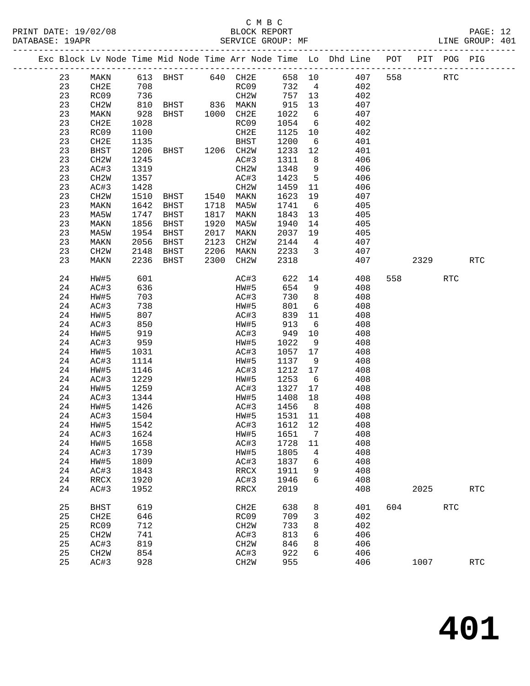| DATABASE: 19APR |                   |              | SERVICE GROUP: MF |      |                   |             |                         |                                                                                |     |        |            | LINE GROUP: 401 |  |
|-----------------|-------------------|--------------|-------------------|------|-------------------|-------------|-------------------------|--------------------------------------------------------------------------------|-----|--------|------------|-----------------|--|
|                 |                   |              |                   |      |                   |             |                         | Exc Block Lv Node Time Mid Node Time Arr Node Time Lo Dhd Line POT PIT POG PIG |     |        |            |                 |  |
| 23              |                   |              |                   |      |                   |             |                         | MAKN 613 BHST 640 CH2E 658 10 407 558 RTC                                      |     |        |            |                 |  |
| 23              | CH2E              | 708          |                   |      |                   |             |                         | RC09 732 4 402                                                                 |     |        |            |                 |  |
| 23              | RC09              |              |                   |      | CH2W 757 13       |             |                         | 402                                                                            |     |        |            |                 |  |
| 23              | CH2W              |              |                   |      |                   |             | 13                      | 407                                                                            |     |        |            |                 |  |
| 23              | MAKN              |              |                   |      |                   | 915<br>1022 | $6\overline{6}$         | 407                                                                            |     |        |            |                 |  |
| 23              | CH2E              | 1028         |                   |      | RC09              | 1054        | 6                       | 402                                                                            |     |        |            |                 |  |
| 23              | RC09              | 1100         |                   |      | CH2E              | 1125        | 10                      | 402                                                                            |     |        |            |                 |  |
| 23              |                   |              |                   |      |                   |             |                         | 401                                                                            |     |        |            |                 |  |
|                 | CH2E              | 1135         |                   |      | BHST              | 1200        | $6\overline{6}$         |                                                                                |     |        |            |                 |  |
| 23              | BHST              | 1206         |                   |      |                   | 1233        | 12                      | 401                                                                            |     |        |            |                 |  |
| 23              | CH2W              | 1245         |                   |      | AC#3              | 1311        | 8 <sup>8</sup>          | 406                                                                            |     |        |            |                 |  |
| 23              | AC#3              | 1319         |                   |      | CH2W              | 1348        | 9                       | 406                                                                            |     |        |            |                 |  |
| 23              | CH2W              | 1357         |                   |      | AC#3              | 1423        | $5^{\circ}$             | 406                                                                            |     |        |            |                 |  |
| 23              | AC#3              | 1428         |                   |      | CH2W              | 1459        | 11                      | 406                                                                            |     |        |            |                 |  |
| 23              | CH2W              | 1510         | BHST 1540 MAKN    |      |                   | 1623        | 19                      | 407                                                                            |     |        |            |                 |  |
| 23              | MAKN              | 1642         | BHST              |      | 1718 MA5W         | 1741        | 6                       | 405                                                                            |     |        |            |                 |  |
| 23              | MA5W              | 1747         | BHST              |      | 1817 MAKN         | 1843        | 13                      | 405                                                                            |     |        |            |                 |  |
| 23              | MAKN              | 1856         | BHST              |      | 1920 MA5W         | 1940        | 14                      | 405                                                                            |     |        |            |                 |  |
| 23              | MA5W              | 1954         | BHST              | 2017 | MAKN              | 2037        |                         | 19<br>405                                                                      |     |        |            |                 |  |
| 23              | MAKN              | 2056         | BHST              | 2123 | CH2W              | 2144        | $\overline{4}$          | 407                                                                            |     |        |            |                 |  |
| 23              | CH <sub>2</sub> W | 2148         | BHST              |      | 2206 MAKN         | 2233        | $\overline{\mathbf{3}}$ | 407                                                                            |     |        |            |                 |  |
| 23              | MAKN              | 2236         | BHST              |      | 2300 CH2W         | 2318        |                         | 407                                                                            |     |        | 2329       | <b>RTC</b>      |  |
| 24              | HW#5              | 601          |                   |      | AC#3              | 622         |                         | 14 and $\overline{a}$<br>408                                                   |     | 558 30 | <b>RTC</b> |                 |  |
| 24              | AC#3              | 636          |                   |      | HW#5              | 654         | 9                       | 408                                                                            |     |        |            |                 |  |
| 24              | HW#5              |              |                   |      | AC#3              | 730         | 8 <sup>8</sup>          | 408                                                                            |     |        |            |                 |  |
| 24              | AC#3              | 703<br>738   |                   |      | HW#5              | 801         | 6                       | 408                                                                            |     |        |            |                 |  |
| 24              | HW#5              | 807          |                   |      | AC#3              | 839         | 11                      | 408                                                                            |     |        |            |                 |  |
| 24              | AC#3              | 850          |                   |      | HW#5              | 913         | 6                       | 408                                                                            |     |        |            |                 |  |
| 24              | HW#5              |              |                   |      | AC#3              | 949         | 10                      | 408                                                                            |     |        |            |                 |  |
| 24              | AC#3              | 919<br>959   |                   |      | HW#5              | 1022        | 9                       | 408                                                                            |     |        |            |                 |  |
| 24              | HW#5              | 1031         |                   |      | AC#3              | 1057        | 17                      | 408                                                                            |     |        |            |                 |  |
| 24              | AC#3              | 1114         |                   |      | HW#5              | 1137        | 9                       | 408                                                                            |     |        |            |                 |  |
| 24              | HW#5              | 1146         |                   |      | AC#3              | 1212 17     |                         | 408                                                                            |     |        |            |                 |  |
| 24              | AC#3              | 1229         |                   |      | HW#5              | 1253        | 6                       | 408                                                                            |     |        |            |                 |  |
| 24              | HW#5              | 1259         |                   |      | AC#3              | 1327        | 17                      | 408                                                                            |     |        |            |                 |  |
| 24              | AC#3              | 1344         |                   |      | HW#5              | 1408 18     |                         | 408                                                                            |     |        |            |                 |  |
| 24              | HW#5              |              |                   |      | AC#3              | 1456 8      |                         | 408                                                                            |     |        |            |                 |  |
| 24              | AC#3              | 1426<br>1504 |                   |      | HW#5              | $1531$ 11   |                         | 408                                                                            |     |        |            |                 |  |
| 24              | HW#5              | 1542         |                   |      | AC#3 1612 12      |             |                         | 408                                                                            |     |        |            |                 |  |
| 24              | AC#3              | 1624         |                   |      | HW#5              | 1651        | 7                       | 408                                                                            |     |        |            |                 |  |
| 24              | HW#5              | 1658         |                   |      | AC#3              | 1728        |                         | 408                                                                            |     |        |            |                 |  |
|                 |                   |              |                   |      |                   |             | 11                      |                                                                                |     |        |            |                 |  |
| 24              | AC#3              | 1739         |                   |      | HW#5              | 1805        | 4                       | 408                                                                            |     |        |            |                 |  |
| 24              | HW#5              | 1809         |                   |      | AC#3              | 1837        | 6                       | 408                                                                            |     |        |            |                 |  |
| 24              | AC#3              | 1843         |                   |      | RRCX              | 1911        | 9                       | 408                                                                            |     |        |            |                 |  |
| 24              | $\verb!RRCX!$     | 1920         |                   |      | AC#3              | 1946        | 6                       | 408                                                                            |     |        |            |                 |  |
| 24              | AC#3              | 1952         |                   |      | RRCX              | 2019        |                         | 408                                                                            |     | 2025   |            | <b>RTC</b>      |  |
| 25              | <b>BHST</b>       | 619          |                   |      | CH2E              | 638         | 8                       | 401                                                                            | 604 |        | <b>RTC</b> |                 |  |
| 25              | CH2E              | 646          |                   |      | RC09              | 709         | 3                       | 402                                                                            |     |        |            |                 |  |
| 25              | RC09              | 712          |                   |      | CH2W              | 733         | 8                       | 402                                                                            |     |        |            |                 |  |
| 25              | CH <sub>2</sub> W | 741          |                   |      | AC#3              | 813         | 6                       | 406                                                                            |     |        |            |                 |  |
| 25              | AC#3              | 819          |                   |      | CH <sub>2</sub> W | 846         | 8                       | 406                                                                            |     |        |            |                 |  |
| 25              | CH <sub>2</sub> W | 854          |                   |      | AC#3              | 922         | 6                       | 406                                                                            |     |        |            |                 |  |
| 25              | AC#3              | 928          |                   |      | CH2W              | 955         |                         | 406                                                                            |     | 1007   |            | RTC             |  |
|                 |                   |              |                   |      |                   |             |                         |                                                                                |     |        |            |                 |  |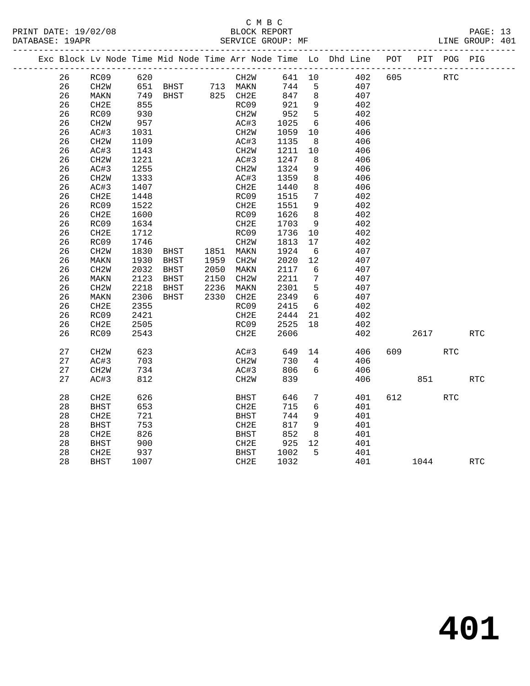### C M B C<br>BLOCK REPORT PRINT DATE: 19/02/08 BLOCK REPORT BATABASE: 19APR BEST SERVICE GROUP: MF

PAGE: 13<br>LINE GROUP: 401

|  |    | Exc Block Lv Node Time Mid Node Time Arr Node Time Lo Dhd Line POT |      |                                                    |                                  |                   |        |                 |     |     |            | PIT POG PIG |            |
|--|----|--------------------------------------------------------------------|------|----------------------------------------------------|----------------------------------|-------------------|--------|-----------------|-----|-----|------------|-------------|------------|
|  | 26 | RC09                                                               | 620  |                                                    |                                  | CH2W              | 641 10 |                 | 402 | 605 | <b>RTC</b> |             |            |
|  | 26 | CH2W                                                               |      | 651 BHST      713  MAKN<br>749  BHST     825  CH2E |                                  |                   | 744    | 5               | 407 |     |            |             |            |
|  | 26 | MAKN                                                               |      |                                                    |                                  |                   | 847    | 8               | 407 |     |            |             |            |
|  | 26 | CH2E                                                               | 855  |                                                    |                                  | RC09              | 921    | 9               | 402 |     |            |             |            |
|  | 26 | RC09                                                               | 930  |                                                    |                                  | CH2W              | 952    | $5^{\circ}$     | 402 |     |            |             |            |
|  | 26 | CH2W                                                               | 957  |                                                    |                                  | AC#3              | 1025   | 6               | 406 |     |            |             |            |
|  | 26 | AC#3                                                               | 1031 |                                                    |                                  | CH2W              | 1059   | 10              | 406 |     |            |             |            |
|  | 26 | CH <sub>2</sub> M                                                  | 1109 |                                                    |                                  | AC#3              | 1135   | 8               | 406 |     |            |             |            |
|  | 26 | AC#3                                                               | 1143 |                                                    |                                  | CH2W              | 1211   | 10              | 406 |     |            |             |            |
|  | 26 | CH <sub>2</sub> W                                                  | 1221 |                                                    |                                  | AC#3              | 1247   | 8               | 406 |     |            |             |            |
|  | 26 | AC#3                                                               | 1255 |                                                    |                                  | CH2W              | 1324   | 9               | 406 |     |            |             |            |
|  | 26 | CH2W                                                               | 1333 |                                                    |                                  | AC#3              | 1359   | 8               | 406 |     |            |             |            |
|  | 26 | AC#3                                                               | 1407 |                                                    |                                  | CH2E              | 1440   | 8               | 406 |     |            |             |            |
|  | 26 | CH2E                                                               | 1448 |                                                    |                                  | RC09              | 1515   | 7               | 402 |     |            |             |            |
|  | 26 | RC09                                                               | 1522 |                                                    |                                  | CH2E              | 1551   | 9               | 402 |     |            |             |            |
|  | 26 | CH2E                                                               | 1600 |                                                    |                                  | RC09              | 1626   | 8               | 402 |     |            |             |            |
|  | 26 | RC09                                                               | 1634 |                                                    |                                  | CH2E              | 1703   | 9               | 402 |     |            |             |            |
|  | 26 | CH <sub>2E</sub>                                                   | 1712 |                                                    |                                  | RC09              | 1736   | 10              | 402 |     |            |             |            |
|  | 26 | RC09                                                               | 1746 |                                                    |                                  | CH <sub>2</sub> W | 1813   | 17              | 402 |     |            |             |            |
|  | 26 | CH <sub>2</sub> M                                                  | 1830 |                                                    | BHST 1851 MAKN<br>BHST 1959 CH2W |                   | 1924   | $6\overline{6}$ | 407 |     |            |             |            |
|  | 26 | MAKN                                                               | 1930 |                                                    |                                  |                   | 2020   | 12              | 407 |     |            |             |            |
|  | 26 | CH <sub>2</sub> W                                                  | 2032 | BHST                                               | 2050                             | MAKN              | 2117   | 6               | 407 |     |            |             |            |
|  | 26 | MAKN                                                               | 2123 | BHST                                               | 2150                             | CH2W              | 2211   | 7               | 407 |     |            |             |            |
|  | 26 | CH <sub>2</sub> W                                                  | 2218 | BHST                                               | 2236                             | MAKN              | 2301   | 5               | 407 |     |            |             |            |
|  | 26 | MAKN                                                               | 2306 | BHST                                               | 2330 CH2E                        |                   | 2349   | $6\overline{6}$ | 407 |     |            |             |            |
|  | 26 | CH2E                                                               | 2355 |                                                    |                                  | RC09              | 2415   | $6\overline{6}$ | 402 |     |            |             |            |
|  | 26 | RC09                                                               | 2421 |                                                    |                                  | CH2E              | 2444   | 21              | 402 |     |            |             |            |
|  | 26 | CH2E                                                               | 2505 |                                                    |                                  | RC09              | 2525   | 18              | 402 |     |            |             |            |
|  | 26 | RC09                                                               | 2543 |                                                    |                                  | CH2E              | 2606   |                 | 402 |     | 2617       |             | RTC        |
|  | 27 | CH <sub>2</sub> W                                                  | 623  |                                                    |                                  | AC#3              | 649    | 14              | 406 | 609 |            | RTC         |            |
|  | 27 | AC#3                                                               | 703  |                                                    |                                  | CH2W              | 730    | $\overline{4}$  | 406 |     |            |             |            |
|  | 27 | CH2W                                                               | 734  |                                                    |                                  | AC#3              | 806    | 6               | 406 |     |            |             |            |
|  | 27 | AC#3                                                               | 812  |                                                    |                                  | CH2W              | 839    |                 | 406 |     | 851        |             | <b>RTC</b> |
|  | 28 | CH2E                                                               | 626  |                                                    |                                  | BHST              | 646    | $7\phantom{.0}$ | 401 | 612 |            | RTC         |            |
|  | 28 | BHST                                                               | 653  |                                                    |                                  | CH2E              | 715    | $6\overline{6}$ | 401 |     |            |             |            |
|  | 28 | CH2E                                                               | 721  |                                                    |                                  | <b>BHST</b>       | 744    | 9               | 401 |     |            |             |            |
|  | 28 | BHST                                                               | 753  |                                                    |                                  | CH2E              | 817    | 9               | 401 |     |            |             |            |
|  | 28 | CH2E                                                               | 826  |                                                    |                                  | <b>BHST</b>       | 852    | 8               | 401 |     |            |             |            |
|  | 28 | BHST                                                               | 900  |                                                    |                                  | CH2E              | 925    | 12              | 401 |     |            |             |            |
|  | 28 | CH2E                                                               | 937  |                                                    |                                  | <b>BHST</b>       | 1002   | $5^{\circ}$     | 401 |     |            |             |            |
|  | 28 | BHST                                                               | 1007 |                                                    |                                  | CH2E              | 1032   |                 | 401 |     | 1044       |             | <b>RTC</b> |
|  |    |                                                                    |      |                                                    |                                  |                   |        |                 |     |     |            |             |            |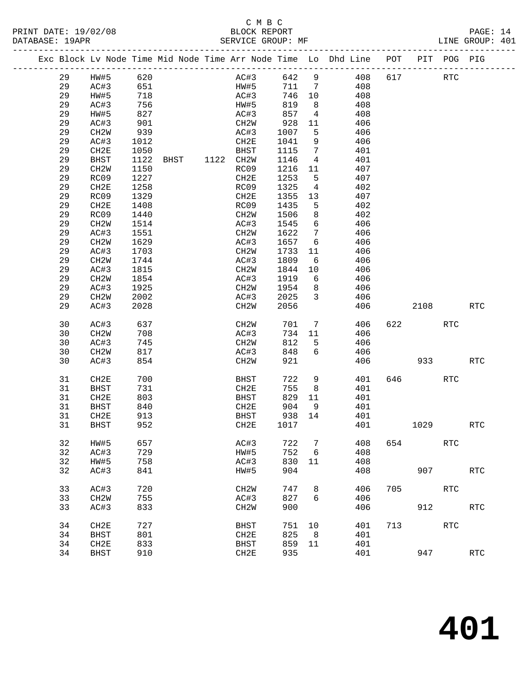| DATABASE: 19APR |          |                   |                                                                                                       | SERVICE GROUP: MF |                   |              |                         | -----------------------                                                        |     |            |            | LINE GROUP: 401 |  |
|-----------------|----------|-------------------|-------------------------------------------------------------------------------------------------------|-------------------|-------------------|--------------|-------------------------|--------------------------------------------------------------------------------|-----|------------|------------|-----------------|--|
|                 |          |                   |                                                                                                       |                   |                   |              |                         | Exc Block Lv Node Time Mid Node Time Arr Node Time Lo Dhd Line POT PIT POG PIG |     |            |            |                 |  |
|                 | 29       | HW#5 620          |                                                                                                       |                   | AC#3 642 9        |              |                         | 408                                                                            | 617 | <b>RTC</b> |            |                 |  |
|                 | 29       | AC#3              | 651                                                                                                   |                   | <b>HW#5</b>       |              |                         | 711 7<br>408                                                                   |     |            |            |                 |  |
|                 | 29       | HW#5              | 718                                                                                                   |                   | AC#3              | 746 10       |                         | 408                                                                            |     |            |            |                 |  |
|                 | 29       | AC#3              | $\begin{array}{c} \n \overline{\phantom{0}} & 2 \\  827 \\  \overline{\phantom{0}} & 1\n \end{array}$ |                   | HW#5              | 819          | 8 <sup>8</sup>          | 408                                                                            |     |            |            |                 |  |
|                 | 29       | HW#5              |                                                                                                       |                   | AC#3              | 857          | $\overline{4}$          | 408                                                                            |     |            |            |                 |  |
|                 | 29       | AC#3              | 901                                                                                                   |                   | CH2W              | 928          | 11                      | 406                                                                            |     |            |            |                 |  |
|                 | 29       | CH <sub>2</sub> W | 939                                                                                                   |                   | AC#3              | 1007         | 5                       | 406                                                                            |     |            |            |                 |  |
|                 | 29       | AC#3              | 1012                                                                                                  |                   | CH2E              | 1041         | 9                       | 406                                                                            |     |            |            |                 |  |
|                 | 29       | CH2E              | 1050                                                                                                  |                   | BHST              | 1115         | $\overline{7}$          | 401                                                                            |     |            |            |                 |  |
|                 | 29       | BHST              | 1122                                                                                                  | BHST 1122 CH2W    |                   | 1146         | $\overline{4}$          | 401                                                                            |     |            |            |                 |  |
|                 | 29       | CH <sub>2</sub> W | 1150                                                                                                  |                   | RC09              | 1216         | 11                      | 407                                                                            |     |            |            |                 |  |
|                 | 29       | RC09              | 1227                                                                                                  |                   | CH2E              | 1253         | $5^{\circ}$             | 407                                                                            |     |            |            |                 |  |
|                 | 29       | CH2E              | 1258                                                                                                  |                   | RC09              | 1325         | $\overline{4}$          | 402                                                                            |     |            |            |                 |  |
|                 | 29       | RC09              | 1329                                                                                                  |                   | CH2E              | 1355         | 13                      | 407                                                                            |     |            |            |                 |  |
|                 | 29       | CH2E              | 1408                                                                                                  |                   | RC09              | 1435         | 5                       | 402                                                                            |     |            |            |                 |  |
|                 | 29       | RC09              | 1440                                                                                                  |                   | CH2W              | 1506         | 8                       | 402                                                                            |     |            |            |                 |  |
|                 | 29       | CH <sub>2</sub> W | 1514                                                                                                  |                   | AC#3              | 1545         | $6\overline{6}$         | 406                                                                            |     |            |            |                 |  |
|                 | 29       | AC#3              | 1551                                                                                                  |                   | CH2W              | 1622         | $\overline{7}$          | 406<br>406                                                                     |     |            |            |                 |  |
|                 | 29<br>29 | CH2W<br>AC#3      | 1629<br>1703                                                                                          |                   | AC#3<br>CH2W      | 1657<br>1733 | $6\overline{6}$<br>11   | 406                                                                            |     |            |            |                 |  |
|                 | 29       | CH2W              | 1744                                                                                                  |                   | AC#3              | 1809         | 6                       | 406                                                                            |     |            |            |                 |  |
|                 | 29       | AC#3              | 1815                                                                                                  |                   | CH2W              | 1844         | 10                      | 406                                                                            |     |            |            |                 |  |
|                 | 29       | CH2W              | 1854                                                                                                  |                   | AC#3              | 1919         | 6                       | 406                                                                            |     |            |            |                 |  |
|                 | 29       | AC#3              | 1925                                                                                                  |                   | CH2W              | 1954         | 8 <sup>8</sup>          | 406                                                                            |     |            |            |                 |  |
|                 | 29       | CH2W              | 2002                                                                                                  |                   | AC#3              | 2025         | $\overline{\mathbf{3}}$ | 406                                                                            |     |            |            |                 |  |
|                 | 29       | AC#3              | 2028                                                                                                  |                   | CH2W              | 2056         |                         | 406                                                                            |     | 2108       |            | RTC             |  |
|                 |          |                   |                                                                                                       |                   |                   |              |                         |                                                                                |     |            |            |                 |  |
|                 | 30       | AC#3              | 637                                                                                                   |                   | CH2W              | 701          | $7\overline{ }$         | 406                                                                            |     | 622 620    | <b>RTC</b> |                 |  |
|                 | 30       | CH2W              | 708                                                                                                   |                   | AC#3              | 734          | 11                      | 406                                                                            |     |            |            |                 |  |
|                 | 30       | AC#3              | 745                                                                                                   |                   | CH2W              | 812          | 5                       | 406                                                                            |     |            |            |                 |  |
|                 | 30       | CH2W              | 817                                                                                                   |                   | AC#3              | 848          | 6                       | 406                                                                            |     |            |            |                 |  |
|                 | 30       | AC#3              | 854                                                                                                   |                   | CH2W              | 921          |                         | 406                                                                            |     | 933        |            | RTC             |  |
|                 | 31       | CH2E              | 700                                                                                                   |                   | BHST              | 722          | 9                       | 401                                                                            |     | 646 64     | <b>RTC</b> |                 |  |
|                 | 31       | BHST              | 731                                                                                                   |                   | CH2E              | 755          | 8 <sup>8</sup>          | 401                                                                            |     |            |            |                 |  |
|                 | 31       | CH2E              | 803                                                                                                   |                   | BHST              | 829          | 11                      | 401                                                                            |     |            |            |                 |  |
|                 | 31       | BHST              | 840                                                                                                   |                   | CH2E              | 904          | 9                       | 401                                                                            |     |            |            |                 |  |
|                 | 31       | CH2E              | 913                                                                                                   |                   | BHST              | 938 14       |                         | 401                                                                            |     |            |            |                 |  |
|                 | 31 BHST  |                   | 952                                                                                                   |                   | CH2E 1017         |              |                         | 401                                                                            |     | 1029       |            | <b>RTC</b>      |  |
|                 |          |                   |                                                                                                       |                   |                   |              |                         |                                                                                |     |            |            |                 |  |
|                 | 32       | HW#5              | 657                                                                                                   |                   | AC#3              | 722          | 7                       | 408                                                                            | 654 |            | <b>RTC</b> |                 |  |
|                 | 32       | AC#3              | 729                                                                                                   |                   | HW#5              | 752          | 6                       | 408                                                                            |     |            |            |                 |  |
|                 | 32       | HW#5              | 758                                                                                                   |                   | AC#3              | 830          | 11                      | 408                                                                            |     |            |            |                 |  |
|                 | 32       | AC#3              | 841                                                                                                   |                   | HW#5              | 904          |                         | 408                                                                            |     | 907        |            | <b>RTC</b>      |  |
|                 | 33       | AC#3              | 720                                                                                                   |                   | CH <sub>2</sub> M | 747          | 8                       | 406                                                                            | 705 |            | <b>RTC</b> |                 |  |
|                 | 33       | CH <sub>2</sub> W | 755                                                                                                   |                   | AC#3              | 827          | 6                       | 406                                                                            |     |            |            |                 |  |
|                 | 33       | AC#3              | 833                                                                                                   |                   | CH <sub>2</sub> M | 900          |                         | 406                                                                            |     | 912        |            | <b>RTC</b>      |  |
|                 |          |                   |                                                                                                       |                   |                   |              |                         |                                                                                |     |            |            |                 |  |
|                 | 34       | CH <sub>2E</sub>  | 727                                                                                                   |                   | BHST              | 751          | 10                      | 401                                                                            | 713 |            | RTC        |                 |  |
|                 | 34       | <b>BHST</b>       | 801                                                                                                   |                   | CH2E              | 825          | 8                       | 401                                                                            |     |            |            |                 |  |
|                 | 34       | CH2E              | 833                                                                                                   |                   | <b>BHST</b>       | 859          | 11                      | 401                                                                            |     |            |            |                 |  |
|                 | 34       | <b>BHST</b>       | 910                                                                                                   |                   | CH2E              | 935          |                         | 401                                                                            |     | 947        |            | <b>RTC</b>      |  |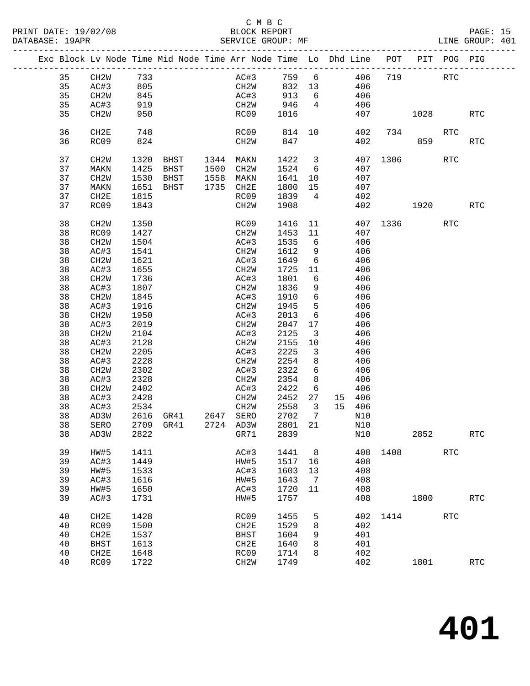PRINT DATE: 19/02/08 BLOCK REPORT BATABASE: 19APR BEST SERVICE GROUP: MF

### C M B C<br>BLOCK REPORT

|  |    |                   |      | Exc Block Lv Node Time Mid Node Time Arr Node Time Lo Dhd Line POT PIT POG PIG |      |                   |         |                         |     |        |          |          |            |            |
|--|----|-------------------|------|--------------------------------------------------------------------------------|------|-------------------|---------|-------------------------|-----|--------|----------|----------|------------|------------|
|  | 35 | CH2W              | 733  |                                                                                |      | AC#3              | 759 6   |                         | 406 |        | 719      |          | RTC        |            |
|  | 35 | AC#3              | 805  |                                                                                |      | CH2W              | 832 13  |                         |     | 406    |          |          |            |            |
|  | 35 | CH2W              | 845  |                                                                                |      | AC#3              | 913     | 6                       |     | 406    |          |          |            |            |
|  | 35 | AC#3              | 919  |                                                                                |      | CH2W              | 946     | $\overline{4}$          |     | 406    |          |          |            |            |
|  | 35 | CH <sub>2</sub> W | 950  |                                                                                |      | RC09              | 1016    |                         |     | 407    |          | 1028     |            | <b>RTC</b> |
|  |    |                   |      |                                                                                |      |                   |         |                         |     |        |          |          |            |            |
|  | 36 | CH2E              | 748  |                                                                                |      | RC09              | 814 10  |                         |     | 402    |          | 734      | RTC        |            |
|  | 36 | RC09              | 824  |                                                                                |      | CH2W              | 847     |                         |     | 402    |          | 859      |            | <b>RTC</b> |
|  |    |                   |      |                                                                                |      |                   |         |                         |     |        |          |          |            |            |
|  | 37 | CH <sub>2</sub> W | 1320 | BHST 1344 MAKN                                                                 |      |                   | 1422    | $\overline{\mathbf{3}}$ |     | 407    |          | 1306 130 | <b>RTC</b> |            |
|  | 37 | MAKN              | 1425 | BHST 1500 CH2W                                                                 |      |                   | 1524    | 6                       |     | 407    |          |          |            |            |
|  | 37 | CH <sub>2</sub> W | 1530 | BHST                                                                           | 1558 | MAKN              | 1641    | 10                      |     | 407    |          |          |            |            |
|  | 37 | MAKN              | 1651 | BHST                                                                           |      | 1735 CH2E         | 1800    | 15                      |     | 407    |          |          |            |            |
|  | 37 | CH2E              | 1815 |                                                                                |      | RC09              | 1839    | $\overline{4}$          |     | 402    |          |          |            |            |
|  | 37 | RC09              | 1843 |                                                                                |      | CH2W              | 1908    |                         |     | 402    |          | 1920     |            | <b>RTC</b> |
|  |    |                   |      |                                                                                |      |                   |         |                         |     |        |          |          |            |            |
|  | 38 | CH <sub>2</sub> W | 1350 |                                                                                |      | RC09              | 1416    | 11                      |     |        | 407 1336 |          | RTC        |            |
|  | 38 | RC09              | 1427 |                                                                                |      | CH2W              | 1453 11 |                         |     | 407    |          |          |            |            |
|  | 38 | CH2W              | 1504 |                                                                                |      | AC#3              | 1535    | 6                       |     | 406    |          |          |            |            |
|  | 38 | AC#3              | 1541 |                                                                                |      | CH2W              | 1612    | 9                       |     | 406    |          |          |            |            |
|  | 38 | CH <sub>2</sub> W | 1621 |                                                                                |      | AC#3              | 1649    | $6\overline{6}$         |     | 406    |          |          |            |            |
|  | 38 | AC#3              | 1655 |                                                                                |      | CH2W              | 1725    | 11                      |     | 406    |          |          |            |            |
|  | 38 | CH <sub>2</sub> W | 1736 |                                                                                |      | AC#3              | 1801    | 6                       |     | 406    |          |          |            |            |
|  | 38 | AC#3              | 1807 |                                                                                |      | CH2W              | 1836    | 9                       |     | 406    |          |          |            |            |
|  | 38 | CH <sub>2</sub> W | 1845 |                                                                                |      | AC#3              | 1910    | 6                       |     | 406    |          |          |            |            |
|  | 38 | AC#3              | 1916 |                                                                                |      | CH2W              | 1945    | $5^{\circ}$             |     | 406    |          |          |            |            |
|  | 38 | CH2W              | 1950 |                                                                                |      | AC#3              | 2013    | 6                       |     | 406    |          |          |            |            |
|  | 38 | AC#3              | 2019 |                                                                                |      | CH2W              | 2047    | 17                      |     | 406    |          |          |            |            |
|  | 38 | CH <sub>2</sub> W | 2104 |                                                                                |      | AC#3              | 2125    | $\overline{\mathbf{3}}$ |     | 406    |          |          |            |            |
|  | 38 | AC#3              | 2128 |                                                                                |      | CH <sub>2</sub> W | 2155    | 10                      |     | 406    |          |          |            |            |
|  | 38 | CH <sub>2</sub> W | 2205 |                                                                                |      | AC#3              | 2225    | $\overline{\mathbf{3}}$ |     | 406    |          |          |            |            |
|  | 38 | AC#3              | 2228 |                                                                                |      | CH2W              | 2254    | 8                       |     | 406    |          |          |            |            |
|  | 38 | CH <sub>2</sub> W | 2302 |                                                                                |      | AC#3              | 2322    | 6                       |     | 406    |          |          |            |            |
|  | 38 | AC#3              | 2328 |                                                                                |      | CH2W              | 2354    | 8                       |     | 406    |          |          |            |            |
|  | 38 | CH2W              | 2402 |                                                                                |      | AC#3              | 2422    | 6                       |     | 406    |          |          |            |            |
|  | 38 | AC#3              | 2428 |                                                                                |      | CH2W              | 2452    | 27                      |     | 15 406 |          |          |            |            |
|  | 38 | AC#3              | 2534 |                                                                                |      | CH2W              | 2558    | $\overline{\mathbf{3}}$ |     | 15 406 |          |          |            |            |
|  | 38 | AD3W              | 2616 | GR41 2647 SERO                                                                 |      |                   | 2702    | $\overline{7}$          |     | N10    |          |          |            |            |
|  | 38 | SERO              |      | 2709 GR41                                                                      |      | 2724 AD3W         | 2801    | 21                      |     | N10    |          |          |            |            |
|  | 38 | AD3W              |      | 2822 GR71                                                                      |      |                   | 2839    |                         | N10 |        |          | 2852     |            | <b>RTC</b> |
|  | 39 | HW#5              | 1411 |                                                                                |      | AC#3              | 1441    | 8 <sup>8</sup>          |     |        | 408 1408 |          | <b>RTC</b> |            |
|  | 39 | AC#3              | 1449 |                                                                                |      | HW#5              | 1517    | 16                      |     | 408    |          |          |            |            |
|  | 39 | HW#5              | 1533 |                                                                                |      | AC#3              | 1603    | 13                      |     | 408    |          |          |            |            |
|  | 39 | AC#3              | 1616 |                                                                                |      | HW#5              | 1643    | 7                       |     | 408    |          |          |            |            |
|  | 39 | HW#5              | 1650 |                                                                                |      | AC#3              | 1720    | 11                      |     | 408    |          |          |            |            |
|  | 39 | AC#3              | 1731 |                                                                                |      | HW#5              | 1757    |                         |     | 408    |          | 1800     |            | RTC        |
|  | 40 | CH2E              | 1428 |                                                                                |      | RC09              | 1455    | 5                       |     | 402    | 1414     |          | <b>RTC</b> |            |
|  | 40 | RC09              | 1500 |                                                                                |      | CH2E              | 1529    | 8                       |     | 402    |          |          |            |            |
|  | 40 | CH2E              | 1537 |                                                                                |      | <b>BHST</b>       | 1604    | 9                       |     | 401    |          |          |            |            |
|  | 40 | <b>BHST</b>       | 1613 |                                                                                |      | CH2E              | 1640    | 8                       |     | 401    |          |          |            |            |
|  | 40 | CH2E              | 1648 |                                                                                |      | RC09              | 1714    | 8                       |     | 402    |          |          |            |            |
|  | 40 | RC09              | 1722 |                                                                                |      | CH <sub>2</sub> M | 1749    |                         |     | 402    |          | 1801     |            | <b>RTC</b> |
|  |    |                   |      |                                                                                |      |                   |         |                         |     |        |          |          |            |            |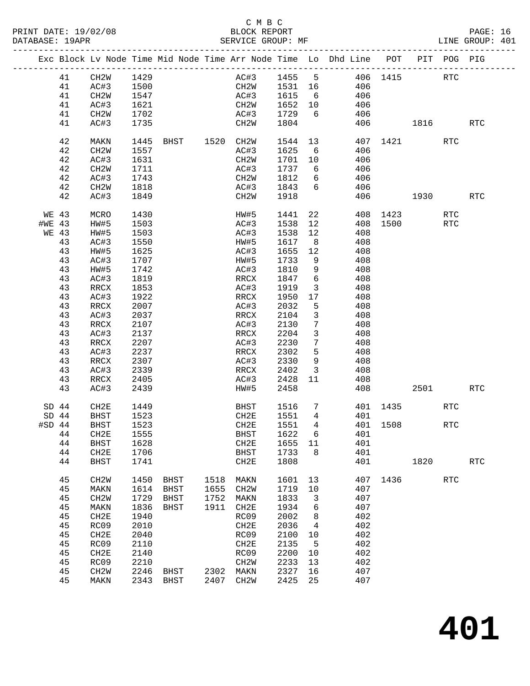PRINT DATE: 19/02/08 BLOCK REPORT BATABASE: 19APR BEST BERVICE GROUP: MF

### C M B C<br>BLOCK REPORT

PAGE: 16<br>LINE GROUP: 401

|          |    |                   |      |                |      |                   |                   |                 | Exc Block Lv Node Time Mid Node Time Arr Node Time Lo Dhd Line POT PIT POG PIG |          |      |                      |                      |
|----------|----|-------------------|------|----------------|------|-------------------|-------------------|-----------------|--------------------------------------------------------------------------------|----------|------|----------------------|----------------------|
|          | 41 | CH2W              | 1429 |                |      | AC#3              |                   |                 | 1455 5 406 1415                                                                |          |      | RTC                  |                      |
|          | 41 | AC#3              | 1500 |                |      | CH2W              |                   |                 | 406                                                                            |          |      |                      |                      |
|          | 41 | CH2W              | 1547 |                |      | AC#3              | 1531 16<br>1615 6 |                 | 406                                                                            |          |      |                      |                      |
|          | 41 | AC#3              | 1621 |                |      | CH2W              | 1652              | 10              | 406                                                                            |          |      |                      |                      |
|          | 41 | CH2W              | 1702 |                |      | AC#3              | 1729              | 6               | 406                                                                            |          |      |                      |                      |
|          |    |                   |      |                |      |                   |                   |                 |                                                                                |          |      |                      |                      |
|          | 41 | AC#3              | 1735 |                |      | CH2W              | 1804              |                 | 406                                                                            |          | 1816 |                      | <b>RTC</b>           |
|          | 42 | MAKN              | 1445 | BHST 1520 CH2W |      |                   | 1544              |                 | 13 and $\overline{\phantom{a}}$ 13<br>407                                      |          | 1421 | <b>RTC</b>           |                      |
|          | 42 | CH <sub>2</sub> W | 1557 |                |      | AC#3              | 1625              | 6               | 406                                                                            |          |      |                      |                      |
|          | 42 | AC#3              | 1631 |                |      | CH2W              | 1701              | 10              | 406                                                                            |          |      |                      |                      |
|          | 42 | CH <sub>2</sub> W | 1711 |                |      | AC#3              | 1737              | 6               | 406                                                                            |          |      |                      |                      |
|          | 42 | AC#3              | 1743 |                |      | CH2W              | 1812              | 6               | 406                                                                            |          |      |                      |                      |
|          | 42 | CH2W              | 1818 |                |      | AC#3              | 1843              | 6               | 406                                                                            |          |      |                      |                      |
|          | 42 | AC#3              | 1849 |                |      | CH2W              | 1918              |                 | 406                                                                            |          | 1930 |                      | <b>RTC</b>           |
| WE 43    |    | MCRO              | 1430 |                |      | HW#5              | 1441              | 22              |                                                                                | 408 1423 |      | <b>RTC</b>           |                      |
| #WE 43   |    | HW#5              | 1503 |                |      | AC#3              | 1538              | 12              |                                                                                | 408 1500 |      | <b>RTC</b>           |                      |
| WE 43    |    | HW#5              | 1503 |                |      | AC#3              | 1538              | 12              | 408                                                                            |          |      |                      |                      |
|          | 43 | AC#3              | 1550 |                |      | HW#5              | 1617              | 8 <sup>8</sup>  | 408                                                                            |          |      |                      |                      |
|          | 43 | HW#5              | 1625 |                |      | AC#3              | 1655              | 12              | 408                                                                            |          |      |                      |                      |
|          | 43 | AC#3              | 1707 |                |      | HW#5              | 1733              | 9               | 408                                                                            |          |      |                      |                      |
|          |    |                   |      |                |      | AC#3              |                   |                 | 408                                                                            |          |      |                      |                      |
|          | 43 | HW#5              | 1742 |                |      |                   | 1810              | 9<br>6          |                                                                                |          |      |                      |                      |
|          | 43 | AC#3              | 1819 |                |      | RRCX              | 1847              |                 | 408                                                                            |          |      |                      |                      |
|          | 43 | RRCX              | 1853 |                |      | AC#3              | 1919              | 3               | 408                                                                            |          |      |                      |                      |
|          | 43 | AC#3              | 1922 |                |      | RRCX              | 1950              | 17              | 408                                                                            |          |      |                      |                      |
|          | 43 | RRCX              | 2007 |                |      | AC#3              | 2032              | 5               | 408                                                                            |          |      |                      |                      |
|          | 43 | AC#3              | 2037 |                |      | RRCX              | 2104              | $\mathbf{3}$    | 408                                                                            |          |      |                      |                      |
|          | 43 | RRCX              | 2107 |                |      | AC#3              | 2130              | $7\phantom{.0}$ | 408                                                                            |          |      |                      |                      |
|          | 43 | AC#3              | 2137 |                |      | RRCX              | 2204              | $\mathbf{3}$    | 408                                                                            |          |      |                      |                      |
|          | 43 | RRCX              | 2207 |                |      | AC#3              | 2230              | $7\phantom{.0}$ | 408                                                                            |          |      |                      |                      |
|          | 43 | AC#3              | 2237 |                |      | RRCX              | 2302              | 5               | 408                                                                            |          |      |                      |                      |
|          | 43 | RRCX              | 2307 |                |      | AC#3              | 2330              | 9               | 408                                                                            |          |      |                      |                      |
|          | 43 | AC#3              | 2339 |                |      | RRCX              | 2402              | $\mathbf{3}$    | 408                                                                            |          |      |                      |                      |
|          | 43 | RRCX              | 2405 |                |      | AC#3              | 2428              | 11              | 408                                                                            |          |      |                      |                      |
|          | 43 | AC#3              | 2439 |                |      | HW#5              | 2458              |                 | 408                                                                            |          | 2501 |                      | RTC                  |
| $SD$ 44  |    | CH2E              | 1449 |                |      | BHST              | 1516              |                 | $7\overline{ }$                                                                | 401 1435 |      | <b>RTC</b>           |                      |
| $SD$ 44  |    | <b>BHST</b>       | 1523 |                |      | CH2E              | 1551              | $\overline{4}$  | 401                                                                            |          |      |                      |                      |
| $#SD$ 44 |    | <b>BHST</b>       | 1523 |                |      | CH2E              | 1551              | $\overline{4}$  |                                                                                | 401 1508 |      | RTC                  |                      |
|          | 44 | CH2E              | 1555 |                |      | BHST              | 1622 6            |                 | 401                                                                            |          |      |                      |                      |
|          | 44 | BHST              | 1628 |                |      | CH2E              | 1655              | 11              | 401                                                                            |          |      |                      |                      |
|          | 44 | CH <sub>2E</sub>  | 1706 |                |      | <b>BHST</b>       | 1733              | 8               | 401                                                                            |          |      |                      |                      |
|          | 44 | <b>BHST</b>       | 1741 |                |      | CH2E              | 1808              |                 | 401                                                                            |          | 1820 |                      | $\operatorname{RTC}$ |
|          | 45 | CH <sub>2</sub> W | 1450 | BHST           | 1518 | MAKN              | 1601              | 13              | 407                                                                            | 1436     |      | $\operatorname{RTC}$ |                      |
|          | 45 | MAKN              | 1614 | <b>BHST</b>    | 1655 | CH <sub>2</sub> W | 1719              | 10              | 407                                                                            |          |      |                      |                      |
|          | 45 | CH <sub>2</sub> W | 1729 | BHST           | 1752 | MAKN              | 1833              | 3               | 407                                                                            |          |      |                      |                      |
|          | 45 | MAKN              | 1836 | BHST           | 1911 | CH2E              | 1934              | 6               | 407                                                                            |          |      |                      |                      |
|          | 45 | CH2E              | 1940 |                |      | RC09              | 2002              | 8               | 402                                                                            |          |      |                      |                      |
|          | 45 | RC09              | 2010 |                |      | CH2E              | 2036              | 4               | 402                                                                            |          |      |                      |                      |
|          | 45 | CH <sub>2E</sub>  | 2040 |                |      | RC09              | 2100              | 10              | 402                                                                            |          |      |                      |                      |
|          | 45 | RC09              | 2110 |                |      | CH2E              | 2135              | 5               | 402                                                                            |          |      |                      |                      |
|          | 45 | CH2E              | 2140 |                |      | RC09              | 2200              |                 | 402                                                                            |          |      |                      |                      |
|          | 45 | RC09              |      |                |      | CH2W              | 2233              | 10<br>13        | 402                                                                            |          |      |                      |                      |
|          |    |                   | 2210 |                |      |                   |                   |                 |                                                                                |          |      |                      |                      |
|          | 45 | CH <sub>2</sub> W | 2246 | BHST           | 2302 | MAKN              | 2327              | 16              | 407                                                                            |          |      |                      |                      |
|          | 45 | MAKN              | 2343 | <b>BHST</b>    | 2407 | CH <sub>2</sub> M | 2425              | 25              | 407                                                                            |          |      |                      |                      |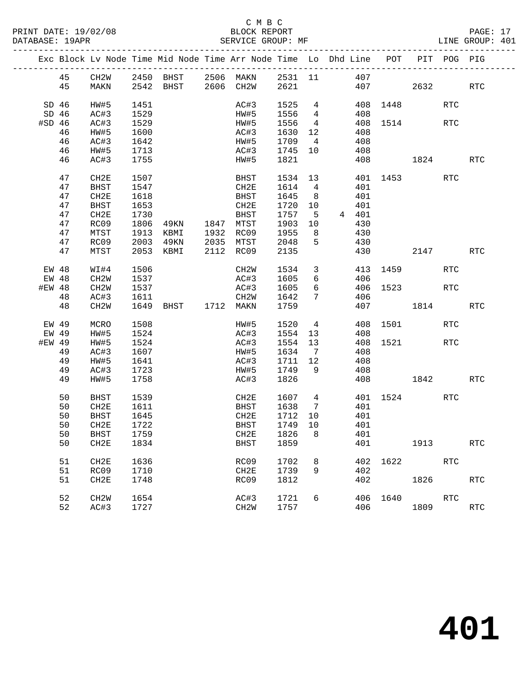PRINT DATE: 19/02/08 BLOCK REPORT BATABASE: 19APR BEST SERVICE GROUP: MF

### C M B C<br>BLOCK REPORT

|         |         |                   |      | Exc Block Lv Node Time Mid Node Time Arr Node Time Lo Dhd Line POT PIT POG PIG |                           |                            |                 |                |       |          |              |                      |            |
|---------|---------|-------------------|------|--------------------------------------------------------------------------------|---------------------------|----------------------------|-----------------|----------------|-------|----------|--------------|----------------------|------------|
|         | 45      | CH2W              |      | 2450 BHST 2506 MAKN 2531 11 407                                                |                           |                            |                 |                |       |          |              |                      |            |
|         | 45      | MAKN              |      | 2542 BHST 2606 CH2W 2621                                                       |                           |                            |                 |                |       | 407      | 2632         |                      | <b>RTC</b> |
|         |         |                   |      |                                                                                |                           |                            |                 |                |       |          |              |                      |            |
| $SD$ 46 |         | HW#5              | 1451 |                                                                                | AC#3                      |                            |                 |                |       | 408 1448 |              | $\operatorname{RTC}$ |            |
|         | $SD$ 46 | AC#3              | 1529 |                                                                                | HW#5                      |                            |                 |                | 408   |          |              |                      |            |
| #SD 46  |         | AC#3              | 1529 |                                                                                | HW#5                      | 1525 4<br>1556 4<br>1556 4 |                 | $\overline{4}$ |       |          | 408 1514     | <b>RTC</b>           |            |
|         | 46      | HW#5              | 1600 |                                                                                | AC#3                      | 1630                       |                 | 12             | 408   |          |              |                      |            |
|         | 46      | AC#3              | 1642 |                                                                                | HW#5                      | 1709                       | $4\overline{4}$ |                | 408   |          |              |                      |            |
|         | 46      | HW#5              | 1713 |                                                                                |                           |                            |                 |                | 408   |          |              |                      |            |
|         | 46      | AC#3              | 1755 |                                                                                | AC#3 1745 10<br>HW#5 1821 |                            |                 |                |       |          | 408 1824     |                      | RTC        |
|         |         |                   |      |                                                                                |                           |                            |                 |                |       |          |              |                      |            |
|         | 47      | CH2E              | 1507 |                                                                                | BHST                      | 1534 13                    |                 |                |       |          | 401 1453     | RTC                  |            |
|         | 47      | BHST              | 1547 |                                                                                | CH2E                      | 1614 4                     |                 |                | 401   |          |              |                      |            |
|         | 47      | CH2E              | 1618 |                                                                                | BHST                      | 1645                       | 8 <sup>8</sup>  |                | 401   |          |              |                      |            |
|         | 47      | BHST              | 1653 |                                                                                | CH2E                      | 1720                       | 10              |                | 401   |          |              |                      |            |
|         | 47      | CH2E              | 1730 |                                                                                | BHST                      | 1757                       | $5^{\circ}$     |                | 4 401 |          |              |                      |            |
|         | 47      | RC09              |      |                                                                                |                           | 1903                       | 10              |                | 430   |          |              |                      |            |
|         | 47      | MTST              |      | 1806 49KN 1847 MTST<br>1913 KBMI 1932 RC09                                     |                           | 1955                       | 8 <sup>8</sup>  |                | 430   |          |              |                      |            |
|         | 47      | RC09              |      | 2003 49KN                                                                      | 2035 MTST                 | 2048                       | $5^{\circ}$     |                | 430   |          |              |                      |            |
|         | 47      | MTST              |      | 2053 KBMI                                                                      | 2112 RC09                 | 2135                       |                 |                |       |          | 430 2147     |                      | <b>RTC</b> |
|         |         |                   |      |                                                                                |                           |                            |                 |                |       |          |              |                      |            |
| EW 48   |         | WI#4              | 1506 |                                                                                | CH2W                      | 1534                       | $\overline{3}$  |                |       |          | 413 1459     | <b>RTC</b>           |            |
| EW 48   |         | CH2W              | 1537 |                                                                                | AC#3                      | 1605                       | 6               |                | 406   |          |              |                      |            |
| #EW 48  |         | CH2W              | 1537 |                                                                                | AC#3                      | 1605                       | $6\overline{6}$ |                |       |          | 406 1523     | <b>RTC</b>           |            |
|         | 48      | AC#3              | 1611 |                                                                                | CH2W                      | 1642                       | 7               |                | 406   |          |              |                      |            |
|         | 48      | CH <sub>2</sub> W |      | 1649 BHST 1712 MAKN                                                            |                           | 1759                       |                 |                |       |          | 407 1814     |                      | <b>RTC</b> |
|         |         |                   |      |                                                                                |                           |                            |                 |                |       |          |              |                      |            |
|         | EW 49   | MCRO              | 1508 |                                                                                | HW#5 1520 4               |                            |                 |                |       |          | 408 1501     | RTC                  |            |
|         | EW 49   | HW#5              | 1524 |                                                                                | AC#3                      | 1554                       | 13              |                | 408   |          |              |                      |            |
| #EW 49  |         | HW#5              | 1524 |                                                                                | AC#3                      | 1554                       | 13              |                |       |          | 408 1521 RTC |                      |            |
|         | 49      | AC#3              | 1607 |                                                                                | HW#5                      | 1634                       | $7\overline{ }$ |                | 408   |          |              |                      |            |
|         | 49      | HW#5              | 1641 |                                                                                | AC#3                      | 1711 12                    |                 |                | 408   |          |              |                      |            |
|         | 49      | AC#3              | 1723 |                                                                                | HW#5                      | 1749                       | 9               |                | 408   |          |              |                      |            |
|         | 49      | HW#5              | 1758 |                                                                                | AC#3                      | 1826                       |                 |                |       |          | 408 1842     |                      | RTC        |
|         |         |                   |      |                                                                                |                           |                            |                 |                |       |          |              |                      |            |
|         | 50      | BHST              | 1539 |                                                                                | CH2E                      | 1607 4                     |                 |                |       |          | 401 1524     | RTC                  |            |
|         | 50      | CH2E              | 1611 |                                                                                | BHST                      | 1638                       | $7\overline{ }$ |                | 401   |          |              |                      |            |
|         | 50      | BHST              | 1645 |                                                                                | CH2E                      | 1712                       | 10              |                | 401   |          |              |                      |            |
|         | 50      | CH2E              | 1722 |                                                                                | BHST                      | 1749                       | 10              |                | 401   |          |              |                      |            |
|         |         | 50 BHST 1759      |      |                                                                                | CH2E 1826 8 401           |                            |                 |                |       |          |              |                      |            |
|         | 50      | CH2E              | 1834 |                                                                                | BHST                      | 1859                       |                 |                | 401   |          | 1913         |                      | <b>RTC</b> |
|         |         |                   |      |                                                                                |                           |                            |                 |                |       |          |              |                      |            |
|         | 51      | CH2E              | 1636 |                                                                                | RC09                      | 1702                       | 8               |                |       |          | 402 1622     | RTC                  |            |
|         | 51      | RC09              | 1710 |                                                                                | CH2E                      | 1739                       | 9               |                | 402   |          |              |                      |            |
|         | 51      | CH2E              | 1748 |                                                                                | RC09                      | 1812                       |                 |                | 402   |          | 1826         |                      | <b>RTC</b> |
|         |         |                   |      |                                                                                |                           |                            |                 |                |       |          |              |                      |            |
|         | 52      | CH2W              | 1654 |                                                                                | AC#3                      | 1721                       | 6               |                |       | 406 1640 |              | RTC                  |            |
|         | 52      | AC#3              | 1727 |                                                                                | CH2W                      | 1757                       |                 |                | 406   |          | 1809         |                      | <b>RTC</b> |
|         |         |                   |      |                                                                                |                           |                            |                 |                |       |          |              |                      |            |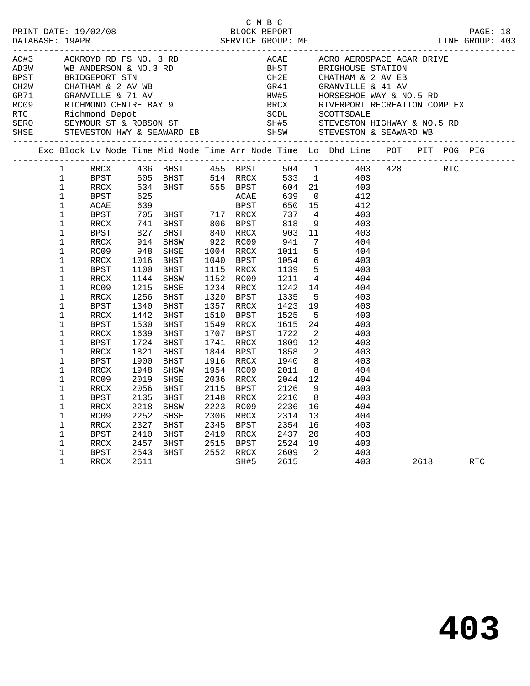| AC#3 |                                                                                                                                                                                                                                                                                    | ACKROYD RD FS NO. 3 RD                                                                                                                              |                                                                                      |                                                                              |                                             |                   |                                                                                           |                      | ACAE ACRO AEROSPACE AGAR DRIVE<br>BEST BRIGHOUSE CEAN DRIVE                                                                                                                                                                                                                                                                                                                                                                                                                                                                                                                                                                                                           |          |  |  |
|------|------------------------------------------------------------------------------------------------------------------------------------------------------------------------------------------------------------------------------------------------------------------------------------|-----------------------------------------------------------------------------------------------------------------------------------------------------|--------------------------------------------------------------------------------------|------------------------------------------------------------------------------|---------------------------------------------|-------------------|-------------------------------------------------------------------------------------------|----------------------|-----------------------------------------------------------------------------------------------------------------------------------------------------------------------------------------------------------------------------------------------------------------------------------------------------------------------------------------------------------------------------------------------------------------------------------------------------------------------------------------------------------------------------------------------------------------------------------------------------------------------------------------------------------------------|----------|--|--|
|      |                                                                                                                                                                                                                                                                                    |                                                                                                                                                     |                                                                                      |                                                                              |                                             |                   |                                                                                           |                      | Exc Block Lv Node Time Mid Node Time Arr Node Time Lo Dhd Line POT PIT POG PIG                                                                                                                                                                                                                                                                                                                                                                                                                                                                                                                                                                                        |          |  |  |
|      | $\mathbf{1}$<br>$\mathbf 1$<br>$\mathbf 1$<br>$\mathbf{1}$<br>$\mathbf 1$<br>$\mathbf{1}$<br>$\mathbf{1}$<br>$\mathbf{1}$<br>$\mathbf 1$<br>$\mathbf{1}$<br>$\mathbf 1$<br>$\mathbf{1}$<br>$\mathbf 1$<br>$\mathbf 1$<br>$\mathbf 1$<br>$\mathbf 1$<br>$\mathbf{1}$<br>$\mathbf 1$ | ACAE<br>BPST<br>RRCX<br>BPST<br>RRCX<br>RC09<br>RRCX<br><b>BPST</b><br>RRCX<br>RC09<br>RRCX<br>BPST<br>RRCX<br>BPST<br>RRCX<br>BPST<br>RRCX<br>BPST | 1215<br>1256<br>1340<br>1442<br>1530<br>1639<br>1724<br>1821<br>1900                 | SHSE<br>BHST<br>BHST<br>BHST<br>BHST<br>BHST<br>BHST<br>BHST<br>BHST         | 1357 RRCX<br>1844 BPST<br>1916 RRCX         |                   | 1858<br>1940                                                                              |                      | 1 RRCX 436 BHST 455 BPST 504 1 403 428 RTC<br>1 BPST 505 BHST 514 RRCX 533 1 403<br>1 RRCX 534 BHST 555 BPST 604 21 403<br>1 BPST 625<br>25 ACAE 639 0 412<br>534 BHST 555 BFS1 007 21 102<br>625 ACAE 639 0 412<br>705 BHST 717 RRCX 737 4 403<br>741 BHST 806 BPST 818 9 403<br>827 BHST 840 RRCX 903 11 403<br>914 SHSW 922 RC09 941 7 404<br>948 SHSE 1004 RRCX 1011 5 404<br>1016 BHST 1040 BPST 1054<br>1152 RC09 1211 4 404<br>1234 RRCX 1242 14 404<br>1320 BPST 1335 5 403<br>1357 RRCX 1423 19 403<br>1510 BPST 1525 5 403<br>1549 RRCX 1615 24 403<br>1707 BPST 1722 2 403<br>1741 RRCX 1809 12 403<br>$\begin{array}{ccc} 2 & 403 \\ 8 & 403 \end{array}$ |          |  |  |
|      | $\mathbf 1$<br>$\mathbf 1$<br>$\mathbf 1$<br>$\mathbf 1$<br>$\mathbf 1$<br>$\mathbf 1$<br>$\mathbf 1$<br>$\mathbf 1$<br>$\mathbf 1$<br>$\mathbf 1$<br>$\mathbf 1$                                                                                                                  | RRCX<br>RC09<br>RRCX<br>BPST<br>RRCX<br>RC09<br>RRCX<br>BPST<br>RRCX<br>BPST<br>RRCX                                                                | 1948<br>2019<br>2056<br>2135<br>2218<br>2252<br>2327<br>2410<br>2457<br>2543<br>2611 | SHSW<br>SHSE<br>BHST<br>BHST<br>SHSW<br>SHSE<br>BHST<br>BHST<br>BHST<br>BHST | 1954 RC09<br>2036 RRCX<br>2115 BPST<br>2223 | 2148 RRCX<br>RC09 | 2011<br>2044<br>2126<br>2210<br>2236 16<br>2306 RRCX 2314 13 404<br>2345 BPST 2354 16 403 | 8 <sup>8</sup><br>20 | $\begin{array}{cccc} 2011 & 8 & & 404 \\ 2044 & 12 & & 404 \end{array}$<br>9 403<br>403<br>404<br>403<br>$\frac{1}{403}$<br>$\begin{array}{cc} 2 & 403 \\ 403 & \end{array}$                                                                                                                                                                                                                                                                                                                                                                                                                                                                                          | 2618 RTC |  |  |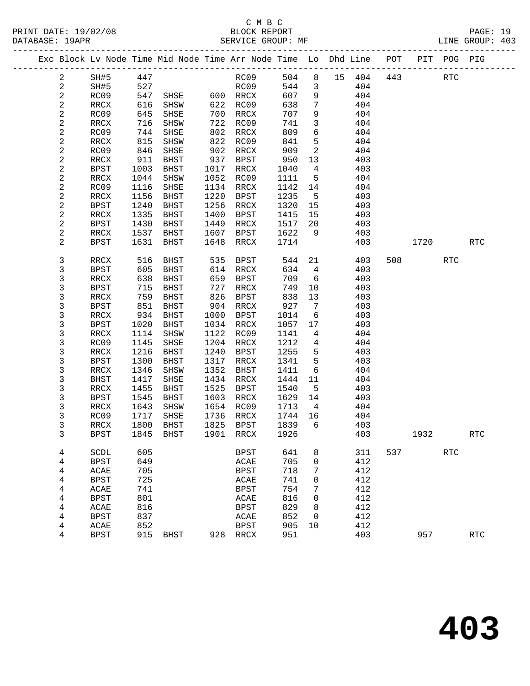PRINT DATE: 19/02/08<br>DATABASE: 19APR

## C M B C<br>BLOCK REPORT<br>CERVICE CROUD: ME

|  | DATABASE: 19APR         |                     |                          | SERVICE GROUP: MF                                                              |              |                           |              |                 |    |            |                          |            | LINE GROUP: 403      |  |
|--|-------------------------|---------------------|--------------------------|--------------------------------------------------------------------------------|--------------|---------------------------|--------------|-----------------|----|------------|--------------------------|------------|----------------------|--|
|  |                         |                     |                          | Exc Block Lv Node Time Mid Node Time Arr Node Time Lo Dhd Line POT PIT POG PIG |              |                           |              |                 |    |            |                          |            |                      |  |
|  | 2                       | SH#5 447            |                          |                                                                                |              | RC09 504 8 15 404 443 RTC |              |                 |    |            |                          |            |                      |  |
|  | $\overline{a}$          | SH#5                | 527                      |                                                                                |              | RC09                      |              | 544 3           |    | 404        |                          |            |                      |  |
|  | $\overline{a}$          | RC09                | 547                      | SHSE 600 RRCX                                                                  |              |                           | 607          | 9               |    | 404        |                          |            |                      |  |
|  | $\overline{c}$          | RRCX                | 616<br>645               | SHSW                                                                           |              | $622$ RC09                | 638          | $7\overline{ }$ |    | 404        |                          |            |                      |  |
|  | 2                       | RC09                | 645                      | SHSE                                                                           |              | 700 RRCX                  | 707          | 9               |    | 404        |                          |            |                      |  |
|  | 2                       | RRCX                | 716                      | SHSW                                                                           |              | 722 RC09                  | 741          | $\mathbf{3}$    |    | 404        |                          |            |                      |  |
|  | $\overline{\mathbf{c}}$ | RC09                | 744                      | SHSE                                                                           |              | 802 RRCX                  | 809          | 6               |    | 404        |                          |            |                      |  |
|  | 2                       | RRCX                | 815<br>846               | SHSW                                                                           |              | 822 RC09                  | 841          | $5^{\circ}$     |    | 404        |                          |            |                      |  |
|  | $\sqrt{2}$              | RC09                |                          | SHSE                                                                           |              | 902 RRCX                  | 909          | $\overline{a}$  |    | 404        |                          |            |                      |  |
|  | 2                       | RRCX                | 911                      | BHST                                                                           |              | 937 BPST                  | 950          | 13              |    | 403        |                          |            |                      |  |
|  | $\mathbf{2}$            | BPST                | 1003                     | BHST                                                                           |              | 1017 RRCX                 | 1040         | $\overline{4}$  |    | 403        |                          |            |                      |  |
|  | $\mathbf{2}$            | RRCX                | 1044                     | SHSW                                                                           |              | 1052 RC09                 | 1111         | $5^{\circ}$     |    | 404        |                          |            |                      |  |
|  | $\sqrt{2}$              | RC09                | 1116                     | SHSE                                                                           |              | 1134 RRCX                 | 1142         | 14              |    | 404        |                          |            |                      |  |
|  | 2                       | RRCX                | 1156                     | BHST                                                                           | 1220         | BPST                      | 1235         | $5^{\circ}$     |    | 403        |                          |            |                      |  |
|  | $\mathbf{2}$            | BPST                | 1240                     | BHST                                                                           | 1256         | RRCX                      | 1320 15      |                 |    | 403        |                          |            |                      |  |
|  | 2                       | RRCX                | 1335                     | BHST                                                                           | 1400         | BPST                      | 1415         | 15              |    | 403        |                          |            |                      |  |
|  | $\sqrt{2}$              | BPST<br>RRCX        | 1430                     | BHST                                                                           |              | 1449 RRCX<br>1607 BPST    | 1622         | 1517 20<br>9    |    | 403        |                          |            |                      |  |
|  | 2<br>2                  | BPST                | 1537<br>1631             | BHST<br>BHST                                                                   | 1648         | RRCX                      | 1714         |                 |    | 403<br>403 | 1720                     |            | <b>RTC</b>           |  |
|  |                         |                     |                          |                                                                                |              |                           |              |                 |    |            |                          |            |                      |  |
|  | 3                       | RRCX                | 516                      | BHST                                                                           |              | 535 BPST                  | 544          |                 | 21 | 403        | 508 700                  | RTC        |                      |  |
|  | 3                       | BPST                | 605                      | BHST                                                                           |              | 614 RRCX                  | 634          | $4\overline{4}$ |    | 403        |                          |            |                      |  |
|  | 3                       | RRCX                | 638                      | BHST                                                                           |              | 659 BPST                  | 709          | 6               |    | 403        |                          |            |                      |  |
|  | 3                       | BPST                | 715<br>715<br>759<br>851 | BHST                                                                           | 727          | RRCX                      | 749          | 10              |    | 403        |                          |            |                      |  |
|  | 3                       | RRCX                |                          | BHST                                                                           | 826          | BPST                      | 838          | 13              |    | 403        |                          |            |                      |  |
|  | 3                       | BPST                |                          | BHST                                                                           |              | 904 RRCX                  | 927          | $7\overline{ }$ |    | 403        |                          |            |                      |  |
|  | 3                       | RRCX                | 934                      | BHST                                                                           | 1000         | BPST                      | 1014         | 6               |    | 403        |                          |            |                      |  |
|  | 3                       | BPST                | 1020                     | BHST                                                                           |              | 1034 RRCX                 | 1057         | 17              |    | 403        |                          |            |                      |  |
|  | 3                       | RRCX                | 1114                     | SHSW                                                                           |              | 1122 RC09                 | 1141         | $\overline{4}$  |    | 404        |                          |            |                      |  |
|  | 3                       | RC09                | 1145                     | SHSE                                                                           |              | 1204 RRCX                 | 1212         | $\overline{4}$  |    | 404        |                          |            |                      |  |
|  | 3                       | RRCX                | 1216                     | BHST                                                                           | 1240         | BPST                      | 1255         | 5<br>5          |    | 403<br>403 |                          |            |                      |  |
|  | 3<br>3                  | BPST<br>RRCX        | 1300<br>1346             | BHST<br>SHSW                                                                   | 1317<br>1352 | RRCX<br>BHST              | 1341<br>1411 | 6               |    | 404        |                          |            |                      |  |
|  | 3                       | BHST                | 1417                     | SHSE                                                                           |              | 1434 RRCX                 | 1444         | 11              |    | 404        |                          |            |                      |  |
|  | 3                       | RRCX                | 1455                     | BHST                                                                           |              | 1525 BPST                 | 1540         | $5^{\circ}$     |    | 403        |                          |            |                      |  |
|  | 3                       | BPST                | 1545                     | BHST                                                                           |              | 1603 RRCX                 | 1629 14      |                 |    | 403        |                          |            |                      |  |
|  | 3                       | RRCX                | 1643                     | SHSW                                                                           |              |                           | 1713         | $\overline{4}$  |    | 404        |                          |            |                      |  |
|  | 3                       | RC09                |                          | 1717 SHSE                                                                      |              | 1654 RC09<br>1736 RRCX    | 1744 16      |                 |    | 404        |                          |            |                      |  |
|  | 3                       |                     |                          | RRCX 1800 BHST 1825 BPST 1839 6                                                |              |                           |              |                 |    | 403        |                          |            |                      |  |
|  | 3                       | <b>BPST</b>         | 1845                     | BHST                                                                           | 1901         | RRCX                      | 1926         |                 |    | 403        | 1932                     |            | <b>RTC</b>           |  |
|  |                         |                     |                          |                                                                                |              |                           |              |                 |    |            |                          |            |                      |  |
|  | 4                       | SCDL                | 605                      |                                                                                |              | BPST                      | 641          | 8               |    | 311        | 537 and $\overline{537}$ | <b>RTC</b> |                      |  |
|  | 4                       | <b>BPST</b>         | 649                      |                                                                                |              | ACAE                      | 705          | 0               |    | 412        |                          |            |                      |  |
|  | 4                       | ACAE                | 705<br>725               |                                                                                |              | <b>BPST</b>               | 718<br>741   | 7               |    | 412<br>412 |                          |            |                      |  |
|  | 4                       | <b>BPST</b>         |                          |                                                                                |              | ACAE                      |              | 0               |    |            |                          |            |                      |  |
|  | 4                       | ACAE<br><b>BPST</b> | 741<br>801               |                                                                                |              | <b>BPST</b>               | 754<br>816   | 7<br>0          |    | 412<br>412 |                          |            |                      |  |
|  | 4                       |                     | 816                      |                                                                                |              | ACAE                      | 829          |                 |    | 412        |                          |            |                      |  |
|  | 4                       | ACAE                | 837                      |                                                                                |              | <b>BPST</b>               | 852          | 8               |    | 412        |                          |            |                      |  |
|  | 4<br>4                  | <b>BPST</b><br>ACAE | 852                      |                                                                                |              | ACAE<br><b>BPST</b>       | 905          | 0<br>10         |    | 412        |                          |            |                      |  |
|  | 4                       |                     | 915                      |                                                                                | 928          |                           | 951          |                 |    | 403        | 957                      |            | $\operatorname{RTC}$ |  |
|  |                         | <b>BPST</b>         |                          | <b>BHST</b>                                                                    |              | $\verb!RRCX!$             |              |                 |    |            |                          |            |                      |  |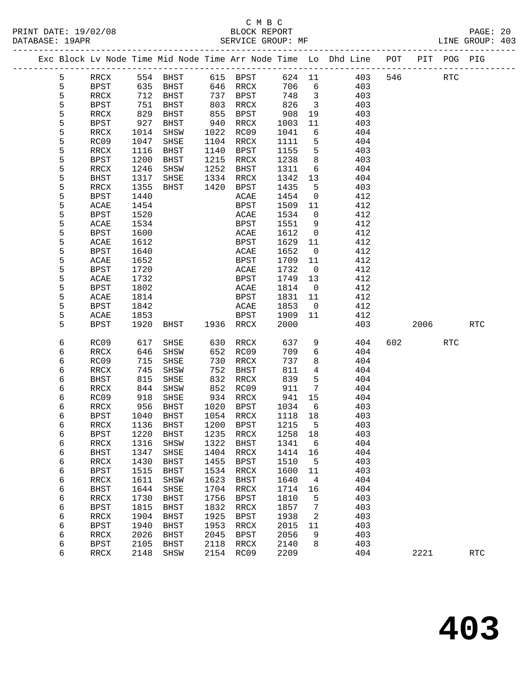| DATABASE: 19APR |   |             |              | SERVICE GROUP: MF               |      |                        |                 |                         |                                                                                |     |          |     | LINE GROUP: 403 |  |
|-----------------|---|-------------|--------------|---------------------------------|------|------------------------|-----------------|-------------------------|--------------------------------------------------------------------------------|-----|----------|-----|-----------------|--|
|                 |   |             |              |                                 |      |                        |                 |                         | Exc Block Lv Node Time Mid Node Time Arr Node Time Lo Dhd Line POT PIT POG PIG |     |          |     |                 |  |
|                 | 5 |             |              |                                 |      |                        |                 |                         | RRCX 554 BHST 615 BPST 624 11 403                                              |     | 546 RTC  |     |                 |  |
|                 | 5 | BPST        |              | 635 BHST 646 RRCX               |      |                        |                 |                         | 706 6<br>403                                                                   |     |          |     |                 |  |
|                 | 5 | RRCX        | 712          |                                 |      | BHST 737 BPST          | 748 3           |                         | 403                                                                            |     |          |     |                 |  |
|                 | 5 | BPST        | 751<br>829   | BHST                            |      | 803 RRCX<br>855 BPST   | 826 3<br>908 19 |                         | 403                                                                            |     |          |     |                 |  |
|                 | 5 | RRCX        |              | BHST                            |      |                        |                 |                         | 403                                                                            |     |          |     |                 |  |
|                 | 5 | BPST        | 927          | BHST                            |      | 940 RRCX               | 1003            | 11                      | 403                                                                            |     |          |     |                 |  |
|                 | 5 | RRCX        | 1014         | SHSW                            |      | 1022 RC09              | 1041            | $6\overline{6}$         | 404                                                                            |     |          |     |                 |  |
|                 | 5 | RC09        | 1047         | SHSE                            |      | 1104 RRCX              | 1111            | $5^{\circ}$             | 404                                                                            |     |          |     |                 |  |
|                 | 5 | RRCX        | 1116         | BHST                            |      | 1140 BPST              | 1155            | $5^{\circ}$             | 403                                                                            |     |          |     |                 |  |
|                 | 5 | BPST        | 1200         | BHST                            |      | 1215 RRCX              | 1238            | 8 <sup>8</sup>          | 403                                                                            |     |          |     |                 |  |
|                 | 5 | RRCX        | 1246         | SHSW                            |      | 1252 BHST              | 1311            | $6\overline{6}$         | 404                                                                            |     |          |     |                 |  |
|                 | 5 | BHST        | 1317         | SHSE                            |      | 1334 RRCX              | 1342            | 13                      | 404                                                                            |     |          |     |                 |  |
|                 | 5 | RRCX        | 1355         | BHST                            |      | 1420 BPST              | 1435            | $5^{\circ}$             | 403                                                                            |     |          |     |                 |  |
|                 | 5 | BPST        | 1440         |                                 |      | ACAE                   | 1454            | $\overline{0}$          | 412                                                                            |     |          |     |                 |  |
|                 | 5 | ACAE        | 1454         |                                 |      | BPST                   | 1509            | 11                      | 412                                                                            |     |          |     |                 |  |
|                 | 5 | BPST        | 1520         |                                 |      | ACAE                   | 1534            | $\overline{0}$          | 412                                                                            |     |          |     |                 |  |
|                 | 5 | ACAE        | 1534         |                                 |      | BPST                   | 1551            | $\overline{9}$          | 412                                                                            |     |          |     |                 |  |
|                 | 5 | BPST        | 1600         |                                 |      | ACAE                   | 1612            | $\overline{0}$          | 412                                                                            |     |          |     |                 |  |
|                 | 5 | ACAE        | 1612         |                                 |      | BPST                   | 1629 11         |                         | 412                                                                            |     |          |     |                 |  |
|                 | 5 | BPST        | 1640         |                                 |      | ACAE                   | 1652            | $\overline{0}$          | 412                                                                            |     |          |     |                 |  |
|                 | 5 | ACAE        | 1652         |                                 |      | BPST                   | 1709 11         |                         | 412                                                                            |     |          |     |                 |  |
|                 | 5 | BPST        | 1720         |                                 |      | ACAE                   | 1732            | $\overline{0}$          | 412                                                                            |     |          |     |                 |  |
|                 | 5 | ACAE        | 1732         |                                 |      | BPST                   | 1749 13         |                         | 412                                                                            |     |          |     |                 |  |
|                 | 5 | BPST        | 1802         |                                 |      | ACAE                   | 1814            | $\overline{0}$          | 412                                                                            |     |          |     |                 |  |
|                 | 5 | ACAE        | 1814         |                                 |      | BPST                   | 1831 11         |                         | 412                                                                            |     |          |     |                 |  |
|                 | 5 | BPST        | 1842         |                                 |      | ACAE                   | 1853            | $\overline{\mathbf{0}}$ | 412                                                                            |     |          |     |                 |  |
|                 | 5 | ACAE        | 1853         |                                 |      | <b>BPST</b>            | 1909 11         |                         | 412                                                                            |     |          |     |                 |  |
|                 | 5 | BPST        | 1920         | BHST 1936 RRCX                  |      |                        | 2000            |                         |                                                                                | 403 | 2006 700 |     | RTC             |  |
|                 | 6 | RC09        | 617          | SHSE                            |      | 630 RRCX               | 637             | 9                       | 404                                                                            |     |          | RTC |                 |  |
|                 | 6 | RRCX        | 646          | SHSW                            |      | 652 RC09               | 709             | 6                       | 404                                                                            |     |          |     |                 |  |
|                 | 6 | RC09        | 715          | SHSE                            |      | 730 RRCX               | 737             | 8                       | 404                                                                            |     |          |     |                 |  |
|                 | 6 | RRCX        | 745<br>815   | SHSW                            |      | 752 BHST               | 811             | $4\overline{ }$         | 404                                                                            |     |          |     |                 |  |
|                 | 6 | BHST        |              | SHSE                            |      | 832 RRCX               | 839             | $5^{\circ}$             | 404                                                                            |     |          |     |                 |  |
|                 | 6 | RRCX        | 844          | SHSW                            |      | 852 RC09               | 911             | $\overline{7}$          | 404                                                                            |     |          |     |                 |  |
|                 | 6 | RC09        | 918          | SHSE                            |      | 934 RRCX               | 941             | 15                      | 404                                                                            |     |          |     |                 |  |
|                 | 6 | RRCX        | $-18$<br>956 | BHST                            |      | 1020 BPST<br>1054 RRCX | 1034<br>1118    | $6\overline{6}$         | 403                                                                            |     |          |     |                 |  |
|                 | 6 | BPST        |              | 1040 BHST                       |      |                        | 1118 18         |                         | 403                                                                            |     |          |     |                 |  |
|                 | 6 |             |              | RRCX 1136 BHST 1200 BPST 1215 5 |      |                        |                 |                         | 403                                                                            |     |          |     |                 |  |
|                 | 6 | <b>BPST</b> | 1220         | <b>BHST</b>                     | 1235 | RRCX                   | 1258            | 18                      | 403                                                                            |     |          |     |                 |  |
|                 | 6 | RRCX        | 1316         | SHSW                            | 1322 | <b>BHST</b>            | 1341            | - 6                     | 404                                                                            |     |          |     |                 |  |
|                 | 6 | <b>BHST</b> | 1347         | SHSE                            | 1404 | RRCX                   | 1414            | 16                      | 404                                                                            |     |          |     |                 |  |
|                 | 6 | RRCX        | 1430         | <b>BHST</b>                     | 1455 | <b>BPST</b>            | 1510            | 5                       | 403                                                                            |     |          |     |                 |  |
|                 | 6 | <b>BPST</b> | 1515         | BHST                            | 1534 | RRCX                   | 1600            | 11                      | 403                                                                            |     |          |     |                 |  |
|                 | 6 | RRCX        | 1611         | SHSW                            | 1623 | BHST                   | 1640            | 4                       | 404                                                                            |     |          |     |                 |  |
|                 | 6 | <b>BHST</b> | 1644         | SHSE                            | 1704 | RRCX                   | 1714            | 16                      | 404                                                                            |     |          |     |                 |  |
|                 | 6 | RRCX        | 1730         | <b>BHST</b>                     | 1756 | <b>BPST</b>            | 1810            | 5                       | 403                                                                            |     |          |     |                 |  |
|                 | 6 | <b>BPST</b> | 1815         | BHST                            | 1832 | RRCX                   | 1857            | 7                       | 403                                                                            |     |          |     |                 |  |
|                 | 6 | RRCX        | 1904         | BHST                            | 1925 | <b>BPST</b>            | 1938            | 2                       | 403                                                                            |     |          |     |                 |  |
|                 | 6 | <b>BPST</b> | 1940         | <b>BHST</b>                     | 1953 | RRCX                   | 2015            | 11                      | 403                                                                            |     |          |     |                 |  |
|                 | 6 | RRCX        | 2026         | BHST                            | 2045 | BPST                   | 2056            | 9                       | 403                                                                            |     |          |     |                 |  |
|                 | 6 | <b>BPST</b> | 2105         | BHST                            | 2118 | RRCX                   | 2140            | 8                       | 403                                                                            |     |          |     |                 |  |
|                 | 6 | RRCX        | 2148         | SHSW                            | 2154 | RC09                   | 2209            |                         | 404                                                                            |     | 2221     |     | <b>RTC</b>      |  |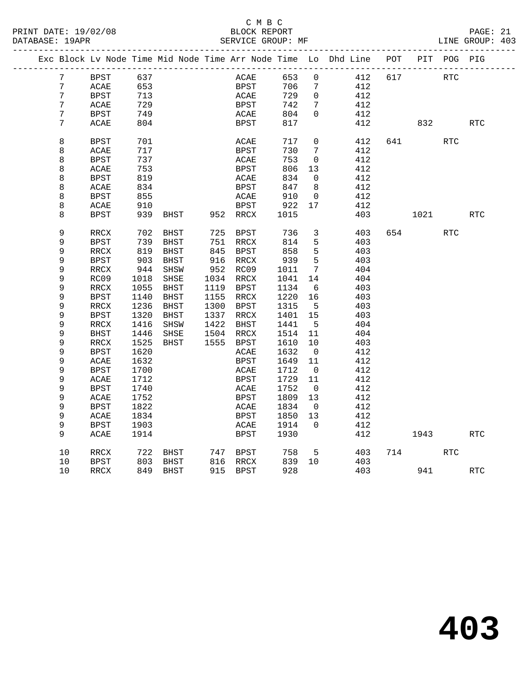PRINT DATE: 19/02/08 BLOCK REPORT BATABASE: 19APR BEST BERVICE GROUP: MF

### C M B C<br>BLOCK REPORT

|  |                | Exc Block Lv Node Time Mid Node Time Arr Node Time Lo Dhd Line POT |      |          |           |                              |      |                         |     |     |        | PIT POG PIG |            |
|--|----------------|--------------------------------------------------------------------|------|----------|-----------|------------------------------|------|-------------------------|-----|-----|--------|-------------|------------|
|  | 7              | BPST                                                               | 637  |          |           | ACAE                         | 653  | $\overline{0}$          | 412 | 617 | RTC    |             |            |
|  | 7              | $\text{ACAE}$                                                      | 653  |          |           | BPST                         | 706  | 7                       | 412 |     |        |             |            |
|  | $\overline{7}$ | <b>BPST</b>                                                        | 713  |          |           | ACAE                         | 729  | $\mathbf 0$             | 412 |     |        |             |            |
|  | 7              | ACAE                                                               | 729  |          |           | BPST                         | 742  | 7                       | 412 |     |        |             |            |
|  | 7              | BPST                                                               | 749  |          |           | ACAE                         | 804  | $\Omega$                | 412 |     |        |             |            |
|  | 7              | ACAE                                                               | 804  |          |           | BPST                         | 817  |                         | 412 |     | 832    |             | <b>RTC</b> |
|  |                |                                                                    |      |          |           |                              |      |                         |     |     |        |             |            |
|  | 8              | <b>BPST</b>                                                        | 701  |          |           | ACAE                         | 717  | $\mathsf{O}$            | 412 |     | 641 64 | RTC         |            |
|  | 8              | ACAE                                                               | 717  |          |           | BPST                         | 730  | $7\phantom{.0}$         | 412 |     |        |             |            |
|  | 8              | <b>BPST</b>                                                        | 737  |          |           | ACAE                         | 753  | $\mathbf 0$             | 412 |     |        |             |            |
|  | 8              | ACAE                                                               | 753  |          |           | <b>BPST</b>                  | 806  | 13                      | 412 |     |        |             |            |
|  | 8              | BPST                                                               | 819  |          |           | ACAE                         | 834  | $\mathbf{0}$            | 412 |     |        |             |            |
|  | 8              | ACAE                                                               | 834  |          |           | BPST                         | 847  | 8                       | 412 |     |        |             |            |
|  | 8              | BPST                                                               | 855  |          |           | ACAE                         | 910  | $\overline{0}$          | 412 |     |        |             |            |
|  | 8              | ACAE                                                               | 910  |          |           | BPST                         | 922  | 17                      | 412 |     |        |             |            |
|  | 8              | BPST                                                               | 939  | BHST     |           | 952 RRCX                     | 1015 |                         | 403 |     | 1021 \ |             | <b>RTC</b> |
|  |                |                                                                    |      |          |           |                              |      |                         |     |     |        |             |            |
|  | 9              | RRCX                                                               | 702  | BHST     | 725       | BPST                         | 736  | 3                       | 403 |     | 654 65 | RTC         |            |
|  | 9              | <b>BPST</b>                                                        | 739  | BHST     | 751       | RRCX                         | 814  | 5                       | 403 |     |        |             |            |
|  | 9              | RRCX                                                               | 819  | BHST     |           | 845 BPST                     | 858  | 5                       | 403 |     |        |             |            |
|  | 9              | <b>BPST</b>                                                        | 903  | BHST     |           | 916 RRCX                     | 939  | 5                       | 403 |     |        |             |            |
|  | 9              | RRCX                                                               | 944  | SHSW     | 952 RC09  |                              | 1011 | $7\phantom{.0}$         | 404 |     |        |             |            |
|  | 9              | RC09                                                               | 1018 | SHSE     | 1034 RRCX |                              | 1041 | 14                      | 404 |     |        |             |            |
|  | 9              | RRCX                                                               | 1055 | BHST     | 1119 BPST |                              | 1134 | 6                       | 403 |     |        |             |            |
|  | 9              | BPST                                                               | 1140 | BHST     | 1155 RRCX |                              | 1220 | 16                      | 403 |     |        |             |            |
|  | 9              | RRCX                                                               | 1236 | BHST     | 1300      | BPST                         | 1315 | $-5$                    | 403 |     |        |             |            |
|  | $\mathsf 9$    | <b>BPST</b>                                                        | 1320 | BHST     | 1337 RRCX |                              | 1401 | 15                      | 403 |     |        |             |            |
|  | 9              | RRCX                                                               | 1416 | SHSW     | 1422 BHST |                              | 1441 | $5^{\circ}$             | 404 |     |        |             |            |
|  | 9              | <b>BHST</b>                                                        | 1446 | SHSE     | 1504 RRCX |                              | 1514 | 11                      | 404 |     |        |             |            |
|  | 9              | RRCX                                                               | 1525 | BHST     | 1555 BPST |                              | 1610 | 10                      | 403 |     |        |             |            |
|  | 9              | BPST                                                               | 1620 |          |           | ACAE                         | 1632 | $\overline{0}$          | 412 |     |        |             |            |
|  | $\mathsf 9$    | ACAE                                                               | 1632 |          |           | BPST                         | 1649 | 11                      | 412 |     |        |             |            |
|  | 9              | <b>BPST</b>                                                        | 1700 |          |           | $\ensuremath{\mathsf{ACAE}}$ | 1712 | $\overline{0}$          | 412 |     |        |             |            |
|  | 9              | ACAE                                                               | 1712 |          |           | BPST                         | 1729 | 11                      | 412 |     |        |             |            |
|  | 9              | BPST                                                               | 1740 |          |           | ACAE                         | 1752 | $\overline{0}$          | 412 |     |        |             |            |
|  | 9              | ACAE                                                               | 1752 |          |           | <b>BPST</b>                  | 1809 | 13                      | 412 |     |        |             |            |
|  | 9              | BPST                                                               | 1822 |          |           | ACAE                         | 1834 | $\overline{\mathbf{0}}$ | 412 |     |        |             |            |
|  | 9              | ACAE                                                               | 1834 |          |           | BPST                         | 1850 | 13                      | 412 |     |        |             |            |
|  | 9              | BPST                                                               | 1903 |          |           | ACAE                         | 1914 | $\Omega$                | 412 |     |        |             |            |
|  | 9              | ACAE                                                               | 1914 |          |           | BPST                         | 1930 |                         | 412 |     | 1943   |             | <b>RTC</b> |
|  |                |                                                                    |      |          |           |                              |      |                         |     |     |        |             |            |
|  | 10             | RRCX                                                               | 722  | BHST     |           | 747 BPST                     | 758  | 5                       | 403 |     | 714    | RTC         |            |
|  | 10             | BPST                                                               | 803  | BHST     | 816 RRCX  |                              | 839  | 10                      | 403 |     |        |             |            |
|  | 10             | $\mathop{\mathrm{RRCX}}$                                           |      | 849 BHST |           | 915 BPST                     | 928  |                         | 403 |     | 941    |             | <b>RTC</b> |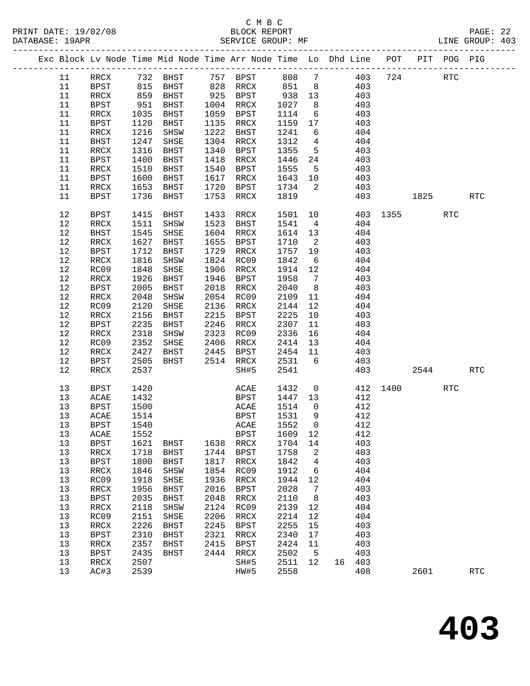## C M B C N B C N B C N B C C M B C

| DATABASE: 19APR |                                                                                |                 | SERVICE GROUP: MF       |      |                                                                        |              |                         |                |            |             |             |            | LINE GROUP: 403      |  |
|-----------------|--------------------------------------------------------------------------------|-----------------|-------------------------|------|------------------------------------------------------------------------|--------------|-------------------------|----------------|------------|-------------|-------------|------------|----------------------|--|
|                 | Exc Block Lv Node Time Mid Node Time Arr Node Time Lo Dhd Line POT PIT POG PIG |                 |                         |      |                                                                        |              |                         |                |            |             |             |            |                      |  |
| 11              | RRCX 732 BHST 757 BPST 808 7                                                   |                 |                         |      |                                                                        |              |                         |                |            | 403 724 RTC |             |            |                      |  |
| 11              | BPST                                                                           |                 | 815 BHST 828 RRCX 851 8 |      |                                                                        |              |                         |                | 403        |             |             |            |                      |  |
| 11              | RRCX                                                                           | 859             |                         |      | BHST 925 BPST 938 13<br>BHST 1004 RRCX 1027 8<br>BHST 1059 BPST 1114 6 |              |                         |                | 403        |             |             |            |                      |  |
| 11              | BPST                                                                           | $951$<br>$1035$ |                         |      |                                                                        |              |                         |                | 403        |             |             |            |                      |  |
| 11              | RRCX                                                                           | 1035            | BHST                    |      | 1059 BPST                                                              | 1114         | $6\overline{6}$         |                | 403        |             |             |            |                      |  |
| 11              | BPST                                                                           | 1120            | BHST                    |      | 1135 RRCX                                                              | 1159         | 17                      |                | 403        |             |             |            |                      |  |
| 11              | RRCX                                                                           | 1216            | SHSW                    |      | 1222 BHST                                                              | 1241         | 6                       |                | 404        |             |             |            |                      |  |
| 11              | BHST                                                                           | 1247            | SHSE                    |      | 1304 RRCX                                                              | 1312         | $\overline{4}$          |                | 404        |             |             |            |                      |  |
| 11              | RRCX                                                                           | 1316            | BHST                    |      | 1340 BPST                                                              | 1355         | $5^{\circ}$             |                | 403        |             |             |            |                      |  |
| 11              | BPST                                                                           | 1400            | BHST                    | 1418 | RRCX                                                                   | 1446         | 24                      |                | 403        |             |             |            |                      |  |
| 11              | RRCX                                                                           | 1510            | BHST                    | 1540 | BPST                                                                   | 1555         | $5^{\circ}$             |                | 403        |             |             |            |                      |  |
| 11              | BPST                                                                           | 1600            | BHST                    |      | 1617 RRCX                                                              | 1643 10      |                         |                | 403        |             |             |            |                      |  |
| 11              | RRCX                                                                           | 1653            | BHST                    | 1720 | BPST                                                                   | 1734         | $\overline{2}$          |                | 403        |             |             |            |                      |  |
| 11              | BPST                                                                           | 1736            | BHST                    | 1753 | RRCX                                                                   | 1819         |                         |                |            | 403         | 1825   1820 |            | <b>RTC</b>           |  |
| 12              | BPST                                                                           | 1415            | BHST                    | 1433 | RRCX                                                                   | 1501         | 10                      |                |            | 403 1355    |             | <b>RTC</b> |                      |  |
| 12              | RRCX                                                                           | 1511            | SHSW                    |      | 1523 BHST                                                              | 1541         | $\overline{4}$          |                | 404        |             |             |            |                      |  |
| 12              | BHST                                                                           | 1545            | SHSE                    |      | 1604 RRCX                                                              | 1614 13      |                         |                | 404        |             |             |            |                      |  |
| 12              | RRCX                                                                           | 1627            | BHST                    |      | 1655 BPST                                                              | 1710         | $\overline{\mathbf{2}}$ |                | 403        |             |             |            |                      |  |
| 12              | BPST                                                                           | 1712            | BHST                    |      | 1729 RRCX                                                              | 1757 19      |                         |                | 403        |             |             |            |                      |  |
| 12              | $\mathop{\mathrm{RRCX}}$                                                       | 1816            | SHSW                    |      | 1824 RC09                                                              | 1842         | 6                       |                | 404        |             |             |            |                      |  |
| 12              | RC09                                                                           | 1848            | SHSE                    |      | 1906 RRCX                                                              | 1914         | 12                      |                | 404        |             |             |            |                      |  |
| 12              | RRCX                                                                           | 1926            | BHST                    |      | 1946 BPST                                                              | 1958         | $\overline{7}$          |                | 403        |             |             |            |                      |  |
| 12              | <b>BPST</b>                                                                    | 2005            | BHST                    |      | 2018 RRCX                                                              | 2040         | 8 <sup>8</sup>          |                | 403        |             |             |            |                      |  |
| 12              | RRCX                                                                           | 2048            | SHSW                    |      | 2054 RC09                                                              | 2109         | 11                      |                | 404        |             |             |            |                      |  |
| 12              | RC09                                                                           | 2120            | SHSE                    |      | 2136 RRCX                                                              | 2144         | 12                      |                | 404        |             |             |            |                      |  |
| 12              | RRCX                                                                           | 2156            | BHST                    | 2215 | BPST                                                                   | 2225         | 10                      |                | 403        |             |             |            |                      |  |
| 12              | BPST                                                                           | 2235            | BHST                    | 2246 | RRCX                                                                   | 2307         | 11                      |                | 403        |             |             |            |                      |  |
| 12              | RRCX                                                                           | 2318            | SHSW                    |      | 2323 RC09                                                              | 2336         | 16                      |                | 404        |             |             |            |                      |  |
| 12              | RC09                                                                           | 2352            | SHSE                    |      | 2406 RRCX                                                              | 2414         | 13                      |                | 404        |             |             |            |                      |  |
| 12              | RRCX                                                                           | 2427            | BHST                    |      | 2445 BPST                                                              | 2454 11      |                         |                | 403        |             |             |            |                      |  |
| 12              | BPST                                                                           | 2505            | BHST                    |      | 2514 RRCX                                                              | 2531         | $6\overline{6}$         |                | 403        |             |             |            |                      |  |
| 12              | RRCX                                                                           | 2537            |                         |      | SH#5                                                                   | 2541         |                         |                |            | 403         |             | 2544       | RTC                  |  |
| 13              | BPST                                                                           | 1420            |                         |      | ACAE                                                                   | 1432         |                         | $\overline{0}$ |            | 412 1400    |             | <b>RTC</b> |                      |  |
| 13              | ACAE                                                                           | 1432            |                         |      | BPST                                                                   | 1447 13      |                         |                | 412        |             |             |            |                      |  |
| 13              | BPST                                                                           | 1500            |                         |      | ACAE                                                                   | 1514         | $\overline{0}$          |                | 412        |             |             |            |                      |  |
| 13              | ACAE                                                                           | 1514            |                         |      | BPST                                                                   | 1531         | $\overline{9}$          |                | 412        |             |             |            |                      |  |
| 13              | <b>BPST</b>                                                                    |                 |                         |      |                                                                        |              |                         |                |            |             |             |            |                      |  |
| 13<br>13        | ACAE                                                                           | 1552            |                         |      | <b>BPST</b><br>1638 RRCX                                               | 1609 12      |                         |                | 412<br>403 |             |             |            |                      |  |
| 13              | <b>BPST</b><br>RRCX                                                            | 1621<br>1718    | BHST<br>BHST            | 1744 | BPST                                                                   | 1704<br>1758 | 14<br>$\overline{a}$    |                | 403        |             |             |            |                      |  |
| 13              | <b>BPST</b>                                                                    | 1800            | BHST                    | 1817 | RRCX                                                                   | 1842         | $\overline{4}$          |                | 403        |             |             |            |                      |  |
| 13              | RRCX                                                                           | 1846            | SHSW                    | 1854 | RC09                                                                   | 1912         | 6                       |                | 404        |             |             |            |                      |  |
| 13              | RC09                                                                           | 1918            | SHSE                    | 1936 | $\verb!RRCX!$                                                          | 1944         | 12                      |                | 404        |             |             |            |                      |  |
| 13              | RRCX                                                                           | 1956            | BHST                    | 2016 | <b>BPST</b>                                                            | 2028         | $7\phantom{.0}$         |                | 403        |             |             |            |                      |  |
| 13              | <b>BPST</b>                                                                    | 2035            | <b>BHST</b>             | 2048 | RRCX                                                                   | 2110         | 8                       |                | 403        |             |             |            |                      |  |
| 13              | RRCX                                                                           | 2118            | SHSW                    | 2124 | RC09                                                                   | 2139         | 12                      |                | 404        |             |             |            |                      |  |
| 13              | RC09                                                                           | 2151            | SHSE                    | 2206 | RRCX                                                                   | 2214         | 12                      |                | 404        |             |             |            |                      |  |
| 13              | RRCX                                                                           | 2226            | BHST                    | 2245 | <b>BPST</b>                                                            | 2255         | 15                      |                | 403        |             |             |            |                      |  |
| 13              | <b>BPST</b>                                                                    | 2310            | BHST                    | 2321 | RRCX                                                                   | 2340         | 17                      |                | 403        |             |             |            |                      |  |
| 13              | RRCX                                                                           | 2357            | BHST                    | 2415 | BPST                                                                   | 2424         | 11                      |                | 403        |             |             |            |                      |  |
| 13              | <b>BPST</b>                                                                    | 2435            | BHST                    | 2444 | RRCX                                                                   | 2502         | $5^{\circ}$             |                | 403        |             |             |            |                      |  |
| 13              | RRCX                                                                           | 2507            |                         |      | SH#5                                                                   | 2511 12      |                         | 16 403         |            |             |             |            |                      |  |
| 13              | AC#3                                                                           | 2539            |                         |      | HW#5                                                                   | 2558         |                         |                | 408        |             | 2601        |            | $\operatorname{RTC}$ |  |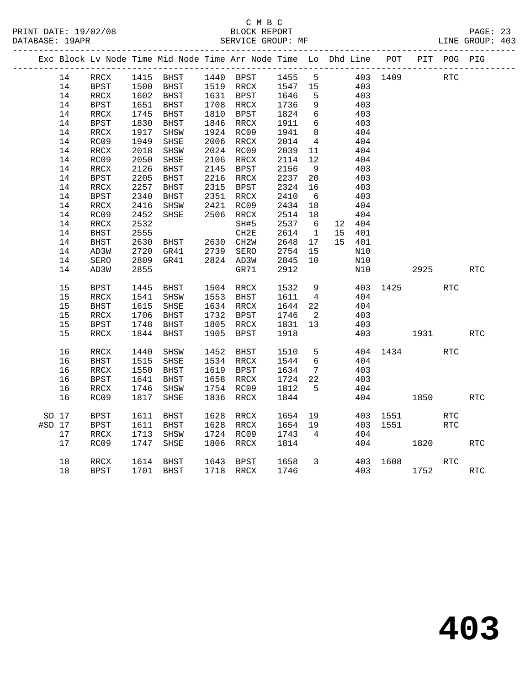|          |    |                          |      |                                  |      | Exc Block Lv Node Time Mid Node Time Arr Node Time Lo Dhd Line POT |                      |                 |    |                                           |          |        | PIT POG PIG |            |
|----------|----|--------------------------|------|----------------------------------|------|--------------------------------------------------------------------|----------------------|-----------------|----|-------------------------------------------|----------|--------|-------------|------------|
|          | 14 | RRCX                     |      |                                  |      | 1415 BHST 1440 BPST 1455 5                                         |                      |                 |    | 403 1409                                  |          |        | RTC         |            |
|          | 14 | <b>BPST</b>              |      |                                  |      | BHST 1519 RRCX 1547 15<br>BHST 1631 BPST 1646 5                    |                      |                 |    | $\begin{array}{c} 403 \\ 403 \end{array}$ |          |        |             |            |
|          | 14 | RRCX                     |      | 1500 BHSI<br>1602 BHST           |      |                                                                    |                      |                 |    |                                           |          |        |             |            |
|          | 14 | BPST                     | 1651 | BHST                             |      | 1708 RRCX                                                          | 1736<br>1824         | 9               |    | 403                                       |          |        |             |            |
|          | 14 | RRCX                     | 1745 | <b>BHST</b>                      |      | 1810 BPST                                                          | 1824                 | $6\overline{6}$ |    | 403                                       |          |        |             |            |
|          | 14 | <b>BPST</b>              | 1830 | BHST                             |      | 1846 RRCX                                                          | 1911                 | 6               |    | 403                                       |          |        |             |            |
|          | 14 | RRCX                     | 1917 | SHSW                             |      | 1924 RC09                                                          | 1941                 | 8 <sup>8</sup>  |    | 404                                       |          |        |             |            |
|          | 14 | RC09                     | 1949 | SHSE                             |      | 2006 RRCX                                                          | 2014                 | $\overline{4}$  |    | 404                                       |          |        |             |            |
|          | 14 | $\mathop{\mathrm{RRCX}}$ | 2018 | SHSW                             |      | 2024 RC09                                                          | 2039                 | 11              |    | 404                                       |          |        |             |            |
|          | 14 | RC09                     | 2050 | SHSE                             |      | 2106 RRCX                                                          | 2114 12              |                 |    | 404                                       |          |        |             |            |
|          | 14 | RRCX                     | 2126 | <b>BHST</b>                      |      | 2145 BPST                                                          | 2156                 | 9               |    | 403                                       |          |        |             |            |
|          | 14 | BPST                     | 2205 | BHST                             |      | 2216 RRCX                                                          | 2237<br>2324         | 20              |    | 403                                       |          |        |             |            |
|          | 14 | RRCX                     | 2257 | BHST                             |      | 2315 BPST                                                          |                      | 16              |    | 403                                       |          |        |             |            |
|          | 14 | <b>BPST</b>              | 2340 | BHST                             |      | 2351 RRCX<br>2421 RC09                                             | 2410 b<br>2434 18    |                 |    | 403                                       |          |        |             |            |
|          | 14 | $\mathop{\mathrm{RRCX}}$ | 2416 | SHSW                             |      | RC09                                                               |                      |                 |    | 404                                       |          |        |             |            |
|          | 14 | RC09                     | 2452 | SHSE                             |      | 2506 RRCX                                                          | 2514 18              |                 |    | 404                                       |          |        |             |            |
|          | 14 | RRCX                     | 2532 |                                  |      | SH#5                                                               | 2537                 | 6               |    | 12 404                                    |          |        |             |            |
|          | 14 | <b>BHST</b>              | 2555 |                                  |      | CH2E                                                               | 2614                 | $\overline{1}$  |    | 15 401                                    |          |        |             |            |
|          | 14 | <b>BHST</b>              | 2630 | BHST 2630 CH2W<br>GR41 2739 SERO |      |                                                                    | 2648<br>2648<br>2754 | 17              |    | 15 401                                    |          |        |             |            |
|          | 14 | AD3W                     | 2720 |                                  |      |                                                                    |                      | 15              |    | N10                                       |          |        |             |            |
|          | 14 | SERO                     | 2809 | GR41                             |      | 2824 AD3W                                                          | 2845                 | 10              |    | N10                                       |          |        |             |            |
|          | 14 | AD3W                     | 2855 |                                  |      | GR71                                                               | 2912                 |                 |    | N10                                       |          | 2925 7 |             | <b>RTC</b> |
|          | 15 | BPST                     | 1445 | BHST                             |      | 1504 RRCX<br>1553 BHST                                             | 1532<br>1611         | 9               |    |                                           | 403 1425 |        | <b>RTC</b>  |            |
|          | 15 | RRCX                     | 1541 | SHSW                             |      |                                                                    |                      | $\overline{4}$  |    | 404                                       |          |        |             |            |
|          | 15 | <b>BHST</b>              | 1615 | SHSE                             |      | 1634 RRCX                                                          | 1644                 | 22              |    | 404                                       |          |        |             |            |
|          | 15 | $\mathop{\mathrm{RRCX}}$ | 1706 | BHST                             |      | 1732 BPST                                                          | 1746                 | $\overline{2}$  |    | 403                                       |          |        |             |            |
|          | 15 | BPST                     | 1748 | BHST                             |      | 1805 RRCX                                                          | 1831 13              |                 |    | 403                                       |          |        |             |            |
|          | 15 | RRCX                     | 1844 | BHST                             | 1905 | BPST                                                               | 1918                 |                 |    | 403                                       | 1931     |        |             | <b>RTC</b> |
|          | 16 | $\verb!RRCX!$            | 1440 | SHSW                             | 1452 | BHST                                                               | 1510                 | 5 <sup>5</sup>  |    |                                           | 404 1434 |        | RTC         |            |
|          | 16 | <b>BHST</b>              | 1515 | SHSE                             |      | 1534 RRCX                                                          | 1544                 | $6\overline{6}$ |    | 404                                       |          |        |             |            |
|          | 16 | RRCX                     | 1550 | BHST                             |      | 1619 BPST                                                          | 1634                 | $7\overline{ }$ |    | 403                                       |          |        |             |            |
|          | 16 | BPST                     | 1641 | BHST                             |      | 1658 RRCX                                                          | 1724                 | 22              |    | 403                                       |          |        |             |            |
|          | 16 | RRCX                     | 1746 | SHSW                             |      | 1754 RC09                                                          | 1812                 | $5^{\circ}$     |    | 404                                       |          |        |             |            |
|          | 16 | RC09                     | 1817 | SHSE                             | 1836 | RRCX                                                               | 1844                 |                 |    |                                           | 404 1850 |        |             | RTC        |
| SD 17    |    | <b>BPST</b>              | 1611 | BHST                             |      | 1628 RRCX                                                          | 1654                 |                 | 19 |                                           | 403 1551 |        | <b>RTC</b>  |            |
| $#SD$ 17 |    | BPST                     | 1611 | BHST                             |      | 1628 RRCX                                                          | 1654 19              |                 |    |                                           | 403 1551 |        | RTC         |            |
|          | 17 | RRCX                     | 1713 | SHSW                             |      | 1724 RC09                                                          | 1743                 | $\overline{4}$  |    | 404                                       |          |        |             |            |
|          | 17 | RC09                     | 1747 | SHSE                             | 1806 | RRCX                                                               | 1814                 |                 |    |                                           | 404      | 1820   |             | <b>RTC</b> |
|          | 18 | RRCX                     |      | 1614 BHST                        |      | 1643 BPST                                                          | 1658                 | $\mathbf{3}$    |    |                                           | 403 1608 |        | <b>RTC</b>  |            |
|          | 18 | <b>BPST</b>              |      | 1701 BHST                        |      | 1718 RRCX                                                          | 1746                 |                 |    |                                           | 403      | 1752   |             | <b>RTC</b> |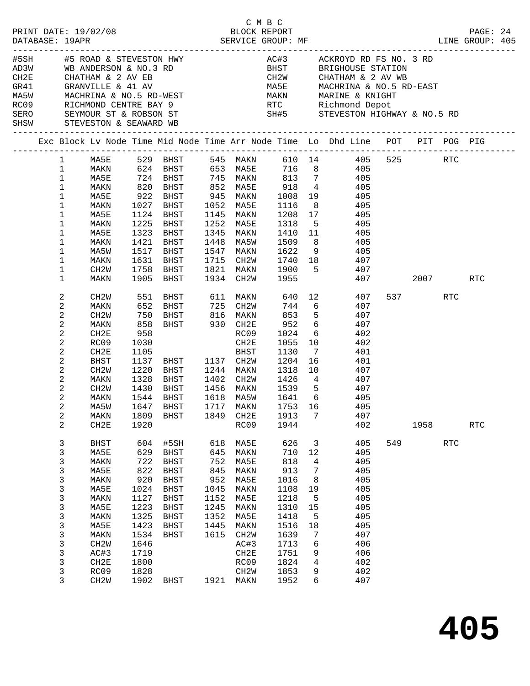|      |                |                        |      |                                |      |           |        |                | C M B C<br>PRINT DATE: 19/02/08 BLOCK REPORT PAGE: 24<br>DATABASE: 19APR SERVICE GROUP: MF LINE GROUP: 405 |     |           |             |            |  |
|------|----------------|------------------------|------|--------------------------------|------|-----------|--------|----------------|------------------------------------------------------------------------------------------------------------|-----|-----------|-------------|------------|--|
|      |                |                        |      |                                |      |           |        |                |                                                                                                            |     |           |             |            |  |
|      |                |                        |      |                                |      |           |        |                |                                                                                                            |     |           |             |            |  |
|      |                |                        |      |                                |      |           |        |                |                                                                                                            |     |           |             |            |  |
|      |                |                        |      |                                |      |           |        |                |                                                                                                            |     |           |             |            |  |
|      |                |                        |      |                                |      |           |        |                |                                                                                                            |     |           |             |            |  |
|      |                |                        |      |                                |      |           |        |                |                                                                                                            |     |           |             |            |  |
|      |                |                        |      |                                |      |           |        |                |                                                                                                            |     |           |             |            |  |
|      |                |                        |      |                                |      |           |        |                | SERO SEYMOUR ST & ROBSON ST SH#5 STEVESTON HIGHWAY & NO.5 RD                                               |     |           |             |            |  |
| SHSW |                | STEVESTON & SEAWARD WB |      |                                |      |           |        |                |                                                                                                            |     |           |             |            |  |
|      |                |                        |      |                                |      |           |        |                | Exc Block Lv Node Time Mid Node Time Arr Node Time Lo Dhd Line POT PIT POG PIG                             |     |           |             |            |  |
|      | $\mathbf{1}$   | MA5E                   |      |                                |      | 545 MAKN  |        |                |                                                                                                            |     |           |             |            |  |
|      | $\mathbf{1}$   | MAKN                   |      | 529   BHST<br>624   BHST       |      | 653 MA5E  |        |                | 610 14<br>716 8                                                                                            |     |           |             |            |  |
|      | $\mathbf{1}$   | MA5E                   |      | 724 BHST                       |      |           |        |                | 745 MAKN 813 7 405                                                                                         |     |           |             |            |  |
|      | $\mathbf{1}$   | MAKN                   | 820  | BHST                           | 852  | MA5E      |        |                | 918 4 405                                                                                                  |     |           |             |            |  |
|      | $\mathbf 1$    | MA5E                   | 922  | BHST                           |      | 945 MAKN  | 1008   |                | 19<br>405                                                                                                  |     |           |             |            |  |
|      | $\mathbf 1$    | MAKN                   | 1027 | BHST                           | 1052 | MA5E      | 1116   | 8 <sup>8</sup> | 405                                                                                                        |     |           |             |            |  |
|      | $\mathbf 1$    | MA5E                   | 1124 | BHST                           | 1145 | MAKN      | 1208   | 17             | 405                                                                                                        |     |           |             |            |  |
|      | $\mathbf{1}$   | MAKN                   | 1225 | BHST                           | 1252 | MA5E      | 1318   | $5^{\circ}$    | 405                                                                                                        |     |           |             |            |  |
|      | $\mathbf 1$    | MA5E                   | 1323 | BHST                           | 1345 | MAKN      | 1410   | 11             | 405                                                                                                        |     |           |             |            |  |
|      | $\mathbf 1$    | MAKN                   | 1421 | BHST                           | 1448 | MA5W      | 1509 8 |                | 405                                                                                                        |     |           |             |            |  |
|      | 1              | MA5W                   | 1517 | BHST                           | 1547 | MAKN      | 1622   |                | 9 405                                                                                                      |     |           |             |            |  |
|      | $\mathbf 1$    | MAKN                   | 1631 | BHST                           | 1715 | CH2W      |        |                | 1740 18 407                                                                                                |     |           |             |            |  |
|      | $\mathbf 1$    | CH2W                   | 1758 | BHST                           | 1821 | MAKN      |        |                | 1900 5 407                                                                                                 |     |           |             |            |  |
|      | $\mathbf 1$    | MAKN                   | 1905 | BHST                           | 1934 | CH2W      | 1955   |                | 407                                                                                                        |     |           | 2007 - 2007 | RTC        |  |
|      | 2              | CH2W                   | 551  | BHST                           |      | 611 MAKN  |        |                | 640 12<br>407                                                                                              |     | 537 — 100 | <b>RTC</b>  |            |  |
|      | 2              | MAKN                   | 652  | BHST                           | 725  | CH2W      | 744    |                | $6\overline{6}$<br>407                                                                                     |     |           |             |            |  |
|      | $\sqrt{2}$     | CH <sub>2</sub> W      | 750  |                                |      |           | 853    | 5 <sup>5</sup> | 407                                                                                                        |     |           |             |            |  |
|      | 2              | MAKN                   | 858  | BHST 816 MAKN<br>BHST 930 CH2E |      |           | 952    | 6              | 407                                                                                                        |     |           |             |            |  |
|      | 2              | CH2E                   | 958  |                                |      | RC09      | 1024   | 6              | 402                                                                                                        |     |           |             |            |  |
|      | 2              | RC09                   | 1030 |                                |      | CH2E      | 1055   | 10             | 402                                                                                                        |     |           |             |            |  |
|      | $\sqrt{2}$     | CH2E                   | 1105 | BHST 1137                      |      | BHST      | 1130   | $\overline{7}$ | 401                                                                                                        |     |           |             |            |  |
|      | $\sqrt{2}$     | BHST                   | 1137 |                                |      | 1137 CH2W | 1204   | 16             | 401                                                                                                        |     |           |             |            |  |
|      | 2              | CH2W                   | 1220 | BHST                           |      | 1244 MAKN | 1318   |                | 10 0<br>407                                                                                                |     |           |             |            |  |
|      | 2              | MAKN                   | 1328 | BHST                           | 1402 | CH2W      | 1426   |                | 4 407                                                                                                      |     |           |             |            |  |
|      | 2              | CH <sub>2</sub> W      | 1430 | BHST                           |      | 1456 MAKN | 1539 5 |                | 407                                                                                                        |     |           |             |            |  |
|      | 2              | MAKN                   | 1544 | BHST                           |      | 1618 MA5W | 1641 6 |                | 405                                                                                                        |     |           |             |            |  |
|      | 2              | MA5W                   |      |                                |      |           |        |                | 1647 BHST 1717 MAKN 1753 16 405                                                                            |     |           |             |            |  |
|      | 2              | MAKN                   | 1809 | BHST                           | 1849 | CH2E      | 1913   | $\overline{7}$ | 407                                                                                                        |     |           |             |            |  |
|      | $\overline{a}$ | CH2E                   | 1920 |                                |      | RC09      | 1944   |                | 402                                                                                                        |     | 1958      |             | <b>RTC</b> |  |
|      | $\mathbf{3}$   | <b>BHST</b>            | 604  | #5SH                           | 618  | MA5E      | 626    | $\overline{3}$ | 405                                                                                                        | 549 |           | <b>RTC</b>  |            |  |
|      | 3              | MA5E                   | 629  | BHST                           | 645  | MAKN      | 710    | 12             | 405                                                                                                        |     |           |             |            |  |
|      | 3              | MAKN                   | 722  | BHST                           | 752  | MA5E      | 818    | 4              | 405                                                                                                        |     |           |             |            |  |
|      | 3              | MA5E                   | 822  | BHST                           | 845  | MAKN      | 913    | 7              | 405                                                                                                        |     |           |             |            |  |
|      | 3              | MAKN                   | 920  | BHST                           | 952  | MA5E      | 1016   | 8              | 405                                                                                                        |     |           |             |            |  |
|      | 3              | MA5E                   | 1024 | BHST                           | 1045 | MAKN      | 1108   | 19             | 405                                                                                                        |     |           |             |            |  |
|      | 3              | MAKN                   | 1127 | BHST                           | 1152 | MA5E      | 1218   | 5              | 405                                                                                                        |     |           |             |            |  |
|      | $\mathsf 3$    | MA5E                   | 1223 | BHST                           | 1245 | MAKN      | 1310   | 15             | 405                                                                                                        |     |           |             |            |  |
|      | 3              | MAKN                   | 1325 | BHST                           | 1352 | MA5E      | 1418   | 5              | 405                                                                                                        |     |           |             |            |  |
|      | 3              | MA5E                   | 1423 | BHST                           | 1445 | MAKN      | 1516   | 18             | 405                                                                                                        |     |           |             |            |  |
|      | $\mathsf{3}$   | MAKN                   | 1534 | BHST                           | 1615 | CH2W      | 1639   | 7              | 407                                                                                                        |     |           |             |            |  |
|      | $\mathsf{3}$   | CH <sub>2</sub> W      | 1646 |                                |      | AC#3      | 1713   | 6              | 406                                                                                                        |     |           |             |            |  |
|      | 3              | AC#3                   | 1719 |                                |      | CH2E      | 1751   | 9              | 406                                                                                                        |     |           |             |            |  |
|      | 3              | CH2E                   | 1800 |                                |      | RC09      | 1824   | 4              | 402                                                                                                        |     |           |             |            |  |
|      | 3              | RC09                   | 1828 |                                |      | CH2W      | 1853   | 9              | 402                                                                                                        |     |           |             |            |  |
|      | 3              | CH <sub>2</sub> W      | 1902 | BHST                           |      | 1921 MAKN | 1952   | 6              | 407                                                                                                        |     |           |             |            |  |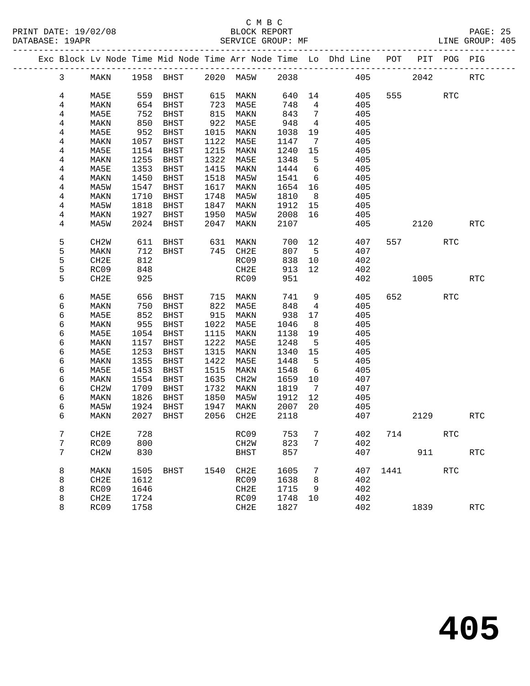PRINT DATE: 19/02/08 BLOCK REPORT BATABASE: 19APR

## C M B C<br>BLOCK REPORT

PAGE: 25<br>LINE GROUP: 405

|  |        |                   |              |              |              |                   |              |                              | Exc Block Lv Node Time Mid Node Time Arr Node Time Lo Dhd Line POT |         |      | PIT POG PIG |                      |
|--|--------|-------------------|--------------|--------------|--------------|-------------------|--------------|------------------------------|--------------------------------------------------------------------|---------|------|-------------|----------------------|
|  | 3      | MAKN              |              | 1958 BHST    |              | 2020 MA5W         | 2038         |                              |                                                                    | 405     | 2042 |             | <b>RTC</b>           |
|  | 4      | MA5E              | 559          | BHST         | 615          | MAKN              | 640          | 14                           | 405                                                                | 555     |      | <b>RTC</b>  |                      |
|  | 4      | MAKN              | 654          | BHST         | 723          | MA5E              | 748          | $4\overline{4}$              | 405                                                                |         |      |             |                      |
|  | 4      | MA5E              | 752          | BHST         | 815          | MAKN              | 843          | $\overline{7}$               | 405                                                                |         |      |             |                      |
|  | 4      | MAKN              | 850          | BHST         | 922          | MA5E              | 948          | $\overline{4}$               | 405                                                                |         |      |             |                      |
|  | 4      | MA5E              | 952          | BHST         | 1015         | MAKN              | 1038         | 19                           | 405                                                                |         |      |             |                      |
|  | 4      | MAKN              | 1057         | BHST         | 1122         | MA5E              | 1147         | $7\phantom{.0}\phantom{.0}7$ | 405                                                                |         |      |             |                      |
|  | 4      | MA5E              | 1154         | <b>BHST</b>  | 1215         | MAKN              | 1240         | 15                           | 405                                                                |         |      |             |                      |
|  | 4      | MAKN              | 1255         | BHST         | 1322         | MA5E              | 1348         | 5                            | 405                                                                |         |      |             |                      |
|  | 4      | MA5E              | 1353         | BHST         | 1415         | MAKN              | 1444         | 6                            | 405                                                                |         |      |             |                      |
|  | 4      | MAKN              | 1450         | BHST         | 1518         | MA5W              | 1541         | 6                            | 405                                                                |         |      |             |                      |
|  | 4      | MA5W              | 1547         | BHST         | 1617         | MAKN              | 1654         | 16                           | 405                                                                |         |      |             |                      |
|  | 4      | MAKN              | 1710         | BHST         | 1748         | MA5W              | 1810         | 8                            | 405                                                                |         |      |             |                      |
|  | 4      | MA5W              | 1818         | BHST         | 1847         | MAKN              | 1912         | 15                           | 405                                                                |         |      |             |                      |
|  | 4      | MAKN              | 1927         | <b>BHST</b>  | 1950         | MA5W              | 2008         | 16                           | 405                                                                |         |      |             |                      |
|  | 4      | MA5W              | 2024         | BHST         | 2047         | MAKN              | 2107         |                              | 405                                                                |         | 2120 |             | <b>RTC</b>           |
|  |        |                   |              |              |              |                   |              |                              |                                                                    |         |      |             |                      |
|  | 5      | CH <sub>2</sub> W | 611          | BHST         | 631          | MAKN              | 700          | 12                           | 407                                                                | 557     |      | <b>RTC</b>  |                      |
|  | 5      | MAKN              | 712          | BHST         | 745          | CH2E              | 807          | $-5$                         | 407                                                                |         |      |             |                      |
|  | 5      | CH2E              | 812          |              |              | RC09              | 838          | 10                           | 402                                                                |         |      |             |                      |
|  | 5      | RC09              | 848          |              |              | CH2E              | 913          | 12                           | 402                                                                |         |      |             |                      |
|  | 5      | CH2E              | 925          |              |              | RC09              | 951          |                              | 402                                                                |         | 1005 |             | <b>RTC</b>           |
|  |        |                   |              |              |              |                   |              |                              |                                                                    |         |      |             |                      |
|  | 6      | MA5E              | 656          | BHST         | 715          | MAKN              | 741          | 9                            | 405                                                                | 652     |      | <b>RTC</b>  |                      |
|  | 6      | MAKN              | 750          | BHST         | 822          | MA5E              | 848          | $\overline{4}$               | 405                                                                |         |      |             |                      |
|  | 6      | MA5E              | 852          | BHST         | 915          | MAKN              | 938          | 17                           | 405                                                                |         |      |             |                      |
|  | 6      | MAKN              | 955          | BHST         | 1022         | MA5E              | 1046         | 8                            | 405                                                                |         |      |             |                      |
|  | 6      | MA5E              | 1054         | BHST         | 1115         | MAKN              | 1138         | 19                           | 405                                                                |         |      |             |                      |
|  | 6<br>6 | MAKN              | 1157<br>1253 | BHST         | 1222<br>1315 | MA5E              | 1248         | 5                            | 405<br>405                                                         |         |      |             |                      |
|  | 6      | MA5E              | 1355         | BHST         | 1422         | MAKN              | 1340         | 15<br>5                      |                                                                    |         |      |             |                      |
|  | 6      | MAKN<br>MA5E      | 1453         | BHST<br>BHST | 1515         | MA5E<br>MAKN      | 1448<br>1548 | - 6                          | 405<br>405                                                         |         |      |             |                      |
|  | 6      | MAKN              | 1554         | BHST         | 1635         | CH2W              | 1659         | 10                           | 407                                                                |         |      |             |                      |
|  | 6      | CH <sub>2</sub> W | 1709         | BHST         | 1732         | MAKN              | 1819         | 7                            | 407                                                                |         |      |             |                      |
|  | 6      | MAKN              | 1826         | BHST         | 1850         | MA5W              | 1912         | 12                           | 405                                                                |         |      |             |                      |
|  | 6      | MA5W              | 1924         | BHST         | 1947         | MAKN              | 2007         | 20                           | 405                                                                |         |      |             |                      |
|  | 6      | MAKN              | 2027         | BHST         | 2056         | CH2E              | 2118         |                              | 407                                                                |         | 2129 |             | <b>RTC</b>           |
|  |        |                   |              |              |              |                   |              |                              |                                                                    |         |      |             |                      |
|  | 7      | CH2E              | 728          |              |              | RC09              | 753          | $7\overline{ }$              |                                                                    | 402 714 |      | RTC         |                      |
|  | 7      | RC09              | 800          |              |              | CH <sub>2</sub> M | 823          | 7                            | 402                                                                |         |      |             |                      |
|  | 7      | CH2W              | 830          |              |              | <b>BHST</b>       | 857          |                              | 407                                                                |         | 911  |             | $\operatorname{RTC}$ |
|  |        |                   |              |              |              |                   |              |                              |                                                                    |         |      |             |                      |
|  | 8      | MAKN              | 1505         | <b>BHST</b>  | 1540         | CH2E              | 1605         | 7                            | 407                                                                | 1441    |      | <b>RTC</b>  |                      |
|  | 8      | CH2E              | 1612         |              |              | RC09              | 1638         | 8                            | 402                                                                |         |      |             |                      |
|  | 8      | RC09              | 1646         |              |              | CH2E              | 1715         | 9                            | 402                                                                |         |      |             |                      |
|  | 8      | CH2E              | 1724         |              |              | RC09              | 1748         | 10                           | 402                                                                |         |      |             |                      |
|  | 8      | RC09              | 1758         |              |              | CH2E              | 1827         |                              | 402                                                                |         | 1839 |             | <b>RTC</b>           |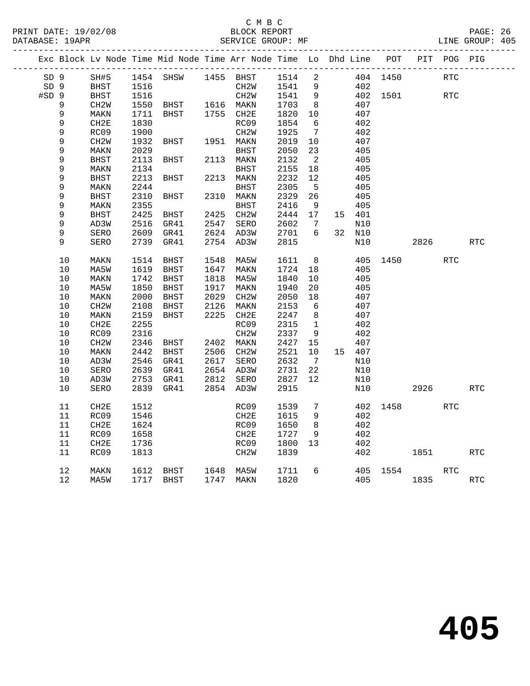### C M B C<br>BLOCK REPORT PRINT DATE: 19/02/08 BLOCK REPORT BATABASE: 19APR BEST SERVICE GROUP: MF

PAGE: 26<br>LINE GROUP: 405

|                 |                  |                     |              | Exc Block Lv Node Time Mid Node Time Arr Node Time Lo Dhd Line POT PIT POG PIG |      |                        |              |                       |               |          |      |            |            |
|-----------------|------------------|---------------------|--------------|--------------------------------------------------------------------------------|------|------------------------|--------------|-----------------------|---------------|----------|------|------------|------------|
| SD <sub>9</sub> |                  | SH#5                |              | 1454 SHSW                                                                      |      | 1455 BHST              | 1514         | $\overline{a}$        |               | 404 1450 |      | <b>RTC</b> |            |
| SD <sub>9</sub> |                  | BHST                | 1516         |                                                                                |      | CH2W                   | 1541         | 9                     | 402           |          |      |            |            |
| $#SD$ 9         |                  | BHST                | 1516         |                                                                                |      | CH2W                   | 1541         | 9                     |               | 402 1501 |      | <b>RTC</b> |            |
|                 | 9                | CH2W                | 1550         | BHST                                                                           |      | 1616 MAKN              | 1703         | 8 <sup>8</sup>        | 407           |          |      |            |            |
|                 | 9                | MAKN                | 1711         | BHST                                                                           |      | 1755 CH2E              | 1820         | 10                    | 407           |          |      |            |            |
|                 | 9                | CH2E                | 1830         |                                                                                |      | RC09                   | 1854         | 6                     | 402           |          |      |            |            |
|                 | 9                | RC09                | 1900         |                                                                                |      | CH2W                   | 1925         | $\overline{7}$        | 402           |          |      |            |            |
|                 | $\mathsf 9$      | CH2W                | 1932         | BHST                                                                           |      | 1951 MAKN              | 2019         | 10                    | 407           |          |      |            |            |
|                 | 9                | MAKN                | 2029         |                                                                                |      | BHST                   | 2050         | 23                    | 405           |          |      |            |            |
|                 | 9                | <b>BHST</b>         | 2113         | BHST                                                                           |      | 2113 MAKN              | 2132         | $\overline{2}$        | 405           |          |      |            |            |
|                 | 9                | MAKN                | 2134         |                                                                                |      | BHST                   | 2155         | 18                    | 405           |          |      |            |            |
|                 | 9                | <b>BHST</b>         | 2213         | BHST                                                                           |      | 2213 MAKN              | 2232         | 12                    | 405           |          |      |            |            |
|                 | 9                | MAKN                | 2244         |                                                                                |      | BHST                   | 2305         | $5^{\circ}$           | 405           |          |      |            |            |
|                 | $\mathsf 9$<br>9 | BHST                | 2310         | BHST                                                                           |      | 2310 MAKN              | 2329         | 26                    | 405           |          |      |            |            |
|                 |                  | MAKN<br><b>BHST</b> | 2355<br>2425 | BHST                                                                           |      | BHST<br>2425 CH2W      | 2416<br>2444 | 9<br>17               | 405<br>15 401 |          |      |            |            |
|                 | 9<br>$\mathsf 9$ | AD3W                | 2516         | GR41                                                                           |      | 2547 SERO              | 2602         | $\overline{7}$        | N10           |          |      |            |            |
|                 | 9                | SERO                | 2609         | GR41                                                                           |      | 2624 AD3W              | 2701         | 6                     | 32 N10        |          |      |            |            |
|                 | 9                | SERO                | 2739         | GR41                                                                           |      | 2754 AD3W              | 2815         |                       | N10           |          | 2826 |            | <b>RTC</b> |
|                 |                  |                     |              |                                                                                |      |                        |              |                       |               |          |      |            |            |
|                 | 10               | MAKN                | 1514         | BHST                                                                           |      | 1548 MA5W              | 1611         | 8 <sup>8</sup>        |               | 405 1450 |      | RTC        |            |
|                 | 10               | MA5W                | 1619         | BHST                                                                           |      | 1647 MAKN              | 1724         | 18                    | 405           |          |      |            |            |
|                 | 10               | MAKN                | 1742         | BHST                                                                           |      | 1818 MA5W              | 1840         | 10                    | 405           |          |      |            |            |
|                 | 10               | MA5W                | 1850         | BHST                                                                           | 1917 | MAKN                   | 1940         | 20                    | 405           |          |      |            |            |
|                 | 10               | MAKN                | 2000         | BHST                                                                           | 2029 | CH2W                   | 2050         | 18                    | 407           |          |      |            |            |
|                 | 10               | CH2W                | 2108         | BHST                                                                           | 2126 | MAKN                   | 2153         | 6                     | 407           |          |      |            |            |
|                 | 10               | MAKN                | 2159         | BHST                                                                           |      | 2225 CH2E              | 2247         | 8                     | 407           |          |      |            |            |
|                 | 10               | CH2E                | 2255         |                                                                                |      | RC09                   | 2315         | $\mathbf{1}$          | 402           |          |      |            |            |
|                 | 10               | RC09                | 2316         |                                                                                |      | CH <sub>2</sub> W      | 2337         | - 9                   | 402           |          |      |            |            |
|                 | 10               | CH2W                | 2346         | BHST                                                                           |      | 2402 MAKN              | 2427         | 15                    | 407           |          |      |            |            |
|                 | 10<br>$10$       | MAKN                | 2442<br>2546 | <b>BHST</b>                                                                    |      | 2506 CH2W<br>2617 SERO | 2521<br>2632 | 10<br>$7\overline{ }$ | 15 407        |          |      |            |            |
|                 | 10               | AD3W<br>SERO        |              | GR41<br>2639 GR41                                                              |      | 2654 AD3W              | 2731         | 22                    | N10<br>N10    |          |      |            |            |
|                 | 10               | AD3W                | 2753         | GR41                                                                           |      | 2812 SERO              | 2827         | 12                    | N10           |          |      |            |            |
|                 | 10               | SERO                |              | 2839 GR41                                                                      |      | 2854 AD3W              | 2915         |                       | N10           |          | 2926 |            | <b>RTC</b> |
|                 |                  |                     |              |                                                                                |      |                        |              |                       |               |          |      |            |            |
|                 | 11               | CH <sub>2E</sub>    | 1512         |                                                                                |      | RC09                   | 1539         | 7                     | 402           | 1458     |      | <b>RTC</b> |            |
|                 | 11               | RC09                | 1546         |                                                                                |      | CH2E                   | 1615         | 9                     | 402           |          |      |            |            |
|                 | 11               | CH2E                | 1624         |                                                                                |      | RC09                   | 1650         | 8 <sup>8</sup>        | 402           |          |      |            |            |
|                 | 11               | RC09                | 1658         |                                                                                |      | CH2E                   | 1727         | 9                     | 402           |          |      |            |            |
|                 | 11               | CH2E                | 1736         |                                                                                |      | RC09                   | 1800         | 13                    | 402           |          |      |            |            |
|                 | 11               | RC09                | 1813         |                                                                                |      | CH2W                   | 1839         |                       | 402           |          | 1851 |            | <b>RTC</b> |
|                 | $12\,$           | MAKN                | 1612         | BHST                                                                           |      | 1648 MA5W              | 1711         | $6\overline{6}$       |               | 405 1554 |      | <b>RTC</b> |            |
|                 | 12               | MA5W                |              | 1717 BHST                                                                      |      | 1747 MAKN              | 1820         |                       | 405           |          | 1835 |            | RTC        |
|                 |                  |                     |              |                                                                                |      |                        |              |                       |               |          |      |            |            |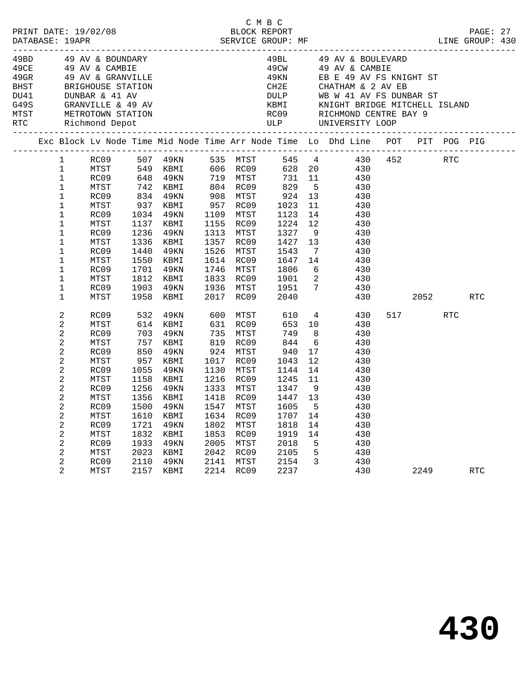|  |                        |      |            |           |      |           |             |      |                 | Exc Block Lv Node Time Mid Node Time Arr Node Time Lo Dhd Line POT PIT POG PIG |          |            |            |  |
|--|------------------------|------|------------|-----------|------|-----------|-------------|------|-----------------|--------------------------------------------------------------------------------|----------|------------|------------|--|
|  | $1 \quad \blacksquare$ |      |            |           |      |           |             |      |                 |                                                                                |          |            |            |  |
|  | $\mathbf 1$            |      |            |           |      |           |             |      |                 |                                                                                |          |            |            |  |
|  | $\mathbf{1}$           |      |            |           |      |           |             |      |                 |                                                                                |          |            |            |  |
|  | $\mathbf 1$            |      |            |           |      |           |             |      |                 |                                                                                |          |            |            |  |
|  | 1                      |      |            |           |      |           | 924<br>1023 |      |                 |                                                                                |          |            |            |  |
|  | $\mathbf{1}$           | MTST |            | 937 KBMI  |      | 957 RC09  |             |      | 11              | 430                                                                            |          |            |            |  |
|  | $\mathbf{1}$           | RC09 | 1034       | 49KN      |      | 1109 MTST | 1123        |      | 14              | 430                                                                            |          |            |            |  |
|  | $\mathbf 1$            | MTST |            | 1137 KBMI |      | 1155 RC09 | 1224        |      | 12              | 430                                                                            |          |            |            |  |
|  | $\mathbf 1$            | RC09 | 1236       | 49KN      |      | 1313 MTST | 1327        |      | 9               | 430                                                                            |          |            |            |  |
|  | $\mathbf 1$            | MTST | 1336       | KBMI      | 1357 | RC09      | 1427        |      | 13              | 430                                                                            |          |            |            |  |
|  | 1                      | RC09 | 1440       | 49KN      | 1526 | MTST      | 1543        |      | $7\overline{ }$ | 430                                                                            |          |            |            |  |
|  | $\mathbf 1$            | MTST | 1550       | KBMI      |      | 1614 RC09 | 1647        |      | 14              | 430                                                                            |          |            |            |  |
|  | $\mathbf 1$            | RC09 | 1701       | 49KN      |      | 1746 MTST | 1806        |      | 6               | 430                                                                            |          |            |            |  |
|  | $\mathbf 1$            | MTST | 1812       | KBMI      |      | 1833 RC09 | 1901        |      | $\overline{a}$  | 430                                                                            |          |            |            |  |
|  | $\mathbf 1$            | RC09 | 1903       | 49KN      |      | 1936 MTST | 1951        |      |                 | $7\overline{ }$<br>430                                                         |          |            |            |  |
|  | $\mathbf 1$            | MTST |            | 1958 KBMI |      | 2017 RC09 | 2040        |      |                 | 430                                                                            | 2052     |            | <b>RTC</b> |  |
|  | 2                      | RC09 | 532        | 49KN      |      | 600 MTST  |             | 610  |                 | $4\overline{ }$<br>430                                                         | 517 — 10 | <b>RTC</b> |            |  |
|  | 2                      | MTST | 614<br>703 | KBMI      |      | 631 RC09  |             | 653  | 10              | 430                                                                            |          |            |            |  |
|  | 2                      | RC09 |            | 49KN      |      | 735 MTST  |             | 749  | 8 <sup>8</sup>  | 430                                                                            |          |            |            |  |
|  | $\overline{a}$         | MTST | 757<br>850 | KBMI      |      | 819 RC09  |             | 844  | 6               | 430                                                                            |          |            |            |  |
|  | $\overline{a}$         | RC09 |            | 49KN      |      | 924 MTST  | 940         |      | 17              | 430                                                                            |          |            |            |  |
|  | $\overline{a}$         | MTST | 957        | KBMI      |      | 1017 RC09 | 1043        |      | 12              | 430                                                                            |          |            |            |  |
|  | $\overline{a}$         | RC09 | 1055       | 49KN      |      | 1130 MTST | 1144        |      | 14              | 430                                                                            |          |            |            |  |
|  | 2                      | MTST | 1158       | KBMI      |      | 1216 RC09 | 1245        |      | 11              | 430                                                                            |          |            |            |  |
|  | 2                      | RC09 | 1256       | 49KN      |      | 1333 MTST | 1347        |      | 9               | 430                                                                            |          |            |            |  |
|  | 2                      | MTST | 1356       | KBMI      |      | 1418 RC09 |             | 1447 | 13 <sup>°</sup> | 430                                                                            |          |            |            |  |
|  | 2                      | RC09 | 1500       | 49KN      |      | 1547 MTST | 1605        |      | $-5$            | 430                                                                            |          |            |            |  |
|  | $\overline{a}$         | MTST | 1610       | KBMI      |      | 1634 RC09 | 1707        |      | 14              | 430                                                                            |          |            |            |  |
|  | 2                      | RC09 | 1721       | 49KN      | 1802 | MTST      | 1818        |      | 14              | 430                                                                            |          |            |            |  |
|  | 2                      | MTST | 1832       | KBMI      |      | 1853 RC09 | 1919        |      | 14              | 430                                                                            |          |            |            |  |
|  | 2                      | RC09 | 1933       | 49KN      |      | 2005 MTST | 2018        |      | $-5$            | 430<br>430                                                                     |          |            |            |  |
|  | 2                      | MTST | 2023       | KBMI      |      | 2042 RC09 | 2105        |      | 5               |                                                                                |          |            |            |  |
|  | 2                      | RC09 | 2110       | 49KN      |      | 2141 MTST | 2154        |      |                 | $\overline{3}$<br>430                                                          |          |            |            |  |
|  | 2                      | MTST |            | 2157 KBMI |      | 2214 RC09 | 2237        |      |                 | 430                                                                            | 2249     |            | <b>RTC</b> |  |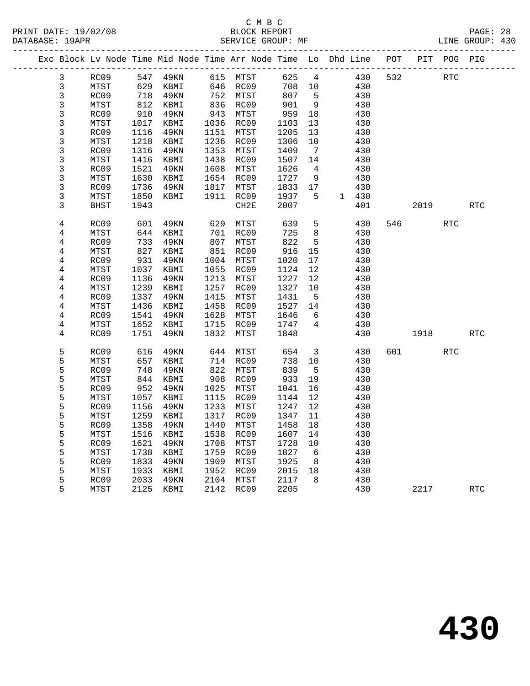| Exc Block Lv Node Time Mid Node Time Arr Node Time Lo Dhd Line POT |             |      |          |      |                            |         |                              |       |     |      | PIT POG PIG |            |
|--------------------------------------------------------------------|-------------|------|----------|------|----------------------------|---------|------------------------------|-------|-----|------|-------------|------------|
| 3                                                                  | RC09        |      | 547 49KN |      | 615 MTST                   | 625     | 4                            | 430   | 532 |      | <b>RTC</b>  |            |
| $\mathbf{3}$                                                       | MTST        | 629  | KBMI     |      | 646 RC09                   | 708     | 10                           | 430   |     |      |             |            |
| 3                                                                  | RC09        | 718  | 49KN     | 752  | MTST                       | 807     | 5                            | 430   |     |      |             |            |
| 3                                                                  | MTST        | 812  | KBMI     |      | - 22<br>836 RC09<br>ממחה ה | 901     | 9                            | 430   |     |      |             |            |
| 3                                                                  | RC09        | 910  | 49KN     | 943  | MTST                       | 959     | 18                           | 430   |     |      |             |            |
| $\mathfrak{Z}$                                                     | MTST        | 1017 | KBMI     |      | 1036 RC09                  | 1103    | 13                           | 430   |     |      |             |            |
| $\mathfrak{Z}$                                                     | RC09        | 1116 | 49KN     |      | 1151 MTST                  | 1205    | 13                           | 430   |     |      |             |            |
| 3                                                                  | MTST        | 1218 | KBMI     |      | 1236 RC09                  | 1306    | 10                           | 430   |     |      |             |            |
| 3                                                                  | RC09        | 1316 | 49KN     |      | 1353 MTST                  | 1409    | $7\phantom{.0}\phantom{.0}7$ | 430   |     |      |             |            |
| $\overline{3}$                                                     | MTST        | 1416 | KBMI     | 1438 | RC09                       | 1507    | 14                           | 430   |     |      |             |            |
| 3                                                                  | RC09        | 1521 | 49KN     |      | 1608 MTST                  | 1626    | $\overline{4}$               | 430   |     |      |             |            |
| $\mathfrak{Z}$                                                     | MTST        | 1630 | KBMI     |      | 1654 RC09                  | 1727    | 9                            | 430   |     |      |             |            |
| 3                                                                  | RC09        | 1736 | 49KN     | 1817 | MTST                       | 1833 17 |                              | 430   |     |      |             |            |
| $\mathfrak{Z}$                                                     | MTST        | 1850 | KBMI     | 1911 | RC09                       | 1937    | 5                            | 1 430 |     |      |             |            |
| 3                                                                  | <b>BHST</b> | 1943 |          |      | CH2E                       | 2007    |                              | 401   |     | 2019 |             | <b>RTC</b> |
| 4                                                                  | RC09        | 601  | 49KN     | 629  | MTST                       | 639     | 5                            | 430   | 546 |      | <b>RTC</b>  |            |
| 4                                                                  | MTST        | 644  | KBMI     | 701  | RC09                       | 725     | 8                            | 430   |     |      |             |            |
| 4                                                                  | RC09        | 733  | 49KN     | 807  | MTST                       | 822     | 5                            | 430   |     |      |             |            |
| 4                                                                  | MTST        | 827  | KBMI     | 851  | RC09                       | 916     | 15                           | 430   |     |      |             |            |
| $\overline{4}$                                                     | RC09        | 931  | 49KN     |      | 1004 MTST                  | 1020    | 17                           | 430   |     |      |             |            |
| 4                                                                  | MTST        | 1037 | KBMI     | 1055 | RC09                       | 1124    | 12                           | 430   |     |      |             |            |
| $\bf 4$                                                            | RC09        | 1136 | 49KN     | 1213 | MTST                       | 1227    | 12                           | 430   |     |      |             |            |
| 4                                                                  | MTST        | 1239 | KBMI     | 1257 | RC09                       | 1327    | 10                           | 430   |     |      |             |            |
| $\overline{4}$                                                     | RC09        | 1337 | 49KN     | 1415 | MTST                       | 1431    | 5                            | 430   |     |      |             |            |
| 4                                                                  | MTST        | 1436 | KBMI     | 1458 | RC09                       | 1527    | 14                           | 430   |     |      |             |            |
| $\overline{4}$                                                     | RC09        | 1541 | 49KN     | 1628 | MTST                       | 1646    | 6                            | 430   |     |      |             |            |
| 4                                                                  | MTST        | 1652 | KBMI     |      | 1715 RC09                  | 1747    | $4\overline{ }$              | 430   |     |      |             |            |
| 4                                                                  | RC09        | 1751 | 49KN     | 1832 | MTST                       | 1848    |                              | 430   |     | 1918 |             | <b>RTC</b> |
| 5                                                                  | RC09        | 616  | 49KN     | 644  | MTST                       | 654     | $\overline{\mathbf{3}}$      | 430   | 601 |      | <b>RTC</b>  |            |
| 5                                                                  | MTST        | 657  | KBMI     | 714  | RC09                       | 738     | 10                           | 430   |     |      |             |            |
| 5                                                                  | RC09        | 748  | 49KN     | 822  | MTST                       | 839     | $5^{\circ}$                  | 430   |     |      |             |            |
| 5                                                                  | MTST        | 844  | KBMI     | 908  | RC09                       | 933     | 19                           | 430   |     |      |             |            |
| 5                                                                  | RC09        | 952  | 49KN     | 1025 | MTST                       | 1041    | 16                           | 430   |     |      |             |            |
| 5                                                                  | MTST        | 1057 | KBMI     | 1115 | RC09                       | 1144    | 12                           | 430   |     |      |             |            |
| 5                                                                  | RC09        | 1156 | 49KN     | 1233 | MTST                       | 1247    | 12                           | 430   |     |      |             |            |
| 5                                                                  | MTST        | 1259 | KBMI     | 1317 | RC09                       | 1347    | 11                           | 430   |     |      |             |            |
| 5                                                                  | RC09        | 1358 | 49KN     | 1440 | MTST                       | 1458    | 18                           | 430   |     |      |             |            |
| 5                                                                  | MTST        | 1516 | KBMI     | 1538 | RC09                       | 1607    | 14                           | 430   |     |      |             |            |
| 5                                                                  | RC09        | 1621 | 49KN     | 1708 | MTST                       | 1728    | 10                           | 430   |     |      |             |            |
| 5                                                                  | MTST        | 1738 | KBMI     | 1759 | RC09                       | 1827    | 6                            | 430   |     |      |             |            |
| 5                                                                  | RC09        | 1833 | 49KN     | 1909 | MTST                       | 1925    | 8                            | 430   |     |      |             |            |
| 5                                                                  | MTST        | 1933 | KBMI     | 1952 | RC09                       | 2015    | 18                           | 430   |     |      |             |            |
| 5                                                                  | RC09        | 2033 | 49KN     | 2104 | MTST                       | 2117    | 8                            | 430   |     |      |             |            |
| 5                                                                  | MTST        | 2125 | KBMI     |      | 2142 RC09                  | 2205    |                              | 430   |     | 2217 |             | <b>RTC</b> |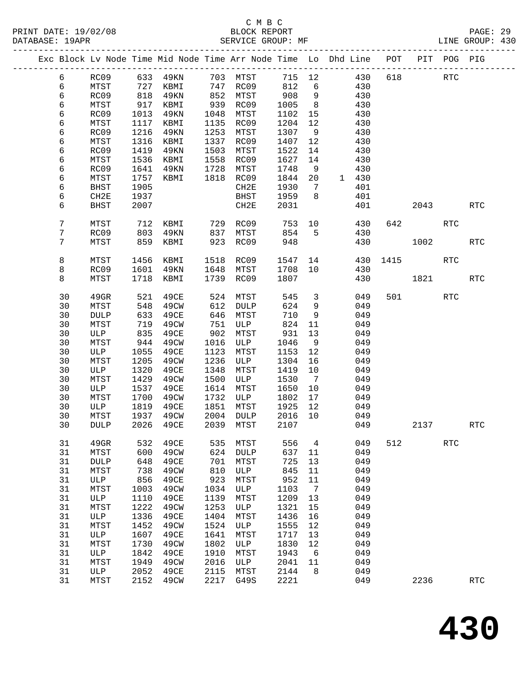|  |    |             |      | Exc Block Lv Node Time Mid Node Time Arr Node Time Lo Dhd Line POT |      |              |        |                |                       |       |      |         | PIT POG PIG |                      |
|--|----|-------------|------|--------------------------------------------------------------------|------|--------------|--------|----------------|-----------------------|-------|------|---------|-------------|----------------------|
|  | 6  | RC09        |      | 633 49KN                                                           |      | 703 MTST     | 715 12 |                |                       | 430   | 618  |         | <b>RTC</b>  |                      |
|  | 6  | MTST        | 727  | KBMI                                                               |      | 747 RC09     | 812    | 6              |                       | 430   |      |         |             |                      |
|  | 6  | RC09        | 818  | 49KN                                                               | 852  | MTST         | 908    | 9              |                       | 430   |      |         |             |                      |
|  | 6  | MTST        | 917  | KBMI                                                               | 939  | RC09         | 1005   | 8 <sup>8</sup> |                       | 430   |      |         |             |                      |
|  | 6  | RC09        | 1013 | 49KN                                                               | 1048 | MTST         | 1102   | 15             |                       | 430   |      |         |             |                      |
|  | 6  | MTST        | 1117 | KBMI                                                               | 1135 | RC09         | 1204   | 12             |                       | 430   |      |         |             |                      |
|  | 6  | RC09        | 1216 | 49KN                                                               | 1253 | MTST         | 1307   | 9              |                       | 430   |      |         |             |                      |
|  | 6  | MTST        | 1316 | KBMI                                                               | 1337 | RC09         | 1407   | 12             |                       | 430   |      |         |             |                      |
|  | 6  | RC09        | 1419 | 49KN                                                               | 1503 | MTST         | 1522   | 14             |                       | 430   |      |         |             |                      |
|  | 6  | MTST        | 1536 | KBMI                                                               | 1558 | RC09         | 1627   | 14             |                       | 430   |      |         |             |                      |
|  | 6  | RC09        | 1641 | 49KN                                                               | 1728 | MTST         | 1748   | 9              |                       | 430   |      |         |             |                      |
|  | 6  | MTST        | 1757 | KBMI                                                               | 1818 | RC09         | 1844   | $20\,$         |                       | 1 430 |      |         |             |                      |
|  | 6  | BHST        | 1905 |                                                                    |      | CH2E         | 1930   | $\overline{7}$ |                       | 401   |      |         |             |                      |
|  | 6  | CH2E        | 1937 |                                                                    |      | BHST         | 1959   | 8              |                       | 401   |      |         |             |                      |
|  | 6  | <b>BHST</b> | 2007 |                                                                    |      | CH2E         | 2031   |                |                       | 401   |      | 2043    |             | <b>RTC</b>           |
|  |    |             |      |                                                                    |      |              |        |                |                       |       |      |         |             |                      |
|  | 7  | MTST        | 712  | KBMI                                                               | 729  | RC09         | 753    | 10             |                       | 430   | 642  |         | <b>RTC</b>  |                      |
|  | 7  | RC09        | 803  | 49KN                                                               | 837  | MTST         | 854    | 5              |                       | 430   |      |         |             |                      |
|  | 7  | MTST        | 859  | KBMI                                                               | 923  | RC09         | 948    |                |                       | 430   |      | 1002    |             | $\operatorname{RTC}$ |
|  | 8  | MTST        | 1456 | KBMI                                                               | 1518 | RC09         | 1547   |                | 14 and $\overline{a}$ | 430   | 1415 |         | <b>RTC</b>  |                      |
|  | 8  | RC09        | 1601 | 49KN                                                               | 1648 | MTST         | 1708   | 10             |                       | 430   |      |         |             |                      |
|  | 8  | MTST        | 1718 | KBMI                                                               |      | 1739 RC09    | 1807   |                |                       | 430   |      | 1821    |             | <b>RTC</b>           |
|  | 30 | 49GR        | 521  | 49CE                                                               | 524  | MTST         | 545    | $\mathbf{3}$   |                       | 049   |      | 501 000 | <b>RTC</b>  |                      |
|  | 30 | MTST        | 548  | 49CW                                                               | 612  | DULP         | 624    | 9              |                       | 049   |      |         |             |                      |
|  | 30 | <b>DULP</b> | 633  | 49CE                                                               | 646  | MTST         | 710    | 9              |                       | 049   |      |         |             |                      |
|  | 30 | MTST        | 719  | 49CW                                                               | 751  | ULP          | 824    | 11             |                       | 049   |      |         |             |                      |
|  | 30 | ULP         | 835  | 49CE                                                               | 902  | MTST         | 931    | 13             |                       | 049   |      |         |             |                      |
|  | 30 | MTST        | 944  | 49CW                                                               | 1016 | ULP          | 1046   | 9              |                       | 049   |      |         |             |                      |
|  | 30 | ULP         | 1055 | 49CE                                                               | 1123 | MTST         | 1153   | 12             |                       | 049   |      |         |             |                      |
|  | 30 | MTST        | 1205 | 49CW                                                               | 1236 | ULP          | 1304   | 16             |                       | 049   |      |         |             |                      |
|  | 30 | ULP         | 1320 | 49CE                                                               | 1348 | MTST         | 1419   | 10             |                       | 049   |      |         |             |                      |
|  | 30 | MTST        | 1429 | 49CW                                                               | 1500 | ULP          | 1530   | $\overline{7}$ |                       | 049   |      |         |             |                      |
|  | 30 | ULP         | 1537 | 49CE                                                               | 1614 | MTST         | 1650   | 10             |                       | 049   |      |         |             |                      |
|  | 30 | MTST        | 1700 | 49CW                                                               | 1732 | ULP          | 1802   | 17             |                       | 049   |      |         |             |                      |
|  | 30 | ULP         | 1819 | 49CE                                                               | 1851 | MTST         | 1925   | 12             |                       | 049   |      |         |             |                      |
|  | 30 | MTST        | 1937 | 49CW                                                               | 2004 | DULP         | 2016   | 10             |                       | 049   |      |         |             |                      |
|  | 30 | <b>DULP</b> | 2026 | 49CE                                                               | 2039 | MTST         | 2107   |                |                       | 049   |      | 2137    |             | RTC                  |
|  |    |             |      |                                                                    |      |              |        |                |                       |       |      |         |             |                      |
|  | 31 | 49GR        | 532  | 49CE                                                               | 535  | MTST         | 556    | 4              |                       | 049   | 512  |         | <b>RTC</b>  |                      |
|  | 31 | MTST        | 600  | 49CW                                                               | 624  | <b>DULP</b>  | 637    | 11             |                       | 049   |      |         |             |                      |
|  | 31 | <b>DULP</b> | 648  | 49CE                                                               | 701  | MTST         | 725    | 13             |                       | 049   |      |         |             |                      |
|  | 31 | MTST        | 738  | 49CW                                                               | 810  | ULP          | 845    | 11             |                       | 049   |      |         |             |                      |
|  | 31 | ULP         | 856  | 49CE                                                               | 923  | MTST         | 952    | 11             |                       | 049   |      |         |             |                      |
|  | 31 | MTST        | 1003 | 49CW                                                               | 1034 | ULP          | 1103   | 7              |                       | 049   |      |         |             |                      |
|  | 31 | ULP         | 1110 | 49CE                                                               | 1139 | MTST         | 1209   | 13             |                       | 049   |      |         |             |                      |
|  | 31 | MTST        | 1222 | 49CW                                                               | 1253 | $_{\rm ULP}$ | 1321   | 15             |                       | 049   |      |         |             |                      |
|  | 31 | ULP         | 1336 | 49CE                                                               | 1404 | MTST         | 1436   | 16             |                       | 049   |      |         |             |                      |
|  | 31 | MTST        | 1452 | 49CW                                                               | 1524 | ULP          | 1555   | 12             |                       | 049   |      |         |             |                      |
|  | 31 | ULP         | 1607 | 49CE                                                               | 1641 | MTST         | 1717   | 13             |                       | 049   |      |         |             |                      |
|  | 31 | MTST        | 1730 | 49CW                                                               | 1802 | $_{\rm ULP}$ | 1830   | 12             |                       | 049   |      |         |             |                      |
|  | 31 | ULP         | 1842 | 49CE                                                               | 1910 | MTST         | 1943   | 6              |                       | 049   |      |         |             |                      |
|  | 31 | MTST        | 1949 | 49CW                                                               | 2016 | $_{\rm ULP}$ | 2041   | 11             |                       | 049   |      |         |             |                      |
|  | 31 | ULP         | 2052 | 49CE                                                               | 2115 | MTST         | 2144   | 8              |                       | 049   |      |         |             |                      |
|  | 31 | MTST        | 2152 | 49CW                                                               | 2217 | G49S         | 2221   |                |                       | 049   |      | 2236    |             | $\operatorname{RTC}$ |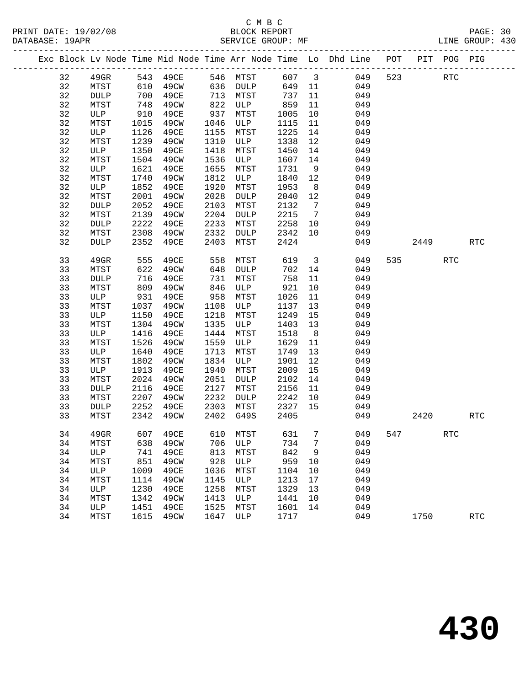| Exc Block Ly Node Time Mid Node Time Arr Node Time |             |      |      |      |             |      |    | Lo Dhd Line | POT | PIT | POG | PIG |
|----------------------------------------------------|-------------|------|------|------|-------------|------|----|-------------|-----|-----|-----|-----|
| 32                                                 | 49GR        | 543  | 49CE | 546  | MTST        | 607  | 3  | 049         | 523 |     | RTC |     |
| 32                                                 | MTST        | 610  | 49CW | 636  | DULP        | 649  | 11 | 049         |     |     |     |     |
| 32                                                 | <b>DULP</b> | 700  | 49CE | 713  | MTST        | 737  | 11 | 049         |     |     |     |     |
| 32                                                 | MTST        | 748  | 49CW | 822  | ULP         | 859  | 11 | 049         |     |     |     |     |
| 32                                                 | ULP         | 910  | 49CE | 937  | MTST        | 1005 | 10 | 049         |     |     |     |     |
| 32                                                 | MTST        | 1015 | 49CW | 1046 | ULP         | 1115 | 11 | 049         |     |     |     |     |
| 32                                                 | ULP         | 1126 | 49CE | 1155 | MTST        | 1225 | 14 | 049         |     |     |     |     |
| 32                                                 | MTST        | 1239 | 49CW | 1310 | ULP         | 1338 | 12 | 049         |     |     |     |     |
| 32                                                 | ULP         | 1350 | 49CE | 1418 | MTST        | 1450 | 14 | 049         |     |     |     |     |
| 32                                                 | MTST        | 1504 | 49CW | 1536 | ULP         | 1607 | 14 | 049         |     |     |     |     |
| 32                                                 | ULP         | 1621 | 49CE | 1655 | MTST        | 1731 | 9  | 049         |     |     |     |     |
| 32                                                 | MTST        | 1740 | 49CW | 1812 | ULP         | 1840 | 12 | 049         |     |     |     |     |
| 32                                                 | ULP         | 1852 | 49CE | 1920 | MTST        | 1953 | 8  | 049         |     |     |     |     |
| 32                                                 | MTST        | 2001 | 49CW | 2028 | <b>DULP</b> | 2040 | 12 | 049         |     |     |     |     |
| 32                                                 | <b>DULP</b> | 2052 | 49CE | 2103 | MTST        | 2132 | 7  | 049         |     |     |     |     |
| 32                                                 | MTST        | 2139 | 49CW | 2204 | DULP        | 2215 | 7  | 049         |     |     |     |     |
|                                                    |             |      |      |      |             |      |    |             |     |     |     |     |

| 32 | <b>DUTP</b> | 2052 | 49CE | 2103 | M.T.P.T.    | 2132 | $\frac{1}{2}$ | 049 |     |      |            |            |
|----|-------------|------|------|------|-------------|------|---------------|-----|-----|------|------------|------------|
| 32 | MTST        | 2139 | 49CW | 2204 | <b>DULP</b> | 2215 | 7             | 049 |     |      |            |            |
| 32 | <b>DULP</b> | 2222 | 49CE | 2233 | MTST        | 2258 | 10            | 049 |     |      |            |            |
| 32 | MTST        | 2308 | 49CW | 2332 | <b>DULP</b> | 2342 | 10            | 049 |     |      |            |            |
| 32 | <b>DULP</b> | 2352 | 49CE | 2403 | MTST        | 2424 |               | 049 |     | 2449 |            | <b>RTC</b> |
|    |             |      |      |      |             |      |               |     |     |      |            |            |
| 33 | $49$ GR     | 555  | 49CE | 558  | MTST        | 619  | 3             | 049 | 535 |      | <b>RTC</b> |            |
| 33 | MTST        | 622  | 49CW | 648  | <b>DULP</b> | 702  | 14            | 049 |     |      |            |            |
| 33 | <b>DULP</b> | 716  | 49CE | 731  | MTST        | 758  | 11            | 049 |     |      |            |            |
| 33 | MTST        | 809  | 49CW | 846  | ULP         | 921  | 10            | 049 |     |      |            |            |
| 33 | ULP         | 931  | 49CE | 958  | MTST        | 1026 | 11            | 049 |     |      |            |            |
| 33 | MTST        | 1037 | 49CW | 1108 | ULP         | 1137 | 13            | 049 |     |      |            |            |
| 33 | ULP         | 1150 | 49CE | 1218 | MTST        | 1249 | 15            | 049 |     |      |            |            |
| 33 | MTST        | 1304 | 49CW | 1335 | ULP         | 1403 | 13            | 049 |     |      |            |            |
| 33 | ULP         | 1416 | 49CE | 1444 | MTST        | 1518 | 8             | 049 |     |      |            |            |
| 33 | MTST        | 1526 | 49CW | 1559 | ULP         | 1629 | 11            | 049 |     |      |            |            |
| 33 | ULP         | 1640 | 49CE | 1713 | MTST        | 1749 | 13            | 049 |     |      |            |            |
| 33 | MTST        | 1802 | 49CW | 1834 | ULP         | 1901 | 12            | 049 |     |      |            |            |
| 33 | ULP         | 1913 | 49CE | 1940 | MTST        | 2009 | 15            | 049 |     |      |            |            |
| 33 | MTST        | 2024 | 49CW | 2051 | <b>DULP</b> | 2102 | 14            | 049 |     |      |            |            |
| 33 | <b>DULP</b> | 2116 | 49CE | 2127 | MTST        | 2156 | 11            | 049 |     |      |            |            |
| 33 | MTST        | 2207 | 49CW | 2232 | <b>DULP</b> | 2242 | 10            | 049 |     |      |            |            |
| 33 | <b>DULP</b> | 2252 | 49CE | 2303 | MTST        | 2327 | 15            | 049 |     |      |            |            |
| 33 | MTST        | 2342 | 49CW | 2402 | G49S        | 2405 |               | 049 |     | 2420 |            | <b>RTC</b> |
|    |             |      |      |      |             |      |               |     |     |      |            |            |
| 34 | $49$ GR     | 607  | 49CE | 610  | MTST        | 631  | 7             | 049 | 547 |      | <b>RTC</b> |            |
| 34 | MTST        | 638  | 49CW | 706  | ULP         | 734  | 7             | 049 |     |      |            |            |
| 34 | ULP         | 741  | 49CE | 813  | MTST        | 842  | 9             | 049 |     |      |            |            |
| 34 | MTST        | 851  | 49CW | 928  | ULP         | 959  | 10            | 049 |     |      |            |            |
| 34 | ULP         | 1009 | 49CE | 1036 | MTST        | 1104 | 10            | 049 |     |      |            |            |
| 34 | MTST        | 1114 | 49CW | 1145 | <b>ULP</b>  | 1213 | 17            | 049 |     |      |            |            |
| 34 | <b>ULP</b>  | 1230 | 49CE | 1258 | MTST        | 1329 | 13            | 049 |     |      |            |            |
| 34 | MTST        | 1342 | 49CW | 1413 | <b>ULP</b>  | 1441 | 10            | 049 |     |      |            |            |
| 34 | <b>ULP</b>  | 1451 | 49CE | 1525 | MTST        | 1601 | 14            | 049 |     |      |            |            |
| 34 | MTST        | 1615 | 49CW | 1647 | <b>ULP</b>  | 1717 |               | 049 |     | 1750 |            | <b>RTC</b> |
|    |             |      |      |      |             |      |               |     |     |      |            |            |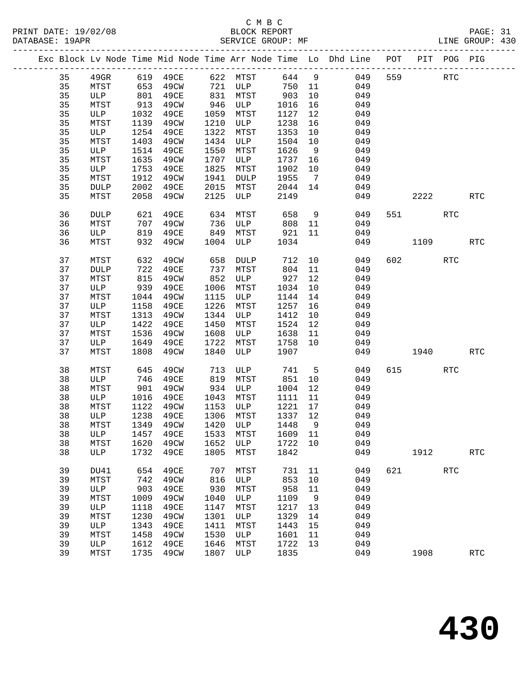## C M B C<br>BLOCK REPORT

| PRINT DATE: 19/02/08<br>DATABASE: 19APR |  |  | BLOCK REPORT<br>SERVICE GROUP: MF |  |                                                                                |  |       | PAGE: 31<br>LINE GROUP: 430 |  |
|-----------------------------------------|--|--|-----------------------------------|--|--------------------------------------------------------------------------------|--|-------|-----------------------------|--|
|                                         |  |  |                                   |  | Exc Block Lv Node Time Mid Node Time Arr Node Time Lo Dhd Line POT PIT POG PIG |  |       |                             |  |
|                                         |  |  |                                   |  | $A\Omega$ CD (10.40CD (20.00) MPCP (44.4) $\Omega$ (40.00) (40.4)              |  | מידים |                             |  |

| 35       | 49GR        |            |      |            |             | 619 49CE 622 MTST 644 9 |                 | 049                                   |     | 559 31  | RTC                  |            |
|----------|-------------|------------|------|------------|-------------|-------------------------|-----------------|---------------------------------------|-----|---------|----------------------|------------|
| 35       | MTST        | 653        | 49CW | 721        | ULP         | 750                     | 11              | 049                                   |     |         |                      |            |
| 35       | ULP         | 801        | 49CE | 831        | MTST        | 903                     | 10              | 049                                   |     |         |                      |            |
| 35       | MTST        | 913        | 49CW | 946        | ULP         | 1016                    | 16              | 049                                   |     |         |                      |            |
| 35       | ULP         | 1032       | 49CE | 1059       | MTST        | 1127                    | 12              | 049                                   |     |         |                      |            |
| 35       | MTST        | 1139       | 49CW | 1210       | ULP         | 1238                    | 16              | 049                                   |     |         |                      |            |
| 35       | ULP         | 1254       | 49CE | 1322       | MTST        | 1353                    | 10              | 049                                   |     |         |                      |            |
| 35       | MTST        | 1403       | 49CW | 1434       | ULP         | 1504                    | 10              | 049                                   |     |         |                      |            |
|          |             |            |      |            |             |                         |                 |                                       |     |         |                      |            |
| 35       | ULP         | 1514       | 49CE | 1550       | MTST        | 1626                    | 9               | 049                                   |     |         |                      |            |
| 35       | MTST        | 1635       | 49CW | 1707       | ULP         | 1737                    | 16              | 049                                   |     |         |                      |            |
| 35       | ULP         | 1753       | 49CE | 1825       | MTST        | 1902                    | 10              | 049                                   |     |         |                      |            |
| 35       | MTST        | 1912       | 49CW | 1941       | DULP        | 1955                    | $7\overline{ }$ | 049                                   |     |         |                      |            |
| 35       | <b>DULP</b> | 2002       | 49CE | 2015       | <b>MTST</b> | 2044 14                 |                 | 049                                   |     |         |                      |            |
| 35       | MTST        | 2058       | 49CW | 2125       | ULP         | 2149                    |                 | 049                                   |     | 2222    |                      | <b>RTC</b> |
| 36       | DULP        | 621        | 49CE | 634        | MTST        | 658                     |                 | $9 \left( \frac{1}{2} \right)$<br>049 |     | 551 72  | RTC                  |            |
| 36       | MTST        | 707        | 49CW | 736        | <b>ULP</b>  | 808 11                  |                 | 049                                   |     |         |                      |            |
| 36       | ULP         | 819        | 49CE | 849        |             | MTST 921                | 11              | 049                                   |     |         |                      |            |
| 36       | MTST        | 932        | 49CW |            | 1004 ULP    | 1034                    |                 | 049                                   |     | 1109    |                      | <b>RTC</b> |
|          |             |            |      |            |             |                         |                 |                                       |     |         |                      |            |
| 37       | MTST        | 632        | 49CW | 658        | DULP        | 712 10                  |                 | 049                                   |     | 602 000 | $\operatorname{RTC}$ |            |
| 37       | <b>DULP</b> | 722        | 49CE | 737        | MTST        | 804                     | 11              | 049                                   |     |         |                      |            |
| 37       | MTST        | 815        | 49CW | 852        | ULP         | 927                     | 12              | 049                                   |     |         |                      |            |
| 37       | ULP         | 939        | 49CE | 1006       | MTST        | 1034                    | 10              | 049                                   |     |         |                      |            |
| 37       | MTST        | 1044       | 49CW | 1115       | ULP         | 1144                    | 14              | 049                                   |     |         |                      |            |
| 37       | ULP         | 1158       | 49CE | 1226       | MTST        | 1257                    | 16              | 049                                   |     |         |                      |            |
| 37       | MTST        | 1313       | 49CW | 1344       | ULP         | 1412                    | 10              | 049                                   |     |         |                      |            |
| 37       | ULP         | 1422       | 49CE | 1450       | MTST        | 1524                    | 12              | 049                                   |     |         |                      |            |
| 37       | MTST        | 1536       | 49CW | 1608       | ULP         | 1638                    | 11              | 049                                   |     |         |                      |            |
| 37       | ULP         | 1649       | 49CE | 1722       | MTST        | 1758                    | 10              | 049                                   |     |         |                      |            |
| 37       | MTST        | 1808       | 49CW | 1840       | ULP         | 1907                    |                 | 049                                   |     | 1940    |                      | <b>RTC</b> |
|          |             |            |      |            |             |                         |                 |                                       |     |         |                      |            |
| 38       | MTST        | 645        | 49CW | 713        | ULP         | 741                     | $5^{\circ}$     | 049                                   |     | 615     | RTC                  |            |
| 38       | ULP         | 746        | 49CE | 819        | MTST        | 851                     | 10              | 049                                   |     |         |                      |            |
| 38       | MTST        | 901        | 49CW | 934        | ULP         | 1004                    | 12              | 049                                   |     |         |                      |            |
| 38       | ULP         | 1016       | 49CE | 1043       | MTST        | 1111                    | 11              | 049                                   |     |         |                      |            |
| 38       | MTST        | 1122       | 49CW | 1153       | ULP         | 1221                    | 17              | 049                                   |     |         |                      |            |
| 38       | ULP         | 1238       | 49CE | 1306       | MTST        | 1337                    | 12              | 049                                   |     |         |                      |            |
| 38       | MTST        | 1349       | 49CW | 1420       | ULP         | 1448                    | 9               | 049                                   |     |         |                      |            |
| 38       | ULP         | 1457       | 49CE | 1533       | MTST        | 1609                    | 11              | 049                                   |     |         |                      |            |
| 38       | MTST        | 1620       | 49CW | 1652       | ULP         | 1722 10                 |                 | 049                                   |     |         |                      |            |
| 38       |             |            |      |            |             |                         |                 | ULP 1732 49CE 1805 MTST 1842 049      |     | 1912    |                      | <b>RTC</b> |
|          |             |            |      |            |             |                         |                 |                                       |     |         |                      |            |
| 39<br>39 | DU41        | 654<br>742 | 49CE | 707<br>816 | MTST        | 731<br>853              | 11<br>10        | 049<br>049                            | 621 |         | <b>RTC</b>           |            |
|          | MTST        |            | 49CW |            | ULP         |                         |                 |                                       |     |         |                      |            |
| 39       | ULP         | 903        | 49CE | 930        | MTST        | 958                     | 11              | 049                                   |     |         |                      |            |
| 39       | MTST        | 1009       | 49CW | 1040       | ULP         | 1109                    | 9               | 049                                   |     |         |                      |            |
| 39       | ULP         | 1118       | 49CE | 1147       | MTST        | 1217                    | 13              | 049                                   |     |         |                      |            |
| 39       | MTST        | 1230       | 49CW | 1301       | ULP         | 1329                    | 14              | 049                                   |     |         |                      |            |
| 39       | ULP         | 1343       | 49CE | 1411       | MTST        | 1443                    | 15              | 049                                   |     |         |                      |            |
| 39       | MTST        | 1458       | 49CW | 1530       | ULP         | 1601                    | 11              | 049                                   |     |         |                      |            |
| 39       | ULP         | 1612       | 49CE | 1646       | MTST        | 1722                    | 13              | 049                                   |     |         |                      |            |
| 39       | MTST        | 1735       | 49CW | 1807       | ULP         | 1835                    |                 | 049                                   |     | 1908    |                      | <b>RTC</b> |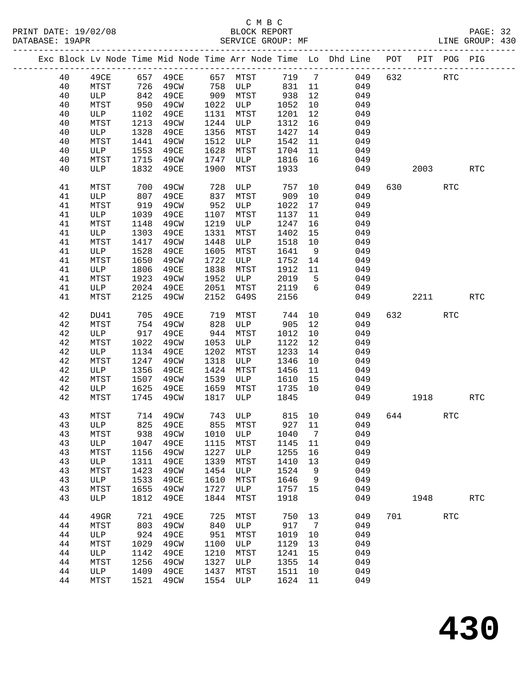| 40 |      |      |                   |      |             |         |                |                              |     |      |                      |            |
|----|------|------|-------------------|------|-------------|---------|----------------|------------------------------|-----|------|----------------------|------------|
|    | 49CE |      | 657 49CE 657 MTST |      |             | 719 7   |                | 049                          | 632 |      | RTC                  |            |
| 40 | MTST |      | 726 49CW          |      | 758 ULP 831 |         | 11             | 049                          |     |      |                      |            |
| 40 | ULP  |      | 842 49CE          |      | 909 MTST    | 938     | 12             | 049                          |     |      |                      |            |
| 40 | MTST | 950  | 49CW              |      | 1022 ULP    | 1052    | 10             | 049                          |     |      |                      |            |
| 40 | ULP  | 1102 | 49CE              |      | 1131 MTST   | 1201    | 12             | 049                          |     |      |                      |            |
| 40 | MTST | 1213 | 49CW              | 1244 | ULP         | 1312    | 16             | 049                          |     |      |                      |            |
| 40 | ULP  | 1328 | 49CE              |      | 1356 MTST   | 1427    | 14             | 049                          |     |      |                      |            |
| 40 | MTST | 1441 | 49CW              | 1512 | ULP         | 1542    | 11             | 049                          |     |      |                      |            |
| 40 | ULP  | 1553 | 49CE              | 1628 | MTST        | 1704    | 11             | 049                          |     |      |                      |            |
| 40 | MTST |      | 1715 49CW         | 1747 | ULP         | 1816    | 16             | 049                          |     |      |                      |            |
| 40 | ULP  |      | 1832 49CE         | 1900 | MTST        | 1933    |                |                              |     | 2003 |                      | <b>RTC</b> |
|    |      |      |                   |      |             |         |                | 049                          |     |      |                      |            |
| 41 | MTST | 700  | 49CW              | 728  | ULP         | 757     | 10             | 049                          |     |      | <b>RTC</b>           |            |
| 41 | ULP  | 807  | 49CE              | 837  | MTST        | 909     | 10             | 049                          |     |      |                      |            |
| 41 | MTST | 919  | 49CW              | 952  | ULP         | 1022    | 17             | 049                          |     |      |                      |            |
| 41 | ULP  | 1039 | 49CE              | 1107 | MTST        | 1137    | 11             | 049                          |     |      |                      |            |
| 41 | MTST | 1148 | 49CW              |      | 1219 ULP    | 1247    | 16             | 049                          |     |      |                      |            |
| 41 | ULP  | 1303 | 49CE              | 1331 | MTST        | 1402    | 15             | 049                          |     |      |                      |            |
| 41 | MTST | 1417 | 49CW              | 1448 | ULP         | 1518    | 10             | 049                          |     |      |                      |            |
| 41 | ULP  | 1528 | 49CE              | 1605 | MTST        | 1641    | 9              | 049                          |     |      |                      |            |
|    |      |      |                   |      |             |         |                |                              |     |      |                      |            |
| 41 | MTST | 1650 | 49CW              | 1722 | ULP         | 1752    | 14             | 049                          |     |      |                      |            |
| 41 | ULP  | 1806 | 49CE              | 1838 | MTST        | 1912    | 11             | 049                          |     |      |                      |            |
| 41 | MTST | 1923 | 49CW              | 1952 | ULP         | 2019    | $5^{\circ}$    | 049                          |     |      |                      |            |
| 41 | ULP  | 2024 | 49CE              |      | 2051 MTST   | 2119    | 6              | 049                          |     |      |                      |            |
| 41 | MTST | 2125 | 49CW              | 2152 | G49S        | 2156    |                | 049                          |     | 2211 |                      | <b>RTC</b> |
| 42 | DU41 | 705  | 49CE              | 719  | MTST        | 744     | 10             | 049                          | 632 |      | $\operatorname{RTC}$ |            |
| 42 | MTST | 754  | 49CW              | 828  | ULP         | 905     | 12             | 049                          |     |      |                      |            |
| 42 | ULP  | 917  | 49CE              | 944  | MTST        | 1012    | 10             | 049                          |     |      |                      |            |
| 42 | MTST | 1022 | 49CW              | 1053 | ULP         | 1122    | 12             | 049                          |     |      |                      |            |
| 42 | ULP  | 1134 | 49CE              | 1202 | MTST        | 1233    | 14             | 049                          |     |      |                      |            |
| 42 | MTST | 1247 | 49CW              | 1318 | ULP         | 1346    | 10             | 049                          |     |      |                      |            |
| 42 | ULP  | 1356 | 49CE              | 1424 | MTST        | 1456    | 11             | 049                          |     |      |                      |            |
| 42 | MTST | 1507 | 49CW              | 1539 | ULP         | 1610    | 15             | 049                          |     |      |                      |            |
| 42 | ULP  |      | 1625 49CE         | 1659 | MTST        | 1735    | 10             | 049                          |     |      |                      |            |
| 42 | MTST | 1745 | 49CW              | 1817 | ULP         | 1845    |                | 049                          |     | 1918 |                      | <b>RTC</b> |
|    |      |      |                   |      |             |         |                |                              |     |      |                      |            |
| 43 | MTST | 714  | 49CW              |      |             |         |                | 049                          |     | 644  | <b>RTC</b>           |            |
| 43 | ULP  |      | 825 49CE          |      |             |         |                | 049                          |     |      |                      |            |
| 43 | MTST |      |                   |      |             |         |                | 938 49CW 1010 ULP 1040 7 049 |     |      |                      |            |
| 43 | ULP  | 1047 | 49CE              | 1115 | MTST        | 1145    | 11             | 049                          |     |      |                      |            |
| 43 | MTST | 1156 | 49CW              | 1227 | ULP         | 1255    | 16             | 049                          |     |      |                      |            |
| 43 | ULP  | 1311 | 49CE              | 1339 | MTST        | 1410    | 13             | 049                          |     |      |                      |            |
| 43 | MTST | 1423 | 49CW              | 1454 | ULP         | 1524    | 9              | 049                          |     |      |                      |            |
| 43 | ULP  | 1533 | 49CE              | 1610 | MTST        | 1646    | 9              | 049                          |     |      |                      |            |
| 43 | MTST | 1655 | 49CW              | 1727 | ULP         | 1757    | 15             | 049                          |     |      |                      |            |
| 43 | ULP  | 1812 | 49CE              | 1844 | MTST        | 1918    |                | 049                          |     | 1948 |                      | <b>RTC</b> |
|    |      |      |                   |      |             |         |                |                              |     |      |                      |            |
| 44 | 49GR | 721  | 49CE              | 725  | MTST        | 750     | 13             | 049                          | 701 |      | <b>RTC</b>           |            |
| 44 | MTST | 803  | 49CW              | 840  | ULP         | 917     | $\overline{7}$ | 049                          |     |      |                      |            |
| 44 | ULP  | 924  | 49CE              | 951  | MTST        | 1019    | 10             | 049                          |     |      |                      |            |
| 44 | MTST | 1029 | 49CW              | 1100 | ULP         | 1129    | 13             | 049                          |     |      |                      |            |
| 44 | ULP  | 1142 | 49CE              | 1210 | MTST        | 1241    | 15             | 049                          |     |      |                      |            |
| 44 | MTST | 1256 | 49CW              | 1327 | ULP         | 1355    | 14             | 049                          |     |      |                      |            |
| 44 | ULP  | 1409 | 49CE              | 1437 | MTST        | 1511    | 10             | 049                          |     |      |                      |            |
| 44 | MTST | 1521 | 49CW              | 1554 | ULP         | 1624 11 |                | 049                          |     |      |                      |            |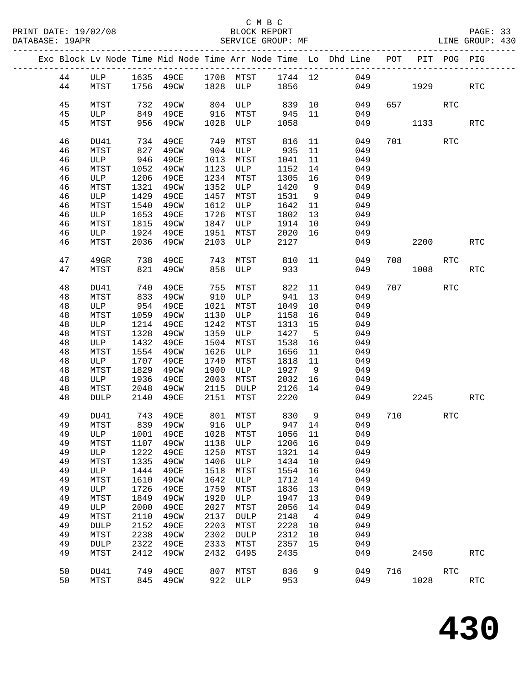|  |          |              |              |              |              |             |              |                | Exc Block Lv Node Time Mid Node Time Arr Node Time Lo Dhd Line POT |     |             | PIT POG PIG |                      |
|--|----------|--------------|--------------|--------------|--------------|-------------|--------------|----------------|--------------------------------------------------------------------|-----|-------------|-------------|----------------------|
|  | 44       | ULP          |              |              |              |             |              |                | 1635 49CE 1708 MTST 1744 12 049                                    |     |             |             |                      |
|  | 44       | MTST         | 1756         | 49CW         |              | 1828 ULP    | 1856         |                | 049                                                                |     | 1929 — 1929 |             | <b>RTC</b>           |
|  |          |              |              |              |              |             |              |                |                                                                    |     |             |             |                      |
|  | 45       | MTST         | 732          | 49CW         | 804          | ULP         | 839 10       |                | 049                                                                |     | 657 — 100   | <b>RTC</b>  |                      |
|  | 45       | ULP          | 849          | 49CE         | 916          | MTST        | 945          | 11             | 049                                                                |     |             |             |                      |
|  | 45       | MTST         | 956          | 49CW         | 1028         | ULP         | 1058         |                | 049                                                                |     | 1133        |             | <b>RTC</b>           |
|  |          |              |              |              |              |             |              |                |                                                                    |     |             |             |                      |
|  | 46       | DU41         | 734          | 49CE         | 749          | MTST        | 816          | 11             | 049                                                                |     |             | RTC         |                      |
|  | 46       | MTST         | 827          | 49CW         | 904          | ULP         | 935          | 11             | 049                                                                |     |             |             |                      |
|  | 46       | ULP          | 946          | 49CE         | 1013         | MTST        | 1041         | 11             | 049                                                                |     |             |             |                      |
|  | 46<br>46 | MTST<br>ULP  | 1052         | 49CW<br>49CE | 1123<br>1234 | ULP         | 1152<br>1305 | 14<br>16       | 049<br>049                                                         |     |             |             |                      |
|  | 46       | MTST         | 1206<br>1321 | 49CW         | 1352         | MTST<br>ULP | 1420         | 9              | 049                                                                |     |             |             |                      |
|  | 46       | ULP          | 1429         | 49CE         | 1457         | MTST        | 1531         | 9              | 049                                                                |     |             |             |                      |
|  | 46       | MTST         | 1540         | 49CW         | 1612         | ULP         | 1642         | 11             | 049                                                                |     |             |             |                      |
|  | 46       | ULP          | 1653         | 49CE         | 1726         | MTST        | 1802         | 13             | 049                                                                |     |             |             |                      |
|  | 46       | MTST         | 1815         | 49CW         | 1847         | ULP         | 1914         | 10             | 049                                                                |     |             |             |                      |
|  | 46       | ULP          | 1924         | 49CE         | 1951         | MTST        | 2020         | 16             | 049                                                                |     |             |             |                      |
|  | 46       | MTST         | 2036         | 49CW         | 2103         | ULP         | 2127         |                | 049                                                                |     | 2200        |             | <b>RTC</b>           |
|  |          |              |              |              |              |             |              |                |                                                                    |     |             |             |                      |
|  | 47       | 49GR         | 738          | 49CE         | 743          | MTST        | 810          | 11             | 049                                                                | 708 |             | RTC         |                      |
|  | 47       | MTST         | 821          | 49CW         | 858          | ULP         | 933          |                | 049                                                                |     | 1008        |             | <b>RTC</b>           |
|  |          |              |              |              |              |             |              |                |                                                                    |     |             |             |                      |
|  | 48       | DU41         | 740          | 49CE         | 755          | MTST        | 822          | 11             | 049                                                                | 707 |             | RTC         |                      |
|  | 48       | MTST         | 833          | 49CW         | 910          | ULP         | 941          | 13             | 049                                                                |     |             |             |                      |
|  | 48       | ULP          | 954          | 49CE         | 1021         | MTST        | 1049         | 10             | 049                                                                |     |             |             |                      |
|  | 48<br>48 | MTST<br>ULP  | 1059<br>1214 | 49CW<br>49CE | 1130<br>1242 | ULP<br>MTST | 1158<br>1313 | 16<br>15       | 049<br>049                                                         |     |             |             |                      |
|  | 48       | MTST         | 1328         | 49CW         | 1359         | ULP         | 1427         | $-5$           | 049                                                                |     |             |             |                      |
|  | 48       | ULP          | 1432         | 49CE         | 1504         | MTST        | 1538         | 16             | 049                                                                |     |             |             |                      |
|  | 48       | MTST         | 1554         | 49CW         | 1626         | ULP         | 1656         | 11             | 049                                                                |     |             |             |                      |
|  | 48       | ULP          | 1707         | 49CE         | 1740         | MTST        | 1818         | 11             | 049                                                                |     |             |             |                      |
|  | 48       | MTST         | 1829         | 49CW         | 1900         | ULP         | 1927         | 9              | 049                                                                |     |             |             |                      |
|  | 48       | ULP          | 1936         | 49CE         | 2003         | MTST        | 2032         | 16             | 049                                                                |     |             |             |                      |
|  | 48       | MTST         | 2048         | 49CW         | 2115         | DULP        | 2126         | 14             | 049                                                                |     |             |             |                      |
|  | 48       | <b>DULP</b>  | 2140         | 49CE         | 2151         | MTST        | 2220         |                | 049                                                                |     | 2245        |             | RTC                  |
|  |          |              |              |              |              |             |              |                |                                                                    |     |             |             |                      |
|  | 49       | DU41         | 743          | 49CE         |              | 801 MTST    | 830          | 9              | 049                                                                | 710 |             | <b>RTC</b>  |                      |
|  | 49       | MTST         |              | 839 49CW     |              | 916 ULP     | 947 14       |                | 049                                                                |     |             |             |                      |
|  | 49<br>49 | MTST         | 1107         | 49CW         | 1138         | ULP         | 1206         | 16             | ULP 1001 49CE 1028 MTST 1056 11 049<br>049                         |     |             |             |                      |
|  | 49       | ULP          | 1222         | 49CE         | 1250         | MTST        | 1321         | 14             | 049                                                                |     |             |             |                      |
|  | 49       | MTST         | 1335         | 49CW         | 1406         | ULP         | 1434         | 10             | 049                                                                |     |             |             |                      |
|  | 49       | ULP          | 1444         | 49CE         | 1518         | MTST        | 1554         | 16             | 049                                                                |     |             |             |                      |
|  | 49       | MTST         | 1610         | 49CW         | 1642         | ULP         | 1712         | 14             | 049                                                                |     |             |             |                      |
|  | 49       | ULP          | 1726         | 49CE         | 1759         | MTST        | 1836         | 13             | 049                                                                |     |             |             |                      |
|  | 49       | MTST         | 1849         | 49CW         | 1920         | ULP         | 1947         | 13             | 049                                                                |     |             |             |                      |
|  | 49       | ULP          | 2000         | 49CE         | 2027         | MTST        | 2056         | 14             | 049                                                                |     |             |             |                      |
|  | 49       | MTST         | 2110         | 49CW         | 2137         | <b>DULP</b> | 2148         | $\overline{4}$ | 049                                                                |     |             |             |                      |
|  | 49       | <b>DULP</b>  | 2152         | 49CE         | 2203         | MTST        | 2228         | 10             | 049                                                                |     |             |             |                      |
|  | 49       | MTST         | 2238         | 49CW         | 2302         | <b>DULP</b> | 2312         | 10             | 049                                                                |     |             |             |                      |
|  | 49       | <b>DULP</b>  | 2322         | 49CE         | 2333         | MTST        | 2357         | 15             | 049                                                                |     |             |             |                      |
|  | 49       | MTST         | 2412         | 49CW         | 2432         | G49S        | 2435         |                | 049                                                                |     | 2450        |             | $\operatorname{RTC}$ |
|  | 50       |              | 749          | 49CE         | 807          |             | 836          | 9              | 049                                                                | 716 |             | RTC         |                      |
|  | 50       | DU41<br>MTST | 845          | 49CW         | 922          | MTST<br>ULP | 953          |                | 049                                                                |     | 1028        |             | $\operatorname{RTC}$ |
|  |          |              |              |              |              |             |              |                |                                                                    |     |             |             |                      |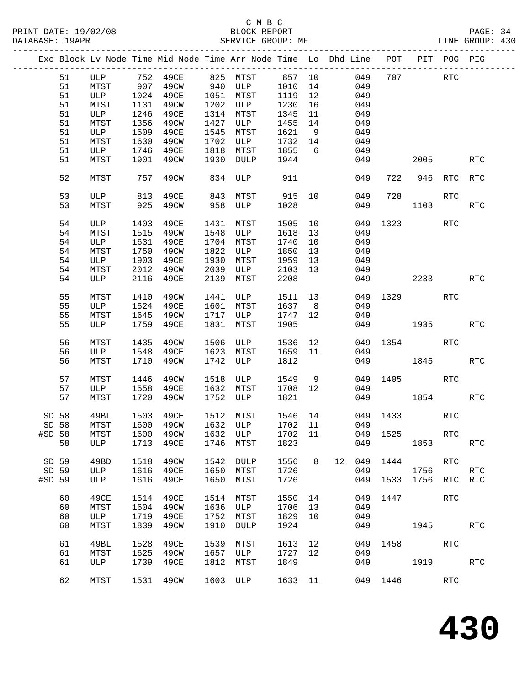### C M B C<br>BLOCK REPORT SERVICE GROUP: MF

|        |    |      |      |           |      |             |         |      | Exc Block Lv Node Time Mid Node Time Arr Node Time Lo Dhd Line POT PIT POG PIG |          |             |                      |            |
|--------|----|------|------|-----------|------|-------------|---------|------|--------------------------------------------------------------------------------|----------|-------------|----------------------|------------|
|        | 51 | ULP  |      | 752 49CE  |      | 825 MTST    | 857 10  |      | 049                                                                            | 707      | <b>RTC</b>  |                      |            |
|        | 51 | MTST | 907  | 49CW      | 940  | <b>ULP</b>  | 1010    | 14   | 049                                                                            |          |             |                      |            |
|        | 51 | ULP  | 1024 | 49CE      | 1051 | MTST        | 1119    | 12   | 049                                                                            |          |             |                      |            |
|        | 51 | MTST | 1131 | 49CW      | 1202 | ULP         | 1230    | 16   | 049                                                                            |          |             |                      |            |
|        | 51 | ULP  | 1246 | 49CE      | 1314 | MTST        | 1345    | 11   | 049                                                                            |          |             |                      |            |
|        | 51 | MTST | 1356 | 49CW      | 1427 | ULP         | 1455    | 14   | 049                                                                            |          |             |                      |            |
|        | 51 | ULP  | 1509 | 49CE      | 1545 | MTST        | 1621    | 9    | 049                                                                            |          |             |                      |            |
|        | 51 | MTST | 1630 | 49CW      | 1702 | ULP         | 1732    | 14   | 049                                                                            |          |             |                      |            |
|        | 51 | ULP  | 1746 | 49CE      | 1818 | MTST        | 1855    | 6    | 049                                                                            |          |             |                      |            |
|        | 51 | MTST | 1901 | 49CW      | 1930 | DULP        | 1944    |      | 049                                                                            |          | 2005        |                      | RTC        |
|        |    |      |      |           |      |             |         |      |                                                                                |          |             |                      |            |
|        | 52 | MTST | 757  | 49CW      |      | 834 ULP     | 911     |      | 049                                                                            | 722      |             | 946 RTC              | RTC        |
|        | 53 | ULP  | 813  | 49CE      | 843  | MTST        | 915     | 10   | 049                                                                            | 728      |             | RTC                  |            |
|        | 53 | MTST | 925  | 49CW      | 958  | ULP         | 1028    |      | 049                                                                            |          | 1103        |                      | <b>RTC</b> |
|        | 54 | ULP  | 1403 | 49CE      | 1431 | MTST        | 1505    | 10   | 049                                                                            | 1323     |             | RTC                  |            |
|        | 54 | MTST | 1515 | 49CW      | 1548 | ULP         | 1618    | 13   | 049                                                                            |          |             |                      |            |
|        | 54 | ULP  | 1631 | 49CE      | 1704 | MTST        | 1740    | 10   | 049                                                                            |          |             |                      |            |
|        | 54 | MTST | 1750 | 49CW      | 1822 | ULP         | 1850    | 13   | 049                                                                            |          |             |                      |            |
|        | 54 | ULP  | 1903 | 49CE      | 1930 | MTST        | 1959    | 13   | 049                                                                            |          |             |                      |            |
|        | 54 | MTST | 2012 | 49CW      | 2039 | ULP         | 2103    | 13   | 049                                                                            |          |             |                      |            |
|        | 54 | ULP  | 2116 | 49CE      | 2139 | MTST        | 2208    |      | 049                                                                            |          |             | 2233                 | RTC        |
|        |    |      |      |           |      |             |         |      |                                                                                |          |             |                      |            |
|        | 55 | MTST | 1410 | 49CW      | 1441 | ULP         | 1511    | 13   | 049                                                                            | 1329     |             | RTC                  |            |
|        | 55 | ULP  | 1524 | 49CE      | 1601 | MTST        | 1637    | 8    | 049                                                                            |          |             |                      |            |
|        | 55 | MTST | 1645 | 49CW      | 1717 | ULP         | 1747    | 12   | 049                                                                            |          |             |                      |            |
|        | 55 | ULP  | 1759 | 49CE      | 1831 | MTST        | 1905    |      | 049                                                                            |          | 1935   1930 |                      | RTC        |
|        | 56 | MTST | 1435 | 49CW      | 1506 | ULP         | 1536    | 12   | 049                                                                            | 1354     | RTC         |                      |            |
|        | 56 | ULP  | 1548 | 49CE      | 1623 | MTST        | 1659    | 11   | 049                                                                            |          |             |                      |            |
|        | 56 | MTST | 1710 | 49CW      | 1742 | ULP         | 1812    |      | 049                                                                            |          | 1845        |                      | <b>RTC</b> |
|        |    |      |      |           |      |             |         |      |                                                                                |          |             |                      |            |
|        | 57 | MTST | 1446 | 49CW      | 1518 | ULP         | 1549    | 9    | 049                                                                            | 1405     |             | RTC                  |            |
|        | 57 | ULP  | 1558 | 49CE      | 1632 | MTST        | 1708    | 12   | 049                                                                            |          |             |                      |            |
|        | 57 | MTST | 1720 | 49CW      | 1752 | ULP         | 1821    |      | 049                                                                            |          | 1854        |                      | RTC        |
| SD 58  |    | 49BL | 1503 | 49CE      | 1512 | MTST        | 1546 14 |      | 049                                                                            | 1433     |             | RTC                  |            |
| SD 58  |    | MTST |      | 1600 49CW |      | 1632 ULP    | 1702 11 |      | 049                                                                            |          |             |                      |            |
| #SD 58 |    | MTST | 1600 | 49CW      | 1632 | ULP         | 1702    | 11   |                                                                                | 049 1525 |             | RTC                  |            |
|        | 58 | ULP  | 1713 | 49CE      | 1746 | MTST        | 1823    |      | 049                                                                            |          | 1853        |                      | <b>RTC</b> |
| SD 59  |    | 49BD | 1518 | 49CW      | 1542 | <b>DULP</b> | 1556    | 8    | 12<br>049                                                                      | 1444     |             | <b>RTC</b>           |            |
| SD 59  |    | ULP  | 1616 | 49CE      | 1650 | MTST        | 1726    |      | 049                                                                            |          | 1756        |                      | <b>RTC</b> |
| #SD 59 |    |      | 1616 |           | 1650 |             | 1726    |      |                                                                                | 1533     | 1756        | <b>RTC</b>           |            |
|        |    | ULP  |      | 49CE      |      | MTST        |         |      | 049                                                                            |          |             |                      | RTC        |
|        | 60 | 49CE | 1514 | 49CE      | 1514 | MTST        | 1550    | 14   | 049                                                                            | 1447     |             | $\operatorname{RTC}$ |            |
|        | 60 | MTST | 1604 | 49CW      | 1636 | ULP         | 1706    | 13   | 049                                                                            |          |             |                      |            |
|        | 60 | ULP  | 1719 | 49CE      | 1752 | MTST        | 1829    | $10$ | 049                                                                            |          |             |                      |            |
|        | 60 | MTST | 1839 | 49CW      | 1910 | <b>DULP</b> | 1924    |      | 049                                                                            |          | 1945        |                      | <b>RTC</b> |

61 1222 1323 1324 1335 1131 1313 1324 1336<br>61 MTST 1625 49CW 1657 ULP 1727 12 049<br>61 ULP 1739 49CE 1812 MTST 1849 049

61 49BL 1528 49CE 1539 MTST 1613 12 049 1458 RTC<br>61 MTST 1625 49CW 1657 ULP 1727 12 049<br>61 ULP 1739 49CE 1812 MTST 1849 049 1919

62 MTST 1531 49CW 1603 ULP 1633 11 049 1446 RTC

61 ULP 1739 49CE 1812 MTST 1849 049 1919 RTC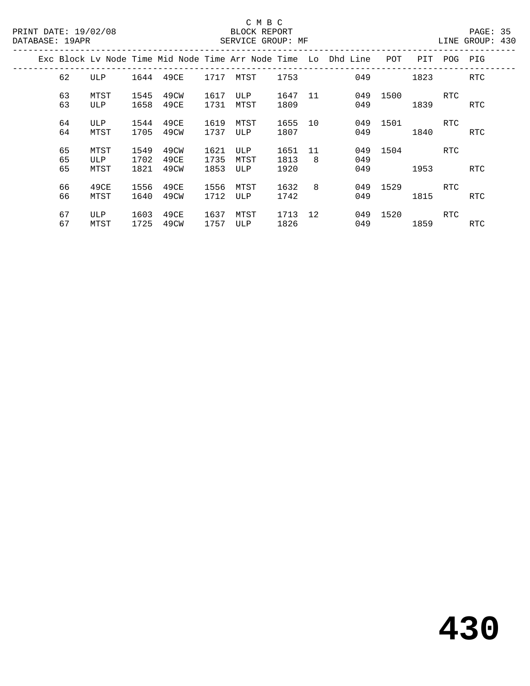|  |                |                     |                      |                      |                      |                    |                      |         | Exc Block Ly Node Time Mid Node Time Arr Node Time Lo Dhd Line | POT  | PIT  | POG        | PIG        |
|--|----------------|---------------------|----------------------|----------------------|----------------------|--------------------|----------------------|---------|----------------------------------------------------------------|------|------|------------|------------|
|  | 62             | ULP                 | 1644                 | 49CE                 | 1717                 | MTST               | 1753                 |         | 049                                                            |      | 1823 |            | <b>RTC</b> |
|  | 63<br>63       | MTST<br><b>ULP</b>  | 1545<br>1658         | 49CW<br>49CE         | 1617<br>1731         | ULP<br>MTST        | 1647<br>1809         | 11      | 049<br>049                                                     | 1500 | 1839 | RTC        | RTC        |
|  | 64<br>64       | <b>ULP</b><br>MTST  | 1544<br>1705         | 49CE<br>49CW         | 1619<br>1737         | MTST<br>ULP        | 1655<br>1807         | 10      | 049<br>049                                                     | 1501 | 1840 | RTC        | RTC        |
|  | 65<br>65<br>65 | MTST<br>ULP<br>MTST | 1549<br>1702<br>1821 | 49CW<br>49CE<br>49CW | 1621<br>1735<br>1853 | ULP<br>MTST<br>ULP | 1651<br>1813<br>1920 | 11<br>8 | 049<br>049<br>049                                              | 1504 | 1953 | <b>RTC</b> | RTC        |
|  | 66<br>66       | 49CE<br>MTST        | 1556<br>1640         | 49CE<br>49CW         | 1556<br>1712         | MTST<br>ULP        | 1632<br>1742         | 8       | 049<br>049                                                     | 1529 | 1815 | RTC        | RTC        |
|  | 67<br>67       | ULP<br>MTST         | 1603<br>1725         | 49CE<br>49CW         | 1637<br>1757         | MTST<br>ULP        | 1713<br>1826         | 12      | 049<br>049                                                     | 1520 | 1859 | RTC        | RTC.       |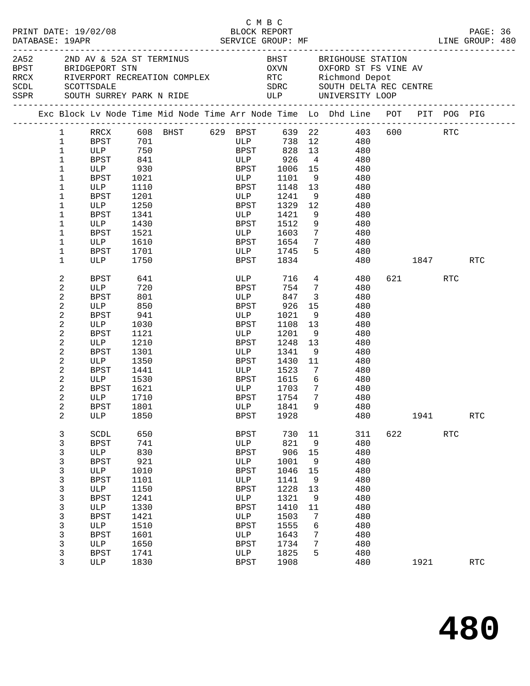| PRINT DATE: 19/02/08<br>DATABASE: 19APR |              |  |                          |            |  | СМВС<br>BLOCK REPORT |                      |                         |                                                                                                                                                  |          |         |            | PAGE: 36<br>LINE GROUP: 480 |  |
|-----------------------------------------|--------------|--|--------------------------|------------|--|----------------------|----------------------|-------------------------|--------------------------------------------------------------------------------------------------------------------------------------------------|----------|---------|------------|-----------------------------|--|
|                                         |              |  |                          |            |  |                      |                      |                         |                                                                                                                                                  |          |         |            |                             |  |
|                                         | 2A52         |  | 2ND AV & 52A ST TERMINUS |            |  |                      |                      |                         | BHST BRIGHOUSE STATION                                                                                                                           |          |         |            |                             |  |
|                                         |              |  | BPST BRIDGEPORT STN      |            |  |                      |                      |                         | OXVN OXFORD ST FS VINE AV                                                                                                                        |          |         |            |                             |  |
|                                         |              |  |                          |            |  |                      |                      |                         |                                                                                                                                                  |          |         |            |                             |  |
|                                         |              |  |                          |            |  |                      |                      |                         |                                                                                                                                                  |          |         |            |                             |  |
|                                         |              |  |                          |            |  |                      |                      |                         | RECK RIVERPORT RECREATION COMPLEX<br>SCDL SCOTTSDALE<br>SCOTTSDALE SOUTH SURREY PARK N RIDE<br>SSPR SOUTH SURREY PARK N RIDE ULP UNIVERSITY LOOP |          |         |            |                             |  |
|                                         |              |  |                          |            |  |                      |                      |                         | Exc Block Lv Node Time Mid Node Time Arr Node Time Lo Dhd Line POT PIT POG PIG                                                                   |          |         |            |                             |  |
|                                         | $\mathbf{1}$ |  |                          |            |  |                      |                      |                         | RRCX 608 BHST 629 BPST 639 22 403                                                                                                                |          | 600 RTC |            |                             |  |
|                                         | $\mathbf{1}$ |  | BPST 701                 |            |  | <b>ULP</b>           |                      |                         | 738 12 480                                                                                                                                       |          |         |            |                             |  |
|                                         | $\mathbf{1}$ |  | ULP 750                  |            |  |                      |                      |                         | BPST 828 13 480                                                                                                                                  |          |         |            |                             |  |
|                                         | 1            |  | BPST                     | 841<br>930 |  |                      | ULP 926<br>BPST 1006 | $\overline{4}$          | 480                                                                                                                                              |          |         |            |                             |  |
|                                         | $\mathbf 1$  |  | ULP                      |            |  |                      | 1006 15              |                         | 480                                                                                                                                              |          |         |            |                             |  |
|                                         | $\mathbf 1$  |  | BPST                     | 1021       |  | ULP                  |                      |                         | 1101 9 480                                                                                                                                       |          |         |            |                             |  |
|                                         | $\mathbf 1$  |  | ULP                      | 1110       |  | BPST                 | 1148 13              |                         | 480                                                                                                                                              |          |         |            |                             |  |
|                                         | $\mathbf 1$  |  | BPST                     | 1201       |  | ULP                  | 1241 9               |                         | 480                                                                                                                                              |          |         |            |                             |  |
|                                         | $\mathbf{1}$ |  | ULP                      | 1250       |  | BPST                 | 1329 12              |                         | 480                                                                                                                                              |          |         |            |                             |  |
|                                         | $\mathbf 1$  |  | BPST                     | 1341       |  | ULP                  | 1421                 | 9                       | 480                                                                                                                                              |          |         |            |                             |  |
|                                         | $\mathbf 1$  |  | ULP                      | 1430       |  | BPST                 | 1512                 | 9                       | 480                                                                                                                                              |          |         |            |                             |  |
|                                         | 1            |  | BPST                     | 1521       |  | ULP                  | 1603                 | $7\overline{ }$         | 480                                                                                                                                              |          |         |            |                             |  |
|                                         | $\mathbf 1$  |  | ULP                      | 1610       |  | <b>BPST</b>          | 1654                 | 7                       | 480                                                                                                                                              |          |         |            |                             |  |
|                                         | $\mathbf 1$  |  | BPST                     | 1701       |  |                      | ULP 1745             | 5                       | 480                                                                                                                                              |          |         |            |                             |  |
|                                         | $\mathbf{1}$ |  | ULP                      | 1750       |  | <b>BPST</b>          | 1834                 |                         |                                                                                                                                                  | 480 1847 |         |            | RTC                         |  |
|                                         | 2            |  | BPST                     | 641        |  |                      | ULP 716 4            |                         | 480 —                                                                                                                                            |          | 621 72  | RTC        |                             |  |
|                                         | 2            |  | ULP                      | 720        |  | <b>BPST</b>          | 754 7                |                         | 480                                                                                                                                              |          |         |            |                             |  |
|                                         | 2            |  | BPST                     | 801        |  | <b>ULP</b>           | 847                  | $\overline{\mathbf{3}}$ | 480                                                                                                                                              |          |         |            |                             |  |
|                                         | 2            |  | ULP                      | 850        |  | BPST                 | 926                  | 15                      | 480                                                                                                                                              |          |         |            |                             |  |
|                                         | 2            |  | BPST                     | 941        |  | ULP                  | 1021                 | 9                       | 480                                                                                                                                              |          |         |            |                             |  |
|                                         | 2            |  | ULP                      | 1030       |  | BPST                 | 1108 13              |                         | 480                                                                                                                                              |          |         |            |                             |  |
|                                         | 2            |  | BPST                     | 1121       |  | ULP                  | 1201                 | 9                       | 480                                                                                                                                              |          |         |            |                             |  |
|                                         | 2            |  | ULP                      | 1210       |  | BPST                 | 1248                 | 13                      | 480                                                                                                                                              |          |         |            |                             |  |
|                                         | 2            |  | BPST                     | 1301       |  | ULP                  | 1341                 | 9                       | 480                                                                                                                                              |          |         |            |                             |  |
|                                         | 2            |  | ULP                      | 1350       |  | BPST                 | 1430                 | 11                      | 480                                                                                                                                              |          |         |            |                             |  |
|                                         | 2            |  | BPST                     | 1441       |  | <b>ULP</b>           | 1523                 |                         | $7\overline{ }$<br>480                                                                                                                           |          |         |            |                             |  |
|                                         | 2            |  | ULP                      | 1530       |  | BPST                 | 1615                 |                         | 6 480                                                                                                                                            |          |         |            |                             |  |
|                                         | 2            |  | BPST                     | 1621       |  | ULP<br>pdgt          | 1703                 | $7\overline{ }$         | 480                                                                                                                                              |          |         |            |                             |  |
|                                         | 2            |  | ULP                      | 1710       |  | BPST                 | 1754                 | $\overline{7}$          | 480                                                                                                                                              |          |         |            |                             |  |
|                                         | 2            |  | BPST 1801                |            |  |                      | ULP 1841             | 9                       | 480                                                                                                                                              |          |         |            |                             |  |
|                                         | 2            |  | ULP                      | 1850       |  | BPST                 | 1928                 |                         | 480                                                                                                                                              |          | 1941    |            | <b>RTC</b>                  |  |
|                                         | $\mathbf{3}$ |  | SCDL                     | 650        |  | <b>BPST</b>          | 730                  | 11                      | 311                                                                                                                                              | 622      |         | <b>RTC</b> |                             |  |
|                                         | 3            |  | <b>BPST</b>              | 741        |  | ULP                  | 821                  | 9                       | 480                                                                                                                                              |          |         |            |                             |  |
|                                         | 3            |  | ULP                      | 830        |  | <b>BPST</b>          | 906                  | 15                      | 480                                                                                                                                              |          |         |            |                             |  |
|                                         | 3            |  | <b>BPST</b>              | 921        |  | ULP                  | 1001                 | 9                       | 480                                                                                                                                              |          |         |            |                             |  |
|                                         | 3            |  | ULP                      | 1010       |  | <b>BPST</b>          | 1046                 | 15                      | 480                                                                                                                                              |          |         |            |                             |  |
|                                         | 3            |  | <b>BPST</b>              | 1101       |  | ULP                  | 1141                 | 9                       | 480                                                                                                                                              |          |         |            |                             |  |
|                                         | 3            |  | ULP                      | 1150       |  | <b>BPST</b>          | 1228                 | 13                      | 480                                                                                                                                              |          |         |            |                             |  |
|                                         | 3            |  | <b>BPST</b>              | 1241       |  | ULP                  | 1321                 | 9                       | 480                                                                                                                                              |          |         |            |                             |  |
|                                         | 3            |  | ULP                      | 1330       |  | <b>BPST</b>          | 1410                 | 11                      | 480                                                                                                                                              |          |         |            |                             |  |
|                                         | 3            |  | <b>BPST</b>              | 1421       |  | ULP                  | 1503                 | 7                       | 480                                                                                                                                              |          |         |            |                             |  |
|                                         | 3            |  | ULP                      | 1510       |  | <b>BPST</b>          | 1555                 | 6                       | 480                                                                                                                                              |          |         |            |                             |  |
|                                         | 3            |  | <b>BPST</b>              | 1601       |  | ULP                  | 1643                 | 7                       | 480                                                                                                                                              |          |         |            |                             |  |
|                                         | 3            |  | ULP                      | 1650       |  | BPST                 | 1734                 | 7                       | 480                                                                                                                                              |          |         |            |                             |  |
|                                         | 3            |  | BPST                     | 1741       |  | ULP                  | 1825                 | 5                       | 480                                                                                                                                              |          |         |            |                             |  |
|                                         | 3            |  | ULP                      | 1830       |  | <b>BPST</b>          | 1908                 |                         | 480                                                                                                                                              |          | 1921    |            | <b>RTC</b>                  |  |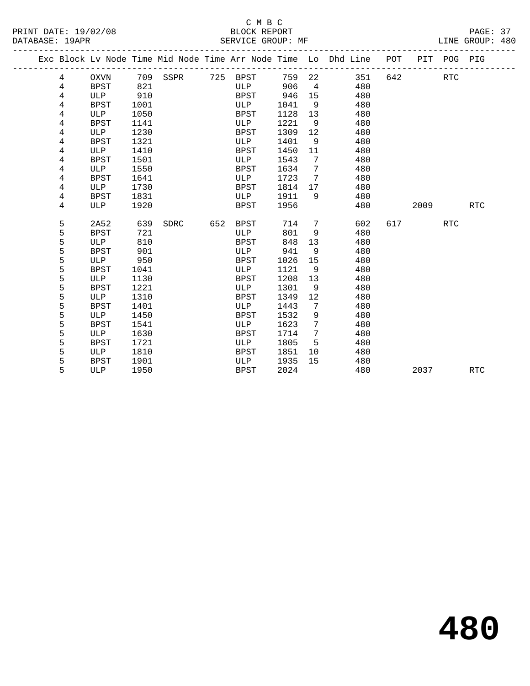|  |                |             |      |          |     |             |      |                | Exc Block Lv Node Time Mid Node Time Arr Node Time Lo Dhd Line POT |     |      | PIT POG PIG |            |
|--|----------------|-------------|------|----------|-----|-------------|------|----------------|--------------------------------------------------------------------|-----|------|-------------|------------|
|  | 4              | <b>OXVN</b> |      | 709 SSPR |     | 725 BPST    | 759  | 22             | 351                                                                | 642 |      | RTC         |            |
|  | 4              | <b>BPST</b> | 821  |          |     | ULP         | 906  | $\overline{4}$ | 480                                                                |     |      |             |            |
|  | 4              | ULP         | 910  |          |     | BPST        | 946  | 15             | 480                                                                |     |      |             |            |
|  | 4              | <b>BPST</b> | 1001 |          |     | ULP         | 1041 | 9              | 480                                                                |     |      |             |            |
|  | 4              | ULP         | 1050 |          |     | BPST        | 1128 | 13             | 480                                                                |     |      |             |            |
|  | 4              | <b>BPST</b> | 1141 |          |     | ULP         | 1221 | 9              | 480                                                                |     |      |             |            |
|  | 4              | ULP         | 1230 |          |     | BPST        | 1309 | 12             | 480                                                                |     |      |             |            |
|  | 4              | <b>BPST</b> | 1321 |          |     | ULP         | 1401 | 9              | 480                                                                |     |      |             |            |
|  | 4              | ULP         | 1410 |          |     | BPST        | 1450 | 11             | 480                                                                |     |      |             |            |
|  | 4              | BPST        | 1501 |          |     | ULP         | 1543 | 7              | 480                                                                |     |      |             |            |
|  | 4              | ULP         | 1550 |          |     | <b>BPST</b> | 1634 | 7              | 480                                                                |     |      |             |            |
|  | 4              | <b>BPST</b> | 1641 |          |     | ULP         | 1723 | 7              | 480                                                                |     |      |             |            |
|  | 4              | ULP         | 1730 |          |     | BPST        | 1814 | 17             | 480                                                                |     |      |             |            |
|  | $\overline{4}$ | <b>BPST</b> | 1831 |          |     | ULP         | 1911 | 9              | 480                                                                |     |      |             |            |
|  | 4              | ULP         | 1920 |          |     | BPST        | 1956 |                | 480                                                                |     | 2009 |             | <b>RTC</b> |
|  |                |             |      |          |     |             |      |                |                                                                    |     |      |             |            |
|  | 5              | 2A52        | 639  | SDRC     | 652 | BPST        | 714  | 7              | 602                                                                | 617 |      | RTC         |            |
|  | 5              | <b>BPST</b> | 721  |          |     | ULP         | 801  | 9              | 480                                                                |     |      |             |            |
|  | 5              | ULP         | 810  |          |     | <b>BPST</b> | 848  | 13             | 480                                                                |     |      |             |            |
|  | 5              | <b>BPST</b> | 901  |          |     | ULP         | 941  | 9              | 480                                                                |     |      |             |            |
|  | 5              | <b>ULP</b>  | 950  |          |     | BPST        | 1026 | 15             | 480                                                                |     |      |             |            |
|  | 5              | <b>BPST</b> | 1041 |          |     | ULP         | 1121 | 9              | 480                                                                |     |      |             |            |
|  | 5              | ULP         | 1130 |          |     | BPST        | 1208 | 13             | 480                                                                |     |      |             |            |
|  | 5              | <b>BPST</b> | 1221 |          |     | ULP         | 1301 | 9              | 480                                                                |     |      |             |            |
|  | 5              | ULP         | 1310 |          |     | <b>BPST</b> | 1349 | 12             | 480                                                                |     |      |             |            |
|  | 5              | <b>BPST</b> | 1401 |          |     | ULP         | 1443 | 7              | 480                                                                |     |      |             |            |
|  | 5              | ULP         | 1450 |          |     | <b>BPST</b> | 1532 | 9              | 480                                                                |     |      |             |            |
|  | 5              | <b>BPST</b> | 1541 |          |     | ULP         | 1623 | 7              | 480                                                                |     |      |             |            |
|  | 5              | ULP         | 1630 |          |     | BPST        | 1714 | 7              | 480                                                                |     |      |             |            |
|  | 5              | BPST        | 1721 |          |     | ULP         | 1805 | 5              | 480                                                                |     |      |             |            |
|  | 5              | ULP         | 1810 |          |     | BPST        | 1851 | 10             | 480                                                                |     |      |             |            |
|  | 5              | <b>BPST</b> | 1901 |          |     | ULP         | 1935 | 15             | 480                                                                |     |      |             |            |
|  | 5              | ULP         | 1950 |          |     | <b>BPST</b> | 2024 |                | 480                                                                |     | 2037 |             | <b>RTC</b> |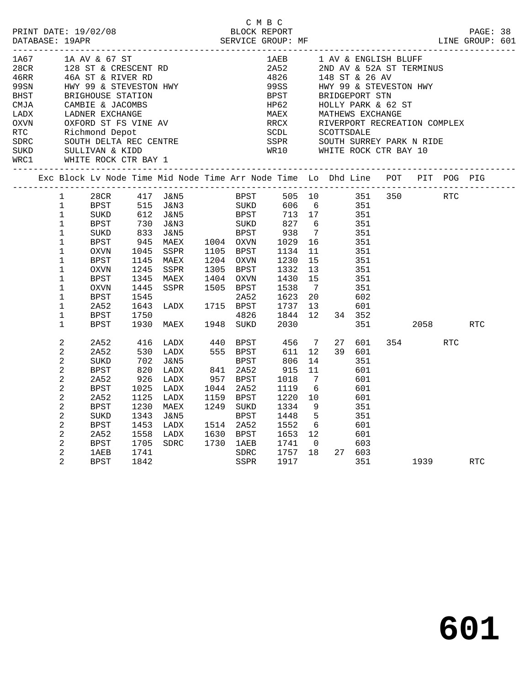|      | PRINT DATE: 19/02/08 BLOCK REPORT PAGE: 38<br>DATABASE: 19APR SERVICE GROUP: MF ELECTRIC SERVICE SERVICE SERVICE SERVICE SERVICE SERGE: 19APR ELECTRIC SERVICE |                |                                                   |                                           |                                                                                |                        |                                                                                                                                                                                             |                 |                     |                            |             | LINE GROUP: 601 |  |
|------|----------------------------------------------------------------------------------------------------------------------------------------------------------------|----------------|---------------------------------------------------|-------------------------------------------|--------------------------------------------------------------------------------|------------------------|---------------------------------------------------------------------------------------------------------------------------------------------------------------------------------------------|-----------------|---------------------|----------------------------|-------------|-----------------|--|
| 1A67 |                                                                                                                                                                |                | 1A AV & 67 ST                                     |                                           |                                                                                |                        |                                                                                                                                                                                             |                 |                     | 1AEB 1 AV & ENGLISH BLUFF  |             |                 |  |
|      |                                                                                                                                                                |                |                                                   |                                           |                                                                                |                        | 2A52                                                                                                                                                                                        |                 |                     | 2ND AV & 52A ST TERMINUS   |             |                 |  |
|      |                                                                                                                                                                |                |                                                   |                                           | 28CR 128 ST & CRESCENT RD<br>46RR 46A ST & RIVER RD                            |                        |                                                                                                                                                                                             |                 | 4826 148 ST & 26 AV |                            |             |                 |  |
|      |                                                                                                                                                                |                |                                                   |                                           |                                                                                |                        | 99SS        HWY 99 & STEVESTON HWY<br>BPST       BRIDGEPORT STN                                                                                                                             |                 |                     |                            |             |                 |  |
|      |                                                                                                                                                                |                |                                                   |                                           | BRIGHOUSE STATION<br>CAMBIE & JACOMBS<br>LADNER EXCHANGE                       |                        |                                                                                                                                                                                             |                 |                     |                            |             |                 |  |
| CMJA |                                                                                                                                                                |                |                                                   |                                           |                                                                                |                        | HP62<br>HP62<br>HOLLY PARK & 62 ST<br>MAEX MATHEWS EXCHANGE<br>RRCX RIVERPORT RECREATION COMPLEX<br>SCOTTSDALE<br>SCOTTSDALE<br>SEPR SOUTH SURREY PARK N RIDE<br>ND10 WIND WAREY CHR PAY 10 |                 |                     |                            |             |                 |  |
| LADX |                                                                                                                                                                |                |                                                   |                                           |                                                                                |                        |                                                                                                                                                                                             |                 |                     |                            |             |                 |  |
|      |                                                                                                                                                                |                |                                                   |                                           | OXVN OXFORD ST FS VINE AV<br>RTC Richmond Depot<br>SDRC SOUTH DELTA REC CENTRE |                        |                                                                                                                                                                                             |                 |                     |                            |             |                 |  |
|      |                                                                                                                                                                |                |                                                   |                                           |                                                                                |                        |                                                                                                                                                                                             |                 |                     |                            |             |                 |  |
|      |                                                                                                                                                                |                |                                                   |                                           |                                                                                |                        |                                                                                                                                                                                             |                 |                     |                            |             |                 |  |
|      |                                                                                                                                                                |                |                                                   |                                           |                                                                                |                        |                                                                                                                                                                                             |                 |                     | WR10 WHITE ROCK CTR BAY 10 |             |                 |  |
|      |                                                                                                                                                                |                | SUKD SULLIVAN & KIDD<br>WRC1 WHITE ROCK CTR BAY 1 |                                           |                                                                                |                        |                                                                                                                                                                                             |                 |                     |                            |             |                 |  |
|      |                                                                                                                                                                |                |                                                   |                                           | Exc Block Lv Node Time Mid Node Time Arr Node Time Lo Dhd Line POT PIT POG PIG |                        |                                                                                                                                                                                             |                 |                     |                            |             |                 |  |
|      |                                                                                                                                                                | $\mathbf{1}$   | 28CR 417 J&N5                                     |                                           |                                                                                |                        | BPST 505 10 351 350 RTC                                                                                                                                                                     |                 |                     |                            |             |                 |  |
|      |                                                                                                                                                                | $\mathbf{1}$   | BPST                                              |                                           | 515 J&N3<br>612 J&N5                                                           |                        |                                                                                                                                                                                             |                 |                     |                            |             |                 |  |
|      |                                                                                                                                                                | $\mathbf 1$    | SUKD                                              |                                           |                                                                                |                        |                                                                                                                                                                                             |                 |                     |                            |             |                 |  |
|      |                                                                                                                                                                | $\mathbf 1$    | BPST                                              | $\begin{array}{c} 730 \\ 833 \end{array}$ |                                                                                |                        |                                                                                                                                                                                             |                 |                     |                            |             |                 |  |
|      |                                                                                                                                                                | 1              | SUKD                                              |                                           | J&N5                                                                           |                        | BPST 938 7<br>1004 OXVN 1029 16                                                                                                                                                             |                 | 351                 |                            |             |                 |  |
|      |                                                                                                                                                                | $\mathbf{1}$   | BPST                                              | 945                                       | MAEX                                                                           |                        |                                                                                                                                                                                             |                 | 351                 |                            |             |                 |  |
|      |                                                                                                                                                                | $\mathbf{1}$   | OXVN                                              | 1045                                      | SSPR                                                                           |                        |                                                                                                                                                                                             | 11              | 351                 |                            |             |                 |  |
|      |                                                                                                                                                                | $\mathbf{1}$   | BPST                                              | 1145                                      | MAEX                                                                           | 1105 BPST<br>1204 OXVN | 1134<br>1230                                                                                                                                                                                | 15              | 351                 |                            |             |                 |  |
|      |                                                                                                                                                                | $\mathbf{1}$   | OXVN                                              | 1245                                      | SSPR                                                                           | 1305 BPST              | 1332                                                                                                                                                                                        | 13              | 351                 |                            |             |                 |  |
|      |                                                                                                                                                                | $\mathbf 1$    | BPST                                              | 1345                                      | MAEX                                                                           | 1404 OXVN              | 1430 15                                                                                                                                                                                     |                 | 351                 |                            |             |                 |  |
|      |                                                                                                                                                                | $\mathbf 1$    | OXVN                                              | 1445                                      | SSPR 1505 BPST                                                                 |                        | 1538                                                                                                                                                                                        | $\overline{7}$  | 351                 |                            |             |                 |  |
|      |                                                                                                                                                                | $\mathbf 1$    | BPST                                              | 1545                                      |                                                                                | 2A52                   | 1623 20                                                                                                                                                                                     |                 | 602                 |                            |             |                 |  |
|      |                                                                                                                                                                | $\mathbf{1}$   | 2A52                                              | 1643                                      | <b>LADX</b> 1715                                                               | 1715 BPST              | 1737 13                                                                                                                                                                                     |                 | 601                 |                            |             |                 |  |
|      |                                                                                                                                                                | $\mathbf 1$    | <b>BPST</b>                                       | 1750                                      |                                                                                | 4826                   | 1844 12                                                                                                                                                                                     |                 | 34 352              |                            |             |                 |  |
|      |                                                                                                                                                                | $\mathbf{1}$   | BPST                                              |                                           | 1930 MAEX 1948 SUKD                                                            |                        | 2030                                                                                                                                                                                        |                 | 351                 |                            | 2058 — 205  | <b>RTC</b>      |  |
|      |                                                                                                                                                                | $\overline{a}$ | 2A52                                              | 416                                       | LADX 440 BPST 456 7                                                            |                        |                                                                                                                                                                                             |                 | 27<br>601           |                            | 354 RTC     |                 |  |
|      |                                                                                                                                                                | $\overline{a}$ | 2A52                                              |                                           | LADX                                                                           | 555 BPST               | 611                                                                                                                                                                                         | 12 <sup>1</sup> | 39 601              |                            |             |                 |  |
|      |                                                                                                                                                                | $\overline{a}$ | SUKD                                              | 530<br>702                                | J&N5                                                                           | BPST                   | 806                                                                                                                                                                                         | 14              | 351                 |                            |             |                 |  |
|      |                                                                                                                                                                | 2              | BPST                                              |                                           | LADX                                                                           | 841 2A52               | 915                                                                                                                                                                                         | 11              | 601                 |                            |             |                 |  |
|      |                                                                                                                                                                | $\overline{a}$ | 2A52                                              | 820<br>926                                | LADX                                                                           | 957 BPST               | 1018                                                                                                                                                                                        | $7\overline{ }$ | 601                 |                            |             |                 |  |
|      |                                                                                                                                                                | $\overline{c}$ | BPST                                              | 1025                                      | LADX                                                                           | 1044 2A52              | 1119                                                                                                                                                                                        | 6               | 601                 |                            |             |                 |  |
|      |                                                                                                                                                                | $\overline{c}$ | 2A52                                              | 1125                                      | LADX                                                                           | 1159 BPST              | 1220 10                                                                                                                                                                                     |                 | 601                 |                            |             |                 |  |
|      |                                                                                                                                                                | 2              | BPST                                              | 1230                                      | MAEX                                                                           | 1249 SUKD              | 1334                                                                                                                                                                                        | - 9             | 351                 |                            |             |                 |  |
|      |                                                                                                                                                                | $\overline{a}$ | SUKD                                              | 1343                                      | J&N5                                                                           | BPST                   | 1448                                                                                                                                                                                        | $5^{\circ}$     | 351                 |                            |             |                 |  |
|      |                                                                                                                                                                | $\overline{c}$ | BPST                                              | 1453                                      | LADX                                                                           | 1514 2A52              | 1552 6                                                                                                                                                                                      |                 | 601                 |                            |             |                 |  |
|      |                                                                                                                                                                | 2              | 2A52                                              | 1558                                      | LADX                                                                           |                        | 1653 12                                                                                                                                                                                     |                 | 601                 |                            |             |                 |  |
|      |                                                                                                                                                                | $\overline{a}$ | BPST                                              | 1705                                      | SDRC                                                                           | 1630 BPST<br>1730 1AEB | 1741 0                                                                                                                                                                                      |                 | 603                 |                            |             |                 |  |
|      |                                                                                                                                                                | 2              | 1AEB                                              | 1741                                      |                                                                                | SDRC                   | 1757 18                                                                                                                                                                                     |                 | 27 603              |                            |             |                 |  |
|      |                                                                                                                                                                | $\overline{2}$ | <b>BPST</b>                                       | 1842                                      |                                                                                | SSPR                   | 1917                                                                                                                                                                                        |                 | 351                 |                            | 1939 — 1939 | <b>RTC</b>      |  |

C M B C

**601**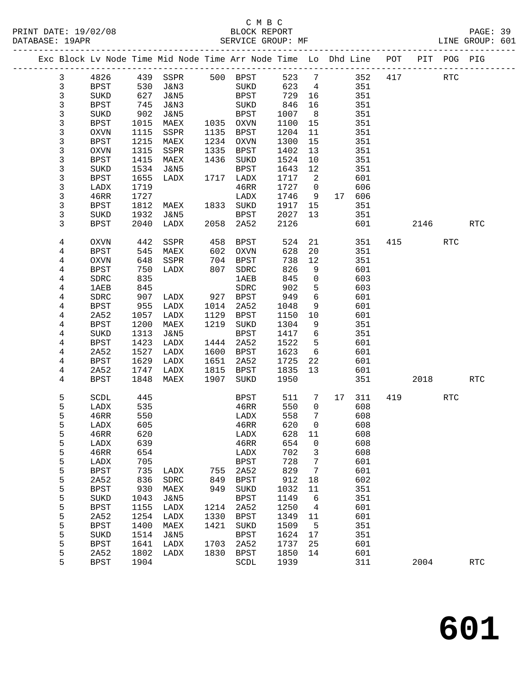#### C M B C<br>BLOCK REPORT PRINT DATE: 19/02/08 BLOCK REPORT PAGE: 39 SERVICE GROUP: MF

|                |                     |            | Exc Block Lv Node Time Mid Node Time Arr Node Time Lo Dhd Line POT<br>_________________________ |              |                                |              |                 |    |            |     |      | PIT POG PIG |                      |
|----------------|---------------------|------------|-------------------------------------------------------------------------------------------------|--------------|--------------------------------|--------------|-----------------|----|------------|-----|------|-------------|----------------------|
| $\mathbf{3}$   | 4826                | 439        | SSPR                                                                                            |              | 500 BPST                       | 523          | $\overline{7}$  |    | 352        | 417 |      | <b>RTC</b>  |                      |
| $\mathfrak{Z}$ | BPST                | 530        | J&N3                                                                                            |              | SUKD                           | 623          | $\overline{4}$  |    | 351        |     |      |             |                      |
| $\mathsf 3$    | SUKD                | 627        | J&N5                                                                                            |              | BPST                           | 729          | 16              |    | 351        |     |      |             |                      |
| $\mathsf 3$    | BPST                | 745        | J&N3                                                                                            |              | SUKD                           | 846          | 16              |    | 351        |     |      |             |                      |
| 3              | SUKD                | 902        | J&N5                                                                                            |              | BPST                           | 1007         | 8 <sup>8</sup>  |    | 351        |     |      |             |                      |
| 3              | BPST                | 1015       | MAEX                                                                                            |              | 1035 OXVN                      | 1100         | 15              |    | 351        |     |      |             |                      |
| 3              | <b>OXVN</b>         | 1115       | SSPR                                                                                            | 1135         | BPST                           | 1204         | 11              |    | 351        |     |      |             |                      |
| 3              | <b>BPST</b>         | 1215       | MAEX                                                                                            | 1234         | OXVN                           | 1300         | 15              |    | 351        |     |      |             |                      |
| 3              | <b>OXVN</b>         | 1315       | SSPR                                                                                            | 1335         | BPST                           | 1402         | 13              |    | 351        |     |      |             |                      |
| 3              | <b>BPST</b>         | 1415       | MAEX                                                                                            | 1436         | SUKD                           | 1524         | $10\,$          |    | 351        |     |      |             |                      |
| 3              | SUKD                | 1534       | J&N5                                                                                            |              | <b>BPST</b>                    | 1643         | 12              |    | 351        |     |      |             |                      |
| 3              | <b>BPST</b>         | 1655       | LADX                                                                                            |              | 1717 LADX                      | 1717         | 2               |    | 601        |     |      |             |                      |
| 3              | LADX                | 1719       |                                                                                                 |              | 46RR                           | 1727         | $\overline{0}$  |    | 606        |     |      |             |                      |
| 3              | 46RR                | 1727       |                                                                                                 |              | LADX                           | 1746         | 9               | 17 | 606        |     |      |             |                      |
| 3              | <b>BPST</b>         | 1812       | MAEX                                                                                            | 1833         | SUKD                           | 1917         | 15              |    | 351        |     |      |             |                      |
| 3              | SUKD                | 1932       | J&N5                                                                                            |              | <b>BPST</b>                    | 2027         | 13              |    | 351        |     |      |             |                      |
| 3              | <b>BPST</b>         | 2040       | LADX                                                                                            | 2058         | 2A52                           | 2126         |                 |    | 601        |     | 2146 |             | <b>RTC</b>           |
| 4              | <b>OXVN</b>         | 442        | SSPR                                                                                            | 458          | BPST                           | 524          | 21              |    | 351        | 415 |      | <b>RTC</b>  |                      |
| 4              | <b>BPST</b>         | 545        | MAEX                                                                                            | 602          | OXVN                           | 628          | 20              |    | 351        |     |      |             |                      |
| 4              | <b>OXVN</b>         | 648        | SSPR                                                                                            | 704          | BPST                           | 738          | 12              |    | 351        |     |      |             |                      |
| 4              | <b>BPST</b>         | 750        | LADX                                                                                            | 807          | SDRC                           | 826          | 9               |    | 601        |     |      |             |                      |
| 4              | SDRC                | 835        |                                                                                                 |              | 1AEB                           | 845          | $\mathsf{O}$    |    | 603        |     |      |             |                      |
| 4              | <b>1AEB</b>         | 845        |                                                                                                 |              | SDRC                           | 902          | 5               |    | 603        |     |      |             |                      |
| 4              | SDRC                | 907        | LADX                                                                                            | 927          | BPST                           | 949          | 6               |    | 601        |     |      |             |                      |
| 4              | <b>BPST</b>         | 955        | LADX                                                                                            | 1014         | 2A52                           | 1048         | 9               |    | 601        |     |      |             |                      |
| 4              | 2A52                | 1057       | LADX                                                                                            | 1129         | BPST                           | 1150         | $10\,$          |    | 601        |     |      |             |                      |
| 4              | <b>BPST</b>         | 1200       | MAEX                                                                                            | 1219         | SUKD                           | 1304         | 9               |    | 351        |     |      |             |                      |
| 4              | SUKD                | 1313       | J&N5                                                                                            |              | <b>BPST</b>                    | 1417         | 6               |    | 351        |     |      |             |                      |
| 4              | BPST                | 1423       | LADX                                                                                            | 1444         | 2A52                           | 1522         | 5               |    | 601        |     |      |             |                      |
| 4              | 2A52                | 1527       | LADX                                                                                            | 1600         | BPST                           | 1623         | 6               |    | 601        |     |      |             |                      |
| 4              | <b>BPST</b>         | 1629       | LADX                                                                                            | 1651<br>1815 | 2A52                           | 1725         | 22<br>13        |    | 601        |     |      |             |                      |
| 4              | 2A52<br><b>BPST</b> | 1747       | LADX<br>MAEX                                                                                    | 1907         | BPST<br>SUKD                   | 1835<br>1950 |                 |    | 601        |     |      |             | <b>RTC</b>           |
| 4              |                     | 1848       |                                                                                                 |              |                                |              |                 |    | 351        |     | 2018 |             |                      |
| 5              | SCDL                | 445        |                                                                                                 |              | BPST                           | 511          | $7\phantom{.0}$ | 17 | 311        | 419 |      | <b>RTC</b>  |                      |
| 5              | LADX                | 535        |                                                                                                 |              | 46RR                           | 550          | $\mathbf{0}$    |    | 608        |     |      |             |                      |
| 5              | 46RR                | 550        |                                                                                                 |              | LADX                           | 558          | 7               |    | 608        |     |      |             |                      |
| 5              | LADX                | 605        |                                                                                                 |              | 46RR                           | 620          | $\Omega$        |    | 608        |     |      |             |                      |
| 5              | 46RR                | 620        |                                                                                                 |              | LADX                           | 628 11       |                 |    | 608        |     |      |             |                      |
| 5              | LADX                | 639        |                                                                                                 |              | 46RR                           | 654          | 0               |    | 608        |     |      |             |                      |
| 5<br>5         | 46RR                | 654<br>705 |                                                                                                 |              | LADX                           | 702          | 3               |    | 608<br>601 |     |      |             |                      |
| 5              | LADX<br><b>BPST</b> | 735        | LADX                                                                                            | 755          | <b>BPST</b><br>2A52            | 728<br>829   | 7<br>7          |    | 601        |     |      |             |                      |
| 5              | 2A52                | 836        | ${\tt SDRC}$                                                                                    | 849          | <b>BPST</b>                    | 912          | 18              |    | 602        |     |      |             |                      |
| 5              | <b>BPST</b>         | 930        | MAEX                                                                                            | 949          | SUKD                           | 1032         | 11              |    | 351        |     |      |             |                      |
| 5              | SUKD                | 1043       | <b>J&amp;N5</b>                                                                                 |              | <b>BPST</b>                    | 1149         | 6               |    | 351        |     |      |             |                      |
| 5              | <b>BPST</b>         | 1155       | LADX                                                                                            | 1214         | 2A52                           | 1250         | 4               |    | 601        |     |      |             |                      |
| 5              | 2A52                | 1254       | LADX                                                                                            | 1330         | <b>BPST</b>                    | 1349         | 11              |    | 601        |     |      |             |                      |
| 5              | <b>BPST</b>         | 1400       | $\mathtt{MAEX}$                                                                                 | 1421         | SUKD                           | 1509         | 5               |    | 351        |     |      |             |                      |
| 5              | SUKD                | 1514       | <b>J&amp;N5</b>                                                                                 |              | <b>BPST</b>                    | 1624         | 17              |    | 351        |     |      |             |                      |
| 5              | <b>BPST</b>         | 1641       | LADX                                                                                            | 1703         | 2A52                           | 1737         | 25              |    | 601        |     |      |             |                      |
| 5              | 2A52                | 1802       | LADX                                                                                            | 1830         | <b>BPST</b>                    | 1850         | 14              |    | 601        |     |      |             |                      |
| 5              | <b>BPST</b>         | 1904       |                                                                                                 |              | $\operatorname{\mathsf{SCDL}}$ | 1939         |                 |    | 311        |     | 2004 |             | $\operatorname{RTC}$ |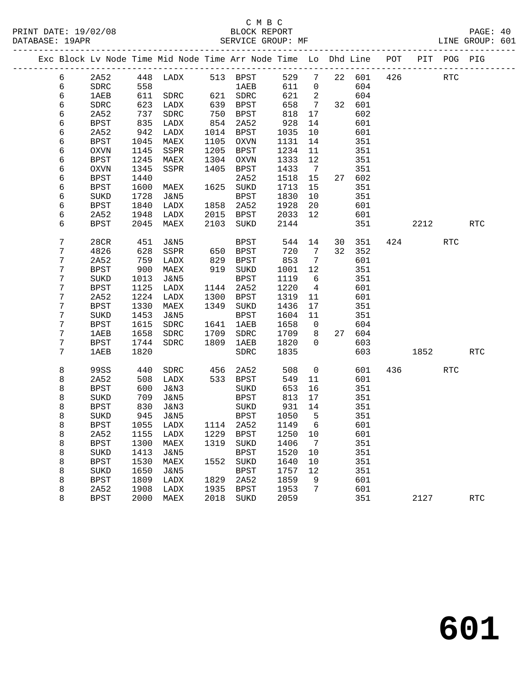#### C M B C DATABASE: 19APR SERVICE GROUP: MF LINE GROUP: 601

|  |   |             |      | Exc Block Lv Node Time Mid Node Time Arr Node Time Lo Dhd Line |      |             |      |                 |    |     | POT |      | PIT POG PIG |            |
|--|---|-------------|------|----------------------------------------------------------------|------|-------------|------|-----------------|----|-----|-----|------|-------------|------------|
|  | 6 | 2A52        | 448  | LADX                                                           |      | 513 BPST    | 529  | 7               | 22 | 601 | 426 |      | <b>RTC</b>  |            |
|  | 6 | <b>SDRC</b> | 558  |                                                                |      | <b>1AEB</b> | 611  | $\mathbf 0$     |    | 604 |     |      |             |            |
|  | 6 | 1AEB        | 611  | <b>SDRC</b>                                                    | 621  | SDRC        | 621  | 2               |    | 604 |     |      |             |            |
|  | 6 | SDRC        | 623  | LADX                                                           | 639  | <b>BPST</b> | 658  | $7\overline{ }$ | 32 | 601 |     |      |             |            |
|  | 6 | 2A52        | 737  | <b>SDRC</b>                                                    | 750  | <b>BPST</b> | 818  | 17              |    | 602 |     |      |             |            |
|  | 6 | <b>BPST</b> | 835  | LADX                                                           | 854  | 2A52        | 928  | 14              |    | 601 |     |      |             |            |
|  | 6 | 2A52        | 942  | LADX                                                           | 1014 | <b>BPST</b> | 1035 | 10              |    | 601 |     |      |             |            |
|  | 6 | BPST        | 1045 | MAEX                                                           | 1105 | <b>OXVN</b> | 1131 | 14              |    | 351 |     |      |             |            |
|  | 6 | <b>OXVN</b> | 1145 | SSPR                                                           | 1205 | <b>BPST</b> | 1234 | 11              |    | 351 |     |      |             |            |
|  | 6 | <b>BPST</b> | 1245 | MAEX                                                           | 1304 | <b>OXVN</b> | 1333 | 12              |    | 351 |     |      |             |            |
|  | 6 | <b>OXVN</b> | 1345 | SSPR                                                           | 1405 | <b>BPST</b> | 1433 | 7               |    | 351 |     |      |             |            |
|  | 6 | <b>BPST</b> | 1440 |                                                                |      | 2A52        | 1518 | 15              | 27 | 602 |     |      |             |            |
|  | 6 | BPST        | 1600 | MAEX                                                           | 1625 | SUKD        | 1713 | 15              |    | 351 |     |      |             |            |
|  | 6 | SUKD        | 1728 | <b>J&amp;N5</b>                                                |      | <b>BPST</b> | 1830 | 10              |    | 351 |     |      |             |            |
|  | 6 | BPST        | 1840 | LADX                                                           | 1858 | 2A52        | 1928 | 20              |    | 601 |     |      |             |            |
|  | 6 | 2A52        | 1948 | LADX                                                           | 2015 | <b>BPST</b> | 2033 | 12              |    | 601 |     |      |             |            |
|  | 6 | BPST        | 2045 | MAEX                                                           | 2103 | SUKD        | 2144 |                 |    | 351 |     | 2212 |             | <b>RTC</b> |
|  | 7 | 28CR        | 451  | J&N5                                                           |      | <b>BPST</b> | 544  | 14              | 30 | 351 | 424 |      | <b>RTC</b>  |            |
|  | 7 | 4826        | 628  | SSPR                                                           | 650  | <b>BPST</b> | 720  | 7               | 32 | 352 |     |      |             |            |
|  | 7 | 2A52        | 759  | LADX                                                           | 829  | <b>BPST</b> | 853  | 7               |    | 601 |     |      |             |            |
|  | 7 | <b>BPST</b> | 900  | MAEX                                                           | 919  | SUKD        | 1001 | 12              |    | 351 |     |      |             |            |
|  | 7 | SUKD        | 1013 | J&N5                                                           |      | <b>BPST</b> | 1119 | 6               |    | 351 |     |      |             |            |
|  | 7 | BPST        | 1125 | LADX                                                           | 1144 | 2A52        | 1220 | 4               |    | 601 |     |      |             |            |
|  | 7 | 2A52        | 1224 | LADX                                                           | 1300 | <b>BPST</b> | 1319 | 11              |    | 601 |     |      |             |            |
|  | 7 | <b>BPST</b> | 1330 | MAEX                                                           | 1349 | <b>SUKD</b> | 1436 | 17              |    | 351 |     |      |             |            |
|  | 7 | SUKD        | 1453 | J&N5                                                           |      | <b>BPST</b> | 1604 | 11              |    | 351 |     |      |             |            |
|  | 7 | BPST        | 1615 | SDRC                                                           | 1641 | 1AEB        | 1658 | 0               |    | 604 |     |      |             |            |
|  | 7 | <b>1AEB</b> | 1658 | <b>SDRC</b>                                                    | 1709 | SDRC        | 1709 | 8               | 27 | 604 |     |      |             |            |
|  | 7 | BPST        | 1744 | <b>SDRC</b>                                                    | 1809 | 1AEB        | 1820 | $\Omega$        |    | 603 |     |      |             |            |
|  | 7 | 1AEB        | 1820 |                                                                |      | SDRC        | 1835 |                 |    | 603 |     | 1852 |             | <b>RTC</b> |
|  | 8 | 99SS        | 440  | <b>SDRC</b>                                                    | 456  | 2A52        | 508  | $\mathbf 0$     |    | 601 | 436 |      | <b>RTC</b>  |            |
|  | 8 | 2A52        | 508  | LADX                                                           | 533  | <b>BPST</b> | 549  | 11              |    | 601 |     |      |             |            |
|  |   |             |      |                                                                |      |             |      |                 |    |     |     |      |             |            |

 8 BPST 600 J&N3 SUKD 653 16 351 8 SUKD 709 J&N5 BPST 813 17 351

 8 SUKD 945 J&N5 BPST 1050 5 351 8 BPST 1055 LADX 1114 2A52 1149 6 601 8 2A52 1155 LADX 1229 BPST 1250 10 601 8 BPST 1300 MAEX 1319 SUKD 1406 7 351 8 SUKD 1413 J&N5 BPST 1520 10 351

 8 SUKD 1650 J&N5 BPST 1757 12 351 8 BPST 1809 LADX 1829 2A52 1859 9 601 8 2A52 1908 LADX 1935 BPST 1953 7 601

8 BPST 830 J&N3 SUKD 931 14 351<br>8 SUKD 945 J&N5 BPST 1050 5 351<br>8 BPST 1055 LADX 1114 2A52 1149 6 601

8 BPST 1300 MAEX 1319 SUKD 1406 7 351<br>8 SUKD 1413 J&N5 BPST 1520 10 351<br>8 BPST 1530 MAEX 1552 SUKD 1640 10 351<br>8 SUKD 1650 J&N5 BPST 1757 12 351

8 BPST 2000 MAEX 2018 SUKD 2059 351 2127 RTC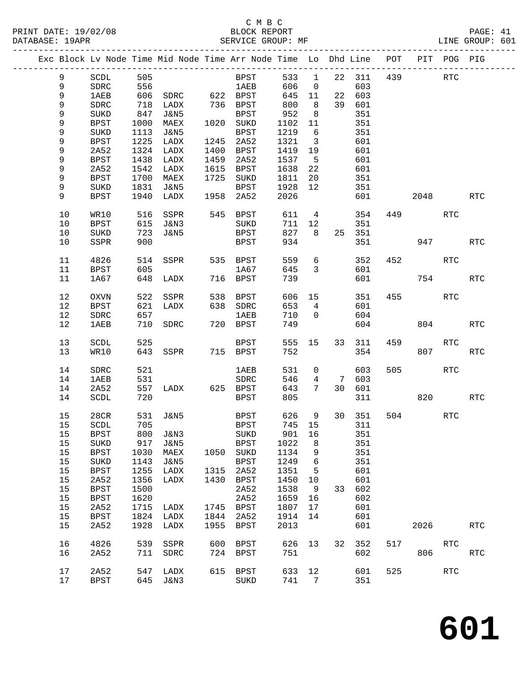### C M B C<br>BLOCK REPORT

PRINT DATE: 19/02/08 BLOCK REPORT PAGE: 41 SERVICE GROUP: MF

|      |              |      | Exc Block Lv Node Time Mid Node Time Arr Node Time Lo Dhd Line |      |             |        |                         |                 |            |     | POT PIT POG PIG |         |                             |
|------|--------------|------|----------------------------------------------------------------|------|-------------|--------|-------------------------|-----------------|------------|-----|-----------------|---------|-----------------------------|
| 9    | SCDL         | 505  |                                                                |      | <b>BPST</b> | 533 1  |                         |                 | 22 311     |     | 439 RTC         |         |                             |
| 9    | ${\tt SDRC}$ | 556  |                                                                |      | 1 AE B      | 606    | $\overline{0}$          |                 | 603        |     |                 |         |                             |
| 9    | 1AEB         |      | 606 SDRC 622 BPST                                              |      |             | 645    | 11                      |                 | 22 603     |     |                 |         |                             |
| 9    | ${\tt SDRC}$ |      | 718 LADX                                                       |      | 736 BPST    | 800    | 8                       |                 | 39 601     |     |                 |         |                             |
| 9    | $\rm SUKD$   | 847  | J&N5                                                           |      | <b>BPST</b> | 952    | 8 <sup>8</sup>          |                 | 351        |     |                 |         |                             |
| 9    | <b>BPST</b>  |      | 1000 MAEX                                                      |      | 1020 SUKD   | 1102   | 11                      |                 | 351        |     |                 |         |                             |
| 9    | $\rm SUKD$   | 1113 | J&N5                                                           |      | BPST        | 1219   | $6\overline{6}$         |                 | 351        |     |                 |         |                             |
| 9    | <b>BPST</b>  | 1225 | LADX                                                           |      | 1245 2A52   | 1321   | $\overline{\mathbf{3}}$ |                 | 601        |     |                 |         |                             |
| 9    | 2A52         |      | 1324 LADX                                                      |      | 1400 BPST   | 1419   | 19                      |                 | 601        |     |                 |         |                             |
| 9    | BPST         |      | 1438 LADX                                                      |      | 1459 2A52   | 1537   | $5^{\circ}$             |                 | 601        |     |                 |         |                             |
| 9    | 2A52         |      | 1542 LADX                                                      |      | 1615 BPST   | 1638   | 22                      |                 | 601        |     |                 |         |                             |
| 9    | <b>BPST</b>  | 1700 | MAEX                                                           |      | 1725 SUKD   | 1811   | 20                      |                 | 351        |     |                 |         |                             |
| 9    | $\rm SUKD$   |      | 1831 J&N5                                                      |      | BPST        | 1928   | 12                      |                 | 351        |     |                 |         |                             |
| 9    | <b>BPST</b>  |      | 1940 LADX                                                      |      | 1958 2A52   | 2026   |                         |                 | 601        |     | 2048            |         | <b>RTC</b>                  |
| $10$ | WR10         |      | 516 SSPR                                                       |      | 545 BPST    | 611    |                         | $4\overline{ }$ | 354        |     | 449             | RTC     |                             |
| $10$ | BPST         |      | 615 J&N3                                                       |      | SUKD        | 711    | 12                      |                 | 351        |     |                 |         |                             |
| 10   | SUKD         |      | 723 J&N5                                                       |      | BPST        | 827    | 8 <sup>8</sup>          |                 | 25 351     |     |                 |         |                             |
| 10   | SSPR         | 900  |                                                                |      | BPST        | 934    |                         |                 | 351        |     | 947             |         | <b>RTC</b>                  |
|      |              |      |                                                                |      |             |        |                         |                 |            |     |                 |         |                             |
| 11   | 4826         | 514  | SSPR                                                           |      | 535 BPST    | 559    | $6\overline{6}$         |                 | 352        | 452 |                 | RTC     |                             |
| 11   | BPST         | 605  |                                                                |      | 1A67        | 645    | $\overline{3}$          |                 | 601        |     |                 |         |                             |
| 11   | 1A67         |      | 648 LADX                                                       |      | 716 BPST    | 739    |                         |                 | 601        |     |                 | 754     | <b>RTC</b>                  |
| 12   | OXVN         |      | 522 SSPR                                                       |      | 538 BPST    | 606    | 15                      |                 | 351        |     | 455             | RTC     |                             |
| 12   | BPST         |      | 621 LADX                                                       |      | 638 SDRC    | 653    | $\overline{4}$          |                 | 601        |     |                 |         |                             |
| 12   | SDRC         | 657  |                                                                |      | 1AEB        | 710    | $\overline{0}$          |                 | 604        |     |                 |         |                             |
| 12   | 1AEB         |      | 710 SDRC                                                       |      | 720 BPST    | 749    |                         |                 | 604        |     | 804             |         | <b>RTC</b>                  |
| 13   | SCDL         | 525  |                                                                |      | BPST        |        | 555 15                  |                 | 33 311     | 459 |                 | RTC     |                             |
| 13   | WR10         |      | 643 SSPR                                                       |      | 715 BPST    | 752    |                         |                 | 354        |     | 807             |         | <b>RTC</b>                  |
| 14   | SDRC         | 521  |                                                                |      | 1AEB        | 531    | $\mathbf 0$             |                 | 603        | 505 |                 | RTC     |                             |
| 14   | 1AEB         | 531  |                                                                |      | SDRC        | 546    | $4\overline{4}$         |                 | 7 603      |     |                 |         |                             |
| 14   | 2A52         |      | 557 LADX                                                       |      | 625 BPST    | 643    | $7\phantom{.0}$         |                 | 30 601     |     |                 |         |                             |
| 14   | SCDL         | 720  |                                                                |      | BPST        | 805    |                         |                 | 311        |     |                 | 820 320 | <b>RTC</b>                  |
| 15   | 28CR         |      | 531 J&N5                                                       |      | BPST        | 626    | 9                       |                 | 30 351     |     | 504             | RTC     |                             |
| 15   | SCDL         | 705  |                                                                |      | BPST        | 745 15 |                         |                 | 311        |     |                 |         |                             |
| 15   | <b>BPST</b>  |      | 800 J&N3                                                       |      | <b>SUKD</b> |        |                         |                 | 901 16 351 |     |                 |         |                             |
| 15   | SUKD         | 917  | J&N5                                                           |      | BPST        | 1022   | 8                       |                 | 351        |     |                 |         |                             |
| 15   | BPST         | 1030 | MAEX                                                           |      | 1050 SUKD   | 1134   | 9                       |                 | 351        |     |                 |         |                             |
| 15   | SUKD         | 1143 | J&N5                                                           |      | <b>BPST</b> | 1249   | $6\phantom{1}6$         |                 | 351        |     |                 |         |                             |
| 15   | <b>BPST</b>  | 1255 | LADX                                                           | 1315 | 2A52        | 1351   | 5                       |                 | 601        |     |                 |         |                             |
| 15   | 2A52         | 1356 | LADX                                                           | 1430 | BPST        | 1450   | $10 \,$                 |                 | 601        |     |                 |         |                             |
| 15   | <b>BPST</b>  | 1500 |                                                                |      | 2A52        | 1538   | 9                       |                 | 33 602     |     |                 |         |                             |
| 15   | <b>BPST</b>  | 1620 |                                                                |      | 2A52        | 1659   | 16                      |                 | 602        |     |                 |         |                             |
| 15   | 2A52         | 1715 | LADX                                                           |      | 1745 BPST   | 1807   | 17                      |                 | 601        |     |                 |         |                             |
| 15   | <b>BPST</b>  | 1824 | LADX                                                           | 1844 | 2A52        | 1914   | 14                      |                 | 601        |     |                 |         |                             |
| 15   | 2A52         | 1928 | LADX                                                           | 1955 | BPST        | 2013   |                         |                 | 601        |     | 2026            |         | RTC                         |
| 16   | 4826         | 539  | SSPR                                                           | 600  | BPST        | 626    | 13                      | 32              | 352        | 517 |                 | RTC     |                             |
| 16   | 2A52         |      | 711 SDRC                                                       |      | 724 BPST    | 751    |                         |                 | 602        |     | 806             |         | $\mathop{\rm RTC}\nolimits$ |
| 17   | 2A52         |      | 547 LADX                                                       |      | 615 BPST    | 633 12 |                         |                 | 601        | 525 |                 | RTC     |                             |
| 17   | <b>BPST</b>  |      | 645 J&N3                                                       |      | SUKD        | 741 7  |                         |                 | 351        |     |                 |         |                             |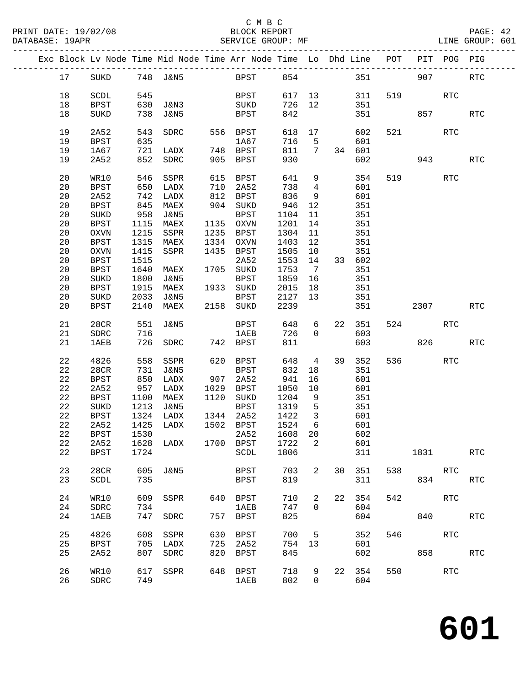| Exc Block Lv Node Time Mid Node Time Arr Node Time Lo Dhd Line POT PIT POG PIG |             |      |                                                                |     |                        |            |                         |         |          |     |            |            |                      |
|--------------------------------------------------------------------------------|-------------|------|----------------------------------------------------------------|-----|------------------------|------------|-------------------------|---------|----------|-----|------------|------------|----------------------|
| 17                                                                             |             |      | SUKD 748 J&N5 BPST 854 351 907                                 |     |                        |            |                         |         |          |     |            |            | <b>RTC</b>           |
| 18                                                                             | SCDL        | 545  |                                                                |     | BPST                   | 617 13 311 |                         |         |          |     | 519 — 10   | RTC        |                      |
| 18                                                                             | BPST        |      | 630 J&N3                                                       |     | SUKD                   | 726        |                         |         | 12 351   |     |            |            |                      |
| 18                                                                             | SUKD        |      | 738 J&N5                                                       |     | BPST                   | 842        |                         |         |          |     | 351 857    |            | <b>RTC</b>           |
| 19                                                                             | 2A52        | 543  | SDRC                                                           |     | 556 BPST               | 618        |                         | 17      | 602      |     | 521 72     | RTC        |                      |
| 19                                                                             | BPST        | 635  |                                                                |     | 1A67                   | 716        |                         | $5 - 5$ | 601      |     |            |            |                      |
|                                                                                |             |      |                                                                |     |                        |            |                         |         |          |     |            |            |                      |
| 19                                                                             | 1A67        |      |                                                                |     |                        | 811        |                         |         | 7 34 601 |     |            |            |                      |
| 19                                                                             | 2A52        |      |                                                                |     |                        | 930        |                         |         | 602      |     | 943        |            | <b>RTC</b>           |
| 20                                                                             | WR10        |      | 546 SSPR                                                       | 615 | BPST                   | 641        | 9                       |         | 354      |     | 519        | RTC        |                      |
| 20                                                                             | BPST        |      | 650 LADX 710 2A52<br>742 LADX 812 BPST<br>142 LADX<br>742 LADX |     |                        | 738        | $\overline{4}$          |         | 601      |     |            |            |                      |
| 20                                                                             | 2A52        |      |                                                                |     | 812 BPST               | 836        | 9                       |         | 601      |     |            |            |                      |
| 20                                                                             | BPST        |      | 845 MAEX                                                       |     | 904 SUKD               | 946        | 12                      |         | 351      |     |            |            |                      |
| 20                                                                             | SUKD        |      | 958 J&N5                                                       |     | BPST                   | 1104       | 11                      |         | 351      |     |            |            |                      |
| 20                                                                             | BPST        |      | 1115 MAEX                                                      |     | 1135 OXVN              | 1201       | 14                      |         | 351      |     |            |            |                      |
| 20                                                                             | OXVN        |      | 1215 SSPR                                                      |     | 1235 BPST              | 1304       | 11                      |         | 351      |     |            |            |                      |
| 20                                                                             | BPST        |      | 1315 MAEX                                                      |     | 1334 OXVN              | 1403       | 12                      |         | 351      |     |            |            |                      |
| 20                                                                             | OXVN        | 1415 | SSPR                                                           |     | 1435 BPST              | 1505       |                         | 10      | 351      |     |            |            |                      |
| 20                                                                             | <b>BPST</b> | 1515 |                                                                |     | 2A52                   | 1553       | 14                      |         | 33 602   |     |            |            |                      |
| 20                                                                             | <b>BPST</b> |      | 1640 MAEX                                                      |     | 1705 SUKD              | 1753       | $7\overline{ }$         |         | 351      |     |            |            |                      |
| 20                                                                             | SUKD        | 1800 | J&N5                                                           |     | BPST                   | 1859       | 16                      |         | 351      |     |            |            |                      |
| 20                                                                             | <b>BPST</b> |      | 1915 MAEX                                                      |     | 1933 SUKD              | 2015       |                         |         | 351      |     |            |            |                      |
|                                                                                |             |      |                                                                |     |                        |            | 18                      |         |          |     |            |            |                      |
| 20                                                                             | SUKD        |      | 2033 J&N5 BPST<br>2140 MAEX 2158 SUKD                          |     |                        | 2127       | 13                      |         | 351      |     |            |            |                      |
| 20                                                                             | BPST        |      |                                                                |     |                        | 2239       |                         |         | 351      |     | 2307       |            | <b>RTC</b>           |
| 21                                                                             | 28CR        | 551  | J&N5                                                           |     | BPST                   | 648        | $6\overline{}$          |         | 22 351   |     | 524        | RTC        |                      |
| 21                                                                             | SDRC        | 716  |                                                                |     | 1AEB                   | 726        | $\overline{0}$          |         | 603      |     |            |            |                      |
| 21                                                                             | <b>1AEB</b> |      | 726 SDRC 742 BPST                                              |     |                        | 811        |                         |         | 603      |     | 826        |            | <b>RTC</b>           |
| 22                                                                             | 4826        |      | 558 SSPR                                                       |     | 620 BPST               | 648        | $4\overline{4}$         |         | 39 352   |     | 536 70     | <b>RTC</b> |                      |
| 22                                                                             | 28CR        |      | 731 J&N5                                                       |     | BPST                   | 832        |                         | 18      | 351      |     |            |            |                      |
| 22                                                                             | BPST        |      |                                                                |     |                        | 941        | 16                      |         | 601      |     |            |            |                      |
| 22                                                                             | 2A52        |      |                                                                |     |                        | 1050       | 10                      |         | 601      |     |            |            |                      |
| 22                                                                             | BPST        |      | 1100 MAEX                                                      |     | 1120 SUKD              | 1204       | $\overline{9}$          |         | 351      |     |            |            |                      |
| 22                                                                             | SUKD        |      | 1213 J&N5                                                      |     | BPST                   | 1319       | 5                       |         | 351      |     |            |            |                      |
|                                                                                |             |      |                                                                |     |                        |            |                         |         |          |     |            |            |                      |
| 22                                                                             | BPST        |      | 1324 LADX                                                      |     | 1344 2A52<br>1502 BPST | 1422       | $\overline{\mathbf{3}}$ |         | 601      |     |            |            |                      |
| 22                                                                             | 2A52        |      | 1425 LADX                                                      |     |                        | 1524       | 6                       |         | 601      |     |            |            |                      |
|                                                                                |             |      | 22 BPST 1530 2A52 1608 20 602                                  |     |                        |            |                         |         |          |     |            |            |                      |
| 22                                                                             | 2A52        | 1628 | LADX                                                           |     | 1700 BPST              | 1722       | 2                       |         | 601      |     |            |            |                      |
| 22                                                                             | <b>BPST</b> | 1724 |                                                                |     | SCDL                   | 1806       |                         |         |          | 311 | 1831       |            | <b>RTC</b>           |
| 23                                                                             | 28CR        | 605  | <b>J&amp;N5</b>                                                |     | <b>BPST</b>            | 703        | 2                       | 30      | 351      | 538 | <b>RTC</b> |            |                      |
| 23                                                                             | SCDL        | 735  |                                                                |     | <b>BPST</b>            | 819        |                         |         | 311      |     |            | 834        | <b>RTC</b>           |
| 24                                                                             | WR10        |      | 609 SSPR                                                       | 640 | BPST                   | 710        | 2                       |         | 22 354   | 542 |            | RTC        |                      |
| 24                                                                             | SDRC        | 734  |                                                                |     | 1AEB                   | 747        | $\overline{0}$          |         | 604      |     |            |            |                      |
| 24                                                                             | 1AEB        |      | 747 SDRC                                                       |     | 757 BPST               | 825        |                         |         | 604      |     |            | 840        | $\operatorname{RTC}$ |
| 25                                                                             | 4826        |      | 608 SSPR                                                       | 630 | BPST                   | 700        | 5                       |         | 352      | 546 | <b>RTC</b> |            |                      |
| 25                                                                             | <b>BPST</b> | 705  | LADX                                                           | 725 | 2A52                   | 754        | 13                      |         | 601      |     |            |            |                      |
| 25                                                                             | 2A52        | 807  | SDRC                                                           | 820 | BPST                   | 845        |                         |         | 602      |     | 858 30     |            | <b>RTC</b>           |
|                                                                                |             |      |                                                                |     |                        |            |                         |         |          |     |            |            |                      |
| 26                                                                             | WR10        | 617  | SSPR                                                           | 648 | BPST                   | 718        | 9                       |         | 22 354   | 550 | <b>RTC</b> |            |                      |
| 26                                                                             | SDRC        | 749  |                                                                |     | <b>1AEB</b>            | 802        | $\overline{0}$          |         | 604      |     |            |            |                      |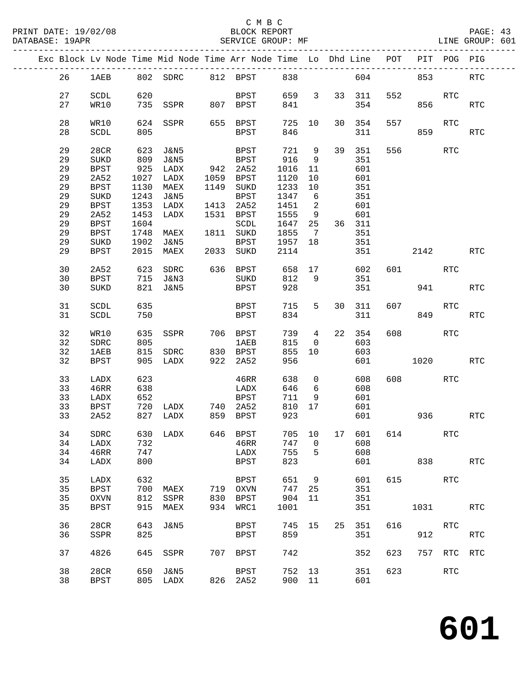|  |    |             |      | Exc Block Lv Node Time Mid Node Time Arr Node Time Lo Dhd Line POT |     |             |         |                            |    |              |         |            | PIT POG PIG |            |
|--|----|-------------|------|--------------------------------------------------------------------|-----|-------------|---------|----------------------------|----|--------------|---------|------------|-------------|------------|
|  | 26 |             |      | 1AEB 802 SDRC 812 BPST 838                                         |     |             |         |                            |    |              | 604 000 | 853        |             | RTC        |
|  | 27 | SCDL        | 620  |                                                                    |     | <b>BPST</b> |         |                            |    | 659 3 33 311 | 552     |            | RTC         |            |
|  | 27 | WR10        |      | 735 SSPR 807 BPST                                                  |     |             | 841     |                            |    | 354          |         |            | 856 1905    | <b>RTC</b> |
|  |    |             |      |                                                                    |     |             |         |                            |    |              |         |            |             |            |
|  | 28 |             | 624  |                                                                    |     | 655 BPST    |         |                            | 30 |              |         |            | <b>RTC</b>  |            |
|  |    | WR10        |      | SSPR                                                               |     |             | 725 10  |                            |    | 354          | 557     |            |             |            |
|  | 28 | SCDL        | 805  |                                                                    |     | BPST        | 846     |                            |    | 311          |         | 859        |             | RTC        |
|  |    |             |      |                                                                    |     |             |         |                            |    |              |         |            |             |            |
|  | 29 | 28CR        | 623  | J&N5                                                               |     | BPST        | 721 9   |                            |    | 39 351       |         | 556 700    | RTC         |            |
|  | 29 | SUKD        | 809  | J&N5                                                               |     | BPST        | 916     | 9                          |    | 351          |         |            |             |            |
|  | 29 | <b>BPST</b> | 925  | LADX                                                               |     | 942 2A52    | 1016    | 11                         |    | 601          |         |            |             |            |
|  | 29 | 2A52        | 1027 | LADX                                                               |     | 1059 BPST   | 1120    | 10                         |    | 601          |         |            |             |            |
|  | 29 | <b>BPST</b> | 1130 | MAEX                                                               |     | 1149 SUKD   | 1233    | 10                         |    | 351          |         |            |             |            |
|  | 29 | $\rm SUKD$  | 1243 | J&N5                                                               |     | BPST        | 1347    | 6                          |    | 351          |         |            |             |            |
|  | 29 | BPST        | 1353 | LADX                                                               |     | 1413 2A52   | 1451    | $\overline{\phantom{a}}^2$ |    | 601          |         |            |             |            |
|  | 29 | 2A52        | 1453 | LADX                                                               |     | 1531 BPST   | 1555    | 9                          |    | 601          |         |            |             |            |
|  | 29 | BPST        | 1604 |                                                                    |     | SCDL        | 1647    | 25                         |    | 36 311       |         |            |             |            |
|  | 29 | BPST        | 1748 | MAEX                                                               |     | 1811 SUKD   | 1855    | $\overline{7}$             |    | 351          |         |            |             |            |
|  | 29 | SUKD        | 1902 | J&N5                                                               |     | BPST        | 1957 18 |                            |    | 351          |         |            |             |            |
|  | 29 | BPST        | 2015 | MAEX                                                               |     | 2033 SUKD   |         |                            |    |              |         | 2142       |             | <b>RTC</b> |
|  |    |             |      |                                                                    |     |             | 2114    |                            |    | 351          |         |            |             |            |
|  |    |             |      |                                                                    |     |             |         |                            |    |              |         |            |             |            |
|  | 30 | 2A52        | 623  | SDRC 636 BPST                                                      |     |             | 658     |                            | 17 | 602          |         | 601 700    | RTC         |            |
|  | 30 | BPST        |      | 715 J&N3                                                           |     | SUKD        | 812     | - 9                        |    | 351          |         |            |             |            |
|  | 30 | SUKD        | 821  | J&N5                                                               |     | BPST        | 928     |                            |    | 351          |         | 941        |             | <b>RTC</b> |
|  |    |             |      |                                                                    |     |             |         |                            |    |              |         |            |             |            |
|  | 31 | SCDL        | 635  |                                                                    |     | <b>BPST</b> | 715     | 5 <sub>5</sub>             |    | 30 311       |         | 607 — 100  | RTC         |            |
|  | 31 | SCDL        | 750  |                                                                    |     | BPST        | 834     |                            |    | 311          |         | 849        |             | RTC        |
|  |    |             |      |                                                                    |     |             |         |                            |    |              |         |            |             |            |
|  | 32 | WR10        | 635  | SSPR 706 BPST                                                      |     |             | 739 4   |                            |    | 22 354       | 608     | <b>RTC</b> |             |            |
|  | 32 | SDRC        | 805  |                                                                    |     | 1AEB        | 815     | $\overline{0}$             |    | 603          |         |            |             |            |
|  | 32 | 1AEB        | 815  | SDRC 830 BPST                                                      |     |             | 855     | 10                         |    | 603          |         |            |             |            |
|  | 32 | BPST        | 905  | LADX                                                               |     | 922 2A52    | 956     |                            |    | 601          |         | 1020       |             | <b>RTC</b> |
|  |    |             |      |                                                                    |     |             |         |                            |    |              |         |            |             |            |
|  | 33 | LADX        | 623  |                                                                    |     | 46RR        | 638     | $\overline{0}$             |    | 608          |         | 608 8      | RTC         |            |
|  | 33 | 46RR        | 638  |                                                                    |     | LADX        | 646     | 6                          |    | 608          |         |            |             |            |
|  | 33 | LADX        | 652  |                                                                    |     | BPST        | 711     | 9                          |    | 601          |         |            |             |            |
|  | 33 | BPST        |      | 720 LADX 740 2A52                                                  |     |             | 810 17  |                            |    | 601          |         |            |             |            |
|  | 33 | 2A52        |      | 827 LADX                                                           |     | 859 BPST    | 923     |                            |    | 601          |         | 936        |             | RTC        |
|  |    |             |      |                                                                    |     |             |         |                            |    |              |         |            |             |            |
|  | 34 | SDRC        |      | 630 LADX 646 BPST 705 10 17 601 614                                |     |             |         |                            |    |              |         |            | RTC         |            |
|  | 34 | LADX        | 732  |                                                                    |     | 46RR        | 747     | 0                          |    | 608          |         |            |             |            |
|  | 34 | 46RR        | 747  |                                                                    |     | LADX        | 755     | 5                          |    | 608          |         |            |             |            |
|  |    |             |      |                                                                    |     | <b>BPST</b> |         |                            |    |              |         |            |             |            |
|  | 34 | LADX        | 800  |                                                                    |     |             | 823     |                            |    | 601          |         | 838        |             | <b>RTC</b> |
|  |    |             |      |                                                                    |     |             |         |                            |    |              |         |            |             |            |
|  | 35 | LADX        | 632  |                                                                    |     | <b>BPST</b> | 651     | 9                          |    | 601          | 615     |            | <b>RTC</b>  |            |
|  | 35 | <b>BPST</b> | 700  | MAEX                                                               |     | 719 OXVN    | 747     | 25                         |    | 351          |         |            |             |            |
|  | 35 | OXVN        | 812  | SSPR                                                               |     | 830 BPST    | 904     | 11                         |    | 351          |         |            |             |            |
|  | 35 | <b>BPST</b> | 915  | MAEX                                                               | 934 | WRC1        | 1001    |                            |    | 351          |         | 1031       |             | RTC        |
|  |    |             |      |                                                                    |     |             |         |                            |    |              |         |            |             |            |
|  | 36 | 28CR        | 643  | J&N5                                                               |     | BPST        | 745     | 15                         | 25 | 351          | 616     |            | RTC         |            |
|  | 36 | SSPR        | 825  |                                                                    |     | BPST        | 859     |                            |    | 351          |         | 912        |             | RTC        |
|  |    |             |      |                                                                    |     |             |         |                            |    |              |         |            |             |            |
|  | 37 | 4826        | 645  | SSPR                                                               | 707 | BPST        | 742     |                            |    | 352          | 623     | 757        | RTC         | <b>RTC</b> |
|  |    |             |      |                                                                    |     |             |         |                            |    |              |         |            |             |            |
|  | 38 | 28CR        | 650  | J&N5                                                               |     | BPST        | 752 13  |                            |    | 351          | 623     |            | RTC         |            |
|  | 38 | BPST        |      | 805 LADX                                                           | 826 | 2A52        | 900 11  |                            |    | 601          |         |            |             |            |
|  |    |             |      |                                                                    |     |             |         |                            |    |              |         |            |             |            |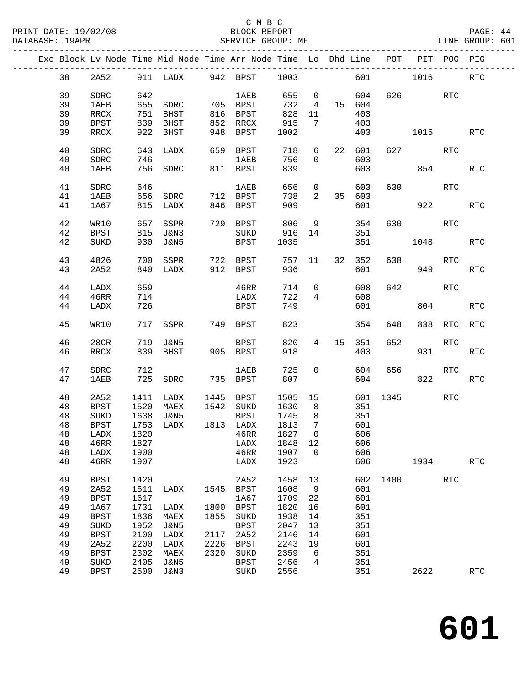### C M B C<br>BLOCK REPORT

|  |    |             |      |                      |      | Exc Block Lv Node Time Mid Node Time Arr Node Time Lo Dhd Line POT |         |                 |                 |        |          |         | PIT POG PIG |            |
|--|----|-------------|------|----------------------|------|--------------------------------------------------------------------|---------|-----------------|-----------------|--------|----------|---------|-------------|------------|
|  | 38 |             |      |                      |      | 2A52 911 LADX 942 BPST 1003                                        |         |                 |                 |        | 601 1016 |         |             | RTC        |
|  | 39 | SDRC        | 642  |                      |      | 1AEB                                                               |         |                 | 655 0           | 604    |          | 626 RTC |             |            |
|  | 39 | 1AEB        |      | 655 SDRC 705 BPST    |      |                                                                    |         |                 | 732  4  15  604 |        |          |         |             |            |
|  |    |             |      |                      |      |                                                                    | 828 11  |                 |                 |        |          |         |             |            |
|  | 39 | RRCX        |      | 751 BHST<br>839 BHST |      | 816 BPST                                                           |         |                 |                 | 403    |          |         |             |            |
|  | 39 | BPST        | 839  | BHST                 |      | $852$ RRCX                                                         | 915     | 7               |                 | 403    |          |         |             |            |
|  | 39 | RRCX        | 922  | BHST                 | 948  | BPST                                                               | 1002    |                 |                 | 403    |          | 1015    |             | RTC        |
|  | 40 | SDRC        |      | 643 LADX             |      | 659 BPST                                                           | 718     | 6               |                 | 22 601 |          | 627 RTC |             |            |
|  | 40 | SDRC        | 746  |                      |      | <b>1AEB</b>                                                        | 756     | $\overline{0}$  |                 | 603    |          |         |             |            |
|  | 40 | 1AEB        |      | 756 SDRC             |      | 811 BPST                                                           | 839     |                 |                 | 603    |          | 854     |             | RTC        |
|  |    |             |      |                      |      |                                                                    |         |                 |                 |        |          |         |             |            |
|  | 41 | SDRC        | 646  |                      |      | 1AEB                                                               | 656     | $\overline{0}$  |                 | 603    |          | 630 RTC |             |            |
|  | 41 | 1AEB        | 656  | SDRC                 |      | 712 BPST                                                           | 738     | $\overline{a}$  |                 | 35 603 |          |         |             |            |
|  | 41 | 1A67        |      | 815 LADX             |      | 846 BPST                                                           | 909     |                 |                 | 601    |          |         | 922 2       | <b>RTC</b> |
|  |    |             |      |                      |      |                                                                    |         |                 |                 |        |          |         |             |            |
|  | 42 | WR10        |      | 657 SSPR             |      | 729 BPST                                                           | 806     | 9               |                 | 354    | 630      | RTC     |             |            |
|  | 42 | <b>BPST</b> |      | 815 J&N3             |      | SUKD                                                               | 916 14  |                 |                 | 351    |          |         |             |            |
|  | 42 | SUKD        |      | 930 J&N5             |      |                                                                    |         |                 |                 |        |          | 1048    |             | RTC        |
|  |    |             |      |                      |      | BPST                                                               | 1035    |                 |                 | 351    |          |         |             |            |
|  | 43 | 4826        | 700  | SSPR                 |      | 722 BPST                                                           | 757 11  |                 |                 | 32 352 | 638      |         | RTC         |            |
|  |    |             |      |                      |      |                                                                    |         |                 |                 |        |          |         |             |            |
|  | 43 | 2A52        |      | 840 LADX             |      | 912 BPST                                                           | 936     |                 |                 | 601    |          |         | 949         | RTC        |
|  | 44 | LADX        | 659  |                      |      | 46RR                                                               | 714     | $\overline{0}$  |                 | 608    | 642      |         | RTC         |            |
|  | 44 | 46RR        | 714  |                      |      | LADX                                                               | 722     | $4\overline{ }$ |                 | 608    |          |         |             |            |
|  |    |             |      |                      |      |                                                                    |         |                 |                 |        |          |         |             |            |
|  | 44 | LADX        | 726  |                      |      | BPST                                                               | 749     |                 |                 | 601    |          | 804     |             | <b>RTC</b> |
|  | 45 | WR10        |      | 717 SSPR             |      | 749 BPST                                                           | 823     |                 |                 | 354    | 648      |         | 838 RTC RTC |            |
|  |    |             |      |                      |      |                                                                    |         |                 |                 |        |          |         |             |            |
|  | 46 | 28CR        |      | 719 J&N5             |      | BPST                                                               | 820     | $4\overline{ }$ |                 | 15 351 | 652      |         | RTC         |            |
|  | 46 | RRCX        |      | 839 BHST             |      | $905$ BPST                                                         | 918     |                 |                 | 403    |          |         | 931 7       | RTC        |
|  |    |             |      |                      |      |                                                                    |         |                 |                 |        |          |         |             |            |
|  | 47 | SDRC        | 712  |                      |      | 1AEB                                                               | 725     | $\overline{0}$  |                 | 604    | 656      |         | RTC         |            |
|  | 47 | 1AEB        |      | 725 SDRC             |      | 735 BPST                                                           | 807     |                 |                 | 604    |          | 822     |             | RTC        |
|  | 48 | 2A52        |      | 1411 LADX            |      | 1445 BPST                                                          | 1505 15 |                 |                 |        | 601 1345 |         | RTC         |            |
|  |    |             |      |                      |      |                                                                    |         |                 |                 |        |          |         |             |            |
|  | 48 | BPST        | 1520 | MAEX                 |      | 1542 SUKD                                                          | 1630    | 8 <sup>8</sup>  |                 | 351    |          |         |             |            |
|  | 48 | SUKD        | 1638 | J&N5                 |      | BPST                                                               | 1745    | 8 <sup>8</sup>  |                 | 351    |          |         |             |            |
|  | 48 | BPST        |      | 1753 LADX            |      | 1813 LADX                                                          | 1813    | $\overline{7}$  |                 | 601    |          |         |             |            |
|  |    |             |      |                      |      | 48 LADX 1820 46RR 1827 0                                           |         |                 |                 | 606    |          |         |             |            |
|  | 48 | 46RR        | 1827 |                      |      | LADX                                                               | 1848 12 |                 |                 | 606    |          |         |             |            |
|  |    |             |      |                      |      |                                                                    |         |                 |                 |        |          |         |             |            |
|  | 48 | LADX        | 1900 |                      |      | 46RR                                                               | 1907    | $\overline{0}$  |                 | 606    |          |         |             |            |
|  | 48 | 46RR        | 1907 |                      |      | LADX                                                               | 1923    |                 |                 | 606    |          | 1934    |             | <b>RTC</b> |
|  | 49 | <b>BPST</b> | 1420 |                      |      | 2A52                                                               | 1458    | 13              |                 |        | 602 1400 |         | RTC         |            |
|  | 49 | 2A52        | 1511 | LADX                 |      | 1545 BPST                                                          | 1608    | 9               |                 | 601    |          |         |             |            |
|  |    |             |      |                      |      |                                                                    |         |                 |                 |        |          |         |             |            |
|  | 49 | <b>BPST</b> | 1617 |                      |      | 1A67                                                               | 1709    | 22              |                 | 601    |          |         |             |            |
|  | 49 | 1A67        | 1731 | LADX                 | 1800 | BPST                                                               | 1820    | 16              |                 | 601    |          |         |             |            |
|  | 49 | <b>BPST</b> | 1836 | MAEX                 | 1855 | SUKD                                                               | 1938    | 14              |                 | 351    |          |         |             |            |
|  | 49 | SUKD        | 1952 | J&N5                 |      | <b>BPST</b>                                                        | 2047    | 13              |                 | 351    |          |         |             |            |
|  | 49 | <b>BPST</b> | 2100 | LADX                 | 2117 | 2A52                                                               | 2146    | 14              |                 | 601    |          |         |             |            |
|  |    |             |      |                      |      |                                                                    |         |                 |                 |        |          |         |             |            |
|  | 49 | 2A52        | 2200 | LADX                 | 2226 | BPST                                                               | 2243    | 19              |                 | 601    |          |         |             |            |
|  | 49 | <b>BPST</b> | 2302 | MAEX                 | 2320 | SUKD                                                               | 2359    | - 6             |                 | 351    |          |         |             |            |
|  | 49 | SUKD        | 2405 | J&N5                 |      | BPST                                                               | 2456    | 4               |                 | 351    |          |         |             |            |
|  | 49 | <b>BPST</b> | 2500 | J&N3                 |      | SUKD                                                               | 2556    |                 |                 | 351    |          | 2622    |             | RTC        |
|  |    |             |      |                      |      |                                                                    |         |                 |                 |        |          |         |             |            |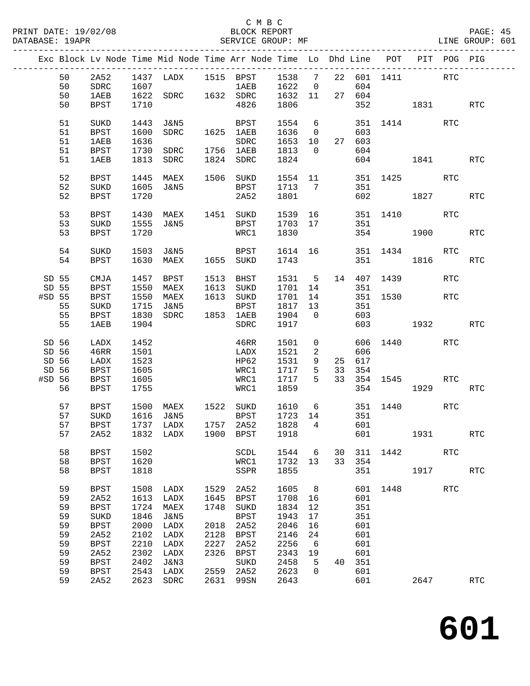|                         |                |                                           |                      | Exc Block Lv Node Time Mid Node Time Arr Node Time Lo Dhd Line POT PIT POG PIG                                                     |                      |                                    |                                  |                            |                 |                   |                         |            |            |            |
|-------------------------|----------------|-------------------------------------------|----------------------|------------------------------------------------------------------------------------------------------------------------------------|----------------------|------------------------------------|----------------------------------|----------------------------|-----------------|-------------------|-------------------------|------------|------------|------------|
|                         | 50<br>50       | 2A52<br>SDRC                              |                      | $\begin{tabular}{cccccc} 1437 & LADX & 1515 & BPST & 1538 & 7 & 22 & 601 & 1411 \\ 1607 & & & 1AEB & 1622 & 0 & 604 \end{tabular}$ |                      |                                    |                                  |                            |                 |                   |                         | <b>RTC</b> |            |            |
|                         | 50<br>50       | 1AEB<br>BPST                              | 1710                 | 1622 SDRC 1632 SDRC 1632 11 27 604                                                                                                 |                      | 4826                               | 1806                             |                            |                 |                   | 352 1831                |            |            | RTC        |
|                         | 51<br>51<br>51 | SUKD<br><b>BPST</b>                       | 1443<br>1600<br>1636 | J&N5<br>SDRC                                                                                                                       |                      | BPST<br>1625 1AEB                  | 1554 6<br>1636<br>1653 10 27 603 | $\overline{0}$             |                 | 603               | 351 1414                |            | RTC        |            |
|                         | 51<br>51       | <b>1AEB</b><br>BPST<br>1AEB               | 1730                 | SDRC 1756 1AEB<br>1813 SDRC                                                                                                        |                      | SDRC<br>1824 SDRC                  | 1813<br>1824                     | $\overline{0}$             |                 | 604               | 604 1841                |            |            | RTC        |
|                         | 52<br>52       | BPST<br>SUKD                              | 1445<br>1605         | MAEX<br>J&N5                                                                                                                       |                      | 1506 SUKD<br>BPST                  | 1713 7                           |                            |                 | 351               | 1554 11 351 1425        |            | RTC        |            |
|                         | 52             | BPST                                      | 1720                 |                                                                                                                                    |                      | 2A52                               | 1801                             |                            |                 |                   | 602 1827                |            |            | RTC        |
|                         | 53<br>53<br>53 | BPST<br>SUKD<br>BPST                      | 1430<br>1555<br>1720 | MAEX 1451 SUKD<br>J&N5                                                                                                             |                      | BPST<br>WRC1                       | 1539 16<br>1703 17<br>1830       |                            |                 | 351               | 351 1410<br>354         | 1900 1900  | RTC        | RTC        |
|                         | 54<br>54       | SUKD<br><b>BPST</b>                       | 1630                 | 1503 J&N5<br>MAEX                                                                                                                  |                      | BPST<br>1655 SUKD                  | 1614 16<br>1743                  |                            |                 | 351               | 351 1434<br>1816        |            | RTC        | <b>RTC</b> |
| SD 55<br>SD 55          |                | CMJA<br>BPST                              | 1457<br>1550         | BPST<br>MAEX                                                                                                                       |                      | 1513 BHST<br>1613 SUKD             | 1531<br>1701 14                  | $5^{\circ}$                |                 | 351               | 14 407 1439             |            | <b>RTC</b> |            |
| #SD 55                  | 55<br>55       | <b>BPST</b><br>SUKD                       | 1550<br>1715<br>1830 | MAEX<br>J&N5<br>SDRC                                                                                                               |                      | 1613 SUKD<br>BPST<br>1853 1AEB     | 1701<br>1817 13<br>1904          | 14<br>$\overline{0}$       |                 | 351<br>603        | 351 1530                |            | RTC        |            |
|                         | 55             | BPST<br>1AEB                              | 1904                 |                                                                                                                                    |                      | SDRC                               | 1917                             |                            |                 |                   | 603 1932                |            |            | <b>RTC</b> |
| SD 56<br>SD 56<br>SD 56 |                | LADX<br>46RR<br>LADX                      | 1452<br>1501<br>1523 |                                                                                                                                    |                      | 46RR<br>LADX<br>HP62               | 1501<br>1521<br>1531             | $\overline{0}$<br>2<br>9   |                 | 606<br>25 617     | 606 1440                |            | RTC        |            |
| SD 56<br>#SD 56         | 56             | BPST<br>BPST<br>BPST                      | 1605<br>1605<br>1755 |                                                                                                                                    |                      | WRC1<br>WRC1<br>WRC1               | 1717<br>1717<br>1859             | $5^{\circ}$<br>$5^{\circ}$ | 33              | 354               | 33 354 1545<br>354 1929 |            | RTC        | RTC        |
|                         | 57<br>57<br>57 | BPST<br>SUKD<br><b>BPST</b>               | 1500<br>1616         | MAEX 1522 SUKD<br>J&N5<br>1737 LADX                                                                                                |                      | BPST<br>1757 2A52                  | 1610<br>1723 14<br>1828          | $\overline{4}$             | $6\overline{6}$ | 351<br>601        | 351 1440                |            | RTC        |            |
|                         |                |                                           |                      | 57 2A52 1832 LADX 1900 BPST 1918 601 1931                                                                                          |                      |                                    |                                  |                            |                 |                   |                         |            |            | RTC        |
|                         | 58<br>58<br>58 | <b>BPST</b><br><b>BPST</b><br><b>BPST</b> | 1502<br>1620<br>1818 |                                                                                                                                    |                      | SCDL<br>WRC1<br>SSPR               | 1544<br>1732<br>1855             | 6<br>13                    | 30<br>33        | 311<br>354<br>351 | 1442                    | 1917       | <b>RTC</b> | <b>RTC</b> |
|                         | 59<br>59       | <b>BPST</b><br>2A52                       | 1508<br>1613         | LADX<br>LADX                                                                                                                       | 1529<br>1645         | 2A52<br>BPST                       | 1605<br>1708                     | 8 <sup>8</sup><br>16       |                 | 601               | 601 1448                |            | <b>RTC</b> |            |
|                         | 59<br>59<br>59 | <b>BPST</b><br>SUKD<br><b>BPST</b>        | 1724<br>1846<br>2000 | MAEX<br><b>J&amp;N5</b><br>LADX                                                                                                    | 1748<br>2018         | SUKD<br><b>BPST</b><br>2A52        | 1834<br>1943<br>2046             | 12<br>17<br>16             |                 | 351<br>351<br>601 |                         |            |            |            |
|                         | 59<br>59<br>59 | 2A52<br><b>BPST</b><br>2A52               | 2102<br>2210<br>2302 | LADX<br>LADX<br>LADX                                                                                                               | 2128<br>2227<br>2326 | <b>BPST</b><br>2A52<br><b>BPST</b> | 2146<br>2256<br>2343             | 24<br>6<br>19              |                 | 601<br>601<br>601 |                         |            |            |            |
|                         | 59<br>59<br>59 | <b>BPST</b><br><b>BPST</b><br>2A52        | 2402<br>2543         | J&N3<br>LADX<br>2623 SDRC                                                                                                          | 2559<br>2631         | SUKD<br>2A52<br>99SN               | 2458<br>2623<br>2643             | 5<br>$\mathbf 0$           | 40              | 351<br>601<br>601 |                         | 2647       |            | RTC        |
|                         |                |                                           |                      |                                                                                                                                    |                      |                                    |                                  |                            |                 |                   |                         |            |            |            |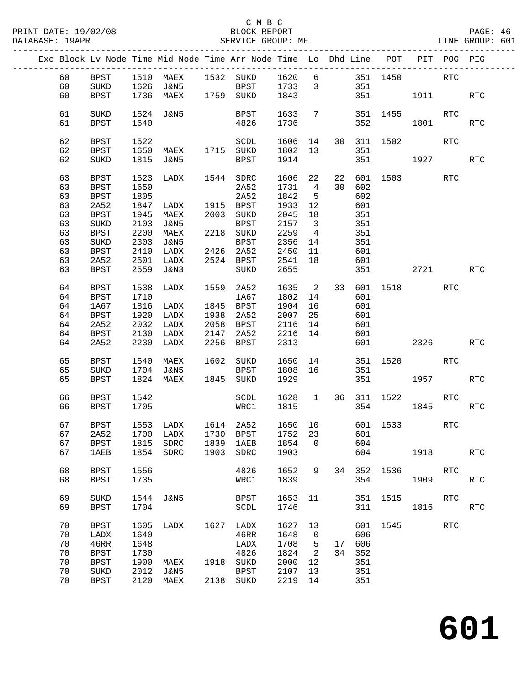### C M B C<br>BLOCK REPORT SERVICE GROUP: MF

|    |             |      | Exc Block Lv Node Time Mid Node Time Arr Node Time Lo Dhd Line POT PIT POG PIG |      |                         |              |                         |    |             |             |              |            |            |
|----|-------------|------|--------------------------------------------------------------------------------|------|-------------------------|--------------|-------------------------|----|-------------|-------------|--------------|------------|------------|
| 60 | BPST        |      | 1510 MAEX 1532 SUKD 1620 6 351 1450 RTC                                        |      |                         |              |                         |    |             |             |              |            |            |
| 60 | SUKD        |      | $1626$ $J\&N5$                                                                 |      | BPST 1733 3             |              |                         |    | 351         |             |              |            |            |
| 60 | BPST        |      | 1736 MAEX 1759 SUKD 1843                                                       |      |                         |              |                         |    |             |             | 351 1911     |            | RTC        |
|    |             |      |                                                                                |      |                         |              |                         |    |             |             |              |            |            |
| 61 | SUKD        |      | 1524 J&N5                                                                      |      | BPST 1633               |              | $7\phantom{.0}$         |    |             | 351 1455    |              | RTC        |            |
| 61 | BPST        | 1640 |                                                                                |      | 4826                    | 1736         |                         |    |             | 352         | 1801         |            | <b>RTC</b> |
|    |             |      |                                                                                |      |                         |              |                         |    |             |             |              |            |            |
| 62 | BPST        | 1522 |                                                                                |      | SCDL                    | 1606 14      |                         |    | 30 311 1502 |             |              | RTC        |            |
| 62 | BPST        | 1650 | MAEX 1715 SUKD                                                                 |      |                         | 1802 13      |                         |    | 351         |             |              |            |            |
| 62 | SUKD        |      | 1815 J&N5                                                                      |      | BPST                    | 1914         |                         |    |             |             | 351 1927 RTC |            |            |
|    |             |      |                                                                                |      |                         |              |                         |    |             |             |              |            |            |
| 63 | BPST        | 1523 | LADX 1544 SDRC                                                                 |      |                         | 1606 22      |                         |    |             |             | 22 601 1503  | <b>RTC</b> |            |
| 63 | BPST        | 1650 |                                                                                |      | 2A52                    | 1731         | $\overline{4}$          |    | 30 602      |             |              |            |            |
| 63 | BPST        | 1805 |                                                                                |      | 2A52                    | 1842         | $5^{\circ}$             |    | 602         |             |              |            |            |
| 63 | 2A52        | 1847 | LADX                                                                           |      | 1915 BPST               | 1933         | 12                      |    | 601         |             |              |            |            |
|    |             |      |                                                                                |      |                         |              |                         |    |             |             |              |            |            |
| 63 | BPST        | 1945 | MAEX                                                                           |      | 2003 SUKD               | 2045         | 18                      |    | 351         |             |              |            |            |
| 63 | SUKD        | 2103 | J&N5                                                                           |      | BPST                    | 2157         | $\overline{\mathbf{3}}$ |    | 351         |             |              |            |            |
| 63 | BPST        | 2200 | MAEX                                                                           | 202  | 2218 SUKD               | 2157<br>2259 | $\overline{4}$          |    | 351         |             |              |            |            |
| 63 | SUKD        | 2303 | J&N5                                                                           |      | BPST                    | 2356         | 14                      |    | 351         |             |              |            |            |
| 63 | BPST        | 2410 | LADX                                                                           |      | 2426 2A52               | 2450         | 11                      |    | 601         |             |              |            |            |
| 63 | 2A52        | 2501 | LADX                                                                           |      | 2524 BPST               | 2541         | 18                      |    | 601         |             |              |            |            |
|    |             |      | 2559 J&N3                                                                      |      |                         |              |                         |    |             |             | 2721         |            |            |
| 63 | BPST        |      |                                                                                |      | SUKD                    | 2655         |                         |    |             | 351 36      |              |            | RTC        |
| 64 | <b>BPST</b> | 1538 | LADX                                                                           | 1559 | 2A52                    | 1635         | $\overline{2}$          |    |             | 33 601 1518 |              | RTC        |            |
| 64 | <b>BPST</b> | 1710 |                                                                                |      | 1A67                    | 1802         | 14                      |    | 601         |             |              |            |            |
| 64 | 1A67        | 1816 | LADX                                                                           |      | 1845 BPST               | 1904         | 16                      |    | 601         |             |              |            |            |
| 64 | BPST        | 1920 | LADX                                                                           |      | 1938 2A52               | 2007         | 25                      |    | 601         |             |              |            |            |
|    |             |      |                                                                                |      |                         |              |                         |    |             |             |              |            |            |
| 64 | 2A52        | 2032 | LADX                                                                           |      | 2058 BPST               | 2116         | 14                      |    | 601         |             |              |            |            |
| 64 | BPST        | 2130 | LADX                                                                           | 2147 | 2A52                    | 2216         | 14                      |    | 601         |             |              |            |            |
| 64 | 2A52        |      | 2230 LADX                                                                      |      | 2256 BPST               | 2313         |                         |    |             | 601 000     | 2326         |            | <b>RTC</b> |
| 65 |             | 1540 | MAEX                                                                           |      | 1602 SUKD               |              |                         | 14 |             |             |              | <b>RTC</b> |            |
|    | BPST        |      |                                                                                |      |                         | 1650         |                         |    |             |             | 351 1520     |            |            |
| 65 | SUKD        |      | 1704 J&N5                                                                      |      | BPST                    | 1808 16      |                         |    | 351         |             |              |            |            |
| 65 | <b>BPST</b> |      | 1824 MAEX                                                                      |      | 1845 SUKD               | 1929         |                         |    |             | 351         | 1957 1990    |            | RTC        |
| 66 | BPST        | 1542 |                                                                                |      | SCDL 1628 1 36 311 1522 |              |                         |    |             |             |              | RTC        |            |
| 66 | BPST        | 1705 |                                                                                |      | WRC1                    | 1815         |                         |    |             | 354         | 1845         |            | RTC        |
|    |             |      |                                                                                |      |                         |              |                         |    |             |             |              |            |            |
| 67 | BPST        |      | 1553 LADX 1614 2A52                                                            |      |                         | 1650 10      |                         |    |             | 601 1533    |              | RTC        |            |
| 67 |             |      | 2A52 1700 LADX 1730 BPST 1752 23 601                                           |      |                         |              |                         |    |             |             |              |            |            |
| 67 | BPST        | 1815 | SDRC                                                                           |      | 1839 1AEB               | 1854         | $\Omega$                |    | 604         |             |              |            |            |
|    |             |      |                                                                                |      |                         |              |                         |    |             |             |              |            |            |
| 67 | 1AEB        |      | 1854 SDRC                                                                      |      | 1903 SDRC               | 1903         |                         |    |             | 604         | 1918         |            | <b>RTC</b> |
| 68 | <b>BPST</b> | 1556 |                                                                                |      | 4826                    | 1652         | 9                       | 34 | 352         | 1536 15     |              | RTC        |            |
| 68 | BPST        | 1735 |                                                                                |      | WRC1                    | 1839         |                         |    | 354         |             | 1909         |            | <b>RTC</b> |
|    |             |      |                                                                                |      |                         |              |                         |    |             |             |              |            |            |
| 69 | SUKD        |      | 1544 J&N5                                                                      |      | BPST                    | 1653 11      |                         |    |             | 351 1515    |              | RTC        |            |
|    |             |      |                                                                                |      |                         |              |                         |    |             |             |              |            |            |
| 69 | <b>BPST</b> | 1704 |                                                                                |      | SCDL                    | 1746         |                         |    | 311         |             | 1816         |            | <b>RTC</b> |
| 70 | <b>BPST</b> | 1605 | LADX                                                                           |      | 1627 LADX               | 1627 13      |                         |    |             | 601 1545    |              | RTC        |            |
| 70 | LADX        | 1640 |                                                                                |      | 46RR                    | 1648         | $\overline{0}$          |    | 606         |             |              |            |            |
|    |             |      |                                                                                |      |                         |              |                         |    |             |             |              |            |            |
| 70 | 46RR        | 1648 |                                                                                |      | LADX                    | 1708         | $5^{\circ}$             | 17 | 606         |             |              |            |            |
| 70 | <b>BPST</b> | 1730 |                                                                                |      | 4826                    | 1824         | $\overline{2}$          | 34 | 352         |             |              |            |            |
| 70 | <b>BPST</b> | 1900 | MAEX                                                                           | 1918 | SUKD                    | 2000         | 12                      |    | 351         |             |              |            |            |
| 70 | SUKD        | 2012 | J&N5                                                                           |      | BPST                    | 2107         | 13                      |    | 351         |             |              |            |            |
| 70 | BPST        | 2120 | MAEX                                                                           |      | 2138 SUKD               | 2219 14      |                         |    | 351         |             |              |            |            |
|    |             |      |                                                                                |      |                         |              |                         |    |             |             |              |            |            |

**601**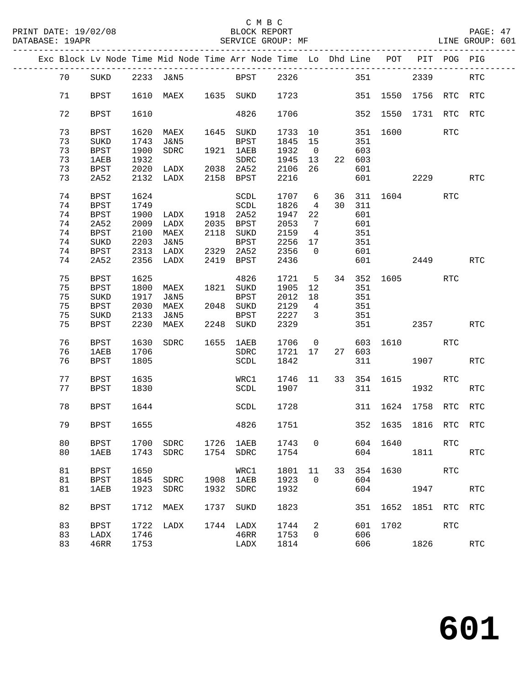|  |    |             |      | Exc Block Lv Node Time Mid Node Time Arr Node Time Lo Dhd Line POT PIT POG PIG |      |             |        |                         |                |        |             |                       |            |                      |
|--|----|-------------|------|--------------------------------------------------------------------------------|------|-------------|--------|-------------------------|----------------|--------|-------------|-----------------------|------------|----------------------|
|  | 70 | SUKD        |      | 2233 J&N5 BPST 2326                                                            |      |             |        |                         |                |        | 351         | 2339                  |            | <b>RTC</b>           |
|  | 71 | <b>BPST</b> |      | 1610 MAEX 1635 SUKD 1723                                                       |      |             |        |                         |                |        |             | 351 1550 1756 RTC     |            | <b>RTC</b>           |
|  | 72 | <b>BPST</b> | 1610 |                                                                                |      | 4826        | 1706   |                         |                |        |             | 352 1550 1731 RTC RTC |            |                      |
|  | 73 | BPST        | 1620 | MAEX                                                                           |      | 1645 SUKD   | 1733   | 10                      |                |        | 351 1600    |                       | <b>RTC</b> |                      |
|  | 73 | SUKD        | 1743 | J&N5                                                                           |      | BPST        | 1845   | 15                      |                | 351    |             |                       |            |                      |
|  | 73 | BPST        | 1900 | SDRC                                                                           |      | 1921 1AEB   | 1932   | $\overline{\mathbf{0}}$ |                | 603    |             |                       |            |                      |
|  | 73 | 1AEB        | 1932 |                                                                                |      | SDRC        | 1945   | 13                      |                | 22 603 |             |                       |            |                      |
|  | 73 |             | 2020 | LADX 2038 2A52                                                                 |      |             | 2106   | 26                      |                |        |             |                       |            |                      |
|  |    | <b>BPST</b> |      |                                                                                |      |             |        |                         |                | 601    |             |                       |            |                      |
|  | 73 | 2A52        |      | 2132 LADX                                                                      |      | 2158 BPST   | 2216   |                         |                | 601    |             | 2229                  |            | <b>RTC</b>           |
|  | 74 | BPST        | 1624 |                                                                                |      | SCDL        | 1707 6 |                         |                |        |             | 36 311 1604           | <b>RTC</b> |                      |
|  | 74 | <b>BPST</b> | 1749 |                                                                                |      | SCDL        | 1826   | $\overline{4}$          |                | 30 311 |             |                       |            |                      |
|  | 74 | BPST        | 1900 | LADX 1918 2A52                                                                 |      |             | 1947   | 22                      |                | 601    |             |                       |            |                      |
|  | 74 | 2A52        | 2009 | LADX                                                                           |      | 2035 BPST   | 2053   | $\overline{7}$          |                | 601    |             |                       |            |                      |
|  |    |             |      |                                                                                |      |             |        |                         |                |        |             |                       |            |                      |
|  | 74 | <b>BPST</b> | 2100 | MAEX                                                                           |      | 2118 SUKD   | 2159   | $\overline{4}$          |                | 351    |             |                       |            |                      |
|  | 74 | SUKD        | 2203 | J&N5                                                                           |      | BPST        | 2256   | 17                      |                | 351    |             |                       |            |                      |
|  | 74 | BPST        |      | 2313 LADX                                                                      |      | 2329 2A52   | 2356   | $\overline{0}$          |                | 601    |             |                       |            |                      |
|  | 74 | 2A52        | 2356 | LADX                                                                           |      | 2419 BPST   | 2436   |                         |                |        | 601 2449    |                       |            | <b>RTC</b>           |
|  | 75 | BPST        | 1625 |                                                                                |      | 4826        | 1721   | $5^{\circ}$             |                |        |             | 34 352 1605           | <b>RTC</b> |                      |
|  |    |             |      |                                                                                |      |             |        |                         |                |        |             |                       |            |                      |
|  | 75 | BPST        | 1800 | MAEX                                                                           | 1821 | SUKD        | 1905   | 12                      |                | 351    |             |                       |            |                      |
|  | 75 | $\rm SUKD$  | 1917 | J&N5                                                                           |      | <b>BPST</b> | 2012   | 18                      |                | 351    |             |                       |            |                      |
|  | 75 | <b>BPST</b> | 2030 | MAEX                                                                           |      | 2048 SUKD   | 2129   | $\overline{4}$          |                | 351    |             |                       |            |                      |
|  | 75 | SUKD        | 2133 | J&N5                                                                           |      | BPST        | 2227   | $\overline{\mathbf{3}}$ |                | 351    |             |                       |            |                      |
|  | 75 | BPST        | 2230 | MAEX                                                                           |      | 2248 SUKD   | 2329   |                         |                |        |             | 2357                  |            | <b>RTC</b>           |
|  | 76 | BPST        | 1630 | SDRC                                                                           |      | 1655 1AEB   | 1706   |                         | $\overline{0}$ |        |             | 603 1610 RTC          |            |                      |
|  | 76 | <b>1AEB</b> | 1706 |                                                                                |      | SDRC        | 1721   | 17                      |                | 27 603 |             |                       |            |                      |
|  | 76 | <b>BPST</b> | 1805 |                                                                                |      | SCDL        | 1842   |                         |                | 311    |             | 1907 - 1907           |            | <b>RTC</b>           |
|  |    |             |      |                                                                                |      |             |        |                         |                |        |             |                       |            |                      |
|  | 77 | BPST        | 1635 |                                                                                |      | WRC1        | 1746   | 11                      |                |        | 33 354 1615 |                       | <b>RTC</b> |                      |
|  | 77 | BPST        | 1830 |                                                                                |      | SCDL        | 1907   |                         |                |        | 311 7       | 1932                  |            | RTC                  |
|  | 78 | BPST        | 1644 |                                                                                |      | SCDL        | 1728   |                         |                |        |             | 311 1624 1758 RTC     |            | <b>RTC</b>           |
|  | 79 | BPST        | 1655 |                                                                                |      | 4826        | 1751   |                         |                |        |             | 352 1635 1816 RTC RTC |            |                      |
|  | 80 | <b>BPST</b> | 1700 | SDRC                                                                           | 1726 | 1AEB        | 1743   | 0                       |                | 604    | 1640        |                       | <b>RTC</b> |                      |
|  |    |             |      |                                                                                |      |             |        |                         |                |        |             |                       |            |                      |
|  | 80 | 1AEB        | 1743 | SDRC                                                                           | 1754 | SDRC        | 1754   |                         |                | 604    |             | 1811                  |            | <b>RTC</b>           |
|  | 81 | <b>BPST</b> | 1650 |                                                                                |      | WRC1        | 1801   | 11                      | 33             | 354    | 1630        |                       | <b>RTC</b> |                      |
|  | 81 | <b>BPST</b> | 1845 | SDRC                                                                           | 1908 | <b>1AEB</b> | 1923   | 0                       |                | 604    |             |                       |            |                      |
|  | 81 | 1AEB        | 1923 | SDRC                                                                           | 1932 | SDRC        | 1932   |                         |                | 604    |             | 1947                  |            | <b>RTC</b>           |
|  |    |             |      |                                                                                |      |             |        |                         |                |        |             |                       |            |                      |
|  | 82 | BPST        | 1712 | MAEX                                                                           | 1737 | SUKD        | 1823   |                         |                | 351    | 1652        | 1851 RTC              |            | <b>RTC</b>           |
|  | 83 | <b>BPST</b> | 1722 | LADX                                                                           | 1744 | LADX        | 1744   | 2                       |                | 601    | 1702        |                       | <b>RTC</b> |                      |
|  | 83 | LADX        | 1746 |                                                                                |      | 46RR        | 1753   | 0                       |                | 606    |             |                       |            |                      |
|  | 83 | 46RR        |      |                                                                                |      |             | 1814   |                         |                | 606    |             | 1826                  |            | $\operatorname{RTC}$ |
|  |    |             | 1753 |                                                                                |      | LADX        |        |                         |                |        |             |                       |            |                      |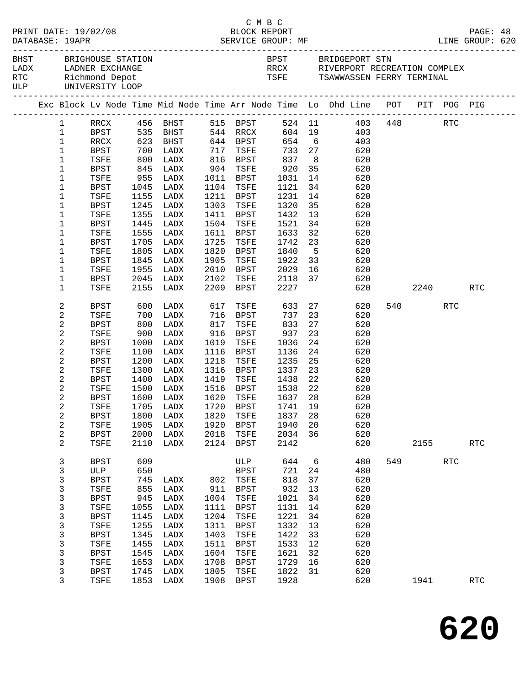|  |                        |                        |            |                   |                 | C M B C              |                    |                |                                                                                |     |      |     |            |  |
|--|------------------------|------------------------|------------|-------------------|-----------------|----------------------|--------------------|----------------|--------------------------------------------------------------------------------|-----|------|-----|------------|--|
|  |                        | PRINT DATE: 19/02/08   |            |                   |                 | BLOCK REPORT         |                    |                |                                                                                |     |      |     | PAGE: 48   |  |
|  | DATABASE: 19APR        |                        |            |                   |                 |                      |                    |                |                                                                                |     |      |     |            |  |
|  |                        | BHST BRIGHOUSE STATION |            |                   |                 |                      |                    |                | BPST BRIDGEPORT STN                                                            |     |      |     |            |  |
|  |                        | LADX LADNER EXCHANGE   |            |                   |                 |                      |                    |                | RRCX RIVERPORT RECREATION COMPLEX                                              |     |      |     |            |  |
|  |                        | RTC Richmond Depot     |            |                   |                 |                      |                    |                | TSFE TSAWWASSEN FERRY TERMINAL                                                 |     |      |     |            |  |
|  |                        | ULP UNIVERSITY LOOP    |            |                   |                 |                      |                    |                |                                                                                |     |      |     |            |  |
|  |                        |                        |            |                   |                 |                      |                    |                | Exc Block Lv Node Time Mid Node Time Arr Node Time Lo Dhd Line POT PIT POG PIG |     |      |     |            |  |
|  | $1 \quad \blacksquare$ |                        |            |                   |                 |                      |                    |                |                                                                                |     |      |     |            |  |
|  | $\mathbf{1}$           |                        |            |                   |                 |                      |                    |                | RRCX 456 BHST 515 BPST 524 11 403 448 RTC<br>BPST 535 BHST 544 RRCX 604 19 403 |     |      |     |            |  |
|  | $\mathbf{1}$           | RRCX                   |            | 623 BHST 644 BPST |                 |                      |                    |                | 654 6<br>403                                                                   |     |      |     |            |  |
|  | $\mathbf{1}$           | BPST                   | 700        | LADX              | 717             | TSFE                 | 733 27             |                | 620                                                                            |     |      |     |            |  |
|  | $\mathbf{1}$           | TSFE                   | 800<br>845 | LADX              |                 |                      |                    | 8 <sup>8</sup> |                                                                                |     |      |     |            |  |
|  | $\mathbf 1$            | BPST                   |            | LADX              |                 | 816 BPST<br>904 TSFE | 837<br>920         | 35             | 620<br>620                                                                     |     |      |     |            |  |
|  | 1                      | TSFE                   |            | 955 LADX          |                 | 1011 BPST            | 1031               | 14             | 620                                                                            |     |      |     |            |  |
|  | $\mathbf 1$            | BPST                   | 1045       | LADX              |                 | 1104 TSFE            | 1121               | 34             | 620                                                                            |     |      |     |            |  |
|  | $\mathbf 1$            | TSFE                   |            | 1155 LADX         |                 | 1211 BPST            | 1231               | 14             | 620                                                                            |     |      |     |            |  |
|  | 1                      | BPST                   | 1245       | LADX              |                 | 1303 TSFE            | 1320               | 35             | 620                                                                            |     |      |     |            |  |
|  | 1                      | TSFE                   | 1355       | LADX              | 1411            | BPST                 | 1432               | 13             | 620                                                                            |     |      |     |            |  |
|  | 1                      | BPST                   | 1445       | LADX              |                 | 1504 TSFE            | 1521               | 34             | 620                                                                            |     |      |     |            |  |
|  | 1                      | TSFE                   | 1555       | LADX              | 1611            | BPST                 | 1633               | 32             | 620                                                                            |     |      |     |            |  |
|  | 1                      | BPST                   | 1705       | LADX              |                 | 1725 TSFE            | 1742               | 23             | 620                                                                            |     |      |     |            |  |
|  | 1                      | TSFE                   | 1805       | LADX              | 1820            | BPST                 | 1840               | 5 <sup>5</sup> | 620                                                                            |     |      |     |            |  |
|  | $\mathbf 1$            | <b>BPST</b>            | 1845       | LADX              | 1905            | TSFE                 | 1922               | 33             | 620                                                                            |     |      |     |            |  |
|  | $\mathbf 1$            | TSFE                   | 1955       | LADX              | 2010            | BPST                 | 2029               | 16             | 620                                                                            |     |      |     |            |  |
|  | 1                      | BPST                   |            | 2045 LADX         | 2102            | TSFE                 | 2118 37            |                | 620                                                                            |     |      |     |            |  |
|  | $\mathbf{1}$           | TSFE                   |            | 2155 LADX         |                 | 2209 BPST            | 2227               |                | 620                                                                            |     | 2240 |     | RTC        |  |
|  | 2                      | BPST                   | 600        | LADX              | 617             | TSFE                 | 633 27             |                | 620                                                                            |     | 540  | RTC |            |  |
|  | 2                      | TSFE                   | 700<br>800 | LADX              | 17ب<br>716<br>9 | BPST                 | 737                | 23             | 620                                                                            |     |      |     |            |  |
|  | 2                      | BPST                   |            | LADX              |                 | TSFE                 | 833                | 27             | 620                                                                            |     |      |     |            |  |
|  | 2                      | TSFE                   | 900        | LADX              | 916             | BPST                 | 937                | 23             | 620                                                                            |     |      |     |            |  |
|  | 2                      | BPST                   | 1000       | LADX              | 1019            | TSFE                 | 1036               | 24             | 620                                                                            |     |      |     |            |  |
|  | 2                      | TSFE                   | 1100       | LADX              | 1116            | BPST                 | 1136               | 24             | 620                                                                            |     |      |     |            |  |
|  | 2                      | BPST                   | 1200       | LADX              | 1218            | TSFE                 | 1235               | 25             | 620                                                                            |     |      |     |            |  |
|  | 2                      | TSFE                   | 1300       | LADX              | 1316            | BPST                 | 1337               | 23             | 620                                                                            |     |      |     |            |  |
|  | 2                      | BPST                   | 1400       | LADX              | 1419            | TSFE                 | 1438               | 22             | 620                                                                            |     |      |     |            |  |
|  | 2<br>2                 | TSFE<br><b>BPST</b>    | 1500       | LADX              |                 | 1516 BPST            | 1538 22<br>1637 28 |                | 620                                                                            |     |      |     |            |  |
|  |                        |                        |            | 1600 LADX         |                 | 1620 TSFE            |                    |                | 620<br>TSFE 1705 LADX 1720 BPST 1741 19 620                                    |     |      |     |            |  |
|  | 2                      | BPST                   | 1800       | LADX              | 1820            | TSFE                 | 1837               | 28             | 620                                                                            |     |      |     |            |  |
|  | 2                      | TSFE                   | 1905       | LADX              | 1920            | <b>BPST</b>          | 1940               | 20             | 620                                                                            |     |      |     |            |  |
|  | 2                      | <b>BPST</b>            | 2000       | LADX              | 2018            | TSFE                 | 2034               | 36             | 620                                                                            |     |      |     |            |  |
|  | 2                      | TSFE                   | 2110       | LADX              | 2124            | BPST                 | 2142               |                | 620                                                                            |     | 2155 |     | <b>RTC</b> |  |
|  | 3                      | <b>BPST</b>            | 609        |                   |                 | ULP                  | 644                | 6              | 480                                                                            | 549 |      | RTC |            |  |
|  | 3                      | ULP                    | 650        |                   |                 | BPST                 | 721                | 24             | 480                                                                            |     |      |     |            |  |
|  | 3                      | <b>BPST</b>            | 745        | LADX              |                 | 802 TSFE             | 818                | 37             | 620                                                                            |     |      |     |            |  |
|  | 3                      | TSFE                   | 855        | LADX              | 911             | BPST                 | 932                | 13             | 620                                                                            |     |      |     |            |  |
|  | 3                      | <b>BPST</b>            | 945        | LADX              | 1004            | TSFE                 | 1021               | 34             | 620                                                                            |     |      |     |            |  |
|  | 3                      | TSFE                   | 1055       | LADX              | 1111            | <b>BPST</b>          | 1131               | 14             | 620                                                                            |     |      |     |            |  |
|  | 3                      | <b>BPST</b>            | 1145       | LADX              | 1204            | TSFE                 | 1221               | 34             | 620                                                                            |     |      |     |            |  |
|  | 3                      | TSFE                   | 1255       | LADX              | 1311            | BPST                 | 1332               | 13             | 620                                                                            |     |      |     |            |  |
|  | 3                      | <b>BPST</b>            | 1345       | LADX              | 1403            | TSFE                 | 1422               | 33             | 620                                                                            |     |      |     |            |  |
|  | $\mathsf{3}$           | TSFE                   | 1455       | LADX              | 1511            | BPST                 | 1533               | 12             | 620                                                                            |     |      |     |            |  |
|  | 3                      | <b>BPST</b>            | 1545       | LADX              | 1604            | TSFE                 | 1621               | 32             | 620                                                                            |     |      |     |            |  |
|  | 3                      | TSFE                   | 1653       | LADX              | 1708            | BPST                 | 1729               | 16             | 620                                                                            |     |      |     |            |  |
|  | 3                      | <b>BPST</b>            | 1745       | LADX              | 1805            | TSFE                 | 1822               | 31             | 620                                                                            |     |      |     |            |  |
|  | 3                      | TSFE                   | 1853       | LADX              | 1908            | BPST                 | 1928               |                | 620                                                                            |     | 1941 |     | RTC        |  |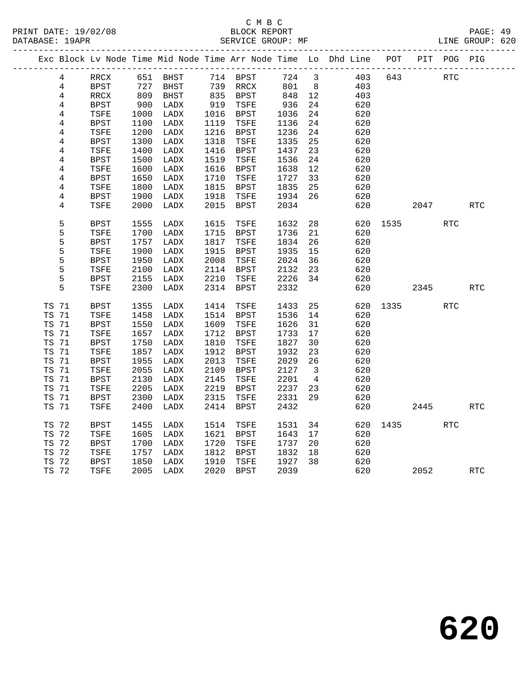|       |                |                          |            |          |      |             |      |                         | Exc Block Lv Node Time Mid Node Time Arr Node Time Lo Dhd Line POT |      | PIT         | POG PIG    |            |
|-------|----------------|--------------------------|------------|----------|------|-------------|------|-------------------------|--------------------------------------------------------------------|------|-------------|------------|------------|
|       | 4              | RRCX                     |            | 651 BHST |      | 714 BPST    | 724  | $\overline{\mathbf{3}}$ | 403                                                                | 643  |             | RTC        |            |
|       | 4              | <b>BPST</b>              |            | BHST     |      | 739 RRCX    | 801  | 8 <sup>8</sup>          | 403                                                                |      |             |            |            |
|       | $\overline{4}$ | $\mathop{\mathrm{RRCX}}$ | 727<br>809 | BHST     |      | 835 BPST    | 848  | 12                      | 403                                                                |      |             |            |            |
|       | 4              | BPST                     | 900        | LADX     | 919  | TSFE        | 936  | 24                      | 620                                                                |      |             |            |            |
|       | 4              | TSFE                     | 1000       | LADX     | 1016 | BPST        | 1036 | 24                      | 620                                                                |      |             |            |            |
|       | $\overline{4}$ | BPST                     | 1100       | LADX     | 1119 | TSFE        | 1136 | 24                      | 620                                                                |      |             |            |            |
|       | 4              | TSFE                     | 1200       | LADX     | 1216 | <b>BPST</b> | 1236 | 24                      | 620                                                                |      |             |            |            |
|       | $\overline{4}$ | <b>BPST</b>              | 1300       | LADX     | 1318 | TSFE        | 1335 | 25                      | 620                                                                |      |             |            |            |
|       | 4              | TSFE                     | 1400       | LADX     | 1416 | BPST        | 1437 | 23                      | 620                                                                |      |             |            |            |
|       | 4              | <b>BPST</b>              | 1500       | LADX     | 1519 | TSFE        | 1536 | 24                      | 620                                                                |      |             |            |            |
|       | 4              | TSFE                     | 1600       | LADX     | 1616 | BPST        | 1638 | 12                      | 620                                                                |      |             |            |            |
|       | 4              | BPST                     | 1650       | LADX     | 1710 | TSFE        | 1727 | 33                      | 620                                                                |      |             |            |            |
|       | $\overline{4}$ | TSFE                     | 1800       | LADX     | 1815 | BPST        | 1835 | 25                      | 620                                                                |      |             |            |            |
|       | 4              | <b>BPST</b>              | 1900       | LADX     | 1918 | TSFE        | 1934 | 26                      | 620                                                                |      |             |            |            |
|       | 4              | TSFE                     | 2000       | LADX     | 2015 | BPST        | 2034 |                         | 620                                                                |      | 2047        |            | RTC        |
|       | 5              | <b>BPST</b>              | 1555       | LADX     | 1615 | TSFE        | 1632 | 28                      | 620                                                                |      | 1535   1535 | <b>RTC</b> |            |
|       | 5              | TSFE                     | 1700       | LADX     | 1715 | BPST        | 1736 | 21                      | 620                                                                |      |             |            |            |
|       | 5              | <b>BPST</b>              | 1757       | LADX     | 1817 | TSFE        | 1834 | 26                      | 620                                                                |      |             |            |            |
|       | 5              | TSFE                     | 1900       | LADX     | 1915 | BPST        | 1935 | 15                      | 620                                                                |      |             |            |            |
|       | 5              | <b>BPST</b>              | 1950       | LADX     | 2008 | TSFE        | 2024 | 36                      | 620                                                                |      |             |            |            |
|       | 5              | TSFE                     | 2100       | LADX     | 2114 | <b>BPST</b> | 2132 | 23                      | 620                                                                |      |             |            |            |
|       | 5              | <b>BPST</b>              | 2155       | LADX     | 2210 | TSFE        | 2226 | 34                      | 620                                                                |      |             |            |            |
|       | 5              | TSFE                     | 2300       | LADX     | 2314 | <b>BPST</b> | 2332 |                         | 620                                                                |      | 2345        |            | <b>RTC</b> |
|       |                |                          |            |          |      |             |      |                         |                                                                    |      |             |            |            |
|       | TS 71          | BPST                     | 1355       | LADX     | 1414 | TSFE        | 1433 | 25                      | 620                                                                | 1335 |             | <b>RTC</b> |            |
| TS 71 |                | TSFE                     | 1458       | LADX     | 1514 | BPST        | 1536 | 14                      | 620                                                                |      |             |            |            |
| TS 71 |                | <b>BPST</b>              | 1550       | LADX     | 1609 | TSFE        | 1626 | 31                      | 620                                                                |      |             |            |            |
| TS 71 |                | TSFE                     | 1657       | LADX     | 1712 | BPST        | 1733 | 17                      | 620                                                                |      |             |            |            |
| TS 71 |                | <b>BPST</b>              | 1750       | LADX     | 1810 | TSFE        | 1827 | 30                      | 620                                                                |      |             |            |            |
| TS 71 |                | TSFE                     | 1857       | LADX     | 1912 | BPST        | 1932 | 23                      | 620                                                                |      |             |            |            |
|       | TS 71          | <b>BPST</b>              | 1955       | LADX     | 2013 | TSFE        | 2029 | 26                      | 620                                                                |      |             |            |            |
|       | TS 71          | TSFE                     | 2055       | LADX     | 2109 | <b>BPST</b> | 2127 | $\overline{\mathbf{3}}$ | 620                                                                |      |             |            |            |
| TS 71 |                | <b>BPST</b>              | 2130       | LADX     | 2145 | TSFE        | 2201 | 4                       | 620                                                                |      |             |            |            |
|       | TS 71          | TSFE                     | 2205       | LADX     | 2219 | <b>BPST</b> | 2237 | 23                      | 620                                                                |      |             |            |            |
|       | TS 71          | <b>BPST</b>              | 2300       | LADX     | 2315 | TSFE        | 2331 | 29                      | 620                                                                |      |             |            |            |
|       | TS 71          | TSFE                     | 2400       | LADX     | 2414 | <b>BPST</b> | 2432 |                         | 620                                                                |      | 2445        |            | <b>RTC</b> |
| TS 72 |                | <b>BPST</b>              | 1455       | LADX     | 1514 | TSFE        | 1531 | 34                      | 620                                                                |      | 1435        | <b>RTC</b> |            |
| TS 72 |                | TSFE                     | 1605       | LADX     | 1621 | BPST        | 1643 | 17                      | 620                                                                |      |             |            |            |
| TS 72 |                | <b>BPST</b>              | 1700       | LADX     | 1720 | TSFE        | 1737 | 20                      | 620                                                                |      |             |            |            |
| TS 72 |                | TSFE                     | 1757       | LADX     | 1812 | BPST        | 1832 | 18                      | 620                                                                |      |             |            |            |
|       | TS 72          | <b>BPST</b>              | 1850       | LADX     | 1910 | TSFE        | 1927 | 38                      | 620                                                                |      |             |            |            |
|       | TS 72          | TSFE                     | 2005       | LADX     | 2020 | <b>BPST</b> | 2039 |                         | 620                                                                |      | 2052        |            | <b>RTC</b> |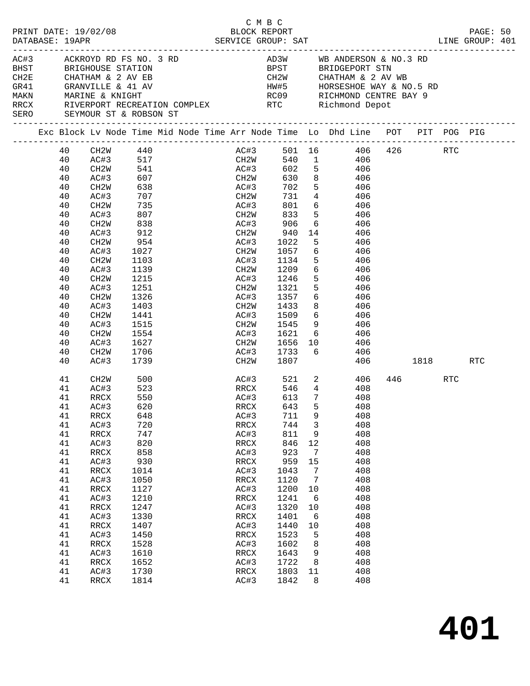| PRINT DATE: 19/02/08<br>DATABASE: 19APR |  |                                                                                                                                                                                                                                  |                                                                                                                                                                                                                                                                                                                                                                     |                                                                                                                                                                                                                                                                                           | C M B C | BLOCK REPORT                                                                                                                                                              |                                                                                                                                                                                                                                                                                          |                                                                                                                       |                                                                                                                                                                                                                                                                                                                                                                                                                                                                                     |          |     | PAGE: 50 |     |  |
|-----------------------------------------|--|----------------------------------------------------------------------------------------------------------------------------------------------------------------------------------------------------------------------------------|---------------------------------------------------------------------------------------------------------------------------------------------------------------------------------------------------------------------------------------------------------------------------------------------------------------------------------------------------------------------|-------------------------------------------------------------------------------------------------------------------------------------------------------------------------------------------------------------------------------------------------------------------------------------------|---------|---------------------------------------------------------------------------------------------------------------------------------------------------------------------------|------------------------------------------------------------------------------------------------------------------------------------------------------------------------------------------------------------------------------------------------------------------------------------------|-----------------------------------------------------------------------------------------------------------------------|-------------------------------------------------------------------------------------------------------------------------------------------------------------------------------------------------------------------------------------------------------------------------------------------------------------------------------------------------------------------------------------------------------------------------------------------------------------------------------------|----------|-----|----------|-----|--|
|                                         |  |                                                                                                                                                                                                                                  | AC#3 ACKROYD RD FS NO. 3 RD<br>BHST BRIGHOUSE STATION<br>SERO SEYMOUR ST & ROBSON ST                                                                                                                                                                                                                                                                                |                                                                                                                                                                                                                                                                                           |         |                                                                                                                                                                           |                                                                                                                                                                                                                                                                                          |                                                                                                                       | AD3W WB ANDERSON & NO.3 RD<br>BPST BRIDGEPORT STN<br>CH2W        CHATHAM & 2 AV WB<br>HW#5       HORSESHOE WAY & NO.5 RD<br>RC09       RICHMOND CENTRE BAY 9<br>RRCX RIVERPORT RECREATION COMPLEX RTC Richmond Depot                                                                                                                                                                                                                                                                |          |     |          |     |  |
|                                         |  |                                                                                                                                                                                                                                  |                                                                                                                                                                                                                                                                                                                                                                     |                                                                                                                                                                                                                                                                                           |         |                                                                                                                                                                           |                                                                                                                                                                                                                                                                                          |                                                                                                                       | Exc Block Lv Node Time Mid Node Time Arr Node Time Lo Dhd Line POT PIT POG PIG                                                                                                                                                                                                                                                                                                                                                                                                      |          |     |          |     |  |
|                                         |  | 40<br>40<br>40<br>40<br>40<br>40<br>40<br>40<br>40<br>40<br>40<br>40<br>40<br>40<br>40<br>40<br>40<br>40<br>40<br>40<br>40<br>40<br>40<br>40<br>41<br>41<br>41<br>41<br>41<br>41<br>41<br>41<br>41<br>41<br>41<br>41<br>41<br>41 | CH2W 440<br>AC#3 517<br>CH2W 541<br>CH2W<br>AC#3<br>CH2W<br>AC#3<br>CH2W<br>AC#3<br>CH2W<br>AC#3<br>CH2W<br>AC#3<br>CH2W<br>AC#3<br>CH2W<br>AC#3<br>CH2W<br>AC#3<br>CH2W<br>AC#3<br>CH2W<br>AC#3<br>CH2W<br>AC#3<br>CH2W<br>AC#3<br>RRCX<br>41 AC#3 620<br>RRCX<br>AC#3<br>$\mathop{\mathrm{RRCX}}$<br>AC#3<br>RRCX<br>AC#3<br>RRCX<br>AC#3<br>RRCX<br>AC#3<br>RRCX | $\frac{1}{607}$<br>638<br>707<br>735<br>807<br>838<br>912<br>954<br>1027<br>1103<br>1139<br>$113 >$<br>1215<br>^51<br>1326<br>1403<br>1441<br>1515<br>1554<br>1627<br>1706<br>1739<br>500<br>523<br>550<br>648<br>720<br>747<br>820<br>858<br>930<br>1014<br>1050<br>1127<br>1210<br>1247 |         | CH <sub>2</sub> W<br>AC#3<br>AC#3<br>CH2W<br>AC#3<br>CH2W<br>AC#3<br>CH2W<br>AC#3<br>AC#3<br>RRCX<br>AC#3<br>RRCX<br>AC#3<br>RRCX<br>AC#3<br>RRCX<br>AC#3<br>RRCX<br>AC#3 | 702<br>906<br>940<br>1022<br>CH2W 1057<br>AC#3 1134<br>1209<br>1246<br>$CH2W$ 1321<br>AC#3 1357<br>1433<br>AC#3 1509<br>CH2W 1545<br>AC#3 1621<br>CH2W 1656 10<br>AC#3 1733 6<br>CH2W 1807<br>RRCX 643<br>711<br>744<br>811<br>846<br>923<br>959<br>1043<br>1120<br>1200<br>1241<br>1320 | 5 <sub>5</sub><br>5 <sub>5</sub><br>9<br>$\overline{3}$<br>9<br>12<br>7<br>15<br>$\overline{7}$<br>7<br>10<br>6<br>10 | AC#3 501 16 406 426 RTC<br>540 1 406<br>602 5 406<br>630 8 406<br>5 406<br>CH2W 731 4 406<br>AC#3 801 6 406<br>CH2W 833 5 406<br>6 406<br>14 406<br>406<br>6 406<br>5 406<br>6 406<br>406<br>$\frac{3}{5}$ $\frac{100}{406}$<br>$6\overline{}$<br>406<br>8 406<br>$\begin{array}{ccc} 6 & 406 \\ 9 & 406 \end{array}$<br>$6\overline{6}$<br>406<br>406<br>406<br>AC#3 521 2 406<br>408<br>408<br>5 408<br>408<br>408<br>408<br>408<br>408<br>408<br>408<br>408<br>408<br>408<br>408 | 406 1818 | 446 | RTC      | RTC |  |
|                                         |  | 41<br>41<br>41<br>41<br>41<br>41<br>41<br>41                                                                                                                                                                                     | AC#3<br>RRCX<br>AC#3<br>RRCX<br>AC#3<br>RRCX<br>AC#3<br>RRCX                                                                                                                                                                                                                                                                                                        | 1330<br>1407<br>1450<br>1528<br>1610<br>1652<br>1730<br>1814                                                                                                                                                                                                                              |         | RRCX<br>AC#3<br>RRCX<br>AC#3<br>RRCX<br>AC#3<br>RRCX<br>AC#3                                                                                                              | 1401<br>1440<br>1523<br>1602<br>1643<br>1722<br>1803<br>1842                                                                                                                                                                                                                             | 6<br>10<br>5<br>8<br>9<br>8<br>11<br>8                                                                                | 408<br>408<br>408<br>408<br>408<br>408<br>408<br>408                                                                                                                                                                                                                                                                                                                                                                                                                                |          |     |          |     |  |

**401**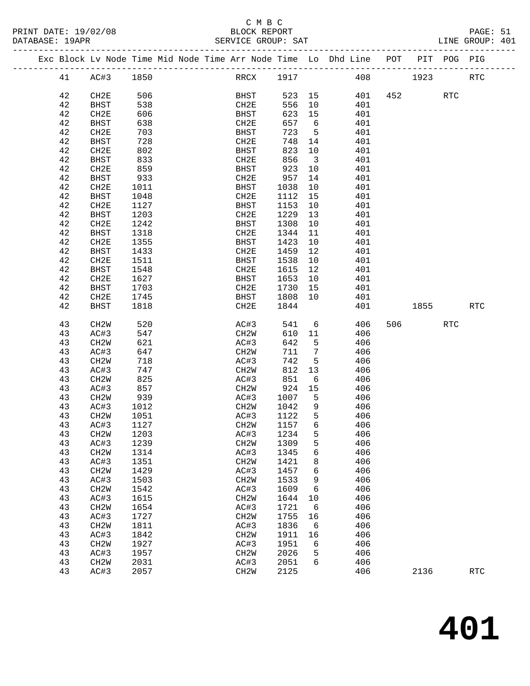### C M B C<br>BLOCK REPORT

LINE GROUP: 401

|          |                   |      |  |                   |              |                         | Exc Block Lv Node Time Mid Node Time Arr Node Time Lo Dhd Line POT |      |          | PIT POG PIG |                      |
|----------|-------------------|------|--|-------------------|--------------|-------------------------|--------------------------------------------------------------------|------|----------|-------------|----------------------|
| 41       | AC#3              | 1850 |  | RRCX 1917         |              |                         | 408                                                                | 1923 |          |             | $\operatorname{RTC}$ |
| 42       | CH2E              | 506  |  | BHST              | 523 15       |                         | 401                                                                |      | 452      | <b>RTC</b>  |                      |
| 42       | BHST              | 538  |  | CH2E              | 556          | 10                      | 401                                                                |      |          |             |                      |
| 42       | CH2E              | 606  |  | BHST              | 623          | 15                      | 401                                                                |      |          |             |                      |
| 42       |                   | 638  |  |                   | 657          | 6                       | 401                                                                |      |          |             |                      |
|          | <b>BHST</b>       |      |  | CH2E              |              |                         |                                                                    |      |          |             |                      |
| 42       | CH2E              | 703  |  | BHST              | 723          | $-5$                    | 401                                                                |      |          |             |                      |
| 42       | BHST              | 728  |  | CH2E              | 748          | 14                      | 401                                                                |      |          |             |                      |
| 42       | CH2E              | 802  |  | BHST              | 823          | 10                      | 401                                                                |      |          |             |                      |
| 42       | BHST              | 833  |  | CH2E              | 856          | $\overline{\mathbf{3}}$ | 401                                                                |      |          |             |                      |
| 42       | CH2E              | 859  |  | BHST              | 923          | 10                      | 401                                                                |      |          |             |                      |
| 42       | <b>BHST</b>       | 933  |  | CH2E              | 957          | 14                      | 401                                                                |      |          |             |                      |
| 42       | CH2E              | 1011 |  | BHST              | 1038         | 10                      | 401                                                                |      |          |             |                      |
| 42       | <b>BHST</b>       | 1048 |  | CH2E              | 1112         | 15                      | 401                                                                |      |          |             |                      |
| 42       | CH2E              | 1127 |  | BHST              | 1153         | 10                      | 401                                                                |      |          |             |                      |
| 42       | <b>BHST</b>       | 1203 |  | CH2E              | 1229         | 13                      | 401                                                                |      |          |             |                      |
| 42       | CH2E              | 1242 |  | BHST              | 1308         | 10                      | 401                                                                |      |          |             |                      |
| 42       | <b>BHST</b>       | 1318 |  | CH2E              | 1344         | 11                      | 401                                                                |      |          |             |                      |
| 42       | CH2E              | 1355 |  | BHST              | 1423         | 10                      | 401                                                                |      |          |             |                      |
| 42       | BHST              | 1433 |  | CH2E              | 1459         | 12                      | 401                                                                |      |          |             |                      |
| 42       | CH2E              | 1511 |  | BHST              | 1538         | 10                      | 401                                                                |      |          |             |                      |
| 42       | <b>BHST</b>       | 1548 |  | CH2E              | 1615         | 12                      | 401                                                                |      |          |             |                      |
| 42       | CH2E              | 1627 |  | BHST              | 1653         | 10                      | 401                                                                |      |          |             |                      |
| 42       | BHST              | 1703 |  | CH2E              | 1730         | 15                      | 401                                                                |      |          |             |                      |
| 42       | CH2E              | 1745 |  | BHST              | 1808         | 10                      | 401                                                                |      |          |             |                      |
| 42       | <b>BHST</b>       | 1818 |  | CH2E              | 1844         |                         | 401                                                                |      | 1855 700 |             | <b>RTC</b>           |
|          |                   |      |  |                   |              |                         |                                                                    |      |          |             |                      |
| 43       | CH2W              | 520  |  | AC#3              | 541          | 6                       | 406                                                                |      | 506 700  | RTC         |                      |
| 43       | AC#3              | 547  |  | CH2W              | 610          | 11                      | 406                                                                |      |          |             |                      |
| 43       | CH <sub>2</sub> W | 621  |  | AC#3              | 642          | $-5$                    | 406                                                                |      |          |             |                      |
| 43       | AC#3              | 647  |  | CH2W              | 711          | $\overline{7}$          | 406                                                                |      |          |             |                      |
| 43       | CH2W              | 718  |  | AC#3              | 742          | $-5$                    | 406                                                                |      |          |             |                      |
| 43       | AC#3              | 747  |  | CH2W              | 812          | 13                      | 406                                                                |      |          |             |                      |
| 43       | CH <sub>2</sub> W | 825  |  | AC#3              | 851          | 6                       | 406                                                                |      |          |             |                      |
| 43       | AC#3              | 857  |  | CH2W              | 924          | 15                      | 406                                                                |      |          |             |                      |
| 43       | CH2W              | 939  |  | AC#3              | 1007         | $5^{\circ}$             | 406                                                                |      |          |             |                      |
| 43       | AC#3              | 1012 |  | CH2W              | 1042         | 9                       | 406                                                                |      |          |             |                      |
| 43       | CH2W              | 1051 |  | AC#3              | 1122         | $5^{\circ}$             | 406                                                                |      |          |             |                      |
| 43       | AC#3              | 1127 |  | CH <sub>2</sub> W | 1157         | $6\overline{6}$         | 406                                                                |      |          |             |                      |
| 43       | CH2W              | 1203 |  | AC#3 1234         |              | 5 <sup>5</sup>          | 406                                                                |      |          |             |                      |
| 43       | AC#3              | 1239 |  | CH2W              | 1309         | 5                       | 406                                                                |      |          |             |                      |
| 43       | CH <sub>2</sub> W | 1314 |  | AC#3              | 1345         | 6                       | 406                                                                |      |          |             |                      |
| 43       | AC#3              | 1351 |  | CH2W              | 1421         | 8                       | 406                                                                |      |          |             |                      |
| 43       | CH <sub>2</sub> W | 1429 |  | AC#3              | 1457         | 6                       | 406                                                                |      |          |             |                      |
| 43       | AC#3              | 1503 |  | CH2W              | 1533         | 9                       | 406                                                                |      |          |             |                      |
| 43       |                   | 1542 |  | AC#3              | 1609         | 6                       | 406                                                                |      |          |             |                      |
|          | CH <sub>2</sub> W |      |  |                   |              |                         |                                                                    |      |          |             |                      |
| 43<br>43 | AC#3              | 1615 |  | CH2W<br>AC#3      | 1644<br>1721 | 10                      | 406<br>406                                                         |      |          |             |                      |
|          | CH <sub>2</sub> W | 1654 |  |                   |              | - 6                     |                                                                    |      |          |             |                      |
| 43       | AC#3              | 1727 |  | CH <sub>2</sub> W | 1755         | 16                      | 406                                                                |      |          |             |                      |
| 43       | CH <sub>2</sub> W | 1811 |  | AC#3              | 1836         | - 6                     | 406                                                                |      |          |             |                      |
| 43       | AC#3              | 1842 |  | CH2W              | 1911         | 16                      | 406                                                                |      |          |             |                      |
| 43       | CH <sub>2</sub> W | 1927 |  | AC#3              | 1951         | 6                       | 406                                                                |      |          |             |                      |
| 43       | AC#3              | 1957 |  | CH <sub>2</sub> W | 2026         | 5                       | 406                                                                |      |          |             |                      |
| 43       | CH <sub>2</sub> W | 2031 |  | AC#3              | 2051         | 6                       | 406                                                                |      |          |             |                      |
| 43       | AC#3              | 2057 |  | CH2W              | 2125         |                         | 406                                                                |      | 2136     |             | $\operatorname{RTC}$ |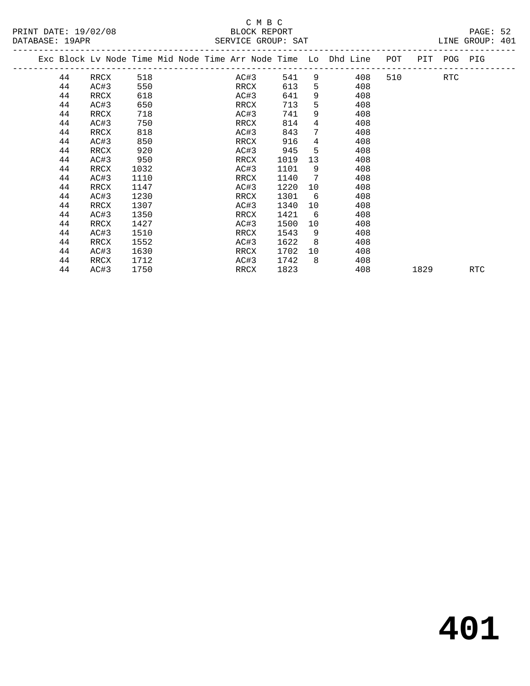# SERVICE GROUP: SAT

|                      | C M B C            |                 |
|----------------------|--------------------|-----------------|
| PRINT DATE: 19/02/08 | BLOCK REPORT       | PAGE: 52        |
| DATABASE: 19APR      | SERVICE GROUP: SAT | LINE GROUP: 401 |

|  | Exc Block Lv Node Time Mid Node Time Arr Node Time Lo Dhd Line |      |      |  |      |      |    |     | POT | PIT  | POG        | PIG        |
|--|----------------------------------------------------------------|------|------|--|------|------|----|-----|-----|------|------------|------------|
|  | 44                                                             | RRCX | 518  |  | AC#3 | 541  | 9  | 408 | 510 |      | <b>RTC</b> |            |
|  | 44                                                             | AC#3 | 550  |  | RRCX | 613  | 5  | 408 |     |      |            |            |
|  | 44                                                             | RRCX | 618  |  | AC#3 | 641  | 9  | 408 |     |      |            |            |
|  | 44                                                             | AC#3 | 650  |  | RRCX | 713  | 5  | 408 |     |      |            |            |
|  | 44                                                             | RRCX | 718  |  | AC#3 | 741  | 9  | 408 |     |      |            |            |
|  | 44                                                             | AC#3 | 750  |  | RRCX | 814  | 4  | 408 |     |      |            |            |
|  | 44                                                             | RRCX | 818  |  | AC#3 | 843  | 7  | 408 |     |      |            |            |
|  | 44                                                             | AC#3 | 850  |  | RRCX | 916  | 4  | 408 |     |      |            |            |
|  | 44                                                             | RRCX | 920  |  | AC#3 | 945  | 5  | 408 |     |      |            |            |
|  | 44                                                             | AC#3 | 950  |  | RRCX | 1019 | 13 | 408 |     |      |            |            |
|  | 44                                                             | RRCX | 1032 |  | AC#3 | 1101 | 9  | 408 |     |      |            |            |
|  | 44                                                             | AC#3 | 1110 |  | RRCX | 1140 | 7  | 408 |     |      |            |            |
|  | 44                                                             | RRCX | 1147 |  | AC#3 | 1220 | 10 | 408 |     |      |            |            |
|  | 44                                                             | AC#3 | 1230 |  | RRCX | 1301 | 6  | 408 |     |      |            |            |
|  | 44                                                             | RRCX | 1307 |  | AC#3 | 1340 | 10 | 408 |     |      |            |            |
|  | 44                                                             | AC#3 | 1350 |  | RRCX | 1421 | 6  | 408 |     |      |            |            |
|  | 44                                                             | RRCX | 1427 |  | AC#3 | 1500 | 10 | 408 |     |      |            |            |
|  | 44                                                             | AC#3 | 1510 |  | RRCX | 1543 | 9  | 408 |     |      |            |            |
|  | 44                                                             | RRCX | 1552 |  | AC#3 | 1622 | 8  | 408 |     |      |            |            |
|  | 44                                                             | AC#3 | 1630 |  | RRCX | 1702 | 10 | 408 |     |      |            |            |
|  | 44                                                             | RRCX | 1712 |  | AC#3 | 1742 | 8  | 408 |     |      |            |            |
|  | 44                                                             | AC#3 | 1750 |  | RRCX | 1823 |    | 408 |     | 1829 |            | <b>RTC</b> |
|  |                                                                |      |      |  |      |      |    |     |     |      |            |            |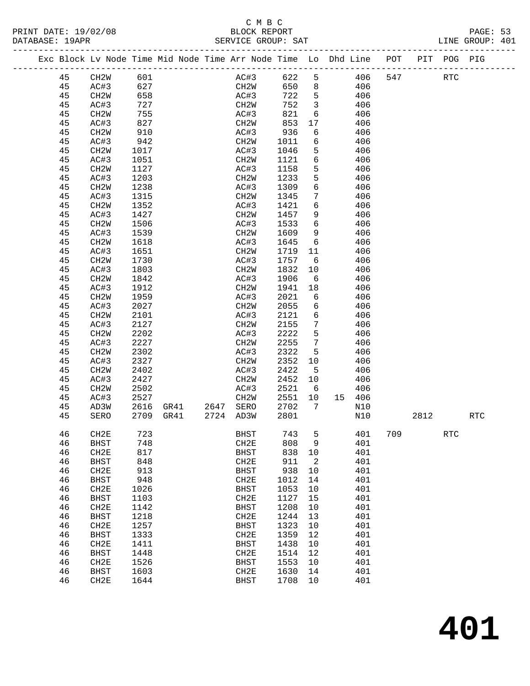| PRINT DATE: 19/02/08 |    |                   |                                                                               |                                  |                                  |          |                 | BLOCK REPORT<br>SERVICE GROUP: SAT                                             |     |      |            | PAGE: 53<br>LINE GROUP: 401 |  |
|----------------------|----|-------------------|-------------------------------------------------------------------------------|----------------------------------|----------------------------------|----------|-----------------|--------------------------------------------------------------------------------|-----|------|------------|-----------------------------|--|
|                      |    |                   |                                                                               |                                  |                                  |          |                 | Exc Block Lv Node Time Mid Node Time Arr Node Time Lo Dhd Line POT PIT POG PIG |     |      |            |                             |  |
|                      | 45 | CH2W 601          |                                                                               |                                  |                                  |          |                 | AC#3 622 5 406 547 RTC                                                         |     |      |            |                             |  |
|                      | 45 | AC#3 627          |                                                                               |                                  |                                  |          |                 | CH2W 650 8 406                                                                 |     |      |            |                             |  |
|                      | 45 | CH2W              | 658                                                                           |                                  | AC#3                             |          |                 | 722 5 406                                                                      |     |      |            |                             |  |
|                      | 45 | AC#3              | $\begin{array}{c} \n \overline{155} \\  755 \\  \overline{277}\n \end{array}$ |                                  |                                  | 752      |                 | $\begin{array}{ccc} 3 & 406 \\ 6 & 406 \end{array}$                            |     |      |            |                             |  |
|                      | 45 | CH2W              |                                                                               |                                  | AC#3                             | 821      |                 |                                                                                |     |      |            |                             |  |
|                      | 45 | AC#3              | 827                                                                           |                                  | CH2W                             | 853      |                 | $17$ $406$                                                                     |     |      |            |                             |  |
|                      | 45 | CH2W              | 910                                                                           |                                  | AC#3                             | 936      |                 | 6 406                                                                          |     |      |            |                             |  |
|                      | 45 | AC#3              | 942                                                                           |                                  | CH2W                             | 1011     |                 | 6 406                                                                          |     |      |            |                             |  |
|                      | 45 | CH <sub>2</sub> W | 1017                                                                          |                                  | AC#3                             | 1046 5   |                 |                                                                                |     |      |            |                             |  |
|                      | 45 | AC#3              | 1051                                                                          |                                  | CH2W                             | 1121 6   |                 | $\begin{array}{c} 406 \\ 406 \end{array}$                                      |     |      |            |                             |  |
|                      | 45 | CH2W              | 1127                                                                          |                                  | AC#3                             | 1158     |                 | 5 406                                                                          |     |      |            |                             |  |
|                      | 45 | AC#3              | 1203                                                                          |                                  | CH2W                             | 1233     | 5 <sub>5</sub>  | 406                                                                            |     |      |            |                             |  |
|                      | 45 | CH2W              | 1238                                                                          |                                  | AC#3                             | 1309     | 6               | 406                                                                            |     |      |            |                             |  |
|                      | 45 | AC#3              | 1315                                                                          |                                  | CH2W                             | 1345     | $7\overline{ }$ | 406                                                                            |     |      |            |                             |  |
|                      | 45 | CH2W              | 1352                                                                          |                                  | AC#3                             | 1421     |                 | 6 406                                                                          |     |      |            |                             |  |
|                      | 45 | AC#3              | 1427                                                                          |                                  | CH <sub>2</sub> W                |          |                 | 1457 9 406                                                                     |     |      |            |                             |  |
|                      | 45 | CH2W              | 1506                                                                          |                                  | AC#3                             | 1533     | $6\overline{6}$ |                                                                                |     |      |            |                             |  |
|                      | 45 | AC#3              | 1539                                                                          |                                  | CH2W                             | 1609 9   |                 | $\begin{array}{c} 406 \\ 406 \end{array}$                                      |     |      |            |                             |  |
|                      | 45 | CH2W              | 1618                                                                          |                                  | AC#3                             |          |                 | 1645 6 406                                                                     |     |      |            |                             |  |
|                      | 45 | AC#3              | 1651                                                                          |                                  | CH2W                             |          |                 | 1719 11 406                                                                    |     |      |            |                             |  |
|                      | 45 | CH2W              | 1730                                                                          |                                  | AC#3                             | 1757     | $6\overline{6}$ | 406                                                                            |     |      |            |                             |  |
|                      | 45 | AC#3              | $\frac{1}{1803}$                                                              |                                  | CH2W                             | 1832     | 10              | 406                                                                            |     |      |            |                             |  |
|                      | 45 | CH2W              | 1842                                                                          |                                  | AC#3                             | 1906     |                 | 6 406                                                                          |     |      |            |                             |  |
|                      | 45 | AC#3              | 1912                                                                          |                                  | CH2W                             |          |                 | 1941 18 406                                                                    |     |      |            |                             |  |
|                      | 45 | CH2W              | 1959                                                                          |                                  | AC#3                             | 2021     |                 |                                                                                |     |      |            |                             |  |
|                      | 45 | AC#3              | 2027                                                                          |                                  | CH2W                             | 2055     | $6\overline{6}$ | $\begin{array}{ccc} 6 & 406 \\ 6 & 406 \end{array}$                            |     |      |            |                             |  |
|                      | 45 | CH2W              | 2101                                                                          |                                  | AC#3                             | 2121 6   |                 | 406                                                                            |     |      |            |                             |  |
|                      | 45 | AC#3              | 2127                                                                          |                                  | CH2W                             | 2155 7   |                 | 406                                                                            |     |      |            |                             |  |
|                      | 45 | CH2W              | 2202                                                                          |                                  | AC#3                             | 2222     | 5 <sub>5</sub>  | 406                                                                            |     |      |            |                             |  |
|                      | 45 | AC#3              | 2227                                                                          |                                  | CH2W                             | 2255     | $7\overline{ }$ | 406                                                                            |     |      |            |                             |  |
|                      | 45 | CH2W              | 2302                                                                          |                                  | AC#3                             | 2322     | $5^{\circ}$     | 406                                                                            |     |      |            |                             |  |
|                      | 45 | AC#3              | 2327                                                                          |                                  | CH2W                             | 2352 10  |                 | 406                                                                            |     |      |            |                             |  |
|                      | 45 | CH2W              | 2402                                                                          |                                  | AC#3                             | 2422     | $5^{\circ}$     | 406                                                                            |     |      |            |                             |  |
|                      | 45 | AC#3              | 2427                                                                          |                                  | CH2W                             | 2452 10  |                 | 406                                                                            |     |      |            |                             |  |
|                      | 45 | CH2W              | 2502                                                                          |                                  | AC#3                             | $2521$ 6 |                 | 406                                                                            |     |      |            |                             |  |
|                      | 45 | AC#3              | 2527                                                                          |                                  |                                  | 2551 10  |                 | 15 406                                                                         |     |      |            |                             |  |
|                      | 45 | AD3W              |                                                                               | 2527 CH2W<br>2616 GR41 2647 SERO |                                  | 2702     | $7\overline{ }$ | N10                                                                            |     |      |            |                             |  |
|                      |    |                   |                                                                               |                                  | 45 SERO 2709 GR41 2724 AD3W 2801 |          |                 | N10                                                                            |     | 2812 |            | $\operatorname{RTC}$        |  |
|                      | 46 | CH2E              | 723                                                                           |                                  | <b>BHST</b>                      | 743      | 5               | 401                                                                            | 709 |      | <b>RTC</b> |                             |  |
|                      | 46 | <b>BHST</b>       | 748                                                                           |                                  | CH2E                             | 808      | 9               | 401                                                                            |     |      |            |                             |  |
|                      | 46 | CH2E              | 817                                                                           |                                  | <b>BHST</b>                      | 838      | 10              | 401                                                                            |     |      |            |                             |  |
|                      | 46 | BHST              | 848                                                                           |                                  | CH2E                             | 911      | $\mathbf{2}$    | 401                                                                            |     |      |            |                             |  |
|                      | 46 | CH2E              | 913                                                                           |                                  | <b>BHST</b>                      | 938      | $10$            | 401                                                                            |     |      |            |                             |  |
|                      | 46 | <b>BHST</b>       | 948                                                                           |                                  | CH2E                             | 1012     | 14              | 401                                                                            |     |      |            |                             |  |
|                      | 46 | CH2E              | 1026                                                                          |                                  | <b>BHST</b>                      | 1053     | 10              | 401                                                                            |     |      |            |                             |  |
|                      | 46 | <b>BHST</b>       | 1103                                                                          |                                  | CH2E                             | 1127     | 15              | 401                                                                            |     |      |            |                             |  |
|                      | 46 | CH2E              | 1142                                                                          |                                  | <b>BHST</b>                      | 1208     | 10              | 401                                                                            |     |      |            |                             |  |
|                      | 46 | <b>BHST</b>       | 1218                                                                          |                                  | CH2E                             | 1244     | 13              | 401                                                                            |     |      |            |                             |  |
|                      | 46 | CH2E              | 1257                                                                          |                                  | <b>BHST</b>                      | 1323     | 10              | 401                                                                            |     |      |            |                             |  |
|                      | 46 | <b>BHST</b>       | 1333                                                                          |                                  | CH2E                             | 1359     | 12              | 401                                                                            |     |      |            |                             |  |
|                      | 46 | CH2E              | 1411                                                                          |                                  | <b>BHST</b>                      | 1438     | $10$            | 401                                                                            |     |      |            |                             |  |
|                      | 46 | <b>BHST</b>       | 1448                                                                          |                                  | CH2E                             | 1514     | 12              | 401                                                                            |     |      |            |                             |  |
|                      | 46 | CH2E              | 1526                                                                          |                                  | <b>BHST</b>                      | 1553     | 10              | 401                                                                            |     |      |            |                             |  |
|                      | 46 | <b>BHST</b>       | 1603                                                                          |                                  | CH2E                             | 1630     | 14              | 401                                                                            |     |      |            |                             |  |
|                      | 46 | CH2E              | 1644                                                                          |                                  | <b>BHST</b>                      | 1708     | $10$            | 401                                                                            |     |      |            |                             |  |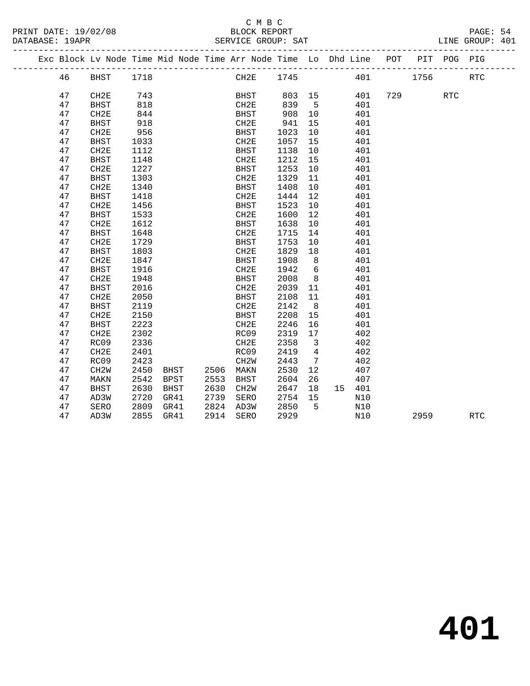### C M B C<br>BLOCK REPORT

| PRINT DATE: 19/02/08<br>DATABASE: 19APR | BLOCK REPORT<br>SERVICE GROUP: SAT                                             | PAGE: 54<br>LINE GROUP: 401 |  |
|-----------------------------------------|--------------------------------------------------------------------------------|-----------------------------|--|
|                                         | Exc Block Lv Node Time Mid Node Time Arr Node Time Lo Dhd Line POT PIT POG PIG |                             |  |

|  |    | Exc Block Lv Node Time Mid Node Time Arr Node Time Lo Dhd Line |      |             |      |                   |      |                |    |     | POT | PIT  | POG | PIG        |  |
|--|----|----------------------------------------------------------------|------|-------------|------|-------------------|------|----------------|----|-----|-----|------|-----|------------|--|
|  | 46 | BHST                                                           | 1718 |             |      | CH2E              | 1745 |                |    | 401 |     | 1756 |     | <b>RTC</b> |  |
|  | 47 | CH2E                                                           | 743  |             |      | <b>BHST</b>       | 803  | 15             |    | 401 | 729 |      | RTC |            |  |
|  | 47 | <b>BHST</b>                                                    | 818  |             |      | CH2E              | 839  | 5              |    | 401 |     |      |     |            |  |
|  | 47 | CH2E                                                           | 844  |             |      | <b>BHST</b>       | 908  | 10             |    | 401 |     |      |     |            |  |
|  | 47 | <b>BHST</b>                                                    | 918  |             |      | CH2E              | 941  | 15             |    | 401 |     |      |     |            |  |
|  | 47 | CH2E                                                           | 956  |             |      | <b>BHST</b>       | 1023 | 10             |    | 401 |     |      |     |            |  |
|  | 47 | <b>BHST</b>                                                    | 1033 |             |      | CH2E              | 1057 | 15             |    | 401 |     |      |     |            |  |
|  | 47 | CH2E                                                           | 1112 |             |      | <b>BHST</b>       | 1138 | 10             |    | 401 |     |      |     |            |  |
|  | 47 | <b>BHST</b>                                                    | 1148 |             |      | CH2E              | 1212 | 15             |    | 401 |     |      |     |            |  |
|  | 47 | CH2E                                                           | 1227 |             |      | <b>BHST</b>       | 1253 | 10             |    | 401 |     |      |     |            |  |
|  | 47 | <b>BHST</b>                                                    | 1303 |             |      | CH <sub>2E</sub>  | 1329 | 11             |    | 401 |     |      |     |            |  |
|  | 47 | CH2E                                                           | 1340 |             |      | <b>BHST</b>       | 1408 | 10             |    | 401 |     |      |     |            |  |
|  | 47 | <b>BHST</b>                                                    | 1418 |             |      | CH2E              | 1444 | 12             |    | 401 |     |      |     |            |  |
|  | 47 | CH2E                                                           | 1456 |             |      | <b>BHST</b>       | 1523 | 10             |    | 401 |     |      |     |            |  |
|  | 47 | <b>BHST</b>                                                    | 1533 |             |      | CH2E              | 1600 | 12             |    | 401 |     |      |     |            |  |
|  | 47 | CH2E                                                           | 1612 |             |      | <b>BHST</b>       | 1638 | 10             |    | 401 |     |      |     |            |  |
|  | 47 | <b>BHST</b>                                                    | 1648 |             |      | CH2E              | 1715 | 14             |    | 401 |     |      |     |            |  |
|  | 47 | CH2E                                                           | 1729 |             |      | <b>BHST</b>       | 1753 | 10             |    | 401 |     |      |     |            |  |
|  | 47 | <b>BHST</b>                                                    | 1803 |             |      | CH2E              | 1829 | 18             |    | 401 |     |      |     |            |  |
|  | 47 | CH2E                                                           | 1847 |             |      | <b>BHST</b>       | 1908 | 8              |    | 401 |     |      |     |            |  |
|  | 47 | <b>BHST</b>                                                    | 1916 |             |      | CH2E              | 1942 | 6              |    | 401 |     |      |     |            |  |
|  | 47 | CH2E                                                           | 1948 |             |      | <b>BHST</b>       | 2008 | 8              |    | 401 |     |      |     |            |  |
|  | 47 | <b>BHST</b>                                                    | 2016 |             |      | CH <sub>2E</sub>  | 2039 | 11             |    | 401 |     |      |     |            |  |
|  | 47 | CH2E                                                           | 2050 |             |      | <b>BHST</b>       | 2108 | 11             |    | 401 |     |      |     |            |  |
|  | 47 | <b>BHST</b>                                                    | 2119 |             |      | CH2E              | 2142 | 8              |    | 401 |     |      |     |            |  |
|  | 47 | CH2E                                                           | 2150 |             |      | <b>BHST</b>       | 2208 | 15             |    | 401 |     |      |     |            |  |
|  | 47 | <b>BHST</b>                                                    | 2223 |             |      | CH2E              | 2246 | 16             |    | 401 |     |      |     |            |  |
|  | 47 | CH2E                                                           | 2302 |             |      | RC09              | 2319 | 17             |    | 402 |     |      |     |            |  |
|  | 47 | RC09                                                           | 2336 |             |      | CH <sub>2E</sub>  | 2358 | 3              |    | 402 |     |      |     |            |  |
|  | 47 | CH2E                                                           | 2401 |             |      | RC09              | 2419 | $\overline{4}$ |    | 402 |     |      |     |            |  |
|  | 47 | RC09                                                           | 2423 |             |      | CH2W              | 2443 | 7              |    | 402 |     |      |     |            |  |
|  | 47 | CH2W                                                           | 2450 | <b>BHST</b> | 2506 | MAKN              | 2530 | 12             |    | 407 |     |      |     |            |  |
|  | 47 | MAKN                                                           | 2542 | <b>BPST</b> | 2553 | <b>BHST</b>       | 2604 | 26             |    | 407 |     |      |     |            |  |
|  | 47 | <b>BHST</b>                                                    | 2630 | <b>BHST</b> | 2630 | CH <sub>2</sub> M | 2647 | 18             | 15 | 401 |     |      |     |            |  |
|  | 47 | AD3W                                                           | 2720 | GR41        | 2739 | SERO              | 2754 | 15             |    | N10 |     |      |     |            |  |
|  | 47 | <b>SERO</b>                                                    | 2809 | GR41        | 2824 | AD3W              | 2850 | 5              |    | N10 |     |      |     |            |  |
|  | 47 | AD3W                                                           | 2855 | GR41        | 2914 | SERO              | 2929 |                |    | N10 |     | 2959 |     | <b>RTC</b> |  |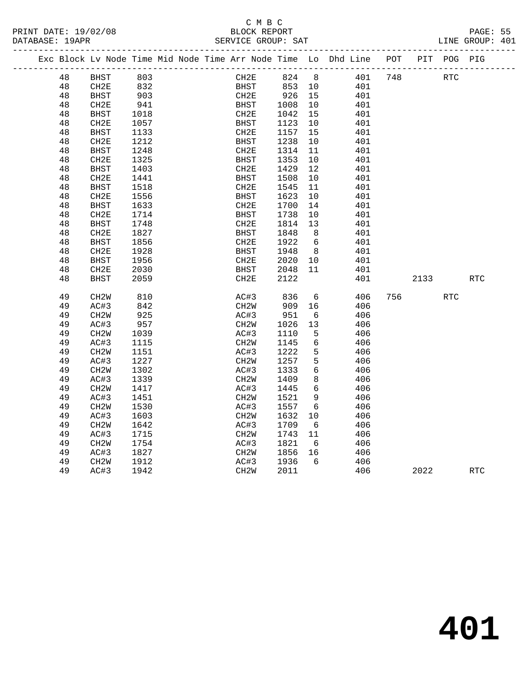# C M B C<br>BLOCK REPORT

PRINT DATE: 19/02/08 BLOCK REPORT PAGE: 55 SERVICE GROUP: SAT -------------------------------------------------------------------------------------------------

|  |          |                   |      |  |                   |              |                 | Exc Block Lv Node Time Mid Node Time Arr Node Time Lo Dhd Line | POT | PIT  | POG PIG    |            |  |
|--|----------|-------------------|------|--|-------------------|--------------|-----------------|----------------------------------------------------------------|-----|------|------------|------------|--|
|  | 48       | <b>BHST</b>       | 803  |  | CH2E              | 824          | 8 <sup>8</sup>  | 401                                                            | 748 |      | <b>RTC</b> |            |  |
|  | 48       | CH2E              | 832  |  | BHST              | 853          | 10              | 401                                                            |     |      |            |            |  |
|  | 48       | <b>BHST</b>       | 903  |  | CH2E              | 926          | 15              | 401                                                            |     |      |            |            |  |
|  | 48       | CH2E              | 941  |  | BHST              | 1008         | 10              | 401                                                            |     |      |            |            |  |
|  | 48       | <b>BHST</b>       | 1018 |  | CH2E              | 1042         | 15              | 401                                                            |     |      |            |            |  |
|  | 48       | CH <sub>2E</sub>  | 1057 |  | BHST              | 1123         | 10              | 401                                                            |     |      |            |            |  |
|  | 48       | <b>BHST</b>       | 1133 |  | CH2E              | 1157         | 15              | 401                                                            |     |      |            |            |  |
|  | 48       | CH2E              | 1212 |  | <b>BHST</b>       | 1238         | $10\,$          | 401                                                            |     |      |            |            |  |
|  | 48       | <b>BHST</b>       | 1248 |  | CH2E              | 1314         | 11              | 401                                                            |     |      |            |            |  |
|  | 48       | CH <sub>2E</sub>  | 1325 |  | <b>BHST</b>       | 1353         | 10              | 401                                                            |     |      |            |            |  |
|  | 48       | <b>BHST</b>       | 1403 |  | CH2E              | 1429         | 12              | 401                                                            |     |      |            |            |  |
|  | 48       | CH <sub>2E</sub>  | 1441 |  | BHST              | 1508         | 10              | 401                                                            |     |      |            |            |  |
|  | 48       | <b>BHST</b>       | 1518 |  | CH2E              | 1545         | 11              | 401                                                            |     |      |            |            |  |
|  | 48       | CH2E              | 1556 |  | <b>BHST</b>       | 1623         | 10              | 401                                                            |     |      |            |            |  |
|  | 48       | <b>BHST</b>       | 1633 |  | CH2E              | 1700         | 14              | 401                                                            |     |      |            |            |  |
|  | 48       | CH <sub>2E</sub>  | 1714 |  | <b>BHST</b>       | 1738         | 10              | 401                                                            |     |      |            |            |  |
|  | 48       | BHST              | 1748 |  | CH2E              | 1814         | 13              | 401                                                            |     |      |            |            |  |
|  | 48       | CH2E              | 1827 |  | <b>BHST</b>       | 1848         | 8               | 401                                                            |     |      |            |            |  |
|  | 48       | <b>BHST</b>       | 1856 |  | CH <sub>2E</sub>  | 1922         | 6               | 401                                                            |     |      |            |            |  |
|  | 48       | CH2E              | 1928 |  | <b>BHST</b>       | 1948         | - 8             | 401                                                            |     |      |            |            |  |
|  | 48       | <b>BHST</b>       | 1956 |  | CH2E              | 2020         | 10              | 401                                                            |     |      |            |            |  |
|  | 48       | CH2E              | 2030 |  | BHST              | 2048         | 11              | 401                                                            |     |      |            |            |  |
|  | 48       | <b>BHST</b>       | 2059 |  | CH2E              | 2122         |                 | 401                                                            |     | 2133 |            | <b>RTC</b> |  |
|  |          |                   |      |  |                   |              |                 |                                                                |     |      |            |            |  |
|  | 49       | CH <sub>2</sub> M | 810  |  | AC#3              | 836          | 6               | 406                                                            | 756 |      | <b>RTC</b> |            |  |
|  | 49       | AC#3              | 842  |  | CH <sub>2</sub> W | 909          | 16              | 406                                                            |     |      |            |            |  |
|  | 49       | CH <sub>2</sub> W | 925  |  | AC#3              | 951          | 6               | 406                                                            |     |      |            |            |  |
|  | 49       | AC#3              | 957  |  | CH2W              | 1026         | 13              | 406                                                            |     |      |            |            |  |
|  | 49       | CH <sub>2</sub> W | 1039 |  | AC#3              | 1110         | 5               | 406                                                            |     |      |            |            |  |
|  | 49       | AC#3              | 1115 |  | CH <sub>2</sub> W | 1145         | $6\overline{6}$ | 406                                                            |     |      |            |            |  |
|  | 49       | CH <sub>2</sub> M | 1151 |  | AC#3              | 1222         | 5               | 406                                                            |     |      |            |            |  |
|  | 49       | AC#3              | 1227 |  | CH <sub>2</sub> W | 1257         | 5<br>6          | 406                                                            |     |      |            |            |  |
|  | 49       | CH <sub>2</sub> M | 1302 |  | AC#3              | 1333         |                 | 406                                                            |     |      |            |            |  |
|  | 49       | AC#3              | 1339 |  | CH <sub>2</sub> W | 1409         | 8               | 406                                                            |     |      |            |            |  |
|  | 49<br>49 | CH <sub>2</sub> W | 1417 |  | AC#3              | 1445         | 6               | 406<br>406                                                     |     |      |            |            |  |
|  |          | AC#3              | 1451 |  | CH <sub>2</sub> M | 1521         | 9               |                                                                |     |      |            |            |  |
|  | 49       | CH <sub>2</sub> M | 1530 |  | AC#3              | 1557         | 6               | 406                                                            |     |      |            |            |  |
|  | 49<br>49 | AC#3              | 1603 |  | CH <sub>2</sub> W | 1632<br>1709 | 10              | 406<br>406                                                     |     |      |            |            |  |
|  |          | CH <sub>2</sub> M | 1642 |  | AC#3              |              | 6               |                                                                |     |      |            |            |  |
|  | 49       | AC#3              | 1715 |  | CH2W              | 1743         | 11              | 406                                                            |     |      |            |            |  |
|  | 49       | CH <sub>2</sub> W | 1754 |  | AC#3              | 1821         | - 6             | 406                                                            |     |      |            |            |  |
|  | 49<br>49 | AC#3              | 1827 |  | CH <sub>2</sub> W | 1856         | 16<br>6         | 406                                                            |     |      |            |            |  |
|  |          | CH <sub>2</sub> M | 1912 |  | AC#3              | 1936         |                 | 406                                                            |     |      |            |            |  |
|  | 49       | AC#3              | 1942 |  | CH2W              | 2011         |                 | 406                                                            |     | 2022 |            | <b>RTC</b> |  |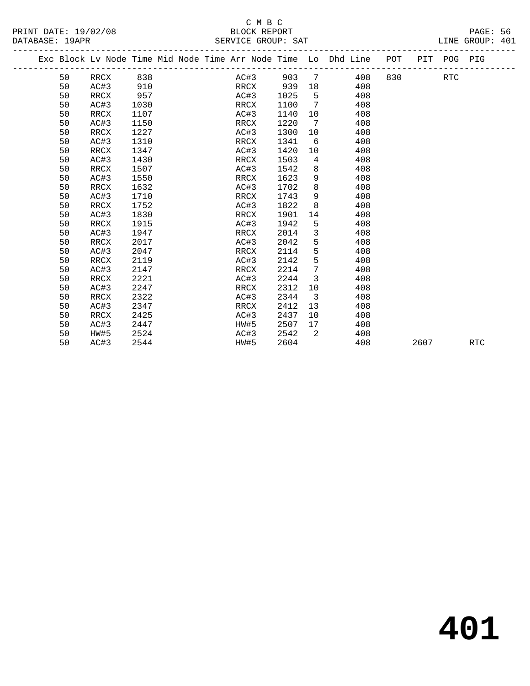### C M B C<br>BLOCK REPORT PRINT DATE: 19/02/08 BLOCK REPORT BATABASE: 19APR

| PRINT DATE: 19/02/08 | BLOCK REPORT                                                                   |  | PAGE: 56        |  |
|----------------------|--------------------------------------------------------------------------------|--|-----------------|--|
| DATABASE: 19APR      | SERVICE GROUP: SAT                                                             |  | LINE GROUP: 401 |  |
|                      | Exc Block Lv Node Time Mid Node Time Arr Node Time Lo Dhd Line POT PIT POG PIG |  |                 |  |
|                      |                                                                                |  |                 |  |

|  |    | Exc Block Lv Node Time Mid Node Time Arr Node Time Lo Dhd Line |      |  |      |      |      |                              |     | POT |      | PIT POG PIG |            |  |
|--|----|----------------------------------------------------------------|------|--|------|------|------|------------------------------|-----|-----|------|-------------|------------|--|
|  | 50 | RRCX                                                           | 838  |  |      | AC#3 | 903  | $7\phantom{.0}\phantom{.0}7$ | 408 | 830 |      | RTC         |            |  |
|  | 50 | AC#3                                                           | 910  |  | RRCX |      | 939  | 18                           | 408 |     |      |             |            |  |
|  | 50 | RRCX                                                           | 957  |  | AC#3 |      | 1025 | 5                            | 408 |     |      |             |            |  |
|  | 50 | AC#3                                                           | 1030 |  | RRCX |      | 1100 | 7                            | 408 |     |      |             |            |  |
|  | 50 | RRCX                                                           | 1107 |  | AC#3 |      | 1140 | 10                           | 408 |     |      |             |            |  |
|  | 50 | AC#3                                                           | 1150 |  | RRCX |      | 1220 | 7                            | 408 |     |      |             |            |  |
|  | 50 | RRCX                                                           | 1227 |  | AC#3 |      | 1300 | 10                           | 408 |     |      |             |            |  |
|  | 50 | AC#3                                                           | 1310 |  | RRCX |      | 1341 | 6                            | 408 |     |      |             |            |  |
|  | 50 | RRCX                                                           | 1347 |  | AC#3 |      | 1420 | 10                           | 408 |     |      |             |            |  |
|  | 50 | AC#3                                                           | 1430 |  | RRCX |      | 1503 | 4                            | 408 |     |      |             |            |  |
|  | 50 | RRCX                                                           | 1507 |  | AC#3 |      | 1542 | 8                            | 408 |     |      |             |            |  |
|  | 50 | AC#3                                                           | 1550 |  | RRCX |      | 1623 | 9                            | 408 |     |      |             |            |  |
|  | 50 | RRCX                                                           | 1632 |  | AC#3 |      | 1702 | 8                            | 408 |     |      |             |            |  |
|  | 50 | AC#3                                                           | 1710 |  | RRCX |      | 1743 | 9                            | 408 |     |      |             |            |  |
|  | 50 | RRCX                                                           | 1752 |  | AC#3 |      | 1822 | 8                            | 408 |     |      |             |            |  |
|  | 50 | AC#3                                                           | 1830 |  | RRCX |      | 1901 | 14                           | 408 |     |      |             |            |  |
|  | 50 | RRCX                                                           | 1915 |  | AC#3 |      | 1942 | 5                            | 408 |     |      |             |            |  |
|  | 50 | AC#3                                                           | 1947 |  | RRCX |      | 2014 | 3                            | 408 |     |      |             |            |  |
|  | 50 | RRCX                                                           | 2017 |  | AC#3 |      | 2042 | 5                            | 408 |     |      |             |            |  |
|  | 50 | AC#3                                                           | 2047 |  | RRCX |      | 2114 | 5                            | 408 |     |      |             |            |  |
|  | 50 | RRCX                                                           | 2119 |  | AC#3 |      | 2142 | 5                            | 408 |     |      |             |            |  |
|  | 50 | AC#3                                                           | 2147 |  | RRCX |      | 2214 | 7                            | 408 |     |      |             |            |  |
|  | 50 | RRCX                                                           | 2221 |  | AC#3 |      | 2244 | $\mathbf{3}$                 | 408 |     |      |             |            |  |
|  | 50 | AC#3                                                           | 2247 |  | RRCX |      | 2312 | 10                           | 408 |     |      |             |            |  |
|  | 50 | RRCX                                                           | 2322 |  | AC#3 |      | 2344 | $\overline{\mathbf{3}}$      | 408 |     |      |             |            |  |
|  | 50 | AC#3                                                           | 2347 |  | RRCX |      | 2412 | 13                           | 408 |     |      |             |            |  |
|  | 50 | RRCX                                                           | 2425 |  | AC#3 |      | 2437 | 10                           | 408 |     |      |             |            |  |
|  | 50 | AC#3                                                           | 2447 |  | HW#5 |      | 2507 | 17                           | 408 |     |      |             |            |  |
|  | 50 | HW#5                                                           | 2524 |  | AC#3 |      | 2542 | 2                            | 408 |     |      |             |            |  |
|  | 50 | AC#3                                                           | 2544 |  | HW#5 |      | 2604 |                              | 408 |     | 2607 |             | <b>RTC</b> |  |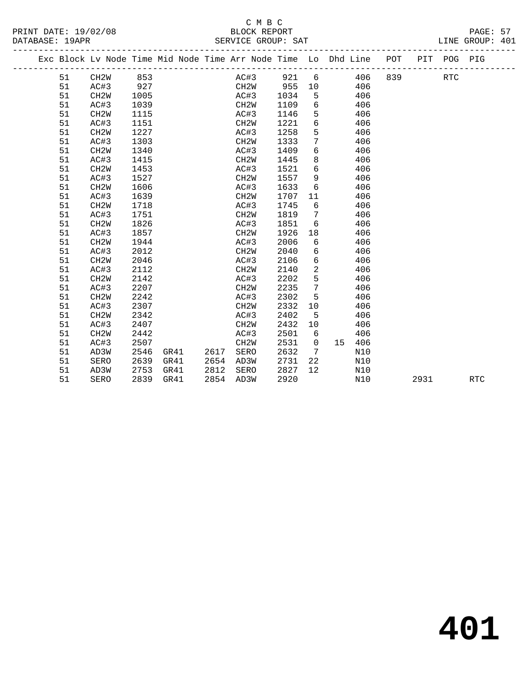# C M B C<br>BLOCK REPORT

LINE GROUP: 401

| DATARASE: 19APR |      |     |  |      | SERVICE GROUP: SAT |                                                                                |  | LINE GROUP: 401 |  |
|-----------------|------|-----|--|------|--------------------|--------------------------------------------------------------------------------|--|-----------------|--|
|                 |      |     |  |      |                    | Exc Block Ly Node Time Mid Node Time Arr Node Time Lo Dhd Line POT PIT POG PIG |  |                 |  |
|                 | CH2W | 853 |  | AC#3 | $921$ 6            | 406 839                                                                        |  |                 |  |

| 51 | CH2W              | 853  |      |      | AC#3              | 921 6 |                 |    | 406 | 839 — 10 |      | <b>RTC</b> |
|----|-------------------|------|------|------|-------------------|-------|-----------------|----|-----|----------|------|------------|
| 51 | AC#3              | 927  |      |      | CH2W              | 955   | 10              |    | 406 |          |      |            |
| 51 | CH <sub>2</sub> W | 1005 |      |      | AC#3              | 1034  | 5               |    | 406 |          |      |            |
| 51 | AC#3              | 1039 |      |      | CH2W              | 1109  | 6               |    | 406 |          |      |            |
| 51 | CH <sub>2</sub> W | 1115 |      |      | AC#3              | 1146  | 5               |    | 406 |          |      |            |
| 51 | AC#3              | 1151 |      |      | CH2W              | 1221  | 6               |    | 406 |          |      |            |
| 51 | CH <sub>2</sub> W | 1227 |      |      | AC#3              | 1258  | 5               |    | 406 |          |      |            |
| 51 | AC#3              | 1303 |      |      | CH2W              | 1333  | 7               |    | 406 |          |      |            |
| 51 | CH <sub>2</sub> W | 1340 |      |      | AC#3              | 1409  | 6               |    | 406 |          |      |            |
| 51 | AC#3              | 1415 |      |      | CH2W              | 1445  | 8               |    | 406 |          |      |            |
| 51 | CH <sub>2</sub> W | 1453 |      |      | AC#3              | 1521  | 6               |    | 406 |          |      |            |
| 51 | AC#3              | 1527 |      |      | CH2W              | 1557  | 9               |    | 406 |          |      |            |
| 51 | CH <sub>2</sub> W | 1606 |      |      | AC#3              | 1633  | 6               |    | 406 |          |      |            |
| 51 | AC#3              | 1639 |      |      | CH2W              | 1707  | 11              |    | 406 |          |      |            |
| 51 | CH <sub>2</sub> W | 1718 |      |      | AC#3              | 1745  | 6               |    | 406 |          |      |            |
| 51 | AC#3              | 1751 |      |      | CH2W              | 1819  | 7               |    | 406 |          |      |            |
| 51 | CH <sub>2</sub> W | 1826 |      |      | AC#3              | 1851  | 6               |    | 406 |          |      |            |
| 51 | AC#3              | 1857 |      |      | CH2W              | 1926  | 18              |    | 406 |          |      |            |
| 51 | CH <sub>2</sub> W | 1944 |      |      | AC#3              | 2006  | 6               |    | 406 |          |      |            |
| 51 | AC#3              | 2012 |      |      | CH2W              | 2040  | 6               |    | 406 |          |      |            |
| 51 | CH <sub>2</sub> W | 2046 |      |      | AC#3              | 2106  | 6               |    | 406 |          |      |            |
| 51 | AC#3              | 2112 |      |      | CH2W              | 2140  | 2               |    | 406 |          |      |            |
| 51 | CH <sub>2</sub> W | 2142 |      |      | AC#3              | 2202  | $5^{\circ}$     |    | 406 |          |      |            |
| 51 | AC#3              | 2207 |      |      | CH2W              | 2235  | $7\phantom{.0}$ |    | 406 |          |      |            |
| 51 | CH <sub>2</sub> M | 2242 |      |      | AC#3              | 2302  | 5               |    | 406 |          |      |            |
| 51 | AC#3              | 2307 |      |      | CH2W              | 2332  | 10 <sup>°</sup> |    | 406 |          |      |            |
| 51 | CH <sub>2</sub> W | 2342 |      |      | AC#3              | 2402  | 5               |    | 406 |          |      |            |
| 51 | AC#3              | 2407 |      |      | CH2W              | 2432  | 10              |    | 406 |          |      |            |
| 51 | CH <sub>2</sub> W | 2442 |      |      | AC#3              | 2501  | 6               |    | 406 |          |      |            |
| 51 | AC#3              | 2507 |      |      | CH <sub>2</sub> W | 2531  | $\overline{0}$  | 15 | 406 |          |      |            |
| 51 | AD3W              | 2546 | GR41 | 2617 | SERO              | 2632  | 7               |    | N10 |          |      |            |
| 51 | SERO              | 2639 | GR41 | 2654 | AD3W              | 2731  | 22              |    | N10 |          |      |            |
| 51 | AD3W              | 2753 | GR41 | 2812 | SERO              | 2827  | 12              |    | N10 |          |      |            |
| 51 | SERO              | 2839 | GR41 | 2854 | AD3W              | 2920  |                 |    | N10 |          | 2931 | <b>RTC</b> |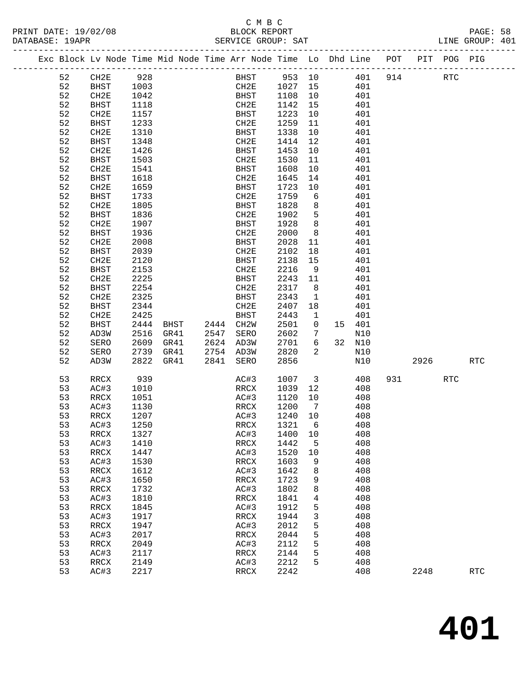### C M B C<br>BLOCK REPORT

LINE GROUP: 401

|    |             |      |                |      |              |         |                         | Exc Block Lv Node Time Mid Node Time Arr Node Time Lo Dhd Line POT |     |           | PIT POG PIG |            |
|----|-------------|------|----------------|------|--------------|---------|-------------------------|--------------------------------------------------------------------|-----|-----------|-------------|------------|
| 52 | CH2E        | 928  |                |      | BHST 953 10  |         |                         | 401                                                                | 914 |           | RTC         |            |
| 52 | BHST        | 1003 |                |      | CH2E 1027 15 |         |                         | 401                                                                |     |           |             |            |
| 52 | CH2E        | 1042 |                |      | BHST         | 1108    | 10                      | 401                                                                |     |           |             |            |
| 52 | <b>BHST</b> | 1118 |                |      | CH2E         | 1142    | 15                      | 401                                                                |     |           |             |            |
| 52 | CH2E        | 1157 |                |      | BHST         | 1223    | 10                      | 401                                                                |     |           |             |            |
| 52 | BHST        | 1233 |                |      | CH2E         | 1259    | 11                      | 401                                                                |     |           |             |            |
| 52 | CH2E        | 1310 |                |      | BHST         | 1338    | 10                      | 401                                                                |     |           |             |            |
| 52 | <b>BHST</b> | 1348 |                |      | CH2E         | 1414    | 12                      | 401                                                                |     |           |             |            |
| 52 | CH2E        | 1426 |                |      | BHST         | 1453    | 10                      | 401                                                                |     |           |             |            |
| 52 | BHST        | 1503 |                |      | CH2E         | 1530    | 11                      | 401                                                                |     |           |             |            |
| 52 | CH2E        | 1541 |                |      | BHST         | 1608    | 10                      | 401                                                                |     |           |             |            |
| 52 | <b>BHST</b> | 1618 |                |      | CH2E         | 1645    | 14                      | 401                                                                |     |           |             |            |
| 52 | CH2E        | 1659 |                |      | BHST         | 1723    | 10                      | 401                                                                |     |           |             |            |
| 52 | BHST        | 1733 |                |      | CH2E         | 1759    | $6\overline{6}$         | 401                                                                |     |           |             |            |
| 52 | CH2E        | 1805 |                |      | BHST         | 1828    | 8                       | 401                                                                |     |           |             |            |
| 52 | BHST        | 1836 |                |      | CH2E         | 1902    | 5                       | 401                                                                |     |           |             |            |
| 52 | CH2E        | 1907 |                |      | BHST         | 1928    | 8                       | 401                                                                |     |           |             |            |
| 52 | <b>BHST</b> | 1936 |                |      | CH2E         | 2000    | 8                       | 401                                                                |     |           |             |            |
| 52 | CH2E        | 2008 |                |      | BHST         | 2028    | 11                      | 401                                                                |     |           |             |            |
| 52 | <b>BHST</b> | 2039 |                |      | CH2E         | 2102    | 18                      | 401                                                                |     |           |             |            |
| 52 | CH2E        | 2120 |                |      | BHST         | 2138    | 15                      | 401                                                                |     |           |             |            |
| 52 | <b>BHST</b> | 2153 |                |      | CH2E         | 2216    | 9                       | 401                                                                |     |           |             |            |
| 52 | CH2E        | 2225 |                |      | BHST         | 2243    | 11                      | 401                                                                |     |           |             |            |
| 52 | <b>BHST</b> | 2254 |                |      | CH2E         | 2317    | 8 <sup>8</sup>          | 401                                                                |     |           |             |            |
| 52 | CH2E        | 2325 |                |      | BHST         | 2343    | $\mathbf{1}$            | 401                                                                |     |           |             |            |
| 52 | BHST        | 2344 |                |      | CH2E         | 2407    | 18                      | 401                                                                |     |           |             |            |
| 52 | CH2E        | 2425 |                |      | BHST         | 2443    | $\mathbf{1}$            | 401                                                                |     |           |             |            |
| 52 | <b>BHST</b> | 2444 | BHST 2444 CH2W |      |              | 2501    | $\overline{0}$          | 15 401                                                             |     |           |             |            |
| 52 | AD3W        | 2516 | GR41           | 2547 | SERO         | 2602    | 7                       | N10                                                                |     |           |             |            |
| 52 | SERO        | 2609 | GR41           |      | 2624 AD3W    | 2701    | 6                       | 32 N10                                                             |     |           |             |            |
| 52 | SERO        | 2739 | GR41           |      | 2754 AD3W    | 2820    | 2                       | N10                                                                |     |           |             |            |
| 52 | AD3W        | 2822 | GR41           | 2841 | SERO         | 2856    |                         | N10                                                                |     | 2926 70   |             | <b>RTC</b> |
| 53 | RRCX        | 939  |                |      | AC#3         | 1007    | $\overline{\mathbf{3}}$ | 408                                                                |     | 931 — 100 | <b>RTC</b>  |            |
| 53 | AC#3        | 1010 |                |      | RRCX         | 1039    | 12                      | 408                                                                |     |           |             |            |
| 53 | RRCX        | 1051 |                |      | AC#3         | 1120    | 10                      | 408                                                                |     |           |             |            |
| 53 | AC#3        | 1130 |                |      | RRCX         | 1200    | $\overline{7}$          | 408                                                                |     |           |             |            |
| 53 | RRCX        | 1207 |                |      | AC#3         | 1240 10 |                         | 408                                                                |     |           |             |            |
| 53 | AC#3        | 1250 |                |      | RRCX         | 1321    | 6                       | 408                                                                |     |           |             |            |
| 53 | RRCX        | 1327 |                |      | AC#3 1400 10 |         |                         | 408                                                                |     |           |             |            |
| 53 | AC#3        | 1410 |                |      | RRCX         | 1442    | 5                       | 408                                                                |     |           |             |            |
| 53 | RRCX        | 1447 |                |      | AC#3         | 1520    | 10                      | 408                                                                |     |           |             |            |
| 53 | AC#3        | 1530 |                |      | RRCX         | 1603    | 9                       | 408                                                                |     |           |             |            |
| 53 | RRCX        | 1612 |                |      | AC#3         | 1642    | 8                       | 408                                                                |     |           |             |            |
| 53 | AC#3        | 1650 |                |      | RRCX         | 1723    | 9                       | 408                                                                |     |           |             |            |
| 53 | RRCX        | 1732 |                |      | AC#3         | 1802    | 8                       | 408                                                                |     |           |             |            |
| 53 | AC#3        | 1810 |                |      | RRCX         | 1841    | 4                       | 408                                                                |     |           |             |            |
| 53 | RRCX        | 1845 |                |      | AC#3         | 1912    | 5                       | 408                                                                |     |           |             |            |
| 53 | AC#3        | 1917 |                |      | RRCX         | 1944    | 3                       | 408                                                                |     |           |             |            |
| 53 | RRCX        | 1947 |                |      | AC#3         | 2012    | 5                       | 408                                                                |     |           |             |            |
| 53 | AC#3        | 2017 |                |      | RRCX         | 2044    | 5                       | 408                                                                |     |           |             |            |
| 53 | RRCX        | 2049 |                |      | AC#3         | 2112    | 5                       | 408                                                                |     |           |             |            |
| 53 | AC#3        | 2117 |                |      | RRCX         | 2144    | 5                       | 408                                                                |     |           |             |            |
| 53 | RRCX        | 2149 |                |      | AC#3         | 2212    | 5                       | 408                                                                |     |           |             |            |
| 53 | AC#3        | 2217 |                |      | RRCX         | 2242    |                         | 408                                                                |     | 2248      |             | <b>RTC</b> |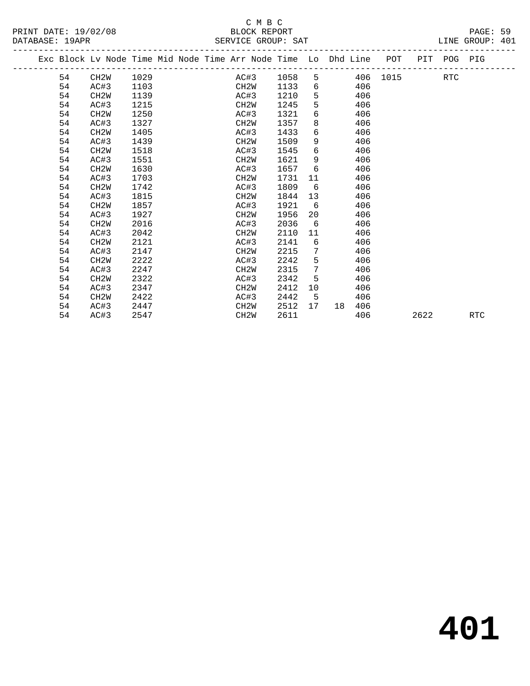|         | _<br>$-$ | _____ | __<br>$-$ |  |
|---------|----------|-------|-----------|--|
|         |          |       |           |  |
|         |          |       |           |  |
| _______ |          |       |           |  |

|  |    | Exc Block Lv Node Time Mid Node Time Arr Node Time Lo Dhd Line POT |      |  |                   |           |                 |    |     |          |      | PIT POG PIG |            |  |
|--|----|--------------------------------------------------------------------|------|--|-------------------|-----------|-----------------|----|-----|----------|------|-------------|------------|--|
|  | 54 | CH2W                                                               | 1029 |  |                   | AC#3 1058 | 5               |    |     | 406 1015 |      | <b>RTC</b>  |            |  |
|  | 54 | AC#3                                                               | 1103 |  | CH2W              | 1133      | 6               |    | 406 |          |      |             |            |  |
|  | 54 | CH2W                                                               | 1139 |  | AC#3              | 1210      | 5               |    | 406 |          |      |             |            |  |
|  | 54 | AC#3                                                               | 1215 |  | CH2W              | 1245      | 5               |    | 406 |          |      |             |            |  |
|  | 54 | CH <sub>2</sub> M                                                  | 1250 |  | AC#3              | 1321      | 6               |    | 406 |          |      |             |            |  |
|  | 54 | AC#3                                                               | 1327 |  | CH2W              | 1357      | 8               |    | 406 |          |      |             |            |  |
|  | 54 | CH <sub>2</sub> M                                                  | 1405 |  | AC#3              | 1433      | 6               |    | 406 |          |      |             |            |  |
|  | 54 | AC#3                                                               | 1439 |  | CH2W              | 1509      | 9               |    | 406 |          |      |             |            |  |
|  | 54 | CH <sub>2</sub> W                                                  | 1518 |  | AC#3              | 1545      | 6               |    | 406 |          |      |             |            |  |
|  | 54 | AC#3                                                               | 1551 |  | CH2W              | 1621      | 9               |    | 406 |          |      |             |            |  |
|  | 54 | CH <sub>2</sub> M                                                  | 1630 |  | AC#3              | 1657      | 6               |    | 406 |          |      |             |            |  |
|  | 54 | AC#3                                                               | 1703 |  | CH2W              | 1731      | 11              |    | 406 |          |      |             |            |  |
|  | 54 | CH <sub>2</sub> M                                                  | 1742 |  | AC#3              | 1809      | 6               |    | 406 |          |      |             |            |  |
|  | 54 | AC#3                                                               | 1815 |  | CH2W              | 1844      | 13              |    | 406 |          |      |             |            |  |
|  | 54 | CH <sub>2</sub> W                                                  | 1857 |  | AC#3              | 1921      | 6               |    | 406 |          |      |             |            |  |
|  | 54 | AC#3                                                               | 1927 |  | CH2W              | 1956      | 20              |    | 406 |          |      |             |            |  |
|  | 54 | CH <sub>2</sub> M                                                  | 2016 |  | AC#3              | 2036      | 6               |    | 406 |          |      |             |            |  |
|  | 54 | AC#3                                                               | 2042 |  | CH2W              | 2110      | 11              |    | 406 |          |      |             |            |  |
|  | 54 | CH <sub>2</sub> M                                                  | 2121 |  | AC#3              | 2141      | 6               |    | 406 |          |      |             |            |  |
|  | 54 | AC#3                                                               | 2147 |  | CH2W              | 2215      | 7               |    | 406 |          |      |             |            |  |
|  | 54 | CH <sub>2</sub> W                                                  | 2222 |  | AC#3              | 2242      | 5               |    | 406 |          |      |             |            |  |
|  | 54 | AC#3                                                               | 2247 |  | CH2W              | 2315      | $7\phantom{.0}$ |    | 406 |          |      |             |            |  |
|  | 54 | CH2W                                                               | 2322 |  | AC#3              | 2342      | 5               |    | 406 |          |      |             |            |  |
|  | 54 | AC#3                                                               | 2347 |  | CH <sub>2</sub> W | 2412      | 10              |    | 406 |          |      |             |            |  |
|  | 54 | CH <sub>2</sub> W                                                  | 2422 |  | AC#3              | 2442      | 5               |    | 406 |          |      |             |            |  |
|  | 54 | AC#3                                                               | 2447 |  | CH <sub>2</sub> W | 2512      | 17              | 18 | 406 |          |      |             |            |  |
|  | 54 | AC#3                                                               | 2547 |  | CH <sub>2</sub> W | 2611      |                 |    | 406 |          | 2622 |             | <b>RTC</b> |  |
|  |    |                                                                    |      |  |                   |           |                 |    |     |          |      |             |            |  |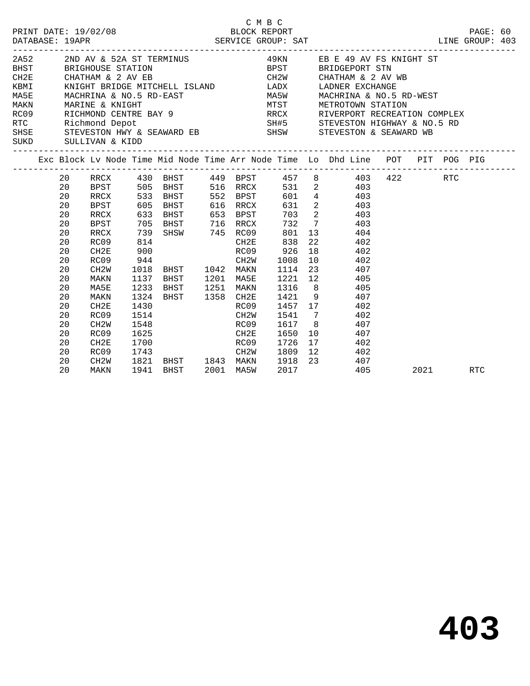|  | DATABASE: 19APR | PRINT DATE: 19/02/08 |      |                                                                                                                                 |      | C M B C  | $\begin{tabular}{c} \bf 2/08 & \tt BLOCK REPORT \\ \bf SERVICE GROUP: SAT \\ \end{tabular} \begin{tabular}{c} \bf 2/08 & \tt PAGE: 60 \\ \bf 1INE GROUP: 403 \\ \end{tabular}$                                                                                                                                                                                                                                                                             |           |     |  |
|--|-----------------|----------------------|------|---------------------------------------------------------------------------------------------------------------------------------|------|----------|------------------------------------------------------------------------------------------------------------------------------------------------------------------------------------------------------------------------------------------------------------------------------------------------------------------------------------------------------------------------------------------------------------------------------------------------------------|-----------|-----|--|
|  |                 |                      |      |                                                                                                                                 |      |          | $\begin{tabular}{lllllllllllllllllllll} \hline 2A52 & & 2ND \; AV & \& 52A \; ST \; TERMINUS & & 49KN & \; EB \; E \; 49 \; AV \; FS \; KNIGHT \; ST \\ \hline CH2E & CHATHAM & \& 2 AV \; EB & & CHATHM & & 2 AV \; BE \\ \hline KBMI & KNIGHT \; BRIDGE \; MITCHELL \; ISLAND & & LADX & LADNER \; EXCHANGE \\ \hline MASE & MACHRINA & \& 10.5 \; RD-EAST & & MASH & MACHRINA & \& 10.5 \; RD-WEST \\ \hline MAKN & MARINE & KNIGHT & & & MST & MERTRO$ |           |     |  |
|  |                 |                      |      |                                                                                                                                 |      |          |                                                                                                                                                                                                                                                                                                                                                                                                                                                            |           |     |  |
|  |                 |                      |      |                                                                                                                                 |      |          |                                                                                                                                                                                                                                                                                                                                                                                                                                                            |           |     |  |
|  |                 |                      |      |                                                                                                                                 |      |          |                                                                                                                                                                                                                                                                                                                                                                                                                                                            |           |     |  |
|  |                 |                      |      |                                                                                                                                 |      |          |                                                                                                                                                                                                                                                                                                                                                                                                                                                            |           |     |  |
|  |                 |                      |      |                                                                                                                                 |      |          |                                                                                                                                                                                                                                                                                                                                                                                                                                                            |           |     |  |
|  |                 |                      |      |                                                                                                                                 |      |          | RC09 RICHMOND CENTRE BAY 9 RECK RIVERPORT RECREATION COMPLEX                                                                                                                                                                                                                                                                                                                                                                                               |           |     |  |
|  |                 |                      |      |                                                                                                                                 |      |          |                                                                                                                                                                                                                                                                                                                                                                                                                                                            |           |     |  |
|  |                 |                      |      |                                                                                                                                 |      |          |                                                                                                                                                                                                                                                                                                                                                                                                                                                            |           |     |  |
|  |                 | SUKD SULLIVAN & KIDD |      |                                                                                                                                 |      |          |                                                                                                                                                                                                                                                                                                                                                                                                                                                            |           |     |  |
|  |                 |                      |      |                                                                                                                                 |      |          | Exc Block Lv Node Time Mid Node Time Arr Node Time Lo Dhd Line POT PIT POG PIG                                                                                                                                                                                                                                                                                                                                                                             |           |     |  |
|  |                 |                      |      |                                                                                                                                 |      |          | 20 RRCX 430 BHST 449 BPST 457 8 403 422 RTC                                                                                                                                                                                                                                                                                                                                                                                                                |           |     |  |
|  | 20              |                      |      |                                                                                                                                 |      |          | BPST 505 BHST 516 RRCX 531 2 403                                                                                                                                                                                                                                                                                                                                                                                                                           |           |     |  |
|  | 20              | RRCX                 |      | 533 BHST 552 BPST                                                                                                               |      |          | 601 4 403                                                                                                                                                                                                                                                                                                                                                                                                                                                  |           |     |  |
|  | 20              | BPST                 |      | 605 BHST 616 RRCX                                                                                                               |      |          | 631 2 403                                                                                                                                                                                                                                                                                                                                                                                                                                                  |           |     |  |
|  | 20              | RRCX                 |      |                                                                                                                                 |      |          | 633 BHST 653 BPST 703 2 403                                                                                                                                                                                                                                                                                                                                                                                                                                |           |     |  |
|  | 20              | BPST                 |      |                                                                                                                                 |      |          | 705 BHST 716 RRCX 732 7 403                                                                                                                                                                                                                                                                                                                                                                                                                                |           |     |  |
|  | 20              | RRCX                 | 739  | SHSW 745 RC09                                                                                                                   |      | 801      | 13 404                                                                                                                                                                                                                                                                                                                                                                                                                                                     |           |     |  |
|  | 20              | RC09                 | 814  |                                                                                                                                 |      | CH2E 838 | 22 402                                                                                                                                                                                                                                                                                                                                                                                                                                                     |           |     |  |
|  | 20              | CH2E                 |      |                                                                                                                                 |      |          | $\begin{array}{cccc} 900 & \text{RCO9} & 926 & 18 & 402 \\ 944 & \text{CH2W} & 1008 & 10 & 402 \\ 1018 & \text{BHST} & 1042 & \text{MAKN} & 1114 & 23 & 407 \\ 1137 & \text{BHST} & 1201 & \text{MASE} & 1221 & 12 & 405 \end{array}$                                                                                                                                                                                                                      |           |     |  |
|  | 20              | RC09                 |      |                                                                                                                                 |      |          |                                                                                                                                                                                                                                                                                                                                                                                                                                                            |           |     |  |
|  | 20              | CH2W                 |      |                                                                                                                                 |      |          |                                                                                                                                                                                                                                                                                                                                                                                                                                                            |           |     |  |
|  | 20              | MAKN                 |      |                                                                                                                                 |      |          |                                                                                                                                                                                                                                                                                                                                                                                                                                                            |           |     |  |
|  | 20              | MA5E                 |      |                                                                                                                                 |      |          | 1233 BHST 1251 MAKN 1316 8 405                                                                                                                                                                                                                                                                                                                                                                                                                             |           |     |  |
|  | 20              | MAKN                 |      |                                                                                                                                 |      |          | 1324 BHST 1358 CH2E 1421 9 407                                                                                                                                                                                                                                                                                                                                                                                                                             |           |     |  |
|  | 20              | CH2E                 | 1430 |                                                                                                                                 |      |          | RC09 1457 17 402                                                                                                                                                                                                                                                                                                                                                                                                                                           |           |     |  |
|  | 20              | RC09                 | 1514 |                                                                                                                                 | CH2W |          | 1541 7 402                                                                                                                                                                                                                                                                                                                                                                                                                                                 |           |     |  |
|  | 20              | CH2W                 |      | 1548 and $\sim$                                                                                                                 | RC09 |          | 1617 8 407                                                                                                                                                                                                                                                                                                                                                                                                                                                 |           |     |  |
|  | 20              | RC09                 |      |                                                                                                                                 | CH2E |          | 1650 10 407                                                                                                                                                                                                                                                                                                                                                                                                                                                |           |     |  |
|  | 20              | CH2E                 |      | 1700   RC09   1726   17<br>1743   CH2W   1809   12<br>1821   BHST   1843   MAKN   1918   23<br>1941   BHST   2001   MA5W   2017 |      |          | 17 402                                                                                                                                                                                                                                                                                                                                                                                                                                                     |           |     |  |
|  | 20              | RC09                 |      |                                                                                                                                 |      |          | 12 402                                                                                                                                                                                                                                                                                                                                                                                                                                                     |           |     |  |
|  | 20              | CH2W                 |      |                                                                                                                                 |      |          | 407                                                                                                                                                                                                                                                                                                                                                                                                                                                        |           |     |  |
|  | 20              | MAKN                 |      |                                                                                                                                 |      |          | 405                                                                                                                                                                                                                                                                                                                                                                                                                                                        | 2021 2022 | RTC |  |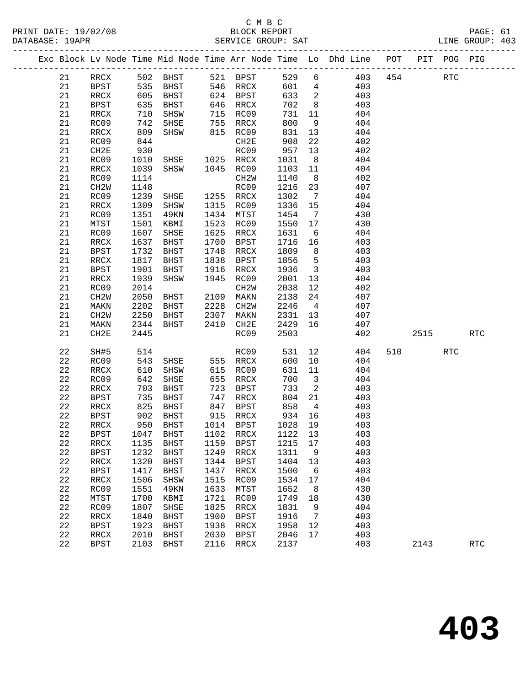#### C M B C<br>BLOCK REPORT PRINT DATE: 19/02/08 BLOCK REPORT PAGE: 61 SERVICE GROUP: SAT

|  |          |                              |                   |                     |              |                          |              |                            | Exc Block Lv Node Time Mid Node Time Arr Node Time Lo Dhd Line POT |     |      | PIT POG PIG |                      |
|--|----------|------------------------------|-------------------|---------------------|--------------|--------------------------|--------------|----------------------------|--------------------------------------------------------------------|-----|------|-------------|----------------------|
|  | 21       | RRCX                         |                   | 502 BHST            |              | 521 BPST                 | 529          | 6                          | 403                                                                | 454 |      | <b>RTC</b>  |                      |
|  | 21       | BPST                         |                   | BHST                |              | 546 RRCX                 | 601          | $\overline{4}$             | 403                                                                |     |      |             |                      |
|  | 21       | RRCX                         | 535<br>605<br>605 | BHST                |              | 624 BPST                 | 633          | $\overline{\phantom{a}}$   | 403                                                                |     |      |             |                      |
|  | 21       | BPST                         | 635               | BHST                |              | 646 RRCX                 | 702          | 8 <sup>8</sup>             | 403                                                                |     |      |             |                      |
|  | 21       | RRCX                         | 710               | SHSW                | 715          | RC09                     | 731          | 11                         | 404                                                                |     |      |             |                      |
|  | 21       | RC09                         | 742               | SHSE                | 755          | RRCX                     | 800          | 9                          | 404                                                                |     |      |             |                      |
|  | 21       | RRCX                         | 809               | SHSW                |              | 815 RC09                 | 831          | 13                         | 404                                                                |     |      |             |                      |
|  | 21       | RC09                         | 844               |                     |              | CH2E                     | 908          | 22                         | 402                                                                |     |      |             |                      |
|  | 21       | CH2E                         | 930               |                     |              | RC09                     | 957          | 13                         | 402                                                                |     |      |             |                      |
|  | 21       | RC09                         | 1010              | SHSE 1025 RRCX      |              |                          | 1031         | 8 <sup>8</sup>             | 404                                                                |     |      |             |                      |
|  | 21       | RRCX                         | 1039              | SHSW                |              | 1045 RC09                | 1103         | 11                         | 404                                                                |     |      |             |                      |
|  | 21       | RC09                         | 1114              |                     |              | CH2W                     | 1140         | 8 <sup>8</sup>             | 402                                                                |     |      |             |                      |
|  | 21       | CH <sub>2</sub> W            | 1148              |                     |              | RC09                     | 1216         | 23                         | 407                                                                |     |      |             |                      |
|  | 21       | RC09                         | 1239              | SHSE                |              | 1255 RRCX                | 1302         | $\overline{7}$             | 404                                                                |     |      |             |                      |
|  | 21       | RRCX                         | 1309              | SHSW                |              | 1315 RC09                | 1336         | 15                         | 404                                                                |     |      |             |                      |
|  | 21       | RC09                         | 1351              | 49KN                | 1434         | MTST                     | 1454         | $\overline{7}$             | 430                                                                |     |      |             |                      |
|  | 21       | MTST                         | 1501              | KBMI                | 1523         | RC09                     | 1550         | 17                         | 430                                                                |     |      |             |                      |
|  | 21       | RC09                         | 1607              | SHSE                | 1625         | RRCX                     | 1631         | $6\overline{6}$            | 404                                                                |     |      |             |                      |
|  | 21       | RRCX                         | 1637              | BHST                | 1700         | BPST                     | 1716         | 16                         | 403                                                                |     |      |             |                      |
|  | 21       | <b>BPST</b>                  | 1732              | BHST                | 1748         | RRCX                     | 1809         | 8 <sup>8</sup>             | 403                                                                |     |      |             |                      |
|  | 21       | RRCX                         | 1817              | BHST                | 1838         | BPST                     | 1856         | $5^{\circ}$                | 403                                                                |     |      |             |                      |
|  | 21       | <b>BPST</b>                  | 1901              | BHST                | 1916         | RRCX                     | 1936         | $\overline{\mathbf{3}}$    | 403                                                                |     |      |             |                      |
|  | 21       | RRCX                         | 1939              | SHSW                | 1945         | RC09                     | 2001         | 13                         | 404                                                                |     |      |             |                      |
|  | 21       | RC09                         | 2014              |                     |              | CH2W                     | 2038         | 12                         | 402                                                                |     |      |             |                      |
|  | 21       | CH <sub>2</sub> W            | 2050              | BHST                | 2109         | MAKN                     | 2138         | 24                         | 407                                                                |     |      |             |                      |
|  | 21       | MAKN                         | 2202              | BHST                | 2228         | CH2W                     | 2246         | $\overline{4}$             | 407                                                                |     |      |             |                      |
|  | 21       | CH <sub>2</sub> W            | 2250              | BHST                | 2307         | MAKN                     | 2331         | 13                         | 407                                                                |     |      |             |                      |
|  | 21       | MAKN                         | 2344              | BHST                | 2410         | CH2E                     | 2429         | 16                         | 407                                                                |     |      |             |                      |
|  | 21       | CH2E                         | 2445              |                     |              | RC09                     | 2503         |                            | 402                                                                |     | 2515 |             | <b>RTC</b>           |
|  | 22       | SH#5                         | 514               |                     |              | RC09                     | 531          | 12                         | 404                                                                | 510 |      | RTC         |                      |
|  | 22       | RC09                         | 543               | SHSE                |              | 555 RRCX                 | 600          | 10                         | 404                                                                |     |      |             |                      |
|  | 22       | RRCX                         | 610               | SHSW                |              | 615 RC09                 | 631          | 11                         | 404                                                                |     |      |             |                      |
|  | 22       | RC09                         | 642               | SHSE                | 655          | RRCX                     | 700          | $\overline{\mathbf{3}}$    | 404                                                                |     |      |             |                      |
|  | 22       | RRCX                         | 703               | BHST                | 723          | BPST                     | 733          | $\overline{\phantom{0}}^2$ | 403                                                                |     |      |             |                      |
|  | 22       | <b>BPST</b>                  | 735               | BHST                |              | 747 RRCX                 | 804          | 21                         | 403                                                                |     |      |             |                      |
|  | 22       | RRCX                         | 825               | BHST                |              | 847 BPST                 | 858          | $\overline{4}$             | 403                                                                |     |      |             |                      |
|  | 22       | BPST                         | 902               | BHST                |              | 915 RRCX                 | 934          | 16                         | 403                                                                |     |      |             |                      |
|  | 22       | RRCX                         | 950               | BHST                |              | 1014 BPST                | 1028 19      |                            | 403                                                                |     |      |             |                      |
|  | 22 BPST  |                              |                   | 1047 BHST           |              | 1102 RRCX 1122 13        |              |                            | 403                                                                |     |      |             |                      |
|  | 22<br>22 | <b>RRCX</b>                  | 1135<br>1232      | BHST                | 1159<br>1249 | <b>BPST</b>              | 1215         | 17                         | 403<br>403                                                         |     |      |             |                      |
|  | 22       | <b>BPST</b><br>$\verb!RRCX!$ | 1320              | <b>BHST</b><br>BHST | 1344         | RRCX<br><b>BPST</b>      | 1311<br>1404 | 9<br>13                    | 403                                                                |     |      |             |                      |
|  | 22       | <b>BPST</b>                  | 1417              | BHST                | 1437         | RRCX                     | 1500         | - 6                        | 403                                                                |     |      |             |                      |
|  | 22       | $\verb!RRCX!$                | 1506              | SHSW                | 1515         | RC09                     | 1534         | 17                         | 404                                                                |     |      |             |                      |
|  | 22       | RC09                         | 1551              | 49KN                | 1633         | MTST                     | 1652         | 8                          | 430                                                                |     |      |             |                      |
|  | 22       | MTST                         | 1700              | KBMI                | 1721         | RC09                     | 1749         | 18                         | 430                                                                |     |      |             |                      |
|  | 22       | RC09                         | 1807              | SHSE                | 1825         | RRCX                     | 1831         | 9                          | 404                                                                |     |      |             |                      |
|  | 22       | RRCX                         | 1840              | <b>BHST</b>         | 1900         | <b>BPST</b>              | 1916         | 7                          | 403                                                                |     |      |             |                      |
|  | 22       | <b>BPST</b>                  | 1923              | BHST                | 1938         | RRCX                     | 1958         | 12                         | 403                                                                |     |      |             |                      |
|  | 22       | RRCX                         | 2010              | <b>BHST</b>         | 2030         | <b>BPST</b>              | 2046         | 17                         | 403                                                                |     |      |             |                      |
|  | 22       | <b>BPST</b>                  | 2103              | <b>BHST</b>         | 2116         | $\mathop{\mathrm{RRCX}}$ | 2137         |                            | 403                                                                |     | 2143 |             | $\operatorname{RTC}$ |
|  |          |                              |                   |                     |              |                          |              |                            |                                                                    |     |      |             |                      |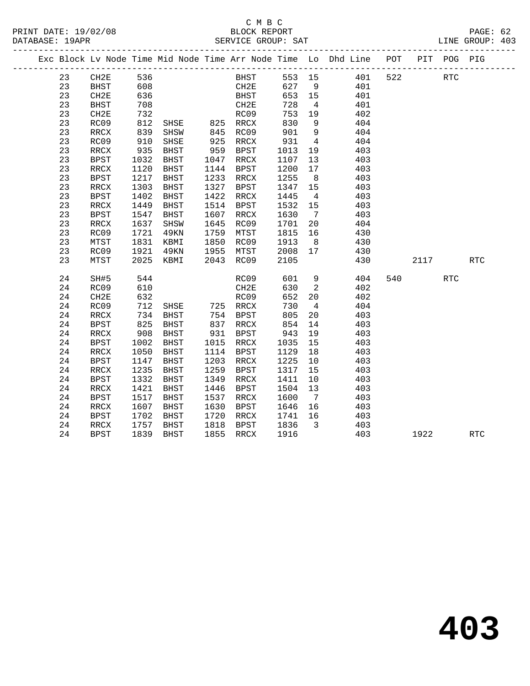### C M B C<br>BLOCK REPORT SERVICE GROUP: SAT

|  |    |                          |            |               |      |           |                                          |                         | Exc Block Lv Node Time Mid Node Time Arr Node Time Lo Dhd Line POT |       | PIT POG PIG |     |  |
|--|----|--------------------------|------------|---------------|------|-----------|------------------------------------------|-------------------------|--------------------------------------------------------------------|-------|-------------|-----|--|
|  | 23 | CH2E                     | 536<br>608 |               |      |           | BHST 553 15<br>CH2E 627 9<br>BHST 653 15 |                         | 553 15 401 522                                                     |       | <b>RTC</b>  |     |  |
|  | 23 | BHST                     |            |               |      |           |                                          |                         | 401                                                                |       |             |     |  |
|  | 23 | CH2E                     | 636        |               |      |           |                                          |                         | 401                                                                |       |             |     |  |
|  | 23 | BHST                     | 708        |               |      | CH2E      | 728                                      | $\overline{4}$          | 401                                                                |       |             |     |  |
|  | 23 | CH2E                     | 732        |               |      | RC09      | 753                                      | 19                      | 402                                                                |       |             |     |  |
|  | 23 | RC09                     | 812<br>839 |               |      |           |                                          | 9                       | 404                                                                |       |             |     |  |
|  | 23 | RRCX                     |            |               |      |           | 830<br>901                               | 9                       | 404                                                                |       |             |     |  |
|  | 23 | RC09                     | 910        | SHSE          |      | 925 RRCX  | 931                                      | $\overline{4}$          | 404                                                                |       |             |     |  |
|  | 23 | RRCX                     | 935        | BHST          |      | 959 BPST  | 1013                                     | 19                      | 403                                                                |       |             |     |  |
|  | 23 | <b>BPST</b>              | 1032       | BHST          |      | 1047 RRCX | 1107                                     | 13                      | 403                                                                |       |             |     |  |
|  | 23 | RRCX                     | 1120       | BHST          |      | 1144 BPST | 1200                                     | 17                      | 403                                                                |       |             |     |  |
|  | 23 | <b>BPST</b>              | 1217       | BHST          |      | 1233 RRCX | 1255                                     | 8 <sup>8</sup>          | 403                                                                |       |             |     |  |
|  | 23 | RRCX                     | 1303       | BHST          | 1327 | BPST      | 1347 15                                  |                         | 403                                                                |       |             |     |  |
|  | 23 | <b>BPST</b>              | 1402       | BHST          | 1422 | RRCX      | 1445                                     | $\overline{4}$          | 403                                                                |       |             |     |  |
|  | 23 | $\mathop{\mathrm{RRCX}}$ | 1449       | BHST          | 1514 | BPST      | 1532                                     | 15                      | 403                                                                |       |             |     |  |
|  | 23 | <b>BPST</b>              | 1547       | BHST          |      | 1607 RRCX | 1630                                     | $7\phantom{0}$          | 403                                                                |       |             |     |  |
|  | 23 | RRCX                     | 1637       | SHSW          | 1645 | RC09      | 1701                                     | 20                      | 404                                                                |       |             |     |  |
|  | 23 | RC09                     | 1721       | 49KN          |      | 1759 MTST | 1815 16                                  |                         | 430                                                                |       |             |     |  |
|  | 23 | MTST                     | 1831       | KBMI          |      | 1850 RC09 | 1913                                     | 8 <sup>8</sup>          | 430                                                                |       |             |     |  |
|  | 23 | RC09                     | 1921       | 49KN          |      | 1955 MTST | 2008 17<br>2105                          |                         | 430                                                                |       |             |     |  |
|  | 23 | MTST                     | 2025       | KBMI          |      | 2043 RC09 | 2105                                     |                         | 430                                                                | 2117  |             | RTC |  |
|  | 24 | SH#5                     | 544        |               |      | RC09      | 601                                      | 9                       | 404                                                                | 540 6 | <b>RTC</b>  |     |  |
|  | 24 | RC09                     | 610        |               |      | CH2E      | 630                                      | $\overline{2}$          | 402                                                                |       |             |     |  |
|  | 24 | CH2E                     | 632        |               |      | RC09      | 652                                      | 20                      | 402                                                                |       |             |     |  |
|  | 24 | RC09                     | 712        | SHSE 725 RRCX |      |           | 730                                      | $\overline{4}$          | 404                                                                |       |             |     |  |
|  | 24 | RRCX                     | 734        | BHST          |      | 754 BPST  | 805                                      | 20 <sub>o</sub>         | 403                                                                |       |             |     |  |
|  | 24 | BPST                     | 825        | BHST          |      | 837 RRCX  | 854                                      | 14                      | 403                                                                |       |             |     |  |
|  | 24 | $\mathop{\mathrm{RRCX}}$ | 908        | BHST          |      | 931 BPST  | 943                                      | 19                      | 403                                                                |       |             |     |  |
|  | 24 | <b>BPST</b>              | 1002       | BHST          |      | 1015 RRCX | 1035                                     | 15                      | 403                                                                |       |             |     |  |
|  | 24 | RRCX                     | 1050       | BHST          |      | 1114 BPST | 1129                                     | 18                      | 403                                                                |       |             |     |  |
|  | 24 | <b>BPST</b>              | 1147       | BHST          | 1203 | RRCX      | 1225                                     | 10                      | 403                                                                |       |             |     |  |
|  | 24 | RRCX                     | 1235       | BHST          | 1259 | BPST      | 1317                                     | 15                      | 403                                                                |       |             |     |  |
|  | 24 | <b>BPST</b>              | 1332       | BHST          | 1349 | RRCX      | 1411                                     | 10                      | 403                                                                |       |             |     |  |
|  | 24 | RRCX                     | 1421       | BHST          | 1446 | BPST      | 1504                                     | 13                      | 403                                                                |       |             |     |  |
|  | 24 | BPST                     | 1517       | BHST          | 1537 | RRCX      | 1600                                     | $7\overline{ }$         | 403                                                                |       |             |     |  |
|  | 24 | RRCX                     | 1607       | BHST          | 1630 | BPST      | 1646 16                                  |                         | 403                                                                |       |             |     |  |
|  | 24 | <b>BPST</b>              | 1702       | BHST          | 1720 | RRCX      | 1741 16                                  |                         | 403                                                                |       |             |     |  |
|  | 24 | RRCX                     | 1757       | BHST          | 1818 | BPST      | 1836                                     | $\overline{\mathbf{3}}$ | 403                                                                |       |             |     |  |

24 BPST 1839 BHST 1855 RRCX 1916 403 1922 RTC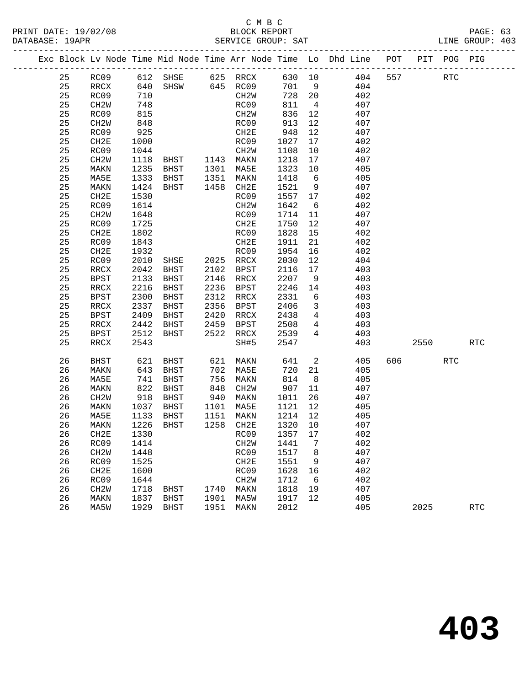|  |          |                          |            |                                  |              |                        |              |                         | Exc Block Lv Node Time Mid Node Time Arr Node Time Lo Dhd Line POT PIT POG PIG |     |         |            |            |
|--|----------|--------------------------|------------|----------------------------------|--------------|------------------------|--------------|-------------------------|--------------------------------------------------------------------------------|-----|---------|------------|------------|
|  | 25       |                          |            |                                  |              |                        |              |                         | RC09 612 SHSE 625 RRCX 630 10 404<br>RRCX 640 SHSW 645 RC09 701 9 404          | 557 |         | RTC        |            |
|  | 25       |                          |            |                                  |              |                        |              |                         |                                                                                |     |         |            |            |
|  | 25       | RC09                     | 710        |                                  |              | CH2W                   | 728 20       |                         | 402                                                                            |     |         |            |            |
|  | 25       | CH2W                     | 748        |                                  |              | RC09                   | 811          | $\overline{4}$          | 407                                                                            |     |         |            |            |
|  | 25       | RC09                     | 815        |                                  |              | CH2W                   | 836          | 12                      | 407                                                                            |     |         |            |            |
|  | 25       | CH2W                     | 848        |                                  |              | RC09                   | 913          | 12                      | 407                                                                            |     |         |            |            |
|  | 25       | RC09                     | 925        |                                  |              | CH2E                   | 948          | 12                      | 407                                                                            |     |         |            |            |
|  | 25       | CH2E                     | 1000       |                                  |              | RC09                   | 1027         | 17                      | 402                                                                            |     |         |            |            |
|  | 25       | RC09                     | 1044       |                                  |              | CH2W                   | 1108         | 10                      | 402                                                                            |     |         |            |            |
|  | 25       | CH2W                     |            | 1044 CH2W<br>1118 BHST 1143 MAKN |              |                        | 1218         | 17                      | 407                                                                            |     |         |            |            |
|  | 25       | MAKN                     | 1235       | BHST 1301 MA5E                   |              |                        | 1323         | 10                      | 405                                                                            |     |         |            |            |
|  | 25       | MA5E                     | 1333       | BHST                             |              | 1351 MAKN              | 1418         | $6\overline{6}$         | 405                                                                            |     |         |            |            |
|  | 25       | MAKN                     | 1424       | BHST                             |              | 1458 CH2E              | 1521         | 9                       | 407                                                                            |     |         |            |            |
|  | 25       | CH2E                     | 1530       |                                  |              | RC09                   | 1557         | 17                      | 402                                                                            |     |         |            |            |
|  | 25       | RC09                     | 1614       |                                  |              | CH2W                   | 1642         | 6                       | 402                                                                            |     |         |            |            |
|  | 25       | CH2W                     | 1648       |                                  |              | RC09                   | 1714         | 11                      | 407                                                                            |     |         |            |            |
|  | 25       | RC09                     | 1725       |                                  |              | CH2E                   | 1750         | 12                      | 407                                                                            |     |         |            |            |
|  | 25       | CH2E                     | 1802       |                                  |              | RC09                   | 1828         | 15                      | 402                                                                            |     |         |            |            |
|  | 25       | RC09                     | 1843       |                                  |              | CH2E                   | 1911         | 21                      | 402                                                                            |     |         |            |            |
|  | 25       | CH2E                     | 1932       |                                  |              | RC09                   | 1954         | 16                      | 402                                                                            |     |         |            |            |
|  | 25       | RC09                     | 2010       |                                  |              |                        | 2030         | 12                      | 404                                                                            |     |         |            |            |
|  | 25       | $\mathop{\mathrm{RRCX}}$ | 2042       | BHST                             |              | 2102 BPST              | 2116         | 17                      | 403                                                                            |     |         |            |            |
|  | 25       | <b>BPST</b>              | 2133       | BHST                             |              | 2146 RRCX              | 2207         | 9                       | 403                                                                            |     |         |            |            |
|  | 25       | RRCX                     | 2216       | BHST                             |              | 2236 BPST              | 2246         | 14                      | 403                                                                            |     |         |            |            |
|  | 25       | <b>BPST</b>              | 2300       | BHST                             |              | 2312 RRCX              | 2331         | $6\overline{6}$         | 403                                                                            |     |         |            |            |
|  | 25       | RRCX                     | 2337       | BHST                             |              | 2356 BPST              | 2406         | $\overline{\mathbf{3}}$ | 403                                                                            |     |         |            |            |
|  | 25       | BPST                     | 2409       | BHST                             |              | 2420 RRCX              | 2438         | $\overline{4}$          | 403                                                                            |     |         |            |            |
|  | 25       | RRCX                     | 2442       | BHST                             | 2459         | BPST                   | 2508         | $\overline{4}$          | 403                                                                            |     |         |            |            |
|  | 25       | BPST                     | 2512       | BHST                             |              | 2522 RRCX              | 2539         | $\overline{4}$          | 403                                                                            |     |         |            |            |
|  | 25       | RRCX                     | 2543       |                                  |              | SH#5                   | 2547         |                         | 403                                                                            |     | 2550    |            | <b>RTC</b> |
|  | 26       | BHST                     | 621        | BHST                             |              | 621 MAKN               | 641          | $\overline{2}$          | 405                                                                            |     | 606 100 | <b>RTC</b> |            |
|  | 26       | MAKN                     | 643        | BHST                             |              | 702 MA5E               | 720          | 21                      | 405                                                                            |     |         |            |            |
|  | 26       | MA5E                     | 741<br>822 | BHST                             | 756          | MAKN                   |              | 8 <sup>8</sup>          | 405                                                                            |     |         |            |            |
|  | 26       | MAKN                     |            | BHST                             |              | 848 CH2W               | $8 + 907$    | 11                      | 407                                                                            |     |         |            |            |
|  | 26       | CH2W                     | 918        | BHST                             |              | 940 MAKN               | 1011         | 26                      | 407                                                                            |     |         |            |            |
|  | 26       | MAKN                     | 1037       | BHST                             |              | 1101 MA5E              | 1121         | 12                      | 405                                                                            |     |         |            |            |
|  | 26       | MA5E                     | 1133       | BHST                             |              | 1151 MAKN<br>1258 CH2E | 1214 12      |                         | 405                                                                            |     |         |            |            |
|  | 26       | MAKN                     |            | 1226 BHST                        |              |                        | 1320 10      |                         | 407                                                                            |     |         |            |            |
|  | 26       | CH2E                     |            | 1330 RC09 1357 17                |              |                        |              |                         | 402                                                                            |     |         |            |            |
|  | 26       | RC09                     | 1414       |                                  |              | CH <sub>2</sub> M      | 1441         | 7                       | 402                                                                            |     |         |            |            |
|  | 26       | CH <sub>2</sub> M        | 1448       |                                  |              | RC09                   | 1517         | 8                       | 407                                                                            |     |         |            |            |
|  | 26       | RC09                     | 1525       |                                  |              | CH2E                   | 1551         | 9                       | 407<br>402                                                                     |     |         |            |            |
|  | 26<br>26 | CH <sub>2E</sub>         | 1600       |                                  |              | RC09                   | 1628         | 16<br>6                 |                                                                                |     |         |            |            |
|  |          | RC09                     | 1644       |                                  |              | CH <sub>2</sub> M      | 1712         |                         | 402                                                                            |     |         |            |            |
|  | 26<br>26 | CH <sub>2</sub> M        | 1718       | BHST                             | 1740<br>1901 | MAKN                   | 1818         | 19<br>12                | 407<br>405                                                                     |     |         |            |            |
|  | 26       | MAKN<br>MA5W             | 1837       | BHST<br>1929 BHST                | 1951         | MA5W<br>MAKN           | 1917<br>2012 |                         | 405                                                                            |     | 2025    |            | <b>RTC</b> |
|  |          |                          |            |                                  |              |                        |              |                         |                                                                                |     |         |            |            |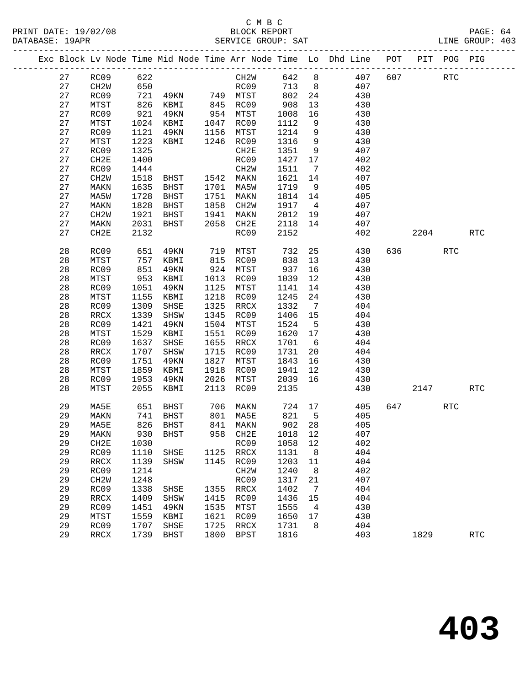### C M B C PRINT DATE: 19/02/08 BLOCK REPORT BAGES BLOCK REPORT BATABASE: 19APR

|          |                   |              |                                                                          |              |                   |         |                | Exc Block Lv Node Time Mid Node Time Arr Node Time Lo Dhd Line POT PIT POG PIG              |          |            |                      |  |
|----------|-------------------|--------------|--------------------------------------------------------------------------|--------------|-------------------|---------|----------------|---------------------------------------------------------------------------------------------|----------|------------|----------------------|--|
|          | 27 RC09 622       |              |                                                                          |              |                   |         |                | CH2W 642 8 407 607 RTC                                                                      |          |            |                      |  |
| 27       | CH2W              | 650          |                                                                          |              |                   |         |                | RC09 713 8 407                                                                              |          |            |                      |  |
| 27       | RC09              |              |                                                                          |              |                   |         |                | 721 49KN 749 MTST 802 24 430                                                                |          |            |                      |  |
| 27       | MTST              |              | 826 KBMI 845 RC09<br>921 49KN 954 MTST<br>1024 KBMI 1047 RC09            |              |                   | 908     |                | $\frac{13}{12}$ 430                                                                         |          |            |                      |  |
| 27       | RC09              |              |                                                                          |              |                   | 1008 16 |                | 430                                                                                         |          |            |                      |  |
| 27       | MTST              |              |                                                                          |              |                   | 1112    |                | $\frac{150}{9}$ 430                                                                         |          |            |                      |  |
| 27       | RC09              | 1121         | 49KN                                                                     |              | 1156 MTST         |         |                | 1214 9 430                                                                                  |          |            |                      |  |
| 27       | MTST              | 1223         | KBMI 1246 RC09                                                           |              |                   |         |                | $\begin{array}{cccc} 1316 & 9 & & 430 \\ 1351 & 9 & & 407 \\ 1427 & 17 & & 402 \end{array}$ |          |            |                      |  |
| 27       | RC09              | 1325         |                                                                          |              | CH2E              |         |                |                                                                                             |          |            |                      |  |
| 27       | CH2E              | 1400         |                                                                          |              | RC09              |         |                |                                                                                             |          |            |                      |  |
| 27       | RC09              | 1444         | CH <sub>2W</sub><br>CH <sub>2W</sub><br>BHST 1542 MAKN<br>BHST 1701 MA5W |              |                   |         |                | 1511 7 402                                                                                  |          |            |                      |  |
| 27       | CH2W              | 1518         |                                                                          |              |                   |         |                | 1621 14 407                                                                                 |          |            |                      |  |
| 27       | MAKN              | 1635         |                                                                          |              |                   | 1719 9  |                | 405                                                                                         |          |            |                      |  |
| 27       | MA5W              | 1728         | BHST                                                                     |              | 1751 MAKN         |         |                | $1814$ 14 $405$                                                                             |          |            |                      |  |
| 27       | MAKN              | 1828         | <b>BHST</b>                                                              | 1858         | CH2W              |         |                | 1917 4 407                                                                                  |          |            |                      |  |
| 27       | CH2W              | 1921         |                                                                          |              |                   |         |                | 2012 19 407                                                                                 |          |            |                      |  |
| 27       | MAKN              | 2031         | BHST 1941 MAKN<br>BHST 2058 CH2E                                         |              |                   |         |                | 2118 14 407                                                                                 |          |            |                      |  |
| 27       | CH2E              | 2132         |                                                                          |              | RC09              | 2152    |                | 402                                                                                         | 2204 RTC |            |                      |  |
| 28       | RC09              | 651          | 49KN 719 MTST                                                            |              |                   | 732     |                | 25 430                                                                                      | 636 8    | <b>RTC</b> |                      |  |
| 28       | MTST              | 757<br>851   | KBMI 815 RC09                                                            |              |                   |         |                | 838 13 430<br>937 16 430                                                                    |          |            |                      |  |
| 28       | RC09              |              | 49KN                                                                     |              | 924 MTST          |         |                |                                                                                             |          |            |                      |  |
| 28       | MTST              | 953          | KBMI                                                                     |              | 1013 RC09         |         |                | 1039 12 430                                                                                 |          |            |                      |  |
| 28       | RC09              | 1051         | 49KN                                                                     |              | 1125 MTST         |         |                | 1141 14 430                                                                                 |          |            |                      |  |
| 28       | MTST              | 1155         | KBMI                                                                     |              | 1218 RC09         | 1245    |                | $24$ $430$                                                                                  |          |            |                      |  |
| 28       | RC09              | 1309         | SHSE                                                                     |              | 1325 RRCX         | 1332 7  |                | 404                                                                                         |          |            |                      |  |
| 28       | RRCX              | 1339         | SHSW                                                                     | 1345         | RC09              |         |                | 1406 15 404                                                                                 |          |            |                      |  |
| 28       | RC09              | 1421         | 49KN                                                                     | 1504         | MTST              |         |                | 1524 5 430                                                                                  |          |            |                      |  |
| 28       | MTST              | 1529         | KBMI                                                                     | 1551         | RC09              |         |                | 1620 17 430                                                                                 |          |            |                      |  |
| 28       | RC09              | 1637         | SHSE                                                                     | 1655         | RRCX              | 1701 6  |                | 404                                                                                         |          |            |                      |  |
| 28       | RRCX              | 1707         | SHSW                                                                     |              | 1715 RC09         | 1731    |                | 20 404                                                                                      |          |            |                      |  |
| 28       | RC09              | 1751         | 49KN                                                                     |              | 1827 MTST         |         |                | 1843 16 430                                                                                 |          |            |                      |  |
| 28       | MTST              | 1859         | KBMI                                                                     |              | 1918 RC09         |         |                | 1941 12 430                                                                                 |          |            |                      |  |
| 28       | RC09              | 1953         | 49KN                                                                     |              | 2026 MTST         |         |                | 2039 16 430<br>2135 430                                                                     |          |            |                      |  |
| 28       | MTST              | 2055         | KBMI                                                                     |              | 2113 RC09         |         |                |                                                                                             | 2147 RTC |            |                      |  |
| 29       | MA5E              |              | 651 BHST 706 MAKN                                                        |              |                   |         |                | 724 17 405 647                                                                              |          | RTC        |                      |  |
|          |                   |              |                                                                          |              |                   |         |                | 29 MAKN 741 BHST 801 MA5E 821 5 405                                                         |          |            |                      |  |
| 29       | MA5E              | 826          | BHST                                                                     | 841          | MAKN              | 902     | 28             | 405                                                                                         |          |            |                      |  |
| 29       | MAKN              | 930          | <b>BHST</b>                                                              | 958          | CH2E              | 1018    | 12             | 407                                                                                         |          |            |                      |  |
| 29       | CH2E              | 1030         |                                                                          |              | RC09              | 1058    | 12             | 402                                                                                         |          |            |                      |  |
| 29       | RC09              | 1110         | SHSE                                                                     | 1125         | RRCX              | 1131    | 8              | 404                                                                                         |          |            |                      |  |
| 29       | RRCX              | 1139         | SHSW                                                                     | 1145         | RC09              | 1203    | 11             | 404                                                                                         |          |            |                      |  |
| 29       | RC09              | 1214         |                                                                          |              | CH <sub>2</sub> W | 1240    | 8              | 402                                                                                         |          |            |                      |  |
| 29       | CH <sub>2</sub> M | 1248         |                                                                          |              | RC09              | 1317    | 21             | 407                                                                                         |          |            |                      |  |
| 29       | RC09              | 1338         | SHSE                                                                     | 1355         | RRCX              | 1402    | $\overline{7}$ | 404                                                                                         |          |            |                      |  |
| 29       | RRCX              | 1409         | SHSW                                                                     | 1415         | RC09              | 1436    | 15             | 404                                                                                         |          |            |                      |  |
| 29       | RC09              | 1451         | 49KN                                                                     | 1535         | MTST              | 1555    | 4              | 430                                                                                         |          |            |                      |  |
| 29       | MTST              | 1559         | KBMI                                                                     | 1621         | RC09              | 1650    | 17             | 430                                                                                         |          |            |                      |  |
| 29<br>29 | RC09              | 1707<br>1739 | SHSE<br><b>BHST</b>                                                      | 1725<br>1800 | $\verb!RRCX!$     | 1731    | 8              | 404<br>403                                                                                  | 1829     |            | $\operatorname{RTC}$ |  |
|          | RRCX              |              |                                                                          |              | <b>BPST</b>       | 1816    |                |                                                                                             |          |            |                      |  |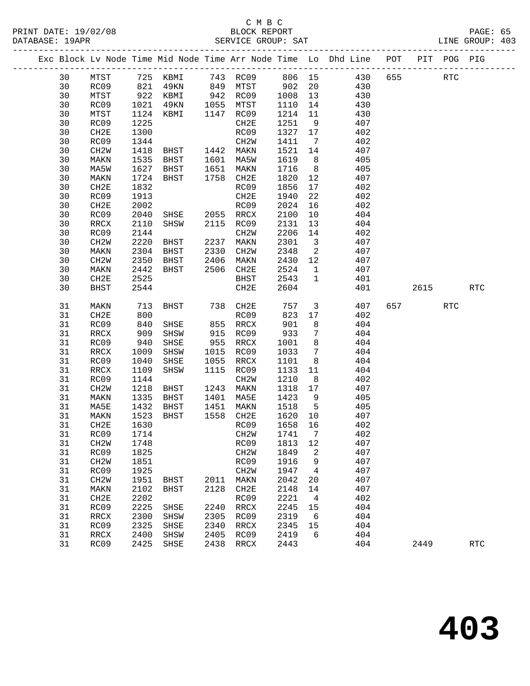|  |          |                   |              |                                            |      |                   |              |                          | Exc Block Lv Node Time Mid Node Time Arr Node Time Lo Dhd Line POT PIT POG PIG |     |            |     |                             |
|--|----------|-------------------|--------------|--------------------------------------------|------|-------------------|--------------|--------------------------|--------------------------------------------------------------------------------|-----|------------|-----|-----------------------------|
|  | 30       |                   |              |                                            |      |                   |              |                          | MTST 725 KBMI 743 RC09 806 15 430<br>RC09 821 49KN 849 MTST 902 20 430         | 655 | <b>RTC</b> |     |                             |
|  | 30       |                   |              |                                            |      |                   |              |                          |                                                                                |     |            |     |                             |
|  | 30       | MTST              |              | 922 KBMI 942 RC09                          |      |                   | 1008         | 13                       | 430                                                                            |     |            |     |                             |
|  | 30       | RC09              | 1021         | 49KN                                       |      | 1055 MTST         | 1110         | 14                       | 430                                                                            |     |            |     |                             |
|  | 30       | MTST              |              | 1124 KBMI                                  |      | 1147 RC09         | 1214         | 11                       | 430                                                                            |     |            |     |                             |
|  | 30       | RC09              | 1225         |                                            |      | CH2E              | 1251         | 9                        | 407                                                                            |     |            |     |                             |
|  | 30       | CH2E              | 1300         |                                            |      | RC09              | 1327         | 17                       | 402                                                                            |     |            |     |                             |
|  | 30       | RC09              | 1344         |                                            |      | CH2W              | 1411         | $\overline{7}$           | 402                                                                            |     |            |     |                             |
|  | 30       | CH2W              |              | 1418 BHST 1442 MAKN<br>1535 BHST 1601 MA5W |      |                   | 1521         | 14                       | 407                                                                            |     |            |     |                             |
|  | 30       | MAKN              |              |                                            |      |                   | 1619         | 8 <sup>8</sup>           | 405                                                                            |     |            |     |                             |
|  | 30       | MA5W              |              | 1627 BHST                                  |      | 1651 MAKN         | 1716         | 8 <sup>8</sup>           | 405                                                                            |     |            |     |                             |
|  | 30       | MAKN              | 1724         | BHST                                       |      | 1758 CH2E         | 1820         | 12                       | 407                                                                            |     |            |     |                             |
|  | 30       | CH2E              | 1832         |                                            |      | RC09              | 1856         | 17                       | 402                                                                            |     |            |     |                             |
|  | 30       | RC09              | 1913         |                                            |      | CH2E              | 1940         | 22                       | 402                                                                            |     |            |     |                             |
|  | 30       | CH2E              | 2002         |                                            |      | RC09              | 2024         | 16                       | 402                                                                            |     |            |     |                             |
|  | 30       | RC09              | 2040         | SHSE                                       |      | 2055 RRCX         | 2100         | 10                       | 404                                                                            |     |            |     |                             |
|  | 30       | RRCX              | 2110         | SHSW                                       |      | 2115 RC09         | 2131         | 13                       | 404                                                                            |     |            |     |                             |
|  | 30       | RC09              | 2144         |                                            |      | CH2W              | 2206         | 14                       | 402                                                                            |     |            |     |                             |
|  | 30       | CH2W              |              | 2220 BHST                                  |      | 2237 MAKN         | 2301         | $\overline{\mathbf{3}}$  | 407                                                                            |     |            |     |                             |
|  | 30       | MAKN              | 2304         | BHST                                       | 2330 | CH2W              | 2348         | $\overline{\phantom{a}}$ | 407                                                                            |     |            |     |                             |
|  | 30       | CH2W              | 2350         | BHST                                       | 2406 | MAKN              | 2430         | 12                       | 407                                                                            |     |            |     |                             |
|  | 30       | MAKN              | 2442         | BHST                                       |      | 2506 CH2E         | 2524         | $\overline{1}$           | 407                                                                            |     |            |     |                             |
|  | 30       | CH2E              | 2525         |                                            |      | BHST              | 2543         | $\overline{1}$           | 401                                                                            |     | 2615       |     |                             |
|  | 30       | BHST              | 2544         |                                            |      | CH2E              | 2604         |                          | 401                                                                            |     |            |     | $\operatorname{RTC}$        |
|  | 31       | MAKN              | 713          | BHST                                       |      | 738 CH2E          | 757          |                          | $\overline{\mathbf{3}}$<br>407                                                 |     | 657        | RTC |                             |
|  | 31       | CH2E              | 800          |                                            |      | RC09              | 823          | 17                       | 402                                                                            |     |            |     |                             |
|  | 31       | RC09              | 840          | SHSE                                       |      | 855 RRCX          | 901          | 8                        | 404                                                                            |     |            |     |                             |
|  | 31       | RRCX              | 909          | SHSW                                       |      | 915 RC09          | 933          | $7\phantom{.0}$          | 404                                                                            |     |            |     |                             |
|  | 31       | RC09              | 940          | SHSE                                       |      | 955 RRCX          | 1001         | 8 <sup>8</sup>           | 404                                                                            |     |            |     |                             |
|  | 31       | RRCX              | 1009         | SHSW                                       |      | 1015 RC09         | 1033         | $\overline{7}$           | 404                                                                            |     |            |     |                             |
|  | 31       | RC09              | 1040         | SHSE                                       | 1055 | RRCX              | 1101         | 8 <sup>8</sup>           | 404                                                                            |     |            |     |                             |
|  | 31       | RRCX              | 1109         | SHSW                                       | 1115 | RC09              | 1133         | 11                       | 404                                                                            |     |            |     |                             |
|  | 31       | RC09              | 1144         |                                            |      | CH2W              | 1210         | 8 <sup>8</sup>           | 402                                                                            |     |            |     |                             |
|  | 31       | CH2W              | 1218         | BHST                                       |      | 1243 MAKN         | 1318         | 17                       | 407                                                                            |     |            |     |                             |
|  | 31       | MAKN              | 1335         | BHST                                       |      | 1401 MA5E         | 1423         | 9                        | 405                                                                            |     |            |     |                             |
|  | 31<br>31 | MA5E<br>MAKN      | 1432<br>1523 | BHST                                       | 1451 | MAKN<br>1558 CH2E | 1518<br>1620 | $5^{\circ}$<br>10        | 405<br>407                                                                     |     |            |     |                             |
|  | 31       | CH2E              | 1630         | BHST                                       |      | RC09              | 1658         | 16                       | 402                                                                            |     |            |     |                             |
|  |          | 31 RC09 1714      |              |                                            |      | CH2W 1741 7       |              |                          | 402                                                                            |     |            |     |                             |
|  | 31       | CH <sub>2</sub> M | 1748         |                                            |      | RC09              | 1813 12      |                          | 407                                                                            |     |            |     |                             |
|  | 31       | RC09              | 1825         |                                            |      | CH2W              | 1849         | 2                        | 407                                                                            |     |            |     |                             |
|  | 31       | CH <sub>2</sub> M | 1851         |                                            |      | RC09              | 1916         | 9                        | 407                                                                            |     |            |     |                             |
|  | 31       | RC09              | 1925         |                                            |      | CH2W              | 1947         | $\overline{4}$           | 407                                                                            |     |            |     |                             |
|  | 31       | CH <sub>2</sub> W | 1951         | BHST                                       | 2011 | MAKN              | 2042         | 20                       | 407                                                                            |     |            |     |                             |
|  | 31       | MAKN              | 2102         | BHST                                       | 2128 | CH2E              | 2148         | 14                       | 407                                                                            |     |            |     |                             |
|  | 31       | CH2E              | 2202         |                                            |      | RC09              | 2221         | $\overline{4}$           | 402                                                                            |     |            |     |                             |
|  | 31       | RC09              | 2225         | SHSE                                       | 2240 | RRCX              | 2245         | 15                       | 404                                                                            |     |            |     |                             |
|  | 31       | RRCX              | 2300         | SHSW                                       | 2305 | RC09              | 2319         | $6\overline{6}$          | 404                                                                            |     |            |     |                             |
|  | 31       | RC09              | 2325         | SHSE                                       | 2340 | RRCX              | 2345         | 15                       | 404                                                                            |     |            |     |                             |
|  | 31       | RRCX              | 2400         | SHSW                                       | 2405 | RC09              | 2419         | 6                        | 404                                                                            |     |            |     |                             |
|  | 31       | RC09              | 2425         | SHSE                                       | 2438 | RRCX              | 2443         |                          | 404                                                                            |     | 2449       |     | $\mathop{\rm RTC}\nolimits$ |
|  |          |                   |              |                                            |      |                   |              |                          |                                                                                |     |            |     |                             |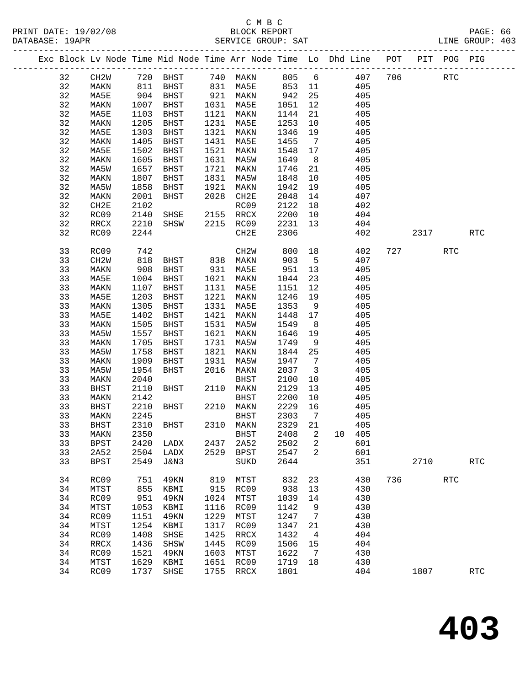|  |    |                   |      | Exc Block Lv Node Time Mid Node Time Arr Node Time Lo Dhd Line POT PIT POG PIG                                               |      |           |          |                         |     |            |            |            |
|--|----|-------------------|------|------------------------------------------------------------------------------------------------------------------------------|------|-----------|----------|-------------------------|-----|------------|------------|------------|
|  | 32 | CH2W              |      | 720 BHST      740   MAKN        805     6           407     706<br>811   BHST       831   MA5E        853   11           405 |      |           |          |                         |     | <b>RTC</b> |            |            |
|  | 32 | MAKN              |      |                                                                                                                              |      |           | $853$ 11 |                         |     |            |            |            |
|  | 32 | MA5E              |      | 904 BHST                                                                                                                     |      | 921 MAKN  | 942      | 25                      | 405 |            |            |            |
|  | 32 | MAKN              | 1007 | BHST                                                                                                                         |      | 1031 MA5E | 1051     | 12                      | 405 |            |            |            |
|  | 32 | MA5E              | 1103 | BHST                                                                                                                         |      | 1121 MAKN | 1144     | 21                      | 405 |            |            |            |
|  | 32 | MAKN              | 1205 | BHST                                                                                                                         |      | 1231 MA5E | 1253     | 10                      | 405 |            |            |            |
|  | 32 | MA5E              | 1303 | BHST                                                                                                                         | 1321 | MAKN      | 1346     | 19                      | 405 |            |            |            |
|  | 32 | MAKN              | 1405 | BHST                                                                                                                         | 1431 | MA5E      | 1455     | $7\overline{ }$         | 405 |            |            |            |
|  | 32 | MA5E              | 1502 | BHST                                                                                                                         | 1521 | MAKN      | 1548     | 17                      | 405 |            |            |            |
|  | 32 | MAKN              | 1605 | BHST                                                                                                                         |      | 1631 MA5W | 1649     | 8 <sup>8</sup>          | 405 |            |            |            |
|  | 32 | MA5W              | 1657 | BHST                                                                                                                         | 1721 | MAKN      | 1746     | 21                      | 405 |            |            |            |
|  | 32 | MAKN              | 1807 | BHST                                                                                                                         | 1831 | MA5W      | 1848     | 10                      | 405 |            |            |            |
|  | 32 | MA5W              | 1858 | BHST                                                                                                                         | 1921 | MAKN      | 1942     | 19                      | 405 |            |            |            |
|  | 32 | MAKN              | 2001 | BHST                                                                                                                         |      | 2028 CH2E | 2048     | 14                      | 407 |            |            |            |
|  | 32 | CH2E              | 2102 |                                                                                                                              |      | RC09      | 2122     | 18                      | 402 |            |            |            |
|  | 32 | RC09              | 2140 | SHSE                                                                                                                         |      | 2155 RRCX | 2200 10  |                         | 404 |            |            |            |
|  | 32 | RRCX              | 2210 | SHSW                                                                                                                         |      | 2215 RC09 | 2231     | 13                      | 404 |            |            |            |
|  | 32 | RC09              | 2244 |                                                                                                                              |      | CH2E      | 2306     |                         | 402 | 2317       |            | RTC        |
|  | 33 | RC09              | 742  |                                                                                                                              |      | CH2W      | 800 18   |                         | 402 | 727        | RTC        |            |
|  | 33 | CH <sub>2</sub> W | 818  | BHST 838 MAKN                                                                                                                |      |           | 903      | $5^{\circ}$             | 407 |            |            |            |
|  | 33 | MAKN              | 908  | BHST                                                                                                                         |      | 931 MA5E  | 951 13   |                         | 405 |            |            |            |
|  | 33 | MA5E              | 1004 | BHST                                                                                                                         |      | 1021 MAKN | 1044     | 23                      | 405 |            |            |            |
|  | 33 | MAKN              | 1107 | BHST                                                                                                                         |      | 1131 MA5E | 1151     | 12                      | 405 |            |            |            |
|  | 33 | MA5E              | 1203 | BHST                                                                                                                         |      | 1221 MAKN | 1246     | 19                      | 405 |            |            |            |
|  | 33 | MAKN              | 1305 | BHST                                                                                                                         |      | 1331 MA5E | 1353     | 9                       | 405 |            |            |            |
|  | 33 | MA5E              | 1402 | BHST                                                                                                                         | 1421 | MAKN      | 1448     | 17                      | 405 |            |            |            |
|  | 33 | MAKN              | 1505 | BHST                                                                                                                         | 1531 | MA5W      | 1549     | 8 <sup>8</sup>          | 405 |            |            |            |
|  | 33 | MA5W              | 1557 | BHST                                                                                                                         | 1621 | MAKN      | 1646     | 19                      | 405 |            |            |            |
|  | 33 | MAKN              | 1705 | BHST                                                                                                                         | 1731 | MA5W      | 1749     | 9                       | 405 |            |            |            |
|  | 33 | MA5W              | 1758 | BHST                                                                                                                         | 1821 | MAKN      | 1844     | 25                      | 405 |            |            |            |
|  | 33 | MAKN              | 1909 | BHST                                                                                                                         | 1931 | MA5W      | 1947     | $\overline{7}$          | 405 |            |            |            |
|  | 33 | MA5W              | 1954 | BHST                                                                                                                         | 2016 | MAKN      | 2037     | $\overline{\mathbf{3}}$ | 405 |            |            |            |
|  | 33 | MAKN              | 2040 |                                                                                                                              |      | BHST      | 2100     | 10                      | 405 |            |            |            |
|  | 33 | BHST              | 2110 | BHST                                                                                                                         |      | 2110 MAKN | 2129     | 13                      | 405 |            |            |            |
|  | 33 | MAKN              | 2142 |                                                                                                                              |      | BHST      | 2200     | 10                      | 405 |            |            |            |
|  | 33 | BHST              | 2210 | BHST                                                                                                                         |      | 2210 MAKN | 2229     | 16                      | 405 |            |            |            |
|  | 33 | MAKN              | 2245 |                                                                                                                              |      | BHST      | 2303     | $\overline{7}$          | 405 |            |            |            |
|  | 33 | BHST              | 2310 | BHST                                                                                                                         |      | 2310 MAKN | 2329 21  |                         | 405 |            |            |            |
|  | 33 | MAKN              |      | 2350 BHST 2408 2 10 405                                                                                                      |      |           |          |                         |     |            |            |            |
|  | 33 | <b>BPST</b>       | 2420 | LADX                                                                                                                         | 2437 | 2A52      | 2502     | 2                       | 601 |            |            |            |
|  | 33 | 2A52              | 2504 | LADX                                                                                                                         | 2529 | BPST      | 2547     | 2                       | 601 |            |            |            |
|  | 33 | <b>BPST</b>       | 2549 | J&N3                                                                                                                         |      | SUKD      | 2644     |                         | 351 | 2710       |            | <b>RTC</b> |
|  | 34 | RC09              | 751  | 49KN                                                                                                                         | 819  | MTST      | 832      | 23                      | 430 | 736        | <b>RTC</b> |            |
|  | 34 | MTST              | 855  | KBMI                                                                                                                         | 915  | RC09      | 938      | 13                      | 430 |            |            |            |
|  | 34 | RC09              | 951  | 49KN                                                                                                                         | 1024 | MTST      | 1039     | 14                      | 430 |            |            |            |
|  | 34 | MTST              | 1053 | KBMI                                                                                                                         | 1116 | RC09      | 1142     | 9                       | 430 |            |            |            |
|  | 34 | RC09              | 1151 | 49KN                                                                                                                         | 1229 | MTST      | 1247     | 7                       | 430 |            |            |            |
|  | 34 | MTST              | 1254 | KBMI                                                                                                                         | 1317 | RC09      | 1347     | 21                      | 430 |            |            |            |
|  | 34 | RC09              | 1408 | SHSE                                                                                                                         | 1425 | RRCX      | 1432     | $\overline{4}$          | 404 |            |            |            |
|  | 34 | RRCX              | 1436 | SHSW                                                                                                                         | 1445 | RC09      | 1506     | 15                      | 404 |            |            |            |
|  | 34 | RC09              | 1521 | 49KN                                                                                                                         | 1603 | MTST      | 1622     | $\overline{7}$          | 430 |            |            |            |
|  | 34 | MTST              | 1629 | KBMI                                                                                                                         | 1651 | RC09      | 1719     | 18                      | 430 |            |            |            |
|  | 34 | RC09              | 1737 | SHSE                                                                                                                         | 1755 | RRCX      | 1801     |                         | 404 | 1807       |            | <b>RTC</b> |
|  |    |                   |      |                                                                                                                              |      |           |          |                         |     |            |            |            |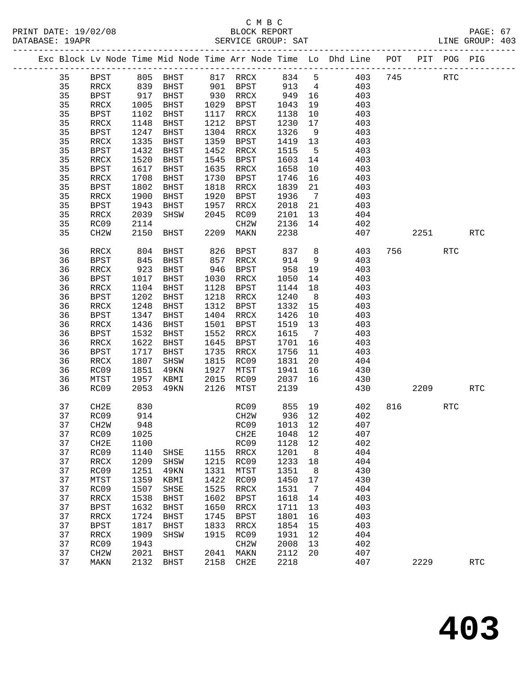|  |          |                   |              |             |              |                      |         |                | Exc Block Lv Node Time Mid Node Time Arr Node Time Lo Dhd Line POT PIT POG PIG |     |        |            |                      |
|--|----------|-------------------|--------------|-------------|--------------|----------------------|---------|----------------|--------------------------------------------------------------------------------|-----|--------|------------|----------------------|
|  | 35       | BPST              |              | 805 BHST    |              | 817 RRCX             | 834     | 5              | 403                                                                            | 745 |        | RTC        |                      |
|  | 35       | RRCX              | 839<br>917   | BHST        |              | 901 BPST<br>930 RRCX | 913     | $\overline{4}$ | 403                                                                            |     |        |            |                      |
|  | 35       | BPST              |              | BHST        |              |                      | 949     | 16             | 403                                                                            |     |        |            |                      |
|  | 35       | RRCX              | 1005         | BHST        |              | 1029 BPST            | 1043    | 19             | 403                                                                            |     |        |            |                      |
|  | 35       | BPST              | 1102         | BHST        | 1117         | RRCX                 | 1138    | 10             | 403                                                                            |     |        |            |                      |
|  | 35       | RRCX              | 1148         | BHST        | 1212         | BPST                 | 1230    | 17             | 403                                                                            |     |        |            |                      |
|  | 35       | <b>BPST</b>       | 1247         | BHST        | 1304         | RRCX                 | 1326    | 9              | 403                                                                            |     |        |            |                      |
|  | 35       | $\verb!RRCX!$     | 1335         | BHST        | 1359         | <b>BPST</b>          | 1419    | 13             | 403                                                                            |     |        |            |                      |
|  | 35       | BPST              | 1432         | BHST        | 1452         | RRCX                 | 1515    | $5^{\circ}$    | 403                                                                            |     |        |            |                      |
|  | 35       | RRCX              | 1520         | BHST        | 1545         | BPST                 | 1603    | 14             | 403                                                                            |     |        |            |                      |
|  | 35       | <b>BPST</b>       | 1617         | BHST        | 1635         | RRCX                 | 1658    | 10             | 403                                                                            |     |        |            |                      |
|  | 35       | $\verb!RRCX!$     | 1708         | BHST        | 1730         | BPST                 | 1746    | 16             | 403                                                                            |     |        |            |                      |
|  | 35       | BPST              | 1802         | BHST        | 1818         | RRCX                 | 1839    | 21             | 403                                                                            |     |        |            |                      |
|  | 35       | $\verb!RRCX!$     | 1900         | BHST        | 1920         | BPST                 | 1936    | $\overline{7}$ | 403                                                                            |     |        |            |                      |
|  | 35       | <b>BPST</b>       | 1943         | BHST        | 1957         | RRCX                 | 2018    | 21             | 403                                                                            |     |        |            |                      |
|  | 35       | RRCX              | 2039         | SHSW        | 2045         | RC09                 | 2101    | 13             | 404                                                                            |     |        |            |                      |
|  | 35       | RC09              | 2114         |             |              | CH2W                 | 2136    | 14             | 402                                                                            |     |        |            |                      |
|  | 35       | CH <sub>2</sub> W | 2150         | BHST        | 2209         | MAKN                 | 2238    |                | 407                                                                            |     | 2251   |            | <b>RTC</b>           |
|  | 36       | RRCX              | 804          | BHST        | 826          | BPST                 | 837     | 8 <sup>8</sup> | 403                                                                            |     |        | <b>RTC</b> |                      |
|  | 36       | <b>BPST</b>       | 845          | BHST        | 857          | RRCX                 | 914     | 9              | 403                                                                            |     |        |            |                      |
|  | 36       | RRCX              | 923          | BHST        | 946          | BPST                 | 958     | 19             | 403                                                                            |     |        |            |                      |
|  | 36       | <b>BPST</b>       | 1017         | BHST        | 1030         | RRCX                 | 1050    | 14             | 403                                                                            |     |        |            |                      |
|  | 36       | $\verb!RRCX!$     | 1104         | BHST        | 1128         | BPST                 | 1144    | 18             | 403                                                                            |     |        |            |                      |
|  | 36       | BPST              | 1202         | BHST        | 1218         | RRCX                 | 1240    | 8 <sup>8</sup> | 403                                                                            |     |        |            |                      |
|  | 36       | RRCX              | 1248         | BHST        | 1312         | BPST                 | 1332    | 15             | 403                                                                            |     |        |            |                      |
|  | 36       | <b>BPST</b>       | 1347         | BHST        | 1404         | RRCX                 | 1426    | 10             | 403                                                                            |     |        |            |                      |
|  | 36       | RRCX              | 1436         | BHST        | 1501         | BPST                 | 1519    | 13             | 403                                                                            |     |        |            |                      |
|  | 36       | BPST              | 1532         | BHST        | 1552         | RRCX                 | 1615    | $\overline{7}$ | 403                                                                            |     |        |            |                      |
|  | 36       | RRCX              | 1622         | BHST        | 1645         | BPST                 | 1701    | 16             | 403                                                                            |     |        |            |                      |
|  | 36       | <b>BPST</b>       | 1717         | BHST        | 1735         | RRCX                 | 1756    | 11             | 403                                                                            |     |        |            |                      |
|  | 36       | RRCX              | 1807         | SHSW        | 1815         | RC09                 | 1831    | 20             | 404                                                                            |     |        |            |                      |
|  | 36       | RC09              | 1851         | 49KN        | 1927         | MTST                 | 1941    | 16             | 430                                                                            |     |        |            |                      |
|  | 36       | MTST              | 1957         | KBMI        | 2015         | RC09                 | 2037    | 16             | 430                                                                            |     |        |            |                      |
|  | 36       | RC09              | 2053         | 49KN        | 2126         | MTST                 | 2139    |                | 430                                                                            |     | 2209   |            | <b>RTC</b>           |
|  | 37       | CH2E              | 830          |             |              | RC09                 | 855     | 19             | 402                                                                            |     | 816 70 | RTC        |                      |
|  | 37       | RC09              | 914          |             |              | CH2W                 | 936 12  |                | 402                                                                            |     |        |            |                      |
|  | 37       | CH2W              | 948          |             |              | RC09                 | 1013 12 |                | 407                                                                            |     |        |            |                      |
|  | 37       | RC09              | 1025         |             |              | CH2E 1048 12         |         |                | 407                                                                            |     |        |            |                      |
|  | 37       | CH <sub>2E</sub>  | 1100         |             |              | RC09                 | 1128    | 12             | 402                                                                            |     |        |            |                      |
|  | 37       | RC09              | 1140         | SHSE        | 1155         | RRCX                 | 1201    | 8              | 404                                                                            |     |        |            |                      |
|  | 37       | <b>RRCX</b>       | 1209         | SHSW        | 1215         | RC09                 | 1233    | 18             | 404                                                                            |     |        |            |                      |
|  | 37       | RC09              | 1251         | 49KN        | 1331         | MTST                 | 1351    | 8              | 430                                                                            |     |        |            |                      |
|  | 37       | MTST              | 1359         | KBMI        | 1422         | RC09                 | 1450    | 17             | 430                                                                            |     |        |            |                      |
|  | 37       | RC09              | 1507         | SHSE        | 1525         | RRCX                 | 1531    | 7              | 404                                                                            |     |        |            |                      |
|  | 37       | <b>RRCX</b>       | 1538         | <b>BHST</b> | 1602         | <b>BPST</b>          | 1618    | 14             | 403                                                                            |     |        |            |                      |
|  | 37       | <b>BPST</b>       | 1632         | <b>BHST</b> | 1650         | RRCX                 | 1711    | 13             | 403                                                                            |     |        |            |                      |
|  | 37       | $\verb!RRCX!$     | 1724         | <b>BHST</b> | 1745         | <b>BPST</b>          | 1801    | 16             | 403                                                                            |     |        |            |                      |
|  | 37<br>37 | <b>BPST</b>       | 1817         | <b>BHST</b> | 1833<br>1915 | RRCX                 | 1854    | 15<br>12       | 403<br>404                                                                     |     |        |            |                      |
|  | 37       | <b>RRCX</b>       | 1909         | SHSW        |              | RC09                 | 1931    |                |                                                                                |     |        |            |                      |
|  | 37       | RC09              | 1943         |             |              | CH <sub>2</sub> M    | 2008    | 13             | 402                                                                            |     |        |            |                      |
|  | 37       | CH <sub>2</sub> W | 2021<br>2132 | <b>BHST</b> | 2041<br>2158 | MAKN<br>CH2E         | 2112    | 20             | 407<br>407                                                                     |     | 2229   |            | $\operatorname{RTC}$ |
|  |          | MAKN              |              | BHST        |              |                      | 2218    |                |                                                                                |     |        |            |                      |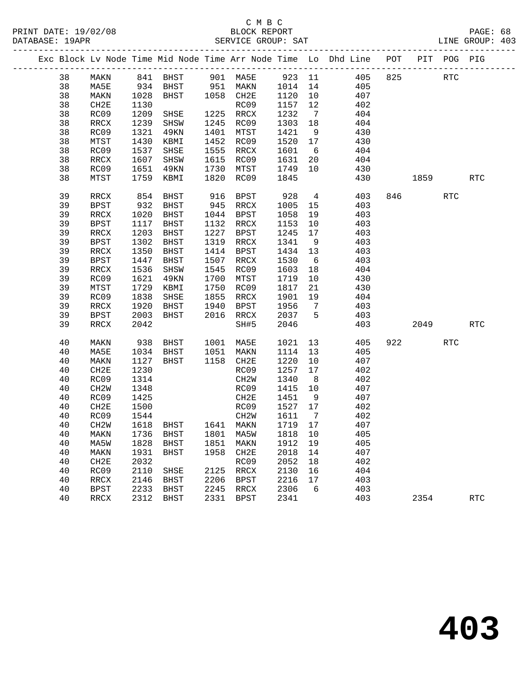|  |    |             |      | Exc Block Lv Node Time Mid Node Time Arr Node Time Lo Dhd Line POT |      |             |         |                 |     |                           | PIT POG PIG |            |
|--|----|-------------|------|--------------------------------------------------------------------|------|-------------|---------|-----------------|-----|---------------------------|-------------|------------|
|  | 38 | MAKN        |      |                                                                    |      |             |         |                 |     |                           | RTC         |            |
|  | 38 | MA5E        |      |                                                                    |      |             |         |                 | 405 |                           |             |            |
|  | 38 | MAKN        | 1028 | BHST 1058 CH2E                                                     |      |             | 1120    | 10              | 407 |                           |             |            |
|  | 38 | CH2E        | 1130 |                                                                    |      | RC09        | 1157    | 12              | 402 |                           |             |            |
|  | 38 | RC09        | 1209 | SHSE                                                               |      | 1225 RRCX   | 1232    | $\overline{7}$  | 404 |                           |             |            |
|  | 38 | RRCX        | 1239 | SHSW                                                               |      | 1245 RC09   | 1303    | 18              | 404 |                           |             |            |
|  | 38 | RC09        | 1321 | 49KN                                                               |      | 1401 MTST   | 1421    | 9               | 430 |                           |             |            |
|  | 38 | MTST        | 1430 | KBMI                                                               |      | 1452 RC09   | 1520 17 |                 | 430 |                           |             |            |
|  | 38 | RC09        | 1537 | SHSE                                                               |      | 1555 RRCX   | 1601    | 6               | 404 |                           |             |            |
|  | 38 | RRCX        |      | 1607 SHSW                                                          |      | 1615 RC09   | 1631    | 20              | 404 |                           |             |            |
|  | 38 | RC09        | 1651 | 49KN                                                               | 1730 | MTST        | 1749    | 10              | 430 |                           |             |            |
|  | 38 | MTST        |      | 1759 KBMI                                                          | 1820 | RC09        | 1845    |                 | 430 | 1859                      |             | <b>RTC</b> |
|  | 39 | RRCX        | 854  | BHST                                                               |      | 916 BPST    | 928     | $4\overline{ }$ | 403 | 846 — 100                 | <b>RTC</b>  |            |
|  | 39 | <b>BPST</b> | 932  | BHST                                                               |      | 945 RRCX    | 1005    | 15              | 403 |                           |             |            |
|  | 39 | RRCX        | 1020 | BHST                                                               |      | 1044 BPST   | 1058    | 19              | 403 |                           |             |            |
|  | 39 | BPST        | 1117 | BHST                                                               |      | 1132 RRCX   | 1153    | 10              | 403 |                           |             |            |
|  | 39 | RRCX        | 1203 | BHST                                                               |      | 1227 BPST   | 1245    | 17              | 403 |                           |             |            |
|  | 39 | <b>BPST</b> | 1302 | BHST                                                               |      | 1319 RRCX   | 1341    | 9               | 403 |                           |             |            |
|  | 39 | RRCX        | 1350 | BHST                                                               | 1414 | BPST        | 1434 13 |                 | 403 |                           |             |            |
|  | 39 | BPST        | 1447 | BHST                                                               | 1507 | RRCX        | 1530    | 6               | 403 |                           |             |            |
|  | 39 | RRCX        | 1536 | SHSW                                                               | 1545 | RC09        | 1603    | 18              | 404 |                           |             |            |
|  | 39 | RC09        | 1621 | 49KN                                                               | 1700 | MTST        | 1719    | 10              | 430 |                           |             |            |
|  | 39 | MTST        | 1729 | KBMI                                                               | 1750 | RC09        | 1817    | 21              | 430 |                           |             |            |
|  | 39 | RC09        | 1838 | SHSE                                                               | 1855 | RRCX        | 1901    | 19              | 404 |                           |             |            |
|  | 39 | RRCX        | 1920 | BHST                                                               | 1940 | BPST        | 1956    | $\overline{7}$  | 403 |                           |             |            |
|  | 39 | BPST        | 2003 | BHST                                                               |      | 2016 RRCX   | 2037    | $5^{\circ}$     | 403 |                           |             |            |
|  | 39 | RRCX        | 2042 |                                                                    |      | SH#5        | 2046    |                 | 403 | 2049                      |             | <b>RTC</b> |
|  | 40 | MAKN        | 938  |                                                                    |      |             | 1021    | 13              | 405 | 922 and the set of $\sim$ | <b>RTC</b>  |            |
|  | 40 | MA5E        | 1034 | BHST 1001 MA5E<br>BHST 1051 MAKN<br>BHST                           |      |             | 1114    | 13              | 405 |                           |             |            |
|  | 40 | MAKN        | 1127 | BHST                                                               |      | 1158 CH2E   | 1220    | 10              | 407 |                           |             |            |
|  | 40 | CH2E        | 1230 |                                                                    |      | RC09        | 1257    | 17              | 402 |                           |             |            |
|  | 40 | RC09        | 1314 |                                                                    |      | CH2W        | 1340    | 8 <sup>8</sup>  | 402 |                           |             |            |
|  | 40 | CH2W        | 1348 |                                                                    |      | RC09        | 1415    | 10              | 407 |                           |             |            |
|  | 40 | RC09        | 1425 |                                                                    |      | CH2E        | 1451    | 9               | 407 |                           |             |            |
|  | 40 | CH2E        | 1500 |                                                                    |      | RC09        | 1527 17 |                 | 402 |                           |             |            |
|  | 40 | RC09        | 1544 |                                                                    |      | CH2W        | 1611    | $\overline{7}$  | 402 |                           |             |            |
|  | 40 | CH2W        |      | 1618 BHST 1641 MAKN                                                |      |             | 1719 17 |                 | 407 |                           |             |            |
|  | 40 |             |      | MAKN 1736 BHST 1801 MA5W 1818 10                                   |      |             |         |                 | 405 |                           |             |            |
|  | 40 | MA5W        | 1828 | BHST                                                               | 1851 | MAKN        | 1912    | 19              | 405 |                           |             |            |
|  | 40 | MAKN        | 1931 | BHST                                                               | 1958 | CH2E        | 2018    | 14              | 407 |                           |             |            |
|  | 40 | CH2E        | 2032 |                                                                    |      | RC09        | 2052    | 18              | 402 |                           |             |            |
|  | 40 | RC09        | 2110 | SHSE                                                               | 2125 | RRCX        | 2130    | 16              | 404 |                           |             |            |
|  | 40 | RRCX        | 2146 | BHST                                                               | 2206 | <b>BPST</b> | 2216    | 17              | 403 |                           |             |            |
|  | 40 | <b>BPST</b> | 2233 | BHST                                                               | 2245 | RRCX        | 2306    | 6               | 403 |                           |             |            |
|  | 40 | RRCX        | 2312 | BHST                                                               | 2331 | BPST        | 2341    |                 | 403 | 2354                      |             | <b>RTC</b> |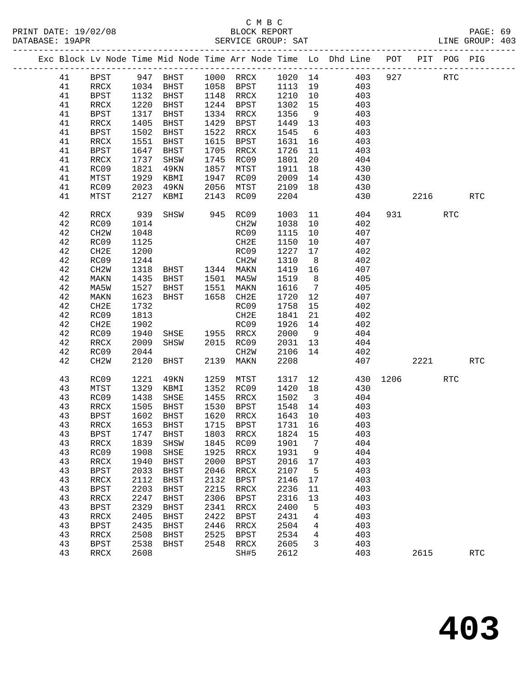|  |    |                          |      |                |      |                   |         |                         | Exc Block Lv Node Time Mid Node Time Arr Node Time Lo Dhd Line POT |     |            | PIT POG PIG |            |
|--|----|--------------------------|------|----------------|------|-------------------|---------|-------------------------|--------------------------------------------------------------------|-----|------------|-------------|------------|
|  | 41 | BPST                     |      | 947 BHST       |      | 1000 RRCX         |         |                         | 1020 14 403                                                        | 927 |            | <b>RTC</b>  |            |
|  | 41 | RRCX                     | 1034 | BHST           |      | 1058 BPST         | 1113 19 |                         | 403                                                                |     |            |             |            |
|  | 41 | BPST                     | 1132 | BHST           |      | 1148 RRCX         | 1210    | 10                      | 403                                                                |     |            |             |            |
|  | 41 | RRCX                     | 1220 | BHST           |      | 1244 BPST         | 1302    | 15                      | 403                                                                |     |            |             |            |
|  | 41 | BPST                     | 1317 | BHST           | 1334 | RRCX              | 1356    | 9                       | 403                                                                |     |            |             |            |
|  | 41 | RRCX                     | 1405 | BHST           | 1429 | BPST              | 1449    | 13                      | 403                                                                |     |            |             |            |
|  | 41 | <b>BPST</b>              | 1502 | BHST           | 1522 | RRCX              | 1545    | 6                       | 403                                                                |     |            |             |            |
|  | 41 | $\mathop{\mathrm{RRCX}}$ | 1551 | BHST           | 1615 | BPST              | 1631    | 16                      | 403                                                                |     |            |             |            |
|  | 41 | BPST                     | 1647 | BHST           | 1705 | RRCX              | 1726    | 11                      | 403                                                                |     |            |             |            |
|  | 41 | RRCX                     | 1737 | SHSW           | 1745 | RC09              | 1801    | 20                      | 404                                                                |     |            |             |            |
|  | 41 | RC09                     | 1821 | 49KN           | 1857 | MTST              | 1911    | 18                      | 430                                                                |     |            |             |            |
|  | 41 | MTST                     | 1929 | KBMI           | 1947 | RC09              | 2009    | 14                      | 430                                                                |     |            |             |            |
|  | 41 | RC09                     | 2023 | 49KN           | 2056 | MTST              | 2109    | 18                      | 430                                                                |     |            |             |            |
|  | 41 | MTST                     | 2127 | KBMI           | 2143 | RC09              | 2204    |                         | 430                                                                |     | 2216       |             | <b>RTC</b> |
|  |    |                          |      |                |      |                   |         |                         |                                                                    |     |            |             |            |
|  | 42 | RRCX                     | 939  | SHSW           |      | 945 RC09          | 1003    | 11                      | 404                                                                |     | 931 — 100  | <b>RTC</b>  |            |
|  | 42 | RC09                     | 1014 |                |      | CH <sub>2</sub> W | 1038    | 10                      | 402                                                                |     |            |             |            |
|  | 42 | CH <sub>2</sub> W        | 1048 |                |      | RC09              | 1115    | 10                      | 407                                                                |     |            |             |            |
|  | 42 | RC09                     | 1125 |                |      | CH2E              | 1150    | 10                      | 407                                                                |     |            |             |            |
|  | 42 | CH2E                     | 1200 |                |      | RC09              | 1227    | 17                      | 402                                                                |     |            |             |            |
|  | 42 | RC09                     | 1244 |                |      | CH2W              | 1310    | 8 <sup>8</sup>          | 402                                                                |     |            |             |            |
|  | 42 | CH <sub>2</sub> W        | 1318 | BHST 1344 MAKN |      |                   | 1419    | 16                      | 407                                                                |     |            |             |            |
|  | 42 | MAKN                     | 1435 | BHST           |      | 1501 MA5W         | 1519    | 8 <sup>8</sup>          | 405                                                                |     |            |             |            |
|  | 42 | MA5W                     | 1527 | BHST           | 1551 | MAKN              | 1616    | $\overline{7}$          | 405                                                                |     |            |             |            |
|  | 42 | MAKN                     | 1623 | BHST           | 1658 | CH2E              | 1720    | 12                      | 407                                                                |     |            |             |            |
|  | 42 | CH2E                     | 1732 |                |      | RC09              | 1758    | 15                      | 402                                                                |     |            |             |            |
|  | 42 | RC09                     | 1813 |                |      | CH2E              | 1841    | 21                      | 402                                                                |     |            |             |            |
|  | 42 | CH2E                     | 1902 |                |      | RC09              | 1926    | 14                      | 402                                                                |     |            |             |            |
|  | 42 | RC09                     | 1940 | SHSE 1955 RRCX |      |                   | 2000    | 9                       | 404                                                                |     |            |             |            |
|  | 42 | RRCX                     | 2009 | SHSW           | 2015 | RC09              | 2031    | 13                      | 404                                                                |     |            |             |            |
|  | 42 | RC09                     | 2044 |                |      | CH2W              | 2106    | 14                      | 402                                                                |     |            |             |            |
|  | 42 | CH <sub>2</sub> W        | 2120 | BHST           | 2139 | MAKN              | 2208    |                         | 407                                                                |     | 2221       |             | <b>RTC</b> |
|  | 43 | RC09                     | 1221 | 49KN           | 1259 | MTST              | 1317    | 12                      | 430                                                                |     | 1206 - 120 | <b>RTC</b>  |            |
|  | 43 | MTST                     | 1329 | KBMI           | 1352 | RC09              | 1420    | 18                      | 430                                                                |     |            |             |            |
|  | 43 | RC09                     | 1438 | SHSE           | 1455 | RRCX              | 1502    | $\overline{\mathbf{3}}$ | 404                                                                |     |            |             |            |
|  | 43 | RRCX                     | 1505 | BHST           | 1530 | BPST              | 1548    | 14                      | 403                                                                |     |            |             |            |
|  | 43 | BPST                     | 1602 | BHST           |      | 1620 RRCX         | 1643 10 |                         | 403                                                                |     |            |             |            |
|  | 43 | RRCX                     | 1653 | BHST           |      | 1715 BPST         | 1731 16 |                         | 403                                                                |     |            |             |            |
|  | 43 | <b>BPST</b>              |      | 1747 BHST      |      | 1803 RRCX 1824 15 |         |                         | 403                                                                |     |            |             |            |
|  | 43 | RRCX                     | 1839 | SHSW           | 1845 | RC09              | 1901    | 7                       | 404                                                                |     |            |             |            |
|  | 43 | RC09                     | 1908 | SHSE           | 1925 | RRCX              | 1931    | 9                       | 404                                                                |     |            |             |            |
|  | 43 | RRCX                     | 1940 | <b>BHST</b>    | 2000 | <b>BPST</b>       | 2016    | 17                      | 403                                                                |     |            |             |            |
|  | 43 | <b>BPST</b>              | 2033 | <b>BHST</b>    | 2046 | RRCX              | 2107    | 5                       | 403                                                                |     |            |             |            |
|  | 43 | RRCX                     | 2112 | <b>BHST</b>    | 2132 | <b>BPST</b>       | 2146    | 17                      | 403                                                                |     |            |             |            |
|  | 43 | <b>BPST</b>              | 2203 | <b>BHST</b>    | 2215 | RRCX              | 2236    | 11                      | 403                                                                |     |            |             |            |
|  | 43 | RRCX                     | 2247 | <b>BHST</b>    | 2306 | <b>BPST</b>       | 2316    | 13                      | 403                                                                |     |            |             |            |
|  | 43 | <b>BPST</b>              | 2329 | <b>BHST</b>    | 2341 | RRCX              | 2400    | 5                       | 403                                                                |     |            |             |            |
|  | 43 | RRCX                     | 2405 | <b>BHST</b>    | 2422 | <b>BPST</b>       | 2431    | 4                       | 403                                                                |     |            |             |            |
|  | 43 | <b>BPST</b>              | 2435 | <b>BHST</b>    | 2446 | RRCX              | 2504    | 4                       | 403                                                                |     |            |             |            |
|  | 43 | RRCX                     | 2508 | <b>BHST</b>    | 2525 | <b>BPST</b>       | 2534    | 4                       | 403                                                                |     |            |             |            |
|  | 43 | <b>BPST</b>              | 2538 | <b>BHST</b>    | 2548 | RRCX              | 2605    | 3                       | 403                                                                |     |            |             |            |
|  | 43 | RRCX                     | 2608 |                |      | SH#5              | 2612    |                         | 403                                                                |     | 2615       |             | <b>RTC</b> |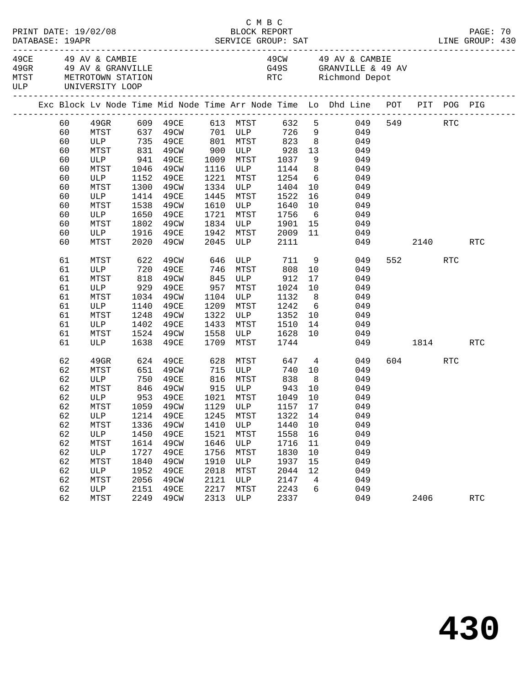| C M B C<br>BLOCK REPORT<br>PRINT DATE: 19/02/08 |  |    |                                                                      |                        |                             |      |                       |                                    |                                                                     |                                                                                |          |      |         | PAGE: 70   |  |
|-------------------------------------------------|--|----|----------------------------------------------------------------------|------------------------|-----------------------------|------|-----------------------|------------------------------------|---------------------------------------------------------------------|--------------------------------------------------------------------------------|----------|------|---------|------------|--|
|                                                 |  |    | 49CE 49 AV & CAMBIE<br>MTST METROTOWN STATION<br>ULP UNIVERSITY LOOP | 49GR 49 AV & GRANVILLE |                             |      |                       |                                    | 49CW 49 AV & CAMBIE<br>G49S GRANVILLE & 49 AV<br>RTC Richmond Depot |                                                                                |          |      |         |            |  |
|                                                 |  |    |                                                                      |                        |                             |      |                       |                                    |                                                                     | Exc Block Lv Node Time Mid Node Time Arr Node Time Lo Dhd Line POT PIT POG PIG |          |      |         |            |  |
|                                                 |  | 60 |                                                                      |                        |                             |      |                       |                                    |                                                                     |                                                                                |          |      | 549 RTC |            |  |
|                                                 |  | 60 |                                                                      |                        |                             |      |                       |                                    |                                                                     |                                                                                |          |      |         |            |  |
|                                                 |  | 60 |                                                                      |                        | ULP 735 49CE 801 MTST 823 8 |      |                       |                                    |                                                                     | 049                                                                            |          |      |         |            |  |
|                                                 |  | 60 | MTST                                                                 |                        | 831 49CW                    |      |                       | 900 ULP 928                        | 13                                                                  | 049                                                                            |          |      |         |            |  |
|                                                 |  | 60 | ULP                                                                  | 941                    | 49CE                        |      |                       | 1009 MTST 1037<br>1116 ULP 1144    | $\frac{9}{8}$                                                       | 049                                                                            |          |      |         |            |  |
|                                                 |  | 60 | MTST                                                                 |                        | 1046 49CW                   |      |                       |                                    |                                                                     | 049                                                                            |          |      |         |            |  |
|                                                 |  | 60 | ULP                                                                  | 1152                   | 49CE                        | 1221 | MTST                  | 1254                               |                                                                     | $6\overline{6}$<br>049                                                         |          |      |         |            |  |
|                                                 |  | 60 | MTST                                                                 | 1300                   | 49CW                        |      | 1334 ULP              | 1404                               | 10                                                                  | 049                                                                            |          |      |         |            |  |
|                                                 |  | 60 | ULP                                                                  | 1414                   | 49CE                        | 1445 | MTST                  | 1522                               | 16                                                                  | 049                                                                            |          |      |         |            |  |
|                                                 |  | 60 | MTST                                                                 |                        | 1538 49CW                   | 1610 |                       | ULP 1640                           | 10                                                                  | 049                                                                            |          |      |         |            |  |
|                                                 |  | 60 | ULP                                                                  |                        | 1650 49CE                   | 1721 | MTST                  | 1756                               |                                                                     | $6\overline{6}$<br>049                                                         |          |      |         |            |  |
|                                                 |  | 60 | MTST                                                                 | 1802                   | 49CW                        | 1834 |                       | ULP 1901                           | 15                                                                  | 049                                                                            |          |      |         |            |  |
|                                                 |  | 60 | ULP                                                                  | 1916                   | 49CE                        | 1942 | 1942 MTST<br>2045 ULP | 2009                               | 11                                                                  | 049                                                                            |          |      |         |            |  |
|                                                 |  | 60 | MTST                                                                 |                        | 2020 49CW                   |      |                       | 2111                               |                                                                     |                                                                                | 049      |      | 2140    | RTC        |  |
|                                                 |  | 61 | MTST                                                                 | 622                    | 49CW                        | 646  |                       | ULP 711                            |                                                                     | 9<br>049                                                                       |          | 552  | RTC     |            |  |
|                                                 |  | 61 |                                                                      |                        | 49CE                        | 746  | MTST                  | 808                                | 10                                                                  | 049                                                                            |          |      |         |            |  |
|                                                 |  | 61 | ULP 720<br>MTST 818                                                  |                        | 49CW                        | 845  |                       | $ULP$<br>$ULP$ $>$<br>$22$<br>$22$ | 17                                                                  | 049                                                                            |          |      |         |            |  |
|                                                 |  | 61 | ULP 929 49CE                                                         |                        |                             | 957  |                       |                                    | 10                                                                  | 049                                                                            |          |      |         |            |  |
|                                                 |  | 61 | MTST                                                                 | 1034                   | 49CW                        | 1104 | ULP                   | 1132                               | 8 <sup>8</sup>                                                      | 049                                                                            |          |      |         |            |  |
|                                                 |  | 61 | ULP                                                                  | 1140                   | 49CE                        | 1209 | MTST                  | 1242                               | $6\overline{6}$                                                     | 049                                                                            |          |      |         |            |  |
|                                                 |  | 61 | MTST                                                                 | 1248                   | 49CW                        | 1322 | ULP                   | 1352                               | 10                                                                  | 049                                                                            |          |      |         |            |  |
|                                                 |  | 61 | ULP                                                                  | 1402                   | 49CE                        | 1433 | MTST                  | 1510                               | 14                                                                  | 049                                                                            |          |      |         |            |  |
|                                                 |  | 61 | MTST                                                                 |                        | 1524 49CW                   | 1558 | ULP                   | 1628                               | 10                                                                  | 049                                                                            |          |      |         |            |  |
|                                                 |  | 61 | ULP                                                                  | 1638                   | 49CE                        | 1709 | MTST                  | 1744                               |                                                                     |                                                                                | 049 1814 |      |         | RTC        |  |
|                                                 |  | 62 | 49GR                                                                 |                        | 624 49CE                    |      |                       | 628 MTST 647 4                     |                                                                     | 049                                                                            |          |      | 604 RTC |            |  |
|                                                 |  | 62 | MTST                                                                 |                        | 651 49CW                    |      | 715 ULP               | 740                                |                                                                     | 10<br>049                                                                      |          |      |         |            |  |
|                                                 |  | 62 | ULP                                                                  |                        | 750 49CE                    |      |                       | 816 MTST 838                       | 8 <sup>8</sup>                                                      | 049                                                                            |          |      |         |            |  |
|                                                 |  | 62 | MTST                                                                 |                        | 846 49CW<br>953 49CE        |      |                       |                                    | 10                                                                  | 049                                                                            |          |      |         |            |  |
|                                                 |  | 62 | ULP                                                                  |                        |                             |      |                       |                                    | 10                                                                  | 049                                                                            |          |      |         |            |  |
|                                                 |  | 62 |                                                                      |                        |                             |      |                       |                                    |                                                                     | MTST 1059 49CW 1129 ULP 1157 17 049                                            |          |      |         |            |  |
|                                                 |  | 62 | ULP                                                                  | 1214                   | 49CE                        | 1245 | MTST                  | 1322                               | 14                                                                  | 049                                                                            |          |      |         |            |  |
|                                                 |  | 62 | MTST                                                                 | 1336                   | 49CW                        | 1410 | ULP                   | 1440                               | 10                                                                  | 049                                                                            |          |      |         |            |  |
|                                                 |  | 62 | ULP                                                                  | 1450                   | 49CE                        | 1521 | MTST                  | 1558                               | 16                                                                  | 049                                                                            |          |      |         |            |  |
|                                                 |  | 62 | MTST                                                                 | 1614                   | 49CW                        | 1646 | ULP                   | 1716                               | 11                                                                  | 049                                                                            |          |      |         |            |  |
|                                                 |  | 62 | ULP                                                                  | 1727                   | 49CE                        | 1756 | MTST                  | 1830                               | 10                                                                  | 049                                                                            |          |      |         |            |  |
|                                                 |  | 62 | MTST                                                                 | 1840                   | 49CW                        | 1910 | ULP                   | 1937                               | 15                                                                  | 049                                                                            |          |      |         |            |  |
|                                                 |  | 62 | ULP                                                                  | 1952                   | 49CE                        | 2018 | MTST                  | 2044                               | 12                                                                  | 049                                                                            |          |      |         |            |  |
|                                                 |  | 62 | MTST                                                                 | 2056                   | 49CW                        | 2121 | ULP                   | 2147                               | $\overline{4}$                                                      | 049                                                                            |          |      |         |            |  |
|                                                 |  | 62 | ULP                                                                  | 2151                   | 49CE                        | 2217 | MTST                  | 2243                               | 6                                                                   | 049                                                                            |          |      |         |            |  |
|                                                 |  | 62 | MTST                                                                 | 2249                   | 49CW                        | 2313 | ULP                   | 2337                               |                                                                     | 049                                                                            |          | 2406 |         | <b>RTC</b> |  |
|                                                 |  |    |                                                                      |                        |                             |      |                       |                                    |                                                                     |                                                                                |          |      |         |            |  |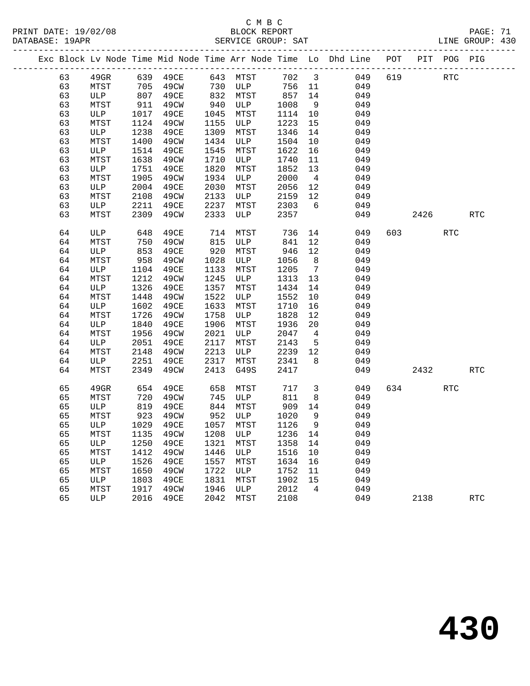|  |    |         |      |                                 |      |          |       |                         | Exc Block Lv Node Time Mid Node Time Arr Node Time Lo Dhd Line POT |     |         | PIT POG PIG |            |
|--|----|---------|------|---------------------------------|------|----------|-------|-------------------------|--------------------------------------------------------------------|-----|---------|-------------|------------|
|  | 63 | $49$ GR |      | 639 49CE                        |      | 643 MTST | 702 3 |                         | 049                                                                | 619 |         | RTC         |            |
|  | 63 | MTST    | 705  | 49CW                            | 730  | ULP      | 756   | 11                      | 049                                                                |     |         |             |            |
|  | 63 | ULP     | 807  | 49CE                            | 832  | MTST     | 857   | 14                      | 049                                                                |     |         |             |            |
|  | 63 | MTST    | 911  | 49CW                            | 940  | ULP      | 1008  | 9                       | 049                                                                |     |         |             |            |
|  | 63 | ULP     | 1017 | 49CE                            | 1045 | MTST     | 1114  | 10                      | 049                                                                |     |         |             |            |
|  | 63 | MTST    | 1124 | 49CW                            | 1155 | ULP      | 1223  | 15                      | 049                                                                |     |         |             |            |
|  | 63 | ULP     | 1238 | 49CE                            | 1309 | MTST     | 1346  | 14                      | 049                                                                |     |         |             |            |
|  | 63 | MTST    | 1400 | 49CW                            | 1434 | ULP      | 1504  | 10                      | 049                                                                |     |         |             |            |
|  | 63 | ULP     | 1514 | 49CE                            | 1545 | MTST     | 1622  | 16                      | 049                                                                |     |         |             |            |
|  | 63 | MTST    | 1638 | 49CW                            | 1710 | ULP      | 1740  | 11                      | 049                                                                |     |         |             |            |
|  | 63 | ULP     | 1751 | 49CE                            | 1820 | MTST     | 1852  | 13                      | 049                                                                |     |         |             |            |
|  | 63 | MTST    | 1905 | 49CW                            | 1934 | ULP      | 2000  | $\overline{4}$          | 049                                                                |     |         |             |            |
|  | 63 | ULP     | 2004 | 49CE                            | 2030 | MTST     | 2056  | 12                      | 049                                                                |     |         |             |            |
|  | 63 | MTST    | 2108 | 49CW                            | 2133 | ULP      | 2159  | 12                      | 049                                                                |     |         |             |            |
|  | 63 | ULP     | 2211 | 49CE                            | 2237 | MTST     | 2303  | $6\overline{6}$         | 049                                                                |     |         |             |            |
|  | 63 | MTST    | 2309 | 49CW                            | 2333 | ULP      | 2357  |                         | 049                                                                |     | 2426    |             | <b>RTC</b> |
|  | 64 | ULP     | 648  | 49CE                            | 714  | MTST     | 736   | 14                      | 049                                                                | 603 |         | <b>RTC</b>  |            |
|  | 64 | MTST    | 750  | 49CW                            | 815  | ULP      | 841   | 12                      | 049                                                                |     |         |             |            |
|  | 64 | ULP     | 853  | 49CE                            | 920  | MTST     | 946   | 12                      | 049                                                                |     |         |             |            |
|  | 64 | MTST    | 958  | 49CW                            | 1028 | ULP      | 1056  | 8                       | 049                                                                |     |         |             |            |
|  | 64 | ULP     | 1104 | 49CE                            | 1133 | MTST     | 1205  | $\overline{7}$          | 049                                                                |     |         |             |            |
|  | 64 | MTST    | 1212 | 49CW                            | 1245 | ULP      | 1313  | 13                      | 049                                                                |     |         |             |            |
|  | 64 | ULP     | 1326 | 49CE                            | 1357 | MTST     | 1434  | 14                      | 049                                                                |     |         |             |            |
|  | 64 | MTST    | 1448 | 49CW                            | 1522 | ULP      | 1552  | 10                      | 049                                                                |     |         |             |            |
|  | 64 | ULP     | 1602 | 49CE                            | 1633 | MTST     | 1710  | 16                      | 049                                                                |     |         |             |            |
|  | 64 | MTST    | 1726 | 49CW                            | 1758 | ULP      | 1828  | 12                      | 049                                                                |     |         |             |            |
|  | 64 | ULP     | 1840 | 49CE                            | 1906 | MTST     | 1936  | 20                      | 049                                                                |     |         |             |            |
|  | 64 | MTST    | 1956 | 49CW                            | 2021 | ULP      | 2047  | $\overline{4}$          | 049                                                                |     |         |             |            |
|  | 64 | ULP     | 2051 | 49CE                            | 2117 | MTST     | 2143  | $5\overline{5}$         | 049                                                                |     |         |             |            |
|  | 64 | MTST    | 2148 | 49CW                            | 2213 | ULP      | 2239  | 12                      | 049                                                                |     |         |             |            |
|  | 64 | ULP     | 2251 | 49CE                            | 2317 | MTST     | 2341  | 8                       | 049                                                                |     |         |             |            |
|  | 64 | MTST    | 2349 | 49CW                            | 2413 | G49S     | 2417  |                         | 049                                                                |     | 2432    |             | <b>RTC</b> |
|  | 65 | 49GR    | 654  | 49CE                            | 658  | MTST     | 717   | $\overline{\mathbf{3}}$ | 049                                                                |     | 634 639 | RTC         |            |
|  | 65 | MTST    | 720  | 49CW                            | 745  | ULP      | 811   | 8                       | 049                                                                |     |         |             |            |
|  | 65 | ULP     | 819  | 49CE                            | 844  | MTST     | 909   | 14                      | 049                                                                |     |         |             |            |
|  | 65 | MTST    | 923  | 49CW                            | 952  | ULP      | 1020  | 9                       | 049                                                                |     |         |             |            |
|  | 65 | ULP     | 1029 | 49CE                            | 1057 | MTST     | 1126  | 9                       | 049                                                                |     |         |             |            |
|  | 65 |         |      | MTST 1135 49CW 1208 ULP 1236 14 |      |          |       |                         | 049                                                                |     |         |             |            |
|  | 65 | ULP     | 1250 | 49CE                            | 1321 | MTST     | 1358  | 14                      | 049                                                                |     |         |             |            |
|  | 65 | MTST    | 1412 | 49CW                            | 1446 | ULP      | 1516  | 10                      | 049                                                                |     |         |             |            |
|  | 65 | ULP     | 1526 | 49CE                            | 1557 | MTST     | 1634  | 16                      | 049                                                                |     |         |             |            |
|  | 65 | MTST    | 1650 | 49CW                            | 1722 | ULP      | 1752  | 11                      | 049                                                                |     |         |             |            |
|  | 65 | ULP     | 1803 | 49CE                            | 1831 | MTST     | 1902  | 15                      | 049                                                                |     |         |             |            |
|  | 65 | MTST    | 1917 | 49CW                            | 1946 | ULP      | 2012  | 4                       | 049                                                                |     |         |             |            |
|  | 65 | ULP     | 2016 | 49CE                            | 2042 | MTST     | 2108  |                         | 049                                                                |     | 2138    |             | <b>RTC</b> |
|  |    |         |      |                                 |      |          |       |                         |                                                                    |     |         |             |            |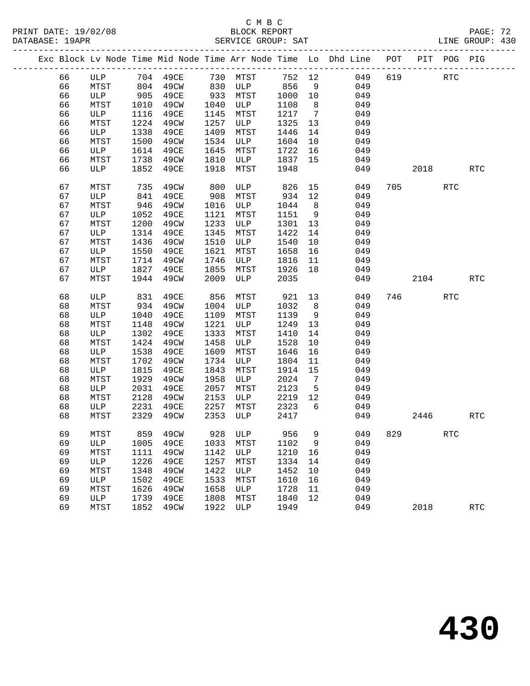|  |    |                               |      |      |      |                                   |      |                | Exc Block Lv Node Time Mid Node Time Arr Node Time Lo Dhd Line POT |     |      | PIT POG PIG          |            |
|--|----|-------------------------------|------|------|------|-----------------------------------|------|----------------|--------------------------------------------------------------------|-----|------|----------------------|------------|
|  | 66 |                               |      |      |      |                                   |      |                |                                                                    | 619 |      | RTC                  |            |
|  | 66 | ULP 704 49CE<br>MTST 804 49CW |      |      |      | 730 MTST<br>830 ULP<br><b>ULP</b> | 856  | 9              | 752 12 049<br>049                                                  |     |      |                      |            |
|  | 66 | ULP                           | 905  | 49CE | 933  | MTST                              | 1000 | 10             | 049                                                                |     |      |                      |            |
|  | 66 | MTST                          | 1010 | 49CW | 1040 | ULP                               | 1108 | 8 <sup>8</sup> | 049                                                                |     |      |                      |            |
|  | 66 | ULP                           | 1116 | 49CE | 1145 | MTST                              | 1217 | $\overline{7}$ | 049                                                                |     |      |                      |            |
|  | 66 | MTST                          | 1224 | 49CW | 1257 | ULP                               | 1325 | 13             | 049                                                                |     |      |                      |            |
|  | 66 | ULP                           | 1338 | 49CE | 1409 | MTST                              | 1446 | 14             | 049                                                                |     |      |                      |            |
|  | 66 | MTST                          | 1500 | 49CW | 1534 | ULP                               | 1604 | 10             | 049                                                                |     |      |                      |            |
|  | 66 | ULP                           | 1614 | 49CE | 1645 | MTST                              | 1722 | 16             | 049                                                                |     |      |                      |            |
|  | 66 | MTST                          | 1738 | 49CW | 1810 | ULP                               | 1837 | 15             | 049                                                                |     |      |                      |            |
|  | 66 | ULP                           | 1852 | 49CE | 1918 | MTST                              | 1948 |                | 049                                                                |     | 2018 |                      | <b>RTC</b> |
|  |    |                               |      |      |      |                                   |      |                |                                                                    |     |      |                      |            |
|  | 67 | MTST                          | 735  | 49CW | 800  | ULP                               | 826  | 15             | 049                                                                |     | 705  | RTC                  |            |
|  | 67 | ULP                           | 841  | 49CE | 908  | MTST                              | 934  | 12             | 049                                                                |     |      |                      |            |
|  | 67 | MTST                          | 946  | 49CW | 1016 | ULP                               | 1044 | 8 <sup>8</sup> | 049                                                                |     |      |                      |            |
|  | 67 | ULP                           | 1052 | 49CE | 1121 | MTST                              | 1151 | 9              | 049                                                                |     |      |                      |            |
|  | 67 | MTST                          | 1200 | 49CW | 1233 | ULP                               | 1301 | 13             | 049                                                                |     |      |                      |            |
|  | 67 | ULP                           | 1314 | 49CE | 1345 | MTST                              | 1422 | 14             | 049                                                                |     |      |                      |            |
|  | 67 | MTST                          | 1436 | 49CW | 1510 | ULP                               | 1540 | 10             | 049                                                                |     |      |                      |            |
|  | 67 | ULP                           | 1550 | 49CE | 1621 | MTST                              | 1658 | 16             | 049                                                                |     |      |                      |            |
|  | 67 | MTST                          | 1714 | 49CW | 1746 | ULP                               | 1816 | 11             | 049                                                                |     |      |                      |            |
|  | 67 | ULP                           | 1827 | 49CE | 1855 | MTST                              | 1926 | 18             | 049                                                                |     |      |                      |            |
|  | 67 | MTST                          | 1944 | 49CW | 2009 | ULP                               | 2035 |                | 049                                                                |     | 2104 |                      | RTC        |
|  | 68 | ULP                           | 831  | 49CE | 856  | MTST                              | 921  | 13             | 049                                                                |     | 746  | <b>RTC</b>           |            |
|  | 68 | MTST                          | 934  | 49CW | 1004 | ULP                               | 1032 | 8              | 049                                                                |     |      |                      |            |
|  | 68 | ULP                           | 1040 | 49CE | 1109 | MTST                              | 1139 | 9              | 049                                                                |     |      |                      |            |
|  | 68 | MTST                          | 1148 | 49CW | 1221 | ULP                               | 1249 | 13             | 049                                                                |     |      |                      |            |
|  | 68 | ULP                           | 1302 | 49CE | 1333 | MTST                              | 1410 | 14             | 049                                                                |     |      |                      |            |
|  | 68 | MTST                          | 1424 | 49CW | 1458 | ULP                               | 1528 | 10             | 049                                                                |     |      |                      |            |
|  | 68 | ULP                           | 1538 | 49CE | 1609 | MTST                              | 1646 | 16             | 049                                                                |     |      |                      |            |
|  | 68 | MTST                          | 1702 | 49CW | 1734 | ULP                               | 1804 | 11             | 049                                                                |     |      |                      |            |
|  | 68 | ULP                           | 1815 | 49CE | 1843 | MTST                              | 1914 | 15             | 049                                                                |     |      |                      |            |
|  | 68 | MTST                          | 1929 | 49CW | 1958 | ULP                               | 2024 | $\overline{7}$ | 049                                                                |     |      |                      |            |
|  | 68 | ULP                           | 2031 | 49CE | 2057 | MTST                              | 2123 | $5^{\circ}$    | 049                                                                |     |      |                      |            |
|  | 68 | MTST                          | 2128 | 49CW | 2153 | ULP                               | 2219 | 12             | 049                                                                |     |      |                      |            |
|  | 68 | ULP                           | 2231 | 49CE | 2257 | <b>MTST</b>                       | 2323 | 6              | 049                                                                |     |      |                      |            |
|  | 68 | MTST                          | 2329 | 49CW | 2353 | ULP                               | 2417 |                | 049                                                                |     | 2446 |                      | <b>RTC</b> |
|  | 69 | MTST                          |      |      |      |                                   |      |                | 859 49CW 928 ULP 956 9 049 829                                     |     |      | $\operatorname{RTC}$ |            |
|  | 69 | ULP                           | 1005 | 49CE | 1033 | MTST                              | 1102 | 9              | 049                                                                |     |      |                      |            |
|  | 69 | MTST                          | 1111 | 49CW | 1142 | ULP                               | 1210 | 16             | 049                                                                |     |      |                      |            |
|  | 69 | ULP                           | 1226 | 49CE | 1257 | MTST                              | 1334 | 14             | 049                                                                |     |      |                      |            |
|  | 69 | MTST                          | 1348 | 49CW | 1422 | ULP                               | 1452 | 10             | 049                                                                |     |      |                      |            |
|  | 69 | ULP                           | 1502 | 49CE | 1533 | MTST                              | 1610 | 16             | 049                                                                |     |      |                      |            |
|  | 69 | MTST                          | 1626 | 49CW | 1658 | ULP                               | 1728 | 11             | 049                                                                |     |      |                      |            |
|  | 69 | ULP                           | 1739 | 49CE | 1808 | MTST                              | 1840 | 12             | 049                                                                |     |      |                      |            |
|  | 69 | MTST                          | 1852 | 49CW | 1922 | ULP                               | 1949 |                | 049                                                                |     | 2018 |                      | RTC        |
|  |    |                               |      |      |      |                                   |      |                |                                                                    |     |      |                      |            |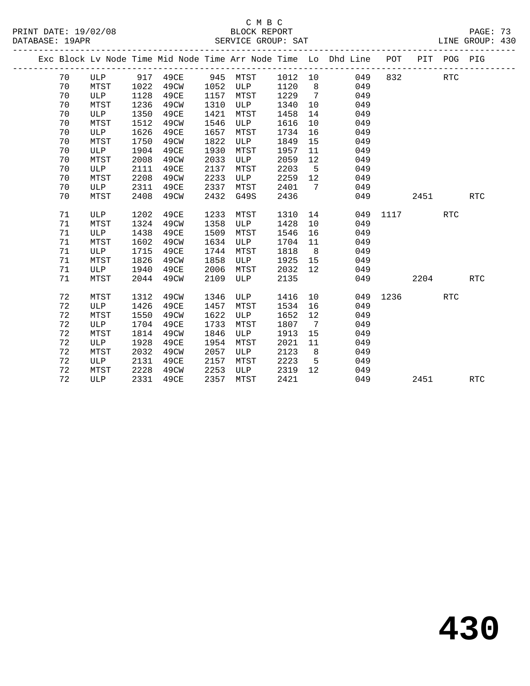|  |    |            |      |      |      |      |      |                   | Exc Block Lv Node Time Mid Node Time Arr Node Time Lo Dhd Line | POT  |      | PIT POG PIG |            |
|--|----|------------|------|------|------|------|------|-------------------|----------------------------------------------------------------|------|------|-------------|------------|
|  | 70 | ULP        | 917  | 49CE | 945  | MTST | 1012 | 10                | 049                                                            | 832  |      | <b>RTC</b>  |            |
|  | 70 | MTST       | 1022 | 49CW | 1052 | ULP  | 1120 | 8                 | 049                                                            |      |      |             |            |
|  | 70 | ULP        | 1128 | 49CE | 1157 | MTST | 1229 | 7                 | 049                                                            |      |      |             |            |
|  | 70 | MTST       | 1236 | 49CW | 1310 | ULP  | 1340 | 10                | 049                                                            |      |      |             |            |
|  | 70 | ULP        | 1350 | 49CE | 1421 | MTST | 1458 | 14                | 049                                                            |      |      |             |            |
|  | 70 | MTST       | 1512 | 49CW | 1546 | ULP  | 1616 | 10                | 049                                                            |      |      |             |            |
|  | 70 | ULP        | 1626 | 49CE | 1657 | MTST | 1734 | 16                | 049                                                            |      |      |             |            |
|  | 70 | MTST       | 1750 | 49CW | 1822 | ULP  | 1849 | 15                | 049                                                            |      |      |             |            |
|  | 70 | ULP        | 1904 | 49CE | 1930 | MTST | 1957 | 11                | 049                                                            |      |      |             |            |
|  | 70 | MTST       | 2008 | 49CW | 2033 | ULP  | 2059 | 12                | 049                                                            |      |      |             |            |
|  | 70 | ULP        | 2111 | 49CE | 2137 | MTST | 2203 | 5                 | 049                                                            |      |      |             |            |
|  | 70 | MTST       | 2208 | 49CW | 2233 | ULP  | 2259 | 12                | 049                                                            |      |      |             |            |
|  | 70 | ULP        | 2311 | 49CE | 2337 | MTST | 2401 | 7                 | 049                                                            |      |      |             |            |
|  | 70 | MTST       | 2408 | 49CW | 2432 | G49S | 2436 |                   | 049                                                            |      | 2451 |             | <b>RTC</b> |
|  |    |            |      |      |      |      |      |                   |                                                                |      |      |             |            |
|  | 71 | ULP        | 1202 | 49CE | 1233 | MTST | 1310 | 14                | 049                                                            | 1117 |      | <b>RTC</b>  |            |
|  | 71 | MTST       | 1324 | 49CW | 1358 | ULP  | 1428 | 10                | 049                                                            |      |      |             |            |
|  | 71 | ULP        | 1438 | 49CE | 1509 | MTST | 1546 | 16                | 049                                                            |      |      |             |            |
|  | 71 | MTST       | 1602 | 49CW | 1634 | ULP  | 1704 | 11                | 049                                                            |      |      |             |            |
|  | 71 | ULP        | 1715 | 49CE | 1744 | MTST | 1818 | 8                 | 049                                                            |      |      |             |            |
|  | 71 | MTST       | 1826 | 49CW | 1858 | ULP  | 1925 | 15                | 049                                                            |      |      |             |            |
|  | 71 | ULP        | 1940 | 49CE | 2006 | MTST | 2032 | $12 \overline{ }$ | 049                                                            |      |      |             |            |
|  | 71 | MTST       | 2044 | 49CW | 2109 | ULP  | 2135 |                   | 049                                                            |      | 2204 |             | <b>RTC</b> |
|  | 72 | MTST       | 1312 | 49CW | 1346 | ULP  | 1416 | 10                | 049                                                            | 1236 |      | <b>RTC</b>  |            |
|  | 72 | ULP        | 1426 | 49CE | 1457 | MTST | 1534 | 16                | 049                                                            |      |      |             |            |
|  | 72 | MTST       | 1550 | 49CW | 1622 | ULP  | 1652 | 12                | 049                                                            |      |      |             |            |
|  | 72 | ULP        | 1704 | 49CE | 1733 | MTST | 1807 | 7                 | 049                                                            |      |      |             |            |
|  | 72 | MTST       | 1814 | 49CW | 1846 | ULP  | 1913 | 15                | 049                                                            |      |      |             |            |
|  | 72 | ULP        | 1928 | 49CE | 1954 | MTST | 2021 | 11                | 049                                                            |      |      |             |            |
|  | 72 | MTST       | 2032 | 49CW | 2057 | ULP  | 2123 | 8                 | 049                                                            |      |      |             |            |
|  | 72 | ULP        | 2131 | 49CE | 2157 | MTST | 2223 | 5                 | 049                                                            |      |      |             |            |
|  | 72 | MTST       | 2228 | 49CW | 2253 | ULP  | 2319 | 12                | 049                                                            |      |      |             |            |
|  | 72 | <b>ULP</b> | 2331 | 49CE | 2357 | MTST | 2421 |                   | 049                                                            |      | 2451 |             | <b>RTC</b> |
|  |    |            |      |      |      |      |      |                   |                                                                |      |      |             |            |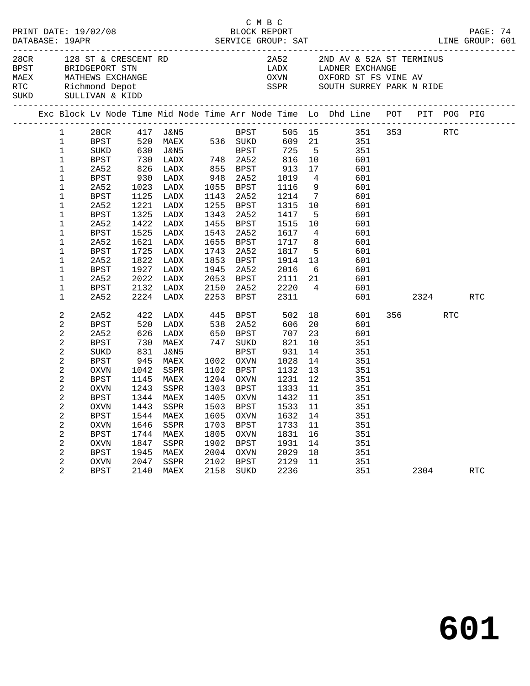|  |                                                                                                                                                                                            |                                                                                                                                                                                                     |                                                            |                                                                                                                                                                                               |                                                     | C M B C                                                                                                                                                                                         |                                                                                                                                                           |                                                                  | PRINT DATE: 19/02/08<br>BLOCK REPORT BLOCK PRESSES: 19APR SERVICE GROUP: SAT SAT DATABASE: 19APR<br>LINE GROUP: 601                                                                                                                                                                                                                                       |         |     | PAGE: 74   |  |
|--|--------------------------------------------------------------------------------------------------------------------------------------------------------------------------------------------|-----------------------------------------------------------------------------------------------------------------------------------------------------------------------------------------------------|------------------------------------------------------------|-----------------------------------------------------------------------------------------------------------------------------------------------------------------------------------------------|-----------------------------------------------------|-------------------------------------------------------------------------------------------------------------------------------------------------------------------------------------------------|-----------------------------------------------------------------------------------------------------------------------------------------------------------|------------------------------------------------------------------|-----------------------------------------------------------------------------------------------------------------------------------------------------------------------------------------------------------------------------------------------------------------------------------------------------------------------------------------------------------|---------|-----|------------|--|
|  |                                                                                                                                                                                            | RTC Richmond Depot<br>SUKD SULLIVAN & KIDD                                                                                                                                                          |                                                            | 28CR 128 ST & CRESCENT RD<br>BPST BRIDGEPORT STN<br>MAEX MATHEWS EXCHANGE                                                                                                                     |                                                     |                                                                                                                                                                                                 |                                                                                                                                                           |                                                                  | 2A52 2ND AV & 52A ST TERMINUS<br>LADX         LADNER  EXCHANGE<br>OXVN            OXFORD  ST  FS  VINE  AV<br>SSPR SOUTH SURREY PARK N RIDE                                                                                                                                                                                                               |         |     |            |  |
|  |                                                                                                                                                                                            |                                                                                                                                                                                                     |                                                            |                                                                                                                                                                                               |                                                     |                                                                                                                                                                                                 |                                                                                                                                                           |                                                                  | Exc Block Lv Node Time Mid Node Time Arr Node Time Lo Dhd Line POT PIT POG PIG                                                                                                                                                                                                                                                                            |         |     |            |  |
|  | 1<br>$\mathbf{1}$<br>$\mathbf 1$<br>$\mathbf{1}$<br>$\mathbf{1}$<br>$\mathbf 1$<br>$\mathbf 1$<br>$\mathbf{1}$<br>1<br>$\mathbf{1}$<br>$\mathbf 1$<br>1<br>1<br>1<br>$\mathbf 1$<br>1<br>1 | 2A52<br>BPST<br>2A52<br>BPST<br>2A52<br><b>BPST</b><br>2A52<br><b>BPST</b><br>2A52<br><b>BPST</b><br>2A52<br>BPST<br>2A52                                                                           | 1725                                                       | 826 LADX<br>-----<br>1023 IADX<br>צמח <i>ג.ז</i><br>1023 LADX<br>1125 LADX<br>1221 LADX<br>1325 LADX<br>1422 LADX<br>1525 LADX<br>1621 LADX<br>LADX<br>1822 LADX<br>1927 LADX<br>2022 LADX    |                                                     | 855 BPST<br>$948$ 2A52<br>1055 BPST<br>1143 2A52<br>1255 BPST<br>1343 2A52<br>1455 BPST<br>1543 2A52<br>1655 BPST<br>1743 2A52<br>1853 BPST<br>1945 2A52<br>2053 BPST                           | 913<br>1019<br>1116<br>1214<br>1315<br>1417<br>1515<br>1617<br>1717<br>1817<br>1914<br>2016                                                               | 17<br>$7\overline{ }$<br>10<br>$5^{\circ}$<br>10                 | 28CR 417 J&N5<br>BPST 520 MAEX 536 SUKD 609 21 351 353<br>SUKD 630 J&N5 BPST 725 5 351<br>BPST 730 LADX 748 2A52 816 10 601<br>601<br>$\begin{array}{ccc} 4 & & 601 \\ 9 & & 601 \end{array}$<br>601<br>601<br>601<br>601<br>4 601<br>8 601<br>5 601<br>$\begin{array}{ccc} 13 & \phantom{00} & 601 \\ 6 & \phantom{00} & 601 \end{array}$<br>2111 21 601 |         | RTC |            |  |
|  | 1<br>$\mathbf 1$                                                                                                                                                                           | BPST<br>2A52                                                                                                                                                                                        |                                                            | 2132 LADX<br>2224 LADX                                                                                                                                                                        |                                                     | 2150 2A52<br>2253 BPST                                                                                                                                                                          | 2220<br>2311                                                                                                                                              |                                                                  | 4 601<br>601 000                                                                                                                                                                                                                                                                                                                                          | 2324    |     | RTC        |  |
|  | 2<br>2<br>2<br>2<br>2<br>2<br>2<br>$\sqrt{2}$<br>2<br>2<br>$\overline{a}$<br>2<br>2<br>2<br>$\sqrt{2}$<br>$\sqrt{2}$<br>2                                                                  | 2A52<br>BPST<br>2A52<br><b>BPST</b><br>SUKD<br><b>BPST</b><br>OXVN<br>BPST<br>OXVN<br><b>BPST</b><br>OXVN<br><b>BPST</b><br><b>OXVN</b><br><b>BPST</b><br><b>OXVN</b><br><b>BPST</b><br><b>OXVN</b> | 520<br>945<br>1544<br>1646<br>1744<br>1847<br>1945<br>2047 | 422 LADX 445 BPST 502 18<br>LADX<br>626 LADX<br>730 MAEX<br>831 J&N5<br>MAEX<br>1042 SSPR<br>1145 MAEX<br>1243 SSPR<br>1344 MAEX<br>1443 SSPR<br>MAEX<br>SSPR<br>MAEX<br>SSPR<br>MAEX<br>SSPR | 538<br>1605<br>1703<br>1805<br>1902<br>2004<br>2102 | 2A52<br>650 BPST<br>747 SUKD<br>BPST<br>1002 OXVN<br>1102 BPST<br>1204 OXVN<br>1303 BPST<br>1405 OXVN<br><b>OXVN</b><br><b>BPST</b><br><b>OXVN</b><br><b>BPST</b><br><b>OXVN</b><br><b>BPST</b> | 606<br>$70$<br>821<br>931<br>931<br>1028<br>1132 13<br>1231 12<br>1333 11<br>1432 11<br>1503 BPST 1533 11<br>1632<br>1733<br>1831<br>1931<br>2029<br>2129 | 20<br>23<br>10<br>14<br>14<br>14<br>11<br>16<br>14<br>$18$<br>11 | 601<br>601<br>601<br>951 b<br>351<br>351<br>351<br>351<br>351<br>351<br>351<br>351<br>351<br>351<br>351<br>351<br>351                                                                                                                                                                                                                                     | 356 350 | RTC |            |  |
|  | 2                                                                                                                                                                                          | <b>BPST</b>                                                                                                                                                                                         | 2140                                                       | MAEX                                                                                                                                                                                          | 2158                                                | SUKD                                                                                                                                                                                            | 2236                                                                                                                                                      |                                                                  | 351                                                                                                                                                                                                                                                                                                                                                       | 2304    |     | <b>RTC</b> |  |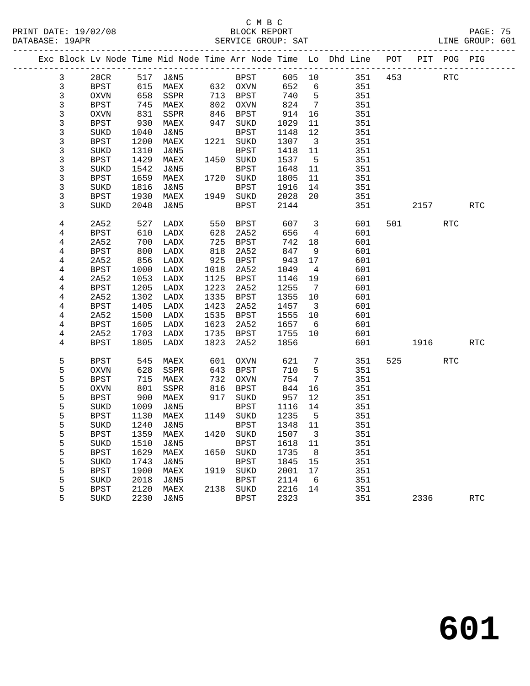# C M B C

|  | DATABASE: 19APR |             |            |                 |      | SERVICE GROUP: SAT          |                    |                         |                                                                                |           |            | LINE GROUP: 601      |  |
|--|-----------------|-------------|------------|-----------------|------|-----------------------------|--------------------|-------------------------|--------------------------------------------------------------------------------|-----------|------------|----------------------|--|
|  |                 |             |            |                 |      |                             |                    |                         | Exc Block Lv Node Time Mid Node Time Arr Node Time Lo Dhd Line POT PIT POG PIG |           |            |                      |  |
|  | $\mathbf{3}$    |             |            |                 |      |                             |                    |                         | 28CR 517 J&N5 BPST 605 10 351 453 RTC                                          |           |            |                      |  |
|  | 3               | BPST        | 615        |                 |      | MAEX 632 OXVN               | 652                | 6                       | 351                                                                            |           |            |                      |  |
|  | 3               | OXVN        | 658        | SSPR 713 BPST   |      |                             | 740                | $5^{\circ}$             | 351                                                                            |           |            |                      |  |
|  | 3               | BPST        | 745<br>831 | MAEX            |      | 802 OXVN<br>846 BPST        | $82$<br>914<br>220 | $7\overline{ }$         | 351                                                                            |           |            |                      |  |
|  | 3               | OXVN        |            | SSPR            |      |                             |                    | 16                      | 351                                                                            |           |            |                      |  |
|  | 3               | BPST        | 930        | MAEX            | 947  | SUKD                        | 1029               | 11                      | 351                                                                            |           |            |                      |  |
|  | 3               | SUKD        | 1040       | J&N5            |      | BPST                        | 1148               | 12                      | 351                                                                            |           |            |                      |  |
|  | 3               | BPST        | 1200       | MAEX            |      | 1221 SUKD                   | 1307               | $\overline{\mathbf{3}}$ | 351                                                                            |           |            |                      |  |
|  | 3               | SUKD        | 1310       | J&N5            |      | BPST                        | 1418               | 11                      | 351                                                                            |           |            |                      |  |
|  | 3               | BPST        | 1429       | MAEX            |      | 1450 SUKD                   | 1537               | $5^{\circ}$             | 351                                                                            |           |            |                      |  |
|  | 3               | SUKD        | 1542       | J&N5            |      | BPST                        | 1648               | 11                      | 351                                                                            |           |            |                      |  |
|  | 3               | <b>BPST</b> | 1659       | MAEX            |      | 1720 SUKD                   | 1805               | 11                      | 351                                                                            |           |            |                      |  |
|  | 3               | SUKD        | 1816       | J&N5            |      | BPST                        | 1916               | 14                      | 351                                                                            |           |            |                      |  |
|  | 3               | BPST        | 1930       | MAEX            |      | 1949 SUKD                   | 2028               | 20                      | 351                                                                            |           |            |                      |  |
|  | 3               | SUKD        | 2048       | J&N5            |      | BPST                        | 2144               |                         |                                                                                | 2157      |            | <b>RTC</b>           |  |
|  | 4               | 2A52        | 527        | LADX            |      | 550 BPST                    | 607                | $\overline{\mathbf{3}}$ | 601                                                                            | 501 700   | <b>RTC</b> |                      |  |
|  | 4               | BPST        | 610        | LADX            | 628  | 2A52                        | 656                | $\overline{4}$          | 601                                                                            |           |            |                      |  |
|  | 4               | 2A52        | 700        | LADX            | 725  | BPST                        | 742                | 18                      | 601                                                                            |           |            |                      |  |
|  | 4               | BPST        | 800        | LADX            | 818  | 2A52                        | 847                | 9                       | 601                                                                            |           |            |                      |  |
|  | 4               | 2A52        | 856        | LADX            | 925  | BPST                        | 943                | 17                      | 601                                                                            |           |            |                      |  |
|  | 4               | BPST        | 1000       | LADX            | 1018 | 2A52                        | 1049               | $\overline{4}$          | 601                                                                            |           |            |                      |  |
|  | 4               | 2A52        | 1053       | LADX            | 1125 | BPST                        | 1146               | 19                      | 601                                                                            |           |            |                      |  |
|  | 4               | <b>BPST</b> | 1205       | LADX            | 1223 | 2A52                        | 1255               | $\overline{7}$          | 601                                                                            |           |            |                      |  |
|  | 4               | 2A52        | 1302       | LADX            | 1335 | BPST                        | 1355               | 10                      | 601                                                                            |           |            |                      |  |
|  | 4               | BPST        | 1405       | LADX            | 1423 | 2A52                        | 1457               | $\overline{\mathbf{3}}$ | 601                                                                            |           |            |                      |  |
|  | 4               | 2A52        | 1500       | LADX            | 1535 | BPST                        | 1555               | 10                      | 601                                                                            |           |            |                      |  |
|  | 4               | BPST        | 1605       | LADX            | 1623 | 2A52                        | 1657               | 6                       | 601                                                                            |           |            |                      |  |
|  | 4               | 2A52        | 1703       | LADX            | 1735 | BPST                        | 1755               | 10                      | 601                                                                            |           |            |                      |  |
|  | 4               | BPST        | 1805       | LADX            | 1823 | 2A52                        | 1856               |                         | 601                                                                            | 1916 1919 |            | RTC                  |  |
|  | 5               | BPST        | 545        | MAEX            | 601  | OXVN                        | 621                | $7\phantom{.0}$         | 351                                                                            | 525 720   | <b>RTC</b> |                      |  |
|  | 5               | OXVN        | 628        | SSPR            | 643  | BPST                        | 710                | $5^{\circ}$             | 351                                                                            |           |            |                      |  |
|  | 5               | BPST        | 715        | MAEX            | 732  | OXVN                        | 754                | $7\overline{ }$         | 351                                                                            |           |            |                      |  |
|  | 5               | OXVN        | 801        | SSPR            | 816  | BPST                        | 844                | 16                      | 351                                                                            |           |            |                      |  |
|  | 5               | BPST        | 900        | MAEX            |      | 917 SUKD                    | 957                | 12                      | 351                                                                            |           |            |                      |  |
|  | 5               | SUKD        | 1009       | J&N5            |      | BPST                        | 1116 14            |                         | 351                                                                            |           |            |                      |  |
|  | 5               | BPST        | 1130       | MAEX            |      | 1149 SUKD                   | 1235               | $5^{\circ}$             | 351                                                                            |           |            |                      |  |
|  | 5               |             |            |                 |      | SUKD 1240 J&N5 BPST 1348 11 |                    |                         | 351                                                                            |           |            |                      |  |
|  | 5               | <b>BPST</b> | 1359       | MAEX            |      | 1420 SUKD                   | 1507 3             |                         | 351                                                                            |           |            |                      |  |
|  | 5               | SUKD        | 1510       | J&N5            |      | BPST                        | 1618               | 11                      | 351                                                                            |           |            |                      |  |
|  | 5               | <b>BPST</b> | 1629       | MAEX            |      | 1650 SUKD                   | 1735               | 8 <sup>8</sup>          | 351                                                                            |           |            |                      |  |
|  | 5               | SUKD        | 1743       | <b>J&amp;N5</b> |      | BPST                        | 1845               | 15                      | 351                                                                            |           |            |                      |  |
|  | 5               | <b>BPST</b> | 1900       | MAEX            | 1919 | SUKD                        | 2001               | 17                      | 351                                                                            |           |            |                      |  |
|  | 5               | SUKD        | 2018       | J&N5            |      | BPST                        | 2114               | - 6                     | 351                                                                            |           |            |                      |  |
|  | 5               | <b>BPST</b> | 2120       | MAEX            |      | 2138 SUKD                   | 2216               | 14                      | 351                                                                            |           |            |                      |  |
|  | 5               | SUKD        | 2230       | J&N5            |      | <b>BPST</b>                 | 2323               |                         | 351                                                                            | 2336      |            | $\operatorname{RTC}$ |  |
|  |                 |             |            |                 |      |                             |                    |                         |                                                                                |           |            |                      |  |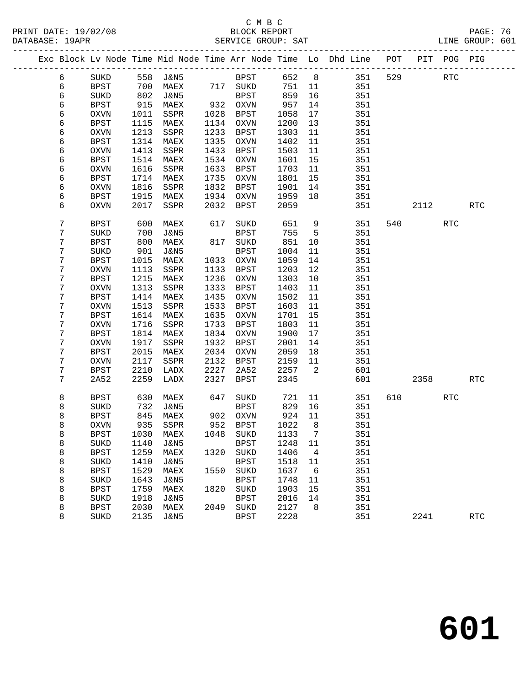# C M B C SERVICE GROUP: SAT

| PRINT DATE: 19/02/08 | BLOCK REPORT       | PAGE: 76        |  |
|----------------------|--------------------|-----------------|--|
| DATABASE: 19APR      | SERVICE GROUP: SAT | LINE GROUP: 601 |  |

|  |                |             |      |                            |      |                                  |              |                          | Exc Block Lv Node Time Mid Node Time Arr Node Time Lo Dhd Line POT PIT POG PIG |     |      |            |            |
|--|----------------|-------------|------|----------------------------|------|----------------------------------|--------------|--------------------------|--------------------------------------------------------------------------------|-----|------|------------|------------|
|  | 6              | SUKD        |      | 558 J&N5                   |      | <b>BPST</b>                      | 652 8        |                          | 351                                                                            | 529 |      | RTC        |            |
|  | 6              | BPST        |      | 700 MAEX 717 SUKD          |      |                                  | 751          | 11                       | 351                                                                            |     |      |            |            |
|  | 6              | SUKD        | 802  | J&N5                       |      | BPST                             | 859          | 16                       | 351                                                                            |     |      |            |            |
|  | 6              | BPST        | 915  | MAEX                       |      | 932 OXVN                         | 957          | 14                       | 351                                                                            |     |      |            |            |
|  | 6              | OXVN        | 1011 | SSPR                       | 1028 | BPST                             | 1058         | 17                       | 351                                                                            |     |      |            |            |
|  | 6              | <b>BPST</b> | 1115 | MAEX                       |      | 1134 OXVN                        | 1200         | 13                       | 351                                                                            |     |      |            |            |
|  | 6              | OXVN        | 1213 | SSPR                       | 1233 | BPST                             | 1303         | 11                       | 351                                                                            |     |      |            |            |
|  | 6              | BPST        | 1314 | MAEX                       | 1335 | OXVN                             | 1402         | 11                       | 351                                                                            |     |      |            |            |
|  | 6              | <b>OXVN</b> | 1413 | SSPR                       | 1433 | BPST                             | 1503         | 11                       | 351                                                                            |     |      |            |            |
|  | 6              | BPST        | 1514 | MAEX                       | 1534 | OXVN                             | 1601         | 15                       | 351                                                                            |     |      |            |            |
|  | 6              | OXVN        | 1616 | SSPR                       | 1633 | BPST                             | 1703         | 11                       | 351                                                                            |     |      |            |            |
|  | б              | BPST        | 1714 | MAEX                       | 1735 | OXVN                             | 1801         | 15                       | 351                                                                            |     |      |            |            |
|  | 6              | OXVN        | 1816 | SSPR                       | 1832 | BPST                             | 1901         | 14                       | 351                                                                            |     |      |            |            |
|  | б              | BPST        | 1915 | MAEX                       | 1934 | OXVN                             | 1959         | 18                       | 351                                                                            |     |      |            |            |
|  | 6              | OXVN        | 2017 | SSPR                       | 2032 | BPST                             | 2059         |                          | 351                                                                            |     | 2112 |            | <b>RTC</b> |
|  | $7\phantom{.}$ | BPST        | 600  | MAEX                       | 617  | SUKD                             | 651          | 9                        | 351                                                                            |     | 540  | <b>RTC</b> |            |
|  | 7              | SUKD        | 700  | J&N5                       |      | BPST                             | 755          | $5^{\circ}$              | 351                                                                            |     |      |            |            |
|  | 7              | BPST        | 800  | MAEX                       |      | 817 SUKD                         | 851          | 10                       | 351                                                                            |     |      |            |            |
|  | 7              | SUKD        | 901  | J&N5                       |      | BPST                             | 1004         | 11                       | 351                                                                            |     |      |            |            |
|  | 7              | BPST        | 1015 | MAEX                       |      | 1033 OXVN                        | 1059         | 14                       | 351                                                                            |     |      |            |            |
|  | 7              | OXVN        | 1113 | SSPR                       | 1133 | BPST                             | 1203         | 12                       | 351                                                                            |     |      |            |            |
|  | 7              | BPST        | 1215 | MAEX                       | 1236 | OXVN                             | 1303         | 10                       | 351                                                                            |     |      |            |            |
|  | 7              | OXVN        | 1313 | SSPR                       | 1333 | BPST                             | 1403         | 11                       | 351                                                                            |     |      |            |            |
|  | 7              | BPST        | 1414 | MAEX                       | 1435 | OXVN                             | 1502         | 11                       | 351                                                                            |     |      |            |            |
|  | 7              | OXVN        | 1513 | SSPR                       | 1533 | BPST                             | 1603         | 11                       | 351                                                                            |     |      |            |            |
|  | 7              | <b>BPST</b> | 1614 | MAEX                       | 1635 | OXVN                             | 1701         | 15                       | 351                                                                            |     |      |            |            |
|  | 7              | OXVN        | 1716 | SSPR                       | 1733 | BPST                             | 1803         | 11                       | 351                                                                            |     |      |            |            |
|  | 7              | BPST        | 1814 | MAEX                       | 1834 | OXVN                             | 1900         | 17                       | 351                                                                            |     |      |            |            |
|  | 7              | OXVN        | 1917 | SSPR                       | 1932 | BPST                             | 2001         | 14                       | 351                                                                            |     |      |            |            |
|  | 7              | <b>BPST</b> | 2015 | MAEX                       | 2034 | OXVN                             | 2059         | 18                       | 351                                                                            |     |      |            |            |
|  | 7              | OXVN        | 2117 | SSPR                       | 2132 | BPST                             | 2159         | 11                       | 351                                                                            |     |      |            |            |
|  | 7              | BPST        | 2210 | LADX                       | 2227 | 2A52                             | 2257         | $\overline{\phantom{a}}$ | 601                                                                            |     |      |            |            |
|  | $\overline{7}$ | 2A52        | 2259 | LADX                       | 2327 | BPST                             | 2345         |                          | 601                                                                            |     | 2358 |            | <b>RTC</b> |
|  | 8              | BPST        | 630  | MAEX                       | 647  | SUKD                             | 721          | 11                       | 351                                                                            |     |      | RTC        |            |
|  | 8              | SUKD        | 732  | J&N5                       |      | BPST                             | 829          | 16                       | 351                                                                            |     |      |            |            |
|  | 8              | BPST        | 845  | MAEX                       |      | 902 OXVN<br>952 BPST<br>952 BPST | 924          | 11                       | 351                                                                            |     |      |            |            |
|  | 8              | <b>OXVN</b> | 935  | SSPR                       |      |                                  | 1022         | 8 <sup>8</sup>           | 351                                                                            |     |      |            |            |
|  | 8              | BPST        |      | 1030 MAEX 1048 SUKD 1133 7 |      |                                  |              |                          | 351                                                                            |     |      |            |            |
|  | 8              | SUKD        | 1140 | J&N5                       |      | <b>BPST</b>                      | 1248         | 11                       | 351                                                                            |     |      |            |            |
|  | 8              | <b>BPST</b> | 1259 | MAEX                       | 1320 | SUKD                             | 1406         | $\overline{4}$           | 351                                                                            |     |      |            |            |
|  | 8              | SUKD        | 1410 | J&N5                       |      | <b>BPST</b>                      | 1518         | 11                       | 351                                                                            |     |      |            |            |
|  | 8              | <b>BPST</b> | 1529 | MAEX                       | 1550 | SUKD                             | 1637         | $6\overline{6}$          | 351                                                                            |     |      |            |            |
|  | 8              | SUKD        | 1643 | J&N5                       |      | <b>BPST</b>                      | 1748         | 11                       | 351                                                                            |     |      |            |            |
|  | 8              | <b>BPST</b> | 1759 | MAEX                       | 1820 | SUKD                             | 1903         | 15                       | 351                                                                            |     |      |            |            |
|  | 8              | SUKD        | 1918 | J&N5                       |      | <b>BPST</b>                      | 2016         | 14                       | 351                                                                            |     |      |            |            |
|  | 8              | BPST        | 2030 | MAEX                       | 2049 | SUKD                             | 2127<br>2228 | 8                        | 351                                                                            |     |      |            |            |
|  | 8              | SUKD        | 2135 | <b>J&amp;N5</b>            |      | <b>BPST</b>                      |              |                          | 351                                                                            |     | 2241 |            | RTC        |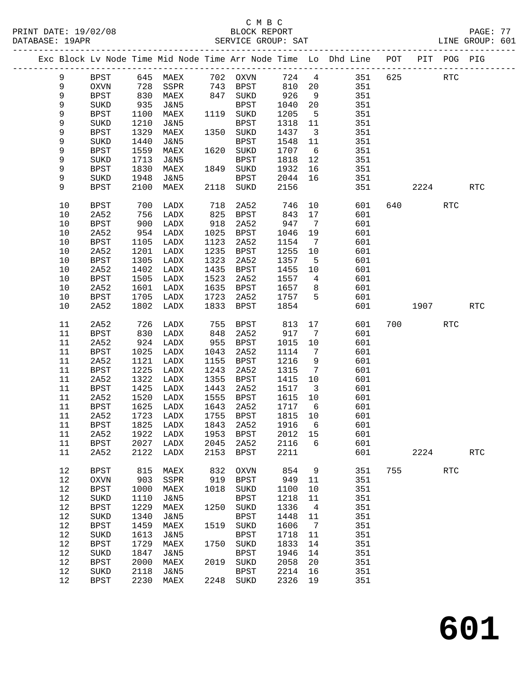| PRINT DATE: 19/02/08<br>DATABASE: 19APR |             |            |                 |                | 08<br>BLOCK REPORT<br>SERVICE GROUP: SAT<br>------------------------- |         |                         | PAGE: 77<br>LINE GROUP: 601                                                    |     |             |            | PAGE: 77             |  |
|-----------------------------------------|-------------|------------|-----------------|----------------|-----------------------------------------------------------------------|---------|-------------------------|--------------------------------------------------------------------------------|-----|-------------|------------|----------------------|--|
|                                         |             |            |                 |                |                                                                       |         |                         | Exc Block Lv Node Time Mid Node Time Arr Node Time Lo Dhd Line POT PIT POG PIG |     |             |            |                      |  |
| 9                                       | BPST        |            |                 |                |                                                                       |         |                         | 645 MAEX 702 OXVN 724 4 351 625                                                |     |             | RTC        |                      |  |
| 9                                       | OXVN        |            |                 |                |                                                                       |         |                         | 810 20 351                                                                     |     |             |            |                      |  |
| 9                                       | <b>BPST</b> | 728<br>830 |                 |                |                                                                       | 926     | 9                       | 351                                                                            |     |             |            |                      |  |
| 9                                       | SUKD        | 935        | J&N5            |                | BPST                                                                  | 1040    |                         | 20 351                                                                         |     |             |            |                      |  |
| 9                                       | BPST        | 1100       | MAEX            |                | 1119 SUKD                                                             | 1205    |                         | 5 351                                                                          |     |             |            |                      |  |
| 9                                       | SUKD        | 1210       | J&N5            |                | BPST                                                                  | 1318 11 |                         | 351                                                                            |     |             |            |                      |  |
| 9                                       | <b>BPST</b> | 1329       | MAEX            |                | 1350 SUKD                                                             | 1437    | $\overline{\mathbf{3}}$ | 351                                                                            |     |             |            |                      |  |
| 9                                       | SUKD        | 1440       | J&N5            |                | BPST                                                                  | 1548    | 11                      | 351                                                                            |     |             |            |                      |  |
| 9                                       | <b>BPST</b> | 1559       | MAEX            | 1620           | $\rm SUKD$                                                            |         |                         | 1707 6 351                                                                     |     |             |            |                      |  |
|                                         |             | 1713       |                 |                |                                                                       |         |                         |                                                                                |     |             |            |                      |  |
| 9<br>9                                  | SUKD        | 1830       | J&N5            |                | BPST<br>1849 SUKD                                                     | 1932 16 |                         | 1818  12  351                                                                  |     |             |            |                      |  |
|                                         | <b>BPST</b> |            | MAEX            |                |                                                                       | 2044 16 |                         | 351<br>351                                                                     |     |             |            |                      |  |
| 9                                       | SUKD        | 1948       | J&N5            |                | BPST                                                                  |         |                         |                                                                                |     |             |            |                      |  |
| 9                                       | <b>BPST</b> | 2100       | MAEX            | 2118           | SUKD                                                                  | 2156    |                         | 351                                                                            |     | 2224        |            | <b>RTC</b>           |  |
| 10                                      | BPST        | 700        | LADX            | $718$<br>$825$ | 2A52                                                                  |         |                         | 746 10<br>601                                                                  |     |             | RTC        |                      |  |
| 10                                      | 2A52        | 756        | LADX            |                | 825 BPST                                                              | 843     | 17                      | 601                                                                            |     |             |            |                      |  |
| $10$                                    | BPST        | 900        | LADX            | 918            | 2A52                                                                  | 947     | $\overline{7}$          | 601                                                                            |     |             |            |                      |  |
| 10                                      | 2A52        | 954        | LADX            | 1025           | BPST                                                                  | 1046    | 19                      | 601                                                                            |     |             |            |                      |  |
| $10$                                    | BPST        | 1105       | LADX            | 1123           | 2A52                                                                  | 1154    | $\overline{7}$          | 601                                                                            |     |             |            |                      |  |
| 10                                      | 2A52        | 1201       | LADX            | 1235           | <b>BPST</b>                                                           | 1255    | 10                      | 601                                                                            |     |             |            |                      |  |
| $10$                                    | BPST        | 1305       | LADX            | 1323           | 2A52                                                                  | 1357    | 5 <sub>5</sub>          | 601                                                                            |     |             |            |                      |  |
| 10                                      | 2A52        | 1402       | LADX            | 1435           | BPST                                                                  | 1455 10 |                         | 601                                                                            |     |             |            |                      |  |
| 10                                      | <b>BPST</b> | 1505       | LADX            | 1523           | 2A52                                                                  | 1557    | $\overline{4}$          | 601<br>601                                                                     |     |             |            |                      |  |
| $10$                                    | 2A52        | 1601       | LADX            | 1635           | BPST                                                                  | 1657 8  |                         |                                                                                |     |             |            |                      |  |
| 10                                      | <b>BPST</b> | 1705       | LADX            | 1723           | 2A52                                                                  | 1757 5  |                         | 601                                                                            |     |             |            |                      |  |
| 10                                      | 2A52        | 1802       | LADX            | 1833           | BPST                                                                  | 1854    |                         | 601                                                                            |     | 1907 - 1907 |            | <b>RTC</b>           |  |
| 11                                      | 2A52        | 726        | LADX            |                | 755 BPST                                                              | 813     |                         | 17<br>601                                                                      |     | 700         | RTC        |                      |  |
| 11                                      | BPST        | 830        | LADX            | 848            | 2A52                                                                  | 917 7   |                         | 601                                                                            |     |             |            |                      |  |
| 11                                      | 2A52        | 924        | LADX            | 955            | <b>BPST</b>                                                           | 1015 10 |                         | 601                                                                            |     |             |            |                      |  |
| 11                                      | <b>BPST</b> | 1025       | LADX            | 1043           | 2A52                                                                  | 1114    | $7\overline{ }$         | 601                                                                            |     |             |            |                      |  |
| 11                                      | 2A52        | 1121       | LADX            | 1155           | BPST                                                                  | 1216    | 9                       | 601                                                                            |     |             |            |                      |  |
| 11                                      | <b>BPST</b> | 1225       | LADX            | 1243           | 2A52                                                                  | 1315    | $\overline{7}$          | 601                                                                            |     |             |            |                      |  |
| 11                                      | 2A52        | 1322       | LADX            | 1355           | BPST                                                                  | 1415    | 10                      | 601                                                                            |     |             |            |                      |  |
| 11                                      | <b>BPST</b> | 1425       | LADX            | 1443           | 2A52                                                                  | 1517    | $\overline{\mathbf{3}}$ | 601                                                                            |     |             |            |                      |  |
| 11                                      | 2A52        | 1520       | LADX            | 1555           | BPST                                                                  | 1615    |                         |                                                                                |     |             |            |                      |  |
| 11                                      | <b>BPST</b> | 1625       | LADX            | 1643           | 2A52                                                                  |         |                         | $\begin{array}{cccc} 1615 & 10 & & & 601 \\ 1717 & 6 & & & 601 \end{array}$    |     |             |            |                      |  |
| $11\,$                                  | 2A52        | 1723       | ${\rm LADX}$    | 1755           | <b>BPST</b>                                                           | 1815    | 10                      | 601                                                                            |     |             |            |                      |  |
| 11                                      | <b>BPST</b> | 1825       | ${\rm LADX}$    | 1843           | 2A52                                                                  | 1916    | 6                       | 601                                                                            |     |             |            |                      |  |
| 11                                      | 2A52        | 1922       | LADX            | 1953           | <b>BPST</b>                                                           | 2012    | 15                      | 601                                                                            |     |             |            |                      |  |
| 11                                      | <b>BPST</b> | 2027       | LADX            | 2045           | 2A52                                                                  | 2116    | 6                       | 601                                                                            |     |             |            |                      |  |
| 11                                      | 2A52        | 2122       | ${\rm LADX}$    | 2153           | <b>BPST</b>                                                           | 2211    |                         | 601                                                                            |     | 2224        |            | $\operatorname{RTC}$ |  |
| 12                                      | <b>BPST</b> | 815        | MAEX            | 832            | OXVN                                                                  | 854     | 9                       | 351                                                                            | 755 |             | <b>RTC</b> |                      |  |
| 12                                      |             |            |                 | 919            |                                                                       | 949     |                         | 351                                                                            |     |             |            |                      |  |
|                                         | OXVN        | 903        | SSPR            |                | $_{\rm BPST}$                                                         |         | 11                      |                                                                                |     |             |            |                      |  |
| $12\,$                                  | <b>BPST</b> | 1000       | MAEX            | 1018           | SUKD                                                                  | 1100    | 10                      | 351                                                                            |     |             |            |                      |  |
| 12                                      | SUKD        | 1110       | <b>J&amp;N5</b> |                | <b>BPST</b>                                                           | 1218    | 11                      | 351                                                                            |     |             |            |                      |  |
| $12\,$                                  | <b>BPST</b> | 1229       | $\mathtt{MAEX}$ | 1250           | SUKD                                                                  | 1336    | $\overline{4}$          | 351                                                                            |     |             |            |                      |  |
| 12                                      | SUKD        | 1340       | <b>J&amp;N5</b> |                | <b>BPST</b>                                                           | 1448    | 11                      | 351                                                                            |     |             |            |                      |  |
| 12                                      | <b>BPST</b> | 1459       | MAEX            | 1519           | SUKD                                                                  | 1606    | 7                       | 351                                                                            |     |             |            |                      |  |
| 12                                      | $\rm SUKD$  | 1613       | <b>J&amp;N5</b> |                | <b>BPST</b>                                                           | 1718    | 11                      | 351                                                                            |     |             |            |                      |  |
| 12                                      | <b>BPST</b> | 1729       | $\mathtt{MAEX}$ | 1750           | SUKD                                                                  | 1833    | 14                      | 351                                                                            |     |             |            |                      |  |
| 12                                      | SUKD        | 1847       | <b>J&amp;N5</b> |                | <b>BPST</b>                                                           | 1946    | 14                      | 351                                                                            |     |             |            |                      |  |
| 12                                      | <b>BPST</b> | 2000       | MAEX            | 2019           | SUKD                                                                  | 2058    | 20                      | 351                                                                            |     |             |            |                      |  |
| 12                                      | SUKD        | 2118       | <b>J&amp;N5</b> |                | <b>BPST</b>                                                           | 2214    | 16                      | 351                                                                            |     |             |            |                      |  |
| 12                                      | <b>BPST</b> | 2230       | MAEX            | 2248           | SUKD                                                                  | 2326    | 19                      | 351                                                                            |     |             |            |                      |  |

**601**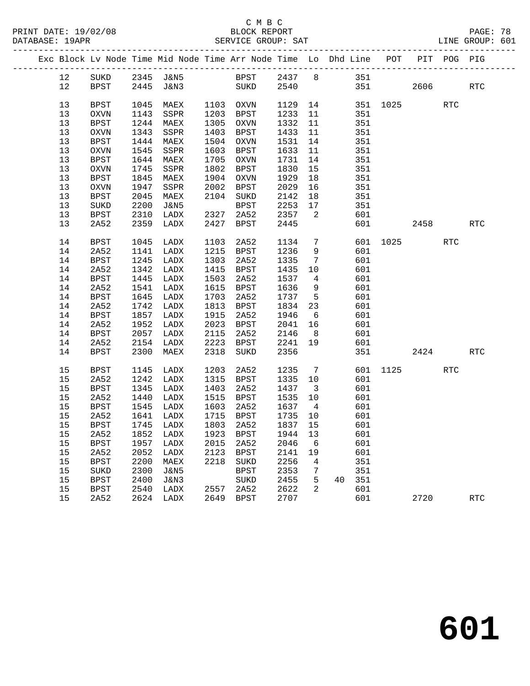|  |    |             |      | Exc Block Lv Node Time Mid Node Time Arr Node Time Lo Dhd Line POT PIT POG PIG |      |                        |         |                          |    |     |                  |      |            |                      |
|--|----|-------------|------|--------------------------------------------------------------------------------|------|------------------------|---------|--------------------------|----|-----|------------------|------|------------|----------------------|
|  | 12 | SUKD        |      | 2345 J&N5 BPST 2437 8 351                                                      |      |                        |         |                          |    |     |                  |      |            |                      |
|  | 12 | BPST        |      | 2445 J&N3 SUKD 2540                                                            |      |                        |         |                          |    |     | 351              | 2606 |            | $\operatorname{RTC}$ |
|  |    |             |      |                                                                                |      |                        |         |                          |    |     |                  |      |            |                      |
|  | 13 | BPST        | 1045 | MAEX                                                                           |      | 1103 OXVN<br>1203 BPST |         |                          |    |     | 1129 14 351 1025 |      | RTC        |                      |
|  | 13 | OXVN        | 1143 | SSPR                                                                           |      |                        | 1233 11 |                          |    | 351 |                  |      |            |                      |
|  | 13 | BPST        | 1244 | MAEX                                                                           |      | 1305 OXVN              | 1332    | 11                       |    | 351 |                  |      |            |                      |
|  | 13 | OXVN        | 1343 | SSPR                                                                           |      | 1403 BPST              | 1433    | 11                       |    | 351 |                  |      |            |                      |
|  | 13 | <b>BPST</b> | 1444 | MAEX                                                                           |      | 1504 OXVN              | 1531    | 14                       |    | 351 |                  |      |            |                      |
|  | 13 | OXVN        | 1545 | SSPR                                                                           |      | 1603 BPST              | 1633    | 11                       |    | 351 |                  |      |            |                      |
|  | 13 | BPST        | 1644 | MAEX                                                                           |      | 1705 OXVN              | 1731 14 |                          |    | 351 |                  |      |            |                      |
|  | 13 | OXVN        | 1745 | SSPR                                                                           |      | 1802 BPST              | 1830    | 15                       |    | 351 |                  |      |            |                      |
|  | 13 | BPST        | 1845 | MAEX                                                                           |      | 1904 OXVN              | 1929    | 18                       |    | 351 |                  |      |            |                      |
|  | 13 | OXVN        | 1947 | SSPR                                                                           |      | 2002 BPST              | 2029    | 16                       |    | 351 |                  |      |            |                      |
|  | 13 | BPST        | 2045 | MAEX                                                                           |      | 2104 SUKD              | 2142    | 18                       |    | 351 |                  |      |            |                      |
|  | 13 | SUKD        | 2200 | J&N5                                                                           |      | BPST                   | 2253 17 |                          |    | 351 |                  |      |            |                      |
|  | 13 | BPST        | 2310 | LADX                                                                           | 2327 | 2A52                   | 2357    | $\overline{\phantom{a}}$ |    | 601 |                  |      |            |                      |
|  | 13 | 2A52        | 2359 | LADX                                                                           | 2427 | BPST                   | 2445    |                          |    |     | 601 000          | 2458 |            | RTC                  |
|  | 14 | BPST        | 1045 | LADX                                                                           | 1103 | 2A52                   | 1134    | $\overline{7}$           |    |     | 601 1025         |      | <b>RTC</b> |                      |
|  | 14 | 2A52        | 1141 | LADX                                                                           |      | 1215 BPST              | 1236    | 9                        |    | 601 |                  |      |            |                      |
|  | 14 | <b>BPST</b> | 1245 | LADX                                                                           |      | 1303 2A52              | 1335    | $\overline{7}$           |    | 601 |                  |      |            |                      |
|  | 14 | 2A52        | 1342 | LADX                                                                           |      | 1415 BPST              | 1435    | 10                       |    | 601 |                  |      |            |                      |
|  | 14 | <b>BPST</b> | 1445 | LADX                                                                           | 1503 | 2A52                   | 1537    | $\overline{4}$           |    | 601 |                  |      |            |                      |
|  | 14 | 2A52        | 1541 | LADX                                                                           |      | 1615 BPST              | 1636    | 9                        |    | 601 |                  |      |            |                      |
|  | 14 | <b>BPST</b> | 1645 | LADX                                                                           | 1703 | 2A52                   | 1737    | 5 <sub>5</sub>           |    | 601 |                  |      |            |                      |
|  | 14 | 2A52        | 1742 | LADX                                                                           |      | 1813 BPST              | 1834 23 |                          |    | 601 |                  |      |            |                      |
|  | 14 | BPST        | 1857 | LADX                                                                           | 1915 | 2A52                   | 1946    | $6\overline{6}$          |    | 601 |                  |      |            |                      |
|  | 14 | 2A52        | 1952 | LADX                                                                           |      | 2023 BPST              | 2041 16 |                          |    | 601 |                  |      |            |                      |
|  | 14 | BPST        | 2057 | LADX                                                                           | 2115 | 2A52                   | 2146    | 8 <sup>8</sup>           |    | 601 |                  |      |            |                      |
|  | 14 | 2A52        | 2154 | LADX                                                                           | 2223 | BPST                   | 2241 19 |                          |    | 601 |                  |      |            |                      |
|  | 14 | BPST        | 2300 | MAEX                                                                           | 2318 | SUKD                   | 2356    |                          |    | 351 |                  | 2424 |            | <b>RTC</b>           |
|  | 15 | BPST        | 1145 | LADX                                                                           | 1203 | 2A52                   | 1235 7  |                          |    |     | 601 1125         |      | RTC        |                      |
|  | 15 | 2A52        | 1242 | LADX                                                                           |      | 1315 BPST              | 1335 10 |                          |    | 601 |                  |      |            |                      |
|  | 15 | BPST        | 1345 | LADX                                                                           | 1403 | 2A52                   | 1437    | $\overline{\mathbf{3}}$  |    | 601 |                  |      |            |                      |
|  | 15 | 2A52        | 1440 | LADX                                                                           |      | 1515 BPST              | 1535 10 |                          |    | 601 |                  |      |            |                      |
|  | 15 | BPST        | 1545 | LADX                                                                           | 1603 | 2A52                   | 1637    | $\overline{4}$           |    | 601 |                  |      |            |                      |
|  | 15 | 2A52        | 1641 | LADX                                                                           |      | 1715 BPST              | 1735 10 |                          |    | 601 |                  |      |            |                      |
|  | 15 | BPST        |      | 1745 LADX                                                                      |      | 1803 2A52              | 1837 15 |                          |    | 601 |                  |      |            |                      |
|  |    |             |      | 15  2A52  1852  LADX  1923  BPST  1944  13  601                                |      |                        |         |                          |    |     |                  |      |            |                      |
|  | 15 | <b>BPST</b> | 1957 | LADX                                                                           | 2015 | 2A52                   | 2046    | 6                        |    | 601 |                  |      |            |                      |
|  | 15 | 2A52        | 2052 | LADX                                                                           | 2123 | <b>BPST</b>            | 2141    | 19                       |    | 601 |                  |      |            |                      |
|  | 15 | <b>BPST</b> | 2200 | MAEX                                                                           | 2218 | SUKD                   | 2256    | $\overline{4}$           |    | 351 |                  |      |            |                      |
|  | 15 | SUKD        | 2300 | J&N5                                                                           |      | BPST                   | 2353    | 7                        |    | 351 |                  |      |            |                      |
|  | 15 | <b>BPST</b> | 2400 | J&N3                                                                           |      | SUKD                   | 2455    | 5                        | 40 | 351 |                  |      |            |                      |
|  | 15 | <b>BPST</b> | 2540 | LADX                                                                           | 2557 | 2A52                   | 2622    | 2                        |    | 601 |                  |      |            |                      |
|  | 15 | 2A52        |      | 2624 LADX                                                                      |      | 2649 BPST              | 2707    |                          |    | 601 |                  | 2720 |            | <b>RTC</b>           |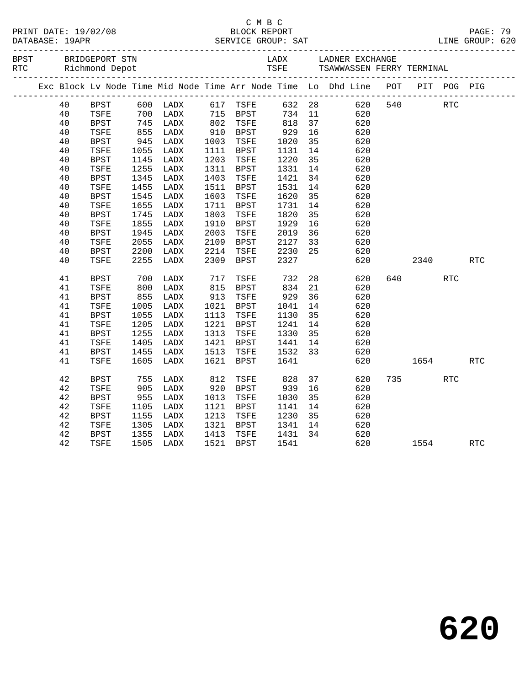| PRINT DATE: 19/02/08<br>DATABASE: 19APR |    |                                      |            |      |      | C M B C              |                    |    |                                                                                |     |             |            |            |  |
|-----------------------------------------|----|--------------------------------------|------------|------|------|----------------------|--------------------|----|--------------------------------------------------------------------------------|-----|-------------|------------|------------|--|
| BPST                                    |    | BRIDGEPORT STN<br>RTC Richmond Depot |            |      |      |                      |                    |    | LADX LADNER EXCHANGE<br>TSFE     TSAWWASSEN FERRY TERMINAL                     |     |             |            |            |  |
|                                         |    |                                      |            |      |      |                      |                    |    | Exc Block Lv Node Time Mid Node Time Arr Node Time Lo Dhd Line POT PIT POG PIG |     |             |            |            |  |
|                                         | 40 | BPST                                 |            |      |      |                      |                    |    | 632 28 620<br>734 11 620                                                       |     | 620 540 RTC |            |            |  |
|                                         | 40 | TSFE                                 |            |      |      |                      |                    |    |                                                                                |     |             |            |            |  |
|                                         | 40 | BPST                                 | 745<br>855 | LADX |      | 802 TSFE<br>910 BPST | 818                | 37 | 620                                                                            |     |             |            |            |  |
|                                         | 40 | TSFE                                 |            | LADX |      |                      | 929<br>1020        | 16 | 620                                                                            |     |             |            |            |  |
|                                         | 40 | BPST                                 | 945        | LADX |      | 1003 TSFE            |                    | 35 | 620                                                                            |     |             |            |            |  |
|                                         | 40 | TSFE                                 | 1055       | LADX |      | 1111 BPST            |                    | 14 | 620                                                                            |     |             |            |            |  |
|                                         | 40 | BPST                                 | 1145       | LADX |      | 1203 TSFE            | 1131<br>1220       | 35 | 620                                                                            |     |             |            |            |  |
|                                         | 40 | TSFE                                 | 1255       | LADX |      | 1311 BPST            | 1331               | 14 | 620                                                                            |     |             |            |            |  |
|                                         | 40 | BPST                                 | 1345       | LADX |      | 1403 TSFE            | 1421               | 34 | 620                                                                            |     |             |            |            |  |
|                                         | 40 | TSFE                                 | 1455       | LADX |      | 1511 BPST            | 1531               | 14 | 620                                                                            |     |             |            |            |  |
|                                         | 40 | BPST                                 | 1545       | LADX | 1603 | TSFE                 | 1620               | 35 | 620                                                                            |     |             |            |            |  |
|                                         | 40 | TSFE                                 | 1655       | LADX |      | 1711 BPST            | 1731               | 14 | 620                                                                            |     |             |            |            |  |
|                                         | 40 | <b>BPST</b>                          | 1745       | LADX | 1803 | TSFE                 |                    | 35 | 620                                                                            |     |             |            |            |  |
|                                         | 40 | TSFE                                 | 1855       | LADX | 1910 | BPST                 | 1820<br>1929       | 16 | 620                                                                            |     |             |            |            |  |
|                                         | 40 | BPST                                 | 1945       | LADX | 2003 | TSFE                 | 2019               | 36 | 620                                                                            |     |             |            |            |  |
|                                         | 40 | TSFE                                 | 2055       | LADX |      | 2109 BPST            | 2127               | 33 | 620                                                                            |     |             |            |            |  |
|                                         | 40 | BPST                                 | 2200       | LADX |      | 2214 TSFE            | 2230               | 25 | 620                                                                            |     |             |            |            |  |
|                                         | 40 | TSFE                                 | 2255       | LADX | 2309 | BPST                 | 2327               |    | 620                                                                            |     | 2340        |            | RTC        |  |
|                                         | 41 | <b>BPST</b>                          | 700<br>800 | LADX |      |                      |                    | 28 | 620                                                                            | 640 |             | <b>RTC</b> |            |  |
|                                         | 41 | TSFE                                 |            | LADX |      | 717 TSFE<br>815 BPST | 732<br>834         | 21 | 620                                                                            |     |             |            |            |  |
|                                         | 41 | BPST                                 | 855        | LADX | 913  | TSFE                 | 929                | 36 | 620                                                                            |     |             |            |            |  |
|                                         | 41 | TSFE                                 | 1005       | LADX |      | 1021 BPST            | 1041               | 14 | 620                                                                            |     |             |            |            |  |
|                                         | 41 | BPST                                 | 1055       | LADX |      | 1113 TSFE            | 1130               | 35 | 620                                                                            |     |             |            |            |  |
|                                         | 41 | TSFE                                 | 1205       | LADX |      | 1221 BPST            | 1241               | 14 | 620                                                                            |     |             |            |            |  |
|                                         | 41 | <b>BPST</b>                          | 1255       | LADX |      | 1313 TSFE            | 1330               | 35 | 620                                                                            |     |             |            |            |  |
|                                         | 41 | TSFE                                 | 1405       | LADX |      | 1421 BPST            |                    |    | 620                                                                            |     |             |            |            |  |
|                                         | 41 | BPST                                 | 1455       | LADX | 1513 | TSFE                 | 1441 14<br>1532 33 |    | 620                                                                            |     |             |            |            |  |
|                                         | 41 | TSFE                                 | 1605       | LADX | 1621 | BPST                 | 1641               |    | 620                                                                            |     |             | 1654       | <b>RTC</b> |  |
|                                         | 42 | <b>BPST</b>                          | 755        | LADX | 812  | TSFE                 | 828                | 37 | 620                                                                            |     | 735 — 13    | RTC        |            |  |
|                                         | 42 | TSFE                                 | 905        | LADX | 920  | BPST                 | 939                | 16 | 620                                                                            |     |             |            |            |  |
|                                         | 42 | <b>BPST</b>                          | 955        | LADX | 1013 | TSFE                 | 1030               | 35 | 620                                                                            |     |             |            |            |  |
|                                         | 42 | TSFE                                 | 1105       | LADX | 1121 | BPST                 | 1141               | 14 | 620                                                                            |     |             |            |            |  |
|                                         | 42 | <b>BPST</b>                          | 1155       | LADX | 1213 | TSFE                 | 1230               | 35 | 620                                                                            |     |             |            |            |  |
|                                         | 42 | TSFE                                 | 1305       | LADX |      | 1321 BPST            | 1341               | 14 | 620                                                                            |     |             |            |            |  |
|                                         | 42 | <b>BPST</b>                          | 1355       | LADX | 1413 | TSFE                 | 1431 34            |    | 620                                                                            |     |             |            |            |  |
|                                         | 42 | TSFE                                 | 1505       | LADX |      | 1521 BPST            | 1541               |    | 620                                                                            |     |             | 1554       | RTC        |  |
|                                         |    |                                      |            |      |      |                      |                    |    |                                                                                |     |             |            |            |  |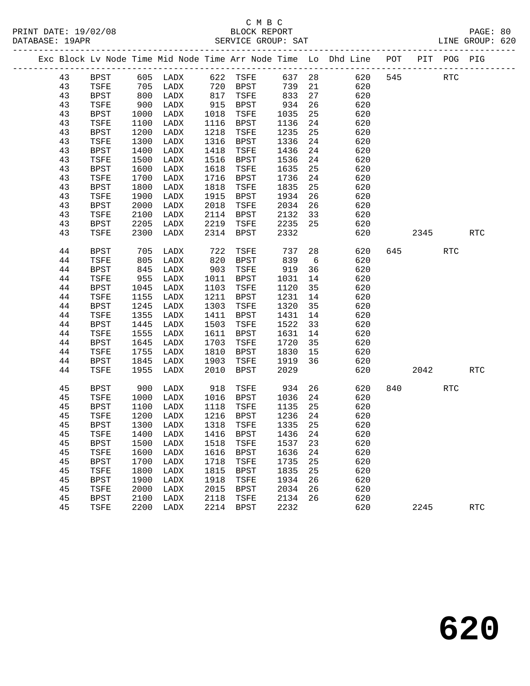|    |             |      |                          |      |             |         |      | Exc Block Lv Node Time Mid Node Time Arr Node Time Lo Dhd Line POT |     |                          | PIT POG PIG |            |
|----|-------------|------|--------------------------|------|-------------|---------|------|--------------------------------------------------------------------|-----|--------------------------|-------------|------------|
| 43 | <b>BPST</b> |      |                          |      |             |         |      |                                                                    | 545 |                          | RTC         |            |
| 43 | TSFE        |      |                          |      |             |         | $21$ |                                                                    |     |                          |             |            |
| 43 | BPST        | 800  | LADX                     | 817  | TSFE        | 833     | 27   | 620                                                                |     |                          |             |            |
| 43 | TSFE        | 900  | LADX                     | 915  | BPST        | 934     | 26   | 620                                                                |     |                          |             |            |
| 43 | <b>BPST</b> | 1000 | LADX                     | 1018 | TSFE        | 1035    | 25   | 620                                                                |     |                          |             |            |
| 43 | TSFE        | 1100 | LADX                     | 1116 | BPST        | 1136    | 24   | 620                                                                |     |                          |             |            |
| 43 | <b>BPST</b> | 1200 | LADX                     | 1218 | TSFE        | 1235    | 25   | 620                                                                |     |                          |             |            |
| 43 | TSFE        | 1300 | LADX                     | 1316 | BPST        | 1336    | 24   | 620                                                                |     |                          |             |            |
| 43 | <b>BPST</b> | 1400 | LADX                     | 1418 | TSFE        | 1436    | 24   | 620                                                                |     |                          |             |            |
| 43 | TSFE        | 1500 | LADX                     | 1516 | BPST        | 1536    | 24   | 620                                                                |     |                          |             |            |
| 43 | BPST        | 1600 | LADX                     | 1618 | TSFE        | 1635    | 25   | 620                                                                |     |                          |             |            |
| 43 | TSFE        | 1700 | LADX                     | 1716 | BPST        | 1736    | 24   | 620                                                                |     |                          |             |            |
| 43 | <b>BPST</b> | 1800 | LADX                     | 1818 | TSFE        | 1835    | 25   | 620                                                                |     |                          |             |            |
| 43 | TSFE        | 1900 | LADX                     | 1915 | BPST        | 1934    | 26   | 620                                                                |     |                          |             |            |
| 43 | <b>BPST</b> | 2000 | LADX                     | 2018 | TSFE        | 2034    | 26   | 620                                                                |     |                          |             |            |
| 43 | TSFE        | 2100 | LADX                     | 2114 | BPST        | 2132    | 33   | 620                                                                |     |                          |             |            |
| 43 | <b>BPST</b> | 2205 | LADX                     | 2219 | TSFE        | 2235    | 25   | 620                                                                |     |                          |             |            |
| 43 | TSFE        | 2300 | LADX                     | 2314 | BPST        | 2332    |      | 620                                                                |     | 2345                     |             | <b>RTC</b> |
| 44 | BPST        | 705  | LADX                     | 722  | TSFE        | 737     | 28   | 620                                                                |     | 645 — 100                | RTC         |            |
| 44 | TSFE        | 805  | LADX                     | 820  | BPST        | 839     | 6    | 620                                                                |     |                          |             |            |
| 44 | <b>BPST</b> | 845  | LADX                     | 903  | TSFE        | 919     | 36   | 620                                                                |     |                          |             |            |
| 44 | TSFE        | 955  | LADX                     | 1011 | BPST        | 1031    | 14   | 620                                                                |     |                          |             |            |
| 44 | BPST        | 1045 | LADX                     | 1103 | TSFE        | 1120    | 35   | 620                                                                |     |                          |             |            |
| 44 | TSFE        | 1155 | LADX                     | 1211 | <b>BPST</b> | 1231    | 14   | 620                                                                |     |                          |             |            |
| 44 | <b>BPST</b> | 1245 | LADX                     | 1303 | TSFE        | 1320    | 35   | 620                                                                |     |                          |             |            |
| 44 | TSFE        | 1355 | LADX                     | 1411 | BPST        | 1431    | 14   | 620                                                                |     |                          |             |            |
| 44 | <b>BPST</b> | 1445 | LADX                     | 1503 | TSFE        | 1522    | 33   | 620                                                                |     |                          |             |            |
| 44 | TSFE        | 1555 | LADX                     | 1611 | BPST        | 1631    | 14   | 620                                                                |     |                          |             |            |
| 44 | <b>BPST</b> | 1645 | LADX                     | 1703 | TSFE        | 1720    | 35   | 620                                                                |     |                          |             |            |
| 44 | TSFE        | 1755 | LADX                     | 1810 | BPST        | 1830    | 15   | 620                                                                |     |                          |             |            |
| 44 | <b>BPST</b> | 1845 | LADX                     | 1903 | TSFE        | 1919    | 36   | 620                                                                |     |                          |             |            |
| 44 | TSFE        | 1955 | LADX                     | 2010 | BPST        | 2029    |      | 620                                                                |     | 2042                     |             | <b>RTC</b> |
| 45 | <b>BPST</b> | 900  | LADX                     | 918  | TSFE        | 934     |      | 26<br>620                                                          |     | 840 and $\overline{840}$ | RTC         |            |
| 45 | TSFE        | 1000 | LADX                     |      | 1016 BPST   | 1036    | 24   | 620                                                                |     |                          |             |            |
| 45 | <b>BPST</b> | 1100 | LADX                     | 1118 | TSFE        | 1135    | 25   | 620                                                                |     |                          |             |            |
| 45 | TSFE        | 1200 | LADX                     | 1216 | BPST        | 1236    | 24   | 620                                                                |     |                          |             |            |
| 45 | <b>BPST</b> | 1300 | LADX                     | 1318 | TSFE        | 1335    | 25   | 620                                                                |     |                          |             |            |
| 45 |             |      | TSFE 1400 LADX 1416 BPST |      |             | 1436 24 |      | 620                                                                |     |                          |             |            |
| 45 | BPST        | 1500 | LADX                     | 1518 | TSFE        | 1537    | 23   | 620                                                                |     |                          |             |            |
| 45 | TSFE        | 1600 | LADX                     | 1616 | <b>BPST</b> | 1636    | 24   | 620                                                                |     |                          |             |            |
| 45 | <b>BPST</b> | 1700 | LADX                     | 1718 | TSFE        | 1735    | 25   | 620                                                                |     |                          |             |            |
| 45 | TSFE        | 1800 | LADX                     | 1815 | <b>BPST</b> | 1835    | 25   | 620                                                                |     |                          |             |            |
| 45 | <b>BPST</b> | 1900 | LADX                     | 1918 | TSFE        | 1934    | 26   | 620                                                                |     |                          |             |            |
| 45 | TSFE        | 2000 | LADX                     | 2015 | BPST        | 2034    | 26   | 620                                                                |     |                          |             |            |
| 45 | <b>BPST</b> | 2100 | LADX                     | 2118 | TSFE        | 2134    | 26   | 620                                                                |     |                          |             |            |
| 45 | TSFE        | 2200 | LADX                     | 2214 | BPST        | 2232    |      | 620                                                                |     | 2245                     |             | <b>RTC</b> |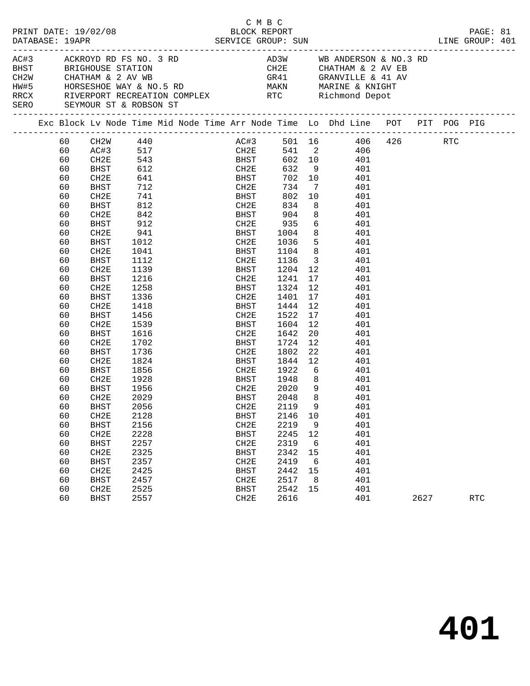| PRINT DATE: 19/02/08<br>DATABASE: 19APR                                   |    | en de la provincia de la provincia de la provincia de la provincia de la provincia de la provincia de la provi<br>La provincia de la provincia de la provincia de la provincia de la provincia de la provincia de la provincia d |            |  | C M B C<br>BLOCK REPORT<br>SERVICE GROUP: SUN |         |                         |                                                                                                                                                                                                              |      | PAGE: 81<br>LINE GROUP: 401 |  |
|---------------------------------------------------------------------------|----|----------------------------------------------------------------------------------------------------------------------------------------------------------------------------------------------------------------------------------|------------|--|-----------------------------------------------|---------|-------------------------|--------------------------------------------------------------------------------------------------------------------------------------------------------------------------------------------------------------|------|-----------------------------|--|
| AC#3 ACKROYD RD FS NO. 3 RD<br><b>BHST</b><br>SERO SEYMOUR ST & ROBSON ST |    |                                                                                                                                                                                                                                  |            |  |                                               |         |                         | AD3W WB ANDERSON & NO.3 RD<br>CH2E         CHATHAM & 2 AV EB<br>GR41          GRANVILLE & 41 AV<br>HW#5 HORSESHOE WAY & NO.5 RD MAKN MARINE & KNIGHT<br>RRCX RIVERPORT RECREATION COMPLEX RTC Richmond Depot |      |                             |  |
|                                                                           |    |                                                                                                                                                                                                                                  |            |  |                                               |         |                         | Exc Block Lv Node Time Mid Node Time Arr Node Time Lo Dhd Line POT PIT POG PIG                                                                                                                               |      |                             |  |
|                                                                           | 60 | ---------<br>CH2W 440<br>AC#3 517<br>CH2E 543                                                                                                                                                                                    |            |  |                                               |         |                         | AC#3 501 16 406 426 RTC<br>CH2E 541 2 406                                                                                                                                                                    |      |                             |  |
|                                                                           | 60 |                                                                                                                                                                                                                                  |            |  |                                               |         |                         |                                                                                                                                                                                                              |      |                             |  |
|                                                                           | 60 |                                                                                                                                                                                                                                  |            |  | <b>BHST</b>                                   |         |                         | 602 10 401                                                                                                                                                                                                   |      |                             |  |
|                                                                           | 60 | BHST                                                                                                                                                                                                                             | 612        |  | CH2E                                          | 632 9   |                         | 401                                                                                                                                                                                                          |      |                             |  |
|                                                                           | 60 | CH2E                                                                                                                                                                                                                             | 641<br>712 |  | BHST<br>CH2E                                  | 702 10  |                         | 401                                                                                                                                                                                                          |      |                             |  |
|                                                                           | 60 | BHST                                                                                                                                                                                                                             |            |  | CH2E                                          | 734     | $7\phantom{0}$          | 401                                                                                                                                                                                                          |      |                             |  |
|                                                                           | 60 | CH2E                                                                                                                                                                                                                             | 741        |  | <b>BHST</b>                                   |         |                         | 802 10 401                                                                                                                                                                                                   |      |                             |  |
|                                                                           | 60 | BHST                                                                                                                                                                                                                             | 812        |  | CH2E                                          | 834     | 8 <sup>8</sup>          | 401                                                                                                                                                                                                          |      |                             |  |
|                                                                           | 60 | CH2E                                                                                                                                                                                                                             | 842        |  | BHST                                          | 904     |                         | 8<br>401                                                                                                                                                                                                     |      |                             |  |
|                                                                           | 60 | BHST                                                                                                                                                                                                                             | 912        |  |                                               |         |                         | CH2E 935 6 401<br>BHST 1004 8 401                                                                                                                                                                            |      |                             |  |
|                                                                           | 60 | CH2E                                                                                                                                                                                                                             | 941        |  |                                               |         |                         |                                                                                                                                                                                                              |      |                             |  |
|                                                                           | 60 | BHST                                                                                                                                                                                                                             | 1012       |  |                                               |         |                         | CH2E 1036 5 401                                                                                                                                                                                              |      |                             |  |
|                                                                           | 60 | CH2E                                                                                                                                                                                                                             | 1041       |  | BHST                                          | 1104    |                         | 8 401                                                                                                                                                                                                        |      |                             |  |
|                                                                           | 60 | <b>BHST</b>                                                                                                                                                                                                                      | 1112       |  | CH2E                                          | 1136    | $\overline{\mathbf{3}}$ | 401                                                                                                                                                                                                          |      |                             |  |
|                                                                           | 60 | CH2E                                                                                                                                                                                                                             | 1139       |  | BHST                                          |         |                         | $1204$ 12 $401$                                                                                                                                                                                              |      |                             |  |
|                                                                           | 60 | BHST                                                                                                                                                                                                                             | 1216       |  | CH2E 1241                                     |         |                         | 17<br>401                                                                                                                                                                                                    |      |                             |  |
|                                                                           | 60 | CH2E                                                                                                                                                                                                                             | 1258       |  | BHST                                          | 1324    | 12                      | 401                                                                                                                                                                                                          |      |                             |  |
|                                                                           | 60 | BHST                                                                                                                                                                                                                             | 1336       |  | CH2E                                          | 1401    | 17                      | 401                                                                                                                                                                                                          |      |                             |  |
|                                                                           | 60 | CH2E                                                                                                                                                                                                                             | 1418       |  | BHST                                          | 1444 12 |                         | 401                                                                                                                                                                                                          |      |                             |  |
|                                                                           | 60 | BHST                                                                                                                                                                                                                             | 1456       |  | CH2E 1522                                     |         |                         | 17<br>401                                                                                                                                                                                                    |      |                             |  |
|                                                                           | 60 | CH2E                                                                                                                                                                                                                             | 1539       |  | BHST                                          | 1604    | 12                      | 401                                                                                                                                                                                                          |      |                             |  |
|                                                                           | 60 | BHST                                                                                                                                                                                                                             | 1616       |  | CH2E                                          | 1642    | 20                      | 401                                                                                                                                                                                                          |      |                             |  |
|                                                                           | 60 | CH2E                                                                                                                                                                                                                             | 1702       |  | BHST                                          | 1724    | 12                      | 401                                                                                                                                                                                                          |      |                             |  |
|                                                                           | 60 | BHST                                                                                                                                                                                                                             | 1736       |  | CH2E                                          | 1802    | 22                      | 401                                                                                                                                                                                                          |      |                             |  |
|                                                                           | 60 | CH2E                                                                                                                                                                                                                             | 1824       |  | BHST                                          | 1844 12 |                         | 401                                                                                                                                                                                                          |      |                             |  |
|                                                                           | 60 | BHST                                                                                                                                                                                                                             | 1856       |  | CH2E 1922 6<br>BHST 1948 8                    |         |                         | $6\overline{6}$<br>401                                                                                                                                                                                       |      |                             |  |
|                                                                           | 60 | CH2E                                                                                                                                                                                                                             | 1928       |  |                                               |         |                         | 401                                                                                                                                                                                                          |      |                             |  |
|                                                                           | 60 | BHST                                                                                                                                                                                                                             | 1956       |  |                                               |         |                         | CH2E 2020 9 401                                                                                                                                                                                              |      |                             |  |
|                                                                           | 60 | CH2E                                                                                                                                                                                                                             | 2029       |  | BHST                                          | 2048    | 8 <sup>8</sup>          | 401                                                                                                                                                                                                          |      |                             |  |
|                                                                           | 60 | <b>BHST</b>                                                                                                                                                                                                                      | 2056       |  | CH2E 2119 9                                   |         |                         | 401                                                                                                                                                                                                          |      |                             |  |
|                                                                           | 60 | CH2E                                                                                                                                                                                                                             | 2128       |  | <b>BHST</b>                                   | 2146    | 10                      | 401                                                                                                                                                                                                          |      |                             |  |
|                                                                           | 60 | <b>BHST</b>                                                                                                                                                                                                                      | 2156       |  | CH2E                                          | 2219    | 9                       | 401                                                                                                                                                                                                          |      |                             |  |
|                                                                           | 60 | CH2E                                                                                                                                                                                                                             | 2228       |  | <b>BHST</b>                                   | 2245    | 12                      | 401                                                                                                                                                                                                          |      |                             |  |
|                                                                           | 60 | <b>BHST</b>                                                                                                                                                                                                                      | 2257       |  | CH2E                                          | 2319    | 6                       | 401                                                                                                                                                                                                          |      |                             |  |
|                                                                           | 60 | CH2E                                                                                                                                                                                                                             | 2325       |  | <b>BHST</b>                                   | 2342    | 15                      | 401                                                                                                                                                                                                          |      |                             |  |
|                                                                           | 60 | <b>BHST</b>                                                                                                                                                                                                                      | 2357       |  | CH2E                                          | 2419    | 6                       | 401                                                                                                                                                                                                          |      |                             |  |
|                                                                           | 60 | CH2E                                                                                                                                                                                                                             | 2425       |  | <b>BHST</b>                                   | 2442    | 15                      | 401                                                                                                                                                                                                          |      |                             |  |
|                                                                           | 60 | <b>BHST</b>                                                                                                                                                                                                                      | 2457       |  | CH2E                                          | 2517    | 8                       | 401                                                                                                                                                                                                          |      |                             |  |
|                                                                           | 60 | CH2E                                                                                                                                                                                                                             | 2525       |  | <b>BHST</b>                                   | 2542    | 15                      | 401                                                                                                                                                                                                          |      |                             |  |
|                                                                           | 60 | <b>BHST</b>                                                                                                                                                                                                                      | 2557       |  | CH2E                                          | 2616    |                         | 401                                                                                                                                                                                                          | 2627 | <b>RTC</b>                  |  |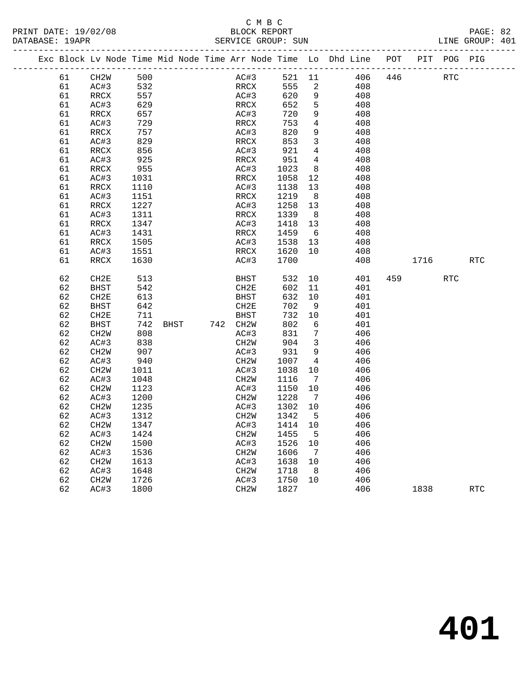### C M B C<br>BLOCK REPORT PRINT DATE: 19/02/08 BLOCK REPORT PAGE: 82 SERVICE GROUP: SUN

|  |          | Exc Block Lv Node Time Mid Node Time Arr Node Time Lo Dhd Line |              |      |          |                           |              |                      |            | POT |      | PIT POG PIG |            |
|--|----------|----------------------------------------------------------------|--------------|------|----------|---------------------------|--------------|----------------------|------------|-----|------|-------------|------------|
|  | 61       | CH <sub>2</sub> W                                              | 500          |      |          | AC#3                      | 521 11       |                      | 406        | 446 |      | <b>RTC</b>  |            |
|  | 61       | AC#3                                                           | 532          |      |          | RRCX                      | 555          | $\overline{a}$       | 408        |     |      |             |            |
|  | 61       | RRCX                                                           | 557          |      |          | AC#3                      | 620          | 9                    | 408        |     |      |             |            |
|  | 61       | AC#3                                                           | 629          |      |          | RRCX                      | 652          | 5                    | 408        |     |      |             |            |
|  | 61       | RRCX                                                           | 657          |      |          | AC#3                      | 720          | 9                    | 408        |     |      |             |            |
|  | 61       | AC#3                                                           | 729          |      |          | RRCX                      | 753          | $\overline{4}$       | 408        |     |      |             |            |
|  | 61       | RRCX                                                           | 757          |      |          | AC#3                      | 820          | 9                    | 408        |     |      |             |            |
|  | 61       | AC#3                                                           | 829          |      |          | RRCX                      | 853          | $\mathbf{3}$         | 408        |     |      |             |            |
|  | 61       | RRCX                                                           | 856          |      |          | AC#3                      | 921          | $\overline{4}$       | 408        |     |      |             |            |
|  | 61       | AC#3                                                           | 925          |      |          | RRCX                      | 951          | $\overline{4}$       | 408        |     |      |             |            |
|  | 61       | RRCX                                                           | 955          |      |          | AC#3                      | 1023         | 8                    | 408        |     |      |             |            |
|  | 61       | AC#3                                                           | 1031         |      |          | RRCX                      | 1058         | 12                   | 408        |     |      |             |            |
|  | 61       | RRCX                                                           | 1110         |      |          | AC#3                      | 1138         | 13                   | 408        |     |      |             |            |
|  | 61       | AC#3                                                           | 1151         |      |          | RRCX                      | 1219         | 8 <sup>8</sup>       | 408        |     |      |             |            |
|  | 61       | RRCX                                                           | 1227         |      |          | AC#3<br>RRCX              | 1258         | 13                   | 408        |     |      |             |            |
|  | 61       | AC#3                                                           | 1311         |      |          |                           | 1339         | 8 <sup>8</sup>       | 408<br>408 |     |      |             |            |
|  | 61<br>61 | RRCX<br>AC#3                                                   | 1347<br>1431 |      |          | AC#3<br>RRCX              | 1418<br>1459 | 13<br>- 6            | 408        |     |      |             |            |
|  | 61       | RRCX                                                           | 1505         |      |          | AC#3                      | 1538         | 13                   | 408        |     |      |             |            |
|  | 61       | AC#3                                                           | 1551         |      |          | RRCX                      | 1620         | 10                   | 408        |     |      |             |            |
|  | 61       | RRCX                                                           | 1630         |      |          | AC#3                      | 1700         |                      | 408        |     | 1716 |             | <b>RTC</b> |
|  |          |                                                                |              |      |          |                           |              |                      |            |     |      |             |            |
|  | 62       | CH2E                                                           | 513          |      |          | <b>BHST</b>               | 532          | 10                   | 401        | 459 |      | <b>RTC</b>  |            |
|  | 62       | <b>BHST</b>                                                    | 542          |      |          | CH2E                      | 602          | 11                   | 401        |     |      |             |            |
|  | 62       | CH2E                                                           | 613          |      |          | BHST                      | 632          | 10                   | 401        |     |      |             |            |
|  | 62       | <b>BHST</b>                                                    | 642          |      |          | CH <sub>2E</sub>          | 702          | 9                    | 401        |     |      |             |            |
|  | 62       | CH <sub>2E</sub>                                               | 711          |      |          | BHST                      | 732          | 10                   | 401        |     |      |             |            |
|  | 62       | <b>BHST</b>                                                    | 742          | BHST | 742 CH2W |                           | 802          | 6                    | 401        |     |      |             |            |
|  | 62       | CH2W                                                           | 808          |      |          | AC#3                      | 831          | 7                    | 406        |     |      |             |            |
|  | 62       | AC#3                                                           | 838          |      |          | CH <sub>2</sub> M         | 904          | 3                    | 406        |     |      |             |            |
|  | 62       | CH <sub>2</sub> W                                              | 907          |      |          | AC#3                      | 931          | 9                    | 406        |     |      |             |            |
|  | 62       | AC#3                                                           | 940          |      |          | CH <sub>2</sub> W         | 1007         | $\overline{4}$       | 406        |     |      |             |            |
|  | 62       | CH <sub>2</sub> W                                              | 1011         |      |          | AC#3                      | 1038         | 10                   | 406        |     |      |             |            |
|  | 62       | AC#3                                                           | 1048         |      |          | CH <sub>2</sub> W         | 1116         | $\overline{7}$       | 406        |     |      |             |            |
|  | 62       | CH <sub>2</sub> W                                              | 1123         |      |          | AC#3                      | 1150         | 10                   | 406        |     |      |             |            |
|  | 62       | AC#3                                                           | 1200         |      |          | CH <sub>2</sub> M         | 1228         | $\overline{7}$       | 406        |     |      |             |            |
|  | 62       | CH <sub>2</sub> W                                              | 1235         |      |          | AC#3                      | 1302         | 10                   | 406        |     |      |             |            |
|  | 62       | AC#3                                                           | 1312         |      |          | CH <sub>2</sub> M         | 1342         | $-5$                 | 406        |     |      |             |            |
|  | 62       | CH2W                                                           | 1347         |      |          | AC#3                      | 1414         | 10                   | 406        |     |      |             |            |
|  | 62       | AC#3                                                           | 1424         |      |          | CH <sub>2</sub> W         | 1455         | - 5                  | 406        |     |      |             |            |
|  | 62       | CH <sub>2</sub> W                                              | 1500         |      |          | AC#3                      | 1526         | 10                   | 406        |     |      |             |            |
|  | 62       | AC#3                                                           | 1536         |      |          | CH <sub>2</sub> M         | 1606         | $\overline{7}$<br>10 | 406<br>406 |     |      |             |            |
|  | 62       | CH <sub>2</sub> M                                              | 1613<br>1648 |      |          | AC#3                      | 1638         | - 8                  |            |     |      |             |            |
|  | 62<br>62 | AC#3                                                           | 1726         |      |          | CH <sub>2</sub> M<br>AC#3 | 1718<br>1750 | 10                   | 406<br>406 |     |      |             |            |
|  | 62       | CH <sub>2</sub> M<br>AC#3                                      | 1800         |      |          | CH <sub>2</sub> W         | 1827         |                      | 406        |     | 1838 |             | <b>RTC</b> |
|  |          |                                                                |              |      |          |                           |              |                      |            |     |      |             |            |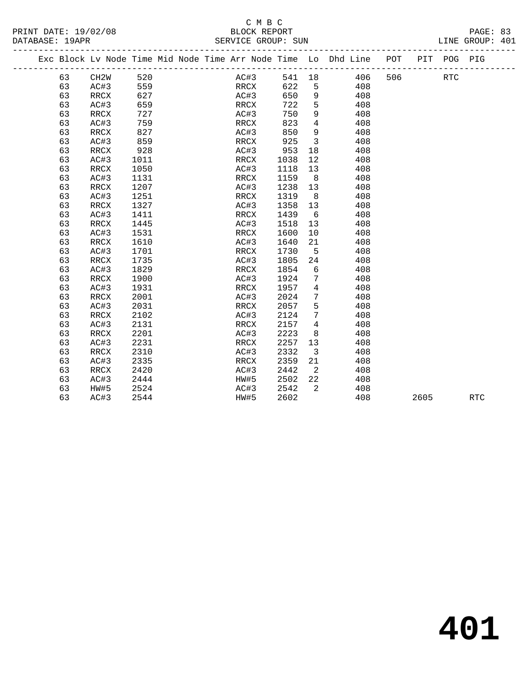# C M B C<br>BLOCK REPORT SERVICE GROUP: SUN

PRINT DATE: 19/02/08 BLOCK REPORT PAGE: 83

|  |    | Exc Block Lv Node Time Mid Node Time Arr Node Time Lo Dhd Line POT |      |  |      |      |      |                            |        |     |     |      | PIT POG PIG |            |
|--|----|--------------------------------------------------------------------|------|--|------|------|------|----------------------------|--------|-----|-----|------|-------------|------------|
|  | 63 | CH <sub>2</sub> W                                                  | 520  |  |      | AC#3 |      |                            | 541 18 | 406 | 506 |      | <b>RTC</b>  |            |
|  | 63 | AC#3                                                               | 559  |  |      | RRCX | 622  | 5                          |        | 408 |     |      |             |            |
|  | 63 | RRCX                                                               | 627  |  | AC#3 |      | 650  | 9                          |        | 408 |     |      |             |            |
|  | 63 | AC#3                                                               | 659  |  | RRCX |      | 722  | 5                          |        | 408 |     |      |             |            |
|  | 63 | RRCX                                                               | 727  |  | AC#3 |      | 750  | 9                          |        | 408 |     |      |             |            |
|  | 63 | AC#3                                                               | 759  |  | RRCX |      | 823  | $\overline{4}$             |        | 408 |     |      |             |            |
|  | 63 | RRCX                                                               | 827  |  | AC#3 |      | 850  | 9                          |        | 408 |     |      |             |            |
|  | 63 | AC#3                                                               | 859  |  | RRCX |      | 925  | $\overline{\mathbf{3}}$    |        | 408 |     |      |             |            |
|  | 63 | RRCX                                                               | 928  |  | AC#3 |      | 953  | 18                         |        | 408 |     |      |             |            |
|  | 63 | AC#3                                                               | 1011 |  | RRCX |      | 1038 | 12                         |        | 408 |     |      |             |            |
|  | 63 | RRCX                                                               | 1050 |  | AC#3 |      | 1118 | 13                         |        | 408 |     |      |             |            |
|  | 63 | AC#3                                                               | 1131 |  | RRCX |      | 1159 | 8 <sup>8</sup>             |        | 408 |     |      |             |            |
|  | 63 | RRCX                                                               | 1207 |  | AC#3 |      | 1238 | 13                         |        | 408 |     |      |             |            |
|  | 63 | AC#3                                                               | 1251 |  | RRCX |      | 1319 | 8 <sup>8</sup>             |        | 408 |     |      |             |            |
|  | 63 | <b>RRCX</b>                                                        | 1327 |  | AC#3 |      | 1358 | 13                         |        | 408 |     |      |             |            |
|  | 63 | AC#3                                                               | 1411 |  | RRCX |      | 1439 | 6                          |        | 408 |     |      |             |            |
|  | 63 | RRCX                                                               | 1445 |  | AC#3 |      | 1518 | 13                         |        | 408 |     |      |             |            |
|  | 63 | AC#3                                                               | 1531 |  | RRCX |      | 1600 | 10                         |        | 408 |     |      |             |            |
|  | 63 | RRCX                                                               | 1610 |  | AC#3 |      | 1640 | 21                         |        | 408 |     |      |             |            |
|  | 63 | AC#3                                                               | 1701 |  | RRCX |      | 1730 | $-5$                       |        | 408 |     |      |             |            |
|  | 63 | RRCX                                                               | 1735 |  | AC#3 |      | 1805 | 24                         |        | 408 |     |      |             |            |
|  | 63 | AC#3                                                               | 1829 |  | RRCX |      | 1854 | 6                          |        | 408 |     |      |             |            |
|  | 63 | RRCX                                                               | 1900 |  | AC#3 |      | 1924 | 7                          |        | 408 |     |      |             |            |
|  | 63 | AC#3                                                               | 1931 |  | RRCX |      | 1957 | $\overline{4}$             |        | 408 |     |      |             |            |
|  | 63 | RRCX                                                               | 2001 |  | AC#3 |      | 2024 | 7                          |        | 408 |     |      |             |            |
|  | 63 | AC#3                                                               | 2031 |  | RRCX |      | 2057 | 5                          |        | 408 |     |      |             |            |
|  | 63 | <b>RRCX</b>                                                        | 2102 |  | AC#3 |      | 2124 | 7                          |        | 408 |     |      |             |            |
|  | 63 | AC#3                                                               | 2131 |  | RRCX |      | 2157 | $\overline{4}$             |        | 408 |     |      |             |            |
|  | 63 | RRCX                                                               | 2201 |  | AC#3 |      | 2223 | 8                          |        | 408 |     |      |             |            |
|  | 63 | AC#3                                                               | 2231 |  | RRCX |      | 2257 | 13                         |        | 408 |     |      |             |            |
|  | 63 | RRCX                                                               | 2310 |  | AC#3 |      | 2332 | $\overline{\mathbf{3}}$    |        | 408 |     |      |             |            |
|  | 63 | AC#3                                                               | 2335 |  | RRCX |      | 2359 | 21                         |        | 408 |     |      |             |            |
|  | 63 | RRCX                                                               | 2420 |  | AC#3 |      | 2442 | $\overline{\phantom{a}}^2$ |        | 408 |     |      |             |            |
|  | 63 | AC#3                                                               | 2444 |  | HW#5 |      | 2502 | 22                         |        | 408 |     |      |             |            |
|  | 63 | HW#5                                                               | 2524 |  | AC#3 |      | 2542 | 2                          |        | 408 |     |      |             |            |
|  | 63 | AC#3                                                               | 2544 |  | HW#5 |      | 2602 |                            |        | 408 |     | 2605 |             | <b>RTC</b> |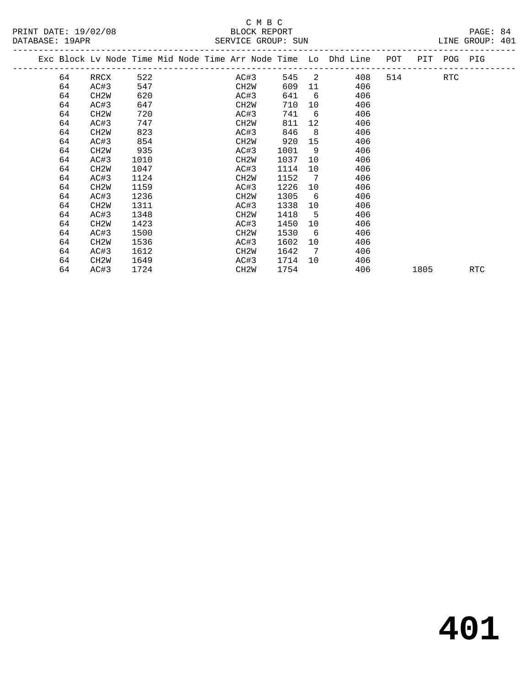# SERVICE GROUP: SUN

|                      | C M B C            |                 |
|----------------------|--------------------|-----------------|
| PRINT DATE: 19/02/08 | BLOCK REPORT       | PAGE: 84        |
| DATABASE: 19APR      | SERVICE GROUP: SUN | LINE GROUP: 401 |

|  | Exc Block Lv Node Time Mid Node Time Arr Node Time Lo Dhd Line |                   |      |  |                   |      |                 |     | POT | PIT  | POG        | PIG        |
|--|----------------------------------------------------------------|-------------------|------|--|-------------------|------|-----------------|-----|-----|------|------------|------------|
|  | 64                                                             | RRCX              | 522  |  | AC#3              | 545  | 2               | 408 | 514 |      | <b>RTC</b> |            |
|  | 64                                                             | AC#3              | 547  |  | CH <sub>2</sub> W | 609  | 11              | 406 |     |      |            |            |
|  | 64                                                             | CH <sub>2</sub> W | 620  |  | AC#3              | 641  | 6               | 406 |     |      |            |            |
|  | 64                                                             | AC#3              | 647  |  | CH <sub>2</sub> W | 710  | 10              | 406 |     |      |            |            |
|  | 64                                                             | CH <sub>2</sub> M | 720  |  | AC#3              | 741  | 6               | 406 |     |      |            |            |
|  | 64                                                             | AC#3              | 747  |  | CH <sub>2</sub> W | 811  | 12 <sup>°</sup> | 406 |     |      |            |            |
|  | 64                                                             | CH <sub>2</sub> M | 823  |  | AC#3              | 846  | 8               | 406 |     |      |            |            |
|  | 64                                                             | AC#3              | 854  |  | CH2W              | 920  | 15              | 406 |     |      |            |            |
|  | 64                                                             | CH <sub>2</sub> W | 935  |  | AC#3              | 1001 | 9               | 406 |     |      |            |            |
|  | 64                                                             | AC#3              | 1010 |  | CH <sub>2</sub> W | 1037 | 10              | 406 |     |      |            |            |
|  | 64                                                             | CH <sub>2</sub> W | 1047 |  | AC#3              | 1114 | 10              | 406 |     |      |            |            |
|  | 64                                                             | AC#3              | 1124 |  | CH <sub>2</sub> W | 1152 | 7               | 406 |     |      |            |            |
|  | 64                                                             | CH <sub>2</sub> M | 1159 |  | AC#3              | 1226 | 10              | 406 |     |      |            |            |
|  | 64                                                             | AC#3              | 1236 |  | CH2W              | 1305 | 6               | 406 |     |      |            |            |
|  | 64                                                             | CH <sub>2</sub> W | 1311 |  | AC#3              | 1338 | 10              | 406 |     |      |            |            |
|  | 64                                                             | AC#3              | 1348 |  | CH <sub>2</sub> W | 1418 | 5               | 406 |     |      |            |            |
|  | 64                                                             | CH <sub>2</sub> M | 1423 |  | AC#3              | 1450 | 10              | 406 |     |      |            |            |
|  | 64                                                             | AC#3              | 1500 |  | CH2W              | 1530 | 6               | 406 |     |      |            |            |
|  | 64                                                             | CH <sub>2</sub> M | 1536 |  | AC#3              | 1602 | 10              | 406 |     |      |            |            |
|  | 64                                                             | AC#3              | 1612 |  | CH2W              | 1642 | 7               | 406 |     |      |            |            |
|  | 64                                                             | CH <sub>2</sub> W | 1649 |  | AC#3              | 1714 | 10              | 406 |     |      |            |            |
|  | 64                                                             | AC#3              | 1724 |  | CH <sub>2</sub> W | 1754 |                 | 406 |     | 1805 |            | <b>RTC</b> |
|  |                                                                |                   |      |  |                   |      |                 |     |     |      |            |            |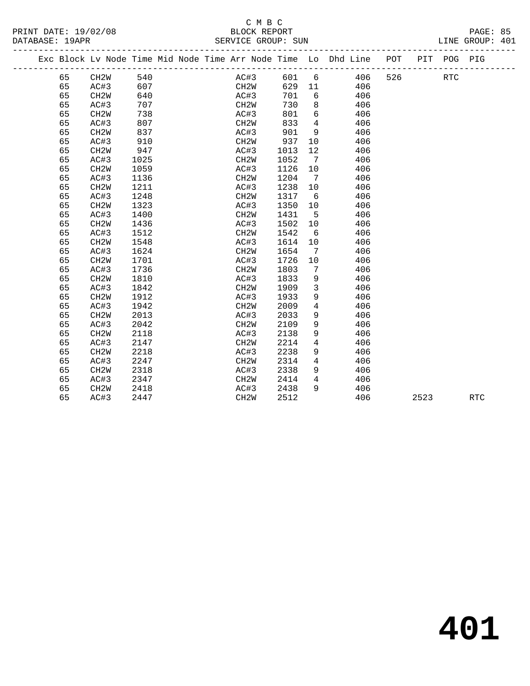PRINT DATE: 19/02/08 BLOCK REPORT BATABASE: 19APR

# C M B C<br>BLOCK REPORT

PAGE: 85<br>LINE GROUP: 401

|  |  | Pi |
|--|--|----|
|  |  |    |

|  |    |                   |      | Exc Block Lv Node Time Mid Node Time Arr Node Time Lo Dhd Line POT |                   |      |                |     |     | PIT  | POG PIG    |            |  |
|--|----|-------------------|------|--------------------------------------------------------------------|-------------------|------|----------------|-----|-----|------|------------|------------|--|
|  | 65 | CH2W              | 540  |                                                                    | AC#3              | 601  | 6              | 406 | 526 |      | <b>RTC</b> |            |  |
|  | 65 | AC#3              | 607  |                                                                    | CH2W              | 629  | 11             | 406 |     |      |            |            |  |
|  | 65 | CH <sub>2</sub> W | 640  |                                                                    | AC#3              | 701  | 6              | 406 |     |      |            |            |  |
|  | 65 | AC#3              | 707  |                                                                    | CH <sub>2</sub> W | 730  | 8              | 406 |     |      |            |            |  |
|  | 65 | CH <sub>2</sub> W | 738  |                                                                    | AC#3              | 801  | 6              | 406 |     |      |            |            |  |
|  | 65 | AC#3              | 807  |                                                                    | CH <sub>2</sub> W | 833  | $\overline{4}$ | 406 |     |      |            |            |  |
|  | 65 | CH <sub>2</sub> W | 837  |                                                                    | AC#3              | 901  | 9              | 406 |     |      |            |            |  |
|  | 65 | AC#3              | 910  |                                                                    | CH <sub>2</sub> W | 937  | 10             | 406 |     |      |            |            |  |
|  | 65 | CH <sub>2</sub> W | 947  |                                                                    | AC#3              | 1013 | 12             | 406 |     |      |            |            |  |
|  | 65 | AC#3              | 1025 |                                                                    | CH <sub>2</sub> W | 1052 | 7              | 406 |     |      |            |            |  |
|  | 65 | CH <sub>2</sub> W | 1059 |                                                                    | AC#3              | 1126 | 10             | 406 |     |      |            |            |  |
|  | 65 | AC#3              | 1136 |                                                                    | CH <sub>2</sub> W | 1204 | 7              | 406 |     |      |            |            |  |
|  | 65 | CH <sub>2</sub> W | 1211 |                                                                    | AC#3              | 1238 | 10             | 406 |     |      |            |            |  |
|  | 65 | AC#3              | 1248 |                                                                    | CH2W              | 1317 | 6              | 406 |     |      |            |            |  |
|  | 65 | CH <sub>2</sub> W | 1323 |                                                                    | AC#3              | 1350 | 10             | 406 |     |      |            |            |  |
|  | 65 | AC#3              | 1400 |                                                                    | CH2W              | 1431 | $5^{\circ}$    | 406 |     |      |            |            |  |
|  | 65 | CH <sub>2</sub> W | 1436 |                                                                    | AC#3              | 1502 | 10             | 406 |     |      |            |            |  |
|  | 65 | AC#3              | 1512 |                                                                    | CH <sub>2</sub> W | 1542 | - 6            | 406 |     |      |            |            |  |
|  | 65 | CH <sub>2</sub> W | 1548 |                                                                    | AC#3              | 1614 | 10             | 406 |     |      |            |            |  |
|  | 65 | AC#3              | 1624 |                                                                    | CH <sub>2</sub> W | 1654 | 7              | 406 |     |      |            |            |  |
|  | 65 | CH <sub>2</sub> W | 1701 |                                                                    | AC#3              | 1726 | 10             | 406 |     |      |            |            |  |
|  | 65 | AC#3              | 1736 |                                                                    | CH <sub>2</sub> W | 1803 | 7              | 406 |     |      |            |            |  |
|  | 65 | CH <sub>2</sub> W | 1810 |                                                                    | AC#3              | 1833 | 9              | 406 |     |      |            |            |  |
|  | 65 | AC#3              | 1842 |                                                                    | CH <sub>2</sub> W | 1909 | $\mathbf{3}$   | 406 |     |      |            |            |  |
|  | 65 | CH <sub>2</sub> W | 1912 |                                                                    | AC#3              | 1933 | 9              | 406 |     |      |            |            |  |
|  | 65 | AC#3              | 1942 |                                                                    | CH <sub>2</sub> W | 2009 | $\overline{4}$ | 406 |     |      |            |            |  |
|  | 65 | CH <sub>2</sub> W | 2013 |                                                                    | AC#3              | 2033 | 9              | 406 |     |      |            |            |  |
|  | 65 | AC#3              | 2042 |                                                                    | CH <sub>2</sub> W | 2109 | 9              | 406 |     |      |            |            |  |
|  | 65 | CH <sub>2</sub> W | 2118 |                                                                    | AC#3              | 2138 | 9              | 406 |     |      |            |            |  |
|  | 65 | AC#3              | 2147 |                                                                    | CH <sub>2</sub> W | 2214 | 4              | 406 |     |      |            |            |  |
|  | 65 | CH <sub>2</sub> W | 2218 |                                                                    | AC#3              | 2238 | 9              | 406 |     |      |            |            |  |
|  | 65 | AC#3              | 2247 |                                                                    | CH <sub>2</sub> W | 2314 | $\overline{4}$ | 406 |     |      |            |            |  |
|  | 65 | CH <sub>2</sub> W | 2318 |                                                                    | AC#3              | 2338 | 9              | 406 |     |      |            |            |  |
|  | 65 | AC#3              | 2347 |                                                                    | CH2W              | 2414 | $\overline{4}$ | 406 |     |      |            |            |  |
|  | 65 | CH <sub>2</sub> W | 2418 |                                                                    | AC#3              | 2438 | 9              | 406 |     |      |            |            |  |
|  | 65 | AC#3              | 2447 |                                                                    | CH <sub>2</sub> W | 2512 |                | 406 |     | 2523 |            | <b>RTC</b> |  |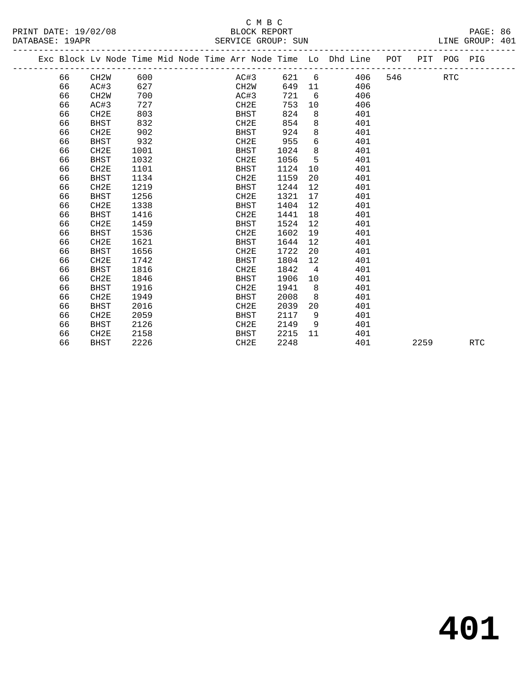# C M B C

|  | DATABASE: 19APR |                                                                                |      |  |                  | SERVICE GROUP: SUN |                   |     |     |      |            | LINE GROUP: 401 |  |
|--|-----------------|--------------------------------------------------------------------------------|------|--|------------------|--------------------|-------------------|-----|-----|------|------------|-----------------|--|
|  |                 | Exc Block Lv Node Time Mid Node Time Arr Node Time Lo Dhd Line POT PIT POG PIG |      |  |                  |                    |                   |     |     |      |            |                 |  |
|  | 66              | CH2W                                                                           | 600  |  | AC#3             | 621 6              |                   | 406 | 546 |      | <b>RTC</b> |                 |  |
|  | 66              | AC#3                                                                           | 627  |  | CH2W             | 649                | 11                | 406 |     |      |            |                 |  |
|  | 66              | CH <sub>2</sub> W                                                              | 700  |  | AC#3             | 721                | 6                 | 406 |     |      |            |                 |  |
|  | 66              | AC#3                                                                           | 727  |  | CH2E             | 753                | 10                | 406 |     |      |            |                 |  |
|  | 66              | CH2E                                                                           | 803  |  | <b>BHST</b>      | 824                | 8                 | 401 |     |      |            |                 |  |
|  | 66              | <b>BHST</b>                                                                    | 832  |  | CH2E             | 854                | 8                 | 401 |     |      |            |                 |  |
|  | 66              | CH2E                                                                           | 902  |  | BHST             | 924                | 8                 | 401 |     |      |            |                 |  |
|  | 66              | <b>BHST</b>                                                                    | 932  |  | CH <sub>2E</sub> | 955                | 6                 | 401 |     |      |            |                 |  |
|  | 66              | CH2E                                                                           | 1001 |  | BHST             | 1024               | 8                 | 401 |     |      |            |                 |  |
|  | 66              | <b>BHST</b>                                                                    | 1032 |  | CH2E             | 1056               | 5                 | 401 |     |      |            |                 |  |
|  | 66              | CH2E                                                                           | 1101 |  | BHST             | 1124               | 10                | 401 |     |      |            |                 |  |
|  | 66              | <b>BHST</b>                                                                    | 1134 |  | CH2E             | 1159               | 20                | 401 |     |      |            |                 |  |
|  | 66              | CH2E                                                                           | 1219 |  | BHST             | 1244               | 12                | 401 |     |      |            |                 |  |
|  | 66              | BHST                                                                           | 1256 |  | CH2E             | 1321               | 17                | 401 |     |      |            |                 |  |
|  | 66              | CH2E                                                                           | 1338 |  | <b>BHST</b>      | 1404               | $12 \overline{ }$ | 401 |     |      |            |                 |  |
|  | 66              | <b>BHST</b>                                                                    | 1416 |  | CH2E             | 1441               | 18                | 401 |     |      |            |                 |  |
|  | 66              | CH2E                                                                           | 1459 |  | <b>BHST</b>      | 1524               | 12                | 401 |     |      |            |                 |  |
|  | 66              | BHST                                                                           | 1536 |  | CH <sub>2E</sub> | 1602               | 19                | 401 |     |      |            |                 |  |
|  | 66              | CH2E                                                                           | 1621 |  | BHST             | 1644               | 12                | 401 |     |      |            |                 |  |
|  | 66              | <b>BHST</b>                                                                    | 1656 |  | CH2E             | 1722               | 20                | 401 |     |      |            |                 |  |
|  | 66              | CH2E                                                                           | 1742 |  | <b>BHST</b>      | 1804               | $12 \overline{ }$ | 401 |     |      |            |                 |  |
|  | 66              | BHST                                                                           | 1816 |  | CH <sub>2E</sub> | 1842               | $4\overline{ }$   | 401 |     |      |            |                 |  |
|  | 66              | CH2E                                                                           | 1846 |  | BHST             | 1906               | 10                | 401 |     |      |            |                 |  |
|  | 66              | BHST                                                                           | 1916 |  | CH2E             | 1941               | 8                 | 401 |     |      |            |                 |  |
|  | 66              | CH2E                                                                           | 1949 |  | BHST             | 2008               | 8                 | 401 |     |      |            |                 |  |
|  | 66              | <b>BHST</b>                                                                    | 2016 |  | CH2E             | 2039               | 20                | 401 |     |      |            |                 |  |
|  | 66              | CH <sub>2E</sub>                                                               | 2059 |  | <b>BHST</b>      | 2117               | 9                 | 401 |     |      |            |                 |  |
|  | 66              | BHST                                                                           | 2126 |  | CH2E             | 2149               | 9                 | 401 |     |      |            |                 |  |
|  | 66              | CH2E                                                                           | 2158 |  | BHST             | 2215               | 11                | 401 |     |      |            |                 |  |
|  | 66              | <b>BHST</b>                                                                    | 2226 |  | CH <sub>2E</sub> | 2248               |                   | 401 |     | 2259 |            | <b>RTC</b>      |  |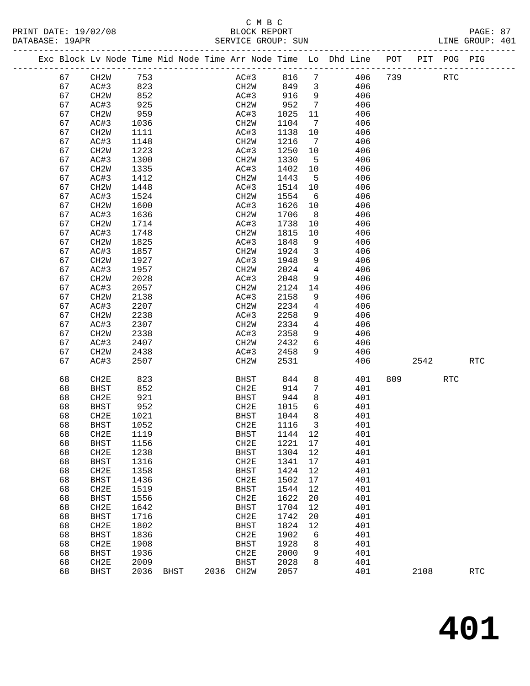PRINT DATE: 19/02/08 BLOCK REPORT PAGE: 87 DATABASE: 19APR

# C M B C<br>BLOCK REPORT

| DAIABASE · IYAPR |    |                   |      |  |      |      | SERVICE GROUP: SUN |    |                                                                    |         |             | LINE GROUP: 401 |  |
|------------------|----|-------------------|------|--|------|------|--------------------|----|--------------------------------------------------------------------|---------|-------------|-----------------|--|
|                  |    |                   |      |  |      |      |                    |    | Exc Block Lv Node Time Mid Node Time Arr Node Time Lo Dhd Line POT |         | PIT POG PIG |                 |  |
|                  | 67 | CH2W              | 753  |  |      | AC#3 | 816 7              |    |                                                                    | 406 739 | RTC         |                 |  |
|                  | 67 | AC#3              | 823  |  | CH2W |      | 849                | 3  | 406                                                                |         |             |                 |  |
|                  | 67 | CH2W              | 852  |  | AC#3 |      | 916                | 9  | 406                                                                |         |             |                 |  |
|                  | 67 | AC#3              | 925  |  | CH2W |      | 952                | 7  | 406                                                                |         |             |                 |  |
|                  | 67 | CH2W              | 959  |  | AC#3 |      | 1025               | 11 | 406                                                                |         |             |                 |  |
|                  | 67 | AC#3              | 1036 |  | CH2W |      | 1104               | 7  | 406                                                                |         |             |                 |  |
|                  | 67 | CH <sub>2</sub> W | 1111 |  | AC#3 |      | 1138               | 10 | 406                                                                |         |             |                 |  |
|                  | 67 | AC#3              | 1148 |  | CH2W |      | 1216               | 7  | 406                                                                |         |             |                 |  |
|                  | 67 | CH2W              | 1223 |  | AC#3 |      | 1250               | 10 | 406                                                                |         |             |                 |  |
|                  | 67 | AC#3              | 1300 |  | CH2W |      | 1330               | 5  | 406                                                                |         |             |                 |  |
|                  | 67 | CH <sub>2</sub> W | 1335 |  | AC#3 |      | 1402               | 10 | 406                                                                |         |             |                 |  |
|                  | 67 | AC#3              | 1412 |  | CH2W |      | 1443               | .5 | 406                                                                |         |             |                 |  |
|                  | 67 | CH <sub>2</sub> W | 1448 |  | AC#3 |      | 1514               | 10 | 406                                                                |         |             |                 |  |
|                  | 67 | AC#3              | 1524 |  | CH2W |      | 1554               | 6  | 406                                                                |         |             |                 |  |
|                  | 67 | CH <sub>2</sub> W | 1600 |  | AC#3 |      | 1626               | 10 | 406                                                                |         |             |                 |  |
|                  | 67 | AC#3              | 1636 |  | CH2W |      | 1706               | 8  | 406                                                                |         |             |                 |  |

| 67 | AC#3              | 1412 |             |      | CH <sub>2</sub> M | 1443 | 5              | 406 |     |      |            |                      |
|----|-------------------|------|-------------|------|-------------------|------|----------------|-----|-----|------|------------|----------------------|
| 67 | CH2W              | 1448 |             |      | AC#3              | 1514 | 10             | 406 |     |      |            |                      |
| 67 | AC#3              | 1524 |             |      | CH2W              | 1554 | 6              | 406 |     |      |            |                      |
| 67 | CH2W              | 1600 |             |      | AC#3              | 1626 | $10$           | 406 |     |      |            |                      |
| 67 | AC#3              | 1636 |             |      | CH2W              | 1706 | $\,8\,$        | 406 |     |      |            |                      |
| 67 | CH <sub>2</sub> W | 1714 |             |      | AC#3              | 1738 | $10$           | 406 |     |      |            |                      |
| 67 | AC#3              | 1748 |             |      | CH2W              | 1815 | $10$           | 406 |     |      |            |                      |
| 67 | CH2W              | 1825 |             |      | AC#3              | 1848 | 9              | 406 |     |      |            |                      |
| 67 | AC#3              | 1857 |             |      | CH2W              | 1924 | 3              | 406 |     |      |            |                      |
| 67 | CH <sub>2</sub> W | 1927 |             |      | AC#3              | 1948 | 9              | 406 |     |      |            |                      |
| 67 | AC#3              | 1957 |             |      | CH2W              | 2024 | $\overline{4}$ | 406 |     |      |            |                      |
| 67 | CH2W              | 2028 |             |      | AC#3              | 2048 | 9              | 406 |     |      |            |                      |
| 67 | AC#3              | 2057 |             |      | CH2W              | 2124 | 14             | 406 |     |      |            |                      |
| 67 | CH <sub>2</sub> W | 2138 |             |      | AC#3              | 2158 | $\mathsf 9$    | 406 |     |      |            |                      |
| 67 | AC#3              | 2207 |             |      | CH2W              | 2234 | $\overline{4}$ | 406 |     |      |            |                      |
| 67 | CH <sub>2</sub> W | 2238 |             |      | AC#3              | 2258 | 9              | 406 |     |      |            |                      |
| 67 | AC#3              | 2307 |             |      | CH2W              | 2334 | $\overline{4}$ | 406 |     |      |            |                      |
| 67 | CH <sub>2</sub> W | 2338 |             |      | AC#3              | 2358 | 9              | 406 |     |      |            |                      |
| 67 | AC#3              | 2407 |             |      | CH2W              | 2432 | 6              | 406 |     |      |            |                      |
| 67 | CH2W              | 2438 |             |      | AC#3              | 2458 | 9              | 406 |     |      |            |                      |
| 67 | AC#3              | 2507 |             |      | CH2W              | 2531 |                | 406 |     | 2542 |            | $\operatorname{RTC}$ |
|    |                   |      |             |      |                   |      |                |     |     |      |            |                      |
| 68 | CH2E              | 823  |             |      | <b>BHST</b>       | 844  | $\,8\,$        | 401 | 809 |      | <b>RTC</b> |                      |
| 68 | <b>BHST</b>       | 852  |             |      | CH2E              | 914  | $\overline{7}$ | 401 |     |      |            |                      |
| 68 | CH2E              | 921  |             |      | <b>BHST</b>       | 944  | $\,8\,$        | 401 |     |      |            |                      |
| 68 | <b>BHST</b>       | 952  |             |      | CH2E              | 1015 | 6              | 401 |     |      |            |                      |
| 68 | CH2E              | 1021 |             |      | <b>BHST</b>       | 1044 | $\,8\,$        | 401 |     |      |            |                      |
| 68 | <b>BHST</b>       | 1052 |             |      | CH2E              | 1116 | $\mathbf{3}$   | 401 |     |      |            |                      |
| 68 | CH2E              | 1119 |             |      | <b>BHST</b>       | 1144 | $1\,2$         | 401 |     |      |            |                      |
| 68 | <b>BHST</b>       | 1156 |             |      | CH2E              | 1221 | $17\,$         | 401 |     |      |            |                      |
| 68 | CH2E              | 1238 |             |      | $_{\rm BHST}$     | 1304 | $12\,$         | 401 |     |      |            |                      |
| 68 | <b>BHST</b>       | 1316 |             |      | CH2E              | 1341 | 17             | 401 |     |      |            |                      |
| 68 | CH2E              | 1358 |             |      | <b>BHST</b>       | 1424 | $12\,$         | 401 |     |      |            |                      |
| 68 | <b>BHST</b>       | 1436 |             |      | CH2E              | 1502 | $17$           | 401 |     |      |            |                      |
| 68 | CH2E              | 1519 |             |      | <b>BHST</b>       | 1544 | 12             | 401 |     |      |            |                      |
| 68 | <b>BHST</b>       | 1556 |             |      | CH2E              | 1622 | 20             | 401 |     |      |            |                      |
| 68 | CH2E              | 1642 |             |      | <b>BHST</b>       | 1704 | 12             | 401 |     |      |            |                      |
| 68 | <b>BHST</b>       | 1716 |             |      | CH2E              | 1742 | 20             | 401 |     |      |            |                      |
| 68 | CH2E              | 1802 |             |      | <b>BHST</b>       | 1824 | 12             | 401 |     |      |            |                      |
| 68 |                   | 1836 |             |      | CH2E              | 1902 |                |     |     |      |            |                      |
|    | <b>BHST</b>       |      |             |      |                   |      | $\epsilon$     | 401 |     |      |            |                      |
| 68 | CH2E              | 1908 |             |      | <b>BHST</b>       | 1928 | $\,8\,$        | 401 |     |      |            |                      |
| 68 | <b>BHST</b>       | 1936 |             |      | CH2E              | 2000 | 9<br>8         | 401 |     |      |            |                      |
| 68 | CH2E              | 2009 |             |      | <b>BHST</b>       | 2028 |                | 401 |     |      |            |                      |
| 68 | <b>BHST</b>       | 2036 | <b>BHST</b> | 2036 | CH <sub>2</sub> W | 2057 |                | 401 |     | 2108 |            | <b>RTC</b>           |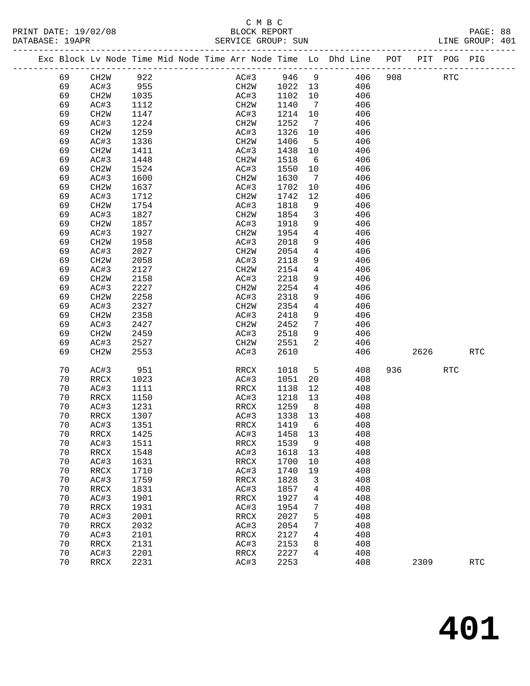#### C M B C<br>BLOCK REPORT PRINT DATE: 19/02/08 BLOCK REPORT PAGE: 88 SERVICE GROUP: SUN

|  |          |                     |              |  |                                  |              |                 | Exc Block Lv Node Time Mid Node Time Arr Node Time Lo Dhd Line POT |     |      | PIT POG PIG |                      |
|--|----------|---------------------|--------------|--|----------------------------------|--------------|-----------------|--------------------------------------------------------------------|-----|------|-------------|----------------------|
|  | 69       | CH2W                | 922          |  | AC#3                             | 946          | 9               | 406                                                                | 908 |      | <b>RTC</b>  |                      |
|  | 69       | AC#3                | 955          |  | CH2W                             | 1022         | 13              | 406                                                                |     |      |             |                      |
|  | 69       | CH2W                | 1035         |  | AC#3                             | 1102         | 10              | 406                                                                |     |      |             |                      |
|  | 69       | AC#3                | 1112         |  | CH2W                             | 1140         | $7\phantom{.0}$ | 406                                                                |     |      |             |                      |
|  | 69       | CH <sub>2</sub> W   | 1147         |  | AC#3                             | 1214         | 10              | 406                                                                |     |      |             |                      |
|  | 69       | AC#3                | 1224         |  | CH <sub>2</sub> M                | 1252         | 7               | 406                                                                |     |      |             |                      |
|  | 69       |                     | 1259         |  | AC#3                             | 1326         |                 | 406                                                                |     |      |             |                      |
|  |          | CH <sub>2</sub> W   |              |  |                                  |              | 10              |                                                                    |     |      |             |                      |
|  | 69       | AC#3                | 1336         |  | CH <sub>2</sub> M                | 1406         | 5               | 406                                                                |     |      |             |                      |
|  | 69       | CH <sub>2</sub> W   | 1411         |  | AC#3                             | 1438         | 10              | 406                                                                |     |      |             |                      |
|  | 69       | AC#3                | 1448         |  | CH <sub>2</sub> M                | 1518         | 6               | 406                                                                |     |      |             |                      |
|  | 69       | CH <sub>2</sub> W   | 1524         |  | AC#3                             | 1550         | 10              | 406                                                                |     |      |             |                      |
|  | 69       | AC#3                | 1600         |  | CH <sub>2</sub> M                | 1630         | $7\phantom{.0}$ | 406                                                                |     |      |             |                      |
|  | 69       | CH <sub>2</sub> W   | 1637         |  | AC#3                             | 1702         | 10              | 406                                                                |     |      |             |                      |
|  | 69       | AC#3                | 1712         |  | CH <sub>2</sub> W                | 1742         | 12              | 406                                                                |     |      |             |                      |
|  | 69       | CH <sub>2</sub> W   | 1754         |  | AC#3                             | 1818         | 9               | 406                                                                |     |      |             |                      |
|  | 69       | AC#3                | 1827         |  | CH <sub>2</sub> M                | 1854         | $\mathbf{3}$    | 406                                                                |     |      |             |                      |
|  | 69       | CH <sub>2</sub> W   | 1857         |  | AC#3                             | 1918         | 9               | 406                                                                |     |      |             |                      |
|  | 69       | AC#3                | 1927         |  | CH2W                             | 1954         | $\overline{4}$  | 406                                                                |     |      |             |                      |
|  | 69       | CH <sub>2</sub> W   | 1958         |  | AC#3                             | 2018         | 9               | 406                                                                |     |      |             |                      |
|  | 69       | AC#3                | 2027         |  | CH <sub>2</sub> M                | 2054         | 4               | 406                                                                |     |      |             |                      |
|  | 69       | CH <sub>2</sub> W   | 2058         |  | AC#3                             | 2118         | 9               | 406                                                                |     |      |             |                      |
|  | 69       | AC#3                | 2127         |  | CH <sub>2</sub> M                | 2154         | 4               | 406                                                                |     |      |             |                      |
|  | 69       | CH <sub>2</sub> W   | 2158         |  | AC#3                             | 2218         | 9               | 406                                                                |     |      |             |                      |
|  | 69       | AC#3                | 2227         |  | CH <sub>2</sub> M                | 2254         | $\overline{4}$  | 406                                                                |     |      |             |                      |
|  | 69       | CH <sub>2</sub> W   | 2258         |  | AC#3                             | 2318         | 9               | 406                                                                |     |      |             |                      |
|  | 69       | AC#3                | 2327         |  | CH <sub>2</sub> M                | 2354         | 4               | 406                                                                |     |      |             |                      |
|  | 69       | CH <sub>2</sub> W   | 2358         |  | AC#3                             | 2418         | 9               | 406                                                                |     |      |             |                      |
|  | 69       | AC#3                | 2427         |  | CH <sub>2</sub> M                | 2452         | 7               | 406                                                                |     |      |             |                      |
|  | 69       | CH <sub>2</sub> W   | 2459         |  | AC#3                             | 2518         | 9               | 406                                                                |     |      |             |                      |
|  | 69       | AC#3                | 2527         |  | CH <sub>2</sub> W                | 2551         | 2               | 406                                                                |     |      |             |                      |
|  | 69       | CH <sub>2</sub> W   | 2553         |  | AC#3                             | 2610         |                 | 406                                                                |     | 2626 |             | $\operatorname{RTC}$ |
|  |          |                     |              |  |                                  |              |                 |                                                                    |     |      |             |                      |
|  | 70       | AC#3                | 951          |  | RRCX                             | 1018         | 5               | 408                                                                | 936 |      | <b>RTC</b>  |                      |
|  | 70       | RRCX                | 1023         |  | AC#3                             | 1051         | 20              | 408                                                                |     |      |             |                      |
|  | 70       | AC#3                | 1111         |  | RRCX                             | 1138         | 12              | 408                                                                |     |      |             |                      |
|  | 70       | RRCX                | 1150         |  | AC#3                             | 1218         | 13              | 408                                                                |     |      |             |                      |
|  | 70       | AC#3                | 1231         |  | RRCX                             | 1259         | 8 <sup>8</sup>  | 408                                                                |     |      |             |                      |
|  | 70       | RRCX                | 1307         |  | AC#3                             | 1338         | 13              | 408                                                                |     |      |             |                      |
|  | 70       | AC#3                | 1351         |  | RRCX                             | 1419         | - 6             | 408                                                                |     |      |             |                      |
|  | 70       | RRCX                | 1425         |  | AC#3                             | 1458 13      |                 | 408                                                                |     |      |             |                      |
|  | 70       | AC#3                | 1511         |  | RRCX                             | 1539         | 9               | 408                                                                |     |      |             |                      |
|  | 70       | RRCX                | 1548         |  | AC#3                             | 1618         | 13              | 408                                                                |     |      |             |                      |
|  | 70       | AC#3                | 1631         |  | RRCX                             | 1700         | 10              | 408                                                                |     |      |             |                      |
|  | 70       | <b>RRCX</b>         | 1710         |  | AC#3                             | 1740         | 19              | 408                                                                |     |      |             |                      |
|  | 70       | AC#3                | 1759         |  | RRCX                             | 1828         | 3               | 408                                                                |     |      |             |                      |
|  | 70       | <b>RRCX</b>         | 1831         |  | AC#3                             | 1857         | 4               | 408                                                                |     |      |             |                      |
|  | 70       | AC#3                | 1901         |  | <b>RRCX</b>                      | 1927         | 4               | 408                                                                |     |      |             |                      |
|  | 70       | RRCX                | 1931         |  | AC#3                             | 1954         | 7               | 408                                                                |     |      |             |                      |
|  | 70       | AC#3                | 2001         |  |                                  | 2027         |                 | 408                                                                |     |      |             |                      |
|  | 70       |                     | 2032         |  | RRCX                             | 2054         | 5<br>7          | 408                                                                |     |      |             |                      |
|  |          | <b>RRCX</b>         |              |  | AC#3                             |              |                 | 408                                                                |     |      |             |                      |
|  |          |                     |              |  |                                  |              |                 |                                                                    |     |      |             |                      |
|  | 70       | AC#3                | 2101         |  | RRCX                             | 2127         | 4               |                                                                    |     |      |             |                      |
|  | 70       | RRCX                | 2131         |  | AC#3                             | 2153         | 8               | 408                                                                |     |      |             |                      |
|  | 70<br>70 | AC#3<br><b>RRCX</b> | 2201<br>2231 |  | $\mathop{\mathrm{RRCX}}$<br>AC#3 | 2227<br>2253 | 4               | 408<br>408                                                         |     | 2309 |             | <b>RTC</b>           |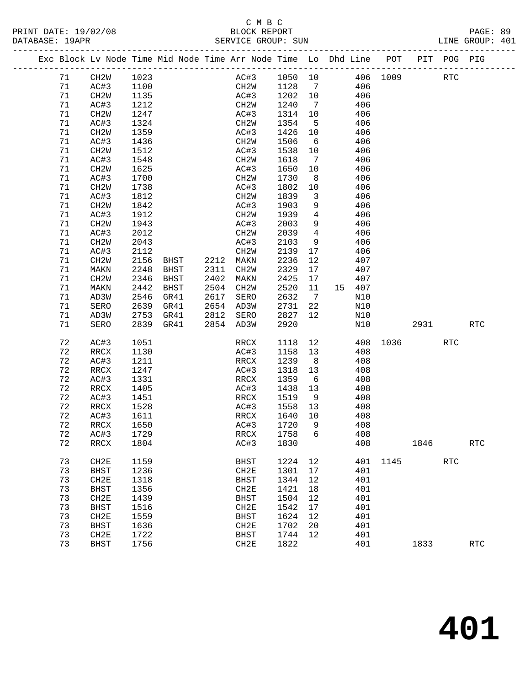### C M B C<br>BLOCK REPORT SERVICE GROUP: SUN

|  |    | Exc Block Lv Node Time Mid Node Time Arr Node Time Lo Dhd Line POT |      |      |      |                   |         |                              |    |     |          |      | PIT POG PIG |                      |
|--|----|--------------------------------------------------------------------|------|------|------|-------------------|---------|------------------------------|----|-----|----------|------|-------------|----------------------|
|  | 71 | CH2W                                                               | 1023 |      |      | AC#3              | 1050 10 |                              |    |     | 406 1009 |      | <b>RTC</b>  |                      |
|  | 71 | AC#3                                                               | 1100 |      |      | CH2W              | 1128    | $\overline{7}$               |    | 406 |          |      |             |                      |
|  | 71 | CH2W                                                               | 1135 |      |      | AC#3              | 1202    | 10                           |    | 406 |          |      |             |                      |
|  | 71 | AC#3                                                               | 1212 |      |      | CH <sub>2</sub> W | 1240    | $\overline{7}$               |    | 406 |          |      |             |                      |
|  | 71 | CH2W                                                               | 1247 |      |      | AC#3              | 1314    | 10                           |    | 406 |          |      |             |                      |
|  | 71 | AC#3                                                               | 1324 |      |      | CH2W              | 1354    | $5^{\circ}$                  |    | 406 |          |      |             |                      |
|  | 71 | CH <sub>2</sub> W                                                  | 1359 |      |      | AC#3              | 1426    | 10                           |    | 406 |          |      |             |                      |
|  | 71 | AC#3                                                               | 1436 |      |      | CH2W              | 1506    | 6                            |    | 406 |          |      |             |                      |
|  | 71 | CH2W                                                               | 1512 |      |      | AC#3              | 1538    | 10                           |    | 406 |          |      |             |                      |
|  | 71 | AC#3                                                               | 1548 |      |      | CH <sub>2</sub> W | 1618    | $7\phantom{.0}\phantom{.0}7$ |    | 406 |          |      |             |                      |
|  | 71 | CH <sub>2</sub> W                                                  | 1625 |      |      | AC#3              | 1650    | 10                           |    | 406 |          |      |             |                      |
|  | 71 | AC#3                                                               | 1700 |      |      | CH2W              | 1730    | 8                            |    | 406 |          |      |             |                      |
|  | 71 | CH2W                                                               | 1738 |      |      | AC#3              | 1802    | 10                           |    | 406 |          |      |             |                      |
|  | 71 | AC#3                                                               | 1812 |      |      | CH <sub>2</sub> W | 1839    | $\mathbf{3}$                 |    | 406 |          |      |             |                      |
|  | 71 | CH <sub>2</sub> W                                                  | 1842 |      |      | AC#3              | 1903    | 9                            |    | 406 |          |      |             |                      |
|  | 71 | AC#3                                                               | 1912 |      |      | CH2W              | 1939    | $\overline{4}$               |    | 406 |          |      |             |                      |
|  | 71 | CH <sub>2</sub> W                                                  | 1943 |      |      | AC#3              | 2003    | 9                            |    | 406 |          |      |             |                      |
|  | 71 | AC#3                                                               | 2012 |      |      | CH2W              | 2039    | $4\overline{ }$              |    | 406 |          |      |             |                      |
|  | 71 | CH <sub>2</sub> W                                                  | 2043 |      |      | AC#3              | 2103    | 9                            |    | 406 |          |      |             |                      |
|  | 71 | AC#3                                                               | 2112 |      |      | CH <sub>2</sub> M | 2139    | 17                           |    | 406 |          |      |             |                      |
|  | 71 | CH <sub>2</sub> W                                                  | 2156 | BHST |      | 2212 MAKN         | 2236    | 12                           |    | 407 |          |      |             |                      |
|  | 71 | MAKN                                                               | 2248 | BHST | 2311 | CH2W              | 2329    | 17                           |    | 407 |          |      |             |                      |
|  | 71 | CH <sub>2</sub> W                                                  | 2346 | BHST | 2402 | MAKN              | 2425    | 17                           |    | 407 |          |      |             |                      |
|  | 71 | MAKN                                                               | 2442 | BHST | 2504 | CH2W              | 2520    | 11                           | 15 | 407 |          |      |             |                      |
|  | 71 | AD3W                                                               | 2546 | GR41 | 2617 | SERO              | 2632    | $7\overline{ }$              |    | N10 |          |      |             |                      |
|  | 71 | SERO                                                               | 2639 | GR41 | 2654 | AD3W              | 2731    | 22                           |    | N10 |          |      |             |                      |
|  | 71 | AD3W                                                               | 2753 | GR41 | 2812 | SERO              | 2827    | 12                           |    | N10 |          |      |             |                      |
|  | 71 | <b>SERO</b>                                                        | 2839 | GR41 | 2854 | AD3W              | 2920    |                              |    | N10 |          | 2931 |             | <b>RTC</b>           |
|  | 72 | AC#3                                                               | 1051 |      |      | RRCX              | 1118    | 12                           |    | 408 | 1036     |      | <b>RTC</b>  |                      |
|  | 72 | RRCX                                                               | 1130 |      |      | AC#3              | 1158    | 13                           |    | 408 |          |      |             |                      |
|  | 72 | AC#3                                                               | 1211 |      |      | RRCX              | 1239    | 8                            |    | 408 |          |      |             |                      |
|  | 72 | RRCX                                                               | 1247 |      |      | AC#3              | 1318    | 13                           |    | 408 |          |      |             |                      |
|  | 72 | AC#3                                                               | 1331 |      |      | RRCX              | 1359    | 6                            |    | 408 |          |      |             |                      |
|  | 72 | RRCX                                                               | 1405 |      |      | AC#3              | 1438    | 13                           |    | 408 |          |      |             |                      |
|  | 72 | AC#3                                                               | 1451 |      |      | RRCX              | 1519    | 9                            |    | 408 |          |      |             |                      |
|  | 72 | RRCX                                                               | 1528 |      |      | AC#3              | 1558    | 13                           |    | 408 |          |      |             |                      |
|  | 72 | AC#3                                                               | 1611 |      |      | RRCX              | 1640    | 10                           |    | 408 |          |      |             |                      |
|  | 72 | RRCX                                                               | 1650 |      |      | AC#3              | 1720    | 9                            |    | 408 |          |      |             |                      |
|  | 72 | AC#3                                                               | 1729 |      |      | RRCX              | 1758    | 6                            |    | 408 |          |      |             |                      |
|  | 72 | RRCX                                                               | 1804 |      |      | AC#3              | 1830    |                              |    | 408 |          | 1846 |             | $\operatorname{RTC}$ |
|  | 73 | CH2E                                                               | 1159 |      |      | <b>BHST</b>       | 1224    | 12                           |    | 401 | 1145     |      | RTC         |                      |
|  | 73 | <b>BHST</b>                                                        | 1236 |      |      | CH2E              | 1301    | 17                           |    | 401 |          |      |             |                      |
|  | 73 | CH2E                                                               | 1318 |      |      | <b>BHST</b>       | 1344    | 12                           |    | 401 |          |      |             |                      |
|  | 73 | <b>BHST</b>                                                        | 1356 |      |      | CH2E              | 1421    | 18                           |    | 401 |          |      |             |                      |
|  | 73 | CH2E                                                               | 1439 |      |      | <b>BHST</b>       | 1504    | 12                           |    | 401 |          |      |             |                      |
|  | 73 | <b>BHST</b>                                                        | 1516 |      |      | CH2E              | 1542    | 17                           |    | 401 |          |      |             |                      |
|  | 73 | CH2E                                                               | 1559 |      |      | <b>BHST</b>       | 1624    | 12                           |    | 401 |          |      |             |                      |
|  | 73 | <b>BHST</b>                                                        | 1636 |      |      | CH2E              | 1702    | 20                           |    | 401 |          |      |             |                      |
|  | 73 | CH2E                                                               | 1722 |      |      | <b>BHST</b>       | 1744    | 12                           |    | 401 |          |      |             |                      |

73 BHST 1756 CH2E 1822 401 1833 RTC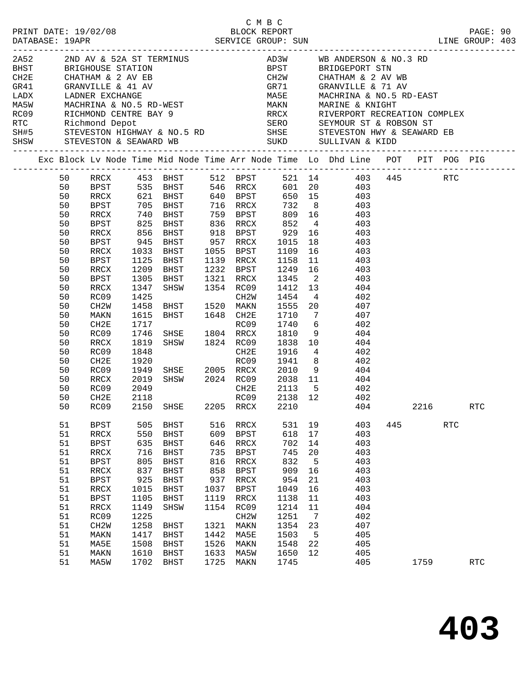|  |          |                   |              |                                  |      |             |         |    | C M B C<br>PRINT DATE: 19/02/08 BLOCK REPORT PAGE: 90<br>DATABASE: 19APR SERVICE GROUP: SUN LINE GROUP: 403                                                                                                                                                   |     |      |            |            |
|--|----------|-------------------|--------------|----------------------------------|------|-------------|---------|----|---------------------------------------------------------------------------------------------------------------------------------------------------------------------------------------------------------------------------------------------------------------|-----|------|------------|------------|
|  |          |                   |              |                                  |      |             |         |    |                                                                                                                                                                                                                                                               |     |      |            |            |
|  |          |                   |              |                                  |      |             |         |    |                                                                                                                                                                                                                                                               |     |      |            |            |
|  |          |                   |              |                                  |      |             |         |    |                                                                                                                                                                                                                                                               |     |      |            |            |
|  |          |                   |              |                                  |      |             |         |    | GR71 GRANVILLE & 71 AV<br>MA5E MACHRINA & NO.5 RD-EAST<br>MAKN MARINE & KNIGHT<br>RRCX RIVERPORT RECREATION COMPLEX                                                                                                                                           |     |      |            |            |
|  |          |                   |              |                                  |      |             |         |    |                                                                                                                                                                                                                                                               |     |      |            |            |
|  |          |                   |              |                                  |      |             |         |    |                                                                                                                                                                                                                                                               |     |      |            |            |
|  |          |                   |              |                                  |      |             |         |    |                                                                                                                                                                                                                                                               |     |      |            |            |
|  |          |                   |              |                                  |      |             |         |    |                                                                                                                                                                                                                                                               |     |      |            |            |
|  |          |                   |              |                                  |      |             |         |    |                                                                                                                                                                                                                                                               |     |      |            |            |
|  |          |                   |              |                                  |      |             |         |    |                                                                                                                                                                                                                                                               |     |      |            |            |
|  |          |                   |              |                                  |      |             |         |    | Exc Block Lv Node Time Mid Node Time Arr Node Time Lo Dhd Line POT PIT POG PIG                                                                                                                                                                                |     |      |            |            |
|  | 50       |                   |              |                                  |      |             |         |    | RRCX 453 BHST 512 BPST 521 14 403 445 RTC<br>BPST 535 BHST 546 RRCX 601 20 403                                                                                                                                                                                |     |      |            |            |
|  | 50       |                   |              |                                  |      |             |         |    |                                                                                                                                                                                                                                                               |     |      |            |            |
|  | 50       | RRCX              |              | 621 BHST 640 BPST                |      |             |         |    | 650 15 403                                                                                                                                                                                                                                                    |     |      |            |            |
|  | 50       | BPST              |              |                                  |      |             |         |    |                                                                                                                                                                                                                                                               |     |      |            |            |
|  | 50       | RRCX              |              |                                  |      |             |         |    |                                                                                                                                                                                                                                                               |     |      |            |            |
|  | 50       | BPST              |              |                                  |      |             |         |    |                                                                                                                                                                                                                                                               |     |      |            |            |
|  | 50       | RRCX              |              |                                  |      |             |         |    | 856 BHST 918 BPST 929 16 403                                                                                                                                                                                                                                  |     |      |            |            |
|  | 50       | BPST              | 945          |                                  |      |             |         |    | BHST 910 DILL<br>BHST 957 RRCX 1015 18 403<br>BHST 1055 BPST 1109 16 403<br>RHST 1139 RRCX 1158 11 403                                                                                                                                                        |     |      |            |            |
|  | 50       | RRCX              | 1033<br>1125 |                                  |      |             |         |    |                                                                                                                                                                                                                                                               |     |      |            |            |
|  | 50       | BPST              |              | 1125 BHST                        |      |             |         |    |                                                                                                                                                                                                                                                               |     |      |            |            |
|  | 50       | RRCX              | 1209         | BHST                             |      |             |         |    | 1232 BPST 1249 16 403                                                                                                                                                                                                                                         |     |      |            |            |
|  | 50       | BPST              | 1305         | BHST 1321 RRCX 1345 2            |      |             |         |    | 403                                                                                                                                                                                                                                                           |     |      |            |            |
|  | 50       | RRCX              | 1347         | SHSW 1354 RC09                   |      |             |         |    | $1412$ $13$ $404$<br>$1454$ $4$ $402$                                                                                                                                                                                                                         |     |      |            |            |
|  | 50       | RC09              | 1425         |                                  |      | CH2W        |         |    | BHST 1520 MAKN 1555 20 407                                                                                                                                                                                                                                    |     |      |            |            |
|  | 50       | CH2W              | 1458         |                                  |      |             |         |    |                                                                                                                                                                                                                                                               |     |      |            |            |
|  | 50       | MAKN              | 1615         | BHST 1648 CH2E                   |      |             | 1710    |    | 7 407                                                                                                                                                                                                                                                         |     |      |            |            |
|  | 50       | CH2E              | 1717         |                                  |      |             |         |    | RC09 1740 6 402<br>SHSE 1804 RRCX 1810 9 404<br>SHSW 1824 RC09 1838 10 404                                                                                                                                                                                    |     |      |            |            |
|  | 50<br>50 | RC09              | 1746         |                                  |      |             |         |    |                                                                                                                                                                                                                                                               |     |      |            |            |
|  | 50       | RRCX<br>RC09      | 1819         |                                  |      |             |         |    |                                                                                                                                                                                                                                                               |     |      |            |            |
|  | 50       | CH2E              |              |                                  |      |             |         |    | $\begin{array}{cccccc} 1848 & & & & & \text{CH2E} & 1916 & 4 & & 402 \\ 1920 & & & & \text{RCO9} & 1941 & 8 & & 402 \\ 1949 & \text{SHSE} & 2005 & \text{RRCX} & 2010 & 9 & & 404 \\ 2019 & \text{SHSW} & 2024 & \text{RCO9} & 2038 & 11 & & 404 \end{array}$ |     |      |            |            |
|  | 50       | RC09              |              |                                  |      |             |         |    |                                                                                                                                                                                                                                                               |     |      |            |            |
|  | 50       | RRCX              |              |                                  |      |             |         |    |                                                                                                                                                                                                                                                               |     |      |            |            |
|  | 50       | RC09              | 2049         |                                  |      |             |         |    | CH2E 2113 5 402                                                                                                                                                                                                                                               |     |      |            |            |
|  | 50       | CH2E              | 2118         |                                  |      | RC09        | 2138 12 |    | 402                                                                                                                                                                                                                                                           |     |      |            |            |
|  |          |                   |              | 50 RC09 2150 SHSE 2205 RRCX 2210 |      |             |         |    | 404                                                                                                                                                                                                                                                           |     | 2216 |            | <b>RTC</b> |
|  | 51       | <b>BPST</b>       | 505          | <b>BHST</b>                      | 516  | RRCX        | 531     | 19 | 403                                                                                                                                                                                                                                                           | 445 |      | <b>RTC</b> |            |
|  | 51       | RRCX              | 550          | <b>BHST</b>                      | 609  | BPST        | 618     | 17 | 403                                                                                                                                                                                                                                                           |     |      |            |            |
|  | 51       | <b>BPST</b>       | 635          | BHST                             | 646  | RRCX        | 702     | 14 | 403                                                                                                                                                                                                                                                           |     |      |            |            |
|  | 51       | $\verb!RRCX!$     | 716          | <b>BHST</b>                      | 735  | <b>BPST</b> | 745     | 20 | 403                                                                                                                                                                                                                                                           |     |      |            |            |
|  | 51       | <b>BPST</b>       | 805          | BHST                             | 816  | RRCX        | 832     | 5  | 403                                                                                                                                                                                                                                                           |     |      |            |            |
|  | 51       | RRCX              | 837          | <b>BHST</b>                      | 858  | <b>BPST</b> | 909     | 16 | 403                                                                                                                                                                                                                                                           |     |      |            |            |
|  | 51       | <b>BPST</b>       | 925          | <b>BHST</b>                      | 937  | RRCX        | 954     | 21 | 403                                                                                                                                                                                                                                                           |     |      |            |            |
|  | 51       | RRCX              | 1015         | <b>BHST</b>                      | 1037 | <b>BPST</b> | 1049    | 16 | 403                                                                                                                                                                                                                                                           |     |      |            |            |
|  | 51       | <b>BPST</b>       | 1105         | BHST                             | 1119 | RRCX        | 1138    | 11 | 403                                                                                                                                                                                                                                                           |     |      |            |            |
|  | 51       | RRCX              | 1149         | SHSW                             | 1154 | RC09        | 1214    | 11 | 404                                                                                                                                                                                                                                                           |     |      |            |            |
|  | 51       | RC09              | 1225         |                                  |      | CH2W        | 1251    | 7  | 402                                                                                                                                                                                                                                                           |     |      |            |            |
|  | 51       | CH <sub>2</sub> M | 1258         | <b>BHST</b>                      | 1321 | MAKN        | 1354    | 23 | 407                                                                                                                                                                                                                                                           |     |      |            |            |
|  | 51       | MAKN              | 1417         | <b>BHST</b>                      | 1442 | MA5E        | 1503    | 5  | 405                                                                                                                                                                                                                                                           |     |      |            |            |
|  | 51       | MA5E              | 1508         | BHST                             | 1526 | MAKN        | 1548    | 22 | 405                                                                                                                                                                                                                                                           |     |      |            |            |
|  | 51       | MAKN              | 1610         | <b>BHST</b>                      | 1633 | MA5W        | 1650    | 12 | 405                                                                                                                                                                                                                                                           |     |      |            |            |
|  | 51       | MA5W              | 1702         | <b>BHST</b>                      | 1725 | MAKN        | 1745    |    | 405                                                                                                                                                                                                                                                           |     | 1759 |            | <b>RTC</b> |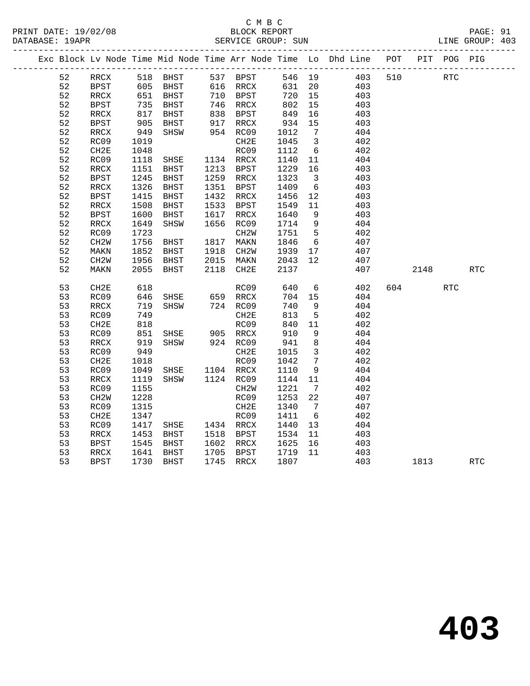### C M B C<br>BLOCK REPORT PRINT DATE: 19/02/08 BLOCK REPORT PAGE: 91 SERVICE GROUP: SUN

|    |                          |            | Exc Block Lv Node Time Mid Node Time Arr Node Time Lo Dhd Line POT |      |                                  |        |                         |            |     |            | PIT POG PIG |            |
|----|--------------------------|------------|--------------------------------------------------------------------|------|----------------------------------|--------|-------------------------|------------|-----|------------|-------------|------------|
| 52 | RRCX                     |            | 518 BHST                                                           |      | 537 BPST                         | 546 19 |                         | 403        | 510 | <b>RTC</b> |             |            |
| 52 | BPST                     |            |                                                                    |      |                                  | 631 20 |                         | 403<br>403 |     |            |             |            |
| 52 | RRCX                     |            |                                                                    |      |                                  | 720 15 |                         |            |     |            |             |            |
| 52 | <b>BPST</b>              | 735<br>817 | BHST                                                               |      | 746 RRCX<br>838 BPST<br>917 RRCX | 802    | 15                      | 403        |     |            |             |            |
| 52 | RRCX                     |            | BHST                                                               |      |                                  | 849    | 16                      | 403        |     |            |             |            |
| 52 | BPST                     | 905        | BHST                                                               |      |                                  | 934    | 15                      | 403        |     |            |             |            |
| 52 | RRCX                     | 949        | SHSW                                                               |      | 954 RC09                         | 1012   | 7                       | 404        |     |            |             |            |
| 52 | RC09                     | 1019       |                                                                    |      | CH <sub>2E</sub>                 | 1045   | $\overline{\mathbf{3}}$ | 402        |     |            |             |            |
| 52 | CH2E                     | 1048       |                                                                    |      | RC09                             | 1112   | $6\overline{6}$         | 402        |     |            |             |            |
| 52 | RC09                     | 1118       | SHSE 1134 RRCX<br>BHST 1213 BPST                                   |      |                                  | 1140   | 11                      | 404        |     |            |             |            |
| 52 | RRCX                     | 1151       |                                                                    |      |                                  | 1229   | 16                      | 403        |     |            |             |            |
| 52 | <b>BPST</b>              | 1245       | BHST                                                               |      | 1259 RRCX                        | 1323   | $\overline{\mathbf{3}}$ | 403        |     |            |             |            |
| 52 | $\mathop{\mathrm{RRCX}}$ | 1326       | BHST                                                               |      | 1351 BPST                        | 1409   | $6\overline{6}$         | 403        |     |            |             |            |
| 52 | BPST                     | 1415       | BHST                                                               |      | 1432 RRCX                        | 1456   | 12                      | 403        |     |            |             |            |
| 52 | RRCX                     | 1508       | <b>BHST</b>                                                        |      | 1533 BPST                        | 1549   | 11                      | 403        |     |            |             |            |
| 52 | BPST                     | 1600       | BHST                                                               | 1617 | RRCX                             | 1640   | $\overline{9}$          | 403        |     |            |             |            |
| 52 | $\mathop{\mathrm{RRCX}}$ | 1649       | SHSW                                                               |      | 1656 RC09                        | 1714   | 9                       | 404        |     |            |             |            |
| 52 | RC09                     | 1723       |                                                                    |      | CH2W                             | 1751   | $5\overline{)}$         | 402        |     |            |             |            |
| 52 | CH <sub>2</sub> W        | 1756       | BHST                                                               |      | 1817 MAKN                        | 1846   | 6                       | 407        |     |            |             |            |
| 52 | MAKN                     | 1852       | BHST                                                               |      | 1918 CH2W                        | 1939   | 17                      | 407        |     |            |             |            |
| 52 | CH2W                     | 1956       | BHST                                                               |      | 2015 MAKN                        | 2043   | 12                      | 407        |     |            |             |            |
| 52 | MAKN                     | 2055       | BHST                                                               |      | 2118 CH2E                        | 2137   |                         | 407        |     | 2148       |             | <b>RTC</b> |
| 53 | CH <sub>2E</sub>         | 618        |                                                                    |      | RC09                             | 640    | $6\overline{6}$         | 402        |     | 604 60     | <b>RTC</b>  |            |
| 53 | RC09                     | 646        | SHSE                                                               |      | 659 RRCX                         | 704    | 15                      | 404        |     |            |             |            |
| 53 | RRCX                     | 719        | SHSW                                                               |      | 724 RC09                         | 740    | - 9                     | 404        |     |            |             |            |
| 53 | RC09                     | 749        |                                                                    |      | CH2E                             | 813    | $-5$                    | 402        |     |            |             |            |
| 53 | CH2E                     | 818        |                                                                    |      | RC09                             | 840    | 11                      | 402        |     |            |             |            |
| 53 | RC09                     | 851        | SHSE 905 RRCX                                                      |      |                                  | 910    | 9                       | 404        |     |            |             |            |
| 53 | RRCX                     | 919        | SHSW                                                               |      | 924 RC09                         | 941    | 8                       | 404        |     |            |             |            |
| 53 | RC09                     | 949        |                                                                    |      | CH2E                             | 1015   | $\overline{\mathbf{3}}$ | 402        |     |            |             |            |
| 53 | CH2E                     | 1018       |                                                                    |      | RC09                             | 1042   | $\overline{7}$          | 402        |     |            |             |            |
| 53 | RC09                     | 1049       | SHSE 1104 RRCX                                                     |      |                                  | 1110   | 9                       | 404        |     |            |             |            |
| 53 | RRCX                     | 1119       | SHSW                                                               |      | 1124 RC09                        | 1144   | 11                      | 404        |     |            |             |            |
| 53 | RC09                     | 1155       |                                                                    |      | CH2W                             | 1221   | $\overline{7}$          | 402        |     |            |             |            |
| 53 | CH <sub>2</sub> W        | 1228       |                                                                    |      | RC09                             | 1253   | 22                      | 407        |     |            |             |            |
| 53 | RC09                     | 1315       |                                                                    |      | CH2E                             | 1340   | $7\overline{ }$         | 407        |     |            |             |            |
| 53 | CH2E                     | 1347       |                                                                    |      | RC09                             | 1411   | 6                       | 402        |     |            |             |            |
| 53 | RC09                     | 1417       | SHSE 1434 RRCX                                                     |      |                                  | 1440   | 13                      | 404        |     |            |             |            |
| 53 | $\mathop{\mathrm{RRCX}}$ | 1453       | BHST                                                               |      | 1518 BPST                        | 1534   | 11                      | 403        |     |            |             |            |
| 53 | <b>BPST</b>              | 1545       | BHST                                                               |      | 1602 RRCX                        | 1625   | 16                      | 403        |     |            |             |            |
| 53 | RRCX                     | 1641       | BHST                                                               |      | 1705 BPST                        | 1719   | 11                      | 403        |     |            |             |            |
| 53 | BPST                     |            | 1730 BHST                                                          |      | 1745 RRCX                        | 1807   |                         | 403        |     | 1813       |             | <b>RTC</b> |
|    |                          |            |                                                                    |      |                                  |        |                         |            |     |            |             |            |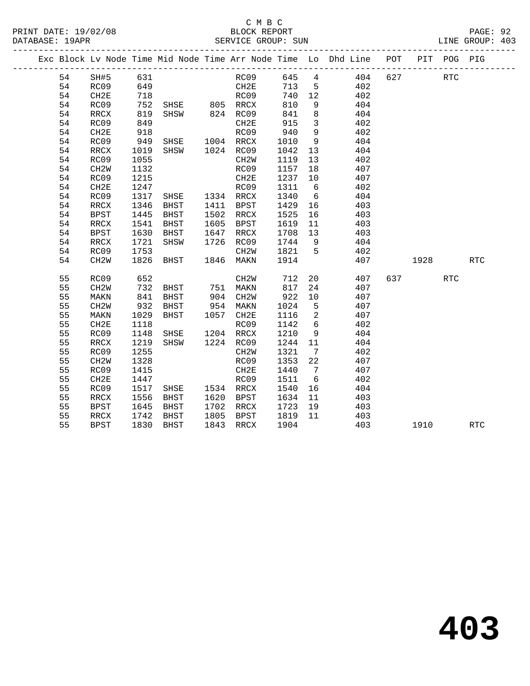# C M B C<br>BLOCK REPORT

LINE GROUP: 403

|  |    |                   |            |                                  |      |                      |         |                          | Exc Block Lv Node Time Mid Node Time Arr Node Time Lo Dhd Line POT |     |           | PIT POG PIG |                      |
|--|----|-------------------|------------|----------------------------------|------|----------------------|---------|--------------------------|--------------------------------------------------------------------|-----|-----------|-------------|----------------------|
|  | 54 | SH#5              | 631        |                                  |      | RC09                 |         |                          | 645 4 404                                                          | 627 |           | <b>RTC</b>  |                      |
|  | 54 | RC09              |            |                                  |      |                      | 713 5   |                          | 402                                                                |     |           |             |                      |
|  | 54 | CH2E              | 649<br>718 |                                  |      | CH2E<br>RC09         | 740 12  |                          | 402                                                                |     |           |             |                      |
|  | 54 | RC09              | 752        | SHSE 805 RRCX                    |      |                      | 810     | 9                        | 404                                                                |     |           |             |                      |
|  | 54 | RRCX              | 819        | SHSW 824 RC09                    |      |                      | 841     | 8                        | 404                                                                |     |           |             |                      |
|  | 54 | RC09              | 849        |                                  |      | CH2E                 | 915     | $\overline{\mathbf{3}}$  | 402                                                                |     |           |             |                      |
|  | 54 | CH2E              | 918        |                                  |      | RC09                 | 940     | 9                        | 402                                                                |     |           |             |                      |
|  | 54 | RC09              | 949        | SHSE 1004 RRCX                   |      |                      | 1010    | 9                        | 404                                                                |     |           |             |                      |
|  | 54 | RRCX              | 1019       | SHSW 1024 RC09                   |      |                      | 1042    | 13                       | 404                                                                |     |           |             |                      |
|  | 54 | RC09              | 1055       |                                  |      | CH2W                 | 1119    | 13                       | 402                                                                |     |           |             |                      |
|  | 54 | CH <sub>2</sub> W | 1132       |                                  |      | RC09                 | 1157    | 18                       | 407                                                                |     |           |             |                      |
|  | 54 | RC09              | 1215       |                                  |      | CH2E                 | 1237 10 |                          | 407                                                                |     |           |             |                      |
|  | 54 | CH2E              | 1247       |                                  |      | RC09                 | 1311    | 6                        | 402                                                                |     |           |             |                      |
|  | 54 | RC09              | 1317       | SHSE 1334 RRCX                   |      |                      | 1340    | 6                        | 404                                                                |     |           |             |                      |
|  | 54 | RRCX              | 1346       | BHST                             |      | 1411 BPST            | 1429    | 16                       | 403                                                                |     |           |             |                      |
|  | 54 | <b>BPST</b>       | 1445       | BHST                             |      | 1502 RRCX            | 1525    | 16                       | 403                                                                |     |           |             |                      |
|  | 54 | RRCX              | 1541       | BHST                             |      | 1605 BPST            | 1619    | 11                       | 403                                                                |     |           |             |                      |
|  | 54 | <b>BPST</b>       | 1630       | BHST                             | 1647 | RRCX                 | 1708 13 |                          | 403                                                                |     |           |             |                      |
|  | 54 | RRCX              | 1721       | SHSW                             |      | 1726 RC09            | 1744 9  |                          | 404                                                                |     |           |             |                      |
|  | 54 | RC09              | 1753       |                                  |      | CH2W                 | 1821 5  |                          | 402                                                                |     |           |             |                      |
|  | 54 | CH <sub>2</sub> W | 1826       | <b>BHST</b>                      |      | 1846 MAKN            | 1914    |                          | 407                                                                |     | 1928      |             | $\operatorname{RTC}$ |
|  | 55 | RC09              | 652        |                                  |      | CH2W                 | 712     |                          | 20<br>407                                                          |     | 637 — 100 | <b>RTC</b>  |                      |
|  | 55 | CH <sub>2</sub> W | 732        | BHST 751 MAKN                    |      |                      | 817     | 24                       | 407                                                                |     |           |             |                      |
|  | 55 | MAKN              |            | BHST                             |      |                      | 922     | 10                       | 407                                                                |     |           |             |                      |
|  | 55 | CH2W              | 841<br>932 | BHST                             |      | 904 CH2W<br>954 MAKN | 1024    | $5^{\circ}$              | 407                                                                |     |           |             |                      |
|  | 55 | MAKN              | 1029       | <b>BHST</b>                      |      | 1057 CH2E            | 1116    | $\overline{\phantom{a}}$ | 407                                                                |     |           |             |                      |
|  | 55 | CH2E              | 1118       |                                  |      | RC09                 | 1142    | 6                        | 402                                                                |     |           |             |                      |
|  | 55 | RC09              | 1148       | SHSE 1204 RRCX<br>SHSW 1224 RC09 |      |                      | 1210    | 9                        | 404                                                                |     |           |             |                      |
|  | 55 | RRCX              | 1219       |                                  |      |                      | 1244    | 11                       | 404                                                                |     |           |             |                      |
|  | 55 | RC09              | 1255       |                                  |      | CH <sub>2</sub> W    | 1321    | $\overline{7}$           | 402                                                                |     |           |             |                      |
|  | 55 | CH <sub>2</sub> W | 1328       |                                  |      | RC09                 | 1353    | 22                       | 407                                                                |     |           |             |                      |
|  | 55 | RC09              | 1415       |                                  |      | CH2E                 | 1440    | $7\overline{ }$          | 407                                                                |     |           |             |                      |
|  | 55 | CH <sub>2E</sub>  | 1447       |                                  |      | RC09                 | 1511    | 6                        | 402                                                                |     |           |             |                      |
|  | 55 | RC09              | 1517       | SHSE 1534 RRCX                   |      |                      | 1540    | 16                       | 404                                                                |     |           |             |                      |
|  | 55 | RRCX              | 1556       | BHST                             |      | 1620 BPST            | 1634    | 11                       | 403                                                                |     |           |             |                      |
|  | 55 | BPST              | 1645       | BHST                             |      | 1702 RRCX            | 1723    | 19                       | 403                                                                |     |           |             |                      |
|  | 55 | RRCX              | 1742       | BHST                             |      | 1805 BPST            | 1819    | 11                       | 403                                                                |     |           |             |                      |
|  | 55 | <b>BPST</b>       | 1830       | BHST                             |      | 1843 RRCX            | 1904    |                          | 403                                                                |     | 1910      |             | <b>RTC</b>           |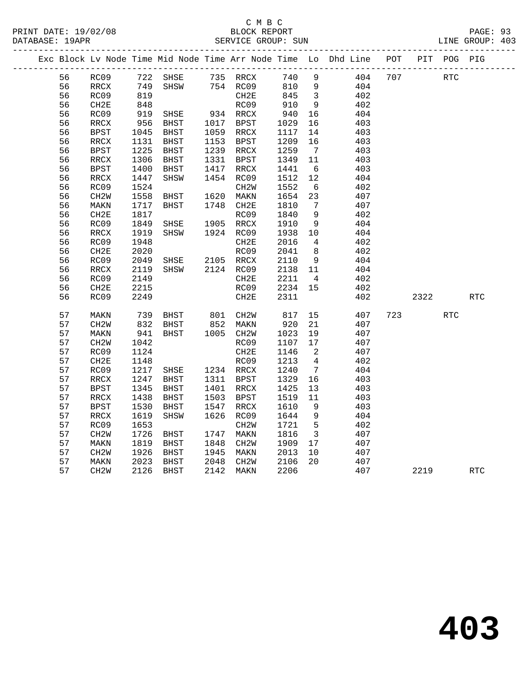### C M B C<br>BLOCK REPORT PRINT DATE: 19/02/08 BLOCK REPORT PAGE: 93 SERVICE GROUP: SUN

|          |                          |              |                     |              |                           |              |                              | Exc Block Lv Node Time Mid Node Time Arr Node Time Lo Dhd Line | POT |           | PIT POG PIG |            |
|----------|--------------------------|--------------|---------------------|--------------|---------------------------|--------------|------------------------------|----------------------------------------------------------------|-----|-----------|-------------|------------|
| 56       | RC09                     | 722          | SHSE                |              | 735 RRCX                  | 740          | 9                            | 404                                                            | 707 |           | RTC         |            |
| 56       | RRCX                     | 749          | SHSW                |              | 754 RC09                  | 810          | 9                            | 404                                                            |     |           |             |            |
| 56       | RC09                     | 819          |                     |              | CH2E                      | 845          | $\overline{\mathbf{3}}$      | 402                                                            |     |           |             |            |
| 56       | CH2E                     | 848          |                     |              | RC09                      | 910          | 9                            | 402                                                            |     |           |             |            |
| 56       | RC09                     | 919          | SHSE                |              | 934 RRCX                  | 940          | 16                           | 404                                                            |     |           |             |            |
| 56       | RRCX                     | 956          | BHST                | 1017         | BPST                      | 1029         | 16                           | 403                                                            |     |           |             |            |
| 56       | <b>BPST</b>              | 1045         | <b>BHST</b>         |              | 1059 RRCX                 | 1117         | 14                           | 403                                                            |     |           |             |            |
| 56       | $\mathop{\mathrm{RRCX}}$ | 1131         | BHST                | 1153         | BPST                      | 1209         | 16                           | 403                                                            |     |           |             |            |
| 56       | <b>BPST</b>              | 1225         | <b>BHST</b>         | 1239         | RRCX                      | 1259         | $\overline{7}$               | 403                                                            |     |           |             |            |
| 56       | RRCX                     | 1306         | <b>BHST</b>         | 1331         | BPST                      | 1349         | 11                           | 403                                                            |     |           |             |            |
| 56       | <b>BPST</b>              | 1400         | $_{\rm BHST}$       | 1417         | RRCX                      | 1441         | 6                            | 403                                                            |     |           |             |            |
| 56       | <b>RRCX</b>              | 1447         | SHSW                | 1454         | RC09                      | 1512         | 12                           | 404                                                            |     |           |             |            |
| 56       | RC09                     | 1524         |                     |              | CH2W                      | 1552         | 6                            | 402                                                            |     |           |             |            |
| 56       | CH2W                     | 1558         | BHST                |              | 1620 MAKN                 | 1654         | 23                           | 407                                                            |     |           |             |            |
| 56       | MAKN                     | 1717         | BHST                |              | 1748 CH2E                 | 1810         | $7\phantom{.0}\phantom{.0}7$ | 407                                                            |     |           |             |            |
| 56       | CH2E                     | 1817         |                     |              | RC09                      | 1840         | $\overline{9}$               | 402                                                            |     |           |             |            |
| 56       | RC09                     | 1849         | SHSE                |              | 1905 RRCX                 | 1910         | 9                            | 404                                                            |     |           |             |            |
| 56       | RRCX                     | 1919         | SHSW                |              | 1924 RC09                 | 1938         | 10                           | 404                                                            |     |           |             |            |
| 56       | RC09                     | 1948         |                     |              | CH <sub>2E</sub>          | 2016         | $\overline{4}$               | 402                                                            |     |           |             |            |
| 56       | CH2E                     | 2020         |                     |              | RC09                      | 2041         | 8                            | 402                                                            |     |           |             |            |
| 56       | RC09                     | 2049         | SHSE                |              | 2105 RRCX                 | 2110         | 9                            | 404                                                            |     |           |             |            |
| 56       | RRCX                     | 2119         | SHSW                |              | 2124 RC09                 | 2138         | 11                           | 404                                                            |     |           |             |            |
| 56       | RC09                     | 2149         |                     |              | CH2E                      | 2211         | $\overline{4}$               | 402                                                            |     |           |             |            |
| 56       | CH2E                     | 2215         |                     |              | RC09                      | 2234         | 15                           | 402                                                            |     |           |             |            |
| 56       | RC09                     | 2249         |                     |              | CH2E                      | 2311         |                              | 402                                                            |     | 2322      |             | <b>RTC</b> |
| 57       | MAKN                     | 739          | BHST                |              | 801 CH2W                  | 817          | 15                           | 407                                                            |     | 723 — 120 | <b>RTC</b>  |            |
| 57       | CH <sub>2</sub> W        | 832          | BHST                |              | 852 MAKN<br>1005 CH2W     | 920          | 21                           | 407                                                            |     |           |             |            |
| 57       | MAKN                     | 941          | BHST                |              |                           | 1023         | 19                           | 407                                                            |     |           |             |            |
| 57       | CH2W                     | 1042         |                     |              | RC09                      | 1107         | 17                           | 407                                                            |     |           |             |            |
| 57       | RC09                     | 1124         |                     |              | CH <sub>2E</sub>          | 1146         | $\overline{2}$               | 407                                                            |     |           |             |            |
| 57       | CH2E                     | 1148         |                     |              | RC09                      | 1213         | $\overline{4}$               | 402                                                            |     |           |             |            |
| 57       | RC09                     | 1217         | SHSE                |              | 1234 RRCX                 | 1240         | $\overline{7}$               | 404                                                            |     |           |             |            |
| 57       | RRCX                     | 1247         | BHST                | 1311         | BPST                      | 1329         | 16                           | 403                                                            |     |           |             |            |
| 57       | <b>BPST</b>              | 1345         | <b>BHST</b>         | 1401         | RRCX                      | 1425         | 13                           | 403                                                            |     |           |             |            |
| 57       | <b>RRCX</b>              | 1438         | <b>BHST</b>         | 1503         | <b>BPST</b>               | 1519         | 11                           | 403                                                            |     |           |             |            |
| 57       | <b>BPST</b>              | 1530         | BHST                | 1547         | RRCX                      | 1610         | 9                            | 403                                                            |     |           |             |            |
| 57       | <b>RRCX</b>              | 1619         | SHSW                | 1626         | RC09                      | 1644         | 9                            | 404                                                            |     |           |             |            |
| 57       | RC09                     | 1653         |                     |              | CH <sub>2</sub> M         | 1721         | $5^{\circ}$                  | 402                                                            |     |           |             |            |
| 57       | CH <sub>2</sub> W        | 1726         | <b>BHST</b>         | 1747         | MAKN                      | 1816         | $\overline{\mathbf{3}}$      | 407                                                            |     |           |             |            |
| 57       | MAKN                     | 1819         | <b>BHST</b>         | 1848         | CH <sub>2</sub> W         | 1909         | 17                           | 407                                                            |     |           |             |            |
| 57<br>57 | CH2W<br>MAKN             | 1926<br>2023 | <b>BHST</b><br>BHST | 1945<br>2048 | MAKN<br>CH <sub>2</sub> W | 2013<br>2106 | 10<br>20                     | 407<br>407                                                     |     |           |             |            |
| 57       | CH <sub>2</sub> W        | 2126         | <b>BHST</b>         | 2142         | MAKN                      | 2206         |                              | 407                                                            |     | 2219      |             | <b>RTC</b> |
|          |                          |              |                     |              |                           |              |                              |                                                                |     |           |             |            |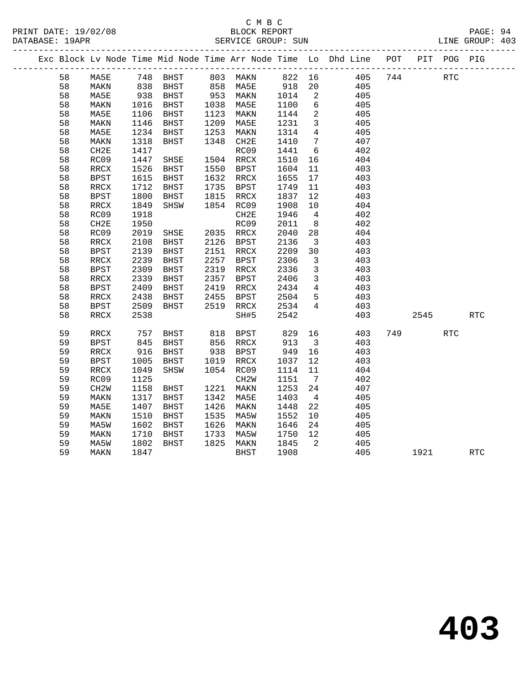### C M B C<br>BLOCK REPORT PRINT DATE: 19/02/08 BLOCK REPORT PAGE: 94 SERVICE GROUP: SUN

|    |                          |            |                   |      |             |              |                            | Exc Block Lv Node Time Mid Node Time Arr Node Time Lo Dhd Line POT PIT POG PIG |      |     |            |
|----|--------------------------|------------|-------------------|------|-------------|--------------|----------------------------|--------------------------------------------------------------------------------|------|-----|------------|
| 58 | MA5E                     |            | 748 BHST 803 MAKN |      |             |              |                            | 822 16 405 744                                                                 |      | RTC |            |
| 58 | MAKN                     | 838<br>938 |                   |      |             | 918          | 20                         | 405                                                                            |      |     |            |
| 58 | MA5E                     |            |                   |      |             | 1014         | $\overline{\phantom{a}}^2$ | 405                                                                            |      |     |            |
| 58 | MAKN                     | 1016       | BHST              |      | 1038 MA5E   | 1100         | 6                          | 405                                                                            |      |     |            |
| 58 | MA5E                     | 1106       | BHST              |      | 1123 MAKN   | 1144         | $\overline{a}$             | 405                                                                            |      |     |            |
| 58 | MAKN                     | 1146       | BHST              |      | 1209 MA5E   | 1231         | $\overline{\mathbf{3}}$    | 405                                                                            |      |     |            |
| 58 | MA5E                     | 1234       | BHST              | 1253 | MAKN        | 1314         | $\overline{4}$             | 405                                                                            |      |     |            |
| 58 | MAKN                     | 1318       | BHST              | 1348 | CH2E        | 1410         | $\overline{7}$             | 407                                                                            |      |     |            |
| 58 | CH2E                     | 1417       |                   |      | RC09        | 1441         | 6                          | 402                                                                            |      |     |            |
| 58 | RC09                     | 1447       | SHSE              |      | 1504 RRCX   | 1510         | 16                         | 404                                                                            |      |     |            |
| 58 | $\mathop{\mathrm{RRCX}}$ | 1526       | BHST              |      | 1550 BPST   | 1604         | 11                         | 403                                                                            |      |     |            |
| 58 | BPST                     | 1615       | BHST              |      | 1632 RRCX   | 1655         | 17                         | 403                                                                            |      |     |            |
| 58 | RRCX                     | 1712       | BHST              |      | 1735 BPST   | 1749         | 11                         | 403                                                                            |      |     |            |
| 58 | $_{\rm BPST}$            | 1800       | BHST              | 1815 | RRCX        | 1837         | 12                         | 403                                                                            |      |     |            |
| 58 | RRCX                     | 1849       | SHSW              |      | 1854 RC09   | 1908         | 10                         | 404                                                                            |      |     |            |
| 58 | RC09                     | 1918       |                   |      | CH2E        | 1946         | $\overline{4}$             | 402                                                                            |      |     |            |
| 58 | CH2E                     | 1950       |                   |      | RC09        | 2011         | 8 <sup>8</sup>             | 402                                                                            |      |     |            |
| 58 | RC09                     | 2019       | SHSE              |      | 2035 RRCX   | 2040         | 28                         | 404                                                                            |      |     |            |
| 58 | RRCX                     | 2108       | BHST              |      | 2126 BPST   | 2136         | $\overline{\mathbf{3}}$    | 403                                                                            |      |     |            |
| 58 | <b>BPST</b>              | 2139       | BHST              |      | 2151 RRCX   | 2209         | 30                         | 403                                                                            |      |     |            |
| 58 | RRCX                     | 2239       | BHST              | 2257 | BPST        | 2306         | $\overline{\mathbf{3}}$    | 403                                                                            |      |     |            |
| 58 | <b>BPST</b>              | 2309       | BHST              |      | 2319 RRCX   | 2336         | $\overline{3}$             | 403                                                                            |      |     |            |
| 58 | RRCX                     | 2339       | BHST              |      | 2357 BPST   | 2406<br>2434 | $\overline{\mathbf{3}}$    | 403                                                                            |      |     |            |
| 58 | <b>BPST</b>              | 2409       | BHST              |      | 2419 RRCX   |              | $\overline{4}$             | 403                                                                            |      |     |            |
| 58 | RRCX                     | 2438       | BHST              | 2455 | BPST        | 2504         | 5                          | 403                                                                            |      |     |            |
| 58 | BPST                     | 2509       | <b>BHST</b>       |      | 2519 RRCX   | 2534         | $\overline{4}$             | 403                                                                            |      |     |            |
| 58 | RRCX                     | 2538       |                   |      | SH#5        | 2542         |                            | 403                                                                            | 2545 |     | <b>RTC</b> |
| 59 | RRCX                     | 757        | BHST 818 BPST     |      |             | 829 16       |                            | 403                                                                            | 749  | RTC |            |
| 59 | <b>BPST</b>              | 845        | BHST              |      | 856 RRCX    | 913          | $\overline{\mathbf{3}}$    | 403                                                                            |      |     |            |
| 59 | RRCX                     | 916        | BHST              | 938  | BPST        | 949          | 16                         | 403                                                                            |      |     |            |
| 59 | <b>BPST</b>              | 1005       | BHST              |      | 1019 RRCX   | 1037         | 12                         | 403                                                                            |      |     |            |
| 59 | RRCX                     | 1049       | SHSW              |      | 1054 RC09   | 1114         | 11                         | 404                                                                            |      |     |            |
| 59 | RC09                     | 1125       |                   |      | CH2W        | 1151         | $\overline{7}$             | 402                                                                            |      |     |            |
| 59 | CH2W                     | 1158       | BHST              |      | 1221 MAKN   | 1253         | 24                         | 407                                                                            |      |     |            |
| 59 | MAKN                     | 1317       | BHST              |      | 1342 MA5E   | 1403         | $\overline{4}$             | 405                                                                            |      |     |            |
| 59 | MA5E                     | 1407       | BHST              | 1426 | MAKN        | 1448         | 22                         | 405                                                                            |      |     |            |
| 59 | MAKN                     | 1510       | BHST              | 1535 | MA5W        | 1552         | 10                         | 405                                                                            |      |     |            |
| 59 | MA5W                     | 1602       | BHST              |      | 1626 MAKN   | 1646         | 24                         | 405                                                                            |      |     |            |
| 59 | MAKN                     | 1710       | BHST              | 1733 | MA5W        | 1750         | 12                         | 405                                                                            |      |     |            |
| 59 | MA5W                     | 1802       | BHST              |      | 1825 MAKN   | 1845         | $\overline{\phantom{a}}$   | 405                                                                            |      |     |            |
| 59 | MAKN                     | 1847       |                   |      | <b>BHST</b> | 1908         |                            | 405                                                                            | 1921 |     | <b>RTC</b> |
|    |                          |            |                   |      |             |              |                            |                                                                                |      |     |            |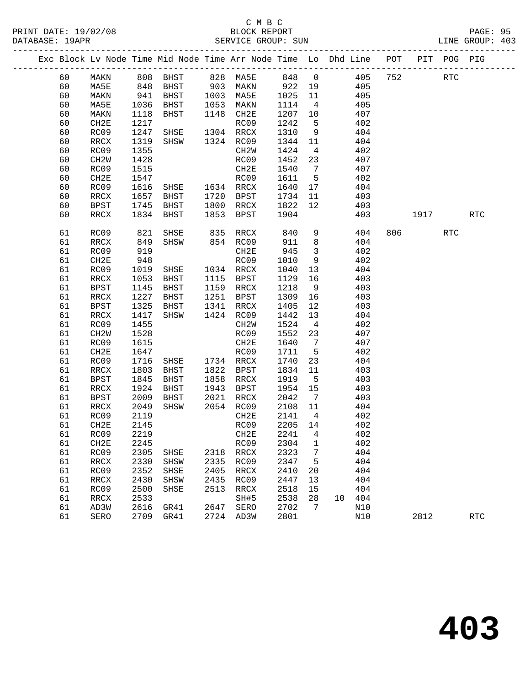#### C M B C<br>BLOCK REPORT PRINT DATE: 19/02/08 BLOCK REPORT PAGE: 95 SERVICE GROUP: SUN

| Exc Block Lv Node Time Mid Node Time Arr Node Time Lo Dhd Line POT |                   |              |                |      |                       |                   |                         |    |            |     |         | PIT POG PIG |            |  |
|--------------------------------------------------------------------|-------------------|--------------|----------------|------|-----------------------|-------------------|-------------------------|----|------------|-----|---------|-------------|------------|--|
| 60                                                                 | MAKN              |              | 808 BHST       |      | 828 MA5E              | 848 0             |                         |    | 405        | 752 |         | RTC         |            |  |
| 60                                                                 | MA5E              | 848<br>941   | BHST           |      | 903 MAKN<br>1003 MA5E | 922 19<br>1025 11 |                         |    | 405        |     |         |             |            |  |
| 60                                                                 | MAKN              |              | BHST           |      |                       |                   |                         |    | 405        |     |         |             |            |  |
| 60                                                                 | MA5E              | 1036         | BHST           | 1053 | MAKN                  | 1114              | $\overline{4}$          |    | 405        |     |         |             |            |  |
| 60                                                                 | MAKN              | 1118         | BHST           |      | 1148 CH2E             | 1207              | 10                      |    | 407        |     |         |             |            |  |
| 60                                                                 | CH2E              | 1217         |                |      | RC09                  | 1242              | $-5$                    |    | 402        |     |         |             |            |  |
| 60                                                                 | RC09              | 1247         | SHSE           |      | 1304 RRCX             | 1310              | 9                       |    | 404        |     |         |             |            |  |
| 60                                                                 | RRCX              | 1319         | SHSW           |      | 1324 RC09             | 1344              | 11                      |    | 404        |     |         |             |            |  |
| 60                                                                 | RC09              | 1355         |                |      | CH2W                  | 1424              | $\overline{4}$          |    | 402        |     |         |             |            |  |
| 60                                                                 | CH <sub>2</sub> W | 1428         |                |      | RC09                  | 1452              | 23                      |    | 407        |     |         |             |            |  |
| 60                                                                 | RC09              | 1515         |                |      | CH2E                  | 1540              | $\overline{7}$          |    | 407        |     |         |             |            |  |
| 60                                                                 | CH2E              | 1547         |                |      | RC09                  | 1611              | $5^{\circ}$             |    | 402        |     |         |             |            |  |
| 60                                                                 | RC09              | 1616         | SHSE 1634 RRCX |      |                       | 1640              | 17                      |    | 404        |     |         |             |            |  |
| 60                                                                 | RRCX              | 1657         | BHST           | 1720 | BPST                  | 1734              | 11                      |    | 403        |     |         |             |            |  |
| 60                                                                 | <b>BPST</b>       | 1745         | BHST           |      | 1800 RRCX             | 1822              | 12                      |    | 403        |     |         |             |            |  |
| 60                                                                 | RRCX              | 1834         | BHST           |      | 1853 BPST             | 1904              |                         |    | 403        |     | 1917    |             | <b>RTC</b> |  |
| 61                                                                 | RC09              | 821          | SHSE           | 835  | RRCX                  | 840               | 9                       |    | 404        |     | 806 700 | <b>RTC</b>  |            |  |
| 61                                                                 | <b>RRCX</b>       | 849          | SHSW           |      | 854 RC09              | 911               | 8                       |    | 404        |     |         |             |            |  |
| 61                                                                 | RC09              | 919          |                |      | CH2E                  | 945               | $\overline{\mathbf{3}}$ |    | 402        |     |         |             |            |  |
| 61                                                                 | CH2E              | 948          |                |      | RC09                  | 1010              | 9                       |    | 402        |     |         |             |            |  |
| 61                                                                 | RC09              | 1019         | SHSE           |      | 1034 RRCX             | 1040              | 13                      |    | 404        |     |         |             |            |  |
| 61                                                                 | RRCX              | 1053         | BHST           |      | 1115 BPST             | 1129              | 16                      |    | 403        |     |         |             |            |  |
| 61                                                                 | <b>BPST</b>       | 1145         | BHST           |      | 1159 RRCX             | 1218              | 9                       |    | 403        |     |         |             |            |  |
| 61                                                                 | RRCX              | 1227         | BHST           |      | 1251 BPST             | 1309              | 16                      |    | 403        |     |         |             |            |  |
| 61                                                                 | <b>BPST</b>       | 1325         | BHST           | 1341 | RRCX                  | 1405              | 12                      |    | 403        |     |         |             |            |  |
| 61                                                                 | RRCX              | 1417         | SHSW           |      | 1424 RC09             | 1442              | 13                      |    | 404        |     |         |             |            |  |
| 61                                                                 | RC09              | 1455         |                |      | CH2W                  | 1524              | $\overline{4}$          |    | 402        |     |         |             |            |  |
| 61                                                                 | CH <sub>2</sub> W | 1528         |                |      | RC09                  | 1552              | 23                      |    | 407        |     |         |             |            |  |
| 61                                                                 | RC09              | 1615         |                |      | CH2E                  | 1640              | $\overline{7}$          |    | 407        |     |         |             |            |  |
| 61                                                                 | CH <sub>2E</sub>  | 1647         |                |      | RC09                  | 1711              | $5^{\circ}$             |    | 402        |     |         |             |            |  |
| 61                                                                 | RC09              | 1716         | SHSE           |      | 1734 RRCX             | 1740              | 23                      |    | 404        |     |         |             |            |  |
| 61                                                                 | $\verb!RRCX!$     | 1803         | BHST           |      | 1822 BPST             | 1834              | 11                      |    | 403        |     |         |             |            |  |
| 61                                                                 | <b>BPST</b>       | 1845         | BHST           |      | 1858 RRCX             | 1919              | $-5$                    |    | 403        |     |         |             |            |  |
| 61                                                                 | RRCX              | 1924         | BHST           |      | 1943 BPST             | 1954              | 15                      |    | 403        |     |         |             |            |  |
| 61                                                                 | BPST              | 2009         | BHST           | 2021 | RRCX                  | 2042              | $\overline{7}$          |    | 403        |     |         |             |            |  |
| 61                                                                 | RRCX              | 2049         | SHSW           |      | 2054 RC09             | 2108 11           |                         |    | 404        |     |         |             |            |  |
| 61                                                                 | RC09              | 2119         |                |      | CH2E                  | 2141              | $\overline{4}$          |    | 402        |     |         |             |            |  |
| 61                                                                 | CH2E              | 2145         |                |      | RC09                  | 2205 14           |                         |    | 402        |     |         |             |            |  |
| 61                                                                 | RC09              | 2219         |                |      | CH2E                  | 2241 4            |                         |    | 402        |     |         |             |            |  |
| 61                                                                 | CH2E              | 2245         |                |      | RC09                  | 2304              | 1                       |    | 402        |     |         |             |            |  |
| 61                                                                 | RC09              | 2305         | SHSE           | 2318 | RRCX                  | 2323              | 7                       |    | 404        |     |         |             |            |  |
| 61                                                                 | RRCX              | 2330         | SHSW           | 2335 | RC09                  | 2347              | 5                       |    | 404        |     |         |             |            |  |
| 61                                                                 | RC09              | 2352         | SHSE           | 2405 | RRCX                  | 2410              | 20                      |    | 404        |     |         |             |            |  |
| 61                                                                 | RRCX              | 2430         | SHSW           | 2435 | RC09                  | 2447              | 13                      |    | 404        |     |         |             |            |  |
| 61                                                                 | RC09              | 2500<br>2533 | SHSE           | 2513 | RRCX                  | 2518<br>2538      | 15                      | 10 | 404<br>404 |     |         |             |            |  |
| 61<br>61                                                           | RRCX<br>AD3W      | 2616         | GR41           | 2647 | SH#5<br>SERO          | 2702              | 28<br>7                 |    | N10        |     |         |             |            |  |
| 61                                                                 | SERO              | 2709         | GR41           | 2724 | AD3W                  | 2801              |                         |    | N10        |     | 2812    |             | <b>RTC</b> |  |
|                                                                    |                   |              |                |      |                       |                   |                         |    |            |     |         |             |            |  |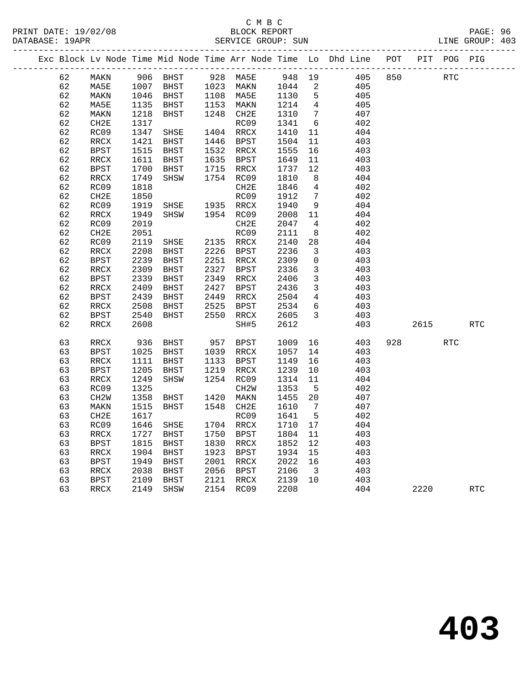### C M B C<br>BLOCK REPORT PRINT DATE: 19/02/08 BLOCK REPORT PAGE: 96 SERVICE GROUP: SUN

|  | <b>PAG</b> |
|--|------------|

|          |                          |              |              |      |                        |              |                          | Exc Block Lv Node Time Mid Node Time Arr Node Time Lo Dhd Line POT |     |      | PIT POG PIG |            |  |
|----------|--------------------------|--------------|--------------|------|------------------------|--------------|--------------------------|--------------------------------------------------------------------|-----|------|-------------|------------|--|
| 62       | MAKN                     |              | 906 BHST     |      | 928 MA5E               | 948 19       |                          | 405                                                                | 850 |      | RTC         |            |  |
| 62       | MA5E                     | 1007         | BHST         |      | 1023 MAKN              | 1044         | $\overline{\phantom{a}}$ | 405                                                                |     |      |             |            |  |
| 62       | MAKN                     | 1046         | BHST         |      | 1108 MA5E              | 1130         | 5                        | 405                                                                |     |      |             |            |  |
| 62       | MA5E                     | 1135         | BHST         |      | 1153 MAKN              | 1214         | $\overline{4}$           | 405                                                                |     |      |             |            |  |
| 62       | MAKN                     | 1218         | BHST         |      | 1248 CH2E              | 1310         | $\overline{7}$           | 407                                                                |     |      |             |            |  |
| 62       | CH <sub>2E</sub>         | 1317         |              |      | RC09                   | 1341         | 6                        | 402                                                                |     |      |             |            |  |
| 62       | RC09                     | 1347         | SHSE         |      | 1404 RRCX              | 1410         | 11                       | 404                                                                |     |      |             |            |  |
| 62       | RRCX                     | 1421         | BHST         |      | 1446 BPST              | 1504         | 11                       | 403                                                                |     |      |             |            |  |
| 62       | <b>BPST</b>              | 1515         | BHST         |      | 1532 RRCX              | 1555         | 16                       | 403                                                                |     |      |             |            |  |
| 62       | $\mathop{\mathrm{RRCX}}$ | 1611         | BHST         |      | 1635 BPST              | 1649         | 11                       | 403                                                                |     |      |             |            |  |
| 62       | <b>BPST</b>              | 1700         | BHST         |      | 1715 RRCX              | 1737         | 12                       | 403                                                                |     |      |             |            |  |
| 62       | RRCX                     | 1749         | SHSW         |      | 1754 RC09              | 1810         | 8                        | 404                                                                |     |      |             |            |  |
| 62       | RC09                     | 1818         |              |      | CH2E                   | 1846         | $\overline{4}$           | 402                                                                |     |      |             |            |  |
| 62       | CH <sub>2E</sub>         | 1850         |              |      | RC09                   | 1912         | $\overline{7}$           | 402                                                                |     |      |             |            |  |
| 62       | RC09                     | 1919         | SHSE         |      | 1935 RRCX              | 1940         | 9                        | 404                                                                |     |      |             |            |  |
| 62       | RRCX                     | 1949         | SHSW         |      | 1954 RC09              | 2008         | 11                       | 404                                                                |     |      |             |            |  |
| 62       | RC09                     | 2019         |              |      | CH2E                   | 2047         | $\overline{4}$           | 402                                                                |     |      |             |            |  |
| 62       | CH2E                     | 2051         |              |      | RC09                   | 2111         | 8                        | 402                                                                |     |      |             |            |  |
| 62<br>62 | RC09                     | 2119<br>2208 | SHSE         |      | 2135 RRCX<br>2226 BPST | 2140         | 28                       | 404                                                                |     |      |             |            |  |
|          | RRCX                     |              | BHST         |      |                        | 2236         | 3                        | 403                                                                |     |      |             |            |  |
| 62<br>62 | BPST                     | 2239         | BHST         | 2327 | 2251 RRCX              | 2309         | $\mathbf 0$<br>3         | 403                                                                |     |      |             |            |  |
| 62       | RRCX<br>BPST             | 2309<br>2339 | BHST<br>BHST |      | BPST<br>2349 RRCX      | 2336<br>2406 | $\overline{3}$           | 403<br>403                                                         |     |      |             |            |  |
| 62       | RRCX                     | 2409         | BHST         |      | 2427 BPST              | 2436         | 3                        | 403                                                                |     |      |             |            |  |
| 62       | BPST                     | 2439         | BHST         | 2449 | RRCX                   | 2504         | $\overline{4}$           | 403                                                                |     |      |             |            |  |
| 62       | RRCX                     | 2508         | BHST         | 2525 | BPST                   | 2534         | 6                        | 403                                                                |     |      |             |            |  |
| 62       | <b>BPST</b>              | 2540         | BHST         | 2550 | RRCX                   | 2605         | $\mathbf{3}$             | 403                                                                |     |      |             |            |  |
| 62       | RRCX                     | 2608         |              |      | SH#5                   | 2612         |                          | 403                                                                |     | 2615 |             | <b>RTC</b> |  |
|          |                          |              |              |      |                        |              |                          |                                                                    |     |      |             |            |  |
| 63       | RRCX                     | 936          | BHST         | 957  | BPST                   | 1009         | 16                       | 403                                                                | 928 |      | <b>RTC</b>  |            |  |
| 63       | BPST                     | 1025         | BHST         |      | 1039 RRCX              | 1057         | 14                       | 403                                                                |     |      |             |            |  |
| 63       | RRCX                     | 1111         | BHST         |      | 1133 BPST              | 1149         | 16                       | 403                                                                |     |      |             |            |  |
| 63       | <b>BPST</b>              | 1205         | BHST         |      | 1219 RRCX              | 1239         | 10                       | 403                                                                |     |      |             |            |  |
| 63       | RRCX                     | 1249         | SHSW         |      | 1254 RC09              | 1314         | 11                       | 404                                                                |     |      |             |            |  |
| 63       | RC09                     | 1325         |              |      | CH <sub>2</sub> W      | 1353         | 5                        | 402                                                                |     |      |             |            |  |
| 63       | CH <sub>2</sub> W        | 1358         | BHST         |      | 1420 MAKN              | 1455         | 20                       | 407                                                                |     |      |             |            |  |
| 63       | MAKN                     | 1515         | BHST         | 1548 | CH2E                   | 1610         | $\overline{7}$           | 407                                                                |     |      |             |            |  |
| 63       | CH <sub>2E</sub>         | 1617         |              |      | RC09                   | 1641         | 5                        | 402                                                                |     |      |             |            |  |
| 63       | RC09                     | 1646         | SHSE         |      | 1704 RRCX              | 1710         | 17                       | 404                                                                |     |      |             |            |  |
| 63       | RRCX                     | 1727         | BHST         | 1750 | BPST                   | 1804         | 11                       | 403                                                                |     |      |             |            |  |
| 63<br>63 | BPST                     | 1815         | BHST         | 1830 | RRCX<br>1923 BPST      | 1852         | 12                       | 403                                                                |     |      |             |            |  |
|          | RRCX                     | 1904         | BHST         | 2001 |                        | 1934         | 15<br>16                 | 403<br>403                                                         |     |      |             |            |  |
| 63<br>63 | <b>BPST</b><br>RRCX      | 1949<br>2038 | BHST<br>BHST |      | RRCX<br>2056 BPST      | 2022<br>2106 | $\overline{\mathbf{3}}$  | 403                                                                |     |      |             |            |  |
| 63       | <b>BPST</b>              | 2109         | BHST         |      | 2121 RRCX              | 2139         | 10                       | 403                                                                |     |      |             |            |  |
| 63       | RRCX                     | 2149         | SHSW         |      | 2154 RC09              | 2208         |                          | 404                                                                |     | 2220 |             | <b>RTC</b> |  |
|          |                          |              |              |      |                        |              |                          |                                                                    |     |      |             |            |  |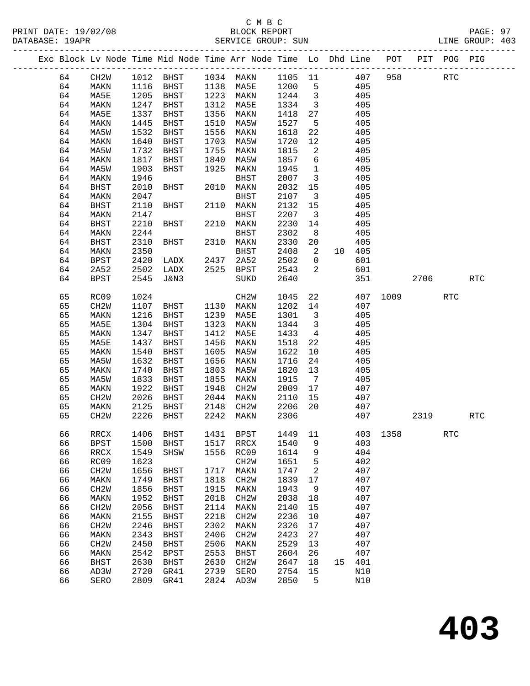|  |          |                   |      |             |      | Exc Block Lv Node Time Mid Node Time Arr Node Time Lo Dhd Line POT PIT POG PIG |              |                         |    |            |                  |      |            |            |
|--|----------|-------------------|------|-------------|------|--------------------------------------------------------------------------------|--------------|-------------------------|----|------------|------------------|------|------------|------------|
|  | 64       | CH2W              |      |             |      | 1012 BHST 1034 MAKN 1105 11                                                    |              |                         |    | 407        | 958              |      | <b>RTC</b> |            |
|  | 64       | MAKN              |      |             |      | 1116 BHST 1138 MA5E 1200                                                       |              | $5^{\circ}$             |    | 405        |                  |      |            |            |
|  | 64       | MA5E              | 1205 | BHST        |      | 1223 MAKN                                                                      | 1244         | $\overline{\mathbf{3}}$ |    | 405        |                  |      |            |            |
|  | 64       | MAKN              | 1247 | BHST        | 1312 | MA5E                                                                           | 1334         | $\overline{\mathbf{3}}$ |    | 405        |                  |      |            |            |
|  | 64       | MA5E              | 1337 | BHST        | 1356 | MAKN                                                                           | 1418         | 27                      |    | 405        |                  |      |            |            |
|  | 64       | MAKN              | 1445 | BHST        | 1510 | MA5W                                                                           | 1527         | 5                       |    | 405        |                  |      |            |            |
|  | 64       | MA5W              | 1532 | BHST        | 1556 | MAKN                                                                           | 1618         | 22                      |    | 405        |                  |      |            |            |
|  | 64       | MAKN              | 1640 | BHST        | 1703 | MA5W                                                                           | 1720         | 12                      |    | 405        |                  |      |            |            |
|  | 64       | MA5W              | 1732 | BHST        | 1755 | MAKN                                                                           | 1815         | $\overline{2}$          |    | 405        |                  |      |            |            |
|  | 64       | MAKN              | 1817 | BHST        | 1840 | MA5W                                                                           | 1857         | 6                       |    | 405        |                  |      |            |            |
|  | 64       | MA5W              | 1903 | BHST        | 1925 | MAKN                                                                           | 1945         | $\overline{1}$          |    | 405        |                  |      |            |            |
|  | 64       | MAKN              | 1946 |             |      | BHST                                                                           | 2007         | $\overline{\mathbf{3}}$ |    | 405        |                  |      |            |            |
|  | 64       | <b>BHST</b>       | 2010 | BHST        |      | 2010 MAKN                                                                      | 2032         | 15                      |    | 405        |                  |      |            |            |
|  | 64       | MAKN              | 2047 |             |      | BHST                                                                           | 2107         | $\overline{\mathbf{3}}$ |    | 405        |                  |      |            |            |
|  | 64       | BHST              | 2110 | BHST        |      | 2110 MAKN                                                                      | 2132         | 15                      |    | 405        |                  |      |            |            |
|  | 64       | MAKN              | 2147 |             |      | BHST                                                                           | 2207         | $\overline{\mathbf{3}}$ |    | 405        |                  |      |            |            |
|  | 64       | <b>BHST</b>       | 2210 | BHST        |      | 2210 MAKN                                                                      | 2230         | 14                      |    | 405        |                  |      |            |            |
|  | 64       | MAKN              | 2244 |             |      | BHST                                                                           | 2302         | 8 <sup>8</sup>          |    | 405        |                  |      |            |            |
|  | 64       | BHST              | 2310 | BHST        |      | 2310 MAKN                                                                      | 2330         | 20                      |    | 405        |                  |      |            |            |
|  | 64       | MAKN              | 2350 |             |      | BHST                                                                           | 2408         | $\overline{2}$          |    | 10 405     |                  |      |            |            |
|  |          |                   | 2420 | LADX        | 2437 |                                                                                | 2502         | $\overline{0}$          |    | 601        |                  |      |            |            |
|  | 64<br>64 | BPST              | 2502 |             |      | 2A52                                                                           |              | 2                       |    |            |                  |      |            |            |
|  |          | 2A52              | 2545 | LADX        |      | 2525 BPST                                                                      | 2543<br>2640 |                         |    | 601<br>351 |                  | 2706 |            | <b>RTC</b> |
|  | 64       | <b>BPST</b>       |      | J&N3        |      | SUKD                                                                           |              |                         |    |            |                  |      |            |            |
|  | 65       | RC09              | 1024 |             |      | CH2W                                                                           | 1045         | 22                      |    |            | 407 1009         |      | <b>RTC</b> |            |
|  | 65       | CH <sub>2</sub> W | 1107 | BHST        |      | 1130 MAKN                                                                      | 1202 14      |                         |    | 407        |                  |      |            |            |
|  | 65       | MAKN              | 1216 | BHST        | 1239 | MA5E                                                                           | 1301         | $\overline{\mathbf{3}}$ |    | 405        |                  |      |            |            |
|  | 65       | MA5E              | 1304 | BHST        | 1323 | MAKN                                                                           | 1344         | $\overline{\mathbf{3}}$ |    | 405        |                  |      |            |            |
|  | 65       | MAKN              | 1347 | BHST        | 1412 | MA5E                                                                           | 1433         | $\overline{4}$          |    | 405        |                  |      |            |            |
|  | 65       | MA5E              | 1437 | BHST        | 1456 | MAKN                                                                           | 1518         | 22                      |    | 405        |                  |      |            |            |
|  | 65       | MAKN              | 1540 | BHST        | 1605 | MA5W                                                                           | 1622         | 10                      |    | 405        |                  |      |            |            |
|  | 65       | MA5W              | 1632 | BHST        | 1656 | MAKN                                                                           | 1716         | 24                      |    | 405        |                  |      |            |            |
|  | 65       | MAKN              | 1740 | BHST        | 1803 | MA5W                                                                           | 1820         | 13                      |    | 405        |                  |      |            |            |
|  | 65       | MA5W              | 1833 | BHST        | 1855 | MAKN                                                                           | 1915         | $\overline{7}$          |    | 405        |                  |      |            |            |
|  | 65       | MAKN              | 1922 | BHST        | 1948 | CH2W                                                                           | 2009         | 17                      |    | 407        |                  |      |            |            |
|  | 65       | CH <sub>2</sub> W | 2026 | BHST        | 2044 | MAKN                                                                           | 2110         | 15                      |    | 407        |                  |      |            |            |
|  | 65       | MAKN              | 2125 | BHST        | 2148 | CH2W                                                                           | 2206         | 20                      |    | 407        |                  |      |            |            |
|  | 65       | CH <sub>2</sub> W | 2226 | BHST        | 2242 | MAKN                                                                           | 2306         |                         |    | 407        |                  | 2319 |            | <b>RTC</b> |
|  | 66       | RRCX              |      | 1406 BHST   |      | 1431 BPST                                                                      |              |                         |    |            | 1449 11 403 1358 |      | RTC        |            |
|  | 66       | <b>BPST</b>       | 1500 | <b>BHST</b> | 1517 | RRCX                                                                           | 1540         | 9                       |    | 403        |                  |      |            |            |
|  | 66       | RRCX              | 1549 | SHSW        | 1556 | RC09                                                                           | 1614         | 9                       |    | 404        |                  |      |            |            |
|  | 66       | RC09              | 1623 |             |      | CH <sub>2</sub> M                                                              | 1651         | $\overline{5}$          |    | 402        |                  |      |            |            |
|  | 66       | CH <sub>2</sub> W | 1656 | <b>BHST</b> | 1717 | MAKN                                                                           | 1747         | 2                       |    | 407        |                  |      |            |            |
|  | 66       | MAKN              | 1749 | BHST        | 1818 | CH <sub>2</sub> M                                                              | 1839         | 17                      |    | 407        |                  |      |            |            |
|  | 66       | CH <sub>2</sub> W | 1856 | BHST        | 1915 | MAKN                                                                           | 1943         | 9                       |    | 407        |                  |      |            |            |
|  | 66       | MAKN              | 1952 | BHST        | 2018 | CH2W                                                                           | 2038         | 18                      |    | 407        |                  |      |            |            |
|  | 66       | CH <sub>2</sub> W | 2056 | <b>BHST</b> | 2114 | MAKN                                                                           | 2140         | 15                      |    | 407        |                  |      |            |            |
|  | 66       | MAKN              | 2155 | BHST        | 2218 | CH <sub>2</sub> M                                                              | 2236         | 10                      |    | 407        |                  |      |            |            |
|  | 66       | CH <sub>2</sub> W | 2246 | <b>BHST</b> | 2302 | MAKN                                                                           | 2326         | 17                      |    | 407        |                  |      |            |            |
|  | 66       | MAKN              | 2343 | BHST        | 2406 | CH <sub>2</sub> W                                                              | 2423         | 27                      |    | 407        |                  |      |            |            |
|  | 66       | CH <sub>2</sub> W | 2450 | <b>BHST</b> | 2506 | MAKN                                                                           | 2529         | 13                      |    | 407        |                  |      |            |            |
|  | 66       | MAKN              | 2542 | <b>BPST</b> | 2553 | <b>BHST</b>                                                                    | 2604         | 26                      |    | 407        |                  |      |            |            |
|  | 66       | <b>BHST</b>       | 2630 | BHST        | 2630 | CH <sub>2</sub> M                                                              | 2647         | 18                      | 15 | 401        |                  |      |            |            |
|  | 66       | AD3W              | 2720 | GR41        | 2739 | SERO                                                                           | 2754         | 15                      |    | N10        |                  |      |            |            |
|  | 66       | SERO              |      | 2809 GR41   | 2824 | AD3W                                                                           | 2850         | 5                       |    | N10        |                  |      |            |            |
|  |          |                   |      |             |      |                                                                                |              |                         |    |            |                  |      |            |            |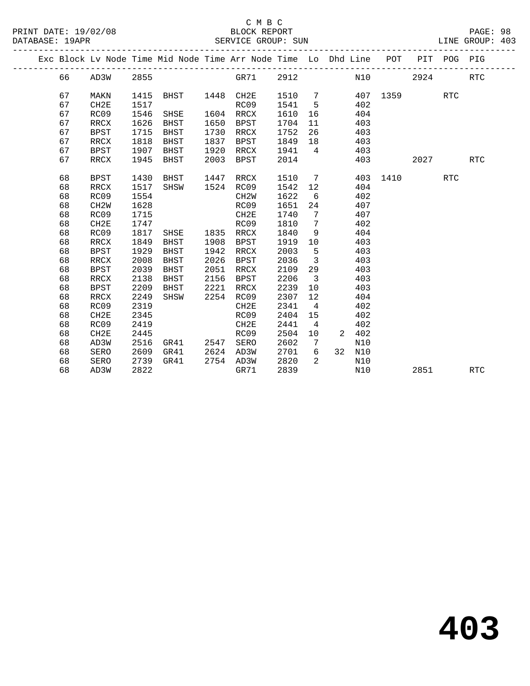PRINT DATE: 19/02/08 BLOCK REPORT BATABASE: 19APR

# C M B C<br>BLOCK REPORT

PAGE: 98<br>LINE GROUP: 403

|  |    |                   |      | Exc Block Lv Node Time Mid Node Time Arr Node Time Lo Dhd Line POT |      |                   |      |                   |    |     |          | PIT  | POG        | PIG        |  |
|--|----|-------------------|------|--------------------------------------------------------------------|------|-------------------|------|-------------------|----|-----|----------|------|------------|------------|--|
|  | 66 | AD3W              | 2855 |                                                                    |      | GR71              | 2912 |                   |    | N10 |          | 2924 |            | <b>RTC</b> |  |
|  | 67 | MAKN              | 1415 | BHST                                                               |      | 1448 CH2E         | 1510 | 7                 |    |     | 407 1359 |      | <b>RTC</b> |            |  |
|  | 67 | CH2E              | 1517 |                                                                    |      | RC09              | 1541 | 5                 |    | 402 |          |      |            |            |  |
|  | 67 | RC09              | 1546 | SHSE                                                               |      | 1604 RRCX         | 1610 | 16                |    | 404 |          |      |            |            |  |
|  | 67 | RRCX              | 1626 | BHST                                                               | 1650 | BPST              | 1704 | 11                |    | 403 |          |      |            |            |  |
|  | 67 | <b>BPST</b>       | 1715 | BHST                                                               | 1730 | RRCX              | 1752 | 26                |    | 403 |          |      |            |            |  |
|  | 67 | RRCX              | 1818 | BHST                                                               | 1837 | BPST              | 1849 | 18                |    | 403 |          |      |            |            |  |
|  | 67 | <b>BPST</b>       | 1907 | BHST                                                               | 1920 | RRCX              | 1941 | $4\overline{4}$   |    | 403 |          |      |            |            |  |
|  | 67 | RRCX              | 1945 | BHST                                                               | 2003 | <b>BPST</b>       | 2014 |                   |    | 403 |          | 2027 |            | <b>RTC</b> |  |
|  | 68 | <b>BPST</b>       | 1430 | BHST                                                               | 1447 | RRCX              | 1510 | $\overline{7}$    |    | 403 | 1410     |      | <b>RTC</b> |            |  |
|  | 68 | RRCX              | 1517 | SHSW                                                               |      | 1524 RC09         | 1542 | 12                |    | 404 |          |      |            |            |  |
|  | 68 | RC09              | 1554 |                                                                    |      | CH <sub>2</sub> W | 1622 | 6                 |    | 402 |          |      |            |            |  |
|  | 68 | CH <sub>2</sub> W | 1628 |                                                                    |      | RC09              | 1651 | 24                |    | 407 |          |      |            |            |  |
|  | 68 | RC09              | 1715 |                                                                    |      | CH2E              | 1740 | 7                 |    | 407 |          |      |            |            |  |
|  | 68 | CH2E              | 1747 |                                                                    |      | RC09              | 1810 | $7\phantom{.0}$   |    | 402 |          |      |            |            |  |
|  | 68 | RC09              | 1817 | SHSE                                                               | 1835 | RRCX              | 1840 | 9                 |    | 404 |          |      |            |            |  |
|  | 68 | RRCX              | 1849 | BHST                                                               | 1908 | BPST              | 1919 | 10                |    | 403 |          |      |            |            |  |
|  | 68 | <b>BPST</b>       | 1929 | BHST                                                               | 1942 | RRCX              | 2003 | 5                 |    | 403 |          |      |            |            |  |
|  | 68 | RRCX              | 2008 | BHST                                                               | 2026 | <b>BPST</b>       | 2036 | $\overline{3}$    |    | 403 |          |      |            |            |  |
|  | 68 | <b>BPST</b>       | 2039 | BHST                                                               | 2051 | RRCX              | 2109 | 29                |    | 403 |          |      |            |            |  |
|  | 68 | RRCX              | 2138 | BHST                                                               | 2156 | BPST              | 2206 | $\overline{3}$    |    | 403 |          |      |            |            |  |
|  | 68 | BPST              | 2209 | BHST                                                               | 2221 | RRCX              | 2239 | 10                |    | 403 |          |      |            |            |  |
|  | 68 | RRCX              | 2249 | SHSW                                                               | 2254 | RC09              | 2307 | $12 \overline{ }$ |    | 404 |          |      |            |            |  |
|  | 68 | RC09              | 2319 |                                                                    |      | CH2E              | 2341 | $\overline{4}$    |    | 402 |          |      |            |            |  |
|  | 68 | CH2E              | 2345 |                                                                    |      | RC09              | 2404 | 15                |    | 402 |          |      |            |            |  |
|  | 68 | RC09              | 2419 |                                                                    |      | CH2E              | 2441 | $\overline{4}$    |    | 402 |          |      |            |            |  |
|  | 68 | CH2E              | 2445 |                                                                    |      | RC09              | 2504 | 10                | 2  | 402 |          |      |            |            |  |
|  | 68 | AD3W              | 2516 | GR41                                                               | 2547 | SERO              | 2602 | 7                 |    | N10 |          |      |            |            |  |
|  | 68 | SERO              | 2609 | GR41                                                               | 2624 | AD3W              | 2701 | 6                 | 32 | N10 |          |      |            |            |  |
|  | 68 | SERO              | 2739 | GR41                                                               |      | 2754 AD3W         | 2820 | $\mathcal{L}$     |    | N10 |          |      |            |            |  |
|  | 68 | AD3W              | 2822 |                                                                    |      | GR71              | 2839 |                   |    | N10 |          | 2851 |            | RTC        |  |
|  |    |                   |      |                                                                    |      |                   |      |                   |    |     |          |      |            |            |  |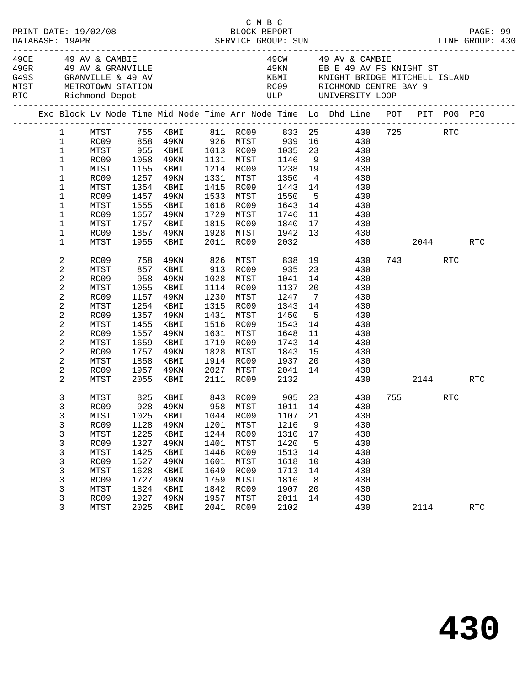|                                                                                               |                                                                                                              |                                                                                      |                                                                                                                                           |                                                                                      | СМВС                                                                                                                                                                 |                                                                                                                                 |                                                                    |                                                                                                                                                                                   |          |      |                      |  |
|-----------------------------------------------------------------------------------------------|--------------------------------------------------------------------------------------------------------------|--------------------------------------------------------------------------------------|-------------------------------------------------------------------------------------------------------------------------------------------|--------------------------------------------------------------------------------------|----------------------------------------------------------------------------------------------------------------------------------------------------------------------|---------------------------------------------------------------------------------------------------------------------------------|--------------------------------------------------------------------|-----------------------------------------------------------------------------------------------------------------------------------------------------------------------------------|----------|------|----------------------|--|
|                                                                                               | MTST METROTOWN STATION<br>RTC Richmond Depot<br>------------------------------                               |                                                                                      | 49CE             49  AV  &  CAMBIE<br>49GR            49  AV  &  GRANVILLE<br>G49S              GRANVILLE  &  49  AV                      |                                                                                      |                                                                                                                                                                      |                                                                                                                                 |                                                                    | 49CW      49 AV & CAMBIE<br>49KN       EB E 49 AV FS KNIGHT ST<br>KBMI       KNIGHT BRIDGE MITCHELL ISLAND<br>RCO9 RICHMOND CENTRE BAY 9<br>ULP UNIVERSITY LOOP                   |          |      |                      |  |
|                                                                                               |                                                                                                              |                                                                                      |                                                                                                                                           |                                                                                      |                                                                                                                                                                      |                                                                                                                                 |                                                                    | Exc Block Lv Node Time Mid Node Time Arr Node Time Lo Dhd Line POT PIT POG PIG                                                                                                    |          |      |                      |  |
| $\mathbf{1}$<br>$\mathbf{1}$<br>$\mathbf 1$<br>1<br>$\mathbf 1$<br>$\mathbf 1$<br>$\mathbf 1$ | RC09<br>MTST<br>RC09<br>MTST<br>RC09<br>MTST<br>RC09                                                         | 1058<br>1257<br>1555<br>1657                                                         | 49KN<br>1155 KBMI<br>49KN<br>1354 KBMI<br>1457 49KN<br>KBMI<br>49KN                                                                       |                                                                                      | 1214 RC09<br>1331 MTST<br>1415 RC09<br>1533 MTST<br>1616 RC09<br>1729 MTST                                                                                           | 1131 MTST 1146<br>1238 19<br>1350<br>1443<br>1550<br>1643<br>1746                                                               | 9<br>$4\overline{4}$<br>14<br>11                                   | 1 MTST 755 KBMI 811 RC09 833 25 430 725<br>1 RC09 858 49KN 926 MTST 939 16 430<br>1 MTST 955 KBMI 1013 RC09 1035 23 430<br>430<br>430<br>430<br>$14$ $430$<br>5 430<br>430<br>430 |          | RTC  |                      |  |
| 1<br>$\mathbf 1$<br>1                                                                         | MTST<br>RC09<br>MTST                                                                                         | 1857                                                                                 | 1757 KBMI<br>49KN<br>1955 KBMI                                                                                                            |                                                                                      | 1815 RC09<br>2011 RC09                                                                                                                                               | 1840<br>1928 MTST 1942 13<br>2032                                                                                               |                                                                    | $\frac{11}{17}$ $\frac{430}{430}$<br>430<br>430                                                                                                                                   |          | 2044 | RTC                  |  |
| 2<br>2<br>2<br>2<br>2<br>2<br>2<br>2<br>2<br>2<br>2<br>2<br>2<br>2                            | RC09<br>MTST<br>RC09<br>MTST<br>RC09<br>MTST<br>RC09<br>MTST<br>RC09<br>MTST<br>RC09<br>MTST<br>RC09<br>MTST | 758<br>958<br>1055<br>1357<br>1455<br>1557<br>1757<br>1858                           | 49KN<br>857 KBMI<br>49KN<br>KBMI<br>1157 49KN<br>1254 KBMI<br>49KN<br>KBMI<br>49KN<br>1659 KBMI<br>49KN<br>KBMI<br>1957 49KN<br>2055 KBMI |                                                                                      | 913 RC09<br>1028 MTST<br>1114 RC09<br>1230 MTST<br>1315 RC09<br>1431 MTST<br>1516 RC09<br>1631 MTST<br>1719 RC09<br>1828 MTST<br>1914 RC09<br>2027 MTST<br>2111 RC09 | 826 MTST 838<br>935<br>1041<br>1137 20<br>1247<br>1343 14<br>1450<br>1543<br>1648<br>1743<br>1843<br>1937 20<br>2041 14<br>2132 | 23<br>14<br>$7\overline{ }$<br>$5^{\circ}$<br>14<br>11<br>14<br>15 | 19 430<br>430<br>430<br>430<br>430<br>430<br>430<br>430<br>430<br>430<br>430<br>430<br>430<br>430 2144 RTC                                                                        | 743 — 10 | RTC  |                      |  |
| 3<br>3<br>3<br>3<br>3<br>3<br>3<br>3<br>3<br>3<br>3<br>3<br>3                                 | MTST<br>MTST<br>RC09<br>MTST<br>RC09<br>MTST<br>RC09<br>MTST<br>RC09<br>MTST<br>RC09<br>MTST                 | 1025<br>1128<br>1225<br>1327<br>1425<br>1527<br>1628<br>1727<br>1824<br>1927<br>2025 | 825 KBMI<br>KBMI<br><b>49KN</b><br>KBMI<br>49KN<br>KBMI<br>49KN<br>KBMI<br>49KN<br>KBMI<br>49KN<br>KBMI                                   | 1044<br>1201<br>1244<br>1401<br>1446<br>1601<br>1649<br>1759<br>1842<br>1957<br>2041 | 843 RC09<br>RC09<br>MTST<br>RC09<br>MTST<br>RC09<br>MTST<br>RC09<br>MTST<br>RC09<br>MTST<br>RC09                                                                     | 1107<br>1216<br>1310<br>1420<br>1513<br>1618<br>1713<br>1816<br>1907<br>2011<br>2102                                            | 21<br>9<br>17<br>5<br>14<br>10<br>14<br>8<br>20<br>14              | 905 23 430 755 RTC<br>RC09 928 49KN 958 MTST 1011 14 430<br>430<br>430<br>430<br>430<br>430<br>430<br>430<br>430<br>430<br>430<br>430                                             | 2114     |      | $\operatorname{RTC}$ |  |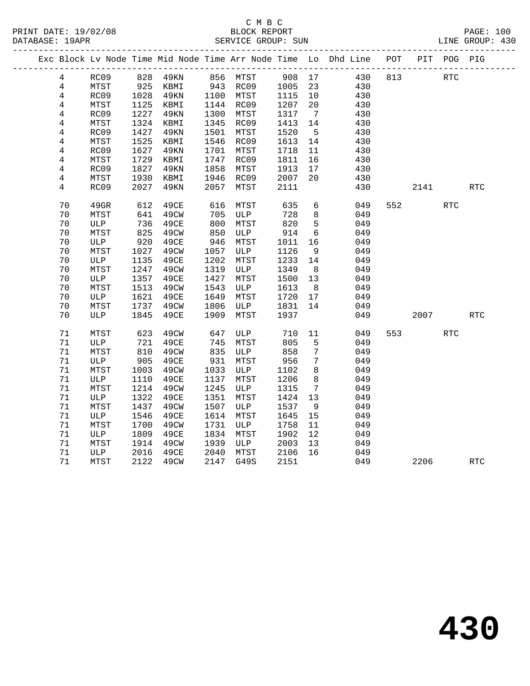|                |         |               |          |      |                       |        |                 | Exc Block Lv Node Time Mid Node Time Arr Node Time Lo Dhd Line POT |     |      | PIT POG PIG |            |
|----------------|---------|---------------|----------|------|-----------------------|--------|-----------------|--------------------------------------------------------------------|-----|------|-------------|------------|
| 4              | RC09    |               | 828 49KN |      | 856 MTST              | 908 17 |                 | 430                                                                | 813 |      | RTC         |            |
| $\overline{4}$ | MTST    | $925$<br>1028 | KBMI     |      | 943 RC09<br>1100 MTST | 1005   | 23              | 430                                                                |     |      |             |            |
| 4              | RC09    | 1028          | 49KN     |      |                       | 1115   | 10              | 430                                                                |     |      |             |            |
| 4              | MTST    | 1125          | KBMI     |      | 1144 RC09             | 1207   | 20              | 430                                                                |     |      |             |            |
| 4              | RC09    | 1227          | 49KN     | 1300 | MTST                  | 1317   | $\overline{7}$  | 430                                                                |     |      |             |            |
| $\overline{4}$ | MTST    | 1324          | KBMI     | 1345 | RC09                  | 1413   | 14              | 430                                                                |     |      |             |            |
| 4              | RC09    | 1427          | 49KN     | 1501 | MTST                  | 1520   | $5^{\circ}$     | 430                                                                |     |      |             |            |
| $\overline{4}$ | MTST    | 1525          | KBMI     | 1546 | RC09                  | 1613   | 14              | 430                                                                |     |      |             |            |
| $\overline{4}$ | RC09    | 1627          | 49KN     | 1701 | MTST                  | 1718   | 11              | 430                                                                |     |      |             |            |
| 4              | MTST    | 1729          | KBMI     | 1747 | RC09                  | 1811   | 16              | 430                                                                |     |      |             |            |
| $\overline{4}$ | RC09    | 1827          | 49KN     | 1858 | MTST                  | 1913   | 17              | 430                                                                |     |      |             |            |
| 4              | MTST    | 1930          | KBMI     | 1946 | RC09                  | 2007   | 20              | 430                                                                |     |      |             |            |
| 4              | RC09    | 2027          | 49KN     | 2057 | MTST                  | 2111   |                 | 430                                                                |     | 2141 |             | RTC        |
| 70             | $49$ GR | 612           | 49CE     | 616  | MTST                  | 635    | 6               | 049                                                                | 552 |      | <b>RTC</b>  |            |
| 70             | MTST    | 641           | 49CW     | 705  | ULP                   | 728    | 8               | 049                                                                |     |      |             |            |
| 70             | ULP     | 736           | 49CE     | 800  | MTST                  | 820    | 5               | 049                                                                |     |      |             |            |
| 70             | MTST    | 825           | 49CW     | 850  | ULP                   | 914    | 6               | 049                                                                |     |      |             |            |
| 70             | ULP     | 920           | 49CE     | 946  | MTST                  | 1011   | 16              | 049                                                                |     |      |             |            |
| 70             | MTST    | 1027          | 49CW     | 1057 | ULP                   | 1126   | 9               | 049                                                                |     |      |             |            |
| 70             | ULP     | 1135          | 49CE     | 1202 | MTST                  | 1233   | 14              | 049                                                                |     |      |             |            |
| 70             | MTST    | 1247          | 49CW     | 1319 | ULP                   | 1349   | 8 <sup>8</sup>  | 049                                                                |     |      |             |            |
| 70             | ULP     | 1357          | 49CE     | 1427 | MTST                  | 1500   | 13              | 049                                                                |     |      |             |            |
| 70             | MTST    | 1513          | 49CW     | 1543 | ULP                   | 1613   | 8 <sup>8</sup>  | 049                                                                |     |      |             |            |
| 70             | ULP     | 1621          | 49CE     | 1649 | MTST                  | 1720   | 17              | 049                                                                |     |      |             |            |
| 70             | MTST    | 1737          | 49CW     | 1806 | <b>ULP</b>            | 1831   | 14              | 049                                                                |     |      |             |            |
| 70             | ULP     | 1845          | 49CE     | 1909 | MTST                  | 1937   |                 | 049                                                                |     | 2007 |             | RTC        |
| 71             | MTST    | 623           | 49CW     | 647  | ULP                   | 710    | 11              | 049                                                                | 553 |      | <b>RTC</b>  |            |
| 71             | ULP     | 721           | 49CE     | 745  | MTST                  | 805    | 5               | 049                                                                |     |      |             |            |
| 71             | MTST    | 810           | 49CW     | 835  | ULP                   | 858    | 7               | 049                                                                |     |      |             |            |
| 71             | ULP     | 905           | 49CE     | 931  | MTST                  | 956    | $7\phantom{.0}$ | 049                                                                |     |      |             |            |
| 71             | MTST    | 1003          | 49CW     | 1033 | ULP                   | 1102   | 8               | 049                                                                |     |      |             |            |
| 71             | ULP     | 1110          | 49CE     | 1137 | MTST                  | 1206   | 8               | 049                                                                |     |      |             |            |
| $71\,$         | MTST    | 1214          | 49CW     | 1245 | ULP                   | 1315   | $7\overline{ }$ | 049                                                                |     |      |             |            |
| 71             | ULP     | 1322          | 49CE     | 1351 | MTST                  | 1424   | 13              | 049                                                                |     |      |             |            |
| $71\,$         | MTST    | 1437          | 49CW     | 1507 | ULP                   | 1537   | 9               | 049                                                                |     |      |             |            |
| 71             | ULP     | 1546          | 49CE     | 1614 | MTST                  | 1645   | 15              | 049                                                                |     |      |             |            |
| $71\,$         | MTST    | 1700          | 49CW     | 1731 | ULP                   | 1758   | 11              | 049                                                                |     |      |             |            |
| 71             | ULP     | 1809          | 49CE     | 1834 | MTST                  | 1902   | 12              | 049                                                                |     |      |             |            |
| 71             | MTST    | 1914          | 49CW     | 1939 | ULP                   | 2003   | 13              | 049                                                                |     |      |             |            |
| 71             | ULP     | 2016          | 49CE     | 2040 | MTST                  | 2106   | 16              | 049                                                                |     |      |             |            |
| 71             | MTST    | 2122          | 49CW     | 2147 | G49S                  | 2151   |                 | 049                                                                |     | 2206 |             | <b>RTC</b> |
|                |         |               |          |      |                       |        |                 |                                                                    |     |      |             |            |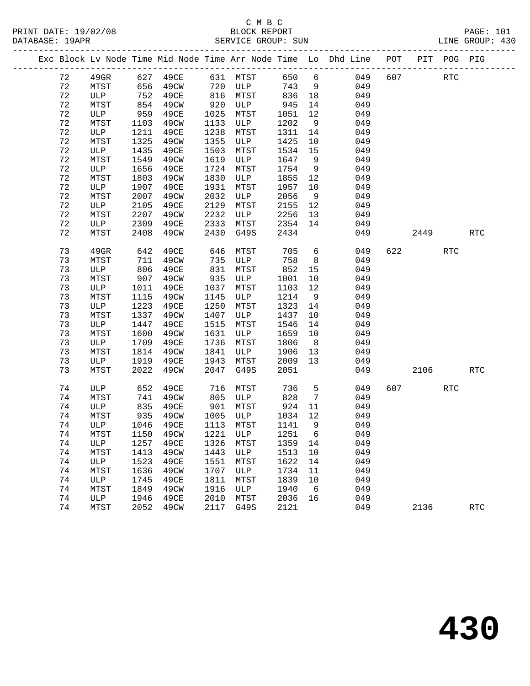# C M B C<br>BLOCK REPORT

|  |    |              |      | Exc Block Lv Node Time Mid Node Time Arr Node Time Lo |      |      |      |             | Dhd Line | POT | PIT  | POG        | PIG                  |
|--|----|--------------|------|-------------------------------------------------------|------|------|------|-------------|----------|-----|------|------------|----------------------|
|  | 72 | 49GR         | 627  | 49CE                                                  | 631  | MTST | 650  | $\sqrt{6}$  | 049      | 607 |      | <b>RTC</b> |                      |
|  | 72 | MTST         | 656  | 49CW                                                  | 720  | ULP  | 743  | 9           | 049      |     |      |            |                      |
|  | 72 | ULP          | 752  | 49CE                                                  | 816  | MTST | 836  | 18          | 049      |     |      |            |                      |
|  | 72 | MTST         | 854  | 49CW                                                  | 920  | ULP  | 945  | 14          | 049      |     |      |            |                      |
|  | 72 | ULP          | 959  | 49CE                                                  | 1025 | MTST | 1051 | 12          | 049      |     |      |            |                      |
|  | 72 | MTST         | 1103 | 49CW                                                  | 1133 | ULP  | 1202 | $\,9$       | 049      |     |      |            |                      |
|  | 72 | ULP          | 1211 | 49CE                                                  | 1238 | MTST | 1311 | 14          | 049      |     |      |            |                      |
|  | 72 | MTST         | 1325 | 49CW                                                  | 1355 | ULP  | 1425 | 10          | 049      |     |      |            |                      |
|  | 72 | $_{\rm ULP}$ | 1435 | 49CE                                                  | 1503 | MTST | 1534 | 15          | 049      |     |      |            |                      |
|  | 72 | MTST         | 1549 | 49CW                                                  | 1619 | ULP  | 1647 | $\,9$       | 049      |     |      |            |                      |
|  | 72 | ULP          | 1656 | 49CE                                                  | 1724 | MTST | 1754 | 9           | 049      |     |      |            |                      |
|  | 72 | MTST         | 1803 | 49CW                                                  | 1830 | ULP  | 1855 | 12          | 049      |     |      |            |                      |
|  | 72 | ULP          | 1907 | 49CE                                                  | 1931 | MTST | 1957 | 10          | 049      |     |      |            |                      |
|  | 72 | MTST         | 2007 | 49CW                                                  | 2032 | ULP  | 2056 | $\mathsf 9$ | 049      |     |      |            |                      |
|  | 72 | ULP          | 2105 | 49CE                                                  | 2129 | MTST | 2155 | 12          | 049      |     |      |            |                      |
|  | 72 | MTST         | 2207 | 49CW                                                  | 2232 | ULP  | 2256 | 13          | 049      |     |      |            |                      |
|  | 72 | ULP          | 2309 | 49CE                                                  | 2333 | MTST | 2354 | 14          | 049      |     |      |            |                      |
|  | 72 | MTST         | 2408 | 49CW                                                  | 2430 | G49S | 2434 |             | 049      |     | 2449 |            | $\operatorname{RTC}$ |
|  | 73 | 49GR         | 642  | 49CE                                                  | 646  | MTST | 705  | 6           | 049      | 622 |      | <b>RTC</b> |                      |
|  | 73 | MTST         | 711  | 49CW                                                  | 735  | ULP  | 758  | 8           | 049      |     |      |            |                      |
|  | 73 | ULP          | 806  | 49CE                                                  | 831  | MTST | 852  | 15          | 049      |     |      |            |                      |
|  | 73 | MTST         | 907  | 49CW                                                  | 935  | ULP  | 1001 | 10          | 049      |     |      |            |                      |
|  | 73 | ULP          | 1011 | 49CE                                                  | 1037 | MTST | 1103 | 12          | 049      |     |      |            |                      |
|  | 73 | MTST         | 1115 | 49CW                                                  | 1145 | ULP  | 1214 | 9           | 049      |     |      |            |                      |
|  | 73 | ULP          | 1223 | 49CE                                                  | 1250 | MTST | 1323 | 14          | 049      |     |      |            |                      |
|  | 73 | MTST         | 1337 | 49CW                                                  | 1407 | ULP  | 1437 | 10          | 049      |     |      |            |                      |
|  | 73 | ULP          | 1447 | 49CE                                                  | 1515 | MTST | 1546 | 14          | 049      |     |      |            |                      |
|  | 73 | MTST         | 1600 | 49CW                                                  | 1631 | ULP  | 1659 | 10          | 049      |     |      |            |                      |
|  | 73 | ULP          | 1709 | 49CE                                                  | 1736 | MTST | 1806 | 8           | 049      |     |      |            |                      |
|  | 73 | MTST         | 1814 | 49CW                                                  | 1841 | ULP  | 1906 | 13          | 049      |     |      |            |                      |
|  | 73 | ULP          | 1919 | 49CE                                                  | 1943 | MTST | 2009 | 13          | 049      |     |      |            |                      |
|  | 73 | MTST         | 2022 | 49CW                                                  | 2047 | G49S | 2051 |             | 049      |     | 2106 |            | $\operatorname{RTC}$ |
|  | 74 | ULP          | 652  | 49CE                                                  | 716  | MTST | 736  | 5           | 049      | 607 |      | RTC        |                      |
|  | 74 | MTST         | 741  | 49CW                                                  | 805  | ULP  | 828  | 7           | 049      |     |      |            |                      |
|  | 74 | ULP          | 835  | 49CE                                                  | 901  | MTST | 924  | 11          | 049      |     |      |            |                      |
|  | 74 | MTST         | 935  | 49CW                                                  | 1005 | ULP  | 1034 | 12          | 049      |     |      |            |                      |
|  | 74 | ULP          | 1046 | 49CE                                                  | 1113 | MTST | 1141 | 9           | 049      |     |      |            |                      |
|  | 74 | MTST         | 1150 | 49CW                                                  | 1221 | ULP  | 1251 | 6           | 049      |     |      |            |                      |
|  | 74 | ULP          | 1257 | 49CE                                                  | 1326 | MTST | 1359 | 14          | 049      |     |      |            |                      |
|  | 74 | MTST         | 1413 | 49CW                                                  | 1443 | ULP  | 1513 | 10          | 049      |     |      |            |                      |
|  | 74 | ULP          | 1523 | 49CE                                                  | 1551 | MTST | 1622 | 14          | 049      |     |      |            |                      |
|  | 74 | MTST         | 1636 | 49CW                                                  | 1707 | ULP  | 1734 | 11          | 049      |     |      |            |                      |
|  | 74 | ULP          | 1745 | 49CE                                                  | 1811 | MTST | 1839 | 10          | 049      |     |      |            |                      |
|  | 74 | MTST         | 1849 | 49CW                                                  | 1916 | ULP  | 1940 | 6           | 049      |     |      |            |                      |
|  | 74 | ULP          | 1946 | 49CE                                                  | 2010 | MTST | 2036 | 16          | 049      |     |      |            |                      |
|  | 74 | MTST         | 2052 | 49CW                                                  | 2117 | G49S | 2121 |             | 049      |     | 2136 |            | <b>RTC</b>           |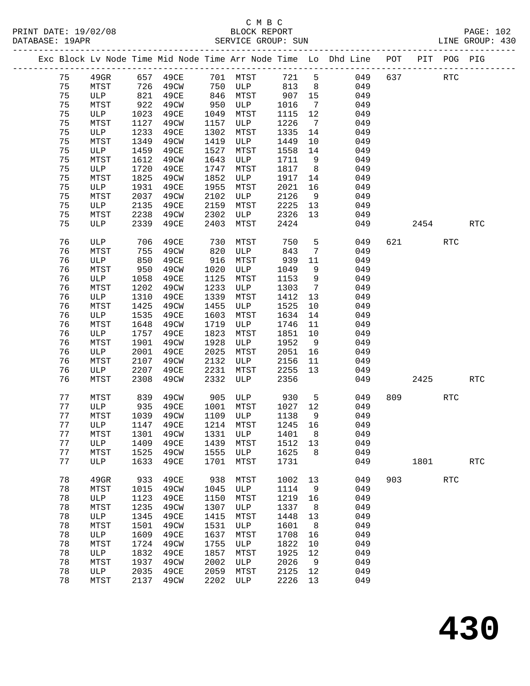|  |    |             |            |                                |      |           |       |                 | Exc Block Lv Node Time Mid Node Time Arr Node Time Lo Dhd Line POT |     |        | PIT POG PIG          |            |
|--|----|-------------|------------|--------------------------------|------|-----------|-------|-----------------|--------------------------------------------------------------------|-----|--------|----------------------|------------|
|  | 75 | $49$ GR     |            | 657 49CE                       |      | 701 MTST  | 721 5 |                 | 049                                                                | 637 |        | RTC                  |            |
|  | 75 | MTST        | 726<br>821 | 49CW                           | 750  | ULP       | 813   | 8 <sup>8</sup>  | 049                                                                |     |        |                      |            |
|  | 75 | ULP         |            | 49CE                           | 846  | MTST      | 907   | 15              | 049                                                                |     |        |                      |            |
|  | 75 | MTST        | 922        | 49CW                           | 950  | ULP       | 1016  | $\overline{7}$  | 049                                                                |     |        |                      |            |
|  | 75 | ULP         | 1023       | 49CE                           | 1049 | MTST      | 1115  | 12              | 049                                                                |     |        |                      |            |
|  | 75 | MTST        | 1127       | 49CW                           | 1157 | ULP       | 1226  | $7\overline{ }$ | 049                                                                |     |        |                      |            |
|  | 75 | ULP         | 1233       | 49CE                           | 1302 | MTST      | 1335  | 14              | 049                                                                |     |        |                      |            |
|  | 75 | MTST        | 1349       | 49CW                           | 1419 | ULP       | 1449  | 10              | 049                                                                |     |        |                      |            |
|  | 75 | ULP         | 1459       | 49CE                           | 1527 | MTST      | 1558  | 14              | 049                                                                |     |        |                      |            |
|  | 75 | MTST        | 1612       | 49CW                           | 1643 | ULP       | 1711  | 9               | 049                                                                |     |        |                      |            |
|  | 75 | ULP         | 1720       | 49CE                           | 1747 | MTST      | 1817  | 8 <sup>8</sup>  | 049                                                                |     |        |                      |            |
|  | 75 | MTST        | 1825       | 49CW                           | 1852 | ULP       | 1917  | 14              | 049                                                                |     |        |                      |            |
|  | 75 | ULP         | 1931       | 49CE                           | 1955 | MTST      | 2021  | 16              | 049                                                                |     |        |                      |            |
|  | 75 | MTST        | 2037       | 49CW                           | 2102 | ULP       | 2126  | 9               | 049                                                                |     |        |                      |            |
|  | 75 | ULP         | 2135       | 49CE                           | 2159 | MTST      | 2225  | 13              | 049                                                                |     |        |                      |            |
|  | 75 | MTST        | 2238       | 49CW                           | 2302 | ULP       | 2326  | 13              | 049                                                                |     |        |                      |            |
|  | 75 | ULP         | 2339       | 49CE                           | 2403 | MTST      | 2424  |                 | 049                                                                |     | 2454   |                      | <b>RTC</b> |
|  |    |             |            |                                |      |           |       |                 |                                                                    |     |        |                      |            |
|  | 76 | ULP         | 706        | 49CE                           | 730  | MTST      | 750   | 5               | 049                                                                |     | 621 72 | RTC                  |            |
|  | 76 | MTST        | 755        | 49CW                           | 820  | ULP       | 843   | $7\phantom{.0}$ | 049                                                                |     |        |                      |            |
|  | 76 | ULP         | 850        | 49CE                           | 916  | MTST      | 939   | 11              | 049                                                                |     |        |                      |            |
|  | 76 | MTST        | 950        | 49CW                           | 1020 | ULP       | 1049  | 9               | 049                                                                |     |        |                      |            |
|  | 76 | ULP         | 1058       | 49CE                           | 1125 | MTST      | 1153  | 9               | 049                                                                |     |        |                      |            |
|  | 76 | MTST        | 1202       | 49CW                           | 1233 | ULP       | 1303  | $7\overline{ }$ | 049                                                                |     |        |                      |            |
|  | 76 | ULP         | 1310       | 49CE                           | 1339 | MTST      | 1412  | 13              | 049                                                                |     |        |                      |            |
|  | 76 | MTST        | 1425       | 49CW                           | 1455 | ULP       | 1525  | 10              | 049                                                                |     |        |                      |            |
|  | 76 | ULP         | 1535       | 49CE                           | 1603 | MTST      | 1634  | 14              | 049                                                                |     |        |                      |            |
|  | 76 | MTST        | 1648       | 49CW                           | 1719 | ULP       | 1746  | 11              | 049                                                                |     |        |                      |            |
|  | 76 | ULP         | 1757       | 49CE                           | 1823 | MTST      | 1851  | 10              | 049                                                                |     |        |                      |            |
|  | 76 | MTST        | 1901       | 49CW                           | 1928 | ULP       | 1952  | $\overline{9}$  | 049                                                                |     |        |                      |            |
|  | 76 | ULP         | 2001       | 49CE                           | 2025 | MTST      | 2051  | 16              | 049                                                                |     |        |                      |            |
|  | 76 | MTST        | 2107       | 49CW                           | 2132 | ULP       | 2156  | 11              | 049                                                                |     |        |                      |            |
|  | 76 | ULP         | 2207       | 49CE                           | 2231 | MTST      | 2255  | 13              | 049                                                                |     |        |                      |            |
|  | 76 | MTST        | 2308       | 49CW                           | 2332 | ULP       | 2356  |                 | 049                                                                |     | 2425   |                      | <b>RTC</b> |
|  |    |             |            |                                |      |           |       |                 |                                                                    |     |        |                      |            |
|  | 77 | MTST        | 839        | 49CW                           | 905  | ULP       | 930   | $5^{\circ}$     | 049                                                                | 809 |        | RTC                  |            |
|  | 77 | ULP         | 935        | 49CE                           | 1001 | MTST      | 1027  | 12              | 049                                                                |     |        |                      |            |
|  | 77 | MTST        | 1039       | 49CW                           | 1109 | ULP       | 1138  | 9               | 049                                                                |     |        |                      |            |
|  | 77 | ULP         | 1147       | 49CE                           |      | 1214 MTST | 1245  | 16              | 049                                                                |     |        |                      |            |
|  | 77 |             |            | MTST 1301 49CW 1331 ULP 1401 8 |      |           |       |                 | 049                                                                |     |        |                      |            |
|  | 77 | ULP         | 1409       | 49CE                           | 1439 | MTST      | 1512  | 13              | 049                                                                |     |        |                      |            |
|  | 77 | MTST        | 1525       | 49CW                           | 1555 | ULP       | 1625  | 8               | 049                                                                |     |        |                      |            |
|  | 77 | ULP         | 1633       | 49CE                           | 1701 | MTST      | 1731  |                 | 049                                                                |     | 1801   |                      | RTC        |
|  |    |             |            |                                |      |           |       |                 |                                                                    |     |        |                      |            |
|  | 78 | 49GR        | 933        | 49CE                           | 938  | MTST      | 1002  | 13              | 049                                                                | 903 |        | $\operatorname{RTC}$ |            |
|  | 78 | MTST        | 1015       | 49CW                           | 1045 | ULP       | 1114  | 9               | 049                                                                |     |        |                      |            |
|  | 78 | ULP         | 1123       | 49CE                           | 1150 | MTST      | 1219  | 16              | 049                                                                |     |        |                      |            |
|  | 78 | MTST        | 1235       | 49CW                           | 1307 | ULP       | 1337  | 8               | 049                                                                |     |        |                      |            |
|  | 78 | ULP         | 1345       | 49CE                           | 1415 | MTST      | 1448  | 13              | 049                                                                |     |        |                      |            |
|  | 78 | MTST        | 1501       | 49CW                           | 1531 | ULP       | 1601  | 8               | 049                                                                |     |        |                      |            |
|  | 78 | ULP         | 1609       | 49CE                           | 1637 | MTST      | 1708  | 16              | 049                                                                |     |        |                      |            |
|  | 78 | MTST        | 1724       | 49CW                           | 1755 | ULP       | 1822  | 10              | 049                                                                |     |        |                      |            |
|  | 78 | ULP         | 1832       | 49CE                           | 1857 | MTST      | 1925  | 12              | 049                                                                |     |        |                      |            |
|  | 78 | MTST        | 1937       | 49CW                           | 2002 | ULP       | 2026  | $\overline{9}$  | 049                                                                |     |        |                      |            |
|  | 78 | ULP         | 2035       | 49CE                           | 2059 | MTST      | 2125  | 12              | 049                                                                |     |        |                      |            |
|  | 78 | <b>MTST</b> | 2137       | 49CW                           | 2202 | ULP       | 2226  | 13              | 049                                                                |     |        |                      |            |
|  |    |             |            |                                |      |           |       |                 |                                                                    |     |        |                      |            |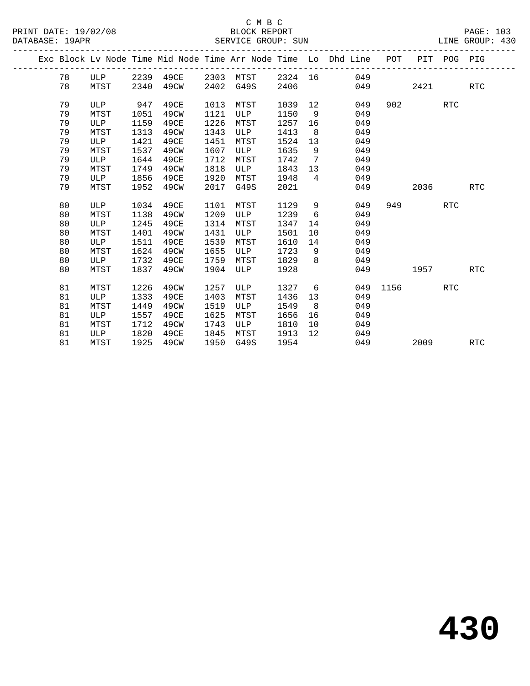|  |    |            |      |           |      |      |         |                   | Exc Block Lv Node Time Mid Node Time Arr Node Time Lo Dhd Line POT |      |      | PIT POG PIG |            |
|--|----|------------|------|-----------|------|------|---------|-------------------|--------------------------------------------------------------------|------|------|-------------|------------|
|  | 78 | ULP        |      | 2239 49CE | 2303 | MTST | 2324 16 |                   | 049                                                                |      |      |             |            |
|  | 78 | MTST       | 2340 | 49CW      | 2402 | G49S | 2406    |                   | 049                                                                |      | 2421 |             | <b>RTC</b> |
|  | 79 | ULP        | 947  | 49CE      | 1013 | MTST | 1039    | $12 \overline{ }$ | 049                                                                | 902  |      | <b>RTC</b>  |            |
|  | 79 | MTST       | 1051 | 49CW      | 1121 | ULP  | 1150    | 9                 | 049                                                                |      |      |             |            |
|  | 79 | ULP        | 1159 | 49CE      | 1226 | MTST | 1257    | 16                | 049                                                                |      |      |             |            |
|  | 79 | MTST       | 1313 | 49CW      | 1343 | ULP  | 1413    | - 8               | 049                                                                |      |      |             |            |
|  | 79 | ULP        | 1421 | 49CE      | 1451 | MTST | 1524    | 13                | 049                                                                |      |      |             |            |
|  | 79 | MTST       | 1537 | 49CW      | 1607 | ULP  | 1635    | 9                 | 049                                                                |      |      |             |            |
|  | 79 | <b>ULP</b> | 1644 | 49CE      | 1712 | MTST | 1742    | $7\phantom{.0}$   | 049                                                                |      |      |             |            |
|  | 79 | MTST       | 1749 | 49CW      | 1818 | ULP  | 1843    | 13                | 049                                                                |      |      |             |            |
|  | 79 | ULP        | 1856 | 49CE      | 1920 | MTST | 1948    | $4\overline{ }$   | 049                                                                |      |      |             |            |
|  | 79 | MTST       | 1952 | 49CW      | 2017 | G49S | 2021    |                   | 049                                                                |      | 2036 |             | RTC        |
|  |    |            |      |           |      |      |         |                   |                                                                    |      |      |             |            |
|  | 80 | ULP        | 1034 | 49CE      | 1101 | MTST | 1129    | 9                 | 049                                                                | 949  |      | <b>RTC</b>  |            |
|  | 80 | MTST       | 1138 | 49CW      | 1209 | ULP  | 1239    | 6                 | 049                                                                |      |      |             |            |
|  | 80 | ULP        | 1245 | 49CE      | 1314 | MTST | 1347    | 14                | 049                                                                |      |      |             |            |
|  | 80 | MTST       | 1401 | 49CW      | 1431 | ULP  | 1501    | 10                | 049                                                                |      |      |             |            |
|  | 80 | ULP        | 1511 | 49CE      | 1539 | MTST | 1610    | 14                | 049                                                                |      |      |             |            |
|  | 80 | MTST       | 1624 | 49CW      | 1655 | ULP  | 1723    | 9                 | 049                                                                |      |      |             |            |
|  | 80 | ULP        | 1732 | 49CE      | 1759 | MTST | 1829    | 8                 | 049                                                                |      |      |             |            |
|  | 80 | MTST       | 1837 | 49CW      | 1904 | ULP  | 1928    |                   | 049                                                                |      | 1957 |             | <b>RTC</b> |
|  |    |            |      |           |      |      |         |                   |                                                                    |      |      |             |            |
|  | 81 | MTST       | 1226 | 49CW      | 1257 | ULP  | 1327    | 6                 | 049                                                                | 1156 |      | RTC         |            |
|  | 81 | ULP        | 1333 | 49CE      | 1403 | MTST | 1436    | 13                | 049                                                                |      |      |             |            |
|  | 81 | MTST       | 1449 | 49CW      | 1519 | ULP  | 1549    | 8                 | 049                                                                |      |      |             |            |
|  | 81 | ULP        | 1557 | 49CE      | 1625 | MTST | 1656    | 16                | 049                                                                |      |      |             |            |
|  | 81 | MTST       | 1712 | 49CW      | 1743 | ULP  | 1810    | 10                | 049                                                                |      |      |             |            |
|  | 81 | ULP        | 1820 | 49CE      | 1845 | MTST | 1913    | $12 \overline{ }$ | 049                                                                |      |      |             |            |
|  | 81 | MTST       | 1925 | 49CW      | 1950 | G49S | 1954    |                   | 049                                                                |      | 2009 |             | <b>RTC</b> |
|  |    |            |      |           |      |      |         |                   |                                                                    |      |      |             |            |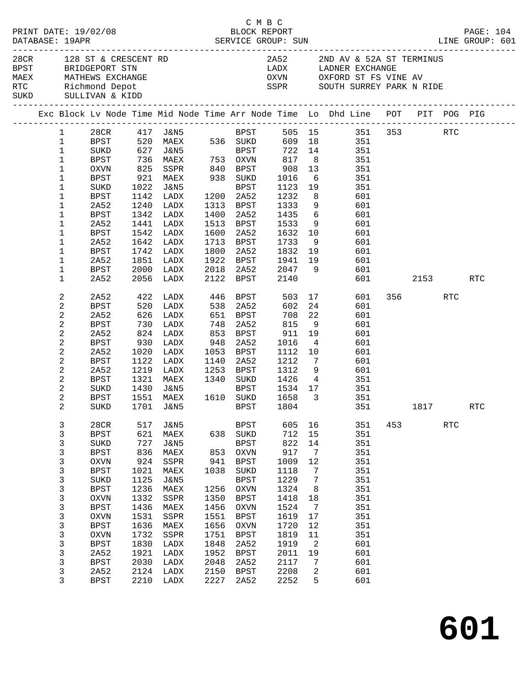|  |  |                                                                                                                         |                     |              |                      |              |                        | C M B C      |                         |                                                                                                                                                           |     |         |                      |            |
|--|--|-------------------------------------------------------------------------------------------------------------------------|---------------------|--------------|----------------------|--------------|------------------------|--------------|-------------------------|-----------------------------------------------------------------------------------------------------------------------------------------------------------|-----|---------|----------------------|------------|
|  |  | 28CR 128 ST & CRESCENT RD<br>BPST BRIDGEPORT STN<br>MAEX MATHEWS EXCHANGE<br>RTC Richmond Depot<br>SUKD SULLIVAN & KIDD |                     |              |                      |              |                        |              |                         | 2A52 2ND AV & 52A ST TERMINUS<br>LADX        LADNER EXCHANGE<br>OXVN         OXFORD ST FS VINE AV<br>SSPR SOUTH SURREY PARK N RIDE                        |     |         |                      |            |
|  |  |                                                                                                                         |                     |              |                      |              |                        |              |                         | Exc Block Lv Node Time Mid Node Time Arr Node Time Lo Dhd Line POT PIT POG PIG                                                                            |     |         |                      |            |
|  |  | 1                                                                                                                       |                     |              |                      |              |                        |              |                         | 505 15 351 353<br>28CR 417 J&N5 BPST 505 15 351<br>BPST 520 MAEX 536 SUKD 609 18 351<br>SUKD 627 J&N5 BPST 722 14 351<br>BPST 736 MAEX 753 OXVN 817 8 351 |     |         | <b>RTC</b>           |            |
|  |  | $\mathbf{1}$                                                                                                            |                     |              |                      |              |                        |              |                         |                                                                                                                                                           |     |         |                      |            |
|  |  | $\mathbf{1}$                                                                                                            |                     |              |                      |              |                        |              |                         |                                                                                                                                                           |     |         |                      |            |
|  |  | $\mathbf{1}$                                                                                                            |                     |              |                      |              |                        |              |                         |                                                                                                                                                           |     |         |                      |            |
|  |  | $\mathbf 1$                                                                                                             | OXVN                | 825          | SSPR                 |              | 840 BPST               | 908          | 13                      | 351                                                                                                                                                       |     |         |                      |            |
|  |  | 1                                                                                                                       | BPST                |              | 921 MAEX             |              | 938 SUKD               | 1016<br>1123 | 6                       | $\frac{351}{27}$                                                                                                                                          |     |         |                      |            |
|  |  | 1                                                                                                                       | SUKD                | 1022         | J&N5                 |              | BPST                   | 1123         | 19                      | 351                                                                                                                                                       |     |         |                      |            |
|  |  | 1                                                                                                                       | BPST                |              | 1142 LADX            |              | 1200 2A52              | 1232         | 8 <sup>8</sup>          | 601                                                                                                                                                       |     |         |                      |            |
|  |  | 1                                                                                                                       | 2A52                | 1240         | LADX                 |              | 1313 BPST              | 1333         | 9                       | 601                                                                                                                                                       |     |         |                      |            |
|  |  | 1                                                                                                                       | <b>BPST</b>         | 1342         | LADX                 | 1400         | 2A52                   | 1435         |                         | $\frac{6}{1}$<br>601                                                                                                                                      |     |         |                      |            |
|  |  | 1                                                                                                                       | 2A52                |              | 1441 LADX            |              | 1513 BPST              | 1533         | 9                       | 601                                                                                                                                                       |     |         |                      |            |
|  |  | 1                                                                                                                       | <b>BPST</b>         | 1542         | LADX                 | 1600         | 2A52                   | 1632         | 10                      | 601                                                                                                                                                       |     |         |                      |            |
|  |  | 1                                                                                                                       | 2A52                | 1642<br>1742 | LADX                 |              | 1713 BPST<br>2A52      | 1733         | 9                       | 601<br>601                                                                                                                                                |     |         |                      |            |
|  |  | 1<br>1                                                                                                                  | <b>BPST</b><br>2A52 |              | LADX<br>1851 LADX    | 1800         | 1922 BPST              | 1832         | 19<br>19                |                                                                                                                                                           |     |         |                      |            |
|  |  | 1                                                                                                                       | <b>BPST</b>         | 2000         | LADX                 | 2018         | 2A52                   | 1941<br>2047 | 9                       | 601<br>601                                                                                                                                                |     |         |                      |            |
|  |  | 1                                                                                                                       | 2A52                |              | 2056 LADX            | 2122         | BPST                   | 2140         |                         | 601                                                                                                                                                       |     | 2153    |                      | <b>RTC</b> |
|  |  |                                                                                                                         |                     |              |                      |              |                        |              |                         |                                                                                                                                                           |     |         |                      |            |
|  |  | 2                                                                                                                       | 2A52                |              | 422 LADX<br>520 LADX |              | 446 BPST<br>538 2A52   | 503          |                         | 17<br>601                                                                                                                                                 |     | 356 700 | RTC                  |            |
|  |  | 2                                                                                                                       | <b>BPST</b>         |              |                      |              | 538 2A52               | 602          | 24                      | 601                                                                                                                                                       |     |         |                      |            |
|  |  | $\mathbf{2}$                                                                                                            | 2A52                | 626          | LADX                 | 651          | BPST                   | 708          | 22                      | 601                                                                                                                                                       |     |         |                      |            |
|  |  | 2                                                                                                                       | <b>BPST</b>         | 730          | LADX                 | 748          | 2A52                   | 815          | 9                       | 601                                                                                                                                                       |     |         |                      |            |
|  |  | $\mathbf{2}$                                                                                                            | 2A52                | 824<br>930   | LADX                 | 853          | BPST                   | 911          | 19                      | 601                                                                                                                                                       |     |         |                      |            |
|  |  | $\mathbf{2}$                                                                                                            | <b>BPST</b>         |              | LADX                 | 948          | 2A52                   | 1016         | $\overline{4}$          | 601                                                                                                                                                       |     |         |                      |            |
|  |  | $\mathbf{2}$                                                                                                            | 2A52                | 1020         | LADX                 | 1053         | BPST                   | 1112         | 10                      | 601                                                                                                                                                       |     |         |                      |            |
|  |  | 2<br>$\mathbf{2}$                                                                                                       | <b>BPST</b>         | 1122         | LADX                 | 1140         | 2A52                   | 1212         | $7\overline{ }$         | 601                                                                                                                                                       |     |         |                      |            |
|  |  | $\mathbf{2}$                                                                                                            | 2A52                | 1219         | LADX<br>1321 MAEX    |              | 1253 BPST<br>1340 SUKD | 1312<br>1426 | 9<br>$\overline{4}$     | 601                                                                                                                                                       |     |         |                      |            |
|  |  | 2                                                                                                                       | <b>BPST</b><br>SUKD |              | 1430 J&N5            |              | BPST                   | 1534 17      |                         | 351<br>351                                                                                                                                                |     |         |                      |            |
|  |  | 2                                                                                                                       | <b>BPST</b>         |              | 1551 MAEX            |              | 1610 SUKD              | 1658         | $\overline{\mathbf{3}}$ | 351                                                                                                                                                       |     |         |                      |            |
|  |  | $\overline{a}$                                                                                                          | SUKD                |              | 1701 J&N5            |              |                        | BPST 1804    |                         | 351                                                                                                                                                       |     | 1817    |                      | RTC        |
|  |  |                                                                                                                         |                     |              |                      |              |                        |              |                         |                                                                                                                                                           |     |         |                      |            |
|  |  | 3                                                                                                                       | 28CR                | 517          | <b>J&amp;N5</b>      |              | <b>BPST</b>            | 605          | 16                      | 351                                                                                                                                                       | 453 |         | $\operatorname{RTC}$ |            |
|  |  | 3                                                                                                                       | <b>BPST</b>         | 621          | MAEX                 | 638          | SUKD                   | 712          | 15                      | 351                                                                                                                                                       |     |         |                      |            |
|  |  | 3                                                                                                                       | SUKD                | 727          | <b>J&amp;N5</b>      |              | <b>BPST</b>            | 822          | 14                      | 351                                                                                                                                                       |     |         |                      |            |
|  |  | 3                                                                                                                       | <b>BPST</b>         | 836          | MAEX                 | 853          | <b>OXVN</b>            | 917          | 7                       | 351                                                                                                                                                       |     |         |                      |            |
|  |  | 3                                                                                                                       | <b>OXVN</b>         | 924          | SSPR                 | 941          | $_{\rm BPST}$          | 1009         | $12$                    | 351                                                                                                                                                       |     |         |                      |            |
|  |  | 3                                                                                                                       | <b>BPST</b>         | 1021         | MAEX                 | 1038         | SUKD                   | 1118         | 7                       | 351                                                                                                                                                       |     |         |                      |            |
|  |  | 3                                                                                                                       | SUKD                | 1125         | <b>J&amp;N5</b>      |              | <b>BPST</b>            | 1229         | 7                       | 351                                                                                                                                                       |     |         |                      |            |
|  |  | 3                                                                                                                       | <b>BPST</b>         | 1236         | MAEX                 | 1256         | <b>OXVN</b>            | 1324         | 8                       | 351                                                                                                                                                       |     |         |                      |            |
|  |  | 3                                                                                                                       | OXVN                | 1332         | SSPR                 | 1350         | <b>BPST</b>            | 1418         | 18                      | 351                                                                                                                                                       |     |         |                      |            |
|  |  | 3                                                                                                                       | <b>BPST</b>         | 1436         | MAEX                 | 1456         | OXVN                   | 1524         | 7                       | 351                                                                                                                                                       |     |         |                      |            |
|  |  | 3                                                                                                                       | <b>OXVN</b>         | 1531         | SSPR                 | 1551         | <b>BPST</b>            | 1619         | 17                      | 351                                                                                                                                                       |     |         |                      |            |
|  |  | 3                                                                                                                       | <b>BPST</b>         | 1636         | MAEX                 | 1656         | <b>OXVN</b>            | 1720         | 12                      | 351                                                                                                                                                       |     |         |                      |            |
|  |  | 3                                                                                                                       | OXVN                | 1732         | SSPR                 | 1751         | <b>BPST</b>            | 1819         | 11                      | 351                                                                                                                                                       |     |         |                      |            |
|  |  | 3                                                                                                                       | <b>BPST</b>         | 1830         | LADX                 | 1848         | 2A52                   | 1919         | 2                       | 601                                                                                                                                                       |     |         |                      |            |
|  |  | 3                                                                                                                       | 2A52                | 1921         | LADX                 | 1952         | <b>BPST</b>            | 2011         | 19                      | 601                                                                                                                                                       |     |         |                      |            |
|  |  | 3<br>3                                                                                                                  | BPST                | 2030         | LADX                 | 2048         | 2A52<br><b>BPST</b>    | 2117<br>2208 | 7                       | 601<br>601                                                                                                                                                |     |         |                      |            |
|  |  | 3                                                                                                                       | 2A52                | 2124<br>2210 | LADX<br>LADX         | 2150<br>2227 | 2A52                   | 2252         | 2<br>5                  | 601                                                                                                                                                       |     |         |                      |            |
|  |  |                                                                                                                         | BPST                |              |                      |              |                        |              |                         |                                                                                                                                                           |     |         |                      |            |

**601**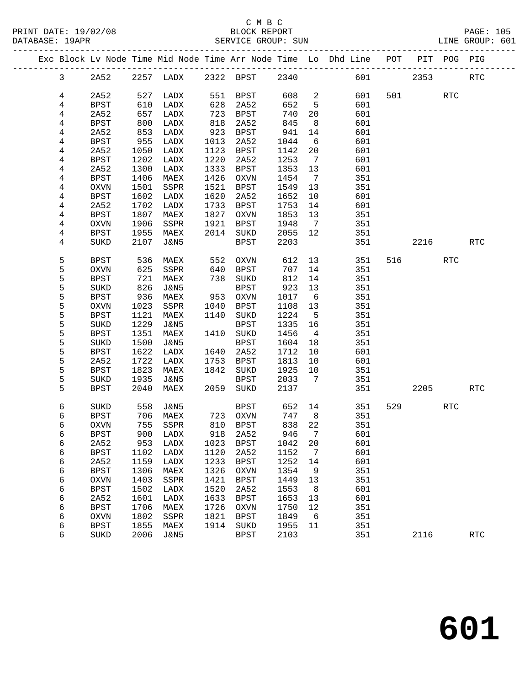| PRINT DATE: 19/02/08 | BLOCK REPORT       | <b>PAGE: 105</b> |
|----------------------|--------------------|------------------|
| DATABASE: 19APR      | SERVICE GROUP: SUN | LINE GROUP: 601  |

|                |               |      |                     |      |             |       |                            | Exc Block Lv Node Time Mid Node Time Arr Node Time Lo Dhd Line POT PIT POG PIG |         |                          |            |            |
|----------------|---------------|------|---------------------|------|-------------|-------|----------------------------|--------------------------------------------------------------------------------|---------|--------------------------|------------|------------|
| $\mathbf{3}$   | 2A52          |      | 2257 LADX 2322 BPST |      |             | 2340  |                            |                                                                                | 601 000 | 2353                     |            | <b>RTC</b> |
| 4              | 2A52          | 527  | LADX                |      | 551 BPST    | 608   | $\overline{\phantom{a}}^2$ | 601                                                                            |         | 501 700                  | RTC        |            |
| 4              | BPST          | 610  | LADX                | 628  | 2A52        | 652   | 5                          | 601                                                                            |         |                          |            |            |
| 4              | 2A52          | 657  | LADX                | 723  | BPST        | 740   | 20                         | 601                                                                            |         |                          |            |            |
| 4              | <b>BPST</b>   | 800  | LADX                | 818  | 2A52        | 845   | 8                          | 601                                                                            |         |                          |            |            |
| 4              | 2A52          | 853  | LADX                | 923  | BPST        | 941   | 14                         | 601                                                                            |         |                          |            |            |
| 4              | <b>BPST</b>   | 955  | LADX                | 1013 | 2A52        | 1044  | $6\overline{6}$            | 601                                                                            |         |                          |            |            |
| 4              | 2A52          | 1050 | LADX                | 1123 | BPST        | 1142  | 20                         | 601                                                                            |         |                          |            |            |
| 4              | BPST          | 1202 | LADX                | 1220 | 2A52        | 1253  | $\overline{7}$             | 601                                                                            |         |                          |            |            |
| 4              | 2A52          | 1300 | LADX                | 1333 | BPST        | 1353  | 13                         | 601                                                                            |         |                          |            |            |
| 4              | BPST          | 1406 | MAEX                | 1426 | OXVN        | 1454  | $\overline{7}$             | 351                                                                            |         |                          |            |            |
| 4              | OXVN          | 1501 | SSPR                | 1521 | BPST        | 1549  | 13                         | 351                                                                            |         |                          |            |            |
| 4              | BPST          | 1602 | LADX                | 1620 | 2A52        | 1652  | 10                         | 601                                                                            |         |                          |            |            |
| $\overline{4}$ | 2A52          | 1702 | LADX                | 1733 | BPST        | 1753  | 14                         | 601                                                                            |         |                          |            |            |
| 4              | <b>BPST</b>   | 1807 | MAEX                | 1827 | OXVN        | 1853  | 13                         | 351                                                                            |         |                          |            |            |
| 4              | OXVN          | 1906 | SSPR                | 1921 | BPST        | 1948  | $\overline{7}$             | 351                                                                            |         |                          |            |            |
| 4              | BPST          | 1955 | MAEX                | 2014 | SUKD        | 2055  | 12                         | 351                                                                            |         |                          |            |            |
| 4              | SUKD          | 2107 | J&N5                |      | <b>BPST</b> | 2203  |                            | 351                                                                            |         | 2216                     |            | <b>RTC</b> |
|                |               |      |                     |      |             |       |                            |                                                                                |         |                          |            |            |
| 5              | <b>BPST</b>   | 536  | MAEX                | 552  | OXVN        | 612   | 13                         | 351                                                                            |         | 516 70                   | <b>RTC</b> |            |
| 5              | <b>OXVN</b>   | 625  | SSPR                | 640  | BPST        | 707   | 14                         | 351                                                                            |         |                          |            |            |
| 5              | <b>BPST</b>   | 721  | MAEX                | 738  | SUKD        | 812   | 14                         | 351                                                                            |         |                          |            |            |
| 5              | SUKD          | 826  | J&N5                |      | <b>BPST</b> | 923   | 13                         | 351                                                                            |         |                          |            |            |
| 5              | BPST          | 936  | MAEX                | 953  | OXVN        | 1017  | $6\overline{6}$            | 351                                                                            |         |                          |            |            |
| 5              | OXVN          | 1023 | SSPR                | 1040 | BPST        | 1108  | 13                         | 351                                                                            |         |                          |            |            |
| 5              | BPST          | 1121 | MAEX                | 1140 | SUKD        | 1224  | $-5$                       | 351                                                                            |         |                          |            |            |
| 5              | SUKD          | 1229 | J&N5                |      | BPST        | 1335  | 16                         | 351                                                                            |         |                          |            |            |
| 5              | BPST          | 1351 | MAEX                | 1410 | SUKD        | 1456  | $\overline{4}$             | 351                                                                            |         |                          |            |            |
| 5              | SUKD          | 1500 | J&N5                |      | BPST        | 1604  | 18                         | 351                                                                            |         |                          |            |            |
| 5              | <b>BPST</b>   | 1622 | LADX                | 1640 | 2A52        | 1712  | 10                         | 601                                                                            |         |                          |            |            |
| 5              | 2A52          | 1722 | LADX                | 1753 | BPST        | 1813  | 10                         | 601                                                                            |         |                          |            |            |
| 5              | BPST          | 1823 | MAEX                | 1842 | SUKD        | 1925  | 10                         | 351                                                                            |         |                          |            |            |
| 5              | SUKD          | 1935 | J&N5                |      | BPST        | 2033  | 7                          | 351                                                                            |         |                          |            |            |
| 5              | <b>BPST</b>   | 2040 | MAEX                | 2059 | SUKD        | 2137  |                            | 351                                                                            |         | 2205                     |            | <b>RTC</b> |
| 6              | SUKD          | 558  | J&N5                |      | BPST        | 652   | 14                         | 351                                                                            |         | 529 and $\overline{529}$ | RTC        |            |
| 6              | BPST          |      | 706 MAEX            |      | 723 OXVN    | 747   | 8 <sup>8</sup>             | 351                                                                            |         |                          |            |            |
| 6              | <b>OXVN</b>   | 755  | SSPR                |      | 810 BPST    | 838   | 22                         | 351                                                                            |         |                          |            |            |
| 6              | $_{\rm BPST}$ |      | 900 LADX            |      | 918 2A52    | 946 7 |                            | 601                                                                            |         |                          |            |            |
| 6              | 2A52          | 953  | LADX                | 1023 | <b>BPST</b> | 1042  | 20                         | 601                                                                            |         |                          |            |            |
| 6              | <b>BPST</b>   | 1102 | LADX                | 1120 | 2A52        | 1152  | 7                          | 601                                                                            |         |                          |            |            |
| 6              | 2A52          | 1159 | LADX                | 1233 | <b>BPST</b> | 1252  | 14                         | 601                                                                            |         |                          |            |            |
| 6              | <b>BPST</b>   | 1306 | MAEX                | 1326 | <b>OXVN</b> | 1354  | 9                          | 351                                                                            |         |                          |            |            |
| 6              | <b>OXVN</b>   | 1403 | SSPR                | 1421 | <b>BPST</b> | 1449  | 13                         | 351                                                                            |         |                          |            |            |
| 6              | <b>BPST</b>   | 1502 | LADX                | 1520 | 2A52        | 1553  | 8                          | 601                                                                            |         |                          |            |            |
| 6              | 2A52          | 1601 | LADX                | 1633 | <b>BPST</b> | 1653  | 13                         | 601                                                                            |         |                          |            |            |
| 6              | <b>BPST</b>   | 1706 | MAEX                | 1726 | <b>OXVN</b> | 1750  | 12                         | 351                                                                            |         |                          |            |            |
| 6              | <b>OXVN</b>   | 1802 | SSPR                | 1821 | <b>BPST</b> | 1849  | 6                          | 351                                                                            |         |                          |            |            |
| 6              | <b>BPST</b>   | 1855 | MAEX                | 1914 | SUKD        | 1955  | 11                         | 351                                                                            |         |                          |            |            |
| 6              | SUKD          | 2006 | <b>J&amp;N5</b>     |      | <b>BPST</b> | 2103  |                            | 351                                                                            |         | 2116                     |            | <b>RTC</b> |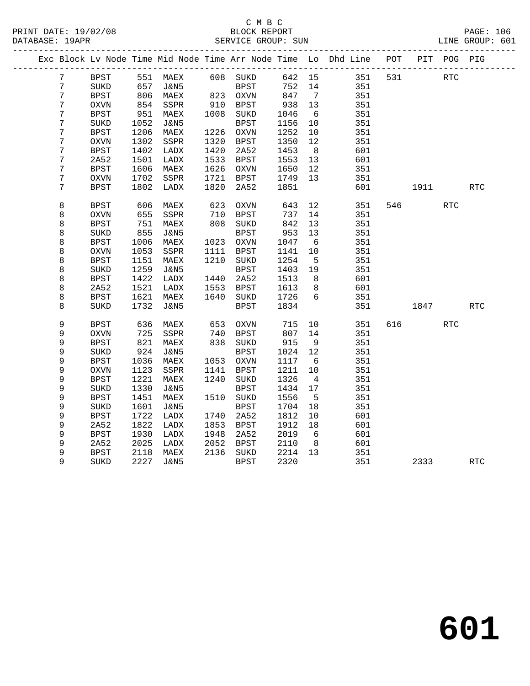### C M B C<br>BLOCK REPORT PRINT DATE: 19/02/08 BLOCK REPORT PAGE: 106 SERVICE GROUP: SUN

|   |             |      |                   |      |                  |         |                 | Exc Block Lv Node Time Mid Node Time Arr Node Time Lo Dhd Line POT |     |       | PIT POG PIG |            |
|---|-------------|------|-------------------|------|------------------|---------|-----------------|--------------------------------------------------------------------|-----|-------|-------------|------------|
| 7 | BPST        |      | 551 MAEX 608 SUKD |      |                  | 642 15  |                 | 351                                                                | 531 |       | RTC         |            |
| 7 | SUKD        | 657  | J&N5              |      | BPST<br>823 OXVN | 752     | 14              | 351                                                                |     |       |             |            |
| 7 | BPST        | 806  | MAEX              |      |                  | 847     | $\overline{7}$  | 351                                                                |     |       |             |            |
| 7 | <b>OXVN</b> | 854  | SSPR              |      | 910 BPST         | 938     | 13              | 351                                                                |     |       |             |            |
| 7 | <b>BPST</b> | 951  | MAEX              |      | 1008 SUKD        | 1046    | - 6             | 351                                                                |     |       |             |            |
| 7 | SUKD        | 1052 | J&N5              |      | <b>BPST</b>      | 1156    | 10              | 351                                                                |     |       |             |            |
| 7 | <b>BPST</b> | 1206 | MAEX              | 1226 | <b>OXVN</b>      | 1252    | 10              | 351                                                                |     |       |             |            |
| 7 | <b>OXVN</b> | 1302 | SSPR              | 1320 | BPST             | 1350    | 12              | 351                                                                |     |       |             |            |
| 7 | <b>BPST</b> | 1402 | LADX              | 1420 | 2A52             | 1453    | 8               | 601                                                                |     |       |             |            |
| 7 | 2A52        | 1501 | LADX              | 1533 | BPST             | 1553    | 13              | 601                                                                |     |       |             |            |
| 7 | <b>BPST</b> | 1606 | MAEX              | 1626 | OXVN             | 1650    | 12              | 351                                                                |     |       |             |            |
| 7 | <b>OXVN</b> | 1702 | SSPR              | 1721 | BPST             | 1749    | 13              | 351                                                                |     |       |             |            |
| 7 | <b>BPST</b> | 1802 | LADX              | 1820 | 2A52             | 1851    |                 | 601                                                                |     |       | 1911 — 1911 | <b>RTC</b> |
| 8 | <b>BPST</b> | 606  | MAEX              | 623  | <b>OXVN</b>      | 643     | 12              | 351                                                                |     | 546 7 | <b>RTC</b>  |            |
| 8 | <b>OXVN</b> | 655  | SSPR              | 710  | BPST             | 737     | 14              | 351                                                                |     |       |             |            |
| 8 | <b>BPST</b> | 751  | MAEX              | 808  | $\rm SUKD$       | 842     | 13              | 351                                                                |     |       |             |            |
| 8 | SUKD        | 855  | J&N5              |      | <b>BPST</b>      | 953     | 13              | 351                                                                |     |       |             |            |
| 8 | <b>BPST</b> | 1006 | MAEX              |      | 1023 OXVN        | 1047    | $6\overline{6}$ | 351                                                                |     |       |             |            |
| 8 | <b>OXVN</b> | 1053 | SSPR              | 1111 | BPST             | 1141    | 10              | 351                                                                |     |       |             |            |
| 8 | <b>BPST</b> | 1151 | MAEX              | 1210 | SUKD             | 1254    | $5^{\circ}$     | 351                                                                |     |       |             |            |
| 8 | SUKD        | 1259 | J&N5              |      | <b>BPST</b>      | 1403    | 19              | 351                                                                |     |       |             |            |
| 8 | <b>BPST</b> | 1422 | LADX              | 1440 | 2A52             | 1513    | 8               | 601                                                                |     |       |             |            |
| 8 | 2A52        | 1521 | LADX              | 1553 | <b>BPST</b>      | 1613    | 8               | 601                                                                |     |       |             |            |
| 8 | <b>BPST</b> | 1621 | MAEX              | 1640 | SUKD             | 1726    | 6               | 351                                                                |     |       |             |            |
| 8 | SUKD        | 1732 | <b>J&amp;N5</b>   |      | <b>BPST</b>      | 1834    |                 | 351                                                                |     | 1847  |             | <b>RTC</b> |
| 9 | <b>BPST</b> | 636  | MAEX              | 653  | OXVN             | 715     | 10              | 351                                                                | 616 |       | <b>RTC</b>  |            |
| 9 | OXVN        | 725  | SSPR              | 740  | BPST             | 807     | 14              | 351                                                                |     |       |             |            |
| 9 | <b>BPST</b> | 821  | MAEX              |      | 838 SUKD         | 915     | 9               | 351                                                                |     |       |             |            |
| 9 | SUKD        | 924  | J&N5              |      | BPST             | 1024    | 12              | 351                                                                |     |       |             |            |
| 9 | <b>BPST</b> | 1036 | MAEX              | 1053 | OXVN             | 1117    | - 6             | 351                                                                |     |       |             |            |
| 9 | OXVN        | 1123 | SSPR              | 1141 | BPST             | 1211    | 10              | 351                                                                |     |       |             |            |
| 9 | <b>BPST</b> | 1221 | MAEX              | 1240 | SUKD             | 1326    | 4               | 351                                                                |     |       |             |            |
| 9 | SUKD        | 1330 | J&N5              |      | <b>BPST</b>      | 1434    | 17              | 351                                                                |     |       |             |            |
| 9 | <b>BPST</b> | 1451 | MAEX              |      | 1510 SUKD        | 1556    | $5^{\circ}$     | 351                                                                |     |       |             |            |
| 9 | SUKD        | 1601 | J&N5              |      | BPST             | 1704    | 18              | 351                                                                |     |       |             |            |
| 9 | <b>BPST</b> | 1722 | LADX              | 1740 | 2A52             | 1812    | 10              | 601                                                                |     |       |             |            |
| 9 | 2A52        | 1822 | LADX              | 1853 | BPST             | 1912    | 18              | 601                                                                |     |       |             |            |
| 9 | <b>BPST</b> | 1930 | LADX              | 1948 | 2A52             | 2019    | - 6             | 601                                                                |     |       |             |            |
| 9 | 2A52        | 2025 | LADX              | 2052 | BPST             | 2110    | 8               | 601                                                                |     |       |             |            |
| 9 | <b>BPST</b> | 2118 | MAEX              |      | 2136 SUKD        | 2214 13 |                 | 351                                                                |     |       |             |            |
| 9 | <b>SUKD</b> | 2227 | <b>J&amp;N5</b>   |      | <b>BPST</b>      | 2320    |                 | 351                                                                |     | 2333  |             | <b>RTC</b> |
|   |             |      |                   |      |                  |         |                 |                                                                    |     |       |             |            |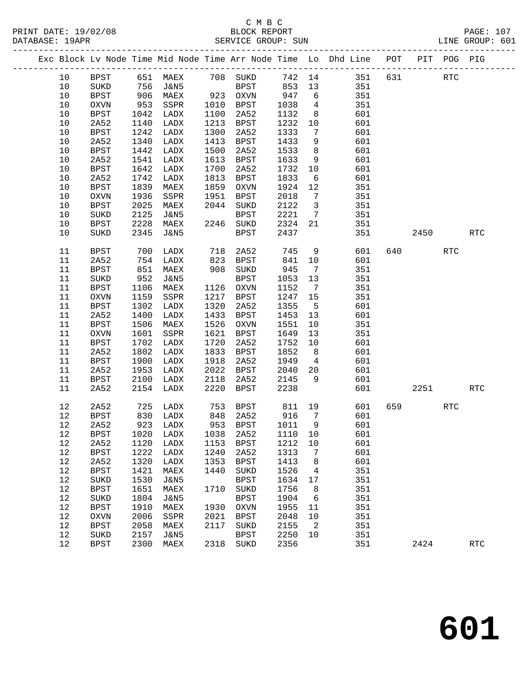|  |      |             |            |                                     |      |             |                 |                         | Exc Block Lv Node Time Mid Node Time Arr Node Time Lo Dhd Line POT |     |        | PIT POG PIG |                      |
|--|------|-------------|------------|-------------------------------------|------|-------------|-----------------|-------------------------|--------------------------------------------------------------------|-----|--------|-------------|----------------------|
|  | 10   | BPST        |            |                                     |      |             |                 |                         | 651 MAEX 708 SUKD 742 14 351                                       | 631 |        | RTC         |                      |
|  | 10   | SUKD        |            | J&N5                                |      | BPST        |                 |                         | 351                                                                |     |        |             |                      |
|  | $10$ | <b>BPST</b> | 756<br>906 | MAEX                                |      | 923 OXVN    | 853 13<br>947 6 |                         | 351                                                                |     |        |             |                      |
|  | $10$ | OXVN        | 953        | SSPR                                | 1010 | BPST        | 1038            | $\overline{4}$          | 351                                                                |     |        |             |                      |
|  | 10   | <b>BPST</b> | 1042       | LADX                                | 1100 | 2A52        | 1132            | 8 <sup>8</sup>          | 601                                                                |     |        |             |                      |
|  | $10$ | 2A52        | 1140       | LADX                                | 1213 | BPST        | 1232            | 10                      | 601                                                                |     |        |             |                      |
|  | $10$ | <b>BPST</b> | 1242       | LADX                                | 1300 | 2A52        | 1333            | $7\overline{ }$         | 601                                                                |     |        |             |                      |
|  | $10$ | 2A52        | 1340       | LADX                                | 1413 | BPST        | 1433            | 9                       | 601                                                                |     |        |             |                      |
|  | 10   | BPST        | 1442       | LADX                                | 1500 | 2A52        | 1533            | 8 <sup>8</sup>          | 601                                                                |     |        |             |                      |
|  | $10$ | 2A52        | 1541       | LADX                                | 1613 | BPST        | 1633            | 9                       | 601                                                                |     |        |             |                      |
|  | 10   | <b>BPST</b> | 1642       | LADX                                | 1700 | 2A52        | 1732            | 10                      | 601                                                                |     |        |             |                      |
|  | 10   | 2A52        | 1742       | LADX                                | 1813 | BPST        | 1833            | 6                       | 601                                                                |     |        |             |                      |
|  | 10   | BPST        | 1839       | MAEX                                | 1859 | OXVN        | 1924            | 12                      | 351                                                                |     |        |             |                      |
|  | 10   | $\rm OXVN$  | 1936       | SSPR                                | 1951 | BPST        | 2018            | $\overline{7}$          | 351                                                                |     |        |             |                      |
|  | $10$ | BPST        | 2025       | MAEX                                |      | 2044 SUKD   | 2122            | $\overline{\mathbf{3}}$ | 351                                                                |     |        |             |                      |
|  | $10$ | $\rm SUKD$  | 2125       | J&N5                                |      | BPST        | 2221            | $\overline{7}$          | 351                                                                |     |        |             |                      |
|  | 10   | BPST        | 2228       | MAEX                                |      | 2246 SUKD   | 2324            | 21                      | 351                                                                |     |        |             |                      |
|  | 10   | SUKD        | 2345       | J&N5                                |      | BPST        | 2437            |                         | 351                                                                |     | 2450   |             | RTC                  |
|  |      |             |            |                                     |      |             |                 |                         |                                                                    |     |        |             |                      |
|  | 11   | <b>BPST</b> | 700        | LADX                                | 718  | 2A52        | 745             | 9                       | 601                                                                |     | 640    | <b>RTC</b>  |                      |
|  | 11   | 2A52        | 754        | LADX                                | 823  | BPST        | 841             | 10                      | 601                                                                |     |        |             |                      |
|  | 11   | <b>BPST</b> | 851        | MAEX                                | 908  | SUKD        | 945             | $7\overline{ }$         | 351                                                                |     |        |             |                      |
|  | 11   | SUKD        | 952        | J&N5                                |      | BPST        | 1053            | 13                      | 351                                                                |     |        |             |                      |
|  | 11   | <b>BPST</b> | 1106       | MAEX                                |      | 1126 OXVN   | 1152            | $\overline{7}$          | 351                                                                |     |        |             |                      |
|  | 11   | OXVN        | 1159       | SSPR                                | 1217 | BPST        | 1247            | 15                      | 351                                                                |     |        |             |                      |
|  | 11   | <b>BPST</b> | 1302       | LADX                                | 1320 | 2A52        | 1355            | $5^{\circ}$             | 601                                                                |     |        |             |                      |
|  | 11   | 2A52        | 1400       | LADX                                | 1433 | BPST        | 1453            | 13                      | 601                                                                |     |        |             |                      |
|  | 11   | <b>BPST</b> | 1506       | MAEX                                | 1526 | OXVN        | 1551            | 10                      | 351                                                                |     |        |             |                      |
|  | 11   | OXVN        | 1601       | SSPR                                | 1621 | BPST        | 1649            | 13                      | 351                                                                |     |        |             |                      |
|  | 11   | <b>BPST</b> | 1702       | LADX                                | 1720 | 2A52        | 1752            | 10                      | 601                                                                |     |        |             |                      |
|  | 11   | 2A52        | 1802       | LADX                                | 1833 | BPST        | 1852            | 8 <sup>8</sup>          | 601                                                                |     |        |             |                      |
|  | 11   | <b>BPST</b> | 1900       | LADX                                | 1918 | 2A52        | 1949            | $\overline{4}$          | 601                                                                |     |        |             |                      |
|  | 11   | 2A52        | 1953       | LADX                                | 2022 | BPST        | 2040            | 20                      | 601                                                                |     |        |             |                      |
|  | 11   | BPST        | 2100       | LADX                                | 2118 | 2A52        | 2145            | 9                       | 601                                                                |     |        |             |                      |
|  | 11   | 2A52        | 2154       | LADX                                | 2220 | BPST        | 2238            |                         | 601                                                                |     | 2251   |             | RTC                  |
|  | 12   | 2A52        | 725        | LADX                                | 753  | BPST        | 811 19          |                         | 601                                                                |     | 659 11 | RTC         |                      |
|  | 12   | BPST        | 830        | LADX                                | 848  | 2A52        | 916             | $7\overline{ }$         | 601                                                                |     |        |             |                      |
|  | 12   | 2A52        |            | 923 LADX                            |      | 953 BPST    | 1011            | $\overline{9}$          | 601                                                                |     |        |             |                      |
|  |      |             |            | 12 BPST 1020 LADX 1038 2A52 1110 10 |      |             |                 |                         | 601                                                                |     |        |             |                      |
|  | 12   | 2A52        | 1120       | LADX                                | 1153 | <b>BPST</b> | 1212            | 10                      | 601                                                                |     |        |             |                      |
|  | 12   | <b>BPST</b> | 1222       | LADX                                | 1240 | 2A52        | 1313            | 7                       | 601                                                                |     |        |             |                      |
|  | 12   | 2A52        | 1320       | LADX                                | 1353 | <b>BPST</b> | 1413            | 8                       | 601                                                                |     |        |             |                      |
|  | 12   | <b>BPST</b> | 1421       | MAEX                                | 1440 | SUKD        | 1526            | 4                       | 351                                                                |     |        |             |                      |
|  | 12   | SUKD        | 1530       | <b>J&amp;N5</b>                     |      | <b>BPST</b> | 1634            | 17                      | 351                                                                |     |        |             |                      |
|  | 12   | <b>BPST</b> | 1651       | MAEX                                | 1710 | $\rm SUKD$  | 1756            | 8                       | 351                                                                |     |        |             |                      |
|  | 12   | SUKD        | 1804       | <b>J&amp;N5</b>                     |      | <b>BPST</b> | 1904            | 6                       | 351                                                                |     |        |             |                      |
|  | 12   | <b>BPST</b> | 1910       | MAEX                                | 1930 | <b>OXVN</b> | 1955            | 11                      | 351                                                                |     |        |             |                      |
|  | 12   | <b>OXVN</b> | 2006       | SSPR                                | 2021 | <b>BPST</b> | 2048            | 10                      | 351                                                                |     |        |             |                      |
|  | 12   | <b>BPST</b> | 2058       | MAEX                                | 2117 | SUKD        | 2155            | 2                       | 351                                                                |     |        |             |                      |
|  | 12   | SUKD        | 2157       | <b>J&amp;N5</b>                     |      | <b>BPST</b> | 2250            | 10                      | 351                                                                |     |        |             |                      |
|  | 12   | <b>BPST</b> | 2300       | MAEX                                |      | 2318 SUKD   | 2356            |                         | 351                                                                |     | 2424   |             | $\operatorname{RTC}$ |
|  |      |             |            |                                     |      |             |                 |                         |                                                                    |     |        |             |                      |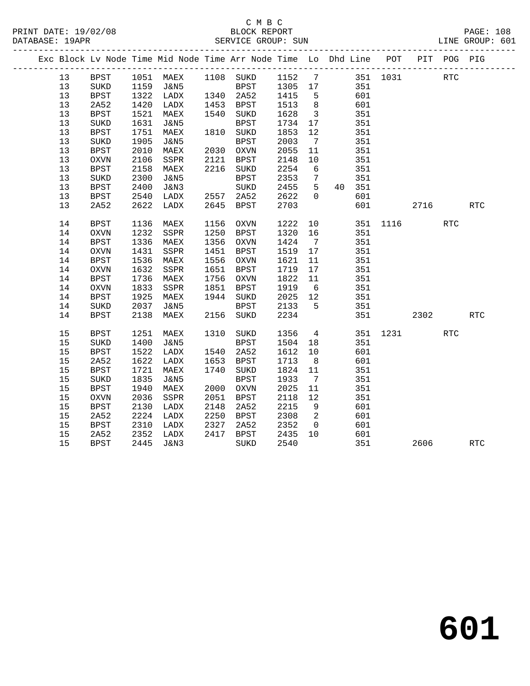|  |    |               |      | Exc Block Lv Node Time Mid Node Time Arr Node Time Lo Dhd Line POT |      |             |              |                         |        |          |      | PIT POG PIG |                      |
|--|----|---------------|------|--------------------------------------------------------------------|------|-------------|--------------|-------------------------|--------|----------|------|-------------|----------------------|
|  | 13 | <b>BPST</b>   |      | 1051 MAEX 1108 SUKD 1152 7 351 1031<br>1159 J&N5 BPST 1305 17 351  |      |             |              |                         |        |          |      | RTC         |                      |
|  | 13 | SUKD          |      |                                                                    |      |             |              |                         |        |          |      |             |                      |
|  | 13 | BPST          | 1322 | LADX                                                               |      | 1340 2A52   | 1415         | $5^{\circ}$             | 601    |          |      |             |                      |
|  | 13 | 2A52          | 1420 | LADX                                                               |      | 1453 BPST   | 1513         | 8 <sup>8</sup>          | 601    |          |      |             |                      |
|  | 13 | <b>BPST</b>   | 1521 | MAEX                                                               |      | 1540 SUKD   | 1628         | $\overline{\mathbf{3}}$ | 351    |          |      |             |                      |
|  | 13 | SUKD          | 1631 | J&N5                                                               |      | <b>BPST</b> | 1734         | 17                      | 351    |          |      |             |                      |
|  | 13 | <b>BPST</b>   | 1751 | MAEX                                                               |      | 1810 SUKD   | 1853         | 12                      | 351    |          |      |             |                      |
|  | 13 | $\rm SUKD$    | 1905 | J&N5                                                               |      | <b>BPST</b> | 2003         | $7\overline{ }$         | 351    |          |      |             |                      |
|  | 13 | <b>BPST</b>   | 2010 | MAEX                                                               |      | 2030 OXVN   | 2055         | 11                      | 351    |          |      |             |                      |
|  | 13 | <b>OXVN</b>   | 2106 | SSPR                                                               | 2121 | BPST        | 2148         | 10                      | 351    |          |      |             |                      |
|  | 13 | <b>BPST</b>   | 2158 | MAEX                                                               |      | 2216 SUKD   | 2254         | $6\overline{6}$         | 351    |          |      |             |                      |
|  | 13 | SUKD          | 2300 | J&N5                                                               |      | BPST        | 2353         | $\overline{7}$          | 351    |          |      |             |                      |
|  | 13 | <b>BPST</b>   | 2400 | J&N3                                                               |      | SUKD        | 2455         | $5\overline{)}$         | 40 351 |          |      |             |                      |
|  | 13 | <b>BPST</b>   | 2540 | LADX                                                               |      | 2557 2A52   | 2622         | $\overline{0}$          | 601    |          |      |             |                      |
|  | 13 | 2A52          | 2622 | LADX                                                               |      | 2645 BPST   | 2703         |                         | 601    |          | 2716 |             | RTC                  |
|  | 14 | <b>BPST</b>   | 1136 | MAEX                                                               | 1156 | OXVN        | 1222         | 10                      |        | 351 1116 |      | <b>RTC</b>  |                      |
|  | 14 | $\rm OXVN$    | 1232 | SSPR                                                               | 1250 | BPST        | 1320         | 16                      | 351    |          |      |             |                      |
|  | 14 | <b>BPST</b>   | 1336 | MAEX                                                               |      | 1356 OXVN   | 1424         | $\overline{7}$          | 351    |          |      |             |                      |
|  | 14 | $\rm OXVN$    | 1431 | SSPR                                                               | 1451 | BPST        | 1519         | 17                      | 351    |          |      |             |                      |
|  | 14 | <b>BPST</b>   | 1536 | MAEX                                                               |      | 1556 OXVN   | 1621         | 11                      | 351    |          |      |             |                      |
|  | 14 | OXVN          | 1632 | SSPR                                                               | 1651 | BPST        | 1719         | 17                      | 351    |          |      |             |                      |
|  | 14 | <b>BPST</b>   | 1736 | MAEX                                                               | 1756 | OXVN        | 1822         | 11                      | 351    |          |      |             |                      |
|  | 14 | OXVN          | 1833 | SSPR                                                               | 1851 | BPST        | 1919         | $6\overline{6}$         | 351    |          |      |             |                      |
|  | 14 | <b>BPST</b>   | 1925 | MAEX                                                               |      | 1944 SUKD   | 2025         | 12                      | 351    |          |      |             |                      |
|  | 14 | SUKD          | 2037 | J&N5                                                               |      | BPST        | 2133         | $5^{\circ}$             | 351    |          |      |             |                      |
|  | 14 | <b>BPST</b>   | 2138 | MAEX                                                               |      | 2156 SUKD   | 2234         |                         | 351    |          | 2302 |             | $\operatorname{RTC}$ |
|  | 15 | <b>BPST</b>   | 1251 | MAEX                                                               | 1310 | SUKD        | 1356         | $\overline{4}$          |        | 351 1231 |      | <b>RTC</b>  |                      |
|  | 15 | SUKD          | 1400 | J&N5                                                               |      | BPST        | 1504         | 18                      | 351    |          |      |             |                      |
|  | 15 | <b>BPST</b>   | 1522 | LADX                                                               |      | 1540 2A52   | 1612         | 10                      | 601    |          |      |             |                      |
|  | 15 | 2A52          | 1622 | LADX                                                               | 1653 | BPST        | 1713         | 8 <sup>8</sup>          | 601    |          |      |             |                      |
|  | 15 | <b>BPST</b>   | 1721 | MAEX                                                               | 1740 | SUKD        | 1824         | 11                      | 351    |          |      |             |                      |
|  | 15 | SUKD          | 1835 | J&N5                                                               |      | BPST        | 1933         | $7\overline{ }$         | 351    |          |      |             |                      |
|  | 15 | <b>BPST</b>   | 1940 | MAEX                                                               |      | 2000 OXVN   | 2025         | 11                      | 351    |          |      |             |                      |
|  | 15 | <b>OXVN</b>   | 2036 | SSPR                                                               | 2051 | BPST        | 2118         | 12                      | 351    |          |      |             |                      |
|  | 15 | <b>BPST</b>   | 2130 | LADX                                                               | 2148 | 2A52        | 2215         | 9                       | 601    |          |      |             |                      |
|  | 15 | 2A52          | 2224 | LADX                                                               |      | 2250 BPST   | 2308         | $\overline{2}$          | 601    |          |      |             |                      |
|  | 15 | $_{\rm BPST}$ | 2310 | LADX                                                               | 2327 | 2A52        |              | $\overline{0}$          | 601    |          |      |             |                      |
|  | 15 | 2A52          | 2352 | LADX                                                               | 2417 | BPST        | 235∠<br>2435 | 10                      | 601    |          |      |             |                      |
|  | 15 | BPST          | 2445 | J&N3                                                               |      | SUKD        | 2540         |                         | 351    |          | 2606 |             | $\operatorname{RTC}$ |
|  |    |               |      |                                                                    |      |             |              |                         |        |          |      |             |                      |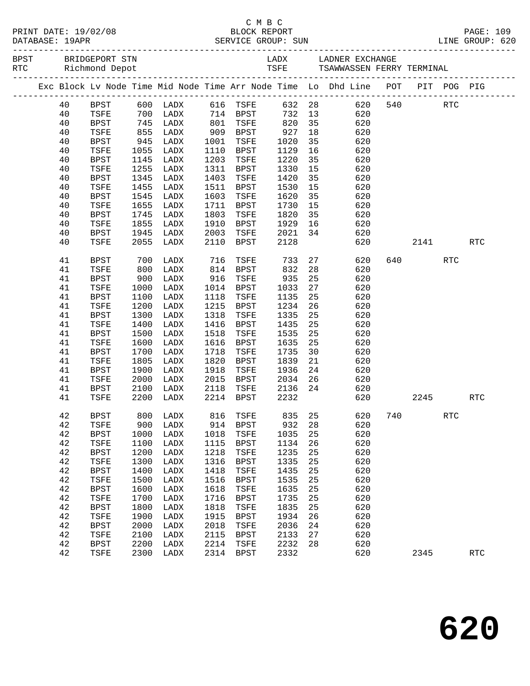|                   | PRINT DATE: 19/02/08 |
|-------------------|----------------------|
| DAMADACH . 103 DD |                      |

## C M B C N B C N B C N B C N B C N B C N B C N B C N B C N B C N B C N B C N B C N B C N B C N B C N B C N B C N B C N B C N B C N B C N B C N B C N B C N B C N B C N B C N B C N B C N B C N B C N B C N B C N B C N B C N B PAGE: 109<br>PAGE: 109<br>PAGE: 2009: EUN PAGE: 109 DATABASE: 19APR SERVICE GROUP: SUN

| BPST BRIDGEPORT STN<br>RTC Richmond Depot |             |                     |                                                     |      |                      | LADX LADNER EXCHANGE<br>TSFE TSAWWASSEN FERRY TERMINAL                |    |                                                                                |     |             |            |            |  |  |  |
|-------------------------------------------|-------------|---------------------|-----------------------------------------------------|------|----------------------|-----------------------------------------------------------------------|----|--------------------------------------------------------------------------------|-----|-------------|------------|------------|--|--|--|
|                                           |             |                     |                                                     |      |                      |                                                                       |    | Exc Block Lv Node Time Mid Node Time Arr Node Time Lo Dhd Line POT PIT POG PIG |     |             |            |            |  |  |  |
| 40                                        |             |                     | BPST 600 LADX 616 TSFE 632 28                       |      |                      |                                                                       |    |                                                                                |     | 620 540 RTC |            |            |  |  |  |
| 40                                        | TSFE        |                     |                                                     |      |                      | 732 13                                                                |    | 620                                                                            |     |             |            |            |  |  |  |
| 40                                        | BPST        |                     | 700 LADX      714  BPST<br>745  LADX      801  TSFE |      |                      | 820                                                                   | 35 | 620                                                                            |     |             |            |            |  |  |  |
| 40                                        | TSFE        | 855                 | LADX                                                |      | 909 BPST             | 927                                                                   | 18 | 620                                                                            |     |             |            |            |  |  |  |
| 40                                        | BPST        | 945                 | LADX                                                | 1001 | TSFE                 | 1020                                                                  | 35 | 620                                                                            |     |             |            |            |  |  |  |
|                                           |             |                     |                                                     |      |                      |                                                                       |    |                                                                                |     |             |            |            |  |  |  |
| 40                                        | TSFE        | 1055                | LADX                                                |      | 1110 BPST            | 1129                                                                  | 16 | 620                                                                            |     |             |            |            |  |  |  |
| 40                                        | BPST        | 1145                | LADX                                                | 1203 | TSFE                 | 1220                                                                  | 35 | 620                                                                            |     |             |            |            |  |  |  |
| 40                                        | TSFE        | 1255                | LADX                                                | 1311 | BPST                 | 1330                                                                  | 15 | 620                                                                            |     |             |            |            |  |  |  |
| 40                                        | BPST        | 1345                | LADX                                                | 1403 | TSFE                 | 1420                                                                  | 35 | 620                                                                            |     |             |            |            |  |  |  |
| 40                                        | TSFE        | 1455                | LADX                                                | 1511 | BPST                 | 1530                                                                  | 15 | 620                                                                            |     |             |            |            |  |  |  |
| 40                                        | BPST        | 1545                | LADX                                                | 1603 | TSFE                 | 1620                                                                  | 35 | 620                                                                            |     |             |            |            |  |  |  |
| 40                                        | TSFE        | 1655                | LADX                                                | 1711 | BPST                 | 1730                                                                  | 15 | 620                                                                            |     |             |            |            |  |  |  |
| 40                                        | BPST        | 1745                | LADX                                                | 1803 | TSFE                 | 1820                                                                  | 35 | 620                                                                            |     |             |            |            |  |  |  |
| 40                                        | TSFE        |                     | LADX                                                | 1910 | BPST                 | 1929                                                                  | 16 | 620                                                                            |     |             |            |            |  |  |  |
| 40                                        | BPST        | $185 -$<br>$1945 -$ | LADX                                                | 2003 | TSFE                 | 2021                                                                  | 34 | 620                                                                            |     |             |            |            |  |  |  |
| 40                                        | TSFE        | 2055                | LADX                                                | 2110 | BPST                 | 2128                                                                  |    | 620                                                                            |     | 2141        |            | <b>RTC</b> |  |  |  |
| 41                                        | BPST        |                     | LADX                                                |      |                      |                                                                       | 27 | 620                                                                            |     | 640         | <b>RTC</b> |            |  |  |  |
| 41                                        | TSFE        | 700<br>800          | LADX                                                |      | 716 TSFE<br>814 BPST | 733<br>832<br>832                                                     | 28 | 620                                                                            |     |             |            |            |  |  |  |
| 41                                        | BPST        | 900                 | LADX                                                |      | 916 TSFE             | 935                                                                   | 25 | 620                                                                            |     |             |            |            |  |  |  |
| 41                                        | TSFE        | 1000                | LADX                                                |      | 1014 BPST            | 1033                                                                  | 27 | 620                                                                            |     |             |            |            |  |  |  |
| 41                                        | BPST        | 1100                | LADX                                                |      | 1118 TSFE            | 1135                                                                  | 25 | 620                                                                            |     |             |            |            |  |  |  |
| 41                                        | TSFE        | 1200                | LADX                                                |      | 1215 BPST            | 1234                                                                  | 26 | 620                                                                            |     |             |            |            |  |  |  |
| 41                                        | BPST        | 1300                | LADX                                                | 1318 | TSFE                 | 1335                                                                  | 25 | 620                                                                            |     |             |            |            |  |  |  |
| 41                                        | TSFE        | 1400                | LADX                                                | 1416 | BPST                 | 1435                                                                  | 25 | 620                                                                            |     |             |            |            |  |  |  |
| 41                                        | BPST        | 1500                | LADX                                                | 1518 | TSFE                 | 1535                                                                  | 25 | 620                                                                            |     |             |            |            |  |  |  |
| 41                                        |             | 1600                | LADX                                                | 1616 | BPST                 | 1635                                                                  | 25 | 620                                                                            |     |             |            |            |  |  |  |
|                                           | TSFE        |                     |                                                     |      |                      |                                                                       |    |                                                                                |     |             |            |            |  |  |  |
| 41                                        | BPST        | 1700                | LADX                                                | 1718 | TSFE                 | 1735                                                                  | 30 | 620                                                                            |     |             |            |            |  |  |  |
| 41                                        | TSFE        | 1805                | LADX                                                | 1820 | BPST                 | 1839                                                                  | 21 | 620                                                                            |     |             |            |            |  |  |  |
| 41                                        | BPST        | 1900                | LADX                                                | 1918 | TSFE                 | 1936                                                                  | 24 | 620                                                                            |     |             |            |            |  |  |  |
| 41                                        | TSFE        | 2000                | LADX                                                | 2015 | BPST                 | 2034                                                                  | 26 | 620                                                                            |     |             |            |            |  |  |  |
| 41                                        | BPST        | 2100                | LADX                                                | 2118 | TSFE                 | 2136                                                                  | 24 | 620                                                                            |     |             |            |            |  |  |  |
| 41                                        | TSFE        | 2200                | LADX                                                |      | 2214 BPST            | 2232                                                                  |    | 620                                                                            |     | 2245        |            | <b>RTC</b> |  |  |  |
| 42                                        | BPST        |                     | 800 LADX<br>900 LADX                                |      |                      | 816    TSFE            835     25<br>914     BPST           932    28 |    | 620                                                                            | 740 |             | <b>RTC</b> |            |  |  |  |
| 42                                        | TSFE        |                     |                                                     |      |                      |                                                                       |    | 620                                                                            |     |             |            |            |  |  |  |
| 42                                        |             |                     |                                                     |      |                      |                                                                       |    | BPST 1000 LADX 1018 TSFE 1035 25 620                                           |     |             |            |            |  |  |  |
| 42                                        | TSFE        | 1100                | LADX                                                | 1115 | BPST                 | 1134                                                                  | 26 | 620                                                                            |     |             |            |            |  |  |  |
| 42                                        | <b>BPST</b> | 1200                | LADX                                                | 1218 | TSFE                 | 1235                                                                  | 25 | 620                                                                            |     |             |            |            |  |  |  |
| 42                                        | TSFE        | 1300                | LADX                                                | 1316 | <b>BPST</b>          | 1335                                                                  | 25 | 620                                                                            |     |             |            |            |  |  |  |
| 42                                        | <b>BPST</b> | 1400                | LADX                                                | 1418 | TSFE                 | 1435                                                                  | 25 | 620                                                                            |     |             |            |            |  |  |  |
| 42                                        | TSFE        | 1500                | LADX                                                | 1516 | <b>BPST</b>          | 1535                                                                  | 25 | 620                                                                            |     |             |            |            |  |  |  |
| 42                                        | <b>BPST</b> | 1600                | LADX                                                | 1618 | TSFE                 | 1635                                                                  | 25 | 620                                                                            |     |             |            |            |  |  |  |
| 42                                        | TSFE        | 1700                | LADX                                                | 1716 | <b>BPST</b>          | 1735                                                                  | 25 | 620                                                                            |     |             |            |            |  |  |  |
| 42                                        | <b>BPST</b> | 1800                | LADX                                                | 1818 | TSFE                 | 1835                                                                  | 25 | 620                                                                            |     |             |            |            |  |  |  |
| 42                                        | TSFE        | 1900                | LADX                                                | 1915 | <b>BPST</b>          | 1934                                                                  | 26 | 620                                                                            |     |             |            |            |  |  |  |
| 42                                        | <b>BPST</b> | 2000                | LADX                                                | 2018 | TSFE                 | 2036                                                                  | 24 | 620                                                                            |     |             |            |            |  |  |  |
| 42                                        | TSFE        | 2100                | LADX                                                | 2115 | BPST                 | 2133                                                                  | 27 | 620                                                                            |     |             |            |            |  |  |  |
| 42                                        | <b>BPST</b> | 2200                | LADX                                                | 2214 | TSFE                 | 2232                                                                  | 28 | 620                                                                            |     |             |            |            |  |  |  |
| 42                                        |             | 2300                |                                                     | 2314 |                      | 2332                                                                  |    | 620                                                                            |     |             |            | <b>RTC</b> |  |  |  |
|                                           | TSFE        |                     | LADX                                                |      | BPST                 |                                                                       |    |                                                                                |     | 2345        |            |            |  |  |  |